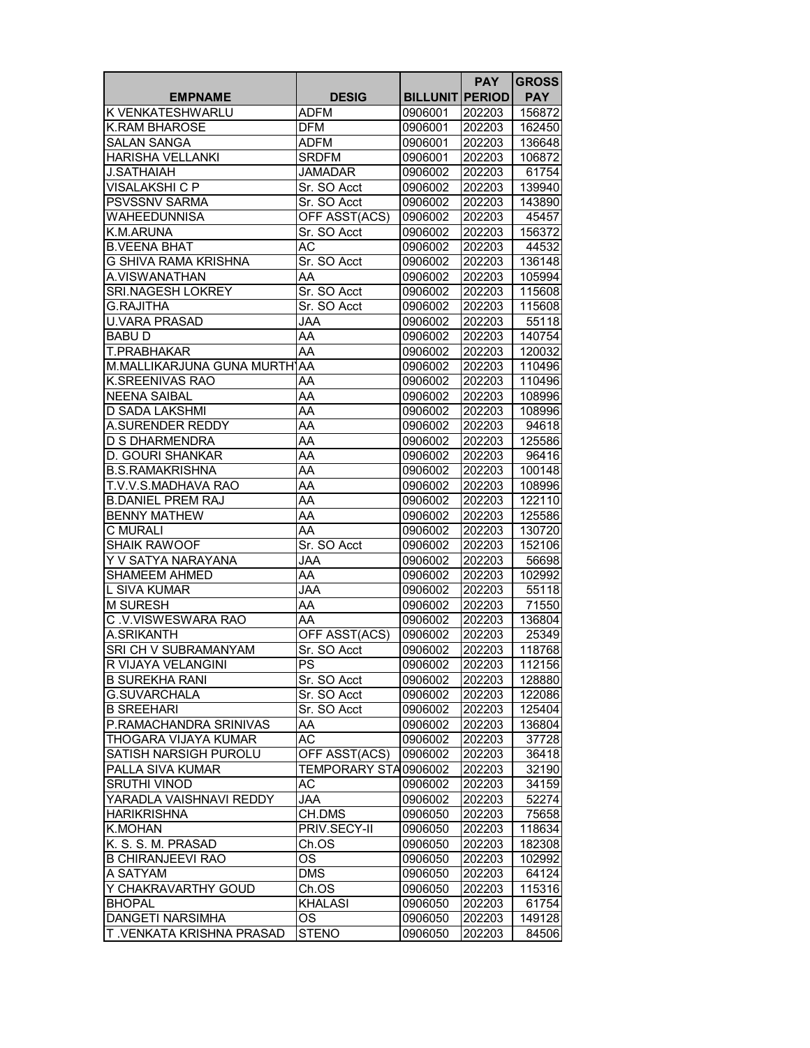|                             |                      |                        | <b>PAY</b> | <b>GROSS</b> |
|-----------------------------|----------------------|------------------------|------------|--------------|
| <b>EMPNAME</b>              | <b>DESIG</b>         | <b>BILLUNIT PERIOD</b> |            | <b>PAY</b>   |
| K VENKATESHWARLU            | <b>ADFM</b>          | 0906001                | 202203     | 156872       |
| <b>K.RAM BHAROSE</b>        | <b>DFM</b>           | 0906001                | 202203     | 162450       |
| SALAN SANGA                 | <b>ADFM</b>          | 0906001                | 202203     | 136648       |
| HARISHA VELLANKI            | <b>SRDFM</b>         | 0906001                | 202203     | 106872       |
| <b>J.SATHAIAH</b>           | <b>JAMADAR</b>       | 0906002                | 202203     | 61754        |
| VISALAKSHI C P              | Sr. SO Acct          | 0906002                | 202203     | 139940       |
| PSVSSNV SARMA               | Sr. SO Acct          | 0906002                | 202203     | 143890       |
| WAHEEDUNNISA                | OFF ASST(ACS)        | 0906002                | 202203     | 45457        |
| K.M.ARUNA                   | Sr. SO Acct          | 0906002                | 202203     | 156372       |
| <b>B.VEENA BHAT</b>         | АC                   | 0906002                | 202203     | 44532        |
| <b>G SHIVA RAMA KRISHNA</b> | Sr. SO Acct          | 0906002                | 202203     | 136148       |
| A.VISWANATHAN               | AA                   | 0906002                | 202203     | 105994       |
| SRI.NAGESH LOKREY           | Sr. SO Acct          | 0906002                | 202203     | 115608       |
| <b>G.RAJITHA</b>            | Sr. SO Acct          | 0906002                | 202203     | 115608       |
| <b>U.VARA PRASAD</b>        | JAA                  | 0906002                | 202203     | 55118        |
| <b>BABUD</b>                | AA                   | 0906002                | 202203     | 140754       |
| T.PRABHAKAR                 | AA                   | 0906002                | 202203     | 120032       |
| M.MALLIKARJUNA GUNA MURTHAA |                      | 0906002                | 202203     | 110496       |
| K.SREENIVAS RAO             | AA                   | 0906002                | 202203     | 110496       |
| <b>NEENA SAIBAL</b>         | AA                   | 0906002                | 202203     | 108996       |
| <b>D SADA LAKSHMI</b>       | AA                   | 0906002                | 202203     | 108996       |
| A.SURENDER REDDY            | AA                   | 0906002                | 202203     | 94618        |
| <b>D S DHARMENDRA</b>       | AA                   | 0906002                | 202203     | 125586       |
| D. GOURI SHANKAR            | AA                   | 0906002                | 202203     | 96416        |
| <b>B.S.RAMAKRISHNA</b>      | AA                   | 0906002                | 202203     | 100148       |
| T.V.V.S.MADHAVA RAO         | AA                   | 0906002                | 202203     | 108996       |
| <b>B.DANIEL PREM RAJ</b>    | AA                   | 0906002                | 202203     | 122110       |
| <b>BENNY MATHEW</b>         | AA                   | 0906002                | 202203     | 125586       |
| C MURALI                    | AA                   | 0906002                | 202203     | 130720       |
| <b>SHAIK RAWOOF</b>         | Sr. SO Acct          | 0906002                | 202203     | 152106       |
| Y V SATYA NARAYANA          | <b>AAL</b>           | 0906002                | 202203     | 56698        |
| <b>SHAMEEM AHMED</b>        | AA                   | 0906002                | 202203     | 102992       |
| L SIVA KUMAR                | JAA                  | 0906002                | 202203     | 55118        |
| M SURESH                    | AA                   | 0906002                | 202203     | 71550        |
| C.V.VISWESWARA RAO          | AA                   | 0906002                | 202203     | 136804       |
| A.SRIKANTH                  | OFF ASST(ACS)        | 0906002                | 202203     | 25349        |
| SRI CH V SUBRAMANYAM        | Sr. SO Acct          | 0906002                | 202203     | 118768       |
| R VIJAYA VELANGINI          | PS                   | 0906002                | 202203     | 112156       |
| <b>B SUREKHA RANI</b>       | Sr. SO Acct          | 0906002                | 202203     | 128880       |
| <b>G.SUVARCHALA</b>         | Sr. SO Acct          | 0906002                | 202203     | 122086       |
| <b>B SREEHARI</b>           | Sr. SO Acct          | 0906002                | 202203     | 125404       |
| P.RAMACHANDRA SRINIVAS      | AA                   | 0906002                | 202203     | 136804       |
| THOGARA VIJAYA KUMAR        | $\overline{AC}$      | 0906002                | 202203     | 37728        |
| SATISH NARSIGH PUROLU       | OFF ASST(ACS)        | 0906002                | 202203     | 36418        |
| PALLA SIVA KUMAR            | TEMPORARY STA0906002 |                        | 202203     | 32190        |
| <b>SRUTHI VINOD</b>         | AC                   | 0906002                | 202203     | 34159        |
| YARADLA VAISHNAVI REDDY     | <b>JAA</b>           | 0906002                | 202203     | 52274        |
| <b>HARIKRISHNA</b>          | CH.DMS               | 0906050                | 202203     | 75658        |
| <b>K.MOHAN</b>              | PRIV.SECY-II         | 0906050                | 202203     | 118634       |
| K. S. S. M. PRASAD          | Ch.OS                | 0906050                | 202203     | 182308       |
| <b>B CHIRANJEEVI RAO</b>    | ОS                   | 0906050                | 202203     | 102992       |
| A SATYAM                    | <b>DMS</b>           | 0906050                | 202203     | 64124        |
| Y CHAKRAVARTHY GOUD         | Ch.OS                | 0906050                | 202203     | 115316       |
| <b>BHOPAL</b>               | <b>KHALASI</b>       | 0906050                | 202203     | 61754        |
| DANGETI NARSIMHA            | OS                   | 0906050                | 202203     | 149128       |
| T .VENKATA KRISHNA PRASAD   | <b>STENO</b>         | 0906050                | 202203     | 84506        |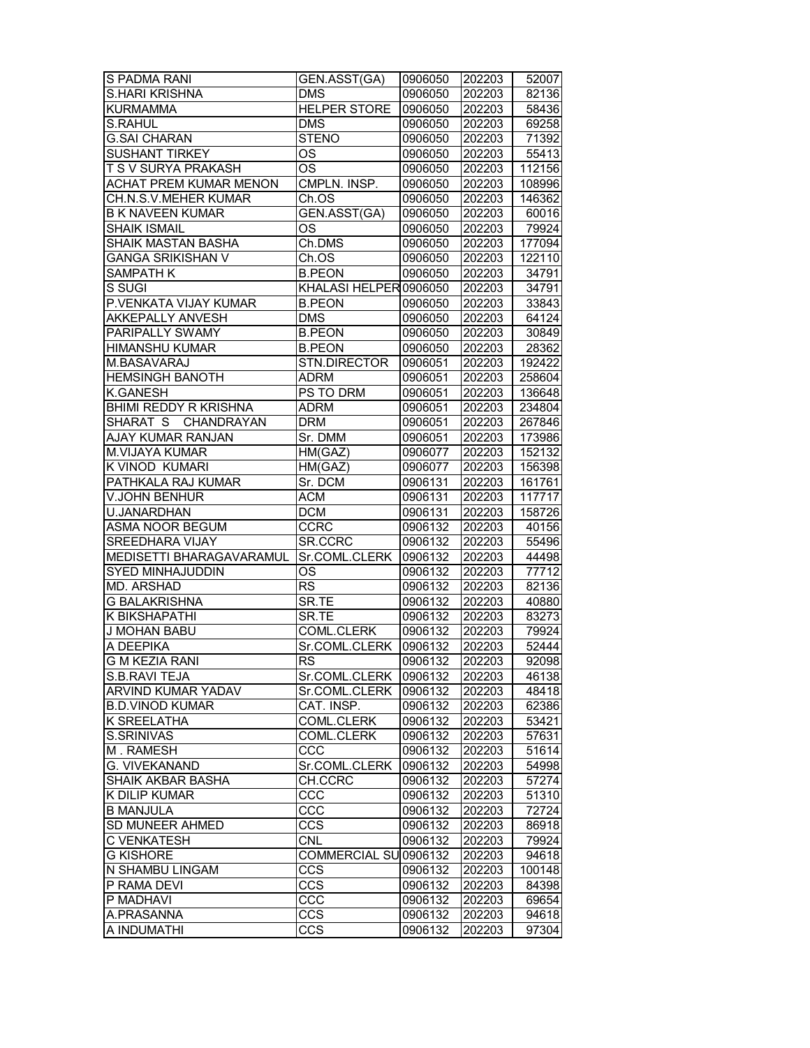| S PADMA RANI                  | GEN.ASST(GA)             | 0906050 | 202203 | 52007  |
|-------------------------------|--------------------------|---------|--------|--------|
| <b>S.HARI KRISHNA</b>         | <b>DMS</b>               | 0906050 | 202203 | 82136  |
| <b>KURMAMMA</b>               | <b>HELPER STORE</b>      | 0906050 | 202203 | 58436  |
| S.RAHUL                       | <b>DMS</b>               | 0906050 | 202203 | 69258  |
| <b>G.SAI CHARAN</b>           | <b>STENO</b>             | 0906050 | 202203 | 71392  |
| <b>SUSHANT TIRKEY</b>         | <b>OS</b>                | 0906050 | 202203 | 55413  |
| T S V SURYA PRAKASH           | OS                       | 0906050 | 202203 | 112156 |
| <b>ACHAT PREM KUMAR MENON</b> | CMPLN. INSP.             | 0906050 | 202203 | 108996 |
| CH.N.S.V.MEHER KUMAR          | Ch.OS                    | 0906050 | 202203 | 146362 |
| <b>B K NAVEEN KUMAR</b>       | GEN.ASST(GA)             | 0906050 | 202203 | 60016  |
| <b>SHAIK ISMAIL</b>           | ΟS                       | 0906050 | 202203 | 79924  |
| SHAIK MASTAN BASHA            | Ch.DMS                   | 0906050 | 202203 | 177094 |
| <b>GANGA SRIKISHAN V</b>      | Ch.OS                    | 0906050 | 202203 | 122110 |
| <b>SAMPATH K</b>              | <b>B.PEON</b>            | 0906050 | 202203 | 34791  |
| S SUGI                        | KHALASI HELPER 0906050   |         | 202203 | 34791  |
| P.VENKATA VIJAY KUMAR         | <b>B.PEON</b>            | 0906050 | 202203 | 33843  |
| <b>AKKEPALLY ANVESH</b>       | <b>DMS</b>               | 0906050 | 202203 | 64124  |
| PARIPALLY SWAMY               | <b>B.PEON</b>            | 0906050 | 202203 | 30849  |
| <b>HIMANSHU KUMAR</b>         | <b>B.PEON</b>            | 0906050 | 202203 | 28362  |
| M.BASAVARAJ                   | STN.DIRECTOR             | 0906051 | 202203 | 192422 |
| <b>HEMSINGH BANOTH</b>        | <b>ADRM</b>              | 0906051 | 202203 | 258604 |
| <b>K.GANESH</b>               | PS TO DRM                | 0906051 | 202203 | 136648 |
| <b>BHIMI REDDY R KRISHNA</b>  | <b>ADRM</b>              | 0906051 | 202203 | 234804 |
| SHARAT S CHANDRAYAN           | <b>DRM</b>               | 0906051 | 202203 | 267846 |
| AJAY KUMAR RANJAN             | Sr. DMM                  | 0906051 | 202203 | 173986 |
| <b>M.VIJAYA KUMAR</b>         | HM(GAZ)                  | 0906077 | 202203 | 152132 |
| K VINOD KUMARI                | HM(GAZ)                  | 0906077 | 202203 | 156398 |
| PATHKALA RAJ KUMAR            | Sr. DCM                  | 0906131 | 202203 | 161761 |
| V.JOHN BENHUR                 | <b>ACM</b>               | 0906131 | 202203 | 117717 |
| U.JANARDHAN                   | <b>DCM</b>               | 0906131 | 202203 | 158726 |
| ASMA NOOR BEGUM               | <b>CCRC</b>              | 0906132 | 202203 | 40156  |
| <b>SREEDHARA VIJAY</b>        | SR.CCRC                  | 0906132 | 202203 | 55496  |
| MEDISETTI BHARAGAVARAMUL      | Sr.COML.CLERK            | 0906132 | 202203 | 44498  |
| <b>SYED MINHAJUDDIN</b>       | ОS                       | 0906132 | 202203 | 77712  |
| MD. ARSHAD                    | <b>RS</b>                | 0906132 | 202203 | 82136  |
| <b>G BALAKRISHNA</b>          | SR.TE                    | 0906132 | 202203 | 40880  |
| K BIKSHAPATHI                 | SR.TE                    | 0906132 | 202203 | 83273  |
| <b>J MOHAN BABU</b>           | COML.CLERK               | 0906132 | 202203 | 79924  |
| A DEEPIKA                     | Sr.COML.CLERK            | 0906132 | 202203 | 52444  |
| <b>G M KEZIA RANI</b>         | <b>RS</b>                | 0906132 | 202203 | 92098  |
|                               | Sr.COML.CLERK   0906132  |         | 202203 | 46138  |
| S.B.RAVI TEJA                 |                          |         |        | 48418  |
| ARVIND KUMAR YADAV            | Sr.COML.CLERK            | 0906132 | 202203 | 62386  |
| <b>B.D.VINOD KUMAR</b>        | CAT. INSP.<br>COML.CLERK | 0906132 | 202203 |        |
| K SREELATHA                   |                          | 0906132 | 202203 | 53421  |
| S.SRINIVAS                    | COML.CLERK               | 0906132 | 202203 | 57631  |
| M. RAMESH                     | ccc<br>Sr.COML.CLERK     | 0906132 | 202203 | 51614  |
| G. VIVEKANAND                 |                          | 0906132 | 202203 | 54998  |
| SHAIK AKBAR BASHA             | CH.CCRC                  | 0906132 | 202203 | 57274  |
| K DILIP KUMAR                 | CCC                      | 0906132 | 202203 | 51310  |
| <b>B MANJULA</b>              | CCC                      | 0906132 | 202203 | 72724  |
| SD MUNEER AHMED               | CCS                      | 0906132 | 202203 | 86918  |
| C VENKATESH                   | <b>CNL</b>               | 0906132 | 202203 | 79924  |
| <b>G KISHORE</b>              | COMMERCIAL SU 0906132    |         | 202203 | 94618  |
| N SHAMBU LINGAM               | CCS                      | 0906132 | 202203 | 100148 |
| P RAMA DEVI                   | CCS                      | 0906132 | 202203 | 84398  |
| P MADHAVI                     | CCC                      | 0906132 | 202203 | 69654  |
| A.PRASANNA                    | <b>CCS</b>               | 0906132 | 202203 | 94618  |
| A INDUMATHI                   | CCS                      | 0906132 | 202203 | 97304  |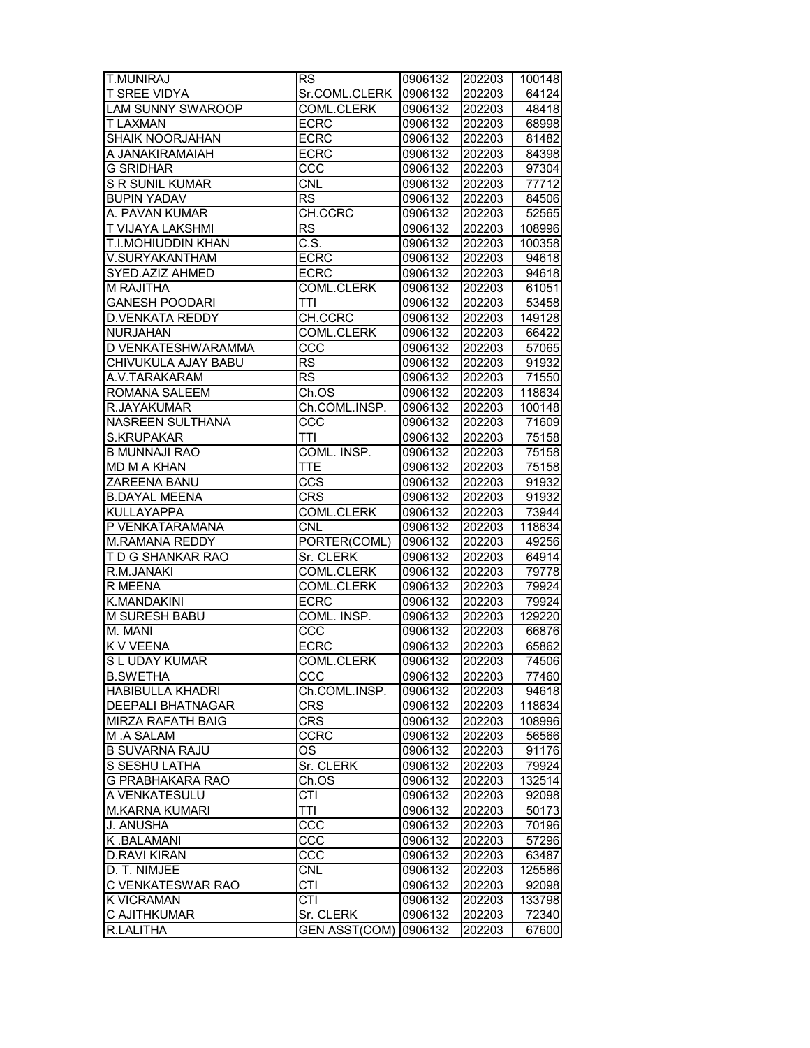| <b>T.MUNIRAJ</b>         | <b>RS</b>              | 0906132            | 202203 | 100148 |
|--------------------------|------------------------|--------------------|--------|--------|
| <b>T SREE VIDYA</b>      | Sr.COML.CLERK          | 0906132            | 202203 | 64124  |
| <b>LAM SUNNY SWAROOP</b> | COML.CLERK             | 0906132            | 202203 | 48418  |
| <b>T LAXMAN</b>          | <b>ECRC</b>            | 0906132            | 202203 | 68998  |
| SHAIK NOORJAHAN          | <b>ECRC</b>            | 0906132            | 202203 | 81482  |
| A JANAKIRAMAIAH          | <b>ECRC</b>            | 0906132            | 202203 | 84398  |
| <b>G SRIDHAR</b>         | CCC                    | 0906132            | 202203 | 97304  |
| S R SUNIL KUMAR          | CNL                    | 0906132            | 202203 | 77712  |
| <b>BUPIN YADAV</b>       | <b>RS</b>              | 0906132            | 202203 | 84506  |
| A. PAVAN KUMAR           | CH.CCRC                | 0906132            | 202203 | 52565  |
| T VIJAYA LAKSHMI         | <b>RS</b>              | 0906132            | 202203 | 108996 |
| T.I.MOHIUDDIN KHAN       | $\overline{C.S.}$      |                    |        | 100358 |
|                          |                        | 0906132<br>0906132 | 202203 |        |
| V.SURYAKANTHAM           | <b>ECRC</b>            |                    | 202203 | 94618  |
| SYED.AZIZ AHMED          | <b>ECRC</b>            | 0906132            | 202203 | 94618  |
| M RAJITHA                | <b>COML.CLERK</b>      | 0906132            | 202203 | 61051  |
| <b>GANESH POODARI</b>    | <b>TTI</b>             | 0906132            | 202203 | 53458  |
| <b>D.VENKATA REDDY</b>   | CH.CCRC                | 0906132            | 202203 | 149128 |
| <b>NURJAHAN</b>          | <b>COML.CLERK</b>      | 0906132            | 202203 | 66422  |
| D VENKATESHWARAMMA       | ccc                    | 0906132            | 202203 | 57065  |
| CHIVUKULA AJAY BABU      | <b>RS</b>              | 0906132            | 202203 | 91932  |
| A.V.TARAKARAM            | $\overline{\text{RS}}$ | 0906132            | 202203 | 71550  |
| <b>ROMANA SALEEM</b>     | Ch.OS                  | 0906132            | 202203 | 118634 |
| R.JAYAKUMAR              | Ch.COML.INSP.          | 0906132            | 202203 | 100148 |
| NASREEN SULTHANA         | CCC                    | 0906132            | 202203 | 71609  |
| <b>S.KRUPAKAR</b>        | TTI                    | 0906132            | 202203 | 75158  |
| <b>B MUNNAJI RAO</b>     | COML. INSP.            | 0906132            | 202203 | 75158  |
| MD M A KHAN              | <b>TTE</b>             | 0906132            | 202203 | 75158  |
| ZAREENA BANU             | $\overline{ccs}$       | 0906132            | 202203 | 91932  |
| <b>B.DAYAL MEENA</b>     | <b>CRS</b>             | 0906132            | 202203 | 91932  |
| <b>KULLAYAPPA</b>        | COML.CLERK             | 0906132            | 202203 | 73944  |
| P VENKATARAMANA          | <b>CNL</b>             | 0906132            | 202203 | 118634 |
|                          |                        |                    |        |        |
| M.RAMANA REDDY           | PORTER(COML)           | 0906132            | 202203 | 49256  |
| T D G SHANKAR RAO        | Sr. CLERK              | 0906132            | 202203 | 64914  |
| R.M.JANAKI               | COML.CLERK             | 0906132            | 202203 | 79778  |
| R MEENA                  | COML.CLERK             | 0906132            | 202203 | 79924  |
| K.MANDAKINI              | <b>ECRC</b>            | 0906132            | 202203 | 79924  |
| <b>M SURESH BABU</b>     | COML. INSP.            | 0906132            | 202203 | 129220 |
| M. MANI                  | CCC                    | 0906132            | 202203 | 66876  |
| <b>KVVEENA</b>           | <b>ECRC</b>            | 0906132            | 202203 | 65862  |
| S L UDAY KUMAR           | COML.CLERK             | 0906132            | 202203 | 74506  |
| <b>B.SWETHA</b>          | ccc                    | 0906132            | 202203 | 77460  |
| HABIBULLA KHADRI         | Ch.COML.INSP.          | 0906132            | 202203 | 94618  |
| DEEPALI BHATNAGAR        | <b>CRS</b>             | 0906132            | 202203 | 118634 |
| MIRZA RAFATH BAIG        | <b>CRS</b>             | 0906132            | 202203 | 108996 |
| M.A SALAM                | <b>CCRC</b>            | 0906132            | 202203 | 56566  |
| <b>B SUVARNA RAJU</b>    | OS.                    | 0906132            | 202203 | 91176  |
| S SESHU LATHA            | Sr. CLERK              | 0906132            | 202203 | 79924  |
| G PRABHAKARA RAO         | Ch.OS                  | 0906132            | 202203 | 132514 |
| A VENKATESULU            | <b>CTI</b>             | 0906132            | 202203 | 92098  |
| <b>M.KARNA KUMARI</b>    | <b>TTI</b>             | 0906132            | 202203 | 50173  |
| J. ANUSHA                | CCC                    | 0906132            | 202203 | 70196  |
| K.BALAMANI               | CCC                    | 0906132            | 202203 | 57296  |
| <b>D.RAVI KIRAN</b>      | ccc                    | 0906132            | 202203 | 63487  |
| D. T. NIMJEE             | <b>CNL</b>             |                    |        |        |
|                          |                        | 0906132            | 202203 | 125586 |
| C VENKATESWAR RAO        | CTI                    | 0906132            | 202203 | 92098  |
| <b>K VICRAMAN</b>        | CTI                    | 0906132            | 202203 | 133798 |
| C AJITHKUMAR             | Sr. CLERK              | 0906132            | 202203 | 72340  |
| R.LALITHA                | GEN ASST(COM) 0906132  |                    | 202203 | 67600  |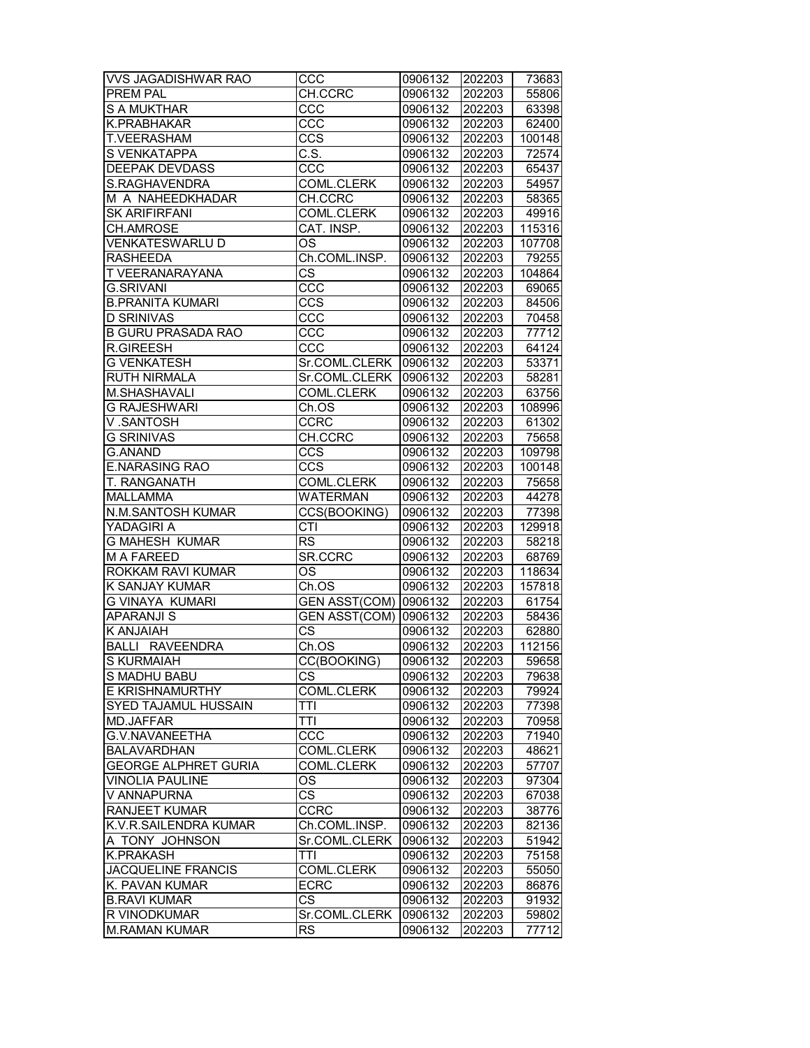| <b>VVS JAGADISHWAR RAO</b>                 | ccc                          | 0906132            | 202203           | 73683          |
|--------------------------------------------|------------------------------|--------------------|------------------|----------------|
| PREM PAL                                   | CH.CCRC                      | 0906132            | 202203           | 55806          |
| <b>S A MUKTHAR</b>                         | ccc                          | 0906132            | 202203           | 63398          |
| K.PRABHAKAR                                | ccc                          | 0906132            | 202203           | 62400          |
| T.VEERASHAM                                | CCS                          | 0906132            | 202203           | 100148         |
| S VENKATAPPA                               | C.S.                         | 0906132            | 202203           | 72574          |
| <b>DEEPAK DEVDASS</b>                      | CCC                          | 0906132            | 202203           | 65437          |
| S.RAGHAVENDRA                              | <b>COML.CLERK</b>            | 0906132            | 202203           | 54957          |
| M A NAHEEDKHADAR                           | CH.CCRC                      | 0906132            | 202203           | 58365          |
| <b>SK ARIFIRFANI</b>                       | COML.CLERK                   | 0906132            | 202203           | 49916          |
| CH.AMROSE                                  | CAT. INSP.                   | 0906132            | 202203           | 115316         |
| <b>VENKATESWARLU D</b>                     |                              |                    |                  |                |
|                                            | <b>OS</b>                    | 0906132            | 202203           | 107708         |
| <b>RASHEEDA</b>                            | Ch.COML.INSP.                | 0906132            | 202203           | 79255          |
| T VEERANARAYANA                            | $\overline{\text{cs}}$       | 0906132            | 202203           | 104864         |
| <b>G.SRIVANI</b>                           | $\overline{ccc}$             | 0906132            | 202203           | 69065          |
| <b>B.PRANITA KUMARI</b>                    | CCS                          | 0906132            | 202203           | 84506          |
| <b>D SRINIVAS</b>                          | CCC                          | 0906132            | 202203           | 70458          |
| <b>B GURU PRASADA RAO</b>                  | CCC                          | 0906132            | 202203           | 77712          |
| <b>R.GIREESH</b>                           | CCC                          | 0906132            | 202203           | 64124          |
| <b>G VENKATESH</b>                         | Sr.COML.CLERK   0906132      |                    | 202203           | 53371          |
| <b>RUTH NIRMALA</b>                        | Sr.COML.CLERK                | 0906132            | 202203           | 58281          |
| M.SHASHAVALI                               | COML.CLERK                   | 0906132            | 202203           | 63756          |
| <b>G RAJESHWARI</b>                        | Ch.OS                        | 0906132            | 202203           | 108996         |
| V.SANTOSH                                  | CCRC                         | 0906132            | 202203           | 61302          |
| <b>G SRINIVAS</b>                          | CH.CCRC                      | 0906132            | 202203           | 75658          |
| <b>G.ANAND</b>                             | CCS                          | 0906132            | 202203           | 109798         |
| <b>E.NARASING RAO</b>                      | CCS                          | 0906132            | 202203           | 100148         |
| T. RANGANATH                               | COML.CLERK                   | 0906132            | 202203           | 75658          |
| <b>MALLAMMA</b>                            | <b>WATERMAN</b>              | 0906132            | 202203           | 44278          |
| N.M.SANTOSH KUMAR                          | CCS(BOOKING)                 | 0906132            | 202203           | 77398          |
| YADAGIRI A                                 | CTI                          | 0906132            | 202203           | 129918         |
| <b>G MAHESH KUMAR</b>                      | <b>RS</b>                    | 0906132            | 202203           | 58218          |
| <b>MA FAREED</b>                           | SR.CCRC                      | 0906132            | 202203           | 68769          |
|                                            |                              | 0906132            | 202203           | 118634         |
| ROKKAM RAVI KUMAR                          | OS                           |                    |                  |                |
| K SANJAY KUMAR                             | Ch.OS                        | 0906132            | 202203           | 157818         |
| <b>G VINAYA KUMARI</b>                     | GEN ASST(COM) 0906132        |                    | 202203           | 61754          |
| <b>APARANJI S</b>                          | <b>GEN ASST(COM) 0906132</b> |                    | 202203           | 58436          |
| K ANJAIAH                                  | $\overline{\text{cs}}$       | 0906132            | 202203           | 62880          |
| <b>BALLI RAVEENDRA</b>                     | Ch.OS                        | 0906132            | 202203           | 112156         |
| S KURMAIAH                                 | CC(BOOKING)                  | 0906132            | 202203           | 59658          |
| S MADHU BABU                               | CS.                          | 0906132            | 202203           | 79638          |
| E KRISHNAMURTHY                            | COML.CLERK                   | 0906132            | 202203           | 79924          |
| SYED TAJAMUL HUSSAIN                       | TTI                          | 0906132            | 202203           | 77398          |
| MD.JAFFAR                                  | TTI                          | 0906132            |                  | 70958          |
| G.V.NAVANEETHA                             | CCC                          |                    | 202203           |                |
| <b>BALAVARDHAN</b>                         |                              | 0906132            | 202203           | 71940          |
| <b>GEORGE ALPHRET GURIA</b>                | COML.CLERK                   | 0906132            | 202203           | 48621          |
|                                            | COML.CLERK                   | 0906132            | 202203           | 57707          |
| <b>VINOLIA PAULINE</b>                     | OS                           | 0906132            | 202203           | 97304          |
| V ANNAPURNA                                | <b>CS</b>                    | 0906132            | 202203           | 67038          |
| <b>RANJEET KUMAR</b>                       | CCRC                         | 0906132            | 202203           | 38776          |
| K.V.R.SAILENDRA KUMAR                      | Ch.COML.INSP.                | 0906132            | 202203           | 82136          |
| A TONY JOHNSON<br><b>K.PRAKASH</b>         | Sr.COML.CLERK<br>TTI         | 0906132            | 202203           | 51942          |
|                                            |                              | 0906132            | 202203           | 75158          |
| <b>JACQUELINE FRANCIS</b>                  | COML.CLERK                   | 0906132            | 202203           | 55050          |
| K. PAVAN KUMAR                             | ECRC                         | 0906132            | 202203           | 86876          |
| <b>B.RAVI KUMAR</b><br><b>R VINODKUMAR</b> | <b>CS</b><br>Sr.COML.CLERK   | 0906132<br>0906132 | 202203<br>202203 | 91932<br>59802 |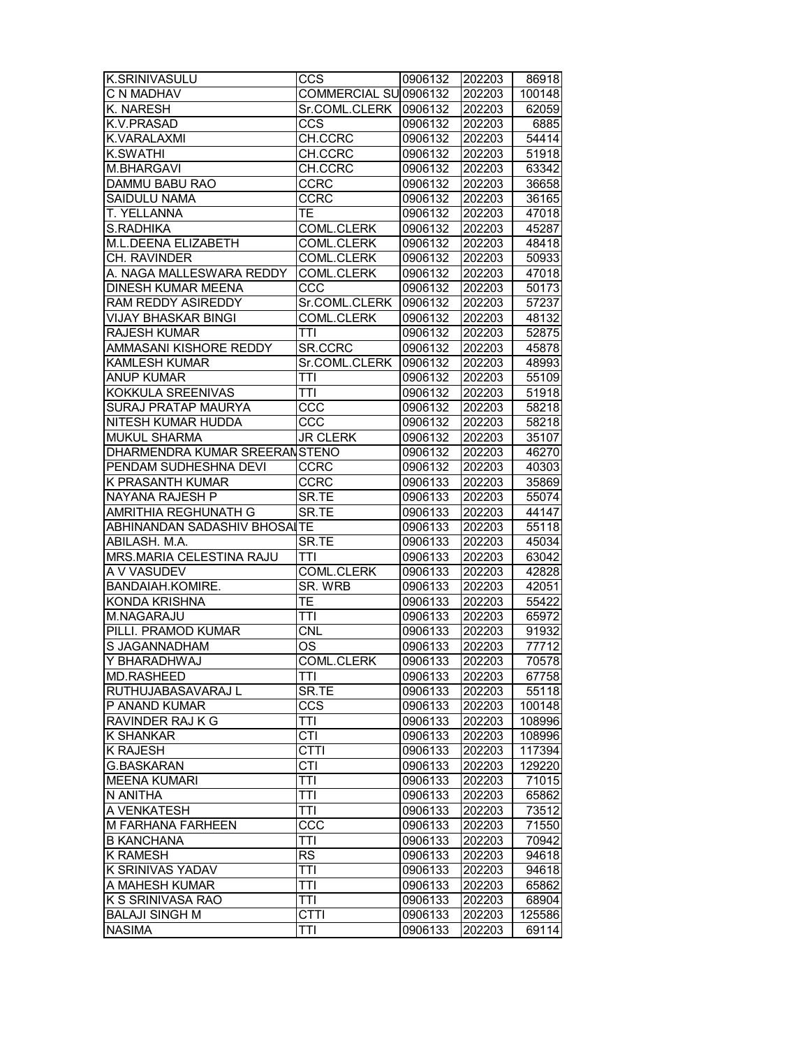| K.SRINIVASULU                 | CCS                    | 0906132 | 202203 | 86918  |
|-------------------------------|------------------------|---------|--------|--------|
| C N MADHAV                    | COMMERCIAL SU 0906132  |         | 202203 | 100148 |
| K. NARESH                     | Sr.COML.CLERK 0906132  |         | 202203 | 62059  |
| K.V.PRASAD                    | CCS                    | 0906132 | 202203 | 6885   |
| K.VARALAXMI                   | CH.CCRC                | 0906132 | 202203 | 54414  |
| <b>K.SWATHI</b>               | CH.CCRC                | 0906132 | 202203 | 51918  |
| <b>M.BHARGAVI</b>             | CH.CCRC                | 0906132 | 202203 | 63342  |
| DAMMU BABU RAO                | <b>CCRC</b>            | 0906132 | 202203 | 36658  |
| SAIDULU NAMA                  | <b>CCRC</b>            | 0906132 | 202203 | 36165  |
| <b>T. YELLANNA</b>            | TE                     | 0906132 | 202203 | 47018  |
| S.RADHIKA                     | <b>COML.CLERK</b>      | 0906132 | 202203 | 45287  |
| <b>M.L.DEENA ELIZABETH</b>    | COML.CLERK             | 0906132 | 202203 | 48418  |
| CH. RAVINDER                  | COML.CLERK             | 0906132 | 202203 | 50933  |
| A. NAGA MALLESWARA REDDY      | COML.CLERK             | 0906132 | 202203 | 47018  |
| DINESH KUMAR MEENA            | CCC                    | 0906132 | 202203 | 50173  |
| RAM REDDY ASIREDDY            | Sr.COML.CLERK          | 0906132 | 202203 | 57237  |
| VIJAY BHASKAR BINGI           | <b>COML.CLERK</b>      | 0906132 | 202203 | 48132  |
| <b>RAJESH KUMAR</b>           | TTI                    | 0906132 | 202203 | 52875  |
| AMMASANI KISHORE REDDY        | SR.CCRC                | 0906132 | 202203 | 45878  |
| <b>KAMLESH KUMAR</b>          | Sr.COML.CLERK          | 0906132 | 202203 | 48993  |
| <b>ANUP KUMAR</b>             | TTI                    | 0906132 | 202203 | 55109  |
| KOKKULA SREENIVAS             | TTI                    | 0906132 | 202203 | 51918  |
| SURAJ PRATAP MAURYA           | CCC                    | 0906132 | 202203 | 58218  |
| NITESH KUMAR HUDDA            | $\overline{ccc}$       | 0906132 | 202203 | 58218  |
| <b>MUKUL SHARMA</b>           | <b>JR CLERK</b>        | 0906132 | 202203 | 35107  |
| DHARMENDRA KUMAR SREERANSTENO |                        |         |        |        |
|                               |                        | 0906132 | 202203 | 46270  |
| PENDAM SUDHESHNA DEVI         | <b>CCRC</b>            | 0906132 | 202203 | 40303  |
| K PRASANTH KUMAR              | <b>CCRC</b>            | 0906133 | 202203 | 35869  |
| NAYANA RAJESH P               | SR.TE                  | 0906133 | 202203 | 55074  |
| AMRITHIA REGHUNATH G          | SR.TE                  | 0906133 | 202203 | 44147  |
| ABHINANDAN SADASHIV BHOSAITE  |                        | 0906133 | 202203 | 55118  |
| ABILASH. M.A.                 | SR.TE                  | 0906133 | 202203 | 45034  |
| MRS.MARIA CELESTINA RAJU      | TTI                    | 0906133 | 202203 | 63042  |
| A V VASUDEV                   | COML.CLERK             | 0906133 | 202203 | 42828  |
| BANDAIAH.KOMIRE.              | SR. WRB                | 0906133 | 202203 | 42051  |
| <b>KONDA KRISHNA</b>          | TE                     | 0906133 | 202203 | 55422  |
| M.NAGARAJU                    | TTI                    | 0906133 | 202203 | 65972  |
| PILLI. PRAMOD KUMAR           | <b>CNL</b>             | 0906133 | 202203 | 91932  |
| S JAGANNADHAM                 | $\overline{\text{OS}}$ | 0906133 | 202203 | 77712  |
| Y BHARADHWAJ                  | <b>COML.CLERK</b>      | 0906133 | 202203 | 70578  |
| MD.RASHEED                    | TTI                    | 0906133 | 202203 | 67758  |
| RUTHUJABASAVARAJ L            | SR.TE                  | 0906133 | 202203 | 55118  |
| P ANAND KUMAR                 | CCS                    | 0906133 | 202203 | 100148 |
| RAVINDER RAJ K G              | TTI                    | 0906133 | 202203 | 108996 |
| <b>K SHANKAR</b>              | CTI                    | 0906133 | 202203 | 108996 |
| <b>K RAJESH</b>               | <b>CTTI</b>            | 0906133 | 202203 | 117394 |
| <b>G.BASKARAN</b>             | <b>CTI</b>             | 0906133 | 202203 | 129220 |
| <b>MEENA KUMARI</b>           | TTI                    | 0906133 | 202203 | 71015  |
| N ANITHA                      | TTI                    | 0906133 | 202203 | 65862  |
| A VENKATESH                   | TTI                    | 0906133 | 202203 | 73512  |
| M FARHANA FARHEEN             | CCC                    | 0906133 | 202203 | 71550  |
| <b>B KANCHANA</b>             | TTI                    | 0906133 | 202203 | 70942  |
| <b>K RAMESH</b>               | <b>RS</b>              | 0906133 | 202203 | 94618  |
| K SRINIVAS YADAV              | TTI                    | 0906133 | 202203 | 94618  |
| A MAHESH KUMAR                | TTI                    | 0906133 | 202203 | 65862  |
| K S SRINIVASA RAO             | TTI                    | 0906133 | 202203 | 68904  |
| <b>BALAJI SINGH M</b>         | <b>CTTI</b>            | 0906133 | 202203 | 125586 |
| <b>NASIMA</b>                 | TTI                    | 0906133 | 202203 | 69114  |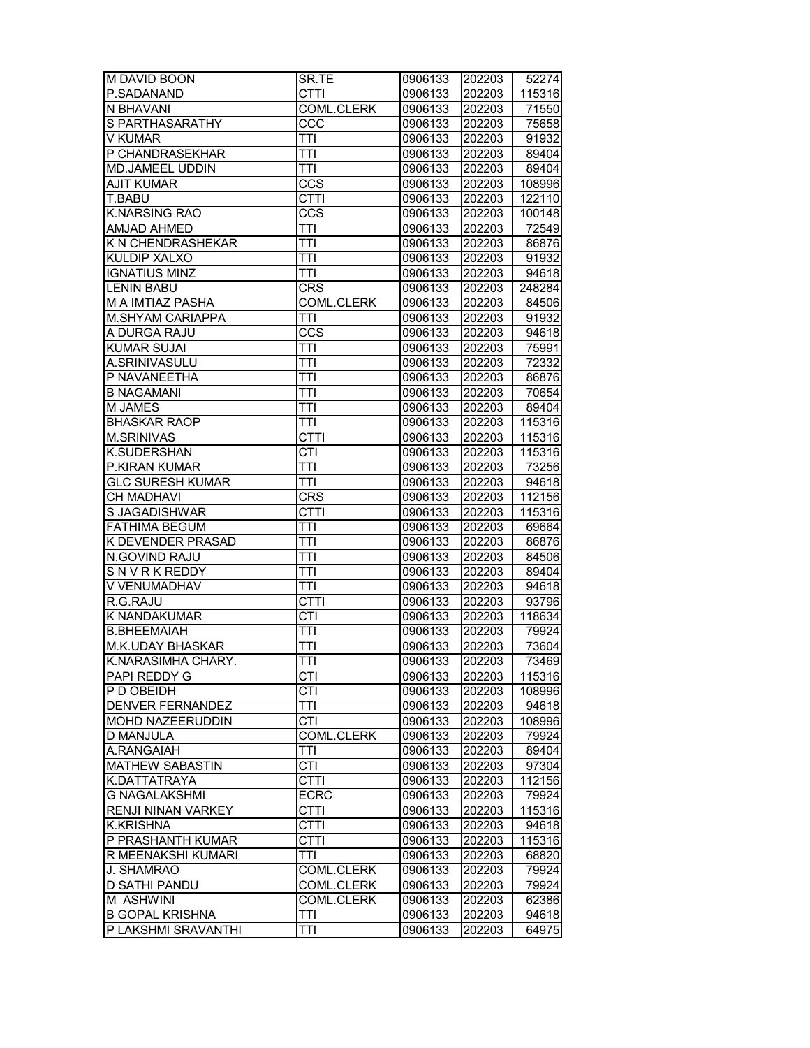| M DAVID BOON            | SR.TE             | 0906133 | 202203 | 52274  |
|-------------------------|-------------------|---------|--------|--------|
| P.SADANAND              | <b>CTTI</b>       | 0906133 | 202203 | 115316 |
| N BHAVANI               | <b>COML.CLERK</b> | 0906133 | 202203 | 71550  |
| S PARTHASARATHY         | CCC               | 0906133 | 202203 | 75658  |
| V KUMAR                 | TTI               | 0906133 | 202203 | 91932  |
| P CHANDRASEKHAR         | TTI               | 0906133 | 202203 | 89404  |
| MD.JAMEEL UDDIN         | TTI               | 0906133 | 202203 | 89404  |
| <b>AJIT KUMAR</b>       | CCS               | 0906133 | 202203 | 108996 |
| T.BABU                  | <b>CTTI</b>       | 0906133 | 202203 | 122110 |
| <b>K.NARSING RAO</b>    | CCS               | 0906133 | 202203 | 100148 |
| AMJAD AHMED             | TTI               | 0906133 | 202203 | 72549  |
| K N CHENDRASHEKAR       | <b>TTI</b>        | 0906133 | 202203 | 86876  |
| KULDIP XALXO            | <b>TTI</b>        |         | 202203 | 91932  |
|                         |                   | 0906133 |        |        |
| <b>IGNATIUS MINZ</b>    | TTI               | 0906133 | 202203 | 94618  |
| <b>LENIN BABU</b>       | <b>CRS</b>        | 0906133 | 202203 | 248284 |
| M A IMTIAZ PASHA        | COML.CLERK        | 0906133 | 202203 | 84506  |
| M.SHYAM CARIAPPA        | TTI               | 0906133 | 202203 | 91932  |
| A DURGA RAJU            | CCS               | 0906133 | 202203 | 94618  |
| <b>KUMAR SUJAI</b>      | TTI               | 0906133 | 202203 | 75991  |
| A.SRINIVASULU           | <b>TTI</b>        | 0906133 | 202203 | 72332  |
| P NAVANEETHA            | TTI               | 0906133 | 202203 | 86876  |
| <b>B NAGAMANI</b>       | <b>TTI</b>        | 0906133 | 202203 | 70654  |
| M JAMES                 | TTI               | 0906133 | 202203 | 89404  |
| <b>BHASKAR RAOP</b>     | <b>TTI</b>        | 0906133 | 202203 | 115316 |
| <b>M.SRINIVAS</b>       | <b>CTTI</b>       | 0906133 | 202203 | 115316 |
| K.SUDERSHAN             | CTI               | 0906133 | 202203 | 115316 |
| P.KIRAN KUMAR           | TTI               | 0906133 | 202203 | 73256  |
| <b>GLC SURESH KUMAR</b> | <b>TTI</b>        | 0906133 | 202203 | 94618  |
| <b>CH MADHAVI</b>       | <b>CRS</b>        | 0906133 | 202203 | 112156 |
| S JAGADISHWAR           | CTTI              | 0906133 | 202203 | 115316 |
| <b>FATHIMA BEGUM</b>    | TTI               | 0906133 | 202203 | 69664  |
| K DEVENDER PRASAD       | TTI               | 0906133 | 202203 | 86876  |
| N.GOVIND RAJU           | <b>TTI</b>        | 0906133 | 202203 | 84506  |
| SNVRKREDDY              | TTI               | 0906133 | 202203 | 89404  |
| V VENUMADHAV            | TTI               |         |        | 94618  |
|                         |                   | 0906133 | 202203 |        |
| R.G.RAJU                | <b>CTTI</b>       | 0906133 | 202203 | 93796  |
| K NANDAKUMAR            | <b>CTI</b>        | 0906133 | 202203 | 118634 |
| <b>B.BHEEMAIAH</b>      | <b>TTI</b>        | 0906133 | 202203 | 79924  |
| M.K.UDAY BHASKAR        | <b>TTI</b>        | 0906133 | 202203 | 73604  |
| K.NARASIMHA CHARY.      | <b>TTI</b>        | 0906133 | 202203 | 73469  |
| PAPI REDDY G            | CTI               | 0906133 | 202203 | 115316 |
| P D OBEIDH              | <b>CTI</b>        | 0906133 | 202203 | 108996 |
| <b>DENVER FERNANDEZ</b> | TTI               | 0906133 | 202203 | 94618  |
| MOHD NAZEERUDDIN        | CTI               | 0906133 | 202203 | 108996 |
| D MANJULA               | <b>COML.CLERK</b> | 0906133 | 202203 | 79924  |
| A.RANGAIAH              | TTI               | 0906133 | 202203 | 89404  |
| <b>MATHEW SABASTIN</b>  | <b>CTI</b>        | 0906133 | 202203 | 97304  |
| K.DATTATRAYA            | CTTI              | 0906133 | 202203 | 112156 |
| <b>G NAGALAKSHMI</b>    | <b>ECRC</b>       | 0906133 | 202203 | 79924  |
| RENJI NINAN VARKEY      | <b>CTTI</b>       | 0906133 | 202203 | 115316 |
| <b>K.KRISHNA</b>        | <b>CTTI</b>       | 0906133 | 202203 | 94618  |
| P PRASHANTH KUMAR       | CTTI              | 0906133 | 202203 | 115316 |
| R MEENAKSHI KUMARI      | TTI               | 0906133 | 202203 | 68820  |
| J. SHAMRAO              | COML.CLERK        | 0906133 | 202203 | 79924  |
| <b>D SATHI PANDU</b>    | COML.CLERK        | 0906133 | 202203 | 79924  |
| M ASHWINI               | COML.CLERK        | 0906133 | 202203 | 62386  |
| <b>B GOPAL KRISHNA</b>  | TTI               | 0906133 | 202203 | 94618  |
| P LAKSHMI SRAVANTHI     | <b>TTI</b>        | 0906133 | 202203 | 64975  |
|                         |                   |         |        |        |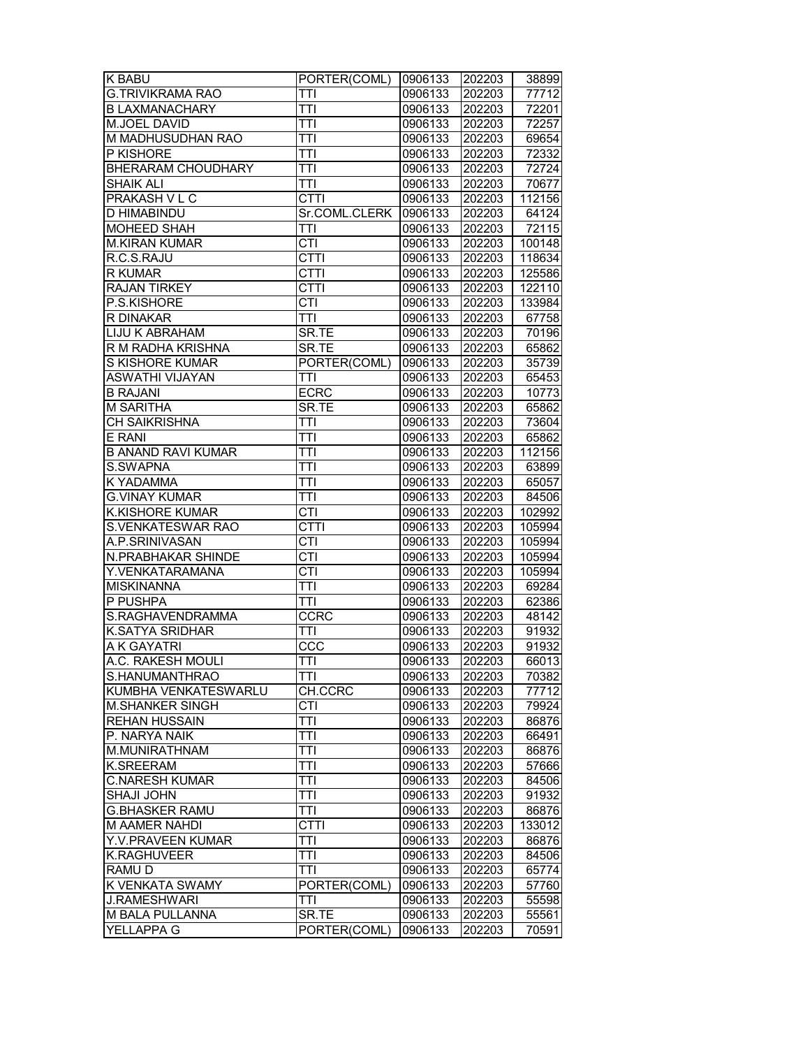| <b>K BABU</b>             | PORTER(COML)     | 0906133 | 202203 | 38899  |
|---------------------------|------------------|---------|--------|--------|
| <b>G.TRIVIKRAMA RAO</b>   | TTI              | 0906133 | 202203 | 77712  |
| <b>B LAXMANACHARY</b>     | TTI              | 0906133 | 202203 | 72201  |
| M.JOEL DAVID              | <b>TTI</b>       | 0906133 | 202203 | 72257  |
| M MADHUSUDHAN RAO         | TTI              | 0906133 | 202203 | 69654  |
| P KISHORE                 | TTI              | 0906133 | 202203 | 72332  |
| <b>BHERARAM CHOUDHARY</b> | TTI              | 0906133 | 202203 | 72724  |
| SHAIK ALI                 | TTI              | 0906133 | 202203 | 70677  |
| PRAKASH V L C             | CTTI             | 0906133 | 202203 | 112156 |
| D HIMABINDU               | Sr.COML.CLERK    | 0906133 | 202203 | 64124  |
| MOHEED SHAH               | TTI              | 0906133 | 202203 | 72115  |
| <b>M.KIRAN KUMAR</b>      | <b>CTI</b>       | 0906133 | 202203 | 100148 |
| R.C.S.RAJU                | CTTI             | 0906133 | 202203 | 118634 |
| R KUMAR                   | <b>CTTI</b>      | 0906133 | 202203 | 125586 |
|                           |                  |         |        |        |
| <b>RAJAN TIRKEY</b>       | <b>CTTI</b>      | 0906133 | 202203 | 122110 |
| P.S.KISHORE               | <b>CTI</b>       | 0906133 | 202203 | 133984 |
| R DINAKAR                 | TTI              | 0906133 | 202203 | 67758  |
| LIJU K ABRAHAM            | SR.TE            | 0906133 | 202203 | 70196  |
| R M RADHA KRISHNA         | SR.TE            | 0906133 | 202203 | 65862  |
| S KISHORE KUMAR           | PORTER(COML)     | 0906133 | 202203 | 35739  |
| <b>ASWATHI VIJAYAN</b>    | TTI              | 0906133 | 202203 | 65453  |
| <b>B RAJANI</b>           | <b>ECRC</b>      | 0906133 | 202203 | 10773  |
| <b>M SARITHA</b>          | SR.TE            | 0906133 | 202203 | 65862  |
| <b>CH SAIKRISHNA</b>      | TTI              | 0906133 | 202203 | 73604  |
| E RANI                    | TTI              | 0906133 | 202203 | 65862  |
| <b>B ANAND RAVI KUMAR</b> | TTI              | 0906133 | 202203 | 112156 |
| S.SWAPNA                  | TTI              | 0906133 | 202203 | 63899  |
| K YADAMMA                 | TTI              | 0906133 | 202203 | 65057  |
| <b>G.VINAY KUMAR</b>      | <b>TTI</b>       | 0906133 | 202203 | 84506  |
| <b>K.KISHORE KUMAR</b>    | <b>CTI</b>       | 0906133 | 202203 | 102992 |
| S.VENKATESWAR RAO         | <b>CTTI</b>      | 0906133 | 202203 | 105994 |
| A.P.SRINIVASAN            | <b>CTI</b>       | 0906133 | 202203 | 105994 |
| N.PRABHAKAR SHINDE        | <b>CTI</b>       | 0906133 | 202203 | 105994 |
| Y.VENKATARAMANA           | CTI              | 0906133 | 202203 | 105994 |
| <b>MISKINANNA</b>         | TTI              | 0906133 | 202203 | 69284  |
| P PUSHPA                  | TTI              | 0906133 | 202203 | 62386  |
| S.RAGHAVENDRAMMA          | <b>CCRC</b>      | 0906133 | 202203 | 48142  |
| <b>K.SATYA SRIDHAR</b>    | TTI              | 0906133 | 202203 | 91932  |
| A K GAYATRI               | $\overline{CC}C$ | 0906133 | 202203 | 91932  |
| A.C. RAKESH MOULI         | <b>TTI</b>       | 0906133 | 202203 | 66013  |
| S.HANUMANTHRAO            | TTI              | 0906133 | 202203 | 70382  |
| KUMBHA VENKATESWARLU      | CH.CCRC          | 0906133 | 202203 | 77712  |
| <b>M.SHANKER SINGH</b>    | <b>CTI</b>       | 0906133 | 202203 | 79924  |
| REHAN HUSSAIN             | TTI              | 0906133 | 202203 | 86876  |
| P. NARYA NAIK             | TTI              | 0906133 | 202203 | 66491  |
| M.MUNIRATHNAM             | <b>TTI</b>       | 0906133 | 202203 | 86876  |
| K.SREERAM                 | TTI              | 0906133 | 202203 | 57666  |
| <b>C.NARESH KUMAR</b>     | <b>TTI</b>       | 0906133 | 202203 | 84506  |
| <b>SHAJI JOHN</b>         | TTI              | 0906133 | 202203 | 91932  |
| <b>G.BHASKER RAMU</b>     | TTI              | 0906133 | 202203 | 86876  |
| M AAMER NAHDI             | <b>CTTI</b>      | 0906133 | 202203 | 133012 |
| Y.V.PRAVEEN KUMAR         | TTI              | 0906133 | 202203 | 86876  |
| <b>K.RAGHUVEER</b>        | TTI              | 0906133 | 202203 | 84506  |
| RAMU D                    | TTI              | 0906133 | 202203 | 65774  |
| K VENKATA SWAMY           | PORTER(COML)     | 0906133 | 202203 | 57760  |
| <b>J.RAMESHWARI</b>       | TTI              | 0906133 | 202203 | 55598  |
| M BALA PULLANNA           | SR.TE            | 0906133 | 202203 | 55561  |
| YELLAPPA G                | PORTER(COML)     | 0906133 | 202203 | 70591  |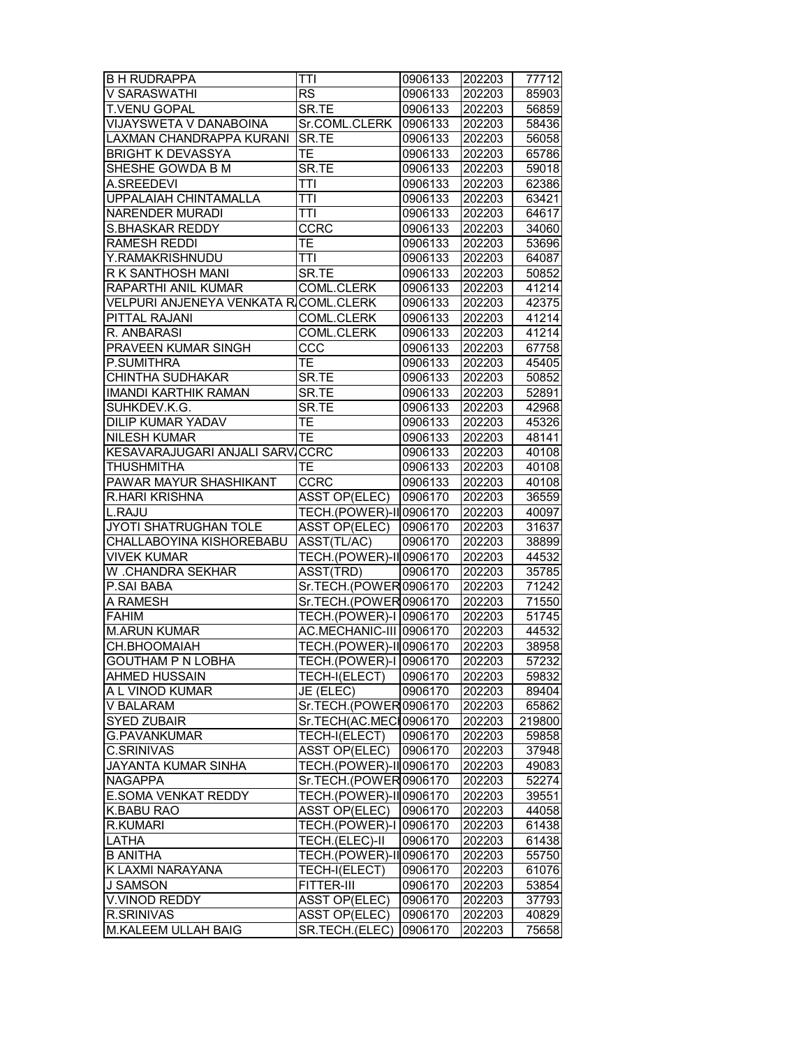| <b>B H RUDRAPPA</b>                                        | TTI                            | 0906133 | 202203 | 77712              |
|------------------------------------------------------------|--------------------------------|---------|--------|--------------------|
| V SARASWATHI                                               | <b>RS</b>                      | 0906133 | 202203 | 85903              |
| T.VENU GOPAL                                               | SR.TE                          | 0906133 | 202203 | 56859              |
| VIJAYSWETA V DANABOINA                                     | Sr.COML.CLERK                  | 0906133 | 202203 | 58436              |
| LAXMAN CHANDRAPPA KURANI                                   | SR.TE                          | 0906133 | 202203 | 56058              |
| <b>BRIGHT K DEVASSYA</b>                                   | TE                             | 0906133 | 202203 | 65786              |
| SHESHE GOWDA B M                                           | SR.TE                          | 0906133 | 202203 | 59018              |
| A.SREEDEVI                                                 | <b>TTI</b>                     | 0906133 | 202203 | 62386              |
| UPPALAIAH CHINTAMALLA                                      | TTI                            | 0906133 | 202203 | 63421              |
| NARENDER MURADI                                            | <b>TTI</b>                     | 0906133 | 202203 | 64617              |
| <b>S.BHASKAR REDDY</b>                                     | CCRC                           | 0906133 | 202203 | 34060              |
| <b>RAMESH REDDI</b>                                        | TE                             | 0906133 | 202203 | 53696              |
| Y.RAMAKRISHNUDU                                            | <b>TTI</b>                     | 0906133 | 202203 | 64087              |
| R K SANTHOSH MANI                                          | SR.TE                          | 0906133 | 202203 | 50852              |
| RAPARTHI ANIL KUMAR                                        | <b>COML.CLERK</b>              | 0906133 | 202203 | 41214              |
| VELPURI ANJENEYA VENKATA R $\mathop{\mathsf{COML. CLERK}}$ |                                | 0906133 | 202203 | 42375              |
| PITTAL RAJANI                                              | <b>COML.CLERK</b>              | 0906133 | 202203 | 41214              |
| R. ANBARASI                                                | COML.CLERK                     | 0906133 | 202203 | 41214              |
| PRAVEEN KUMAR SINGH                                        | CCC                            | 0906133 | 202203 | 67758              |
| P.SUMITHRA                                                 | $\overline{\mathsf{TE}}$       | 0906133 | 202203 | 45405              |
| <b>CHINTHA SUDHAKAR</b>                                    | SR.TE                          | 0906133 | 202203 | 50852              |
| <b>IMANDI KARTHIK RAMAN</b>                                | SR.TE                          | 0906133 | 202203 | 52891              |
| SUHKDEV.K.G.                                               | SR.TE                          | 0906133 | 202203 | 42968              |
| DILIP KUMAR YADAV                                          | TE                             | 0906133 | 202203 | 45326              |
| <b>NILESH KUMAR</b>                                        | TE                             | 0906133 | 202203 | 48141              |
| KESAVARAJUGARI ANJALI SARV                                 | <b>CCRC</b>                    | 0906133 | 202203 | 40108              |
| <b>THUSHMITHA</b>                                          | ТE                             | 0906133 | 202203 | 40108              |
| PAWAR MAYUR SHASHIKANT                                     | <b>CCRC</b>                    | 0906133 | 202203 | 40108              |
| <b>R.HARI KRISHNA</b>                                      | <b>ASST OP(ELEC)</b>           | 0906170 | 202203 | 36559              |
| L.RAJU                                                     | TECH.(POWER)-II 0906170        |         | 202203 | 40097              |
| JYOTI SHATRUGHAN TOLE                                      | <b>ASST OP(ELEC)</b>           | 0906170 | 202203 | 31637              |
| CHALLABOYINA KISHOREBABU                                   | ASST(TL/AC)                    | 0906170 | 202203 | 38899              |
| <b>VIVEK KUMAR</b>                                         | TECH.(POWER)-II 0906170        |         | 202203 | 44532              |
| W .CHANDRA SEKHAR                                          | ASST(TRD)                      | 0906170 | 202203 | 35785              |
| P.SAI BABA                                                 | Sr.TECH.(POWER0906170          |         | 202203 | 71242              |
| A RAMESH                                                   | Sr.TECH.(POWER0906170          |         | 202203 | 71550              |
| <b>FAHIM</b>                                               | TECH.(POWER)-I 0906170         |         | 202203 | 51745              |
| <b>M.ARUN KUMAR</b>                                        | AC.MECHANIC-III 0906170        |         | 202203 | 44532              |
| CH.BHOOMAIAH                                               | TECH.(POWER)-II 0906170        |         | 202203 | 38958              |
| <b>GOUTHAM P N LOBHA</b>                                   | TECH.(POWER)-I 0906170         |         | 202203 | 57232              |
| <b>AHMED HUSSAIN</b>                                       | TECH-I(ELECT)                  | 0906170 | 202203 | 59832              |
| A L VINOD KUMAR                                            | JE (ELEC)                      | 0906170 | 202203 | 89404              |
| V BALARAM                                                  | Sr.TECH.(POWER0906170          |         | 202203 | 65862              |
| <b>SYED ZUBAIR</b>                                         | Sr.TECH(AC.MECH0906170         |         | 202203 | 219800             |
| <b>G.PAVANKUMAR</b>                                        | TECH-I(ELECT)                  | 0906170 | 202203 | 59858              |
| <b>C.SRINIVAS</b>                                          | <b>ASST OP(ELEC)</b>           | 0906170 | 202203 | 37948              |
| JAYANTA KUMAR SINHA                                        | <b>TECH.(POWER)-II</b> 0906170 |         | 202203 | 49083              |
| <b>NAGAPPA</b>                                             | Sr.TECH.(POWER0906170          |         | 202203 | $\overline{52274}$ |
| <b>E.SOMA VENKAT REDDY</b>                                 | TECH.(POWER)-II 0906170        |         | 202203 | 39551              |
| K.BABU RAO                                                 | <b>ASST OP(ELEC)</b>           | 0906170 | 202203 | 44058              |
| <b>R.KUMARI</b>                                            | TECH.(POWER)-I 0906170         |         | 202203 | 61438              |
| LATHA                                                      | TECH.(ELEC)-II                 | 0906170 | 202203 | 61438              |
| <b>B ANITHA</b>                                            | TECH.(POWER)-II 0906170        |         | 202203 | 55750              |
| K LAXMI NARAYANA                                           | TECH-I(ELECT)                  | 0906170 | 202203 | 61076              |
| <b>J SAMSON</b>                                            | FITTER-III                     | 0906170 | 202203 | 53854              |
| V.VINOD REDDY                                              | <b>ASST OP(ELEC)</b>           | 0906170 | 202203 | 37793              |
| R.SRINIVAS                                                 |                                |         |        |                    |
|                                                            | ASST OP(ELEC)                  | 0906170 | 202203 | 40829              |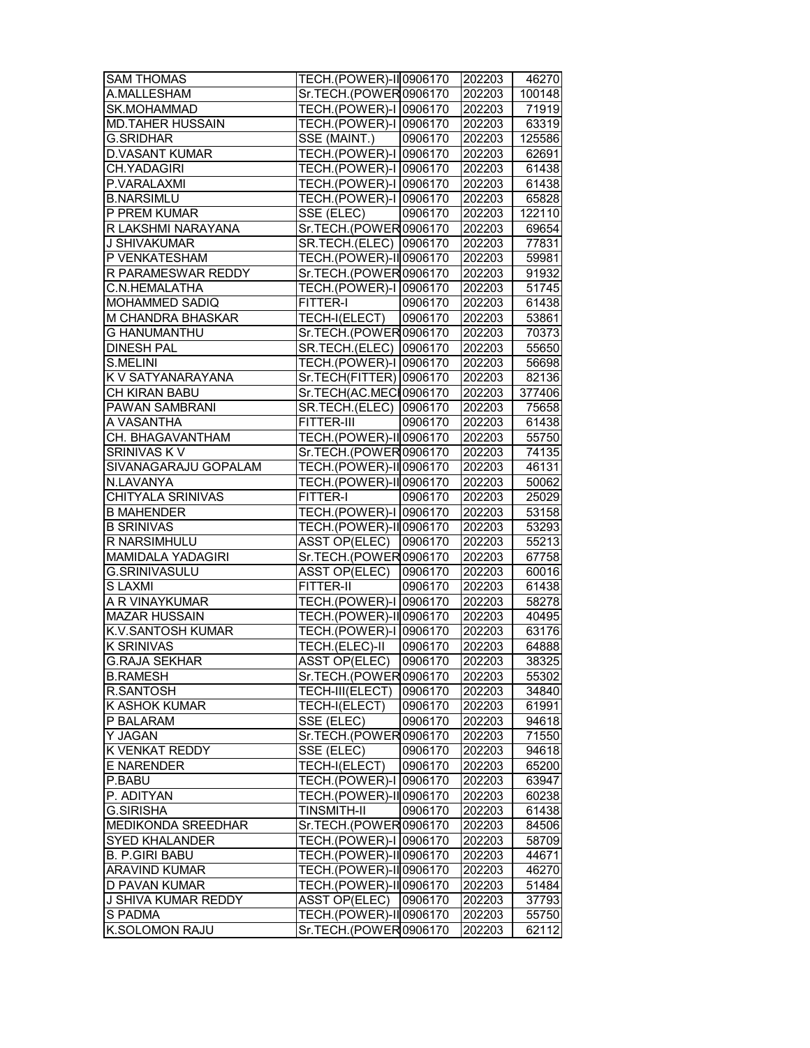| <b>SAM THOMAS</b>              | TECH.(POWER)-II 0906170                          |         | 202203           | 46270          |
|--------------------------------|--------------------------------------------------|---------|------------------|----------------|
| A.MALLESHAM                    | Sr.TECH.(POWER0906170                            |         | 202203           | 100148         |
| SK.MOHAMMAD                    | TECH.(POWER)-I 0906170                           |         | 202203           | 71919          |
| <b>MD.TAHER HUSSAIN</b>        | TECH.(POWER)-I 0906170                           |         | 202203           | 63319          |
| <b>G.SRIDHAR</b>               | SSE (MAINT.)                                     | 0906170 | 202203           | 125586         |
| <b>D.VASANT KUMAR</b>          | TECH.(POWER)-I 0906170                           |         | 202203           | 62691          |
| CH.YADAGIRI                    | TECH.(POWER)-I 0906170                           |         | 202203           | 61438          |
| P.VARALAXMI                    | TECH.(POWER)-I 0906170                           |         | 202203           | 61438          |
| <b>B.NARSIMLU</b>              | TECH.(POWER)-I 0906170                           |         | 202203           | 65828          |
| P PREM KUMAR                   | SSE (ELEC)                                       | 0906170 | 202203           | 122110         |
| R LAKSHMI NARAYANA             | Sr.TECH.(POWER0906170                            |         | 202203           | 69654          |
| <b>J SHIVAKUMAR</b>            | SR.TECH.(ELEC) 0906170                           |         | 202203           | 77831          |
| P VENKATESHAM                  | TECH.(POWER)-II 0906170                          |         | 202203           | 59981          |
| R PARAMESWAR REDDY             | Sr.TECH.(POWER0906170                            |         | 202203           | 91932          |
| C.N.HEMALATHA                  | TECH.(POWER)-I 0906170                           |         | 202203           | 51745          |
| MOHAMMED SADIQ                 | <b>FITTER-I</b>                                  | 0906170 | 202203           | 61438          |
| M CHANDRA BHASKAR              | TECH-I(ELECT)                                    | 0906170 | 202203           | 53861          |
| <b>G HANUMANTHU</b>            | Sr.TECH.(POWER0906170                            |         | 202203           | 70373          |
| <b>DINESH PAL</b>              | SR.TECH.(ELEC) 0906170                           |         | 202203           | 55650          |
| S.MELINI                       | TECH.(POWER)-I 0906170                           |         | 202203           | 56698          |
| K V SATYANARAYANA              | Sr.TECH(FITTER) 0906170                          |         | 202203           | 82136          |
| CH KIRAN BABU                  | Sr.TECH(AC.MECH0906170                           |         | 202203           | 377406         |
| PAWAN SAMBRANI                 | SR.TECH.(ELEC) 0906170                           |         | 202203           | 75658          |
| A VASANTHA                     | FITTER-III                                       | 0906170 | 202203           | 61438          |
| CH. BHAGAVANTHAM               | TECH.(POWER)-II 0906170                          |         | 202203           | 55750          |
| SRINIVAS K V                   | Sr.TECH.(POWER0906170                            |         | 202203           | 74135          |
| SIVANAGARAJU GOPALAM           | TECH.(POWER)-II 0906170                          |         | 202203           | 46131          |
| N.LAVANYA                      | TECH.(POWER)-II 0906170                          |         | 202203           | 50062          |
| <b>CHITYALA SRINIVAS</b>       | FITTER-I                                         | 0906170 | 202203           | 25029          |
| <b>B MAHENDER</b>              | TECH.(POWER)-I 0906170                           |         | 202203           | 53158          |
| <b>B SRINIVAS</b>              | TECH.(POWER)-II 0906170                          |         | 202203           | 53293          |
| R NARSIMHULU                   | ASST OP(ELEC) 0906170                            |         | 202203           | 55213          |
| MAMIDALA YADAGIRI              | Sr.TECH.(POWER0906170                            |         | 202203           | 67758          |
| G.SRINIVASULU                  | ASST OP(ELEC)                                    | 0906170 | 202203           | 60016          |
| <b>SLAXMI</b>                  | FITTER-II                                        | 0906170 | 202203           | 61438          |
| A R VINAYKUMAR                 | <b>TECH.(POWER)-I 0906170</b>                    |         | 202203           | 58278          |
| <b>MAZAR HUSSAIN</b>           | TECH.(POWER)-II 0906170                          |         | 202203           | 40495          |
| K.V.SANTOSH KUMAR              | TECH.(POWER)-I 0906170                           |         | 202203           | 63176          |
| <b>K SRINIVAS</b>              | TECH.(ELEC)-II                                   | 0906170 | 202203           | 64888          |
| <b>G.RAJA SEKHAR</b>           | ASST OP(ELEC) 0906170                            |         | 202203           | 38325          |
| <b>B.RAMESH</b>                | Sr.TECH.(POWER0906170                            |         | 202203           | 55302          |
| R.SANTOSH                      | TECH-III(ELECT)                                  | 0906170 | 202203           | 34840          |
| K ASHOK KUMAR                  | TECH-I(ELECT)                                    | 0906170 | 202203           | 61991          |
| P BALARAM                      | SSE (ELEC)                                       | 0906170 | 202203           | 94618          |
| Y JAGAN                        | Sr.TECH.(POWER0906170                            |         | 202203           | 71550          |
| <b>K VENKAT REDDY</b>          | SSE (ELEC)                                       | 0906170 | 202203           | 94618          |
| <b>E NARENDER</b>              | TECH-I(ELECT)                                    | 0906170 | 202203           | 65200          |
| P.BABU                         | TECH.(POWER)-I 0906170                           |         | 202203           | 63947          |
| P. ADITYAN                     | TECH.(POWER)-II 0906170                          |         | 202203           | 60238          |
| G.SIRISHA                      | <b>TINSMITH-II</b>                               | 0906170 | 202203           | 61438          |
| MEDIKONDA SREEDHAR             | Sr.TECH.(POWER0906170                            |         | 202203           | 84506          |
| <b>SYED KHALANDER</b>          |                                                  |         | 202203           | 58709          |
|                                |                                                  |         |                  |                |
|                                | TECH.(POWER)-I 0906170                           |         |                  |                |
| <b>B. P.GIRI BABU</b>          | TECH.(POWER)-II 0906170                          |         | 202203           | 44671          |
| <b>ARAVIND KUMAR</b>           | TECH.(POWER)-II 0906170                          |         | 202203           | 46270          |
| D PAVAN KUMAR                  | TECH.(POWER)-II 0906170                          |         | 202203           | 51484          |
| J SHIVA KUMAR REDDY<br>S PADMA | ASST OP(ELEC) 0906170<br>TECH.(POWER)-II 0906170 |         | 202203<br>202203 | 37793<br>55750 |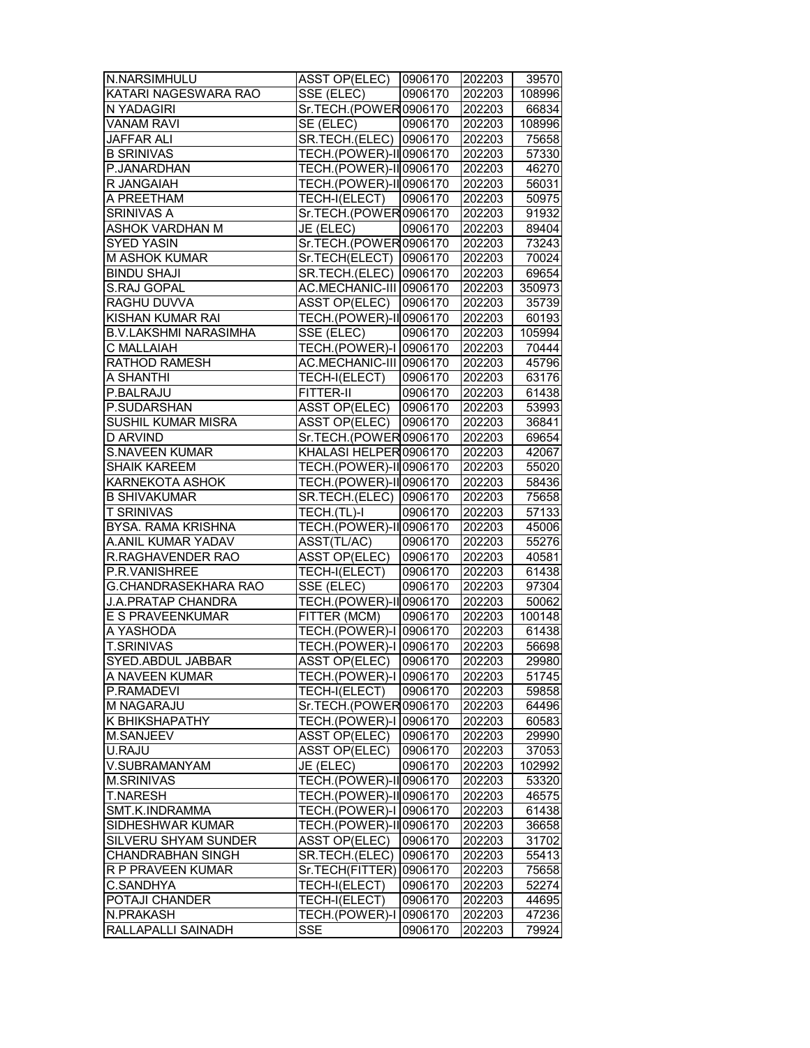| N.NARSIMHULU                 | ASST OP(ELEC) 0906170           |         | 202203 | 39570  |
|------------------------------|---------------------------------|---------|--------|--------|
| KATARI NAGESWARA RAO         | SSE (ELEC)                      | 0906170 | 202203 | 108996 |
| N YADAGIRI                   | Sr.TECH.(POWER0906170           |         | 202203 | 66834  |
| <b>VANAM RAVI</b>            | SE (ELEC)                       | 0906170 | 202203 | 108996 |
| <b>JAFFAR ALI</b>            | SR.TECH.(ELEC) 0906170          |         | 202203 | 75658  |
| <b>B SRINIVAS</b>            | TECH.(POWER)-II 0906170         |         | 202203 | 57330  |
| P.JANARDHAN                  | TECH.(POWER)-II 0906170         |         | 202203 | 46270  |
| R JANGAIAH                   | TECH.(POWER)-II 0906170         |         | 202203 | 56031  |
| A PREETHAM                   | TECH-I(ELECT)                   | 0906170 | 202203 | 50975  |
| <b>SRINIVAS A</b>            | Sr.TECH.(POWER0906170           |         | 202203 | 91932  |
| ASHOK VARDHAN M              | $\overline{\mathsf{JE}}$ (ELEC) | 0906170 | 202203 | 89404  |
| <b>SYED YASIN</b>            | Sr.TECH.(POWER0906170           |         | 202203 | 73243  |
| <b>M ASHOK KUMAR</b>         | Sr.TECH(ELECT) 0906170          |         | 202203 | 70024  |
| <b>BINDU SHAJI</b>           | SR.TECH.(ELEC) 0906170          |         | 202203 | 69654  |
| S.RAJ GOPAL                  | AC.MECHANIC-III 0906170         |         | 202203 | 350973 |
| RAGHU DUVVA                  | ASST OP(ELEC) 0906170           |         | 202203 | 35739  |
| KISHAN KUMAR RAI             | TECH.(POWER)-II 0906170         |         | 202203 | 60193  |
| <b>B.V.LAKSHMI NARASIMHA</b> | SSE (ELEC)                      | 0906170 | 202203 | 105994 |
| <b>C MALLAIAH</b>            | TECH.(POWER)-I 0906170          |         | 202203 | 70444  |
| RATHOD RAMESH                | AC.MECHANIC-III 0906170         |         | 202203 | 45796  |
| A SHANTHI                    | TECH-I(ELECT)                   | 0906170 | 202203 | 63176  |
| P.BALRAJU                    | <b>FITTER-II</b>                | 0906170 | 202203 | 61438  |
| P.SUDARSHAN                  | ASST OP(ELEC) 0906170           |         | 202203 | 53993  |
| SUSHIL KUMAR MISRA           | ASST OP(ELEC) 0906170           |         | 202203 | 36841  |
| D ARVIND                     | Sr.TECH.(POWER0906170           |         | 202203 | 69654  |
| <b>S.NAVEEN KUMAR</b>        | KHALASI HELPER 0906170          |         | 202203 | 42067  |
| <b>SHAIK KAREEM</b>          | TECH.(POWER)-II 0906170         |         | 202203 | 55020  |
| KARNEKOTA ASHOK              | TECH.(POWER)-II 0906170         |         | 202203 | 58436  |
| <b>B SHIVAKUMAR</b>          | SR.TECH.(ELEC) 0906170          |         | 202203 | 75658  |
| <b>T SRINIVAS</b>            | TECH.(TL)-I                     | 0906170 | 202203 | 57133  |
| BYSA. RAMA KRISHNA           | TECH.(POWER)-II 0906170         |         | 202203 | 45006  |
| A.ANIL KUMAR YADAV           | ASST(TL/AC)                     | 0906170 | 202203 | 55276  |
| R.RAGHAVENDER RAO            | ASST OP(ELEC)                   | 0906170 | 202203 | 40581  |
| P.R.VANISHREE                | TECH-I(ELECT)                   | 0906170 | 202203 | 61438  |
| G.CHANDRASEKHARA RAO         | SSE (ELEC)                      | 0906170 | 202203 | 97304  |
| <b>J.A.PRATAP CHANDRA</b>    | TECH.(POWER)-II 0906170         |         | 202203 | 50062  |
| E S PRAVEENKUMAR             | FITTER (MCM)                    | 0906170 | 202203 | 100148 |
| A YASHODA                    | <b>TECH.(POWER)-I 0906170</b>   |         | 202203 | 61438  |
| <b>T.SRINIVAS</b>            | TECH.(POWER)-I 0906170          |         | 202203 | 56698  |
| SYED ABDUL JABBAR            | ASST OP(ELEC) 0906170           |         | 202203 | 29980  |
| A NAVEEN KUMAR               | TECH.(POWER)-I 0906170          |         | 202203 | 51745  |
| P.RAMADEVI                   | TECH-I(ELECT)                   | 0906170 | 202203 | 59858  |
| M NAGARAJU                   | Sr.TECH.(POWER0906170           |         | 202203 | 64496  |
| K BHIKSHAPATHY               | TECH.(POWER)-I 0906170          |         | 202203 | 60583  |
| M.SANJEEV                    | <b>ASST OP(ELEC)</b>            | 0906170 | 202203 | 29990  |
| U.RAJU                       | <b>ASST OP(ELEC)</b>            | 0906170 | 202203 | 37053  |
| V.SUBRAMANYAM                | JE (ELEC)                       | 0906170 | 202203 | 102992 |
| <b>M.SRINIVAS</b>            | <b>TECH.(POWER)-II</b> 0906170  |         | 202203 | 53320  |
| <b>T.NARESH</b>              | TECH.(POWER)-II 0906170         |         | 202203 | 46575  |
| SMT.K.INDRAMMA               | TECH.(POWER)-I 0906170          |         | 202203 | 61438  |
| SIDHESHWAR KUMAR             | TECH.(POWER)-II 0906170         |         | 202203 | 36658  |
| SILVERU SHYAM SUNDER         | ASST OP(ELEC)                   | 0906170 | 202203 | 31702  |
| CHANDRABHAN SINGH            | SR.TECH.(ELEC) 0906170          |         | 202203 | 55413  |
| R P PRAVEEN KUMAR            | Sr.TECH(FITTER) 0906170         |         | 202203 | 75658  |
| C.SANDHYA                    | TECH-I(ELECT)                   | 0906170 | 202203 | 52274  |
| POTAJI CHANDER               | TECH-I(ELECT)                   | 0906170 | 202203 | 44695  |
| N.PRAKASH                    | TECH.(POWER)-I 0906170          |         | 202203 | 47236  |
| RALLAPALLI SAINADH           | <b>SSE</b>                      | 0906170 | 202203 | 79924  |
|                              |                                 |         |        |        |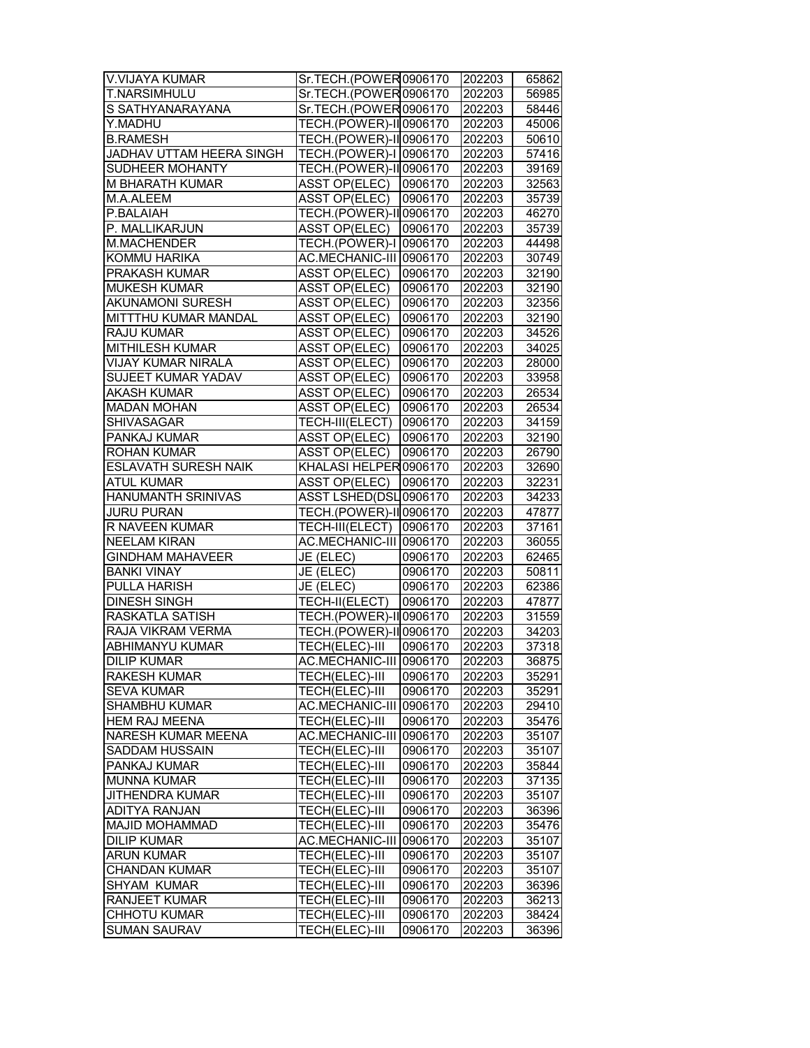| V.VIJAYA KUMAR                           | Sr.TECH.(POWER0906170           |                    | 202203 | 65862 |
|------------------------------------------|---------------------------------|--------------------|--------|-------|
| T.NARSIMHULU                             | Sr.TECH.(POWER0906170           |                    | 202203 | 56985 |
| S SATHYANARAYANA                         | Sr.TECH.(POWER0906170           |                    | 202203 | 58446 |
| Y.MADHU                                  | TECH.(POWER)-II 0906170         |                    | 202203 | 45006 |
| <b>B.RAMESH</b>                          | <b>TECH.</b> (POWER)-II 0906170 |                    | 202203 | 50610 |
| JADHAV UTTAM HEERA SINGH                 | TECH.(POWER)-I 0906170          |                    | 202203 | 57416 |
| SUDHEER MOHANTY                          | TECH.(POWER)-II 0906170         |                    | 202203 | 39169 |
| M BHARATH KUMAR                          | ASST OP(ELEC) 0906170           |                    | 202203 | 32563 |
| M.A.ALEEM                                | <b>ASST OP(ELEC)</b>            | 0906170            | 202203 | 35739 |
| P.BALAIAH                                | TECH.(POWER)-II 0906170         |                    | 202203 | 46270 |
| P. MALLIKARJUN                           | ASST OP(ELEC) 0906170           |                    | 202203 | 35739 |
| M.MACHENDER                              | TECH.(POWER)-I 0906170          |                    | 202203 | 44498 |
| KOMMU HARIKA                             | AC.MECHANIC-III 0906170         |                    | 202203 | 30749 |
| PRAKASH KUMAR                            | ASST OP(ELEC)                   | 0906170            | 202203 | 32190 |
| <b>MUKESH KUMAR</b>                      | <b>ASST OP(ELEC)</b>            | 0906170            | 202203 | 32190 |
|                                          |                                 |                    |        |       |
| AKUNAMONI SURESH<br>MITTTHU KUMAR MANDAL | <b>ASST OP(ELEC)</b>            | 0906170<br>0906170 | 202203 | 32356 |
|                                          | <b>ASST OP(ELEC)</b>            |                    | 202203 | 32190 |
| RAJU KUMAR                               | <b>ASST OP(ELEC)</b>            | 0906170            | 202203 | 34526 |
| MITHILESH KUMAR                          | <b>ASST OP(ELEC)</b>            | 0906170            | 202203 | 34025 |
| VIJAY KUMAR NIRALA                       | <b>ASST OP(ELEC)</b>            | 0906170            | 202203 | 28000 |
| <b>SUJEET KUMAR YADAV</b>                | <b>ASST OP(ELEC)</b>            | 0906170            | 202203 | 33958 |
| <b>AKASH KUMAR</b>                       | <b>ASST OP(ELEC)</b>            | 0906170            | 202203 | 26534 |
| <b>MADAN MOHAN</b>                       | <b>ASST OP(ELEC)</b>            | 0906170            | 202203 | 26534 |
| <b>SHIVASAGAR</b>                        | <b>TECH-III(ELECT) 0906170</b>  |                    | 202203 | 34159 |
| <b>PANKAJ KUMAR</b>                      | <b>ASST OP(ELEC)</b>            | 0906170            | 202203 | 32190 |
| <b>ROHAN KUMAR</b>                       | <b>ASST OP(ELEC)</b>            | 0906170            | 202203 | 26790 |
| <b>ESLAVATH SURESH NAIK</b>              | KHALASI HELPER 0906170          |                    | 202203 | 32690 |
| <b>ATUL KUMAR</b>                        | ASST OP(ELEC)                   | 0906170            | 202203 | 32231 |
| HANUMANTH SRINIVAS                       | ASST LSHED(DSL0906170           |                    | 202203 | 34233 |
| <b>JURU PURAN</b>                        | TECH.(POWER)-II 0906170         |                    | 202203 | 47877 |
| R NAVEEN KUMAR                           | TECH-III(ELECT) 0906170         |                    | 202203 | 37161 |
| <b>NEELAM KIRAN</b>                      | AC.MECHANIC-III 0906170         |                    | 202203 | 36055 |
| GINDHAM MAHAVEER                         | JE (ELEC)                       | 0906170            | 202203 | 62465 |
| <b>BANKI VINAY</b>                       | JE (ELEC)                       | 0906170            | 202203 | 50811 |
| PULLA HARISH                             | JE (ELEC)                       | 0906170            | 202203 | 62386 |
| <b>DINESH SINGH</b>                      | TECH-II(ELECT)                  | 0906170            | 202203 | 47877 |
| RASKATLA SATISH                          | TECH.(POWER)-II 0906170         |                    | 202203 | 31559 |
| RAJA VIKRAM VERMA                        | TECH. (POWER)-II 0906170        |                    | 202203 | 34203 |
| <b>ABHIMANYU KUMAR</b>                   | TECH(ELEC)-III                  | 0906170            | 202203 | 37318 |
| <b>DILIP KUMAR</b>                       | AC.MECHANIC-III 0906170         |                    | 202203 | 36875 |
| RAKESH KUMAR                             | TECH(ELEC)-III                  | 0906170            | 202203 | 35291 |
| <b>SEVA KUMAR</b>                        | TECH(ELEC)-III                  | 0906170            | 202203 | 35291 |
| SHAMBHU KUMAR                            | AC.MECHANIC-III 0906170         |                    | 202203 | 29410 |
| HEM RAJ MEENA                            | TECH(ELEC)-III                  | 0906170            | 202203 | 35476 |
| NARESH KUMAR MEENA                       | AC.MECHANIC-III 0906170         |                    | 202203 | 35107 |
| <b>SADDAM HUSSAIN</b>                    | TECH(ELEC)-III                  | 0906170            | 202203 | 35107 |
| PANKAJ KUMAR                             | TECH(ELEC)-III                  | 0906170            | 202203 | 35844 |
| <b>MUNNA KUMAR</b>                       | TECH(ELEC)-III                  | 0906170            | 202203 | 37135 |
|                                          |                                 |                    |        |       |
| <b>JITHENDRA KUMAR</b>                   | TECH(ELEC)-III                  | 0906170            | 202203 | 35107 |
| <b>ADITYA RANJAN</b>                     | TECH(ELEC)-III                  | 0906170            | 202203 | 36396 |
| MAJID MOHAMMAD                           | TECH(ELEC)-III                  | 0906170            | 202203 | 35476 |
| <b>DILIP KUMAR</b>                       | AC.MECHANIC-III 0906170         |                    | 202203 | 35107 |
| <b>ARUN KUMAR</b>                        | TECH(ELEC)-III                  | 0906170            | 202203 | 35107 |
| <b>CHANDAN KUMAR</b>                     | TECH(ELEC)-III                  | 0906170            | 202203 | 35107 |
| <b>SHYAM KUMAR</b>                       | TECH(ELEC)-III                  | 0906170            | 202203 | 36396 |
| <b>RANJEET KUMAR</b>                     | TECH(ELEC)-III                  | 0906170            | 202203 | 36213 |
| CHHOTU KUMAR                             | TECH(ELEC)-III                  | 0906170            | 202203 | 38424 |
| <b>SUMAN SAURAV</b>                      | TECH(ELEC)-III                  | 0906170            | 202203 | 36396 |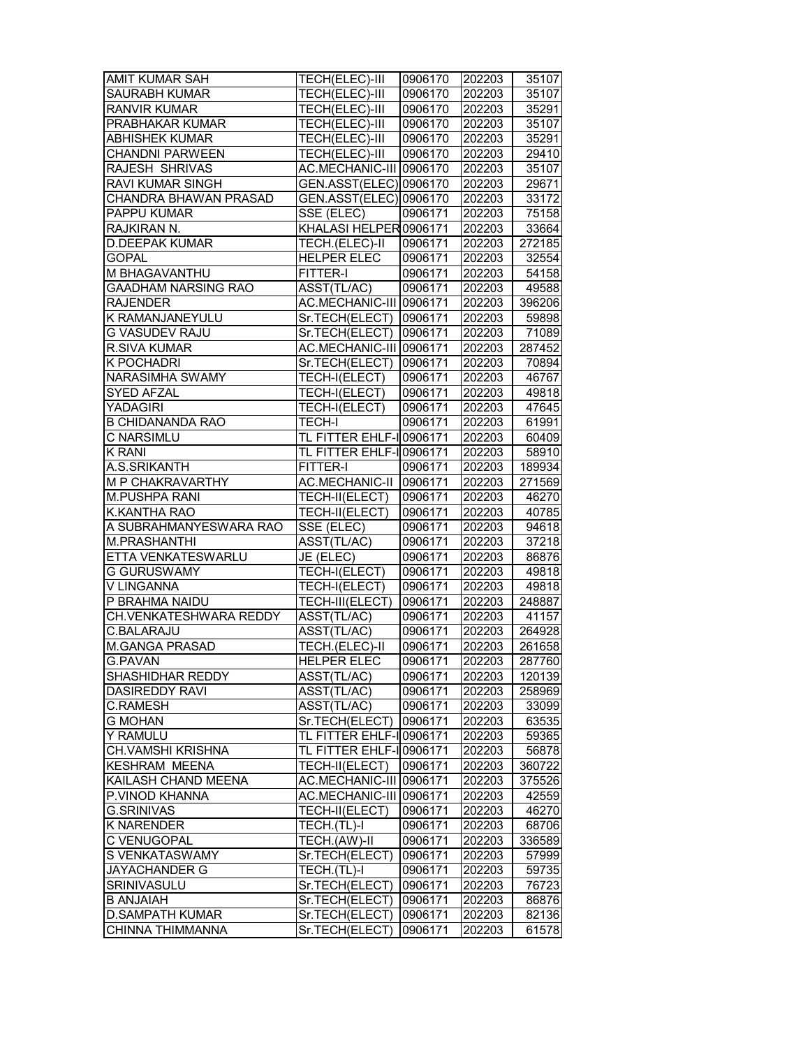| <b>AMIT KUMAR SAH</b>      | TECH(ELEC)-III                   | 0906170            | 202203           | 35107          |
|----------------------------|----------------------------------|--------------------|------------------|----------------|
| <b>SAURABH KUMAR</b>       | <b>TECH(ELEC)-III</b>            | 0906170            | 202203           | 35107          |
| <b>RANVIR KUMAR</b>        | <b>TECH(ELEC)-III</b>            | 0906170            | 202203           | 35291          |
| PRABHAKAR KUMAR            | TECH(ELEC)-III                   | 0906170            | 202203           | 35107          |
| <b>ABHISHEK KUMAR</b>      | TECH(ELEC)-III                   | 0906170            | 202203           | 35291          |
| <b>CHANDNI PARWEEN</b>     | TECH(ELEC)-III                   | 0906170            | 202203           | 29410          |
| RAJESH SHRIVAS             | AC.MECHANIC-III 0906170          |                    | 202203           | 35107          |
| RAVI KUMAR SINGH           | GEN.ASST(ELEC) 0906170           |                    | 202203           | 29671          |
| CHANDRA BHAWAN PRASAD      | GEN.ASST(ELEC) 0906170           |                    | 202203           | 33172          |
| PAPPU KUMAR                | SSE (ELEC)                       | 0906171            | 202203           | 75158          |
| RAJKIRAN N.                | KHALASI HELPER 0906171           |                    | 202203           | 33664          |
| <b>D.DEEPAK KUMAR</b>      | TECH.(ELEC)-II                   | 0906171            | 202203           | 272185         |
| <b>GOPAL</b>               | <b>HELPER ELEC</b>               | 0906171            | 202203           | 32554          |
| M BHAGAVANTHU              | FITTER-I                         | 0906171            | 202203           | 54158          |
| <b>GAADHAM NARSING RAO</b> | ASST(TL/AC)                      | 0906171            | 202203           | 49588          |
| <b>RAJENDER</b>            | AC.MECHANIC-III 0906171          |                    | 202203           | 396206         |
| K RAMANJANEYULU            | Sr.TECH(ELECT)                   | 0906171            | 202203           | 59898          |
| <b>G VASUDEV RAJU</b>      | Sr.TECH(ELECT)                   | 0906171            | 202203           | 71089          |
| <b>R.SIVA KUMAR</b>        | AC.MECHANIC-III 0906171          |                    | 202203           | 287452         |
| K POCHADRI                 | Sr.TECH(ELECT)                   | 0906171            | 202203           | 70894          |
| <b>NARASIMHA SWAMY</b>     | TECH-I(ELECT)                    | 0906171            | 202203           | 46767          |
| <b>SYED AFZAL</b>          | TECH-I(ELECT)                    | 0906171            | 202203           | 49818          |
| YADAGIRI                   | TECH-I(ELECT)                    | 0906171            | 202203           | 47645          |
| <b>B CHIDANANDA RAO</b>    | <b>TECH-I</b>                    | 0906171            | 202203           | 61991          |
| C NARSIMLU                 | TL FITTER EHLF-I 0906171         |                    | 202203           | 60409          |
| <b>K RANI</b>              | TL FITTER EHLF-I0906171          |                    | 202203           | 58910          |
| A.S.SRIKANTH               | <b>FITTER-I</b>                  | 0906171            | 202203           | 189934         |
| M P CHAKRAVARTHY           | AC.MECHANIC-II 0906171           |                    | 202203           | 271569         |
| <b>M.PUSHPA RANI</b>       | TECH-II(ELECT)                   | 0906171            | 202203           | 46270          |
| K.KANTHA RAO               | TECH-II(ELECT)                   | 0906171            | 202203           | 40785          |
| A SUBRAHMANYESWARA RAO     | SSE (ELEC)                       | 0906171            | 202203           | 94618          |
| <b>M.PRASHANTHI</b>        | ASST(TL/AC)                      | 0906171            | 202203           | 37218          |
| ETTA VENKATESWARLU         | JE (ELEC)                        | 0906171            | 202203           | 86876          |
| <b>G GURUSWAMY</b>         | TECH-I(ELECT)                    | 0906171            | 202203           | 49818          |
| V LINGANNA                 | TECH-I(ELECT)                    | 0906171            | 202203           | 49818          |
| P BRAHMA NAIDU             | TECH-III(ELECT)                  | 0906171            | 202203           | 248887         |
| CH.VENKATESHWARA REDDY     | ASST(TL/AC)                      | 0906171            | 202203           | 41157          |
| C.BALARAJU                 | ASST(TL/AC)                      | 0906171            | 202203           | 264928         |
| <b>M.GANGA PRASAD</b>      | TECH.(ELEC)-II                   | 0906171            | 202203           | 261658         |
| <b>G.PAVAN</b>             | <b>HELPER ELEC</b>               | 0906171            | 202203           | 287760         |
| SHASHIDHAR REDDY           | ASST(TL/AC)                      | 0906171            | 202203           | 120139         |
| <b>DASIREDDY RAVI</b>      | ASST(TL/AC)                      | 0906171            | 202203           | 258969         |
| <b>C.RAMESH</b>            | ASST(TL/AC)                      | 0906171            | 202203           | 33099          |
| <b>G MOHAN</b>             | Sr.TECH(ELECT)                   | 0906171            | 202203           | 63535          |
| Y RAMULU                   | TL FITTER EHLF-I0906171          |                    | 202203           | 59365          |
| <b>CH.VAMSHI KRISHNA</b>   | TL FITTER EHLF-IO906171          |                    | 202203           | 56878          |
| <b>KESHRAM MEENA</b>       | TECH-II(ELECT)                   | 0906171            | 202203           | 360722         |
| KAILASH CHAND MEENA        | AC.MECHANIC-III 0906171          |                    | 202203           | 375526         |
| P.VINOD KHANNA             | AC.MECHANIC-III 0906171          |                    | 202203           | 42559          |
| <b>G.SRINIVAS</b>          | TECH-II(ELECT)                   | 0906171            | 202203           | 46270          |
| <b>K NARENDER</b>          | TECH.(TL)-I                      | 0906171            | 202203           | 68706          |
| C VENUGOPAL                | TECH.(AW)-II                     | 0906171            | 202203           | 336589         |
| S VENKATASWAMY             | Sr.TECH(ELECT)                   | 0906171            | 202203           | 57999          |
| JAYACHANDER G              | TECH.(TL)-I                      | 0906171            | 202203           | 59735          |
| SRINIVASULU                | Sr.TECH(ELECT)                   | 0906171            | 202203           | 76723          |
| <b>B ANJAIAH</b>           | Sr.TECH(ELECT)                   | 0906171            | 202203           | 86876          |
| <b>D.SAMPATH KUMAR</b>     |                                  |                    |                  |                |
|                            |                                  |                    |                  |                |
| CHINNA THIMMANNA           | Sr.TECH(ELECT)<br>Sr.TECH(ELECT) | 0906171<br>0906171 | 202203<br>202203 | 82136<br>61578 |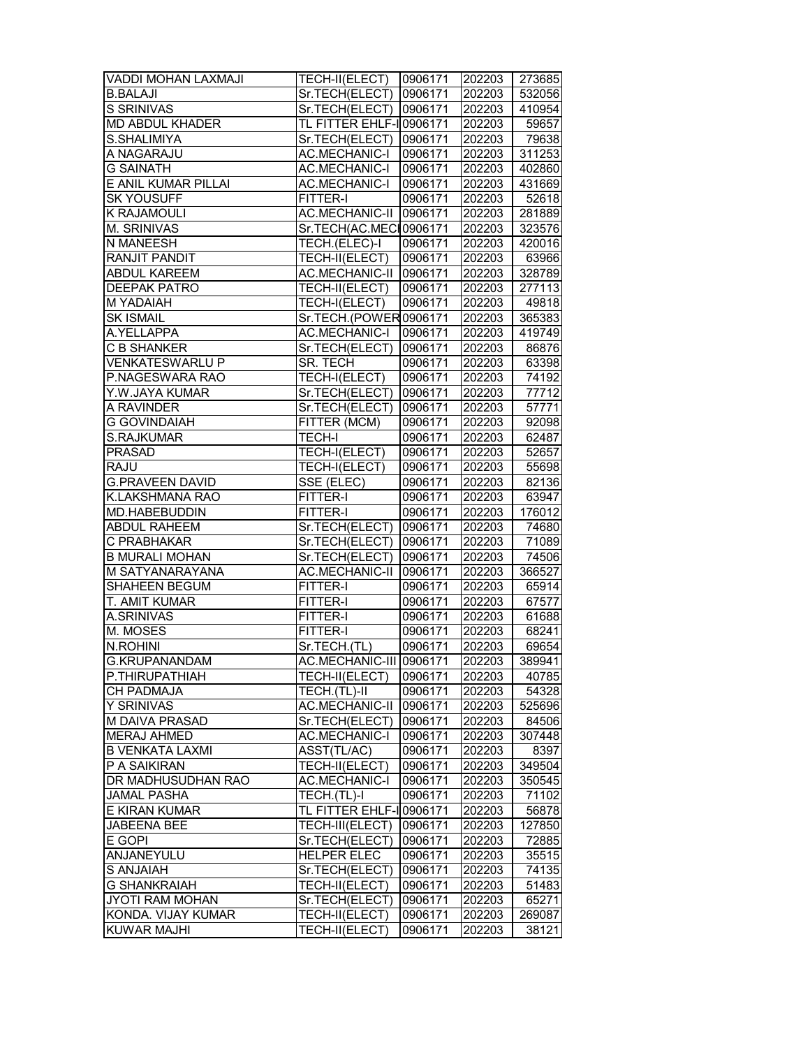| VADDI MOHAN LAXMAJI    | <b>TECH-II(ELECT) 0906171</b> |         | 202203 | 273685 |
|------------------------|-------------------------------|---------|--------|--------|
| <b>B.BALAJI</b>        | Sr.TECH(ELECT) 0906171        |         | 202203 | 532056 |
| <b>S SRINIVAS</b>      | Sr.TECH(ELECT) 0906171        |         | 202203 | 410954 |
| <b>MD ABDUL KHADER</b> | TL FITTER EHLF-I0906171       |         | 202203 | 59657  |
| S.SHALIMIYA            | Sr.TECH(ELECT)                | 0906171 | 202203 | 79638  |
| A NAGARAJU             | <b>AC.MECHANIC-I</b>          | 0906171 | 202203 | 311253 |
| <b>G SAINATH</b>       | AC.MECHANIC-I 0906171         |         | 202203 | 402860 |
| E ANIL KUMAR PILLAI    | <b>AC.MECHANIC-I</b>          | 0906171 | 202203 | 431669 |
| <b>SK YOUSUFF</b>      | FITTER-I                      | 0906171 | 202203 | 52618  |
| K RAJAMOULI            | AC.MECHANIC-II 0906171        |         | 202203 | 281889 |
| M. SRINIVAS            | Sr.TECH(AC.MECH0906171        |         | 202203 | 323576 |
| N MANEESH              | TECH.(ELEC)-I                 | 0906171 | 202203 | 420016 |
| <b>RANJIT PANDIT</b>   | TECH-II(ELECT)                | 0906171 | 202203 | 63966  |
| <b>ABDUL KAREEM</b>    | AC.MECHANIC-II 0906171        |         | 202203 | 328789 |
| <b>DEEPAK PATRO</b>    | TECH-II(ELECT) 0906171        |         | 202203 | 277113 |
| M YADAIAH              | TECH-I(ELECT)                 | 0906171 | 202203 | 49818  |
| <b>SK ISMAIL</b>       | Sr.TECH.(POWER0906171         |         | 202203 | 365383 |
| A.YELLAPPA             | <b>AC.MECHANIC-I</b>          | 0906171 | 202203 | 419749 |
| <b>C B SHANKER</b>     | Sr.TECH(ELECT)                | 0906171 | 202203 | 86876  |
| <b>VENKATESWARLU P</b> | SR. TECH                      | 0906171 | 202203 | 63398  |
| P.NAGESWARA RAO        | TECH-I(ELECT)                 | 0906171 | 202203 | 74192  |
| Y.W.JAYA KUMAR         | Sr.TECH(ELECT) 0906171        |         | 202203 | 77712  |
| A RAVINDER             | Sr.TECH(ELECT)                | 0906171 | 202203 | 57771  |
| <b>G GOVINDAIAH</b>    | FITTER (MCM)                  | 0906171 | 202203 | 92098  |
| S.RAJKUMAR             | <b>TECH-I</b>                 | 0906171 | 202203 | 62487  |
| <b>PRASAD</b>          | TECH-I(ELECT)                 | 0906171 | 202203 | 52657  |
| <b>RAJU</b>            | TECH-I(ELECT)                 | 0906171 | 202203 | 55698  |
| <b>G.PRAVEEN DAVID</b> | SSE (ELEC)                    | 0906171 | 202203 | 82136  |
| K.LAKSHMANA RAO        | FITTER-I                      | 0906171 | 202203 | 63947  |
| MD.HABEBUDDIN          | FITTER-I                      | 0906171 | 202203 | 176012 |
| <b>ABDUL RAHEEM</b>    | Sr.TECH(ELECT) 0906171        |         | 202203 | 74680  |
| C PRABHAKAR            | Sr.TECH(ELECT) 0906171        |         | 202203 | 71089  |
| <b>B MURALI MOHAN</b>  | Sr.TECH(ELECT)                | 0906171 | 202203 | 74506  |
| <b>M SATYANARAYANA</b> | <b>AC.MECHANIC-II</b>         | 0906171 | 202203 | 366527 |
| SHAHEEN BEGUM          | FITTER-I                      | 0906171 | 202203 | 65914  |
| T. AMIT KUMAR          | FITTER-I                      | 0906171 | 202203 | 67577  |
| A.SRINIVAS             | FITTER-I                      | 0906171 | 202203 | 61688  |
| M. MOSES               | <b>FITTER-I</b>               | 0906171 | 202203 | 68241  |
| N.ROHINI               | Sr.TECH.(TL)                  | 0906171 | 202203 | 69654  |
| <b>G.KRUPANANDAM</b>   | AC.MECHANIC-III 0906171       |         | 202203 | 389941 |
| P.THIRUPATHIAH         | TECH-II(ELECT)                | 0906171 | 202203 | 40785  |
| <b>CH PADMAJA</b>      | TECH.(TL)-II                  | 0906171 | 202203 | 54328  |
| Y SRINIVAS             | AC.MECHANIC-II 0906171        |         | 202203 | 525696 |
| M DAIVA PRASAD         | Sr.TECH(ELECT)                | 0906171 | 202203 | 84506  |
| <b>MERAJ AHMED</b>     | <b>AC.MECHANIC-I</b>          | 0906171 | 202203 | 307448 |
| <b>B VENKATA LAXMI</b> | ASST(TL/AC)                   | 0906171 | 202203 | 8397   |
| P A SAIKIRAN           | TECH-II(ELECT)                | 0906171 | 202203 | 349504 |
| DR MADHUSUDHAN RAO     | <b>AC.MECHANIC-I</b>          | 0906171 | 202203 | 350545 |
| <b>JAMAL PASHA</b>     | TECH.(TL)-I                   | 0906171 | 202203 | 71102  |
| E KIRAN KUMAR          | TL FITTER EHLF-I 0906171      |         | 202203 | 56878  |
| JABEENA BEE            | TECH-III(ELECT)               | 0906171 | 202203 | 127850 |
| E GOPI                 | Sr.TECH(ELECT)                | 0906171 | 202203 | 72885  |
| ANJANEYULU             | <b>HELPER ELEC</b>            | 0906171 | 202203 | 35515  |
| S ANJAIAH              | Sr.TECH(ELECT)                | 0906171 | 202203 | 74135  |
| <b>G SHANKRAIAH</b>    | TECH-II(ELECT)                | 0906171 | 202203 | 51483  |
| JYOTI RAM MOHAN        | Sr.TECH(ELECT)                | 0906171 | 202203 | 65271  |
| KONDA. VIJAY KUMAR     | TECH-II(ELECT)                | 0906171 | 202203 | 269087 |
| KUWAR MAJHI            | TECH-II(ELECT)                | 0906171 | 202203 | 38121  |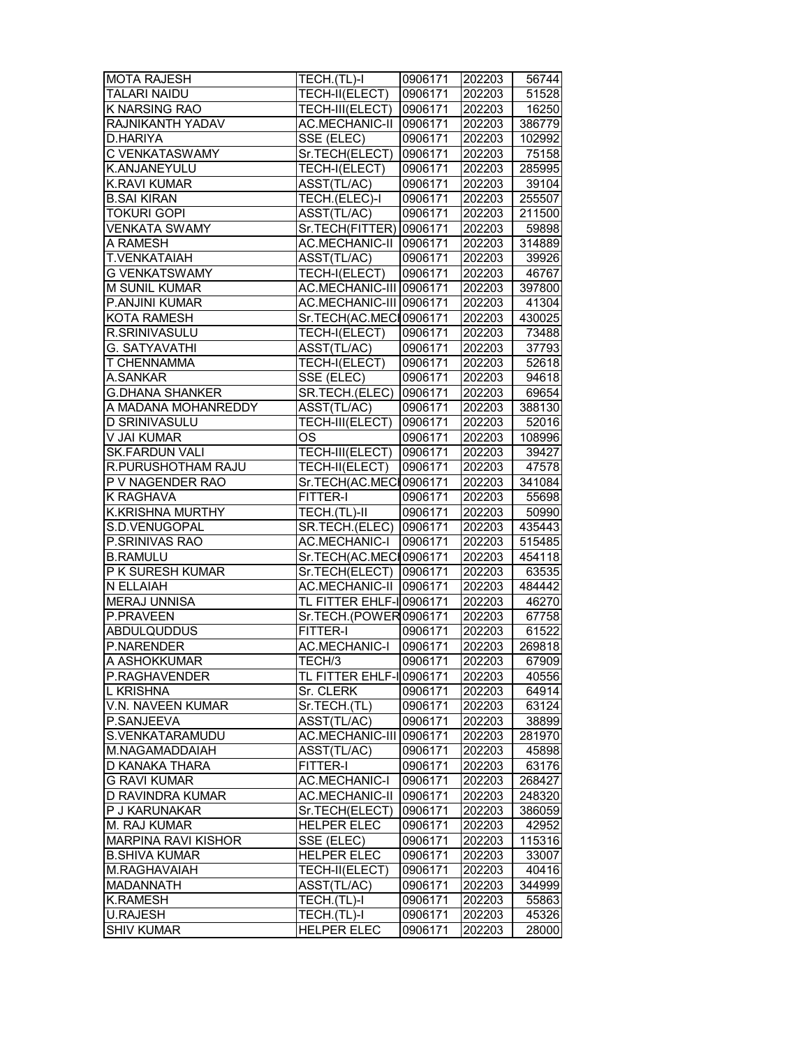| <b>MOTA RAJESH</b>         | TECH.(TL)-I                    | 0906171 | 202203 | 56744  |
|----------------------------|--------------------------------|---------|--------|--------|
| TALARI NAIDU               | TECH-II(ELECT)                 | 0906171 | 202203 | 51528  |
| <b>K NARSING RAO</b>       | <b>TECH-III(ELECT) 0906171</b> |         | 202203 | 16250  |
| RAJNIKANTH YADAV           | AC.MECHANIC-II 0906171         |         | 202203 | 386779 |
| D.HARIYA                   | SSE (ELEC)                     | 0906171 | 202203 | 102992 |
| C VENKATASWAMY             | Sr.TECH(ELECT)                 | 0906171 | 202203 | 75158  |
| K.ANJANEYULU               | TECH-I(ELECT)                  | 0906171 | 202203 | 285995 |
| K.RAVI KUMAR               | ASST(TL/AC)                    | 0906171 | 202203 | 39104  |
| <b>B.SAI KIRAN</b>         | TECH.(ELEC)-I                  | 0906171 | 202203 | 255507 |
| <b>TOKURI GOPI</b>         | ASST(TL/AC)                    | 0906171 | 202203 | 211500 |
| <b>VENKATA SWAMY</b>       | Sr.TECH(FITTER) 0906171        |         | 202203 | 59898  |
| A RAMESH                   | AC.MECHANIC-II 0906171         |         | 202203 | 314889 |
| <b>T.VENKATAIAH</b>        | ASST(TL/AC)                    | 0906171 | 202203 | 39926  |
| <b>G VENKATSWAMY</b>       | TECH-I(ELECT)                  | 0906171 | 202203 | 46767  |
| <b>M SUNIL KUMAR</b>       | AC.MECHANIC-III 0906171        |         | 202203 | 397800 |
| P.ANJINI KUMAR             | AC.MECHANIC-III 0906171        |         | 202203 | 41304  |
| KOTA RAMESH                | Sr.TECH(AC.MECI0906171         |         | 202203 | 430025 |
| R.SRINIVASULU              | TECH-I(ELECT)                  | 0906171 | 202203 | 73488  |
| G. SATYAVATHI              | ASST(TL/AC)                    | 0906171 | 202203 | 37793  |
| T CHENNAMMA                | TECH-I(ELECT)                  | 0906171 | 202203 | 52618  |
| A.SANKAR                   | SSE (ELEC)                     | 0906171 | 202203 | 94618  |
| <b>G.DHANA SHANKER</b>     | SR.TECH.(ELEC)                 | 0906171 | 202203 | 69654  |
| A MADANA MOHANREDDY        | ASST(TL/AC)                    | 0906171 | 202203 | 388130 |
| <b>D SRINIVASULU</b>       | TECH-III(ELECT)                | 0906171 | 202203 | 52016  |
| V JAI KUMAR                | OS                             | 0906171 | 202203 | 108996 |
| <b>SK.FARDUN VALI</b>      | TECH-III(ELECT)                | 0906171 | 202203 | 39427  |
| R.PURUSHOTHAM RAJU         | TECH-II(ELECT)                 | 0906171 | 202203 | 47578  |
| P V NAGENDER RAO           | Sr.TECH(AC.MECH0906171         |         | 202203 | 341084 |
| K RAGHAVA                  | FITTER-I                       | 0906171 | 202203 | 55698  |
| K.KRISHNA MURTHY           | TECH.(TL)-II                   | 0906171 | 202203 | 50990  |
| S.D.VENUGOPAL              | SR.TECH.(ELEC) 0906171         |         | 202203 | 435443 |
| P.SRINIVAS RAO             | AC.MECHANIC-I   0906171        |         | 202203 | 515485 |
| <b>B.RAMULU</b>            | Sr.TECH(AC.MECH0906171         |         | 202203 | 454118 |
| P K SURESH KUMAR           | Sr.TECH(ELECT) 0906171         |         | 202203 | 63535  |
| N ELLAIAH                  | AC.MECHANIC-II 0906171         |         | 202203 | 484442 |
| <b>MERAJ UNNISA</b>        | TL FITTER EHLF-I 0906171       |         | 202203 | 46270  |
| P.PRAVEEN                  | Sr.TECH.(POWER0906171          |         | 202203 | 67758  |
| <b>ABDULQUDDUS</b>         | <b>FITTER-I</b>                | 0906171 | 202203 | 61522  |
| P.NARENDER                 | <b>AC.MECHANIC-I</b>           | 0906171 | 202203 | 269818 |
| A ASHOKKUMAR               | TECH/3                         | 0906171 | 202203 | 67909  |
| P.RAGHAVENDER              | TL FITTER EHLF-I 0906171       |         | 202203 | 40556  |
| L KRISHNA                  | Sr. CLERK                      | 0906171 | 202203 | 64914  |
| V.N. NAVEEN KUMAR          | Sr.TECH.(TL)                   | 0906171 | 202203 | 63124  |
| P.SANJEEVA                 | ASST(TL/AC)                    | 0906171 | 202203 | 38899  |
| S.VENKATARAMUDU            | AC.MECHANIC-III 0906171        |         | 202203 | 281970 |
| M.NAGAMADDAIAH             | ASST(TL/AC)                    | 0906171 | 202203 | 45898  |
| D KANAKA THARA             | FITTER-I                       | 0906171 | 202203 | 63176  |
| <b>G RAVI KUMAR</b>        | <b>AC.MECHANIC-I</b>           | 0906171 | 202203 | 268427 |
| D RAVINDRA KUMAR           | <b>AC.MECHANIC-II</b>          | 0906171 | 202203 | 248320 |
| P J KARUNAKAR              | Sr.TECH(ELECT)                 | 0906171 | 202203 | 386059 |
| M. RAJ KUMAR               | <b>HELPER ELEC</b>             | 0906171 | 202203 | 42952  |
| <b>MARPINA RAVI KISHOR</b> | SSE (ELEC)                     | 0906171 | 202203 | 115316 |
| <b>B.SHIVA KUMAR</b>       | <b>HELPER ELEC</b>             | 0906171 | 202203 | 33007  |
| M.RAGHAVAIAH               | TECH-II(ELECT)                 | 0906171 | 202203 | 40416  |
| <b>MADANNATH</b>           | ASST(TL/AC)                    | 0906171 | 202203 | 344999 |
| <b>K.RAMESH</b>            | TECH.(TL)-I                    | 0906171 | 202203 | 55863  |
| <b>U.RAJESH</b>            | TECH.(TL)-I                    | 0906171 | 202203 | 45326  |
| <b>SHIV KUMAR</b>          | <b>HELPER ELEC</b>             | 0906171 | 202203 | 28000  |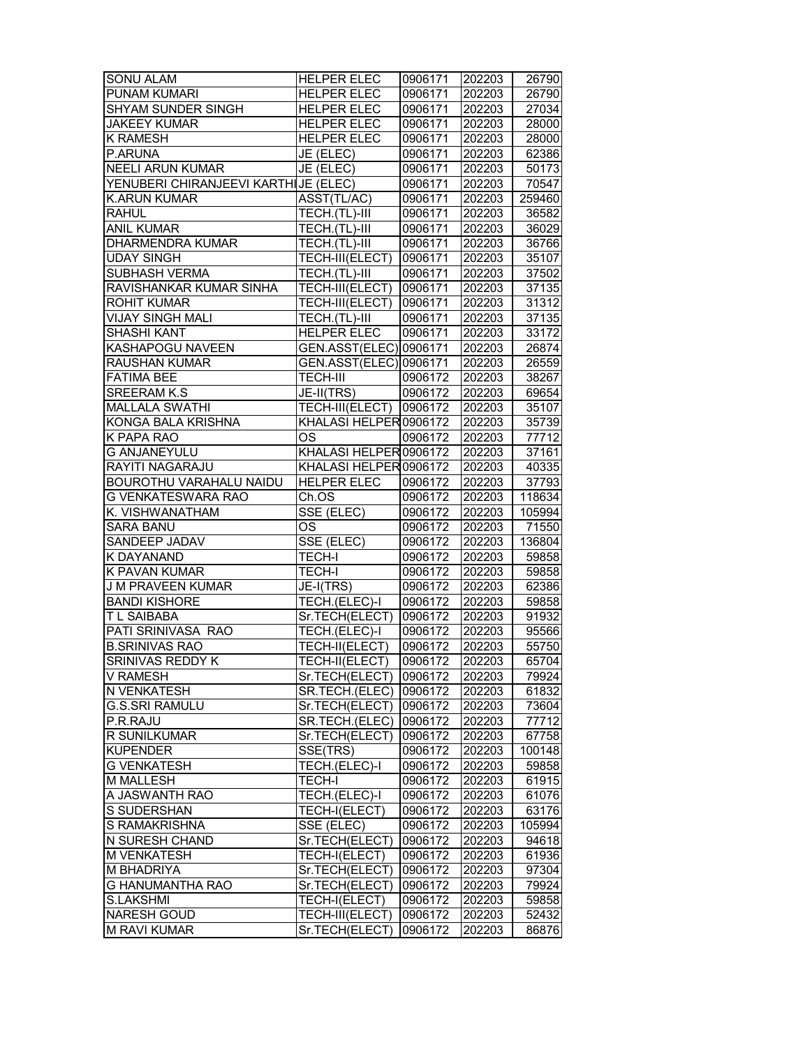| <b>SONU ALAM</b>                     | <b>HELPER ELEC</b>               | 0906171 | 202203           | 26790  |
|--------------------------------------|----------------------------------|---------|------------------|--------|
| <b>PUNAM KUMARI</b>                  | <b>HELPER ELEC</b>               | 0906171 | 202203           | 26790  |
| <b>SHYAM SUNDER SINGH</b>            | <b>HELPER ELEC</b>               | 0906171 | 202203           | 27034  |
| <b>JAKEEY KUMAR</b>                  | <b>HELPER ELEC</b>               | 0906171 | 202203           | 28000  |
| <b>K RAMESH</b>                      | <b>HELPER ELEC</b>               | 0906171 | 202203           | 28000  |
| P.ARUNA                              | JE (ELEC)                        | 0906171 | 202203           | 62386  |
| <b>NEELI ARUN KUMAR</b>              | JE (ELEC)                        | 0906171 | 202203           | 50173  |
| YENUBERI CHIRANJEEVI KARTHIJE (ELEC) |                                  | 0906171 | 202203           | 70547  |
| K.ARUN KUMAR                         | ASST(TL/AC)                      | 0906171 | 202203           | 259460 |
| <b>RAHUL</b>                         | TECH.(TL)-III                    | 0906171 | 202203           | 36582  |
| <b>ANIL KUMAR</b>                    | TECH.(TL)-III                    | 0906171 | 202203           | 36029  |
| <b>DHARMENDRA KUMAR</b>              | TECH.(TL)-III                    | 0906171 | 202203           | 36766  |
| <b>UDAY SINGH</b>                    | TECH-III(ELECT)                  | 0906171 | 202203           | 35107  |
| SUBHASH VERMA                        | TECH.(TL)-III                    | 0906171 | 202203           | 37502  |
| RAVISHANKAR KUMAR SINHA              | TECH-III(ELECT)                  | 0906171 | 202203           | 37135  |
| ROHIT KUMAR                          | TECH-III(ELECT)                  | 0906171 | 202203           | 31312  |
| <b>VIJAY SINGH MALI</b>              | TECH.(TL)-III                    | 0906171 | 202203           | 37135  |
| SHASHI KANT                          | <b>HELPER ELEC</b>               | 0906171 | 202203           | 33172  |
| KASHAPOGU NAVEEN                     | GEN.ASST(ELEC) 0906171           |         | 202203           | 26874  |
| <b>RAUSHAN KUMAR</b>                 | GEN.ASST(ELEC) 0906171           |         | 202203           | 26559  |
| <b>FATIMA BEE</b>                    | <b>TECH-III</b>                  | 0906172 | 202203           | 38267  |
| <b>SREERAM K.S</b>                   | JE-II(TRS)                       | 0906172 | 202203           | 69654  |
| <b>MALLALA SWATHI</b>                | TECH-III(ELECT) 0906172          |         | 202203           | 35107  |
| KONGA BALA KRISHNA                   | KHALASI HELPER 0906172           |         | 202203           | 35739  |
| <b>K PAPA RAO</b>                    | OS                               | 0906172 | 202203           | 77712  |
| <b>G ANJANEYULU</b>                  | KHALASI HELPER 0906172           |         | 202203           | 37161  |
| RAYITI NAGARAJU                      | KHALASI HELPER 0906172           |         | 202203           | 40335  |
| BOUROTHU VARAHALU NAIDU              | <b>HELPER ELEC</b>               | 0906172 | 202203           | 37793  |
| G VENKATESWARA RAO                   | Ch.OS                            | 0906172 | 202203           | 118634 |
| K. VISHWANATHAM                      | $\overline{\text{SSE}}$ (ELEC)   | 0906172 | 202203           | 105994 |
| <b>SARA BANU</b>                     | OS                               | 0906172 | 202203           | 71550  |
| SANDEEP JADAV                        | SSE (ELEC)                       | 0906172 | 202203           | 136804 |
| K DAYANAND                           | TECH-I                           | 0906172 | 202203           | 59858  |
| K PAVAN KUMAR                        | <b>TECH-I</b>                    | 0906172 | 202203           | 59858  |
| <b>J M PRAVEEN KUMAR</b>             | $\overline{\mathsf{JE- I(TRS)}}$ | 0906172 | 202203           | 62386  |
| <b>BANDI KISHORE</b>                 | TECH.(ELEC)-I                    | 0906172 | 202203           | 59858  |
| T L SAIBABA                          | Sr.TECH(ELECT)                   | 0906172 | 202203           | 91932  |
| PATI SRINIVASA RAO                   | TECH.(ELEC)-I                    | 0906172 | 202203           | 95566  |
| <b>B.SRINIVAS RAO</b>                | TECH-II(ELECT)                   | 0906172 | 202203           | 55750  |
| SRINIVAS REDDY K                     | TECH-II(ELECT)                   | 0906172 | 202203           | 65704  |
|                                      |                                  |         |                  | 79924  |
| V RAMESH<br>N VENKATESH              | Sr.TECH(ELECT)                   | 0906172 | 202203           | 61832  |
|                                      | SR.TECH.(ELEC)                   | 0906172 | 202203           |        |
| G.S.SRI RAMULU                       | Sr.TECH(ELECT)                   | 0906172 | 202203           | 73604  |
| P.R.RAJU<br>R SUNILKUMAR             | SR.TECH.(ELEC)<br>Sr.TECH(ELECT) | 0906172 | 202203           | 77712  |
| <b>KUPENDER</b>                      |                                  | 0906172 | 202203<br>202203 | 67758  |
| <b>G VENKATESH</b>                   | SSE(TRS)                         | 0906172 |                  | 100148 |
|                                      | TECH.(ELEC)-I                    | 0906172 | 202203           | 59858  |
| <b>M MALLESH</b>                     | <b>TECH-I</b>                    | 0906172 | 202203           | 61915  |
| A JASWANTH RAO                       | TECH.(ELEC)-I                    | 0906172 | 202203           | 61076  |
| S SUDERSHAN                          | TECH-I(ELECT)                    | 0906172 | 202203           | 63176  |
| S RAMAKRISHNA                        | SSE (ELEC)                       | 0906172 | 202203           | 105994 |
| N SURESH CHAND                       | Sr.TECH(ELECT)                   | 0906172 | 202203           | 94618  |
| <b>M VENKATESH</b>                   | TECH-I(ELECT)                    | 0906172 | 202203           | 61936  |
| M BHADRIYA                           | Sr.TECH(ELECT)                   | 0906172 | 202203           | 97304  |
| G HANUMANTHA RAO                     | Sr.TECH(ELECT)                   | 0906172 | 202203           | 79924  |
| <b>S.LAKSHMI</b>                     | TECH-I(ELECT)                    | 0906172 | 202203           | 59858  |
| <b>NARESH GOUD</b>                   | TECH-III(ELECT)                  | 0906172 | 202203           | 52432  |
| <b>M RAVI KUMAR</b>                  | Sr.TECH(ELECT)                   | 0906172 | 202203           | 86876  |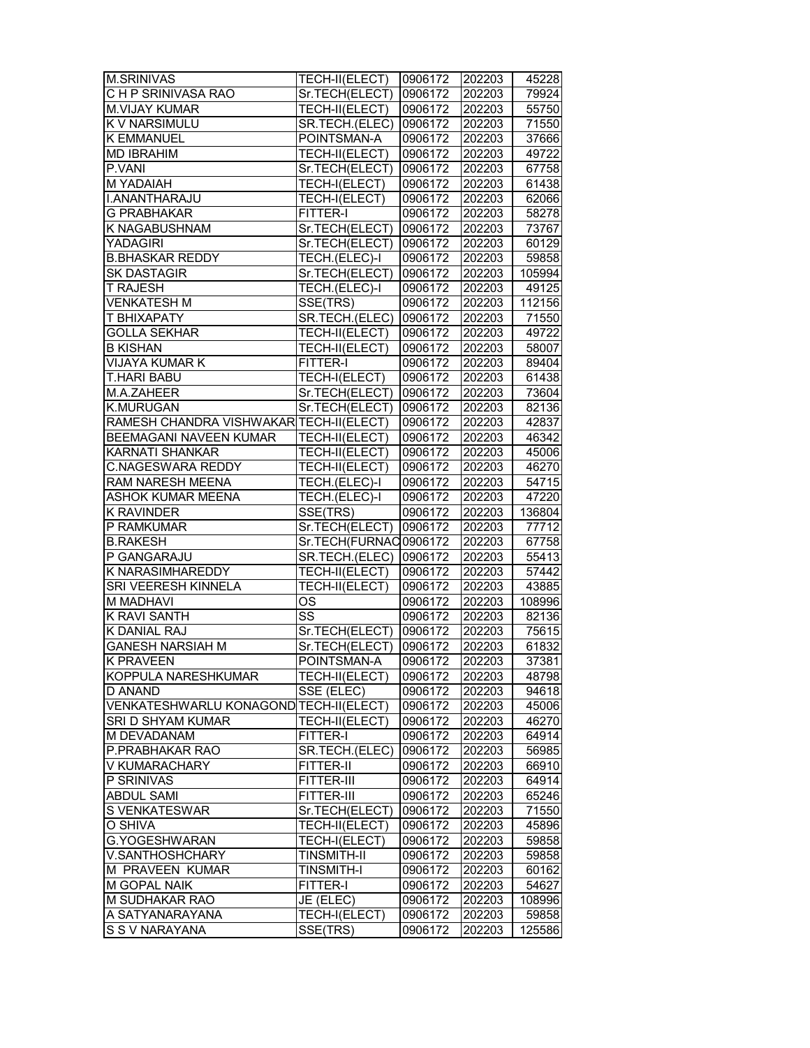| <b>M.SRINIVAS</b>                       | TECH-II(ELECT)            | 0906172            | 202203           | 45228                                                |
|-----------------------------------------|---------------------------|--------------------|------------------|------------------------------------------------------|
| CHP SRINIVASA RAO                       | Sr.TECH(ELECT) 0906172    |                    | 202203           | 79924                                                |
| <b>M.VIJAY KUMAR</b>                    | TECH-II(ELECT)            | 0906172            | 202203           | 55750                                                |
| K V NARSIMULU                           | SR.TECH.(ELEC) 0906172    |                    | 202203           | 71550                                                |
| <b>K EMMANUEL</b>                       | POINTSMAN-A               | 0906172            | 202203           | 37666                                                |
| <b>MD IBRAHIM</b>                       | TECH-II(ELECT)            | 0906172            | 202203           | 49722                                                |
| P.VANI                                  | Sr.TECH(ELECT)            | 0906172            | 202203           | 67758                                                |
| <b>MYADAIAH</b>                         | TECH-I(ELECT)             | 0906172            | 202203           | 61438                                                |
| I.ANANTHARAJU                           | TECH-I(ELECT)             | 0906172            | 202203           | 62066                                                |
| <b>G PRABHAKAR</b>                      | <b>FITTER-I</b>           | 0906172            | 202203           | 58278                                                |
| <b>K NAGABUSHNAM</b>                    | Sr.TECH(ELECT)            | 0906172            | 202203           | 73767                                                |
| <b>YADAGIRI</b>                         | Sr.TECH(ELECT)            | 0906172            | 202203           | 60129                                                |
| <b>B.BHASKAR REDDY</b>                  | TECH.(ELEC)-I             | 0906172            | 202203           | 59858                                                |
| <b>SK DASTAGIR</b>                      | Sr.TECH(ELECT)            | 0906172            | 202203           | 105994                                               |
| <b>T RAJESH</b>                         | TECH.(ELEC)-I             | 0906172            | 202203           | 49125                                                |
| <b>VENKATESH M</b>                      | SSE(TRS)                  | 0906172            | 202203           | 112156                                               |
| T BHIXAPATY                             | SR.TECH.(ELEC)            | 0906172            | 202203           | 71550                                                |
| <b>GOLLA SEKHAR</b>                     | TECH-II(ELECT)            | 0906172            | 202203           | 49722                                                |
| <b>B KISHAN</b>                         | TECH-II(ELECT)            | 0906172            |                  |                                                      |
|                                         | <b>FITTER-I</b>           |                    | 202203           | 58007                                                |
| VIJAYA KUMAR K<br><b>T.HARI BABU</b>    |                           | 0906172            | 202203           | 89404                                                |
|                                         | TECH-I(ELECT)             | 0906172            | 202203           | 61438                                                |
| M.A.ZAHEER                              | Sr.TECH(ELECT) 0906172    |                    | 202203           | 73604                                                |
| <b>K.MURUGAN</b>                        | Sr.TECH(ELECT) 0906172    |                    | 202203           | 82136                                                |
| RAMESH CHANDRA VISHWAKAR TECH-II(ELECT) |                           | 0906172            | 202203           | 42837                                                |
| BEEMAGANI NAVEEN KUMAR                  | TECH-II(ELECT)            | 0906172            | 202203           | 46342                                                |
| <b>KARNATI SHANKAR</b>                  | TECH-II(ELECT)            | 0906172            | 202203           | 45006                                                |
| <b>C.NAGESWARA REDDY</b>                | TECH-II(ELECT)            | 0906172            | 202203           | 46270                                                |
| RAM NARESH MEENA                        | TECH.(ELEC)-I             | 0906172            | 202203           | 54715                                                |
| <b>ASHOK KUMAR MEENA</b>                | TECH.(ELEC)-I             | 0906172            | 202203           | 47220                                                |
| <b>K RAVINDER</b>                       | SSE(TRS)                  | 0906172            | 202203           | 136804                                               |
| P RAMKUMAR                              | Sr.TECH(ELECT) 0906172    |                    | 202203           | 77712                                                |
| <b>B.RAKESH</b>                         | Sr.TECH(FURNAC0906172     |                    | 202203           | 67758                                                |
| P GANGARAJU                             | SR.TECH.(ELEC)            | 0906172            | 202203           | 55413                                                |
| K NARASIMHAREDDY                        | TECH-II(ELECT)            | 0906172            | 202203           | 57442                                                |
| SRI VEERESH KINNELA                     | TECH-II(ELECT)            | 0906172            | 202203           | 43885                                                |
| <b>M MADHAVI</b>                        | OS                        | 0906172            | 202203           | 108996                                               |
| <b>K RAVI SANTH</b>                     | $\overline{\text{ss}}$    | 0906172            | 202203           | 82136                                                |
| <b>K DANIAL RAJ</b>                     | Sr.TECH(ELECT) 0906172    |                    | 202203           | 75615                                                |
| <b>GANESH NARSIAH M</b>                 | Sr.TECH(ELECT)            | 0906172            | 202203           | 61832                                                |
| <b>K PRAVEEN</b>                        | POINTSMAN-A               | 0906172            | 202203           | 37381                                                |
| KOPPULA NARESHKUMAR                     | TECH-II(ELECT)            | 0906172            | 202203           | 48798                                                |
| D ANAND                                 | SSE (ELEC)                | 0906172            | 202203           | 94618                                                |
| VENKATESHWARLU KONAGOND TECH-II(ELECT)  |                           | 0906172            | 202203           | 45006                                                |
| SRI D SHYAM KUMAR                       | TECH-II(ELECT)            | 0906172            | 202203           | 46270                                                |
| M DEVADANAM                             | <b>FITTER-I</b>           | 0906172            | 202203           | 64914                                                |
| P.PRABHAKAR RAO                         | SR.TECH.(ELEC)            | 0906172            | 202203           | 56985                                                |
| V KUMARACHARY                           | FITTER-II                 | 0906172            | 202203           | 66910                                                |
| P SRINIVAS                              | FITTER-III                | 0906172            | 202203           | 64914                                                |
| <b>ABDUL SAMI</b>                       | FITTER-III                | 0906172            | 202203           | 65246                                                |
| S VENKATESWAR                           | Sr.TECH(ELECT)            | 0906172            | 202203           | 71550                                                |
| O SHIVA                                 | TECH-II(ELECT)            | 0906172            | 202203           | 45896                                                |
| G.YOGESHWARAN                           | TECH-I(ELECT)             |                    | 202203           | 59858                                                |
|                                         |                           | 0906172            |                  |                                                      |
| V.SANTHOSHCHARY<br>M PRAVEEN KUMAR      |                           |                    |                  |                                                      |
|                                         | <b>TINSMITH-II</b>        | 0906172            | 202203           |                                                      |
|                                         | TINSMITH-I                | 0906172            | 202203           |                                                      |
| M GOPAL NAIK                            | FITTER-I                  | 0906172            | 202203           |                                                      |
| M SUDHAKAR RAO                          | JE (ELEC)                 | 0906172            | 202203           |                                                      |
| A SATYANARAYANA<br>S S V NARAYANA       | TECH-I(ELECT)<br>SSE(TRS) | 0906172<br>0906172 | 202203<br>202203 | 59858<br>60162<br>54627<br>108996<br>59858<br>125586 |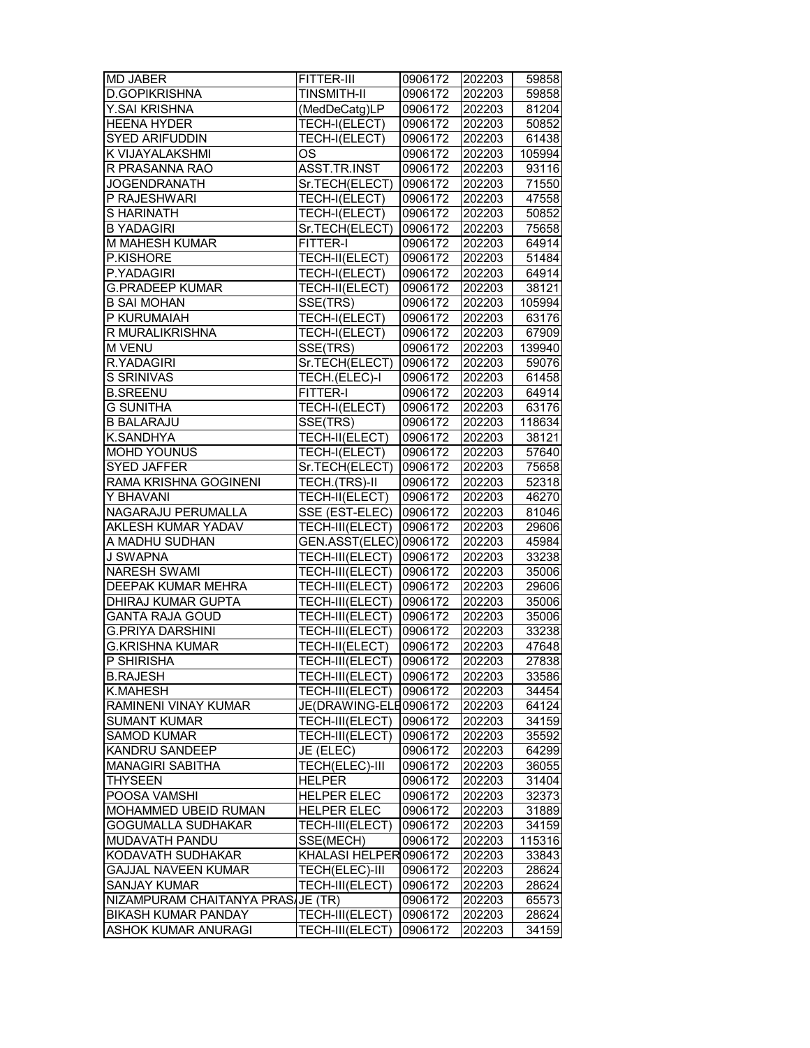| <b>MD JABER</b>                                   | FITTER-III                         | 0906172            | 202203           | 59858  |
|---------------------------------------------------|------------------------------------|--------------------|------------------|--------|
| <b>D.GOPIKRISHNA</b>                              | <b>TINSMITH-II</b>                 | 0906172            | 202203           | 59858  |
| Y.SAI KRISHNA                                     | (MedDeCatg)LP                      | 0906172            | 202203           | 81204  |
| <b>HEENA HYDER</b>                                | TECH-I(ELECT)                      | 0906172            | 202203           | 50852  |
| SYED ARIFUDDIN                                    | TECH-I(ELECT)                      | 0906172            | 202203           | 61438  |
| K VIJAYALAKSHMI                                   | <b>OS</b>                          | 0906172            | 202203           | 105994 |
| R PRASANNA RAO                                    | ASST.TR.INST                       | 0906172            | 202203           | 93116  |
| <b>JOGENDRANATH</b>                               | Sr.TECH(ELECT)                     | 0906172            | 202203           | 71550  |
| P RAJESHWARI                                      | TECH-I(ELECT)                      | 0906172            | 202203           | 47558  |
| <b>SHARINATH</b>                                  | TECH-I(ELECT)                      | 0906172            | 202203           | 50852  |
| <b>B YADAGIRI</b>                                 | Sr.TECH(ELECT)                     | 0906172            | 202203           | 75658  |
| M MAHESH KUMAR                                    | <b>FITTER-I</b>                    | 0906172            | 202203           | 64914  |
| P.KISHORE                                         | <b>TECH-II(ELECT)</b>              | 0906172            | 202203           | 51484  |
| P.YADAGIRI                                        | TECH-I(ELECT)                      | 0906172            | 202203           | 64914  |
| <b>G.PRADEEP KUMAR</b>                            | TECH-II(ELECT)                     | 0906172            | 202203           | 38121  |
| <b>B SAI MOHAN</b>                                | SSE(TRS)                           | 0906172            | 202203           | 105994 |
| P KURUMAIAH                                       | TECH-I(ELECT)                      | 0906172            | 202203           | 63176  |
| R MURALIKRISHNA                                   | TECH-I(ELECT)                      | 0906172            | 202203           | 67909  |
| <b>M VENU</b>                                     | SSE(TRS)                           | 0906172            | 202203           | 139940 |
| R.YADAGIRI                                        | Sr.TECH(ELECT)                     | 0906172            | 202203           | 59076  |
| S SRINIVAS                                        | TECH.(ELEC)-I                      | 0906172            | 202203           | 61458  |
| <b>B.SREENU</b>                                   | <b>FITTER-I</b>                    | 0906172            | 202203           | 64914  |
| <b>G SUNITHA</b>                                  | <b>TECH-I(ELECT)</b>               | 0906172            | 202203           | 63176  |
| <b>B BALARAJU</b>                                 | SSE(TRS)                           | 0906172            | 202203           | 118634 |
| K.SANDHYA                                         | TECH-II(ELECT)                     | 0906172            | 202203           | 38121  |
| <b>MOHD YOUNUS</b>                                | TECH-I(ELECT)                      | 0906172            | 202203           | 57640  |
| <b>SYED JAFFER</b>                                | Sr.TECH(ELECT)                     | 0906172            | 202203           | 75658  |
| RAMA KRISHNA GOGINENI                             | TECH.(TRS)-II                      | 0906172            | 202203           | 52318  |
| Y BHAVANI                                         | TECH-II(ELECT)                     | 0906172            | 202203           | 46270  |
| NAGARAJU PERUMALLA                                | SSE (EST-ELEC)                     | 0906172            | 202203           | 81046  |
| AKLESH KUMAR YADAV                                |                                    | 0906172            | 202203           | 29606  |
| A MADHU SUDHAN                                    | TECH-III(ELECT)                    |                    | 202203           |        |
| <b>J SWAPNA</b>                                   | GEN.ASST(ELEC) 0906172             | 0906172            |                  | 45984  |
|                                                   | TECH-III(ELECT)                    |                    | 202203           | 33238  |
| <b>NARESH SWAMI</b>                               | TECH-III(ELECT)                    | 0906172            | 202203           | 35006  |
| DEEPAK KUMAR MEHRA                                | TECH-III(ELECT)<br>TECH-III(ELECT) | 0906172            | 202203           | 29606  |
| <b>DHIRAJ KUMAR GUPTA</b>                         |                                    | 0906172            | 202203           | 35006  |
| <b>GANTA RAJA GOUD</b>                            | TECH-III(ELECT)                    | 0906172            | 202203<br>202203 | 35006  |
| <b>G.PRIYA DARSHINI</b><br><b>G.KRISHNA KUMAR</b> | TECH-III(ELECT)                    | 0906172<br>0906172 |                  | 33238  |
|                                                   | TECH-II(ELECT)                     |                    | 202203           | 47648  |
| P SHIRISHA                                        | TECH-III(ELECT)                    | 0906172            | 202203           | 27838  |
| <b>B.RAJESH</b>                                   | TECH-III(ELECT) 0906172            |                    | 202203           | 33586  |
| K.MAHESH                                          | TECH-III(ELECT)                    | 0906172            | 202203           | 34454  |
| RAMINENI VINAY KUMAR                              | JE(DRAWING-ELE0906172              |                    | 202203           | 64124  |
| SUMANT KUMAR                                      | TECH-III(ELECT)                    | 0906172            | 202203           | 34159  |
| <b>SAMOD KUMAR</b>                                | TECH-III(ELECT)                    | 0906172            | 202203           | 35592  |
| KANDRU SANDEEP                                    | JE (ELEC)                          | 0906172            | 202203           | 64299  |
| <b>MANAGIRI SABITHA</b>                           | TECH(ELEC)-III                     | 0906172            | 202203           | 36055  |
| <b>THYSEEN</b>                                    | <b>HELPER</b>                      | 0906172            | 202203           | 31404  |
| POOSA VAMSHI                                      | <b>HELPER ELEC</b>                 | 0906172            | 202203           | 32373  |
| MOHAMMED UBEID RUMAN                              | <b>HELPER ELEC</b>                 | 0906172            | 202203           | 31889  |
| <b>GOGUMALLA SUDHAKAR</b>                         | TECH-III(ELECT)                    | 0906172            | 202203           | 34159  |
| MUDAVATH PANDU                                    | SSE(MECH)                          | 0906172            | 202203           | 115316 |
| KODAVATH SUDHAKAR                                 | KHALASI HELPER 0906172             |                    | 202203           | 33843  |
| <b>GAJJAL NAVEEN KUMAR</b>                        | TECH(ELEC)-III                     | 0906172            | 202203           | 28624  |
| <b>SANJAY KUMAR</b>                               | TECH-III(ELECT)                    | 0906172            | 202203           | 28624  |
| NIZAMPURAM CHAITANYA PRAS JE (TR)                 |                                    | 0906172            | 202203           | 65573  |
| BIKASH KUMAR PANDAY                               | TECH-III(ELECT)                    | 0906172            | 202203           | 28624  |
| <b>ASHOK KUMAR ANURAGI</b>                        | TECH-III(ELECT)                    | 0906172            | 202203           | 34159  |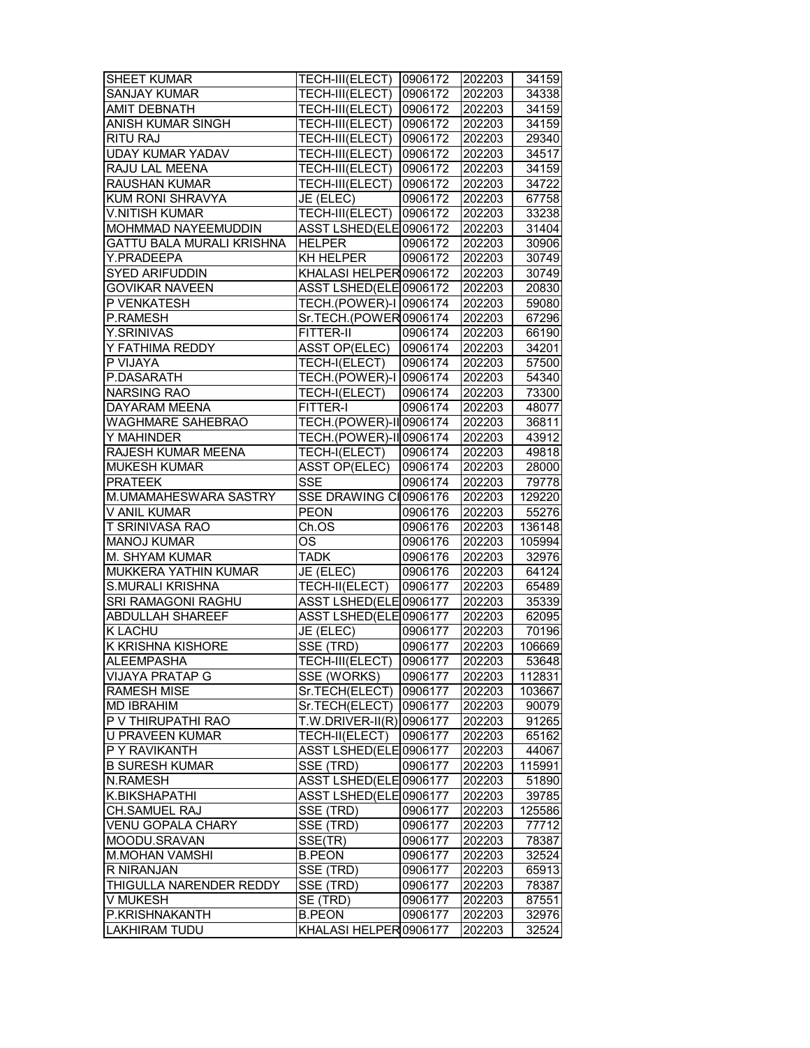| <b>SHEET KUMAR</b>                     | <b>TECH-III(ELECT) 0906172</b>          |         | 202203           | 34159           |
|----------------------------------------|-----------------------------------------|---------|------------------|-----------------|
| <b>SANJAY KUMAR</b>                    | TECH-III(ELECT)                         | 0906172 | 202203           | 34338           |
| <b>AMIT DEBNATH</b>                    | TECH-III(ELECT)                         | 0906172 | 202203           | 34159           |
| ANISH KUMAR SINGH                      | TECH-III(ELECT)                         | 0906172 | 202203           | 34159           |
| RITU RAJ                               | TECH-III(ELECT)                         | 0906172 | 202203           | 29340           |
| <b>UDAY KUMAR YADAV</b>                | TECH-III(ELECT)                         | 0906172 | 202203           | 34517           |
| RAJU LAL MEENA                         | TECH-III(ELECT)                         | 0906172 | 202203           | 34159           |
| RAUSHAN KUMAR                          | TECH-III(ELECT)                         | 0906172 | 202203           | 34722           |
| KUM RONI SHRAVYA                       | JE (ELEC)                               | 0906172 | 202203           | 67758           |
| <b>V.NITISH KUMAR</b>                  | TECH-III(ELECT)                         | 0906172 | 202203           | 33238           |
| MOHMMAD NAYEEMUDDIN                    | ASST LSHED(ELE0906172                   |         | 202203           | 31404           |
| GATTU BALA MURALI KRISHNA              | <b>HELPER</b>                           | 0906172 | 202203           | 30906           |
| Y.PRADEEPA                             | KH HELPER                               | 0906172 | 202203           | 30749           |
| <b>SYED ARIFUDDIN</b>                  | KHALASI HELPER 0906172                  |         | 202203           | 30749           |
|                                        |                                         |         |                  |                 |
| <b>GOVIKAR NAVEEN</b>                  | ASST LSHED(ELE 0906172                  |         | 202203           | 20830           |
| P VENKATESH                            | TECH.(POWER)-I 0906174                  |         | 202203           | 59080           |
| P.RAMESH                               | Sr.TECH.(POWER0906174                   |         | 202203           | 67296           |
| Y.SRINIVAS                             | FITTER-II                               | 0906174 | 202203           | 66190           |
| Y FATHIMA REDDY                        | ASST OP(ELEC)                           | 0906174 | 202203           | 34201           |
| P VIJAYA                               | TECH-I(ELECT)                           | 0906174 | 202203           | 57500           |
| P.DASARATH                             | TECH. (POWER)-I 0906174                 |         | 202203           | 54340           |
| <b>NARSING RAO</b>                     | TECH-I(ELECT)                           | 0906174 | 202203           | 73300           |
| <b>DAYARAM MEENA</b>                   | <b>FITTER-I</b>                         | 0906174 | 202203           | 48077           |
| <b>WAGHMARE SAHEBRAO</b>               | TECH.(POWER)-II 0906174                 |         | 202203           | 36811           |
| Y MAHINDER                             | TECH.(POWER)-II 0906174                 |         | 202203           | 43912           |
| RAJESH KUMAR MEENA                     | TECH-I(ELECT)                           | 0906174 | 202203           | 49818           |
| <b>MUKESH KUMAR</b>                    | <b>ASST OP(ELEC)</b>                    | 0906174 | 202203           | 28000           |
| <b>PRATEEK</b>                         | <b>SSE</b>                              | 0906174 | 202203           | 79778           |
| M.UMAMAHESWARA SASTRY                  | SSE DRAWING CI0906176                   |         | 202203           | 129220          |
|                                        |                                         |         |                  |                 |
|                                        |                                         |         |                  |                 |
| V ANIL KUMAR                           | <b>PEON</b>                             | 0906176 | 202203           | 55276           |
| T SRINIVASA RAO                        | Ch.OS                                   | 0906176 | 202203           | 136148          |
| <b>MANOJ KUMAR</b>                     | ΟS                                      | 0906176 | 202203           | 105994          |
| M. SHYAM KUMAR                         | <b>TADK</b>                             | 0906176 | 202203           | 32976           |
| MUKKERA YATHIN KUMAR                   | JE (ELEC)                               | 0906176 | 202203           | 64124           |
| <b>S.MURALI KRISHNA</b>                | TECH-II(ELECT)                          | 0906177 | 202203           | 65489           |
| SRI RAMAGONI RAGHU                     | ASST LSHED(ELE 0906177                  |         | 202203           | 35339           |
| <b>ABDULLAH SHAREEF</b>                | ASST LSHED(ELE 0906177                  |         | 202203           | 62095           |
| <b>K LACHU</b>                         | JE (ELEC)                               | 0906177 | 202203           | 70196           |
| <b>K KRISHNA KISHORE</b>               | SSE (TRD)                               | 0906177 | 202203           | 106669          |
| ALEEMPASHA                             | TECH-III(ELECT) 0906177                 |         | 202203           | 53648           |
| VIJAYA PRATAP G                        | SSE (WORKS)                             | 0906177 | 202203           | 112831          |
| <b>RAMESH MISE</b>                     | Sr.TECH(ELECT)                          | 0906177 | 202203           | 103667          |
| <b>MD IBRAHIM</b>                      | Sr.TECH(ELECT)                          | 0906177 | 202203           | 90079           |
| P V THIRUPATHI RAO                     | T.W.DRIVER-II(R) 0906177                |         | 202203           | 91265           |
| U PRAVEEN KUMAR                        | TECH-II(ELECT)                          | 0906177 | 202203           | 65162           |
| P Y RAVIKANTH                          | ASST LSHED(ELE 0906177                  |         | 202203           | 44067           |
| <b>B SURESH KUMAR</b>                  | SSE (TRD)                               | 0906177 | 202203           | 115991          |
| N.RAMESH                               | ASST LSHED(ELE 0906177                  |         | 202203           | 51890           |
| K.BIKSHAPATHI                          | ASST LSHED(ELE 0906177                  |         | 202203           | 39785           |
| CH.SAMUEL RAJ                          | SSE (TRD)                               | 0906177 |                  |                 |
| <b>VENU GOPALA CHARY</b>               | SSE (TRD)                               | 0906177 | 202203           | 125586<br>77712 |
|                                        |                                         |         | 202203           |                 |
| MOODU.SRAVAN                           | SSE(TR)                                 | 0906177 | 202203           | 78387           |
| <b>M.MOHAN VAMSHI</b>                  | <b>B.PEON</b>                           | 0906177 | 202203           | 32524           |
| R NIRANJAN                             | SSE (TRD)                               | 0906177 | 202203           | 65913           |
| THIGULLA NARENDER REDDY                | SSE (TRD)                               | 0906177 | 202203           | 78387           |
| V MUKESH                               | SE (TRD)                                | 0906177 | 202203           | 87551           |
| P.KRISHNAKANTH<br><b>LAKHIRAM TUDU</b> | <b>B.PEON</b><br>KHALASI HELPER 0906177 | 0906177 | 202203<br>202203 | 32976<br>32524  |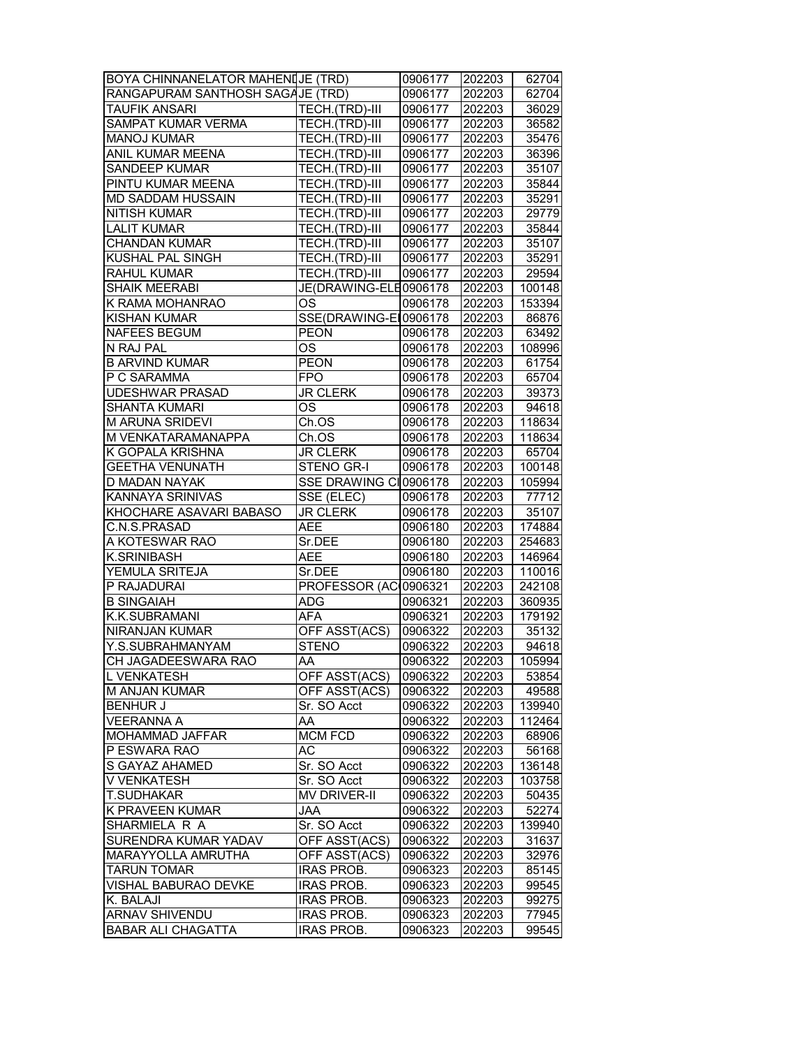| BOYA CHINNANELATOR MAHENIJE (TRD) |                       | 0906177 | 202203 | 62704                    |
|-----------------------------------|-----------------------|---------|--------|--------------------------|
| RANGAPURAM SANTHOSH SAGA JE (TRD) |                       | 0906177 | 202203 | 62704                    |
| <b>TAUFIK ANSARI</b>              | TECH.(TRD)-III        | 0906177 | 202203 | 36029                    |
| SAMPAT KUMAR VERMA                | TECH.(TRD)-III        | 0906177 | 202203 | 36582                    |
| <b>MANOJ KUMAR</b>                | TECH.(TRD)-III        | 0906177 | 202203 | 35476                    |
| ANIL KUMAR MEENA                  | TECH.(TRD)-III        | 0906177 | 202203 | 36396                    |
| SANDEEP KUMAR                     | TECH.(TRD)-III        | 0906177 | 202203 | 35107                    |
| PINTU KUMAR MEENA                 | TECH.(TRD)-III        | 0906177 | 202203 | 35844                    |
| MD SADDAM HUSSAIN                 | TECH.(TRD)-III        | 0906177 | 202203 | 35291                    |
| <b>NITISH KUMAR</b>               | TECH.(TRD)-III        | 0906177 | 202203 | 29779                    |
| <b>LALIT KUMAR</b>                | TECH.(TRD)-III        | 0906177 | 202203 | 35844                    |
| <b>CHANDAN KUMAR</b>              | TECH.(TRD)-III        | 0906177 | 202203 | 35107                    |
| KUSHAL PAL SINGH                  | TECH.(TRD)-III        | 0906177 | 202203 | 35291                    |
| <b>RAHUL KUMAR</b>                | TECH.(TRD)-III        | 0906177 | 202203 | 29594                    |
|                                   |                       |         |        |                          |
| <b>SHAIK MEERABI</b>              | JE(DRAWING-ELE0906178 |         | 202203 | 100148                   |
| K RAMA MOHANRAO                   | ΟS                    | 0906178 | 202203 | 153394                   |
| KISHAN KUMAR                      | SSE(DRAWING-EI0906178 |         | 202203 | 86876                    |
| <b>NAFEES BEGUM</b>               | <b>PEON</b>           | 0906178 | 202203 | 63492                    |
| N RAJ PAL                         | OS                    | 0906178 | 202203 | 108996                   |
| <b>B ARVIND KUMAR</b>             | <b>PEON</b>           | 0906178 | 202203 | 61754                    |
| P C SARAMMA                       | <b>FPO</b>            | 0906178 | 202203 | 65704                    |
| <b>UDESHWAR PRASAD</b>            | <b>JR CLERK</b>       | 0906178 | 202203 | 39373                    |
| <b>SHANTA KUMARI</b>              | OS                    | 0906178 | 202203 | 94618                    |
| <b>M ARUNA SRIDEVI</b>            | Ch.OS                 | 0906178 | 202203 | 118634                   |
| M VENKATARAMANAPPA                | Ch.OS                 | 0906178 | 202203 | 118634                   |
| K GOPALA KRISHNA                  | <b>JR CLERK</b>       | 0906178 | 202203 | 65704                    |
| <b>GEETHA VENUNATH</b>            | STENO GR-I            | 0906178 | 202203 | 100148                   |
| D MADAN NAYAK                     | SSE DRAWING CI0906178 |         | 202203 | 105994                   |
| KANNAYA SRINIVAS                  | SSE (ELEC)            | 0906178 | 202203 | 77712                    |
|                                   |                       |         |        |                          |
| KHOCHARE ASAVARI BABASO           | <b>JR CLERK</b>       | 0906178 | 202203 | 35107                    |
| C.N.S.PRASAD                      | <b>AEE</b>            | 0906180 | 202203 | 174884                   |
| A KOTESWAR RAO                    | Sr.DEE                | 0906180 | 202203 |                          |
| K.SRINIBASH                       | AEE                   | 0906180 |        | 254683                   |
|                                   |                       |         | 202203 | 146964                   |
| YEMULA SRITEJA                    | Sr.DEE                | 0906180 | 202203 | 110016                   |
| P RAJADURAI                       | PROFESSOR (AC 0906321 |         | 202203 | 242108                   |
| <b>B SINGAIAH</b>                 | <b>ADG</b>            | 0906321 | 202203 | 360935                   |
| K.K.SUBRAMANI                     | <b>AFA</b>            | 0906321 | 202203 | 179192                   |
| <b>NIRANJAN KUMAR</b>             | OFF ASST(ACS)         | 0906322 | 202203 | 35132                    |
| Y.S.SUBRAHMANYAM                  | <b>STENO</b>          | 0906322 | 202203 |                          |
| CH JAGADEESWARA RAO               | AA                    | 0906322 | 202203 |                          |
| L VENKATESH                       | OFF ASST(ACS)         | 0906322 | 202203 | 53854                    |
| M ANJAN KUMAR                     | OFF ASST(ACS)         | 0906322 | 202203 | 49588                    |
| <b>BENHUR J</b>                   | Sr. SO Acct           | 0906322 | 202203 | 139940                   |
| <b>VEERANNA A</b>                 | AA                    | 0906322 | 202203 | 112464                   |
| MOHAMMAD JAFFAR                   | <b>MCM FCD</b>        | 0906322 | 202203 | 68906                    |
| P ESWARA RAO                      | AC                    | 0906322 | 202203 | 56168                    |
| S GAYAZ AHAMED                    | Sr. SO Acct           | 0906322 | 202203 | 136148                   |
| V VENKATESH                       | Sr. SO Acct           | 0906322 | 202203 | 103758                   |
| T.SUDHAKAR                        | <b>MV DRIVER-II</b>   | 0906322 | 202203 | 50435                    |
| K PRAVEEN KUMAR                   | <b>JAA</b>            | 0906322 | 202203 | 52274                    |
| SHARMIELA R A                     | Sr. SO Acct           | 0906322 | 202203 | 139940                   |
| SURENDRA KUMAR YADAV              | OFF ASST(ACS)         | 0906322 | 202203 | 31637                    |
| MARAYYOLLA AMRUTHA                | OFF ASST(ACS)         | 0906322 | 202203 | 32976                    |
| <b>TARUN TOMAR</b>                | <b>IRAS PROB.</b>     | 0906323 | 202203 | 85145                    |
| VISHAL BABURAO DEVKE              | <b>IRAS PROB.</b>     | 0906323 | 202203 | 99545                    |
| K. BALAJI                         | <b>IRAS PROB.</b>     | 0906323 | 202203 | 99275                    |
| <b>ARNAV SHIVENDU</b>             | <b>IRAS PROB.</b>     | 0906323 | 202203 | 94618<br>105994<br>77945 |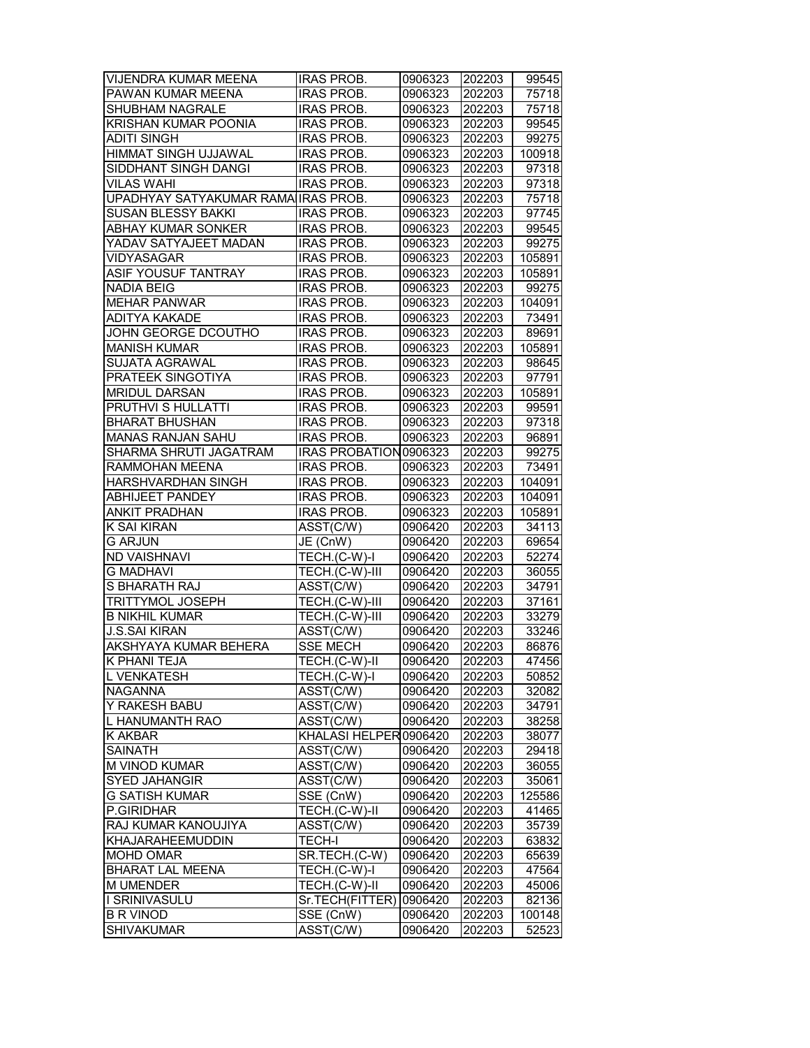| VIJENDRA KUMAR MEENA                | <b>IRAS PROB.</b>              | 0906323 | 202203 | 99545  |
|-------------------------------------|--------------------------------|---------|--------|--------|
| PAWAN KUMAR MEENA                   | <b>IRAS PROB.</b>              | 0906323 | 202203 | 75718  |
| SHUBHAM NAGRALE                     | <b>IRAS PROB.</b>              | 0906323 | 202203 | 75718  |
| <b>KRISHAN KUMAR POONIA</b>         | <b>IRAS PROB.</b>              | 0906323 | 202203 | 99545  |
| <b>ADITI SINGH</b>                  | <b>IRAS PROB.</b>              | 0906323 | 202203 | 99275  |
| <b>HIMMAT SINGH UJJAWAL</b>         | <b>IRAS PROB.</b>              | 0906323 | 202203 | 100918 |
| SIDDHANT SINGH DANGI                | <b>IRAS PROB.</b>              | 0906323 | 202203 | 97318  |
| <b>VILAS WAHI</b>                   | <b>IRAS PROB.</b>              | 0906323 | 202203 | 97318  |
| UPADHYAY SATYAKUMAR RAMA IRAS PROB. |                                | 0906323 | 202203 | 75718  |
| <b>SUSAN BLESSY BAKKI</b>           | <b>IRAS PROB.</b>              | 0906323 | 202203 | 97745  |
| <b>ABHAY KUMAR SONKER</b>           | <b>IRAS PROB.</b>              | 0906323 | 202203 | 99545  |
| YADAV SATYAJEET MADAN               | <b>IRAS PROB.</b>              | 0906323 | 202203 | 99275  |
| <b>VIDYASAGAR</b>                   | <b>IRAS PROB.</b>              | 0906323 | 202203 | 105891 |
| ASIF YOUSUF TANTRAY                 | <b>IRAS PROB.</b>              | 0906323 | 202203 | 105891 |
| <b>NADIA BEIG</b>                   | <b>IRAS PROB.</b>              | 0906323 | 202203 | 99275  |
| <b>MEHAR PANWAR</b>                 | <b>IRAS PROB.</b>              | 0906323 | 202203 | 104091 |
| <b>ADITYA KAKADE</b>                | <b>IRAS PROB.</b>              | 0906323 | 202203 | 73491  |
| JOHN GEORGE DCOUTHO                 | <b>IRAS PROB.</b>              | 0906323 | 202203 | 89691  |
| <b>MANISH KUMAR</b>                 | <b>IRAS PROB.</b>              | 0906323 | 202203 | 105891 |
| SUJATA AGRAWAL                      | <b>IRAS PROB.</b>              | 0906323 | 202203 | 98645  |
| PRATEEK SINGOTIYA                   | <b>IRAS PROB.</b>              | 0906323 | 202203 | 97791  |
| <b>MRIDUL DARSAN</b>                | <b>IRAS PROB.</b>              | 0906323 | 202203 | 105891 |
| <b>PRUTHVI S HULLATTI</b>           | <b>IRAS PROB.</b>              | 0906323 | 202203 | 99591  |
| <b>BHARAT BHUSHAN</b>               | <b>IRAS PROB.</b>              | 0906323 | 202203 | 97318  |
| <b>MANAS RANJAN SAHU</b>            | <b>IRAS PROB.</b>              | 0906323 | 202203 | 96891  |
| SHARMA SHRUTI JAGATRAM              | IRAS PROBATION 0906323         |         | 202203 | 99275  |
| RAMMOHAN MEENA                      | <b>IRAS PROB.</b>              | 0906323 | 202203 | 73491  |
| HARSHVARDHAN SINGH                  | <b>IRAS PROB.</b>              | 0906323 | 202203 | 104091 |
| <b>ABHIJEET PANDEY</b>              | <b>IRAS PROB.</b>              | 0906323 | 202203 | 104091 |
| <b>ANKIT PRADHAN</b>                | <b>IRAS PROB.</b>              | 0906323 | 202203 | 105891 |
| K SAI KIRAN                         | ASST(C/W)                      | 0906420 | 202203 | 34113  |
| <b>G ARJUN</b>                      | JE (CnW)                       | 0906420 | 202203 | 69654  |
| <b>ND VAISHNAVI</b>                 | TECH.(C-W)-I                   | 0906420 | 202203 | 52274  |
| <b>G MADHAVI</b>                    | TECH.(C-W)-III                 | 0906420 | 202203 | 36055  |
| S BHARATH RAJ                       | $\overline{\text{ASST}}$ (C/W) | 0906420 | 202203 | 34791  |
| <b>TRITTYMOL JOSEPH</b>             | TECH.(C-W)-III                 | 0906420 | 202203 | 37161  |
| <b>B NIKHIL KUMAR</b>               | TECH.(C-W)-III                 | 0906420 | 202203 | 33279  |
| <b>J.S.SAI KIRAN</b>                | ASST(C/W)                      | 0906420 | 202203 | 33246  |
| AKSHYAYA KUMAR BEHERA               | <b>SSE MECH</b>                | 0906420 | 202203 | 86876  |
| <b>K PHANI TEJA</b>                 | TECH.(C-W)-II                  | 0906420 | 202203 | 47456  |
| L VENKATESH                         | TECH.(C-W)-I                   | 0906420 | 202203 | 50852  |
| <b>NAGANNA</b>                      | ASST(C/W)                      | 0906420 | 202203 | 32082  |
| Y RAKESH BABU                       | ASST(C/W)                      | 0906420 | 202203 | 34791  |
| L HANUMANTH RAO                     | ASST(C/W)                      | 0906420 | 202203 | 38258  |
| <b>K AKBAR</b>                      | KHALASI HELPER0906420          |         | 202203 | 38077  |
| <b>SAINATH</b>                      | ASST(C/W)                      | 0906420 | 202203 | 29418  |
| M VINOD KUMAR                       | ASST(C/W)                      | 0906420 | 202203 | 36055  |
| <b>SYED JAHANGIR</b>                | ASST(C/W)                      | 0906420 | 202203 | 35061  |
| G SATISH KUMAR                      | SSE (CnW)                      | 0906420 | 202203 | 125586 |
| P.GIRIDHAR                          | TECH.(C-W)-II                  | 0906420 | 202203 | 41465  |
| RAJ KUMAR KANOUJIYA                 | ASST(C/W)                      | 0906420 | 202203 | 35739  |
| KHAJARAHEEMUDDIN                    | <b>TECH-I</b>                  | 0906420 | 202203 | 63832  |
| MOHD OMAR                           | SR.TECH.(C-W)                  | 0906420 | 202203 | 65639  |
| <b>BHARAT LAL MEENA</b>             | TECH.(C-W)-I                   | 0906420 | 202203 | 47564  |
| <b>M UMENDER</b>                    | TECH.(C-W)-II                  | 0906420 | 202203 | 45006  |
| I SRINIVASULU                       | Sr.TECH(FITTER)   0906420      |         | 202203 | 82136  |
| <b>B R VINOD</b>                    | SSE (CnW)                      | 0906420 | 202203 | 100148 |
| <b>SHIVAKUMAR</b>                   | ASST(C/W)                      | 0906420 | 202203 | 52523  |
|                                     |                                |         |        |        |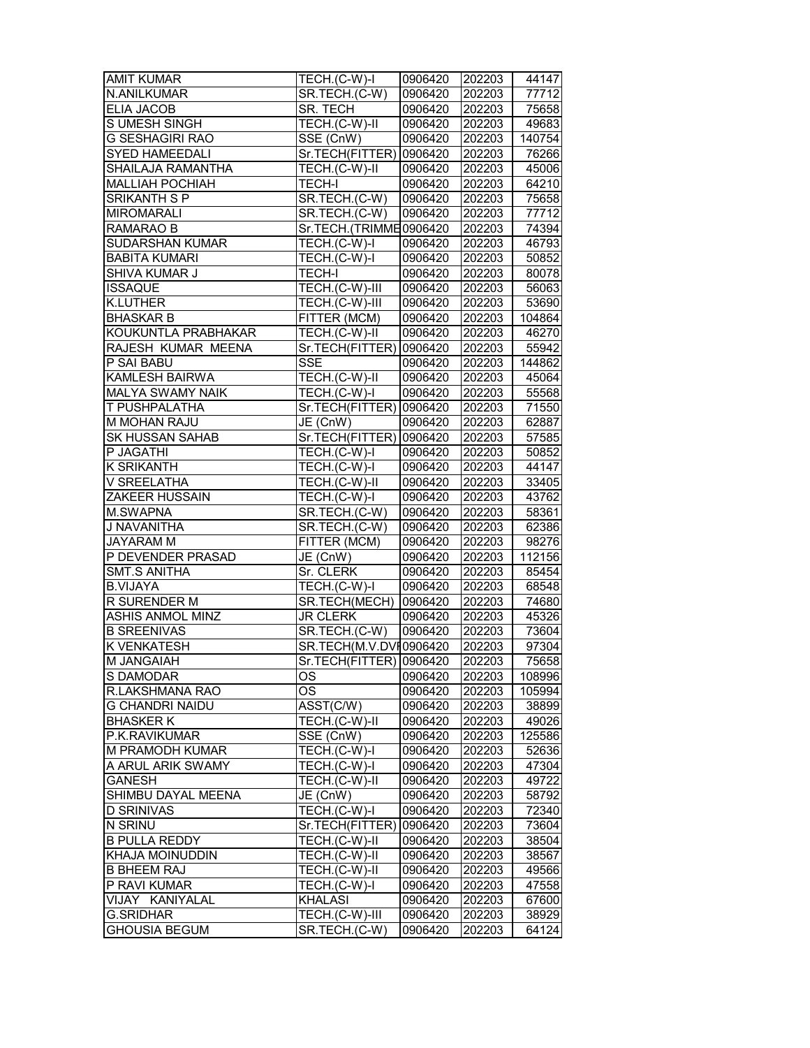| <b>AMIT KUMAR</b>       | TECH.(C-W)-I            | 0906420 | 202203 | 44147  |
|-------------------------|-------------------------|---------|--------|--------|
| N.ANILKUMAR             | SR.TECH.(C-W)           | 0906420 | 202203 | 77712  |
| <b>ELIA JACOB</b>       | SR. TECH                | 0906420 | 202203 | 75658  |
| S UMESH SINGH           | TECH.(C-W)-II           | 0906420 | 202203 | 49683  |
| G SESHAGIRI RAO         | SSE (CnW)               | 0906420 | 202203 | 140754 |
| <b>SYED HAMEEDALI</b>   | Sr.TECH(FITTER) 0906420 |         | 202203 | 76266  |
| SHAILAJA RAMANTHA       | TECH.(C-W)-II           | 0906420 | 202203 | 45006  |
| <b>MALLIAH POCHIAH</b>  | <b>TECH-I</b>           | 0906420 | 202203 | 64210  |
| SRIKANTH S P            | SR.TECH.(C-W)           | 0906420 | 202203 | 75658  |
| <b>MIROMARALI</b>       | SR.TECH.(C-W)           | 0906420 | 202203 | 77712  |
| RAMARAO B               | Sr.TECH.(TRIMME0906420  |         | 202203 | 74394  |
| SUDARSHAN KUMAR         | TECH.(C-W)-I            | 0906420 | 202203 | 46793  |
| <b>BABITA KUMARI</b>    | TECH.(C-W)-I            | 0906420 | 202203 | 50852  |
| SHIVA KUMAR J           | <b>TECH-I</b>           | 0906420 | 202203 | 80078  |
| <b>ISSAQUE</b>          | TECH.(C-W)-III          | 0906420 | 202203 | 56063  |
| <b>K.LUTHER</b>         |                         |         |        |        |
| <b>BHASKAR B</b>        | TECH.(C-W)-III          | 0906420 | 202203 | 53690  |
|                         | FITTER (MCM)            | 0906420 | 202203 | 104864 |
| KOUKUNTLA PRABHAKAR     | TECH.(C-W)-II           | 0906420 | 202203 | 46270  |
| RAJESH KUMAR MEENA      | Sr.TECH(FITTER) 0906420 |         | 202203 | 55942  |
| P SAI BABU              | <b>SSE</b>              | 0906420 | 202203 | 144862 |
| <b>KAMLESH BAIRWA</b>   | TECH.(C-W)-II           | 0906420 | 202203 | 45064  |
| <b>MALYA SWAMY NAIK</b> | TECH.(C-W)-I            | 0906420 | 202203 | 55568  |
| T PUSHPALATHA           | Sr.TECH(FITTER) 0906420 |         | 202203 | 71550  |
| M MOHAN RAJU            | JE (CnW)                | 0906420 | 202203 | 62887  |
| <b>SK HUSSAN SAHAB</b>  | Sr.TECH(FITTER) 0906420 |         | 202203 | 57585  |
| P JAGATHI               | TECH.(C-W)-I            | 0906420 | 202203 | 50852  |
| <b>K SRIKANTH</b>       | TECH.(C-W)-I            | 0906420 | 202203 | 44147  |
| V SREELATHA             | TECH.(C-W)-II           | 0906420 | 202203 | 33405  |
| ZAKEER HUSSAIN          | TECH.(C-W)-I            | 0906420 | 202203 | 43762  |
| M.SWAPNA                | SR.TECH.(C-W)           | 0906420 | 202203 | 58361  |
| J NAVANITHA             | SR.TECH.(C-W)           | 0906420 | 202203 | 62386  |
| <b>JAYARAM M</b>        | FITTER (MCM)            | 0906420 | 202203 | 98276  |
| P DEVENDER PRASAD       | JE (CnW)                | 0906420 | 202203 | 112156 |
| SMT.S ANITHA            | Sr. CLERK               | 0906420 | 202203 | 85454  |
| <b>B.VIJAYA</b>         | TECH.(C-W)-I            | 0906420 | 202203 | 68548  |
| R SURENDER M            | SR.TECH(MECH) 0906420   |         | 202203 | 74680  |
| <b>ASHIS ANMOL MINZ</b> | <b>JR CLERK</b>         | 0906420 | 202203 | 45326  |
| <b>B SREENIVAS</b>      | SR.TECH.(C-W)           | 0906420 | 202203 | 73604  |
| K VENKATESH             | SR.TECH(M.V.DVI0906420  |         | 202203 | 97304  |
| <b>M JANGAIAH</b>       | Sr.TECH(FITTER) 0906420 |         | 202203 | 75658  |
| S DAMODAR               | ОS                      | 0906420 | 202203 | 108996 |
| R.LAKSHMANA RAO         | ОS                      | 0906420 | 202203 | 105994 |
| G CHANDRI NAIDU         | ASST(C/W)               | 0906420 | 202203 | 38899  |
| <b>BHASKERK</b>         | TECH.(C-W)-II           | 0906420 | 202203 | 49026  |
| P.K.RAVIKUMAR           | SSE (CnW)               | 0906420 | 202203 | 125586 |
| M PRAMODH KUMAR         | TECH.(C-W)-I            | 0906420 | 202203 | 52636  |
| A ARUL ARIK SWAMY       | TECH.(C-W)-I            | 0906420 | 202203 | 47304  |
| <b>GANESH</b>           | TECH.(C-W)-II           | 0906420 |        | 49722  |
|                         |                         |         | 202203 |        |
| SHIMBU DAYAL MEENA      | JE (CnW)                | 0906420 | 202203 | 58792  |
| <b>D SRINIVAS</b>       | TECH.(C-W)-I            | 0906420 | 202203 | 72340  |
| N SRINU                 | Sr.TECH(FITTER)         | 0906420 | 202203 | 73604  |
| <b>B PULLA REDDY</b>    | TECH.(C-W)-II           | 0906420 | 202203 | 38504  |
| KHAJA MOINUDDIN         | TECH.(C-W)-II           | 0906420 | 202203 | 38567  |
| <b>B BHEEM RAJ</b>      | TECH.(C-W)-II           | 0906420 | 202203 | 49566  |
| P RAVI KUMAR            | TECH.(C-W)-I            | 0906420 | 202203 | 47558  |
| VIJAY KANIYALAL         | <b>KHALASI</b>          | 0906420 | 202203 | 67600  |
| <b>G.SRIDHAR</b>        | TECH.(C-W)-III          | 0906420 | 202203 | 38929  |
| <b>GHOUSIA BEGUM</b>    | SR.TECH.(C-W)           | 0906420 | 202203 | 64124  |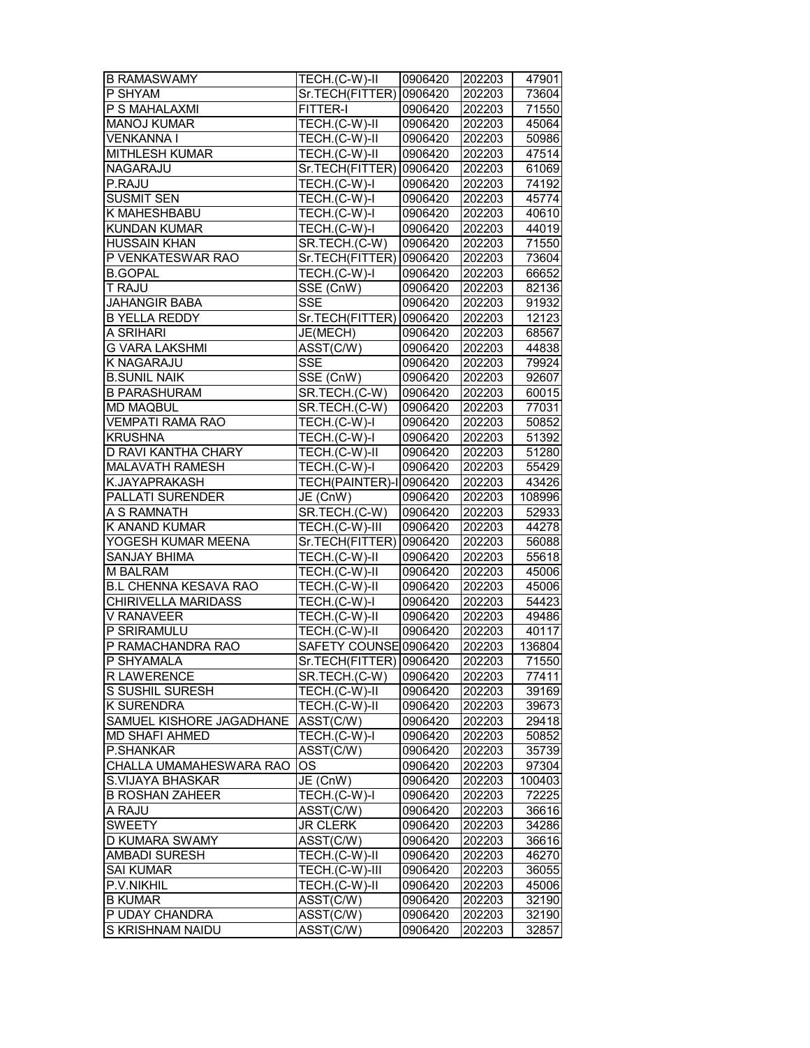| <b>B RAMASWAMY</b>           | TECH.(C-W)-II                                                      | 0906420 | 202203 | 47901  |
|------------------------------|--------------------------------------------------------------------|---------|--------|--------|
| P SHYAM                      | Sr.TECH(FITTER) 0906420                                            |         | 202203 | 73604  |
| P S MAHALAXMI                | <b>FITTER-I</b>                                                    | 0906420 | 202203 | 71550  |
| <b>MANOJ KUMAR</b>           | TECH.(C-W)-II                                                      | 0906420 | 202203 | 45064  |
| <b>VENKANNA I</b>            | TECH.(C-W)-II                                                      | 0906420 | 202203 | 50986  |
| <b>MITHLESH KUMAR</b>        | TECH.(C-W)-II                                                      | 0906420 | 202203 | 47514  |
| <b>NAGARAJU</b>              | Sr.TECH(FITTER) 0906420                                            |         | 202203 | 61069  |
| P.RAJU                       | TECH.(C-W)-I                                                       | 0906420 | 202203 | 74192  |
| <b>SUSMIT SEN</b>            | TECH.(C-W)-I                                                       | 0906420 | 202203 | 45774  |
| K MAHESHBABU                 | TECH.(C-W)-I                                                       | 0906420 | 202203 | 40610  |
| <b>KUNDAN KUMAR</b>          | TECH.(C-W)-I                                                       | 0906420 | 202203 | 44019  |
| <b>HUSSAIN KHAN</b>          | SR.TECH.(C-W)                                                      | 0906420 | 202203 | 71550  |
| P VENKATESWAR RAO            | Sr.TECH(FITTER) 0906420                                            |         | 202203 | 73604  |
| <b>B.GOPAL</b>               | TECH.(C-W)-I                                                       | 0906420 | 202203 | 66652  |
| T RAJU                       | $SSE($ CnW)                                                        | 0906420 | 202203 | 82136  |
| <b>JAHANGIR BABA</b>         | <b>SSE</b>                                                         | 0906420 | 202203 | 91932  |
| <b>B YELLA REDDY</b>         | Sr.TECH(FITTER) 0906420                                            |         | 202203 | 12123  |
| A SRIHARI                    | JE(MECH)                                                           | 0906420 | 202203 | 68567  |
| <b>G VARA LAKSHMI</b>        | ASST(C/W)                                                          | 0906420 | 202203 | 44838  |
| K NAGARAJU                   | <b>SSE</b>                                                         | 0906420 | 202203 | 79924  |
| <b>B.SUNIL NAIK</b>          | $SSE$ (CnW)                                                        | 0906420 | 202203 | 92607  |
| <b>B PARASHURAM</b>          | SR.TECH.(C-W)                                                      | 0906420 | 202203 | 60015  |
| <b>MD MAQBUL</b>             | SR.TECH.(C-W)                                                      | 0906420 | 202203 | 77031  |
| <b>VEMPATI RAMA RAO</b>      | TECH.(C-W)-I                                                       | 0906420 | 202203 | 50852  |
| <b>KRUSHNA</b>               | TECH.(C-W)-I                                                       | 0906420 | 202203 | 51392  |
| D RAVI KANTHA CHARY          | TECH.(C-W)-II                                                      | 0906420 | 202203 | 51280  |
| MALAVATH RAMESH              | TECH.(C-W)-I                                                       | 0906420 | 202203 | 55429  |
| K.JAYAPRAKASH                | TECH(PAINTER)-I 0906420                                            |         | 202203 | 43426  |
| PALLATI SURENDER             | JE (CnW)                                                           | 0906420 | 202203 | 108996 |
| A S RAMNATH                  | SR.TECH.(C-W)                                                      | 0906420 | 202203 | 52933  |
| K ANAND KUMAR                | TECH.(C-W)-III                                                     | 0906420 | 202203 | 44278  |
| YOGESH KUMAR MEENA           | Sr.TECH(FITTER) 0906420                                            |         | 202203 | 56088  |
| <b>SANJAY BHIMA</b>          | $TECH.(C-W)-II$                                                    | 0906420 | 202203 | 55618  |
| M BALRAM                     | TECH.(C-W)-II                                                      | 0906420 | 202203 | 45006  |
| <b>B.L CHENNA KESAVA RAO</b> | TECH.(C-W)-II                                                      | 0906420 | 202203 | 45006  |
| CHIRIVELLA MARIDASS          | $\overline{\mathsf{TECH}}.(\mathsf{C\text{-}W})\text{-}\mathsf{I}$ | 0906420 | 202203 | 54423  |
| <b>V RANAVEER</b>            | TECH.(C-W)-II                                                      | 0906420 | 202203 | 49486  |
| P SRIRAMULU                  | TECH.(C-W)-II                                                      | 0906420 | 202203 | 40117  |
| P RAMACHANDRA RAO            | SAFETY COUNSE 0906420                                              |         | 202203 | 136804 |
| P SHYAMALA                   | Sr.TECH(FITTER) 0906420                                            |         | 202203 | 71550  |
|                              |                                                                    |         |        |        |
| <b>R LAWERENCE</b>           | SR.TECH.(C-W)                                                      | 0906420 | 202203 | 77411  |
| S SUSHIL SURESH              | TECH.(C-W)-II                                                      | 0906420 | 202203 | 39169  |
| K SURENDRA                   | TECH.(C-W)-II                                                      | 0906420 | 202203 | 39673  |
| SAMUEL KISHORE JAGADHANE     | ASST(C/W)                                                          | 0906420 | 202203 | 29418  |
| <b>MD SHAFI AHMED</b>        | TECH.(C-W)-I                                                       | 0906420 | 202203 | 50852  |
| P.SHANKAR                    | ASST(C/W)                                                          | 0906420 | 202203 | 35739  |
| CHALLA UMAMAHESWARA RAO      | <b>OS</b>                                                          | 0906420 | 202203 | 97304  |
| S.VIJAYA BHASKAR             | JE (CnW)                                                           | 0906420 | 202203 | 100403 |
| <b>B ROSHAN ZAHEER</b>       | TECH.(C-W)-I                                                       | 0906420 | 202203 | 72225  |
| A RAJU                       | ASST(C/W)                                                          | 0906420 | 202203 | 36616  |
| <b>SWEETY</b>                | JR CLERK                                                           | 0906420 | 202203 | 34286  |
| D KUMARA SWAMY               | ASST(C/W)                                                          | 0906420 | 202203 | 36616  |
| <b>AMBADI SURESH</b>         | TECH.(C-W)-II                                                      | 0906420 | 202203 | 46270  |
| <b>SAI KUMAR</b>             | TECH.(C-W)-III                                                     | 0906420 | 202203 | 36055  |
| P.V.NIKHIL                   | TECH.(C-W)-II                                                      | 0906420 | 202203 | 45006  |
| <b>B KUMAR</b>               | ASST(C/W)                                                          | 0906420 | 202203 | 32190  |
| P UDAY CHANDRA               | ASST(C/W)                                                          | 0906420 | 202203 | 32190  |
| S KRISHNAM NAIDU             | ASST(C/W)                                                          | 0906420 | 202203 | 32857  |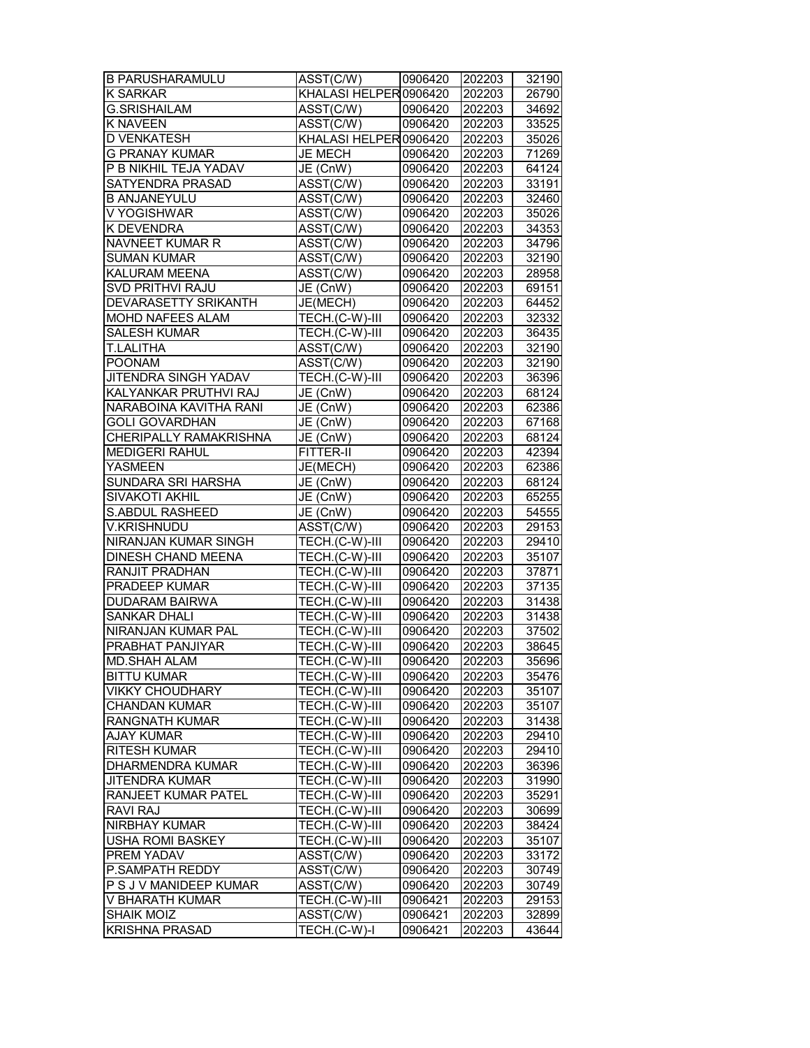| B PARUSHARAMULU             | $\overline{\text{ASST}}$ (C/W) | 0906420 | 202203 | 32190          |
|-----------------------------|--------------------------------|---------|--------|----------------|
| <b>K SARKAR</b>             | KHALASI HELPER 0906420         |         | 202203 | 26790          |
| <b>G.SRISHAILAM</b>         | ASST(C/W)                      | 0906420 | 202203 | 34692          |
| <b>K NAVEEN</b>             | ASST(C/W)                      | 0906420 | 202203 | 33525          |
| <b>D VENKATESH</b>          | KHALASI HELPER 0906420         |         | 202203 | 35026          |
| <b>G PRANAY KUMAR</b>       | <b>JE MECH</b>                 | 0906420 | 202203 | 71269          |
| P B NIKHIL TEJA YADAV       | JE (CnW)                       | 0906420 | 202203 | 64124          |
| SATYENDRA PRASAD            | ASST(C/W)                      | 0906420 | 202203 | 33191          |
| <b>B ANJANEYULU</b>         | ASST(C/W)                      | 0906420 | 202203 | 32460          |
| V YOGISHWAR                 | ASST(C/W)                      | 0906420 | 202203 | 35026          |
| K DEVENDRA                  | ASST(C/W)                      | 0906420 | 202203 | 34353          |
| NAVNEET KUMAR R             | ASST(C/W)                      | 0906420 | 202203 | 34796          |
| <b>SUMAN KUMAR</b>          | ASST(C/W)                      | 0906420 | 202203 | 32190          |
| KALURAM MEENA               | $\overline{\text{ASST}}$ (C/W) | 0906420 | 202203 | 28958          |
| SVD PRITHVI RAJU            | JE (CnW)                       | 0906420 | 202203 | 69151          |
| DEVARASETTY SRIKANTH        | JE(MECH)                       | 0906420 | 202203 | 64452          |
| MOHD NAFEES ALAM            | TECH.(C-W)-III                 | 0906420 | 202203 | 32332          |
| <b>SALESH KUMAR</b>         | TECH.(C-W)-III                 | 0906420 | 202203 |                |
| <b>T.LALITHA</b>            |                                |         |        | 36435<br>32190 |
|                             | ASST(C/W)                      | 0906420 | 202203 |                |
| <b>POONAM</b>               | ASST(C/W)                      | 0906420 | 202203 | 32190          |
| <b>JITENDRA SINGH YADAV</b> | TECH.(C-W)-III                 | 0906420 | 202203 | 36396          |
| KALYANKAR PRUTHVI RAJ       | JE (CnW)                       | 0906420 | 202203 | 68124          |
| NARABOINA KAVITHA RANI      | JE (CnW)                       | 0906420 | 202203 | 62386          |
| <b>GOLI GOVARDHAN</b>       | JE (CnW)                       | 0906420 | 202203 | 67168          |
| CHERIPALLY RAMAKRISHNA      | JE (CnW)                       | 0906420 | 202203 | 68124          |
| <b>MEDIGERI RAHUL</b>       | FITTER-II                      | 0906420 | 202203 | 42394          |
| <b>YASMEEN</b>              | JE(MECH)                       | 0906420 | 202203 | 62386          |
| SUNDARA SRI HARSHA          | JE (CnW)                       | 0906420 | 202203 | 68124          |
| SIVAKOTI AKHIL              | JE (CnW)                       | 0906420 | 202203 | 65255          |
| S.ABDUL RASHEED             | JE (CnW)                       | 0906420 | 202203 | 54555          |
| <b>V.KRISHNUDU</b>          | ASST(C/W)                      | 0906420 | 202203 | 29153          |
| NIRANJAN KUMAR SINGH        | TECH.(C-W)-III                 | 0906420 | 202203 | 29410          |
| <b>DINESH CHAND MEENA</b>   | TECH.(C-W)-III                 | 0906420 | 202203 | 35107          |
| RANJIT PRADHAN              | TECH.(C-W)-III                 | 0906420 | 202203 | 37871          |
| <b>PRADEEP KUMAR</b>        | TECH.(C-W)-III                 | 0906420 | 202203 | 37135          |
| DUDARAM BAIRWA              | TECH.(C-W)-III                 | 0906420 | 202203 | 31438          |
| <b>SANKAR DHALI</b>         | TECH.(C-W)-III                 | 0906420 | 202203 | 31438          |
| NIRANJAN KUMAR PAL          | TECH.(C-W)-III                 | 0906420 | 202203 | 37502          |
| PRABHAT PANJIYAR            | TECH.(C-W)-III                 | 0906420 | 202203 | 38645          |
| <b>MD.SHAH ALAM</b>         | TECH.(C-W)-III                 | 0906420 | 202203 | 35696          |
| <b>BITTU KUMAR</b>          | TECH.(C-W)-III                 | 0906420 | 202203 | 35476          |
| <b>VIKKY CHOUDHARY</b>      | TECH.(C-W)-III                 | 0906420 | 202203 | 35107          |
| <b>CHANDAN KUMAR</b>        | TECH.(C-W)-III                 | 0906420 | 202203 | 35107          |
| RANGNATH KUMAR              | TECH.(C-W)-III                 | 0906420 | 202203 | 31438          |
| <b>AJAY KUMAR</b>           | TECH.(C-W)-III                 | 0906420 | 202203 | 29410          |
| <b>RITESH KUMAR</b>         | TECH.(C-W)-III                 | 0906420 | 202203 | 29410          |
| DHARMENDRA KUMAR            | TECH.(C-W)-III                 | 0906420 | 202203 | 36396          |
| <b>JITENDRA KUMAR</b>       | TECH.(C-W)-III                 | 0906420 | 202203 | 31990          |
| RANJEET KUMAR PATEL         | TECH.(C-W)-III                 | 0906420 | 202203 | 35291          |
| RAVI RAJ                    | TECH.(C-W)-III                 | 0906420 | 202203 | 30699          |
| <b>NIRBHAY KUMAR</b>        | TECH.(C-W)-III                 | 0906420 | 202203 | 38424          |
| <b>USHA ROMI BASKEY</b>     | TECH.(C-W)-III                 | 0906420 | 202203 | 35107          |
|                             |                                |         |        |                |
| PREM YADAV                  | ASST(C/W)                      | 0906420 | 202203 | 33172          |
| P.SAMPATH REDDY             | ASST(C/W)                      | 0906420 | 202203 | 30749          |
| P S J V MANIDEEP KUMAR      | ASST(C/W)                      | 0906420 | 202203 | 30749          |
| V BHARATH KUMAR             | TECH.(C-W)-III                 | 0906421 | 202203 | 29153          |
| <b>SHAIK MOIZ</b>           | ASST(C/W)                      | 0906421 | 202203 | 32899          |
| <b>KRISHNA PRASAD</b>       | TECH.(C-W)-I                   | 0906421 | 202203 | 43644          |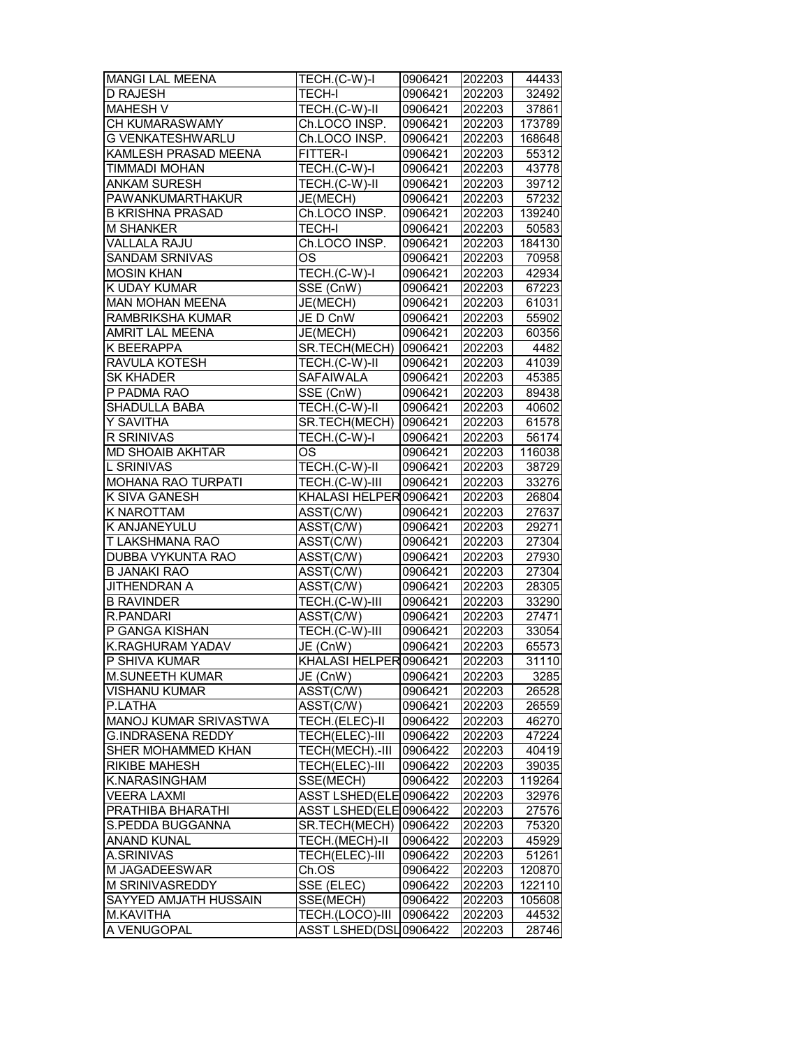| <b>MANGI LAL MEENA</b>  | TECH.(C-W)-I                   | 0906421 | 202203 | 44433  |
|-------------------------|--------------------------------|---------|--------|--------|
| <b>D RAJESH</b>         | <b>TECH-I</b>                  | 0906421 | 202203 | 32492  |
| <b>MAHESH V</b>         | TECH.(C-W)-II                  | 0906421 | 202203 | 37861  |
| CH KUMARASWAMY          | Ch.LOCO INSP.                  | 0906421 | 202203 | 173789 |
| <b>G VENKATESHWARLU</b> | Ch.LOCO INSP.                  | 0906421 | 202203 | 168648 |
| KAMLESH PRASAD MEENA    | FITTER-I                       | 0906421 | 202203 | 55312  |
| TIMMADI MOHAN           | TECH.(C-W)-I                   | 0906421 | 202203 | 43778  |
| <b>ANKAM SURESH</b>     | TECH.(C-W)-II                  | 0906421 | 202203 | 39712  |
| PAWANKUMARTHAKUR        | JE(MECH)                       | 0906421 | 202203 | 57232  |
| <b>B KRISHNA PRASAD</b> | Ch.LOCO INSP.                  | 0906421 | 202203 | 139240 |
| <b>M SHANKER</b>        | <b>TECH-I</b>                  | 0906421 | 202203 | 50583  |
| VALLALA RAJU            | Ch.LOCO INSP.                  | 0906421 | 202203 | 184130 |
| <b>SANDAM SRNIVAS</b>   | OS                             | 0906421 | 202203 | 70958  |
| <b>MOSIN KHAN</b>       | TECH.(C-W)-I                   | 0906421 | 202203 | 42934  |
| K UDAY KUMAR            | SSE (CnW)                      | 0906421 | 202203 | 67223  |
| <b>MAN MOHAN MEENA</b>  | JE(MECH)                       | 0906421 | 202203 | 61031  |
| RAMBRIKSHA KUMAR        | JE D CnW                       | 0906421 | 202203 | 55902  |
| AMRIT LAL MEENA         | JE(MECH)                       | 0906421 | 202203 | 60356  |
| K BEERAPPA              | SR.TECH(MECH)                  | 0906421 | 202203 | 4482   |
| RAVULA KOTESH           | TECH.(C-W)-II                  | 0906421 | 202203 | 41039  |
| <b>SK KHADER</b>        | <b>SAFAIWALA</b>               | 0906421 | 202203 | 45385  |
| P PADMA RAO             | SSE (CnW)                      | 0906421 | 202203 | 89438  |
| <b>SHADULLA BABA</b>    | TECH.(C-W)-II                  | 0906421 | 202203 | 40602  |
| Y SAVITHA               | SR.TECH(MECH)                  | 0906421 | 202203 | 61578  |
| R SRINIVAS              | TECH.(C-W)-I                   | 0906421 | 202203 | 56174  |
| <b>MD SHOAIB AKHTAR</b> | OS                             | 0906421 | 202203 | 116038 |
| <b>L SRINIVAS</b>       | TECH.(C-W)-II                  | 0906421 | 202203 | 38729  |
| MOHANA RAO TURPATI      | TECH.(C-W)-III                 | 0906421 | 202203 | 33276  |
| K SIVA GANESH           | KHALASI HELPER0906421          |         | 202203 | 26804  |
| K NAROTTAM              | ASST(C/W)                      | 0906421 | 202203 | 27637  |
| K ANJANEYULU            | ASST(C/W)                      | 0906421 | 202203 | 29271  |
| T LAKSHMANA RAO         | ASST(C/W)                      | 0906421 | 202203 | 27304  |
| DUBBA VYKUNTA RAO       | $\overline{\text{ASST}}$ (C/W) | 0906421 | 202203 | 27930  |
| <b>B JANAKI RAO</b>     | ASST(C/W)                      | 0906421 | 202203 | 27304  |
| <b>JITHENDRAN A</b>     | ASST(C/W)                      | 0906421 | 202203 | 28305  |
| <b>B RAVINDER</b>       | TECH.(C-W)-III                 | 0906421 | 202203 | 33290  |
| R.PANDARI               | $\overline{\text{ASST}}$ (C/W) | 0906421 | 202203 | 27471  |
| P GANGA KISHAN          | TECH.(C-W)-III                 | 0906421 | 202203 | 33054  |
| <b>K.RAGHURAM YADAV</b> | JE (CnW)                       | 0906421 | 202203 | 65573  |
| P SHIVA KUMAR           | KHALASI HELPER0906421          |         | 202203 | 31110  |
| M.SUNEETH KUMAR         | JE (CnW)                       | 0906421 | 202203 | 3285   |
| VISHANU KUMAR           | ASST(C/W)                      | 0906421 | 202203 | 26528  |
| P.LATHA                 | ASST(C/W)                      | 0906421 | 202203 | 26559  |
| MANOJ KUMAR SRIVASTWA   | TECH.(ELEC)-II                 | 0906422 | 202203 | 46270  |
| G.INDRASENA REDDY       | TECH(ELEC)-III                 | 0906422 | 202203 | 47224  |
| SHER MOHAMMED KHAN      | TECH(MECH).-III                | 0906422 | 202203 | 40419  |
| <b>RIKIBE MAHESH</b>    | <b>TECH(ELEC)-III</b>          | 0906422 | 202203 | 39035  |
| K.NARASINGHAM           | SSE(MECH)                      | 0906422 | 202203 | 119264 |
| <b>VEERA LAXMI</b>      | ASST LSHED(ELE0906422          |         | 202203 | 32976  |
| PRATHIBA BHARATHI       | ASST LSHED(ELE 0906422         |         | 202203 | 27576  |
| S.PEDDA BUGGANNA        | SR.TECH(MECH)                  | 0906422 | 202203 | 75320  |
| <b>ANAND KUNAL</b>      | TECH.(MECH)-II                 | 0906422 | 202203 | 45929  |
| A.SRINIVAS              | TECH(ELEC)-III                 | 0906422 | 202203 | 51261  |
| M JAGADEESWAR           | Ch.OS                          | 0906422 | 202203 | 120870 |
| M SRINIVASREDDY         | SSE (ELEC)                     | 0906422 | 202203 | 122110 |
| SAYYED AMJATH HUSSAIN   | SSE(MECH)                      | 0906422 | 202203 | 105608 |
| <b>M.KAVITHA</b>        | TECH.(LOCO)-III 0906422        |         | 202203 | 44532  |
| A VENUGOPAL             | ASST LSHED(DSL0906422          |         | 202203 | 28746  |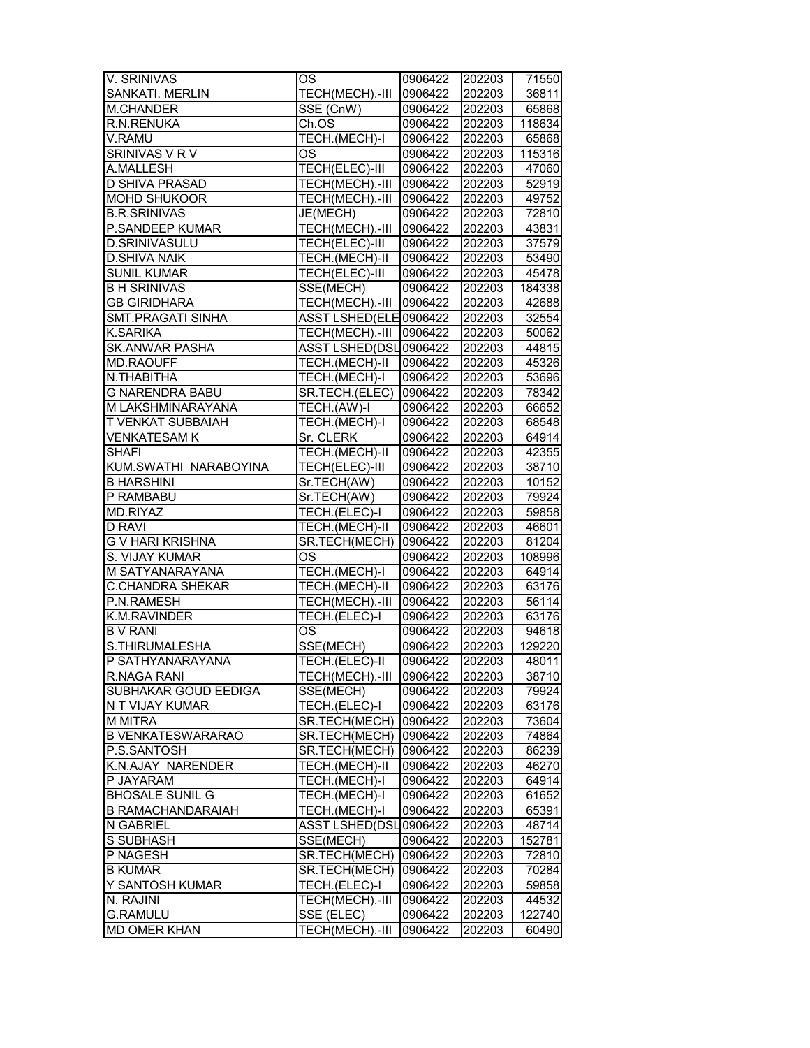| V. SRINIVAS              | OS                      | 0906422        | 202203 | 71550  |
|--------------------------|-------------------------|----------------|--------|--------|
| SANKATI. MERLIN          | TECH(MECH).-III         | 0906422        | 202203 | 36811  |
| M.CHANDER                | SSE (CnW)               | 0906422        | 202203 | 65868  |
| R.N.RENUKA               | Ch.OS                   | 0906422        | 202203 | 118634 |
| V.RAMU                   | TECH.(MECH)-I           | 0906422        | 202203 | 65868  |
| SRINIVAS V R V           | <b>OS</b>               | 0906422        | 202203 | 115316 |
| A.MALLESH                | TECH(ELEC)-III          | 0906422        | 202203 | 47060  |
| D SHIVA PRASAD           | TECH(MECH).-III 0906422 |                | 202203 | 52919  |
| <b>MOHD SHUKOOR</b>      | TECH(MECH).-III         | 0906422        | 202203 | 49752  |
| <b>B.R.SRINIVAS</b>      | JE(MECH)                | 0906422        | 202203 | 72810  |
| P.SANDEEP KUMAR          | TECH(MECH).-III         | 0906422        | 202203 | 43831  |
| <b>D.SRINIVASULU</b>     | <b>TECH(ELEC)-III</b>   | 0906422        | 202203 | 37579  |
| <b>D.SHIVA NAIK</b>      |                         | 0906422        |        |        |
|                          | TECH.(MECH)-II          |                | 202203 | 53490  |
| <b>SUNIL KUMAR</b>       | <b>TECH(ELEC)-III</b>   | 0906422        | 202203 | 45478  |
| <b>B H SRINIVAS</b>      | SSE(MECH)               | 0906422        | 202203 | 184338 |
| <b>GB GIRIDHARA</b>      | TECH(MECH).-III         | 0906422        | 202203 | 42688  |
| SMT.PRAGATI SINHA        | ASST LSHED(ELE 0906422  |                | 202203 | 32554  |
| K.SARIKA                 | TECH(MECH).-III         | 0906422        | 202203 | 50062  |
| <b>SK.ANWAR PASHA</b>    | ASST LSHED(DSL0906422   |                | 202203 | 44815  |
| <b>MD.RAOUFF</b>         | TECH.(MECH)-II          | 0906422        | 202203 | 45326  |
| N.THABITHA               | TECH.(MECH)-I           | 0906422        | 202203 | 53696  |
| <b>G NARENDRA BABU</b>   | SR.TECH.(ELEC)          | 0906422        | 202203 | 78342  |
| M LAKSHMINARAYANA        | TECH.(AW)-I             | 0906422        | 202203 | 66652  |
| <b>T VENKAT SUBBAIAH</b> | TECH.(MECH)-I           | 0906422        | 202203 | 68548  |
| <b>VENKATESAM K</b>      | Sr. CLERK               | 0906422        | 202203 | 64914  |
| <b>SHAFI</b>             | TECH.(MECH)-II          | 0906422        | 202203 | 42355  |
| KUM.SWATHI NARABOYINA    | TECH(ELEC)-III          | 0906422        | 202203 | 38710  |
| <b>B HARSHINI</b>        | Sr.TECH(AW)             | 0906422        | 202203 | 10152  |
| P RAMBABU                | Sr.TECH(AW)             | 0906422        | 202203 | 79924  |
| MD.RIYAZ                 | TECH.(ELEC)-I           | 0906422        | 202203 | 59858  |
| <b>D RAVI</b>            | TECH.(MECH)-II          | 0906422        | 202203 | 46601  |
| <b>G V HARI KRISHNA</b>  | SR.TECH(MECH)           | 0906422        | 202203 | 81204  |
| S. VIJAY KUMAR           | OS                      | 0906422        | 202203 | 108996 |
| M SATYANARAYANA          | TECH.(MECH)-I           | 0906422        | 202203 | 64914  |
| C.CHANDRA SHEKAR         | TECH.(MECH)-II          | 0906422        |        | 63176  |
| P.N.RAMESH               |                         |                | 202203 |        |
|                          | TECH(MECH).-III         | 0906422        | 202203 | 56114  |
| K.M.RAVINDER             | <b>TECH.(ELEC)-I</b>    | 0906422        | 202203 | 63176  |
| <b>B V RANI</b>          | OS                      | 0906422        | 202203 | 94618  |
| S.THIRUMALESHA           | SSE(MECH)               | 0906422        | 202203 | 129220 |
| P SATHYANARAYANA         | TECH.(ELEC)-II          | 0906422        | 202203 | 48011  |
| R.NAGA RANI              | TECH(MECH).-III 0906422 |                | 202203 | 38710  |
| SUBHAKAR GOUD EEDIGA     | SSE(MECH)               | 0906422        | 202203 | 79924  |
| N T VIJAY KUMAR          | TECH.(ELEC)-I           | 0906422        | 202203 | 63176  |
| M MITRA                  | SR.TECH(MECH)   0906422 |                | 202203 | 73604  |
| <b>B VENKATESWARARAO</b> | SR.TECH(MECH)   0906422 |                | 202203 | 74864  |
| P.S.SANTOSH              | SR.TECH(MECH) 0906422   |                | 202203 | 86239  |
| K.N.AJAY NARENDER        | TECH.(MECH)-II          | 0906422        | 202203 | 46270  |
| P JAYARAM                | TECH.(MECH)-I           | 0906422        | 202203 | 64914  |
| <b>BHOSALE SUNIL G</b>   | TECH.(MECH)-I           | 0906422        | 202203 | 61652  |
| <b>B RAMACHANDARAIAH</b> | TECH.(MECH)-I           | 0906422        | 202203 | 65391  |
| N GABRIEL                | ASST LSHED(DSL0906422   |                | 202203 | 48714  |
| S SUBHASH                | SSE(MECH)               | 0906422        | 202203 | 152781 |
| P NAGESH                 | SR.TECH(MECH) 0906422   |                | 202203 | 72810  |
| <b>B KUMAR</b>           | SR.TECH(MECH) 0906422   |                | 202203 | 70284  |
| Y SANTOSH KUMAR          | TECH.(ELEC)-I           | 0906422        | 202203 | 59858  |
| N. RAJINI                | TECH(MECH).-III 0906422 |                | 202203 | 44532  |
| <b>G.RAMULU</b>          | SSE (ELEC)              | 0906422 202203 |        | 122740 |
| <b>MD OMER KHAN</b>      | TECH(MECH).-III 0906422 |                | 202203 | 60490  |
|                          |                         |                |        |        |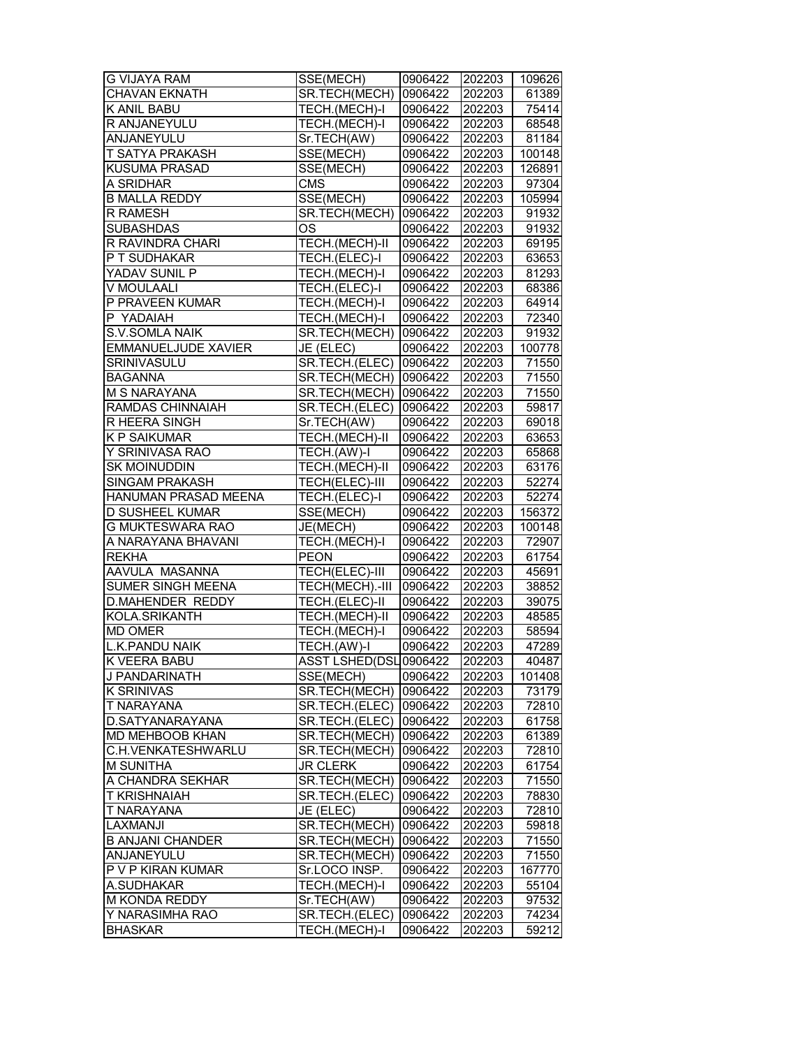| <b>G VIJAYA RAM</b>                   | SSE(MECH)                        | 0906422            | 202203 | 109626          |
|---------------------------------------|----------------------------------|--------------------|--------|-----------------|
| <b>CHAVAN EKNATH</b>                  | SR.TECH(MECH)                    | 0906422            | 202203 | 61389           |
| K ANIL BABU                           | TECH.(MECH)-I                    | 0906422            | 202203 | 75414           |
| R ANJANEYULU                          | TECH.(MECH)-I                    | 0906422            | 202203 | 68548           |
| ANJANEYULU                            | Sr.TECH(AW)                      | 0906422            | 202203 | 81184           |
| T SATYA PRAKASH                       | SSE(MECH)                        | 0906422            | 202203 | 100148          |
| <b>KUSUMA PRASAD</b>                  | SSE(MECH)                        | 0906422            | 202203 | 126891          |
| A SRIDHAR                             | <b>CMS</b>                       | 0906422            | 202203 | 97304           |
| <b>B MALLA REDDY</b>                  | SSE(MECH)                        | 0906422            | 202203 | 105994          |
| R RAMESH                              | SR.TECH(MECH)                    | 0906422            | 202203 | 91932           |
| <b>SUBASHDAS</b>                      | OS                               | 0906422            | 202203 | 91932           |
| R RAVINDRA CHARI                      | TECH.(MECH)-II                   | 0906422            | 202203 | 69195           |
| P T SUDHAKAR                          | TECH.(ELEC)-I                    | 0906422            | 202203 | 63653           |
| YADAV SUNIL P                         | TECH.(MECH)-I                    | 0906422            | 202203 | 81293           |
| V MOULAALI                            | TECH.(ELEC)-I                    | 0906422            | 202203 | 68386           |
| P PRAVEEN KUMAR                       | TECH.(MECH)-I                    | 0906422            | 202203 | 64914           |
| P YADAIAH                             | TECH.(MECH)-I                    | 0906422            | 202203 | 72340           |
| S.V.SOMLA NAIK                        | SR.TECH(MECH)                    | 0906422            | 202203 | 91932           |
| <b>EMMANUELJUDE XAVIER</b>            | JE (ELEC)                        | 0906422            | 202203 | 100778          |
| SRINIVASULU                           | SR.TECH.(ELEC) 0906422           |                    | 202203 | 71550           |
| <b>BAGANNA</b>                        | SR.TECH(MECH) 0906422            |                    | 202203 | 71550           |
| <b>M S NARAYANA</b>                   | SR.TECH(MECH) 0906422            |                    | 202203 | 71550           |
| <b>RAMDAS CHINNAIAH</b>               | SR.TECH.(ELEC)                   | 0906422            | 202203 | 59817           |
| <b>R HEERA SINGH</b>                  | Sr.TECH(AW)                      | 0906422            | 202203 | 69018           |
| <b>K P SAIKUMAR</b>                   | TECH.(MECH)-II                   | 0906422            | 202203 | 63653           |
| Y SRINIVASA RAO                       | TECH.(AW)-I                      | 0906422            | 202203 | 65868           |
| <b>SK MOINUDDIN</b>                   | TECH.(MECH)-II                   | 0906422            | 202203 | 63176           |
| SINGAM PRAKASH                        | TECH(ELEC)-III                   | 0906422            | 202203 | 52274           |
| HANUMAN PRASAD MEENA                  | TECH.(ELEC)-I                    | 0906422            | 202203 | 52274           |
| <b>D SUSHEEL KUMAR</b>                | SSE(MECH)                        | 0906422            | 202203 | 156372          |
| G MUKTESWARA RAO                      | JE(MECH)                         | 0906422            | 202203 | 100148          |
| A NARAYANA BHAVANI                    | TECH.(MECH)-I                    | 0906422            | 202203 | 72907           |
| REKHA                                 | <b>PEON</b>                      | 0906422            | 202203 | 61754           |
| AAVULA MASANNA                        | TECH(ELEC)-III                   | 0906422            | 202203 | 45691           |
| SUMER SINGH MEENA                     | TECH(MECH).-III                  | 0906422            | 202203 | 38852           |
| <b>D.MAHENDER REDDY</b>               | TECH.(ELEC)-II                   | 0906422            | 202203 | 39075           |
| KOLA.SRIKANTH                         | <b>TECH.(MECH)-II</b>            | 0906422            | 202203 | 48585           |
| <b>MD OMER</b>                        | TECH.(MECH)-I                    | 0906422            | 202203 | 58594           |
| <b>L.K.PANDU NAIK</b>                 | TECH.(AW)-I                      | 0906422            | 202203 | 47289           |
| K VEERA BABU                          | ASST LSHED(DSL 0906422           |                    | 202203 | 40487           |
|                                       |                                  |                    |        |                 |
| J PANDARINATH<br>K SRINIVAS           | SSE(MECH)                        | 0906422<br>0906422 | 202203 | 101408<br>73179 |
|                                       | SR.TECH(MECH)                    |                    | 202203 |                 |
| T NARAYANA<br>D.SATYANARAYANA         | SR.TECH.(ELEC)<br>SR.TECH.(ELEC) | 0906422<br>0906422 | 202203 | 72810<br>61758  |
|                                       | SR.TECH(MECH)                    |                    | 202203 |                 |
| MD MEHBOOB KHAN<br>C.H.VENKATESHWARLU | SR.TECH(MECH)                    | 0906422<br>0906422 | 202203 | 61389           |
|                                       |                                  |                    | 202203 | 72810           |
| <b>M SUNITHA</b>                      | <b>JR CLERK</b>                  | 0906422            | 202203 | 61754           |
| A CHANDRA SEKHAR                      | SR.TECH(MECH)                    | 0906422            | 202203 | 71550           |
| <b>T KRISHNAIAH</b>                   | SR.TECH.(ELEC)                   | 0906422            | 202203 | 78830           |
| T NARAYANA                            | JE (ELEC)                        | 0906422            | 202203 | 72810           |
| <b>LAXMANJI</b>                       | SR.TECH(MECH)                    | 0906422            | 202203 | 59818           |
| <b>B ANJANI CHANDER</b>               | SR.TECH(MECH)                    | 0906422            | 202203 | 71550           |
| ANJANEYULU                            | SR.TECH(MECH)                    | 0906422            | 202203 | 71550           |
| P V P KIRAN KUMAR                     | Sr.LOCO INSP.                    | 0906422            | 202203 | 167770          |
| A.SUDHAKAR                            | TECH.(MECH)-I                    | 0906422            | 202203 | 55104           |
| M KONDA REDDY                         | Sr.TECH(AW)                      | 0906422            | 202203 | 97532           |
| Y NARASIMHA RAO<br><b>BHASKAR</b>     | SR.TECH.(ELEC)  0906422          |                    | 202203 | 74234           |
|                                       | TECH.(MECH)-I                    | 0906422            | 202203 | 59212           |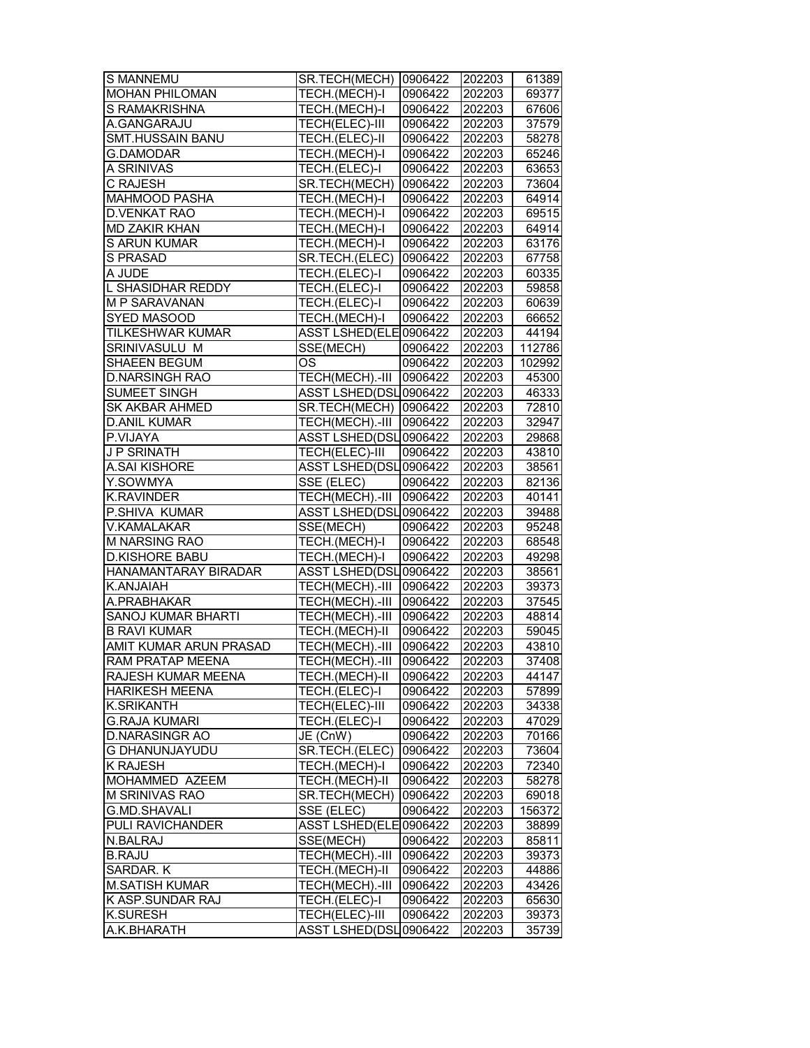| S MANNEMU                 | SR.TECH(MECH) 0906422    |         | 202203 | 61389  |
|---------------------------|--------------------------|---------|--------|--------|
| <b>MOHAN PHILOMAN</b>     | TECH.(MECH)-I            | 0906422 | 202203 | 69377  |
| S RAMAKRISHNA             | TECH.(MECH)-I            | 0906422 | 202203 | 67606  |
| A.GANGARAJU               | TECH(ELEC)-III           | 0906422 | 202203 | 37579  |
| SMT.HUSSAIN BANU          | TECH.(ELEC)-II           | 0906422 | 202203 | 58278  |
| <b>G.DAMODAR</b>          | TECH.(MECH)-I            | 0906422 | 202203 | 65246  |
| A SRINIVAS                | TECH.(ELEC)-I            | 0906422 | 202203 | 63653  |
| <b>C RAJESH</b>           | SR.TECH(MECH)            | 0906422 | 202203 | 73604  |
| <b>MAHMOOD PASHA</b>      | TECH.(MECH)-I            | 0906422 | 202203 | 64914  |
| <b>D.VENKAT RAO</b>       | TECH.(MECH)-I            | 0906422 | 202203 | 69515  |
| <b>MD ZAKIR KHAN</b>      | TECH.(MECH)-I            | 0906422 | 202203 | 64914  |
| <b>S ARUN KUMAR</b>       | TECH.(MECH)-I            | 0906422 | 202203 | 63176  |
| S PRASAD                  | SR.TECH.(ELEC)           | 0906422 | 202203 | 67758  |
| A JUDE                    | TECH.(ELEC)-I            | 0906422 | 202203 | 60335  |
| L SHASIDHAR REDDY         | TECH.(ELEC)-I            | 0906422 | 202203 | 59858  |
| M P SARAVANAN             | TECH.(ELEC)-I            | 0906422 | 202203 | 60639  |
| SYED MASOOD               | TECH.(MECH)-I            | 0906422 | 202203 | 66652  |
| TILKESHWAR KUMAR          | ASST LSHED(ELE0906422    |         | 202203 | 44194  |
| SRINIVASULU M             | SSE(MECH)                | 0906422 | 202203 | 112786 |
| SHAEEN BEGUM              | <b>OS</b>                | 0906422 | 202203 | 102992 |
| <b>D.NARSINGH RAO</b>     | TECH(MECH).-III 0906422  |         | 202203 | 45300  |
| <b>SUMEET SINGH</b>       | ASST LSHED(DSL0906422    |         | 202203 | 46333  |
|                           |                          |         |        |        |
| <b>SK AKBAR AHMED</b>     | SR.TECH(MECH) 0906422    |         | 202203 | 72810  |
| <b>D.ANIL KUMAR</b>       | TECH(MECH).-III 0906422  |         | 202203 | 32947  |
| P.VIJAYA                  | ASST LSHED(DSL0906422    |         | 202203 | 29868  |
| <b>J P SRINATH</b>        | <b>TECH(ELEC)-III</b>    | 0906422 | 202203 | 43810  |
| A.SAI KISHORE             | ASST LSHED(DSL0906422    |         | 202203 | 38561  |
| Y.SOWMYA                  | SSE (ELEC)               | 0906422 | 202203 | 82136  |
| <b>K.RAVINDER</b>         | TECH(MECH).-III          | 0906422 | 202203 | 40141  |
| P.SHIVA KUMAR             | ASST LSHED(DSL0906422    |         | 202203 | 39488  |
| V.KAMALAKAR               | SSE(MECH)                | 0906422 | 202203 | 95248  |
| <b>M NARSING RAO</b>      | TECH.(MECH)-I            | 0906422 | 202203 | 68548  |
| D.KISHORE BABU            | TECH.(MECH)-I            | 0906422 | 202203 | 49298  |
| HANAMANTARAY BIRADAR      | ASST LSHED(DSL0906422    |         | 202203 | 38561  |
| K.ANJAIAH                 | TECH(MECH).-III 0906422  |         | 202203 | 39373  |
| A.PRABHAKAR               | TECH(MECH).-III 0906422  |         | 202203 | 37545  |
| <b>SANOJ KUMAR BHARTI</b> | TECH(MECH).-III 0906422  |         | 202203 | 48814  |
| <b>B RAVI KUMAR</b>       | TECH.(MECH)-II           | 0906422 | 202203 | 59045  |
| AMIT KUMAR ARUN PRASAD    | TECH(MECH).-III 0906422  |         | 202203 | 43810  |
| <b>RAM PRATAP MEENA</b>   | TECH(MECH).-III  0906422 |         | 202203 | 37408  |
| RAJESH KUMAR MEENA        | TECH.(MECH)-II           | 0906422 | 202203 | 44147  |
| <b>HARIKESH MEENA</b>     | TECH.(ELEC)-I            | 0906422 | 202203 | 57899  |
| <b>K.SRIKANTH</b>         | TECH(ELEC)-III           | 0906422 | 202203 | 34338  |
| <b>G.RAJA KUMARI</b>      | TECH.(ELEC)-I            | 0906422 | 202203 | 47029  |
| <b>D.NARASINGR AO</b>     | JE (CnW)                 | 0906422 | 202203 | 70166  |
| <b>G DHANUNJAYUDU</b>     | SR.TECH.(ELEC)           | 0906422 | 202203 | 73604  |
| <b>K RAJESH</b>           | TECH.(MECH)-I            | 0906422 | 202203 | 72340  |
| MOHAMMED AZEEM            | TECH.(MECH)-II           | 0906422 | 202203 | 58278  |
| M SRINIVAS RAO            | SR.TECH(MECH)   0906422  |         | 202203 | 69018  |
| <b>G.MD.SHAVALI</b>       | SSE (ELEC)               | 0906422 | 202203 | 156372 |
| PULI RAVICHANDER          | ASST LSHED(ELE 0906422   |         | 202203 | 38899  |
| N.BALRAJ                  | SSE(MECH)                | 0906422 | 202203 | 85811  |
| <b>B.RAJU</b>             | TECH(MECH).-III          | 0906422 | 202203 | 39373  |
| SARDAR. K                 | TECH.(MECH)-II           | 0906422 | 202203 | 44886  |
| <b>M.SATISH KUMAR</b>     | TECH(MECH).-III          | 0906422 | 202203 | 43426  |
|                           |                          |         |        |        |
| K ASP.SUNDAR RAJ          | TECH.(ELEC)-I            | 0906422 | 202203 | 65630  |
| <b>K.SURESH</b>           | TECH(ELEC)-III           | 0906422 | 202203 | 39373  |
| A.K.BHARATH               | ASST LSHED(DSL0906422    |         | 202203 | 35739  |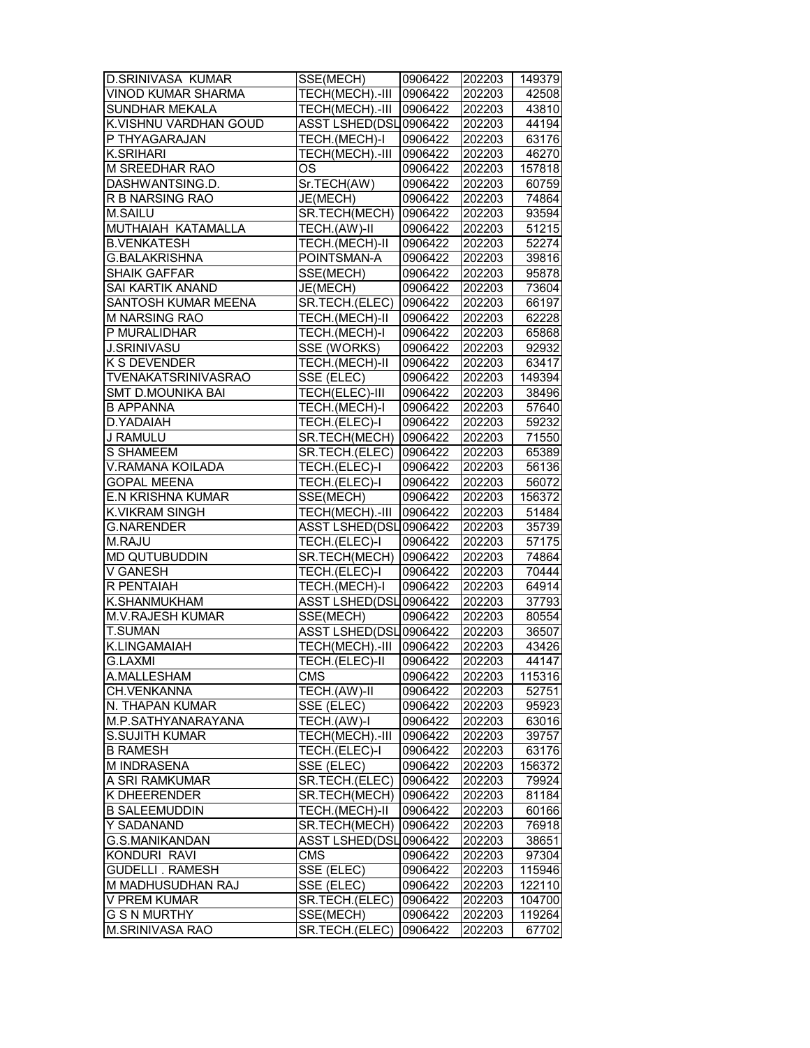| <b>D.SRINIVASA KUMAR</b>   | SSE(MECH)                | 0906422 | 202203 | 149379 |
|----------------------------|--------------------------|---------|--------|--------|
| <b>VINOD KUMAR SHARMA</b>  | TECH(MECH).-III          | 0906422 | 202203 | 42508  |
| SUNDHAR MEKALA             | TECH(MECH).-III          | 0906422 | 202203 | 43810  |
| K.VISHNU VARDHAN GOUD      | ASST LSHED(DSL0906422    |         | 202203 | 44194  |
| P THYAGARAJAN              | TECH.(MECH)-I            | 0906422 | 202203 | 63176  |
| <b>K.SRIHARI</b>           | TECH(MECH).-III          | 0906422 | 202203 | 46270  |
| M SREEDHAR RAO             | OS                       | 0906422 | 202203 | 157818 |
| DASHWANTSING.D.            | Sr.TECH(AW)              | 0906422 | 202203 | 60759  |
| R B NARSING RAO            | JE(MECH)                 | 0906422 | 202203 | 74864  |
| M.SAILU                    | SR.TECH(MECH)            | 0906422 | 202203 | 93594  |
| MUTHAIAH KATAMALLA         | TECH.(AW)-II             | 0906422 | 202203 | 51215  |
| <b>B.VENKATESH</b>         | TECH.(MECH)-II           | 0906422 | 202203 | 52274  |
| <b>G.BALAKRISHNA</b>       | POINTSMAN-A              | 0906422 | 202203 | 39816  |
| <b>SHAIK GAFFAR</b>        | SSE(MECH)                | 0906422 | 202203 | 95878  |
| SAI KARTIK ANAND           | JE(MECH)                 | 0906422 | 202203 | 73604  |
| SANTOSH KUMAR MEENA        | SR.TECH.(ELEC)           | 0906422 | 202203 | 66197  |
| M NARSING RAO              | TECH.(MECH)-II           | 0906422 | 202203 | 62228  |
| P MURALIDHAR               | TECH.(MECH)-I            | 0906422 | 202203 | 65868  |
| <b>J.SRINIVASU</b>         | SSE (WORKS)              | 0906422 | 202203 | 92932  |
| K S DEVENDER               | TECH.(MECH)-II           | 0906422 | 202203 | 63417  |
| <b>TVENAKATSRINIVASRAO</b> | SSE (ELEC)               | 0906422 | 202203 | 149394 |
| <b>SMT D.MOUNIKA BAI</b>   | <b>TECH(ELEC)-III</b>    | 0906422 | 202203 | 38496  |
| <b>B APPANNA</b>           | TECH.(MECH)-I            | 0906422 | 202203 | 57640  |
| D.YADAIAH                  | TECH.(ELEC)-I            | 0906422 | 202203 | 59232  |
| J RAMULU                   | SR.TECH(MECH)  0906422   |         | 202203 | 71550  |
| <b>S SHAMEEM</b>           | SR.TECH.(ELEC)           | 0906422 | 202203 | 65389  |
| <b>V.RAMANA KOILADA</b>    | TECH.(ELEC)-I            | 0906422 | 202203 | 56136  |
| <b>GOPAL MEENA</b>         | TECH.(ELEC)-I            | 0906422 | 202203 | 56072  |
| <b>E.N KRISHNA KUMAR</b>   | SSE(MECH)                | 0906422 | 202203 | 156372 |
| K.VIKRAM SINGH             | TECH(MECH).-III          | 0906422 | 202203 | 51484  |
| <b>G.NARENDER</b>          | ASST LSHED(DSL0906422    |         | 202203 | 35739  |
| M.RAJU                     | TECH.(ELEC)-I            | 0906422 | 202203 | 57175  |
| MD QUTUBUDDIN              | SR.TECH(MECH)            | 0906422 | 202203 | 74864  |
| V GANESH                   | TECH.(ELEC)-I            | 0906422 | 202203 | 70444  |
| R PENTAIAH                 | TECH.(MECH)-I            | 0906422 | 202203 | 64914  |
| <b>K.SHANMUKHAM</b>        | ASST LSHED(DSL0906422    |         | 202203 | 37793  |
| <b>M.V.RAJESH KUMAR</b>    | SSE(MECH)                | 0906422 | 202203 | 80554  |
| <b>T.SUMAN</b>             | ASST LSHED(DSL0906422    |         | 202203 | 36507  |
| K.LINGAMAIAH               | TECH(MECH).-III          | 0906422 | 202203 | 43426  |
| <b>G.LAXMI</b>             | TECH.(ELEC)-II           | 0906422 | 202203 | 44147  |
| A.MALLESHAM                | <b>CMS</b>               | 0906422 | 202203 | 115316 |
| CH.VENKANNA                | TECH.(AW)-II             | 0906422 | 202203 | 52751  |
| N. THAPAN KUMAR            | SSE (ELEC)               | 0906422 | 202203 | 95923  |
| M.P.SATHYANARAYANA         | TECH.(AW)-I              | 0906422 | 202203 | 63016  |
| <b>S.SUJITH KUMAR</b>      | TECH(MECH).-III          | 0906422 | 202203 | 39757  |
| <b>B RAMESH</b>            | TECH.(ELEC)-I            | 0906422 | 202203 | 63176  |
| M INDRASENA                | SSE (ELEC)               | 0906422 | 202203 | 156372 |
| A SRI RAMKUMAR             | SR.TECH.(ELEC)           | 0906422 | 202203 | 79924  |
| K DHEERENDER               | SR.TECH(MECH)  0906422   |         | 202203 | 81184  |
| <b>B SALEEMUDDIN</b>       | TECH.(MECH)-II           | 0906422 | 202203 | 60166  |
| Y SADANAND                 | SR.TECH(MECH)            | 0906422 | 202203 | 76918  |
| G.S.MANIKANDAN             | ASST LSHED(DSL0906422    |         | 202203 | 38651  |
| KONDURI RAVI               | <b>CMS</b>               | 0906422 | 202203 | 97304  |
| <b>GUDELLI. RAMESH</b>     | SSE (ELEC)               | 0906422 | 202203 | 115946 |
| M MADHUSUDHAN RAJ          | SSE (ELEC)               | 0906422 | 202203 | 122110 |
| V PREM KUMAR               | SR.TECH.(ELEC)           | 0906422 | 202203 | 104700 |
| <b>G S N MURTHY</b>        | SSE(MECH)                | 0906422 | 202203 | 119264 |
| M.SRINIVASA RAO            | SR.TECH.(ELEC)   0906422 |         | 202203 | 67702  |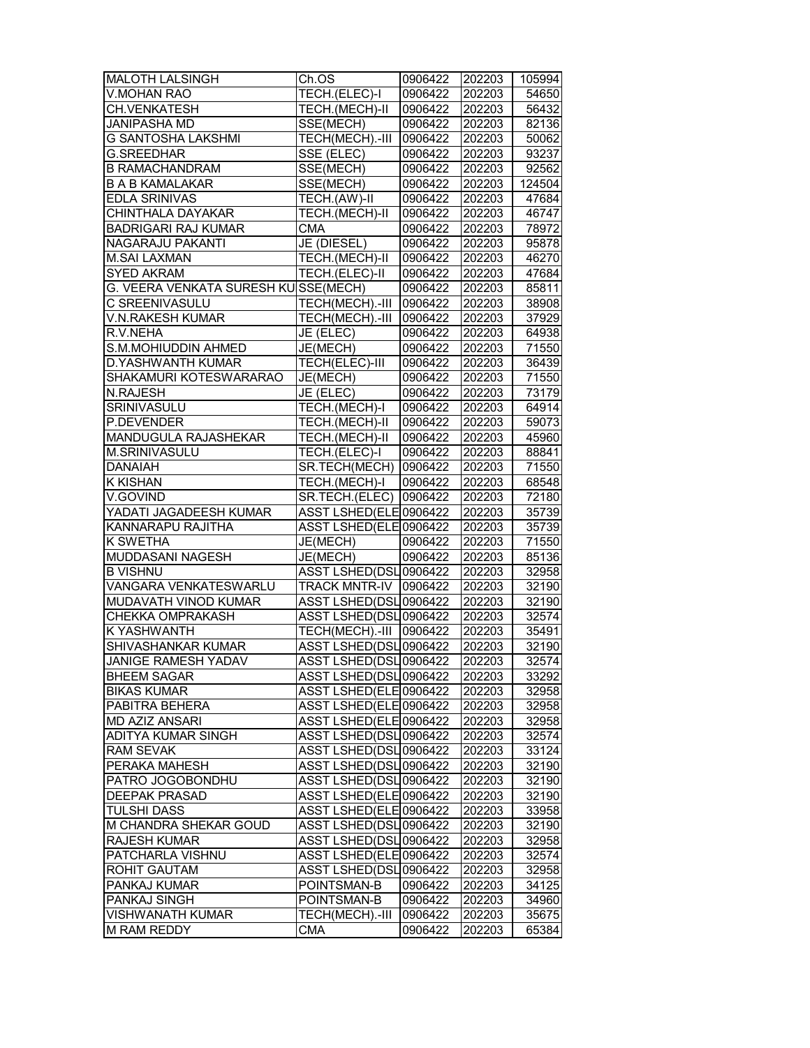| MALOTH LALSINGH                      | Ch.OS                                           | 0906422 | 202203 | 105994 |
|--------------------------------------|-------------------------------------------------|---------|--------|--------|
| <b>V.MOHAN RAO</b>                   | TECH.(ELEC)-I                                   | 0906422 | 202203 | 54650  |
| CH.VENKATESH                         | TECH.(MECH)-II                                  | 0906422 | 202203 | 56432  |
| JANIPASHA MD                         | SSE(MECH)                                       | 0906422 | 202203 | 82136  |
| G SANTOSHA LAKSHMI                   | TECH(MECH).-III                                 | 0906422 | 202203 | 50062  |
| <b>G.SREEDHAR</b>                    | SSE (ELEC)                                      | 0906422 | 202203 | 93237  |
| <b>B RAMACHANDRAM</b>                | SSE(MECH)                                       | 0906422 | 202203 | 92562  |
| <b>B A B KAMALAKAR</b>               | SSE(MECH)                                       | 0906422 | 202203 | 124504 |
| EDLA SRINIVAS                        | TECH.(AW)-II                                    | 0906422 | 202203 | 47684  |
| CHINTHALA DAYAKAR                    | TECH.(MECH)-II                                  | 0906422 | 202203 | 46747  |
| <b>BADRIGARI RAJ KUMAR</b>           | <b>CMA</b>                                      | 0906422 | 202203 | 78972  |
| NAGARAJU PAKANTI                     | JE (DIESEL)                                     | 0906422 | 202203 | 95878  |
| <b>M.SAI LAXMAN</b>                  | TECH.(MECH)-II                                  | 0906422 | 202203 | 46270  |
| <b>SYED AKRAM</b>                    | TECH.(ELEC)-II                                  | 0906422 | 202203 | 47684  |
| G. VEERA VENKATA SURESH KU SSE(MECH) |                                                 | 0906422 | 202203 | 85811  |
| C SREENIVASULU                       | TECH(MECH).-III                                 | 0906422 | 202203 | 38908  |
| V.N.RAKESH KUMAR                     | TECH(MECH).-III                                 | 0906422 | 202203 | 37929  |
|                                      |                                                 |         |        |        |
| R.V.NEHA<br>S.M.MOHIUDDIN AHMED      | JE (ELEC)                                       | 0906422 | 202203 | 64938  |
|                                      | JE(MECH)                                        | 0906422 | 202203 | 71550  |
| D.YASHWANTH KUMAR                    | TECH(ELEC)-III                                  | 0906422 | 202203 | 36439  |
| SHAKAMURI KOTESWARARAO               | JE(MECH)                                        | 0906422 | 202203 | 71550  |
| <b>N.RAJESH</b>                      | JE (ELEC)                                       | 0906422 | 202203 | 73179  |
| <b>SRINIVASULU</b>                   | TECH.(MECH)-I                                   | 0906422 | 202203 | 64914  |
| P.DEVENDER                           | TECH.(MECH)-II                                  | 0906422 | 202203 | 59073  |
| MANDUGULA RAJASHEKAR                 | TECH.(MECH)-II                                  | 0906422 | 202203 | 45960  |
| M.SRINIVASULU                        | TECH.(ELEC)-I                                   | 0906422 | 202203 | 88841  |
| <b>DANAIAH</b>                       | SR.TECH(MECH) 0906422                           |         | 202203 | 71550  |
| <b>K KISHAN</b>                      | TECH.(MECH)-I                                   | 0906422 | 202203 | 68548  |
| V.GOVIND                             | SR.TECH.(ELEC)                                  | 0906422 | 202203 | 72180  |
| YADATI JAGADEESH KUMAR               | ASST LSHED(ELE 0906422                          |         | 202203 | 35739  |
| KANNARAPU RAJITHA                    | ASST LSHED(ELE 0906422                          |         | 202203 | 35739  |
| K SWETHA                             | JE(MECH)                                        | 0906422 | 202203 | 71550  |
| MUDDASANI NAGESH                     | JE(MECH)                                        | 0906422 | 202203 | 85136  |
| <b>B VISHNU</b>                      | ASST LSHED(DSL0906422                           |         | 202203 | 32958  |
| VANGARA VENKATESWARLU                | TRACK MNTR-IV 0906422                           |         | 202203 | 32190  |
| MUDAVATH VINOD KUMAR                 | ASST LSHED(DSL0906422                           |         | 202203 | 32190  |
| CHEKKA OMPRAKASH                     | ASST LSHED(DSL0906422                           |         | 202203 | 32574  |
| <b>K YASHWANTH</b>                   | TECH(MECH).-III                                 | 0906422 | 202203 | 35491  |
| SHIVASHANKAR KUMAR                   | ASST LSHED(DSL0906422                           |         | 202203 | 32190  |
| <b>JANIGE RAMESH YADAV</b>           | ASST LSHED(DSL0906422                           |         | 202203 | 32574  |
| <b>BHEEM SAGAR</b>                   | ASST LSHED(DSL0906422                           |         | 202203 | 33292  |
| <b>BIKAS KUMAR</b>                   | ASST LSHED(ELE 0906422                          |         | 202203 | 32958  |
| PABITRA BEHERA                       | ASST LSHED(ELE 0906422                          |         | 202203 | 32958  |
| <b>MD AZIZ ANSARI</b>                | ASST LSHED(ELE0906422                           |         | 202203 | 32958  |
| ADITYA KUMAR SINGH                   | ASST LSHED(DSL0906422                           |         | 202203 | 32574  |
| <b>RAM SEVAK</b>                     | ASST LSHED(DSL0906422                           |         | 202203 | 33124  |
| PERAKA MAHESH                        | ASST LSHED(DSL0906422                           |         | 202203 | 32190  |
| PATRO JOGOBONDHU                     | ASST LSHED(DSL0906422                           |         | 202203 | 32190  |
| <b>DEEPAK PRASAD</b>                 | ASST LSHED(ELE 0906422                          |         | 202203 | 32190  |
| <b>TULSHI DASS</b>                   | ASST LSHED(ELE 0906422                          |         | 202203 | 33958  |
| M CHANDRA SHEKAR GOUD                | ASST LSHED(DSL0906422                           |         | 202203 | 32190  |
|                                      |                                                 |         |        |        |
| <b>RAJESH KUMAR</b>                  | ASST LSHED(DSL0906422<br>ASST LSHED(ELE 0906422 |         | 202203 | 32958  |
| PATCHARLA VISHNU                     |                                                 |         | 202203 | 32574  |
| ROHIT GAUTAM                         | ASST LSHED(DSL0906422                           |         | 202203 | 32958  |
| PANKAJ KUMAR                         | POINTSMAN-B                                     | 0906422 | 202203 | 34125  |
| PANKAJ SINGH                         | POINTSMAN-B                                     | 0906422 | 202203 | 34960  |
| <b>VISHWANATH KUMAR</b>              | TECH(MECH).-III  0906422                        |         | 202203 | 35675  |
| M RAM REDDY                          | CMA                                             | 0906422 | 202203 | 65384  |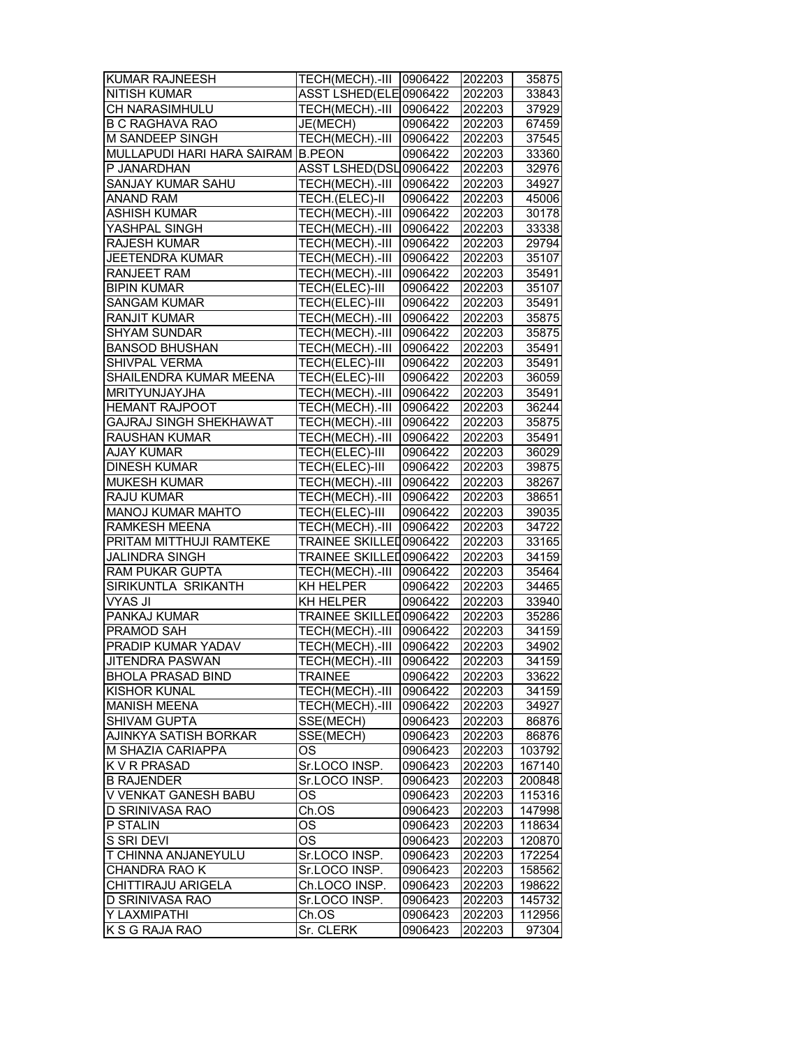| <b>KUMAR RAJNEESH</b>      | TECH(MECH).-III 0906422 |         | 202203 | 35875  |
|----------------------------|-------------------------|---------|--------|--------|
| <b>NITISH KUMAR</b>        | ASST LSHED(ELE 0906422  |         | 202203 | 33843  |
| CH NARASIMHULU             | TECH(MECH).-III         | 0906422 | 202203 | 37929  |
| <b>B C RAGHAVA RAO</b>     | JE(MECH)                | 0906422 | 202203 | 67459  |
| M SANDEEP SINGH            | TECH(MECH).-III         | 0906422 | 202203 | 37545  |
| MULLAPUDI HARI HARA SAIRAM | <b>B.PEON</b>           | 0906422 | 202203 | 33360  |
| P JANARDHAN                | ASST LSHED(DSL0906422   |         | 202203 | 32976  |
| SANJAY KUMAR SAHU          | TECH(MECH).-III         | 0906422 | 202203 | 34927  |
| ANAND RAM                  | TECH.(ELEC)-II          | 0906422 | 202203 | 45006  |
| <b>ASHISH KUMAR</b>        | TECH(MECH).-III         | 0906422 | 202203 | 30178  |
| YASHPAL SINGH              | TECH(MECH).-III         | 0906422 | 202203 | 33338  |
| <b>RAJESH KUMAR</b>        | TECH(MECH).-III         | 0906422 | 202203 | 29794  |
| <b>JEETENDRA KUMAR</b>     | TECH(MECH).-III         | 0906422 | 202203 | 35107  |
| RANJEET RAM                | TECH(MECH).-III         | 0906422 | 202203 | 35491  |
| <b>BIPIN KUMAR</b>         | TECH(ELEC)-III          | 0906422 | 202203 | 35107  |
| <b>SANGAM KUMAR</b>        | TECH(ELEC)-III          | 0906422 | 202203 | 35491  |
| <b>RANJIT KUMAR</b>        | TECH(MECH).-III         | 0906422 | 202203 | 35875  |
| <b>SHYAM SUNDAR</b>        | TECH(MECH).-III         | 0906422 |        |        |
| <b>BANSOD BHUSHAN</b>      | TECH(MECH).-III         | 0906422 | 202203 | 35875  |
|                            |                         |         | 202203 | 35491  |
| SHIVPAL VERMA              | TECH(ELEC)-III          | 0906422 | 202203 | 35491  |
| SHAILENDRA KUMAR MEENA     | <b>TECH(ELEC)-III</b>   | 0906422 | 202203 | 36059  |
| MRITYUNJAYJHA              | TECH(MECH).-III         | 0906422 | 202203 | 35491  |
| <b>HEMANT RAJPOOT</b>      | TECH(MECH).-III         | 0906422 | 202203 | 36244  |
| GAJRAJ SINGH SHEKHAWAT     | TECH(MECH).-III         | 0906422 | 202203 | 35875  |
| <b>RAUSHAN KUMAR</b>       | TECH(MECH).-III         | 0906422 | 202203 | 35491  |
| <b>AJAY KUMAR</b>          | TECH(ELEC)-III          | 0906422 | 202203 | 36029  |
| <b>DINESH KUMAR</b>        | TECH(ELEC)-III          | 0906422 | 202203 | 39875  |
| <b>MUKESH KUMAR</b>        | TECH(MECH).-III         | 0906422 | 202203 | 38267  |
| RAJU KUMAR                 | TECH(MECH).-III         | 0906422 | 202203 | 38651  |
| MANOJ KUMAR MAHTO          | TECH(ELEC)-III          | 0906422 | 202203 | 39035  |
| RAMKESH MEENA              | TECH(MECH).-III         | 0906422 | 202203 | 34722  |
| PRITAM MITTHUJI RAMTEKE    | TRAINEE SKILLED0906422  |         | 202203 | 33165  |
| <b>JALINDRA SINGH</b>      | TRAINEE SKILLED0906422  |         | 202203 | 34159  |
| RAM PUKAR GUPTA            | TECH(MECH).-III         | 0906422 | 202203 | 35464  |
| SIRIKUNTLA SRIKANTH        | KH HELPER               | 0906422 | 202203 | 34465  |
| <b>VYAS JI</b>             | KH HELPER               | 0906422 | 202203 | 33940  |
| PANKAJ KUMAR               | TRAINEE SKILLED0906422  |         | 202203 | 35286  |
| PRAMOD SAH                 | TECH(MECH).-III 0906422 |         | 202203 | 34159  |
| PRADIP KUMAR YADAV         | TECH(MECH).-III         | 0906422 | 202203 | 34902  |
| <b>JITENDRA PASWAN</b>     | TECH(MECH).-III 0906422 |         | 202203 | 34159  |
| <b>BHOLA PRASAD BIND</b>   | <b>TRAINEE</b>          | 0906422 | 202203 | 33622  |
| KISHOR KUNAL               | TECH(MECH).-III         | 0906422 | 202203 | 34159  |
| <b>MANISH MEENA</b>        | TECH(MECH).-III         | 0906422 | 202203 | 34927  |
| SHIVAM GUPTA               | SSE(MECH)               | 0906423 | 202203 | 86876  |
| AJINKYA SATISH BORKAR      | SSE(MECH)               | 0906423 | 202203 | 86876  |
| M SHAZIA CARIAPPA          | <b>OS</b>               | 0906423 | 202203 | 103792 |
| K V R PRASAD               | Sr.LOCO INSP.           | 0906423 | 202203 | 167140 |
| <b>B RAJENDER</b>          | Sr.LOCO INSP.           | 0906423 | 202203 | 200848 |
| V VENKAT GANESH BABU       | ОS                      | 0906423 | 202203 | 115316 |
| D SRINIVASA RAO            | Ch.OS                   | 0906423 | 202203 | 147998 |
| P STALIN                   | OS                      | 0906423 | 202203 | 118634 |
| S SRI DEVI                 | <b>OS</b>               | 0906423 | 202203 | 120870 |
|                            |                         |         |        |        |
| T CHINNA ANJANEYULU        | Sr.LOCO INSP.           | 0906423 | 202203 | 172254 |
| CHANDRA RAO K              | Sr.LOCO INSP.           | 0906423 | 202203 | 158562 |
| CHITTIRAJU ARIGELA         | Ch.LOCO INSP.           | 0906423 | 202203 | 198622 |
| D SRINIVASA RAO            | Sr.LOCO INSP.           | 0906423 | 202203 | 145732 |
| Y LAXMIPATHI               | Ch.OS                   | 0906423 | 202203 | 112956 |
| K S G RAJA RAO             | Sr. CLERK               | 0906423 | 202203 | 97304  |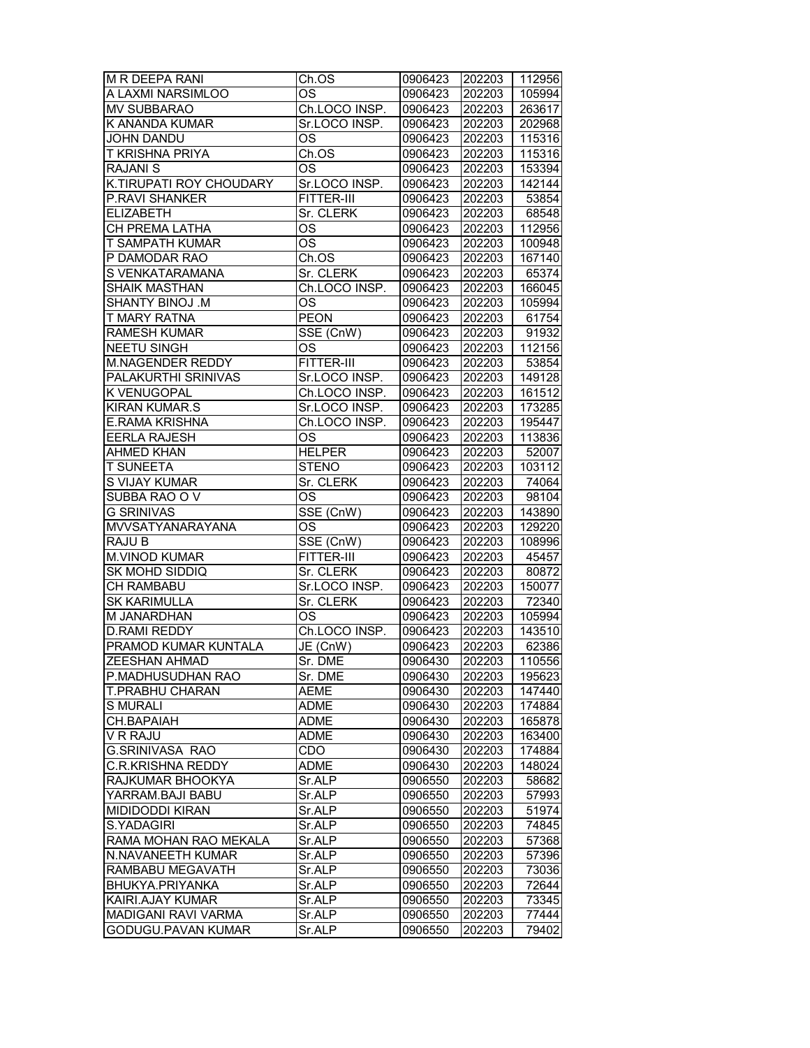| M R DEEPA RANI             | Ch.OS                         | 0906423 | 202203 | 112956 |
|----------------------------|-------------------------------|---------|--------|--------|
| A LAXMI NARSIMLOO          | OS                            | 0906423 | 202203 | 105994 |
| MV SUBBARAO                | Ch.LOCO INSP.                 | 0906423 | 202203 | 263617 |
| K ANANDA KUMAR             | Sr.LOCO INSP.                 | 0906423 | 202203 | 202968 |
| JOHN DANDU                 | OS                            | 0906423 | 202203 | 115316 |
| T KRISHNA PRIYA            | Ch.OS                         | 0906423 | 202203 | 115316 |
| <b>RAJANI S</b>            | OS                            | 0906423 | 202203 | 153394 |
| K.TIRUPATI ROY CHOUDARY    | Sr.LOCO INSP.                 | 0906423 | 202203 | 142144 |
| P.RAVI SHANKER             | FITTER-III                    | 0906423 | 202203 | 53854  |
| <b>ELIZABETH</b>           | Sr. CLERK                     | 0906423 | 202203 | 68548  |
| CH PREMA LATHA             | OS                            | 0906423 | 202203 | 112956 |
| T SAMPATH KUMAR            | OS                            | 0906423 | 202203 | 100948 |
| P DAMODAR RAO              | Ch.OS                         | 0906423 | 202203 | 167140 |
| S VENKATARAMANA            | Sr. CLERK                     | 0906423 | 202203 | 65374  |
| <b>SHAIK MASTHAN</b>       | Ch.LOCO INSP.                 | 0906423 | 202203 | 166045 |
| SHANTY BINOJ .M            | ОS                            | 0906423 | 202203 | 105994 |
| T MARY RATNA               | <b>PEON</b>                   | 0906423 | 202203 | 61754  |
| <b>RAMESH KUMAR</b>        | SSE (CnW)                     | 0906423 | 202203 | 91932  |
| <b>NEETU SINGH</b>         | OS                            | 0906423 | 202203 | 112156 |
| M.NAGENDER REDDY           | FITTER-III                    | 0906423 | 202203 | 53854  |
| PALAKURTHI SRINIVAS        | Sr.LOCO INSP.                 | 0906423 | 202203 | 149128 |
| <b>K VENUGOPAL</b>         | Ch.LOCO INSP.                 | 0906423 | 202203 | 161512 |
| <b>KIRAN KUMAR.S</b>       | Sr.LOCO INSP.                 | 0906423 | 202203 | 173285 |
| <b>E.RAMA KRISHNA</b>      | Ch.LOCO INSP.                 | 0906423 | 202203 | 195447 |
| <b>EERLA RAJESH</b>        | OS                            | 0906423 | 202203 | 113836 |
| <b>AHMED KHAN</b>          | <b>HELPER</b>                 | 0906423 | 202203 | 52007  |
| <b>T SUNEETA</b>           | <b>STENO</b>                  | 0906423 | 202203 | 103112 |
| S VIJAY KUMAR              | Sr. CLERK                     | 0906423 | 202203 | 74064  |
| SUBBA RAO OV               | <b>OS</b>                     | 0906423 | 202203 | 98104  |
| <b>G SRINIVAS</b>          | $\overline{\text{SSE}}$ (CnW) | 0906423 | 202203 | 143890 |
| <b>MVVSATYANARAYANA</b>    | OS                            | 0906423 | 202203 | 129220 |
| RAJU B                     | SSE (CnW)                     | 0906423 | 202203 | 108996 |
| <b>M.VINOD KUMAR</b>       | FITTER-III                    | 0906423 | 202203 | 45457  |
| SK MOHD SIDDIQ             | Sr. CLERK                     | 0906423 | 202203 | 80872  |
| CH RAMBABU                 | Sr.LOCO INSP.                 | 0906423 | 202203 | 150077 |
| <b>SK KARIMULLA</b>        | Sr. CLERK                     | 0906423 | 202203 | 72340  |
| M JANARDHAN                | OS                            | 0906423 | 202203 | 105994 |
| <b>D.RAMI REDDY</b>        | Ch.LOCO INSP.                 | 0906423 | 202203 | 143510 |
| PRAMOD KUMAR KUNTALA       | JE (CnW)                      | 0906423 | 202203 | 62386  |
| IZEESHAN AHMAD             | Sr. DME                       | 0906430 | 202203 | 110556 |
| P.MADHUSUDHAN RAO          | Sr. DME                       | 0906430 | 202203 | 195623 |
| T.PRABHU CHARAN            | <b>AEME</b>                   | 0906430 | 202203 | 147440 |
| <b>S MURALI</b>            | ADME                          | 0906430 | 202203 | 174884 |
| CH.BAPAIAH                 | <b>ADME</b>                   | 0906430 | 202203 | 165878 |
| V R RAJU                   | <b>ADME</b>                   | 0906430 | 202203 | 163400 |
| <b>G.SRINIVASA RAO</b>     | CDO                           | 0906430 | 202203 | 174884 |
| <b>C.R.KRISHNA REDDY</b>   | ADME                          | 0906430 | 202203 | 148024 |
| RAJKUMAR BHOOKYA           | Sr.ALP                        | 0906550 | 202203 | 58682  |
| YARRAM.BAJI BABU           | Sr.ALP                        | 0906550 | 202203 | 57993  |
| <b>MIDIDODDI KIRAN</b>     | Sr.ALP                        | 0906550 | 202203 | 51974  |
| <b>S.YADAGIRI</b>          | Sr.ALP                        | 0906550 | 202203 | 74845  |
| RAMA MOHAN RAO MEKALA      | Sr.ALP                        | 0906550 | 202203 | 57368  |
| N.NAVANEETH KUMAR          | Sr.ALP                        | 0906550 | 202203 | 57396  |
| RAMBABU MEGAVATH           | Sr.ALP                        | 0906550 | 202203 | 73036  |
| BHUKYA.PRIYANKA            | Sr.ALP                        | 0906550 | 202203 | 72644  |
| KAIRI.AJAY KUMAR           | Sr.ALP                        | 0906550 | 202203 | 73345  |
| <b>MADIGANI RAVI VARMA</b> | Sr.ALP                        | 0906550 | 202203 | 77444  |
| GODUGU.PAVAN KUMAR         | Sr.ALP                        | 0906550 | 202203 | 79402  |
|                            |                               |         |        |        |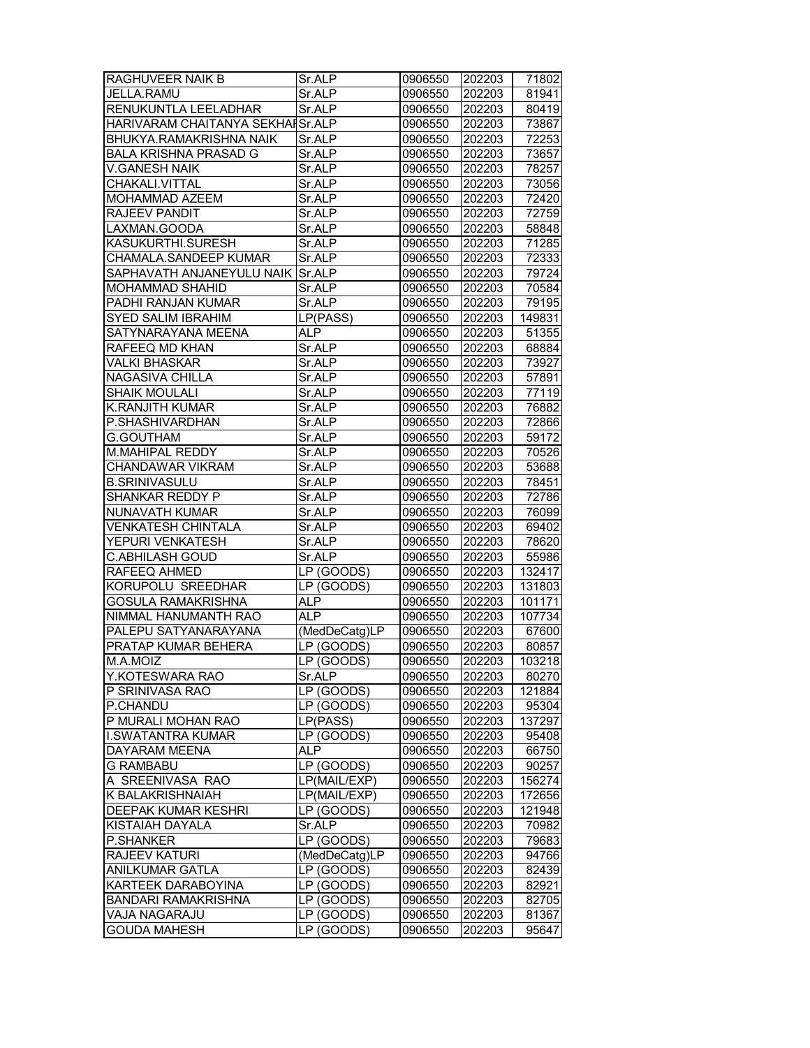| RAGHUVEER NAIK B                 | Sr.ALP        | 0906550 | 202203 | 71802             |
|----------------------------------|---------------|---------|--------|-------------------|
| JELLA.RAMU                       | Sr.ALP        | 0906550 | 202203 | 81941             |
| RENUKUNTLA LEELADHAR             | Sr.ALP        | 0906550 | 202203 | 80419             |
| HARIVARAM CHAITANYA SEKHAISr.ALP |               | 0906550 | 202203 | 73867             |
| BHUKYA.RAMAKRISHNA NAIK          | Sr.ALP        | 0906550 | 202203 | 72253             |
| <b>BALA KRISHNA PRASAD G</b>     | Sr.ALP        | 0906550 | 202203 | 73657             |
| <b>V.GANESH NAIK</b>             | Sr.ALP        | 0906550 | 202203 | 78257             |
| CHAKALI.VITTAL                   | Sr.ALP        | 0906550 | 202203 | 73056             |
| MOHAMMAD AZEEM                   | Sr.ALP        | 0906550 | 202203 | 72420             |
| <b>RAJEEV PANDIT</b>             | Sr.ALP        | 0906550 | 202203 | 72759             |
| LAXMAN.GOODA                     | Sr.ALP        | 0906550 | 202203 | 58848             |
| <b>KASUKURTHI.SURESH</b>         | Sr.ALP        | 0906550 | 202203 | $\frac{1}{71285}$ |
| CHAMALA.SANDEEP KUMAR            | Sr.ALP        | 0906550 | 202203 | 72333             |
| SAPHAVATH ANJANEYULU NAIK        | Sr.ALP        | 0906550 | 202203 | 79724             |
| MOHAMMAD SHAHID                  | Sr.ALP        | 0906550 | 202203 | 70584             |
| PADHI RANJAN KUMAR               | Sr.ALP        | 0906550 | 202203 | 79195             |
| <b>SYED SALIM IBRAHIM</b>        | LP(PASS)      | 0906550 | 202203 | 149831            |
| SATYNARAYANA MEENA               | ALP.          | 0906550 | 202203 | 51355             |
| RAFEEQ MD KHAN                   | Sr.ALP        | 0906550 | 202203 | 68884             |
| <b>VALKI BHASKAR</b>             | Sr.ALP        | 0906550 | 202203 | 73927             |
| NAGASIVA CHILLA                  | Sr.ALP        | 0906550 | 202203 | 57891             |
| <b>SHAIK MOULALI</b>             | Sr.ALP        | 0906550 | 202203 | 77119             |
| <b>K.RANJITH KUMAR</b>           | Sr.ALP        | 0906550 | 202203 | 76882             |
| P.SHASHIVARDHAN                  | Sr.ALP        | 0906550 | 202203 | 72866             |
| G.GOUTHAM                        | Sr.ALP        | 0906550 | 202203 | 59172             |
| M.MAHIPAL REDDY                  | Sr.ALP        | 0906550 | 202203 | 70526             |
| CHANDAWAR VIKRAM                 | Sr.ALP        | 0906550 | 202203 | 53688             |
| <b>B.SRINIVASULU</b>             | Sr.ALP        | 0906550 | 202203 | 78451             |
| SHANKAR REDDY P                  | Sr.ALP        | 0906550 | 202203 | 72786             |
| NUNAVATH KUMAR                   | Sr.ALP        | 0906550 | 202203 | 76099             |
| <b>VENKATESH CHINTALA</b>        | Sr.ALP        | 0906550 | 202203 | 69402             |
| YEPURI VENKATESH                 | Sr.ALP        | 0906550 | 202203 | 78620             |
| C.ABHILASH GOUD                  | Sr.ALP        | 0906550 | 202203 | 55986             |
| RAFEEQ AHMED                     | LP (GOODS)    | 0906550 | 202203 | 132417            |
| KORUPOLU SREEDHAR                | LP (GOODS)    | 0906550 | 202203 | 131803            |
| <b>GOSULA RAMAKRISHNA</b>        | <b>ALP</b>    | 0906550 | 202203 | 101171            |
| NIMMAL HANUMANTH RAO             | <b>ALP</b>    | 0906550 | 202203 | 107734            |
| PALEPU SATYANARAYANA             | (MedDeCatg)LP | 0906550 | 202203 | 67600             |
| PRATAP KUMAR BEHERA              | LP (GOODS)    | 0906550 | 202203 | 80857             |
| M.A.MOIZ                         | LP (GOODS)    | 0906550 | 202203 | 103218            |
| Y.KOTESWARA RAO                  | Sr.ALP        | 0906550 | 202203 | 80270             |
| P SRINIVASA RAO                  | LP (GOODS)    | 0906550 | 202203 | 121884            |
| P.CHANDU                         | LP (GOODS)    | 0906550 | 202203 | 95304             |
| P MURALI MOHAN RAO               | LP(PASS)      | 0906550 | 202203 | 137297            |
| II.SWATANTRA KUMAR               | LP (GOODS)    | 0906550 | 202203 | 95408             |
| <b>DAYARAM MEENA</b>             | ALP           | 0906550 | 202203 | 66750             |
| <b>G RAMBABU</b>                 | LP (GOODS)    | 0906550 | 202203 | 90257             |
| A SREENIVASA RAO                 | LP(MAIL/EXP)  | 0906550 | 202203 | 156274            |
| K BALAKRISHNAIAH                 | LP(MAIL/EXP)  | 0906550 | 202203 | 172656            |
| DEEPAK KUMAR KESHRI              | LP (GOODS)    | 0906550 | 202203 | 121948            |
| KISTAIAH DAYALA                  | Sr.ALP        | 0906550 | 202203 | 70982             |
| P.SHANKER                        | LP (GOODS)    | 0906550 | 202203 | 79683             |
| RAJEEV KATURI                    | (MedDeCatg)LP | 0906550 | 202203 | 94766             |
| ANILKUMAR GATLA                  | LP (GOODS)    | 0906550 | 202203 | 82439             |
| KARTEEK DARABOYINA               | LP (GOODS)    | 0906550 | 202203 | 82921             |
| <b>BANDARI RAMAKRISHNA</b>       | LP (GOODS)    | 0906550 | 202203 | 82705             |
| VAJA NAGARAJU                    | LP (GOODS)    | 0906550 | 202203 | 81367             |
| <b>GOUDA MAHESH</b>              | LP (GOODS)    | 0906550 | 202203 | 95647             |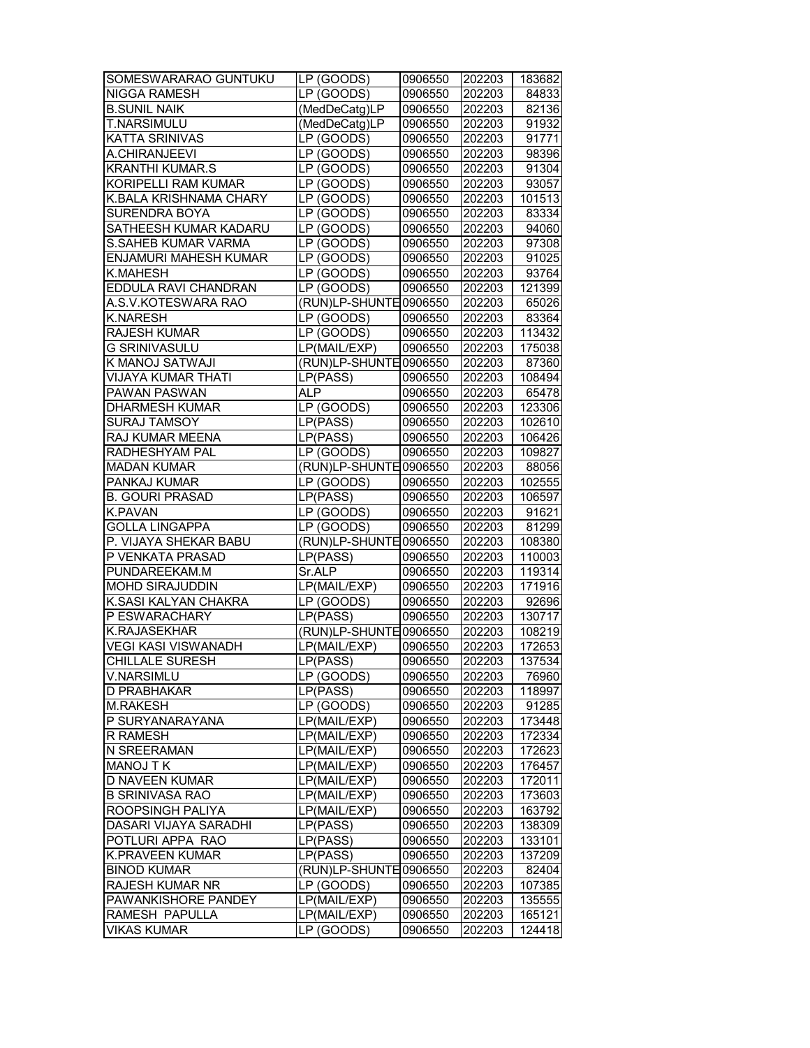| SOMESWARARAO GUNTUKU       | $\overline{\text{LP}}$ (GOODS) | 0906550 | 202203 | 183682 |
|----------------------------|--------------------------------|---------|--------|--------|
| NIGGA RAMESH               | LP (GOODS)                     | 0906550 | 202203 | 84833  |
| <b>B.SUNIL NAIK</b>        | (MedDeCatg)LP                  | 0906550 | 202203 | 82136  |
| T.NARSIMULU                | (MedDeCatg)LP                  | 0906550 | 202203 | 91932  |
| KATTA SRINIVAS             | LP (GOODS)                     | 0906550 | 202203 | 91771  |
| A.CHIRANJEEVI              | LP (GOODS)                     | 0906550 | 202203 | 98396  |
| <b>KRANTHI KUMAR.S</b>     | LP (GOODS)                     | 0906550 | 202203 | 91304  |
| KORIPELLI RAM KUMAR        | LP (GOODS)                     | 0906550 | 202203 | 93057  |
| K.BALA KRISHNAMA CHARY     | LP (GOODS)                     | 0906550 | 202203 | 101513 |
| SURENDRA BOYA              | LP (GOODS)                     | 0906550 | 202203 | 83334  |
| SATHEESH KUMAR KADARU      | LP (GOODS)                     | 0906550 | 202203 | 94060  |
| S.SAHEB KUMAR VARMA        | LP (GOODS)                     | 0906550 | 202203 | 97308  |
| ENJAMURI MAHESH KUMAR      | LP (GOODS)                     | 0906550 | 202203 | 91025  |
| K.MAHESH                   | LP (GOODS)                     | 0906550 | 202203 | 93764  |
| EDDULA RAVI CHANDRAN       |                                |         |        |        |
|                            | LP (GOODS)                     | 0906550 | 202203 | 121399 |
| A.S.V.KOTESWARA RAO        | (RUN)LP-SHUNTE 0906550         |         | 202203 | 65026  |
| K.NARESH                   | LP (GOODS)                     | 0906550 | 202203 | 83364  |
| RAJESH KUMAR               | $\overline{\text{LP}}$ (GOODS) | 0906550 | 202203 | 113432 |
| <b>G SRINIVASULU</b>       | LP(MAIL/EXP)                   | 0906550 | 202203 | 175038 |
| K MANOJ SATWAJI            | (RUN)LP-SHUNTE 0906550         |         | 202203 | 87360  |
| <b>VIJAYA KUMAR THATI</b>  | LP(PASS)                       | 0906550 | 202203 | 108494 |
| PAWAN PASWAN               | <b>ALP</b>                     | 0906550 | 202203 | 65478  |
| <b>DHARMESH KUMAR</b>      | LP (GOODS)                     | 0906550 | 202203 | 123306 |
| <b>SURAJ TAMSOY</b>        | LP(PASS)                       | 0906550 | 202203 | 102610 |
| RAJ KUMAR MEENA            | L P(PASS)                      | 0906550 | 202203 | 106426 |
| RADHESHYAM PAL             | LP (GOODS)                     | 0906550 | 202203 | 109827 |
| <b>MADAN KUMAR</b>         | (RUN)LP-SHUNTE 0906550         |         | 202203 | 88056  |
| PANKAJ KUMAR               | LP (GOODS)                     | 0906550 | 202203 | 102555 |
| <b>B. GOURI PRASAD</b>     | LP(PASS)                       | 0906550 | 202203 | 106597 |
| <b>K.PAVAN</b>             | LP (GOODS)                     | 0906550 | 202203 | 91621  |
| <b>GOLLA LINGAPPA</b>      | LP (GOODS)                     | 0906550 | 202203 | 81299  |
| P. VIJAYA SHEKAR BABU      | (RUN)LP-SHUNTE 0906550         |         | 202203 | 108380 |
| P VENKATA PRASAD           | LP(PASS)                       |         |        | 110003 |
| PUNDAREEKAM.M              |                                | 0906550 | 202203 |        |
| <b>MOHD SIRAJUDDIN</b>     | Sr.ALP                         | 0906550 | 202203 | 119314 |
|                            | LP(MAIL/EXP)                   | 0906550 | 202203 | 171916 |
| K.SASI KALYAN CHAKRA       | LP (GOODS)                     | 0906550 | 202203 | 92696  |
| P ESWARACHARY              | LP(PASS)                       | 0906550 | 202203 | 130717 |
| <b>K.RAJASEKHAR</b>        | (RUN)LP-SHUNTE 0906550         |         | 202203 | 108219 |
| <b>VEGI KASI VISWANADH</b> | LP(MAIL/EXP)                   | 0906550 | 202203 | 172653 |
| <b>CHILLALE SURESH</b>     | LP(PASS)                       | 0906550 | 202203 | 137534 |
| V.NARSIMLU                 | LP (GOODS)                     | 0906550 | 202203 | 76960  |
| D PRABHAKAR                | LP(PASS)                       | 0906550 | 202203 | 118997 |
| <b>M.RAKESH</b>            | LP (GOODS)                     | 0906550 | 202203 | 91285  |
| P SURYANARAYANA            | LP(MAIL/EXP)                   | 0906550 | 202203 | 173448 |
| R RAMESH                   | LP(MAIL/EXP)                   | 0906550 | 202203 | 172334 |
| N SREERAMAN                | LP(MAIL/EXP)                   | 0906550 | 202203 | 172623 |
| MANOJ TK                   | LP(MAIL/EXP)                   | 0906550 | 202203 | 176457 |
| D NAVEEN KUMAR             | LP(MAIL/EXP)                   | 0906550 | 202203 | 172011 |
| <b>B SRINIVASA RAO</b>     | LP(MAIL/EXP)                   | 0906550 | 202203 | 173603 |
| ROOPSINGH PALIYA           | LP(MAIL/EXP)                   | 0906550 | 202203 | 163792 |
| DASARI VIJAYA SARADHI      | LP(PASS)                       | 0906550 | 202203 | 138309 |
| POTLURI APPA RAO           | LP(PASS)                       | 0906550 | 202203 | 133101 |
| K.PRAVEEN KUMAR            | LP(PASS)                       | 0906550 | 202203 | 137209 |
| <b>BINOD KUMAR</b>         | (RUN)LP-SHUNTE 0906550         |         | 202203 | 82404  |
| RAJESH KUMAR NR            | LP (GOODS)                     | 0906550 | 202203 | 107385 |
|                            |                                |         |        |        |
| PAWANKISHORE PANDEY        | LP(MAIL/EXP)                   | 0906550 | 202203 | 135555 |
| RAMESH PAPULLA             | LP(MAIL/EXP)                   | 0906550 | 202203 | 165121 |
| VIKAS KUMAR                | LP (GOODS)                     | 0906550 | 202203 | 124418 |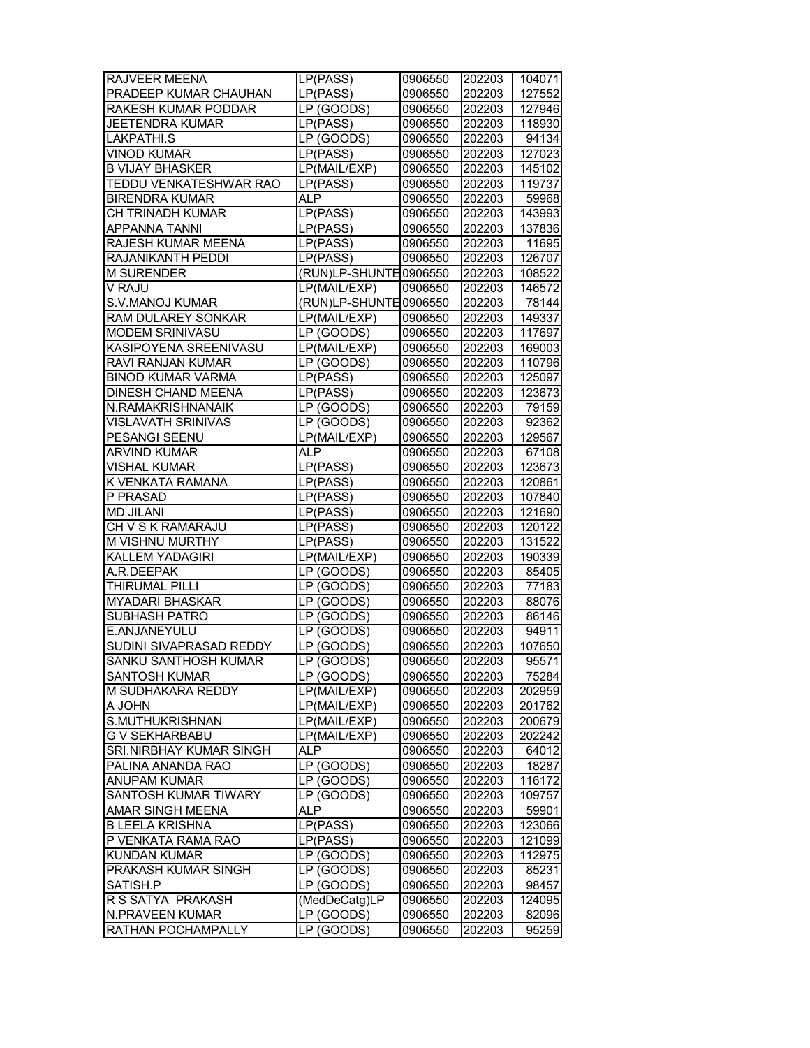| RAJVEER MEENA            | LP(PASS)                       | 0906550 | 202203 | 104071 |
|--------------------------|--------------------------------|---------|--------|--------|
| PRADEEP KUMAR CHAUHAN    | LP(PASS)                       | 0906550 | 202203 | 127552 |
| RAKESH KUMAR PODDAR      | LP (GOODS)                     | 0906550 | 202203 | 127946 |
| <b>JEETENDRA KUMAR</b>   | LP(PASS)                       | 0906550 | 202203 | 118930 |
| <b>LAKPATHI.S</b>        | LP (GOODS)                     | 0906550 | 202203 | 94134  |
| VINOD KUMAR              | LP(PASS)                       | 0906550 | 202203 | 127023 |
|                          | LP(MAIL/EXP)                   |         |        |        |
| <b>B VIJAY BHASKER</b>   |                                | 0906550 | 202203 | 145102 |
| TEDDU VENKATESHWAR RAO   | LP(PASS)                       | 0906550 | 202203 | 119737 |
| <b>BIRENDRA KUMAR</b>    | ALP                            | 0906550 | 202203 | 59968  |
| CH TRINADH KUMAR         | LP(PASS)                       | 0906550 | 202203 | 143993 |
| <b>APPANNA TANNI</b>     | LP(PASS)                       | 0906550 | 202203 | 137836 |
| RAJESH KUMAR MEENA       | LP(PASS)                       | 0906550 | 202203 | 11695  |
| RAJANIKANTH PEDDI        | LP(PASS)                       | 0906550 | 202203 | 126707 |
| <b>M SURENDER</b>        | (RUN)LP-SHUNTE 0906550         |         | 202203 | 108522 |
| V RAJU                   | LP(MAIL/EXP)                   | 0906550 | 202203 | 146572 |
| S.V.MANOJ KUMAR          | (RUN)LP-SHUNTE 0906550         |         | 202203 | 78144  |
| RAM DULAREY SONKAR       | LP(MAIL/EXP)                   | 0906550 | 202203 | 149337 |
| MODEM SRINIVASU          | LP (GOODS)                     | 0906550 | 202203 | 117697 |
| KASIPOYENA SREENIVASU    | LP(MAIL/EXP)                   | 0906550 | 202203 | 169003 |
| RAVI RANJAN KUMAR        | LP (GOODS)                     | 0906550 | 202203 | 110796 |
| <b>BINOD KUMAR VARMA</b> | LP(PASS)                       | 0906550 | 202203 | 125097 |
| DINESH CHAND MEENA       | LP(PASS)                       | 0906550 | 202203 | 123673 |
| N.RAMAKRISHNANAIK        | LP (GOODS)                     | 0906550 | 202203 | 79159  |
|                          |                                |         |        |        |
| VISLAVATH SRINIVAS       | LP (GOODS)                     | 0906550 | 202203 | 92362  |
| PESANGI SEENU            | LP(MAIL/EXP)                   | 0906550 | 202203 | 129567 |
| <b>ARVIND KUMAR</b>      | <b>ALP</b>                     | 0906550 | 202203 | 67108  |
| <b>VISHAL KUMAR</b>      | LP(PASS)                       | 0906550 | 202203 | 123673 |
| K VENKATA RAMANA         | LP(PASS)                       | 0906550 | 202203 | 120861 |
| P PRASAD                 | LP(PASS)                       | 0906550 | 202203 | 107840 |
| <b>MD JILANI</b>         | LP(PASS)                       | 0906550 | 202203 | 121690 |
| CH V S K RAMARAJU        | LP(PASS)                       | 0906550 | 202203 | 120122 |
| M VISHNU MURTHY          | LP(PASS)                       | 0906550 | 202203 | 131522 |
| KALLEM YADAGIRI          | LP(MAIL/EXP)                   | 0906550 | 202203 | 190339 |
| A.R.DEEPAK               | LP (GOODS)                     | 0906550 | 202203 | 85405  |
| THIRUMAL PILLI           | $\overline{\text{LP}}$ (GOODS) | 0906550 | 202203 | 77183  |
| <b>MYADARI BHASKAR</b>   | $\overline{\text{LP}}$ (GOODS) | 0906550 | 202203 | 88076  |
| <b>SUBHASH PATRO</b>     | LP (GOODS)                     | 0906550 | 202203 | 86146  |
| E.ANJANEYULU             | $\overline{\text{LP}}$ (GOODS) | 0906550 | 202203 | 94911  |
| SUDINI SIVAPRASAD REDDY  | LP (GOODS)                     | 0906550 | 202203 | 107650 |
| SANKU SANTHOSH KUMAR     | LP (GOODS)                     | 0906550 | 202203 | 95571  |
| <b>SANTOSH KUMAR</b>     |                                | 0906550 |        | 75284  |
|                          | LP (GOODS)                     |         | 202203 |        |
| M SUDHAKARA REDDY        | LP(MAIL/EXP)                   | 0906550 | 202203 | 202959 |
| MHOL A                   | LP(MAIL/EXP)                   | 0906550 | 202203 | 201762 |
| S.MUTHUKRISHNAN          | LP(MAIL/EXP)                   | 0906550 | 202203 | 200679 |
| <b>G V SEKHARBABU</b>    | LP(MAIL/EXP)                   | 0906550 | 202203 | 202242 |
| SRI.NIRBHAY KUMAR SINGH  | ALP                            | 0906550 | 202203 | 64012  |
| PALINA ANANDA RAO        | LP (GOODS)                     | 0906550 | 202203 | 18287  |
| ANUPAM KUMAR             | LP (GOODS)                     | 0906550 | 202203 | 116172 |
| SANTOSH KUMAR TIWARY     | LP (GOODS)                     | 0906550 | 202203 | 109757 |
| AMAR SINGH MEENA         | ALP                            | 0906550 | 202203 | 59901  |
| <b>B LEELA KRISHNA</b>   | LP(PASS)                       | 0906550 | 202203 | 123066 |
| P VENKATA RAMA RAO       | LP(PASS)                       | 0906550 | 202203 | 121099 |
| <b>KUNDAN KUMAR</b>      | LP (GOODS)                     | 0906550 | 202203 | 112975 |
| PRAKASH KUMAR SINGH      | LP (GOODS)                     | 0906550 | 202203 | 85231  |
| SATISH.P                 | LP (GOODS)                     | 0906550 | 202203 | 98457  |
| R S SATYA PRAKASH        | (MedDeCatg)LP                  |         | 202203 |        |
|                          |                                | 0906550 |        | 124095 |
| N.PRAVEEN KUMAR          | LP (GOODS)                     | 0906550 | 202203 | 82096  |
| RATHAN POCHAMPALLY       | LP (GOODS)                     | 0906550 | 202203 | 95259  |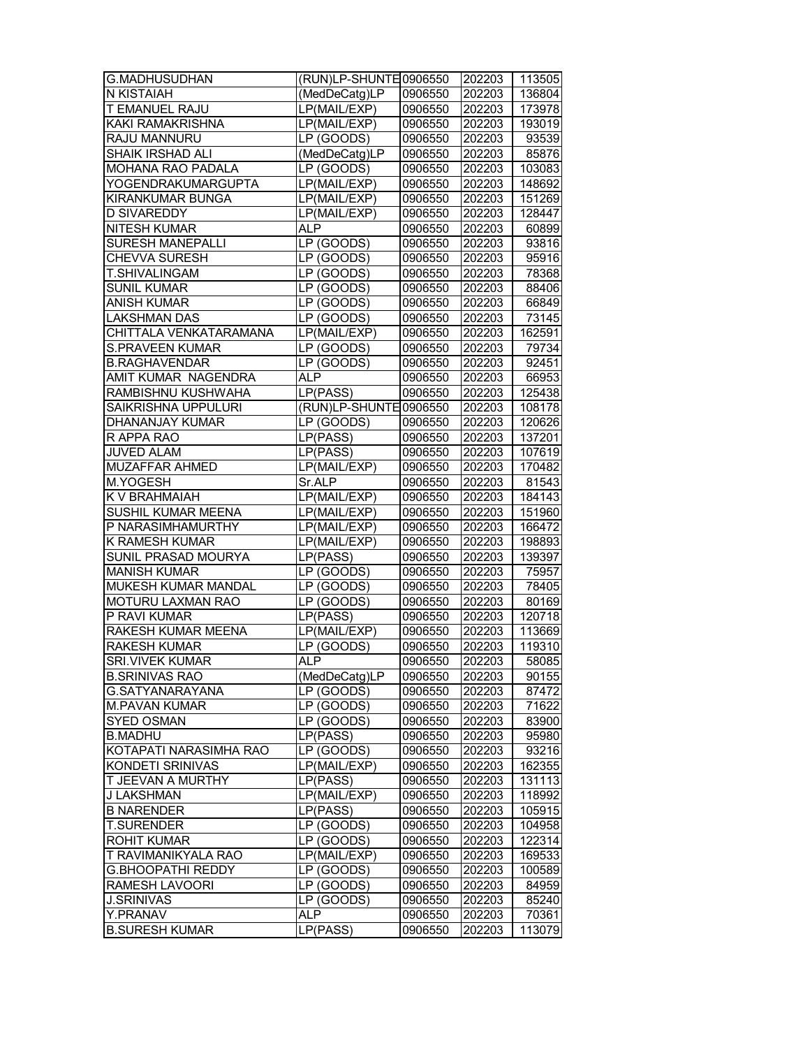| G.MADHUSUDHAN              | (RUN)LP-SHUNTE 0906550                               |         | 202203 | 113505 |
|----------------------------|------------------------------------------------------|---------|--------|--------|
| <b>N KISTAIAH</b>          | (MedDeCatg)LP                                        | 0906550 | 202203 | 136804 |
| T EMANUEL RAJU             | LP(MAIL/EXP)                                         | 0906550 | 202203 | 173978 |
| KAKI RAMAKRISHNA           | LP(MAIL/EXP)                                         | 0906550 | 202203 | 193019 |
| RAJU MANNURU               | LP (GOODS)                                           | 0906550 | 202203 | 93539  |
| SHAIK IRSHAD ALI           | (MedDeCatg)LP                                        | 0906550 | 202203 | 85876  |
| MOHANA RAO PADALA          | LP (GOODS)                                           | 0906550 | 202203 | 103083 |
| YOGENDRAKUMARGUPTA         | LP(MAIL/EXP)                                         | 0906550 | 202203 | 148692 |
| KIRANKUMAR BUNGA           | $\overline{\mathsf{LP}}(\mathsf{MAIL}/\mathsf{EXP})$ | 0906550 | 202203 | 151269 |
| <b>D SIVAREDDY</b>         | LP(MAIL/EXP)                                         | 0906550 | 202203 | 128447 |
| <b>NITESH KUMAR</b>        | <b>ALP</b>                                           | 0906550 | 202203 | 60899  |
| <b>SURESH MANEPALLI</b>    | LP (GOODS)                                           |         |        | 93816  |
| <b>CHEVVA SURESH</b>       |                                                      | 0906550 | 202203 |        |
|                            | LP (GOODS)                                           | 0906550 | 202203 | 95916  |
| T.SHIVALINGAM              | LP (GOODS)                                           | 0906550 | 202203 | 78368  |
| SUNIL KUMAR                | LP (GOODS)                                           | 0906550 | 202203 | 88406  |
| <b>ANISH KUMAR</b>         | LP (GOODS)                                           | 0906550 | 202203 | 66849  |
| LAKSHMAN DAS               | LP (GOODS)                                           | 0906550 | 202203 | 73145  |
| CHITTALA VENKATARAMANA     | LP(MAIL/EXP)                                         | 0906550 | 202203 | 162591 |
| <b>S.PRAVEEN KUMAR</b>     | LP (GOODS)                                           | 0906550 | 202203 | 79734  |
| <b>B.RAGHAVENDAR</b>       | LP(GOOD)                                             | 0906550 | 202203 | 92451  |
| AMIT KUMAR NAGENDRA        | <b>ALP</b>                                           | 0906550 | 202203 | 66953  |
| RAMBISHNU KUSHWAHA         | LP(PASS)                                             | 0906550 | 202203 | 125438 |
| <b>SAIKRISHNA UPPULURI</b> | (RUN)LP-SHUNTE 0906550                               |         | 202203 | 108178 |
| DHANANJAY KUMAR            | LP (GOODS)                                           | 0906550 | 202203 | 120626 |
| R APPA RAO                 | L P(PASS)                                            | 0906550 | 202203 | 137201 |
| <b>JUVED ALAM</b>          | LP(PASS)                                             | 0906550 | 202203 | 107619 |
| MUZAFFAR AHMED             | LP(MAIL/EXP)                                         | 0906550 | 202203 | 170482 |
| M.YOGESH                   | Sr.ALP                                               | 0906550 | 202203 | 81543  |
| K V BRAHMAIAH              | LP(MAIL/EXP)                                         | 0906550 | 202203 | 184143 |
| <b>SUSHIL KUMAR MEENA</b>  | LP(MAIL/EXP)                                         | 0906550 | 202203 | 151960 |
| P NARASIMHAMURTHY          | LP(MAIL/EXP)                                         | 0906550 | 202203 | 166472 |
| K RAMESH KUMAR             | LP(MAIL/EXP)                                         | 0906550 | 202203 | 198893 |
| SUNIL PRASAD MOURYA        | LP(PASS)                                             | 0906550 | 202203 | 139397 |
| <b>MANISH KUMAR</b>        | LP (GOODS)                                           | 0906550 | 202203 | 75957  |
| MUKESH KUMAR MANDAL        | LP (GOODS)                                           | 0906550 | 202203 | 78405  |
| MOTURU LAXMAN RAO          | $\overline{\text{LP}}$ (GOODS)                       | 0906550 | 202203 | 80169  |
| P RAVI KUMAR               | LP(PASS)                                             | 0906550 | 202203 | 120718 |
| RAKESH KUMAR MEENA         | LP(MAIL/EXP)                                         | 0906550 | 202203 | 113669 |
| <b>RAKESH KUMAR</b>        | LP(GOODS)                                            | 0906550 | 202203 | 119310 |
| <b>SRI.VIVEK KUMAR</b>     | <b>ALP</b>                                           | 0906550 | 202203 | 58085  |
| <b>B.SRINIVAS RAO</b>      | (MedDeCatg)LP                                        | 0906550 | 202203 | 90155  |
| G.SATYANARAYANA            | LP (GOODS)                                           | 0906550 | 202203 | 87472  |
| <b>M.PAVAN KUMAR</b>       | LP (GOODS)                                           | 0906550 | 202203 | 71622  |
| SYED OSMAN                 | LP (GOODS)                                           | 0906550 | 202203 | 83900  |
| <b>B.MADHU</b>             | LP(PASS)                                             | 0906550 | 202203 | 95980  |
| KOTAPATI NARASIMHA RAO     | LP (GOODS)                                           | 0906550 | 202203 | 93216  |
| <b>KONDETI SRINIVAS</b>    | LP(MAIL/EXP)                                         | 0906550 | 202203 | 162355 |
| T JEEVAN A MURTHY          | LP(PASS)                                             | 0906550 | 202203 | 131113 |
| J LAKSHMAN                 | LP(MAIL/EXP)                                         | 0906550 | 202203 | 118992 |
| <b>B NARENDER</b>          | LP(PASS)                                             | 0906550 | 202203 | 105915 |
| <b>T.SURENDER</b>          | LP (GOODS)                                           | 0906550 | 202203 | 104958 |
| <b>ROHIT KUMAR</b>         | LP (GOODS)                                           | 0906550 | 202203 | 122314 |
| T RAVIMANIKYALA RAO        | LP(MAIL/EXP)                                         | 0906550 | 202203 | 169533 |
| <b>G.BHOOPATHI REDDY</b>   | LP (GOODS)                                           | 0906550 | 202203 | 100589 |
| RAMESH LAVOORI             | LP (GOODS)                                           | 0906550 | 202203 | 84959  |
| J.SRINIVAS                 | LP (GOODS)                                           | 0906550 | 202203 | 85240  |
| Y.PRANAV                   | ALP                                                  | 0906550 | 202203 | 70361  |
| <b>B.SURESH KUMAR</b>      | LP(PASS)                                             | 0906550 | 202203 | 113079 |
|                            |                                                      |         |        |        |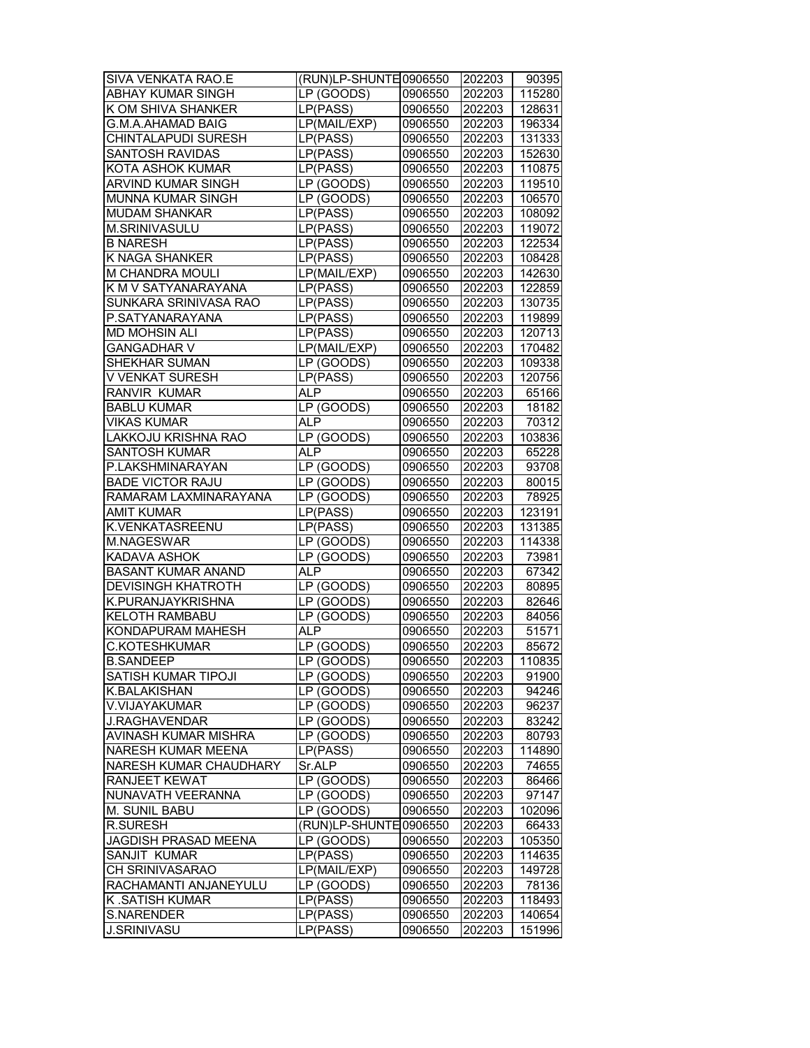| SIVA VENKATA RAO.E         | (RUN)LP-SHUNTE 0906550         |         | 202203 | 90395  |
|----------------------------|--------------------------------|---------|--------|--------|
| ABHAY KUMAR SINGH          | LP (GOODS)                     | 0906550 | 202203 | 115280 |
| K OM SHIVA SHANKER         | LP(PASS)                       | 0906550 | 202203 | 128631 |
| <b>G.M.A.AHAMAD BAIG</b>   | LP(MAIL/EXP)                   | 0906550 | 202203 | 196334 |
| CHINTALAPUDI SURESH        | LP(PASS)                       | 0906550 | 202203 | 131333 |
| <b>SANTOSH RAVIDAS</b>     | LP(PASS)                       | 0906550 | 202203 | 152630 |
| KOTA ASHOK KUMAR           | LP(PASS)                       | 0906550 | 202203 | 110875 |
| ARVIND KUMAR SINGH         | $\overline{\text{LP}}$ (GOODS) | 0906550 | 202203 | 119510 |
| MUNNA KUMAR SINGH          | LP (GOODS)                     | 0906550 | 202203 | 106570 |
| <b>MUDAM SHANKAR</b>       | LP(PASS)                       | 0906550 | 202203 | 108092 |
| M.SRINIVASULU              | LP(PASS)                       | 0906550 | 202203 | 119072 |
| <b>B NARESH</b>            | LP(PASS)                       | 0906550 | 202203 | 122534 |
| K NAGA SHANKER             | LP(PASS)                       | 0906550 | 202203 | 108428 |
| M CHANDRA MOULI            | LP(MAIL/EXP)                   | 0906550 | 202203 | 142630 |
| K M V SATYANARAYANA        | LP(PASS)                       | 0906550 | 202203 | 122859 |
| SUNKARA SRINIVASA RAO      | LP(PASS)                       | 0906550 | 202203 | 130735 |
|                            |                                |         |        |        |
| P.SATYANARAYANA            | LP(PASS)                       | 0906550 | 202203 | 119899 |
| <b>MD MOHSIN ALI</b>       | LP(PASS)                       | 0906550 | 202203 | 120713 |
| <b>GANGADHAR V</b>         | LP(MAIL/EXP)                   | 0906550 | 202203 | 170482 |
| SHEKHAR SUMAN              | LP (GOODS)                     | 0906550 | 202203 | 109338 |
| <b>V VENKAT SURESH</b>     | LP(PASS)                       | 0906550 | 202203 | 120756 |
| RANVIR KUMAR               | <b>ALP</b>                     | 0906550 | 202203 | 65166  |
| <b>BABLU KUMAR</b>         | LP (GOODS)                     | 0906550 | 202203 | 18182  |
| <b>VIKAS KUMAR</b>         | <b>ALP</b>                     | 0906550 | 202203 | 70312  |
| <b>LAKKOJU KRISHNA RAO</b> | LP (GOODS)                     | 0906550 | 202203 | 103836 |
| <b>SANTOSH KUMAR</b>       | AL <sub>P</sub>                | 0906550 | 202203 | 65228  |
| P.LAKSHMINARAYAN           | LP (GOODS)                     | 0906550 | 202203 | 93708  |
| <b>BADE VICTOR RAJU</b>    | LP (GOODS)                     | 0906550 | 202203 | 80015  |
| RAMARAM LAXMINARAYANA      | LP (GOODS)                     | 0906550 | 202203 | 78925  |
| AMIT KUMAR                 | LP(PASS)                       | 0906550 | 202203 | 123191 |
| K.VENKATASREENU            | LP(PASS)                       | 0906550 | 202203 | 131385 |
| M.NAGESWAR                 | LP (GOODS)                     | 0906550 | 202203 | 114338 |
| KADAVA ASHOK               | LP (GOODS)                     | 0906550 | 202203 | 73981  |
| <b>BASANT KUMAR ANAND</b>  | <b>ALP</b>                     | 0906550 | 202203 | 67342  |
| <b>DEVISINGH KHATROTH</b>  | LP (GOODS)                     | 0906550 | 202203 | 80895  |
| K.PURANJAYKRISHNA          | LP (GOODS)                     | 0906550 | 202203 | 82646  |
| <b>KELOTH RAMBABU</b>      | LP (GOODS)                     | 0906550 | 202203 | 84056  |
| KONDAPURAM MAHESH          | <b>ALP</b>                     | 0906550 | 202203 | 51571  |
| <b>C.KOTESHKUMAR</b>       | LP(GOODS)                      | 0906550 | 202203 | 85672  |
| <b>B.SANDEEP</b>           | LP (GOODS)                     | 0906550 | 202203 | 110835 |
| SATISH KUMAR TIPOJI        | LP (GOODS)                     | 0906550 | 202203 | 91900  |
| <b>K.BALAKISHAN</b>        | LP (GOODS)                     | 0906550 | 202203 | 94246  |
| V.VIJAYAKUMAR              | LP (GOODS)                     | 0906550 | 202203 | 96237  |
| <b>J.RAGHAVENDAR</b>       | LP (GOODS)                     | 0906550 | 202203 | 83242  |
| AVINASH KUMAR MISHRA       | LP (GOODS)                     | 0906550 | 202203 |        |
|                            |                                |         |        | 80793  |
| NARESH KUMAR MEENA         | LP(PASS)                       | 0906550 | 202203 | 114890 |
| NARESH KUMAR CHAUDHARY     | Sr.ALP                         | 0906550 | 202203 | 74655  |
| RANJEET KEWAT              | LP (GOODS)                     | 0906550 | 202203 | 86466  |
| NUNAVATH VEERANNA          | LP (GOODS)                     | 0906550 | 202203 | 97147  |
| M. SUNIL BABU              | LP (GOODS)                     | 0906550 | 202203 | 102096 |
| <b>R.SURESH</b>            | (RUN)LP-SHUNTE                 | 0906550 | 202203 | 66433  |
| JAGDISH PRASAD MEENA       | LP (GOODS)                     | 0906550 | 202203 | 105350 |
| SANJIT KUMAR               | LP(PASS)                       | 0906550 | 202203 | 114635 |
| CH SRINIVASARAO            | LP(MAIL/EXP)                   | 0906550 | 202203 | 149728 |
| RACHAMANTI ANJANEYULU      | LP (GOODS)                     | 0906550 | 202203 | 78136  |
| K .SATISH KUMAR            | LP(PASS)                       | 0906550 | 202203 | 118493 |
| S.NARENDER                 | LP(PASS)                       | 0906550 | 202203 | 140654 |
| <b>J.SRINIVASU</b>         | L P(PASS)                      | 0906550 | 202203 | 151996 |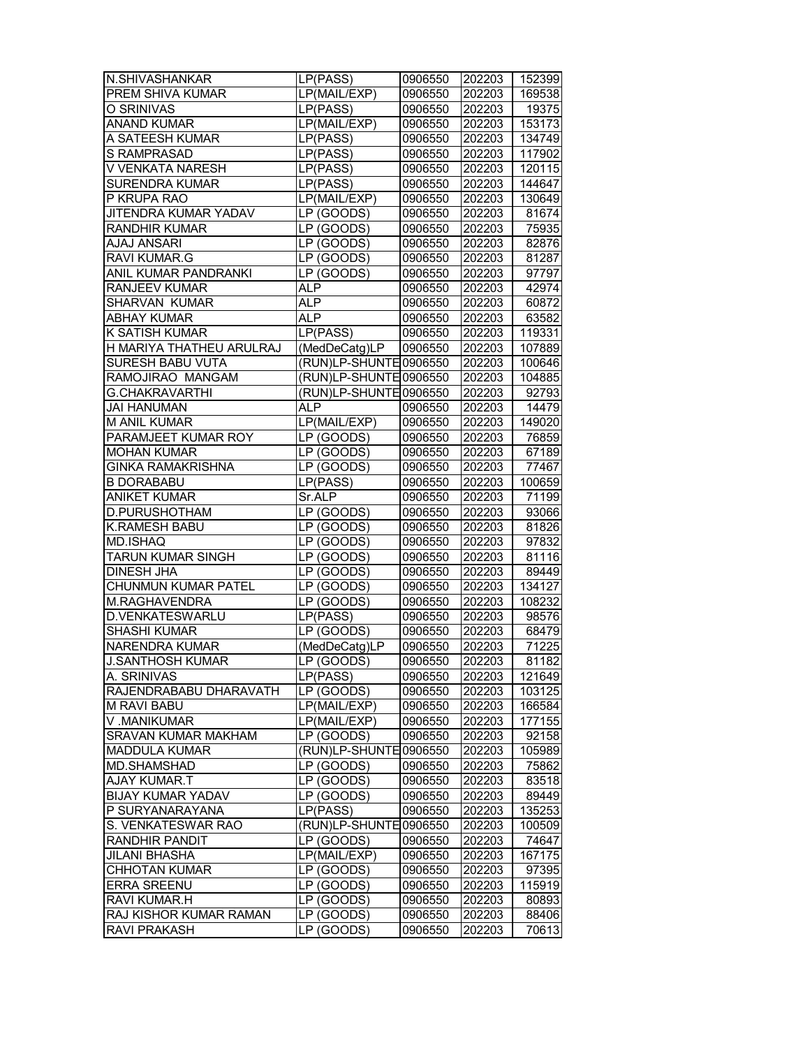| N.SHIVASHANKAR              | L P(PASS)                      | 0906550 | 202203 | 152399 |
|-----------------------------|--------------------------------|---------|--------|--------|
| PREM SHIVA KUMAR            | LP(MAIL/EXP)                   | 0906550 | 202203 | 169538 |
| O SRINIVAS                  | LP(PASS)                       | 0906550 | 202203 | 19375  |
| <b>ANAND KUMAR</b>          | LP(MAIL/EXP)                   | 0906550 | 202203 | 153173 |
| A SATEESH KUMAR             | LP(PASS)                       | 0906550 | 202203 | 134749 |
| S RAMPRASAD                 | LP(PASS)                       | 0906550 | 202203 | 117902 |
| V VENKATA NARESH            | LP(PASS)                       | 0906550 | 202203 | 120115 |
| <b>SURENDRA KUMAR</b>       | $\overline{LP}(PASS)$          | 0906550 | 202203 | 144647 |
| P KRUPA RAO                 | $L$ P(MAIL/EXP)                | 0906550 | 202203 | 130649 |
| <b>JITENDRA KUMAR YADAV</b> | LP (GOODS)                     | 0906550 | 202203 | 81674  |
| RANDHIR KUMAR               | LP (GOODS)                     | 0906550 | 202203 | 75935  |
| <b>AJAJ ANSARI</b>          | LP (GOODS)                     | 0906550 | 202203 | 82876  |
| <b>RAVI KUMAR.G</b>         | LP (GOODS)                     | 0906550 | 202203 | 81287  |
| ANIL KUMAR PANDRANKI        | LP (GOODS)                     | 0906550 | 202203 | 97797  |
| RANJEEV KUMAR               | <b>ALP</b>                     | 0906550 | 202203 | 42974  |
| SHARVAN KUMAR               | <b>ALP</b>                     | 0906550 | 202203 | 60872  |
| <b>ABHAY KUMAR</b>          | <b>ALP</b>                     | 0906550 | 202203 | 63582  |
| K SATISH KUMAR              | LP(PASS)                       | 0906550 | 202203 | 119331 |
| H MARIYA THATHEU ARULRAJ    | (MedDeCatg)LP                  | 0906550 | 202203 | 107889 |
| SURESH BABU VUTA            | (RUN)LP-SHUNTE 0906550         |         | 202203 | 100646 |
| RAMOJIRAO MANGAM            | (RUN)LP-SHUNTE 0906550         |         | 202203 | 104885 |
| <b>G.CHAKRAVARTHI</b>       | (RUN)LP-SHUNTE 0906550         |         | 202203 | 92793  |
| <b>JAI HANUMAN</b>          | <b>ALP</b>                     | 0906550 | 202203 | 14479  |
| <b>M ANIL KUMAR</b>         | LP(MAIL/EXP)                   | 0906550 | 202203 | 149020 |
| PARAMJEET KUMAR ROY         | LP (GOODS)                     | 0906550 | 202203 | 76859  |
| <b>MOHAN KUMAR</b>          | LP (GOODS)                     | 0906550 | 202203 | 67189  |
| <b>GINKA RAMAKRISHNA</b>    | LP (GOODS)                     | 0906550 | 202203 | 77467  |
| <b>B DORABABU</b>           | LP(PASS)                       | 0906550 | 202203 | 100659 |
| <b>ANIKET KUMAR</b>         | Sr.ALP                         | 0906550 | 202203 | 71199  |
| D.PURUSHOTHAM               | LP (GOODS)                     | 0906550 | 202203 | 93066  |
| K.RAMESH BABU               | LP (GOODS)                     | 0906550 | 202203 | 81826  |
| MD.ISHAQ                    | LP (GOODS)                     | 0906550 | 202203 | 97832  |
| TARUN KUMAR SINGH           | LP (GOODS)                     | 0906550 | 202203 | 81116  |
| DINESH JHA                  | LP (GOODS)                     | 0906550 | 202203 | 89449  |
| <b>CHUNMUN KUMAR PATEL</b>  | LP (GOODS)                     | 0906550 | 202203 | 134127 |
| M.RAGHAVENDRA               | $\overline{\text{LP}}$ (GOODS) | 0906550 | 202203 | 108232 |
| D.VENKATESWARLU             | LP(PASS)                       | 0906550 | 202203 | 98576  |
| <b>SHASHI KUMAR</b>         | LP (GOODS)                     | 0906550 | 202203 | 68479  |
| NARENDRA KUMAR              | (MedDeCatg)LP                  | 0906550 | 202203 | 71225  |
| <b>J.SANTHOSH KUMAR</b>     | LP (GOODS)                     | 0906550 | 202203 | 81182  |
| A. SRINIVAS                 | LP(PASS)                       | 0906550 | 202203 | 121649 |
| RAJENDRABABU DHARAVATH      | LP (GOODS)                     | 0906550 | 202203 | 103125 |
| M RAVI BABU                 | LP(MAIL/EXP)                   | 0906550 | 202203 | 166584 |
| V.MANIKUMAR                 | LP(MAIL/EXP)                   | 0906550 | 202203 | 177155 |
| <b>SRAVAN KUMAR MAKHAM</b>  | LP (GOODS)                     | 0906550 | 202203 | 92158  |
| <b>MADDULA KUMAR</b>        | (RUN)LP-SHUNTE                 | 0906550 | 202203 | 105989 |
| MD.SHAMSHAD                 | LP(GOOD)                       | 0906550 | 202203 | 75862  |
| AJAY KUMAR.T                | LP (GOODS)                     | 0906550 | 202203 | 83518  |
| <b>BIJAY KUMAR YADAV</b>    | LP (GOODS)                     | 0906550 | 202203 | 89449  |
| P SURYANARAYANA             | $\overline{LP}(PASS)$          | 0906550 | 202203 | 135253 |
| S. VENKATESWAR RAO          | (RUN)LP-SHUNTE                 | 0906550 | 202203 | 100509 |
| RANDHIR PANDIT              | LP (GOODS)                     | 0906550 | 202203 | 74647  |
| <b>JILANI BHASHA</b>        | LP(MAIL/EXP)                   | 0906550 | 202203 | 167175 |
| <b>CHHOTAN KUMAR</b>        | LP (GOODS)                     | 0906550 | 202203 | 97395  |
| <b>ERRA SREENU</b>          | LP (GOODS)                     | 0906550 | 202203 | 115919 |
| RAVI KUMAR.H                | LP (GOODS)                     | 0906550 | 202203 | 80893  |
| RAJ KISHOR KUMAR RAMAN      | LP (GOODS)                     | 0906550 | 202203 | 88406  |
| <b>RAVI PRAKASH</b>         | LP (GOODS)                     | 0906550 | 202203 | 70613  |
|                             |                                |         |        |        |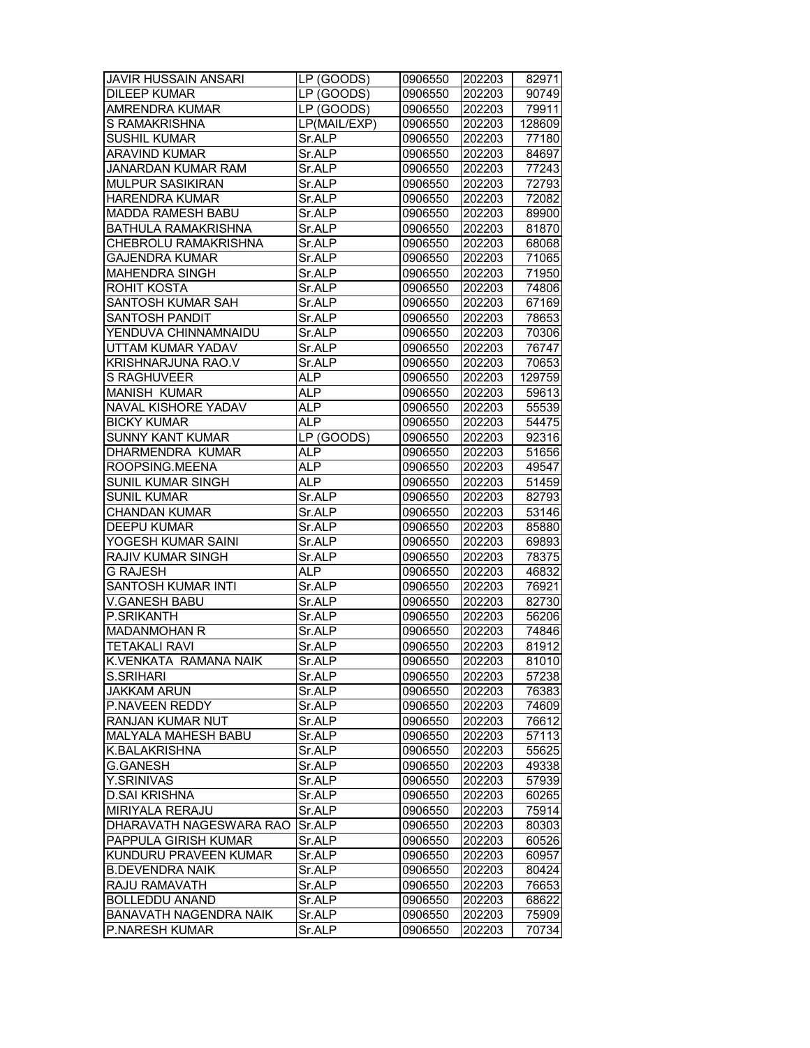| <b>JAVIR HUSSAIN ANSARI</b>   | LP (GOODS)                     | 0906550 | 202203 | 82971  |
|-------------------------------|--------------------------------|---------|--------|--------|
| <b>DILEEP KUMAR</b>           | $\overline{\text{LP}}$ (GOODS) | 0906550 | 202203 | 90749  |
| AMRENDRA KUMAR                | LP (GOODS)                     | 0906550 | 202203 | 79911  |
| S RAMAKRISHNA                 | LP(MAIL/EXP)                   | 0906550 | 202203 | 128609 |
| <b>SUSHIL KUMAR</b>           | Sr.ALP                         | 0906550 | 202203 | 77180  |
| <b>ARAVIND KUMAR</b>          | Sr.ALP                         | 0906550 | 202203 | 84697  |
| <b>JANARDAN KUMAR RAM</b>     | Sr.ALP                         | 0906550 | 202203 | 77243  |
| <b>MULPUR SASIKIRAN</b>       | Sr.ALP                         | 0906550 | 202203 | 72793  |
| <b>HARENDRA KUMAR</b>         | Sr.ALP                         | 0906550 | 202203 | 72082  |
| <b>MADDA RAMESH BABU</b>      | Sr.ALP                         | 0906550 | 202203 | 89900  |
| <b>BATHULA RAMAKRISHNA</b>    | Sr.ALP                         | 0906550 | 202203 | 81870  |
| CHEBROLU RAMAKRISHNA          | Sr.ALP                         | 0906550 | 202203 | 68068  |
| <b>GAJENDRA KUMAR</b>         | Sr.ALP                         | 0906550 | 202203 | 71065  |
| <b>MAHENDRA SINGH</b>         | Sr.ALP                         | 0906550 | 202203 | 71950  |
| ROHIT KOSTA                   | Sr.ALP                         | 0906550 | 202203 | 74806  |
| SANTOSH KUMAR SAH             | Sr.ALP                         | 0906550 | 202203 | 67169  |
| SANTOSH PANDIT                | Sr.ALP                         | 0906550 | 202203 | 78653  |
| YENDUVA CHINNAMNAIDU          | Sr.ALP                         | 0906550 | 202203 | 70306  |
| UTTAM KUMAR YADAV             | Sr.ALP                         | 0906550 | 202203 | 76747  |
| KRISHNARJUNA RAO.V            | Sr.ALP                         | 0906550 | 202203 | 70653  |
| S RAGHUVEER                   | <b>ALP</b>                     | 0906550 | 202203 | 129759 |
| <b>MANISH KUMAR</b>           | <b>ALP</b>                     | 0906550 | 202203 | 59613  |
| NAVAL KISHORE YADAV           | <b>ALP</b>                     | 0906550 | 202203 | 55539  |
| <b>BICKY KUMAR</b>            | <b>ALP</b>                     | 0906550 | 202203 | 54475  |
| <b>SUNNY KANT KUMAR</b>       | LP (GOODS)                     | 0906550 | 202203 | 92316  |
| <b>DHARMENDRA KUMAR</b>       | <b>ALP</b>                     | 0906550 | 202203 | 51656  |
| ROOPSING.MEENA                | <b>ALP</b>                     | 0906550 | 202203 | 49547  |
| SUNIL KUMAR SINGH             | <b>ALP</b>                     | 0906550 | 202203 | 51459  |
| <b>SUNIL KUMAR</b>            | Sr.ALP                         | 0906550 | 202203 | 82793  |
| <b>CHANDAN KUMAR</b>          | Sr.ALP                         | 0906550 | 202203 | 53146  |
| <b>DEEPU KUMAR</b>            | Sr.ALP                         | 0906550 | 202203 | 85880  |
| YOGESH KUMAR SAINI            | Sr.ALP                         | 0906550 | 202203 | 69893  |
| RAJIV KUMAR SINGH             | Sr.ALP                         | 0906550 | 202203 | 78375  |
| G RAJESH                      | <b>ALP</b>                     | 0906550 | 202203 | 46832  |
| <b>SANTOSH KUMAR INTI</b>     | Sr.ALP                         | 0906550 | 202203 | 76921  |
| <b>V.GANESH BABU</b>          | Sr.ALP                         | 0906550 | 202203 | 82730  |
| <b>P.SRIKANTH</b>             | Sr.ALP                         | 0906550 | 202203 | 56206  |
| <b>MADANMOHAN R</b>           | Sr.ALP                         | 0906550 | 202203 | 74846  |
| <b>TETAKALI RAVI</b>          | Sr.ALP                         | 0906550 | 202203 | 81912  |
| K.VENKATA RAMANA NAIK         | Sr.ALP                         | 0906550 | 202203 | 81010  |
| <b>S.SRIHARI</b>              | Sr.ALP                         | 0906550 | 202203 | 57238  |
| <b>JAKKAM ARUN</b>            | Sr.ALP                         | 0906550 | 202203 | 76383  |
| P.NAVEEN REDDY                | Sr.ALP                         | 0906550 | 202203 | 74609  |
| RANJAN KUMAR NUT              | Sr.ALP                         | 0906550 | 202203 | 76612  |
| MALYALA MAHESH BABU           | Sr.ALP                         | 0906550 | 202203 | 57113  |
| <b>K.BALAKRISHNA</b>          | Sr.ALP                         | 0906550 | 202203 | 55625  |
| <b>G.GANESH</b>               | Sr.ALP                         | 0906550 | 202203 | 49338  |
| Y.SRINIVAS                    | Sr.ALP                         | 0906550 | 202203 | 57939  |
| <b>D.SAI KRISHNA</b>          | Sr.ALP                         | 0906550 | 202203 | 60265  |
| MIRIYALA RERAJU               | Sr.ALP                         | 0906550 | 202203 | 75914  |
| DHARAVATH NAGESWARA RAO       | Sr.ALP                         | 0906550 | 202203 | 80303  |
| PAPPULA GIRISH KUMAR          | Sr.ALP                         | 0906550 | 202203 | 60526  |
| KUNDURU PRAVEEN KUMAR         | Sr.ALP                         | 0906550 | 202203 | 60957  |
| <b>B.DEVENDRA NAIK</b>        | Sr.ALP                         | 0906550 | 202203 | 80424  |
| RAJU RAMAVATH                 | Sr.ALP                         | 0906550 | 202203 | 76653  |
| <b>BOLLEDDU ANAND</b>         | Sr.ALP                         | 0906550 | 202203 | 68622  |
| <b>BANAVATH NAGENDRA NAIK</b> | Sr.ALP                         | 0906550 | 202203 | 75909  |
| <b>P.NARESH KUMAR</b>         | Sr.ALP                         | 0906550 | 202203 | 70734  |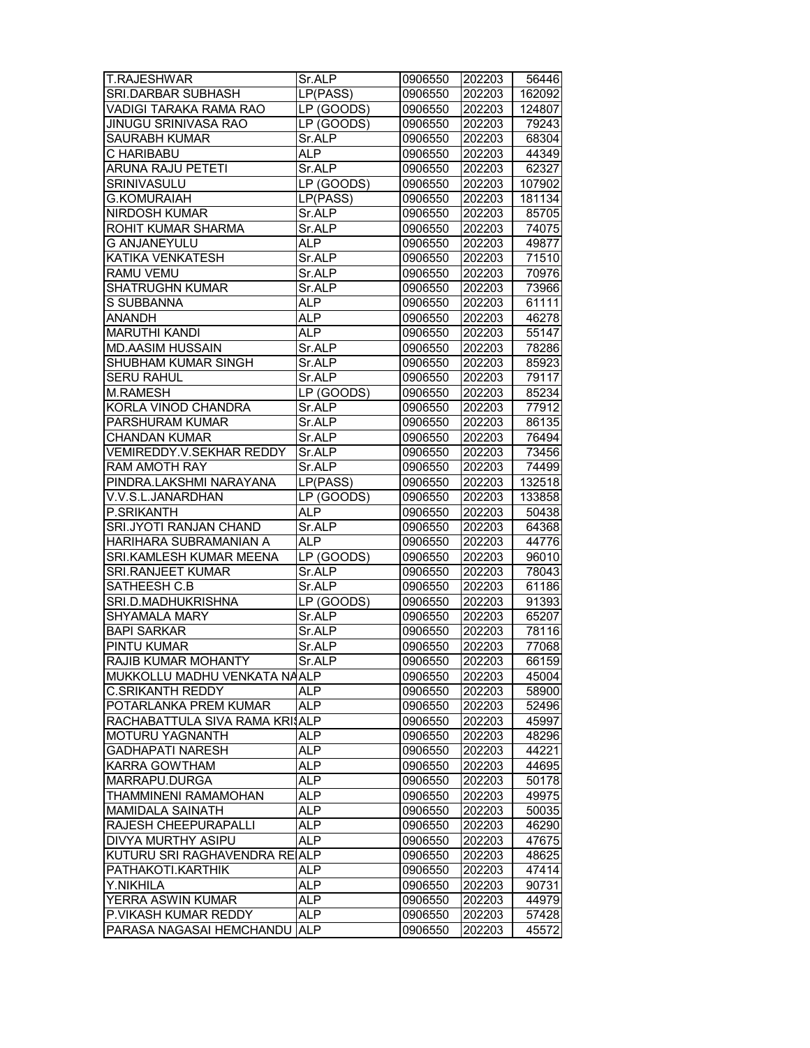| <b>T.RAJESHWAR</b>              | Sr.ALP                         | 0906550 | 202203 | 56446  |
|---------------------------------|--------------------------------|---------|--------|--------|
| SRI.DARBAR SUBHASH              | LP(PASS)                       | 0906550 | 202203 | 162092 |
| VADIGI TARAKA RAMA RAO          | $LP$ (GOODS)                   | 0906550 | 202203 | 124807 |
| JINUGU SRINIVASA RAO            | LP (GOODS)                     | 0906550 | 202203 | 79243  |
| <b>SAURABH KUMAR</b>            | Sr.ALP                         | 0906550 | 202203 | 68304  |
| C HARIBABU                      | <b>ALP</b>                     | 0906550 | 202203 | 44349  |
| <b>ARUNA RAJU PETETI</b>        | Sr.ALP                         | 0906550 | 202203 | 62327  |
| SRINIVASULU                     | LP (GOODS)                     | 0906550 | 202203 | 107902 |
| <b>G.KOMURAIAH</b>              | LP(PASS)                       | 0906550 | 202203 | 181134 |
| NIRDOSH KUMAR                   | Sr.ALP                         | 0906550 | 202203 | 85705  |
| ROHIT KUMAR SHARMA              | Sr.ALP                         | 0906550 | 202203 | 74075  |
| <b>G ANJANEYULU</b>             | <b>ALP</b>                     | 0906550 | 202203 | 49877  |
| KATIKA VENKATESH                | Sr.ALP                         | 0906550 | 202203 | 71510  |
| RAMU VEMU                       | Sr.ALP                         | 0906550 | 202203 | 70976  |
| <b>SHATRUGHN KUMAR</b>          | Sr.ALP                         | 0906550 | 202203 | 73966  |
| S SUBBANNA                      | <b>ALP</b>                     | 0906550 | 202203 | 61111  |
| <b>ANANDH</b>                   | <b>ALP</b>                     | 0906550 | 202203 | 46278  |
| <b>MARUTHI KANDI</b>            | <b>ALP</b>                     | 0906550 | 202203 | 55147  |
| <b>MD.AASIM HUSSAIN</b>         | Sr.ALP                         | 0906550 | 202203 | 78286  |
| SHUBHAM KUMAR SINGH             | Sr.ALP                         | 0906550 | 202203 | 85923  |
| <b>SERU RAHUL</b>               | Sr.ALP                         | 0906550 | 202203 | 79117  |
| M.RAMESH                        | $\overline{\text{LP}}$ (GOODS) | 0906550 | 202203 | 85234  |
| KORLA VINOD CHANDRA             | Sr.ALP                         | 0906550 | 202203 | 77912  |
| PARSHURAM KUMAR                 | Sr.ALP                         | 0906550 | 202203 | 86135  |
| CHANDAN KUMAR                   | Sr.ALP                         | 0906550 | 202203 | 76494  |
| <b>VEMIREDDY.V.SEKHAR REDDY</b> | Sr.ALP                         | 0906550 | 202203 | 73456  |
| <b>RAM AMOTH RAY</b>            | Sr.ALP                         | 0906550 | 202203 | 74499  |
| PINDRA.LAKSHMI NARAYANA         | LP(PASS)                       | 0906550 | 202203 | 132518 |
| V.V.S.L.JANARDHAN               | LP (GOODS)                     | 0906550 | 202203 | 133858 |
| P.SRIKANTH                      | <b>ALP</b>                     | 0906550 | 202203 | 50438  |
| SRI.JYOTI RANJAN CHAND          | Sr.ALP                         | 0906550 | 202203 | 64368  |
| HARIHARA SUBRAMANIAN A          | <b>ALP</b>                     | 0906550 | 202203 | 44776  |
| SRI.KAMLESH KUMAR MEENA         | LP(GOODS)                      | 0906550 | 202203 | 96010  |
| SRI.RANJEET KUMAR               | Sr.ALP                         | 0906550 | 202203 | 78043  |
| SATHEESH C.B                    | Sr.ALP                         | 0906550 | 202203 | 61186  |
| SRI.D.MADHUKRISHNA              | LP (GOODS)                     | 0906550 | 202203 | 91393  |
| <b>SHYAMALA MARY</b>            | Sr.ALP                         | 0906550 | 202203 | 65207  |
| <b>BAPI SARKAR</b>              | Sr.ALP                         | 0906550 | 202203 | 78116  |
| <b>PINTU KUMAR</b>              | Sr.ALP                         | 0906550 | 202203 | 77068  |
| RAJIB KUMAR MOHANTY             | Sr.ALP                         | 0906550 | 202203 | 66159  |
| MUKKOLLU MADHU VENKATA NAALP    |                                | 0906550 | 202203 | 45004  |
| <b>C.SRIKANTH REDDY</b>         | <b>ALP</b>                     | 0906550 | 202203 | 58900  |
| POTARLANKA PREM KUMAR           | <b>ALP</b>                     | 0906550 | 202203 | 52496  |
| RACHABATTULA SIVA RAMA KRIJALP  |                                | 0906550 | 202203 | 45997  |
| <b>MOTURU YAGNANTH</b>          | ALP                            | 0906550 | 202203 | 48296  |
| <b>GADHAPATI NARESH</b>         | ALP                            | 0906550 | 202203 | 44221  |
| KARRA GOWTHAM                   | <b>ALP</b>                     | 0906550 | 202203 | 44695  |
| MARRAPU.DURGA                   | ALP                            | 0906550 | 202203 | 50178  |
| THAMMINENI RAMAMOHAN            | ALP                            | 0906550 | 202203 | 49975  |
| <b>MAMIDALA SAINATH</b>         | <b>ALP</b>                     | 0906550 | 202203 | 50035  |
| RAJESH CHEEPURAPALLI            | <b>ALP</b>                     | 0906550 | 202203 | 46290  |
| DIVYA MURTHY ASIPU              | <b>ALP</b>                     | 0906550 | 202203 | 47675  |
| KUTURU SRI RAGHAVENDRA RE ALP   |                                | 0906550 | 202203 | 48625  |
| PATHAKOTI.KARTHIK               | ALP                            | 0906550 | 202203 | 47414  |
| Y.NIKHILA                       | ALP                            | 0906550 | 202203 | 90731  |
| YERRA ASWIN KUMAR               | <b>ALP</b>                     | 0906550 | 202203 | 44979  |
| P.VIKASH KUMAR REDDY            | <b>ALP</b>                     | 0906550 | 202203 | 57428  |
| PARASA NAGASAI HEMCHANDU ALP    |                                | 0906550 | 202203 | 45572  |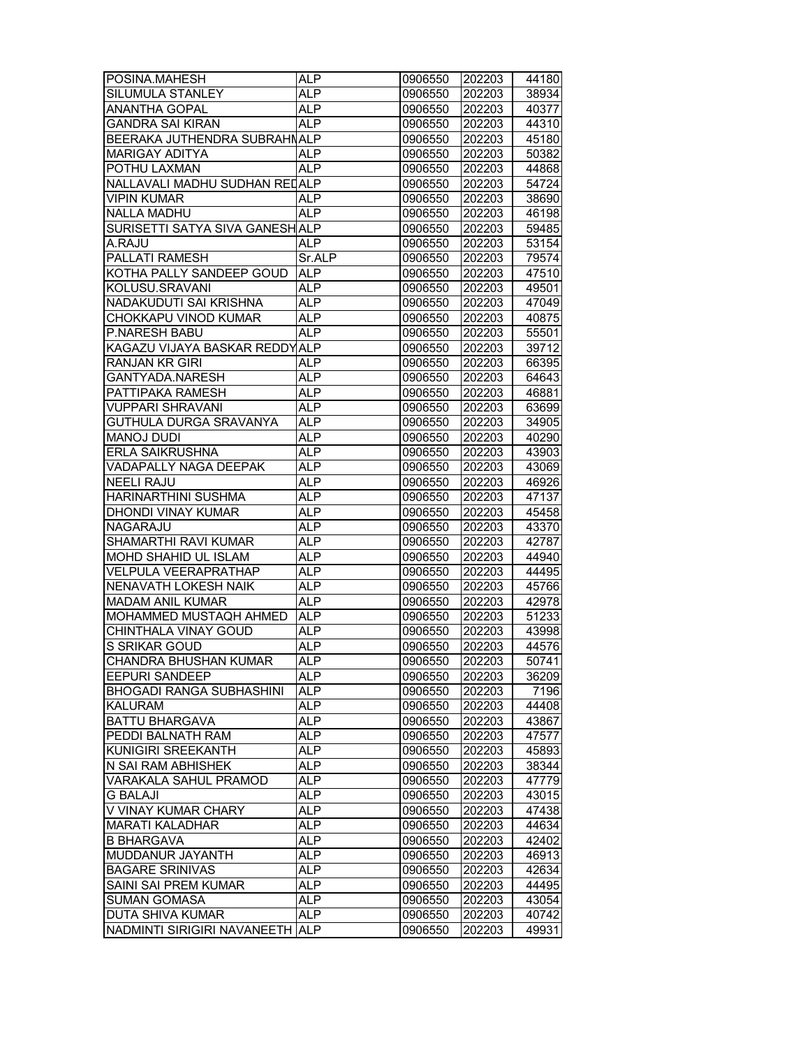| POSINA.MAHESH                   | <b>ALP</b>      | 0906550 | 202203 | 44180 |
|---------------------------------|-----------------|---------|--------|-------|
| SILUMULA STANLEY                | <b>ALP</b>      | 0906550 | 202203 | 38934 |
| <b>ANANTHA GOPAL</b>            | <b>ALP</b>      | 0906550 | 202203 | 40377 |
| <b>GANDRA SAI KIRAN</b>         | <b>ALP</b>      | 0906550 | 202203 | 44310 |
| BEERAKA JUTHENDRA SUBRAHNALP    |                 | 0906550 | 202203 | 45180 |
| <b>MARIGAY ADITYA</b>           | ALP             | 0906550 | 202203 | 50382 |
| POTHU LAXMAN                    | <b>ALP</b>      | 0906550 | 202203 | 44868 |
| NALLAVALI MADHU SUDHAN REI ALP  |                 | 0906550 | 202203 | 54724 |
| <b>VIPIN KUMAR</b>              | <b>ALP</b>      | 0906550 | 202203 | 38690 |
| <b>NALLA MADHU</b>              | <b>ALP</b>      | 0906550 | 202203 | 46198 |
| SURISETTI SATYA SIVA GANESH ALP |                 | 0906550 | 202203 | 59485 |
| A.RAJU                          | <b>ALP</b>      | 0906550 | 202203 | 53154 |
| PALLATI RAMESH                  | Sr.ALP          | 0906550 | 202203 | 79574 |
| KOTHA PALLY SANDEEP GOUD        | <b>ALP</b>      | 0906550 | 202203 | 47510 |
|                                 |                 |         |        |       |
| KOLUSU.SRAVANI                  | ALP             | 0906550 | 202203 | 49501 |
| NADAKUDUTI SAI KRISHNA          | <b>ALP</b>      | 0906550 | 202203 | 47049 |
| CHOKKAPU VINOD KUMAR            | ALP             | 0906550 | 202203 | 40875 |
| P.NARESH BABU                   | <b>ALP</b>      | 0906550 | 202203 | 55501 |
| KAGAZU VIJAYA BASKAR REDDYALP   |                 | 0906550 | 202203 | 39712 |
| RANJAN KR GIRI                  | <b>ALP</b>      | 0906550 | 202203 | 66395 |
| GANTYADA.NARESH                 | <b>ALP</b>      | 0906550 | 202203 | 64643 |
| PATTIPAKA RAMESH                | <b>ALP</b>      | 0906550 | 202203 | 46881 |
| <b>VUPPARI SHRAVANI</b>         | ALP             | 0906550 | 202203 | 63699 |
| GUTHULA DURGA SRAVANYA          | AL <sub>P</sub> | 0906550 | 202203 | 34905 |
| <b>MANOJ DUDI</b>               | ALP             | 0906550 | 202203 | 40290 |
| <b>ERLA SAIKRUSHNA</b>          | <b>ALP</b>      | 0906550 | 202203 | 43903 |
| VADAPALLY NAGA DEEPAK           | ALP             | 0906550 | 202203 | 43069 |
| <b>NEELI RAJU</b>               | <b>ALP</b>      | 0906550 | 202203 | 46926 |
| HARINARTHINI SUSHMA             | <b>ALP</b>      | 0906550 | 202203 | 47137 |
| DHONDI VINAY KUMAR              | <b>ALP</b>      | 0906550 | 202203 | 45458 |
| NAGARAJU                        | ALP             | 0906550 | 202203 | 43370 |
| SHAMARTHI RAVI KUMAR            | <b>ALP</b>      | 0906550 | 202203 | 42787 |
| MOHD SHAHID UL ISLAM            | <b>ALP</b>      | 0906550 | 202203 | 44940 |
| <b>VELPULA VEERAPRATHAP</b>     | <b>ALP</b>      | 0906550 | 202203 | 44495 |
| NENAVATH LOKESH NAIK            | <b>ALP</b>      | 0906550 | 202203 | 45766 |
| <b>MADAM ANIL KUMAR</b>         | <b>ALP</b>      | 0906550 | 202203 | 42978 |
| MOHAMMED MUSTAQH AHMED          | <b>ALP</b>      | 0906550 | 202203 | 51233 |
| CHINTHALA VINAY GOUD            | <b>ALP</b>      | 0906550 | 202203 | 43998 |
| S SRIKAR GOUD                   | <b>ALP</b>      | 0906550 | 202203 | 44576 |
| CHANDRA BHUSHAN KUMAR           | <b>ALP</b>      | 0906550 | 202203 | 50741 |
| <b>EEPURI SANDEEP</b>           | <b>ALP</b>      | 0906550 | 202203 | 36209 |
| <b>BHOGADI RANGA SUBHASHINI</b> | <b>ALP</b>      | 0906550 | 202203 | 7196  |
| <b>KALURAM</b>                  | <b>ALP</b>      | 0906550 | 202203 | 44408 |
| <b>BATTU BHARGAVA</b>           | <b>ALP</b>      | 0906550 | 202203 | 43867 |
| PEDDI BALNATH RAM               | <b>ALP</b>      | 0906550 | 202203 | 47577 |
| KUNIGIRI SREEKANTH              | <b>ALP</b>      | 0906550 | 202203 | 45893 |
| N SAI RAM ABHISHEK              | <b>ALP</b>      | 0906550 | 202203 | 38344 |
| VARAKALA SAHUL PRAMOD           | ALP             | 0906550 | 202203 | 47779 |
|                                 |                 |         |        |       |
| <b>G BALAJI</b>                 | <b>ALP</b>      | 0906550 | 202203 | 43015 |
| V VINAY KUMAR CHARY             | ALP             | 0906550 | 202203 | 47438 |
| <b>MARATI KALADHAR</b>          | <b>ALP</b>      | 0906550 | 202203 | 44634 |
| <b>B BHARGAVA</b>               | ALP             | 0906550 | 202203 | 42402 |
| MUDDANUR JAYANTH                | <b>ALP</b>      | 0906550 | 202203 | 46913 |
| <b>BAGARE SRINIVAS</b>          | ALP             | 0906550 | 202203 | 42634 |
| SAINI SAI PREM KUMAR            | <b>ALP</b>      | 0906550 | 202203 | 44495 |
| <b>SUMAN GOMASA</b>             | ALP             | 0906550 | 202203 | 43054 |
| <b>DUTA SHIVA KUMAR</b>         | ALP             | 0906550 | 202203 | 40742 |
| NADMINTI SIRIGIRI NAVANEETH     | <b>ALP</b>      | 0906550 | 202203 | 49931 |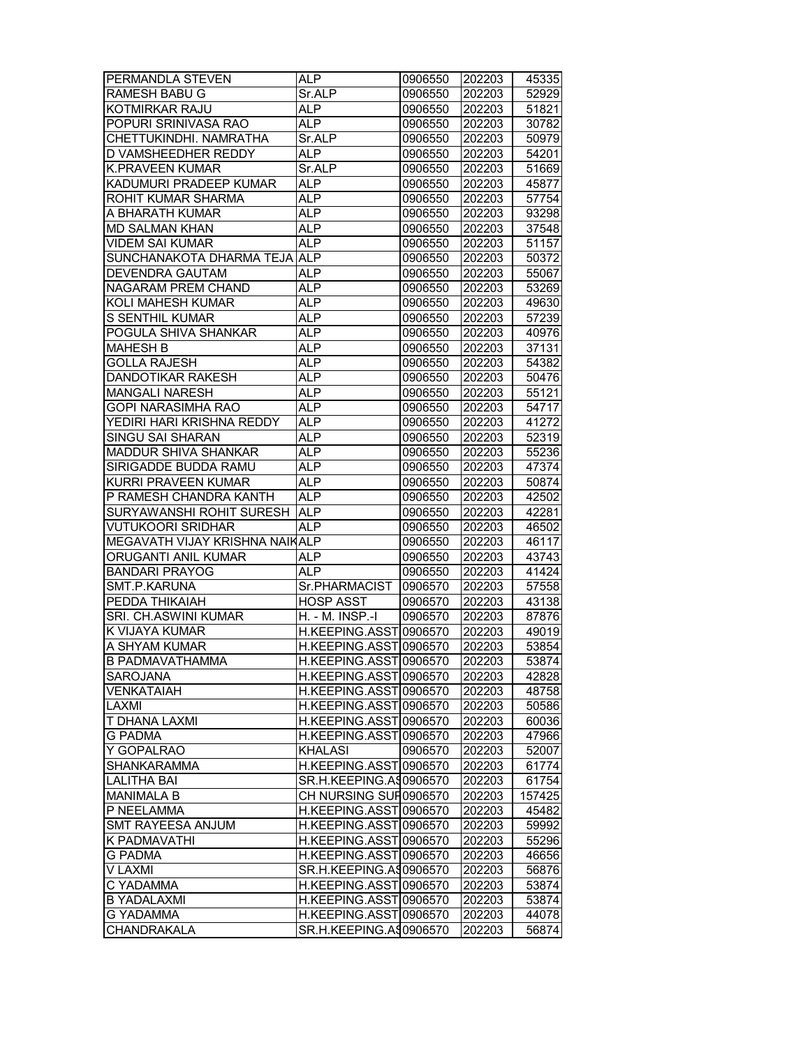| PERMANDLA STEVEN                | ALP                    | 0906550 | 202203 | 45335  |
|---------------------------------|------------------------|---------|--------|--------|
| <b>RAMESH BABU G</b>            | Sr.ALP                 | 0906550 | 202203 | 52929  |
| KOTMIRKAR RAJU                  | <b>ALP</b>             | 0906550 | 202203 | 51821  |
| POPURI SRINIVASA RAO            | AL <sub>P</sub>        | 0906550 | 202203 | 30782  |
| CHETTUKINDHI. NAMRATHA          | Sr.ALP                 | 0906550 | 202203 | 50979  |
| D VAMSHEEDHER REDDY             | <b>ALP</b>             | 0906550 | 202203 | 54201  |
| <b>K.PRAVEEN KUMAR</b>          | Sr.ALP                 | 0906550 | 202203 | 51669  |
| KADUMURI PRADEEP KUMAR          | <b>ALP</b>             | 0906550 | 202203 | 45877  |
| ROHIT KUMAR SHARMA              | <b>ALP</b>             | 0906550 | 202203 | 57754  |
| A BHARATH KUMAR                 | <b>ALP</b>             | 0906550 | 202203 | 93298  |
| <b>MD SALMAN KHAN</b>           | ALP                    | 0906550 | 202203 | 37548  |
| <b>VIDEM SAI KUMAR</b>          | <b>ALP</b>             | 0906550 | 202203 | 51157  |
| SUNCHANAKOTA DHARMA TEJA ALP    |                        | 0906550 | 202203 | 50372  |
| <b>DEVENDRA GAUTAM</b>          | <b>ALP</b>             | 0906550 | 202203 | 55067  |
| <b>NAGARAM PREM CHAND</b>       | ALP                    | 0906550 | 202203 | 53269  |
| KOLI MAHESH KUMAR               | <b>ALP</b>             | 0906550 | 202203 | 49630  |
| S SENTHIL KUMAR                 | <b>ALP</b>             | 0906550 | 202203 | 57239  |
| POGULA SHIVA SHANKAR            | <b>ALP</b>             | 0906550 | 202203 | 40976  |
| <b>MAHESH B</b>                 | ALP                    | 0906550 | 202203 | 37131  |
| <b>GOLLA RAJESH</b>             | <b>ALP</b>             | 0906550 | 202203 | 54382  |
| <b>DANDOTIKAR RAKESH</b>        | <b>ALP</b>             | 0906550 | 202203 | 50476  |
| <b>MANGALI NARESH</b>           | <b>ALP</b>             |         | 202203 |        |
|                                 |                        | 0906550 |        | 55121  |
| GOPI NARASIMHA RAO              | ALP                    | 0906550 | 202203 | 54717  |
| YEDIRI HARI KRISHNA REDDY       | ALP                    | 0906550 | 202203 | 41272  |
| SINGU SAI SHARAN                | AL <sub>P</sub>        | 0906550 | 202203 | 52319  |
| MADDUR SHIVA SHANKAR            | <b>ALP</b>             | 0906550 | 202203 | 55236  |
| SIRIGADDE BUDDA RAMU            | <b>ALP</b>             | 0906550 | 202203 | 47374  |
| KURRI PRAVEEN KUMAR             | ALP                    | 0906550 | 202203 | 50874  |
| P RAMESH CHANDRA KANTH          | <b>ALP</b>             | 0906550 | 202203 | 42502  |
| <b>SURYAWANSHI ROHIT SURESH</b> | <b>ALP</b>             | 0906550 | 202203 | 42281  |
| <b>VUTUKOORI SRIDHAR</b>        | <b>ALP</b>             | 0906550 | 202203 | 46502  |
| MEGAVATH VIJAY KRISHNA NAIKALP  |                        | 0906550 | 202203 | 46117  |
| ORUGANTI ANIL KUMAR             | ALP                    | 0906550 | 202203 | 43743  |
| <b>BANDARI PRAYOG</b>           | ALP                    | 0906550 | 202203 | 41424  |
| SMT.P.KARUNA                    | Sr.PHARMACIST          | 0906570 | 202203 | 57558  |
| PEDDA THIKAIAH                  | <b>HOSP ASST</b>       | 0906570 | 202203 | 43138  |
| SRI. CH.ASWINI KUMAR            | H. - M. INSP.-I        | 0906570 | 202203 | 87876  |
| K VIJAYA KUMAR                  | H.KEEPING.ASST0906570  |         | 202203 | 49019  |
| A SHYAM KUMAR                   | H.KEEPING.ASST 0906570 |         | 202203 | 53854  |
| <b>B PADMAVATHAMMA</b>          | H.KEEPING.ASST0906570  |         | 202203 | 53874  |
| SAROJANA                        | H.KEEPING.ASST 0906570 |         | 202203 | 42828  |
| <b>VENKATAIAH</b>               | H.KEEPING.ASST0906570  |         | 202203 | 48758  |
| LAXMI                           | H.KEEPING.ASST 0906570 |         | 202203 | 50586  |
| T DHANA LAXMI                   | H.KEEPING.ASST 0906570 |         | 202203 | 60036  |
| <b>G PADMA</b>                  | H.KEEPING.ASST0906570  |         | 202203 | 47966  |
| Y GOPALRAO                      | <b>KHALASI</b>         | 0906570 | 202203 | 52007  |
| <b>SHANKARAMMA</b>              | H.KEEPING.ASST 0906570 |         | 202203 | 61774  |
| <b>LALITHA BAI</b>              | SR.H.KEEPING.A90906570 |         | 202203 | 61754  |
| <b>MANIMALA B</b>               | CH NURSING SUF 0906570 |         | 202203 | 157425 |
| P NEELAMMA                      | H.KEEPING.ASST 0906570 |         | 202203 | 45482  |
| <b>SMT RAYEESA ANJUM</b>        | H.KEEPING.ASST 0906570 |         | 202203 | 59992  |
| K PADMAVATHI                    | H.KEEPING.ASST 0906570 |         | 202203 | 55296  |
| <b>G PADMA</b>                  | H.KEEPING.ASST 0906570 |         | 202203 | 46656  |
| V LAXMI                         | SR.H.KEEPING.A90906570 |         | 202203 | 56876  |
| C YADAMMA                       | H.KEEPING.ASST0906570  |         | 202203 | 53874  |
| <b>B YADALAXMI</b>              | H.KEEPING.ASST 0906570 |         | 202203 | 53874  |
| G YADAMMA                       | H.KEEPING.ASST 0906570 |         | 202203 | 44078  |
| CHANDRAKALA                     | SR.H.KEEPING.A90906570 |         | 202203 | 56874  |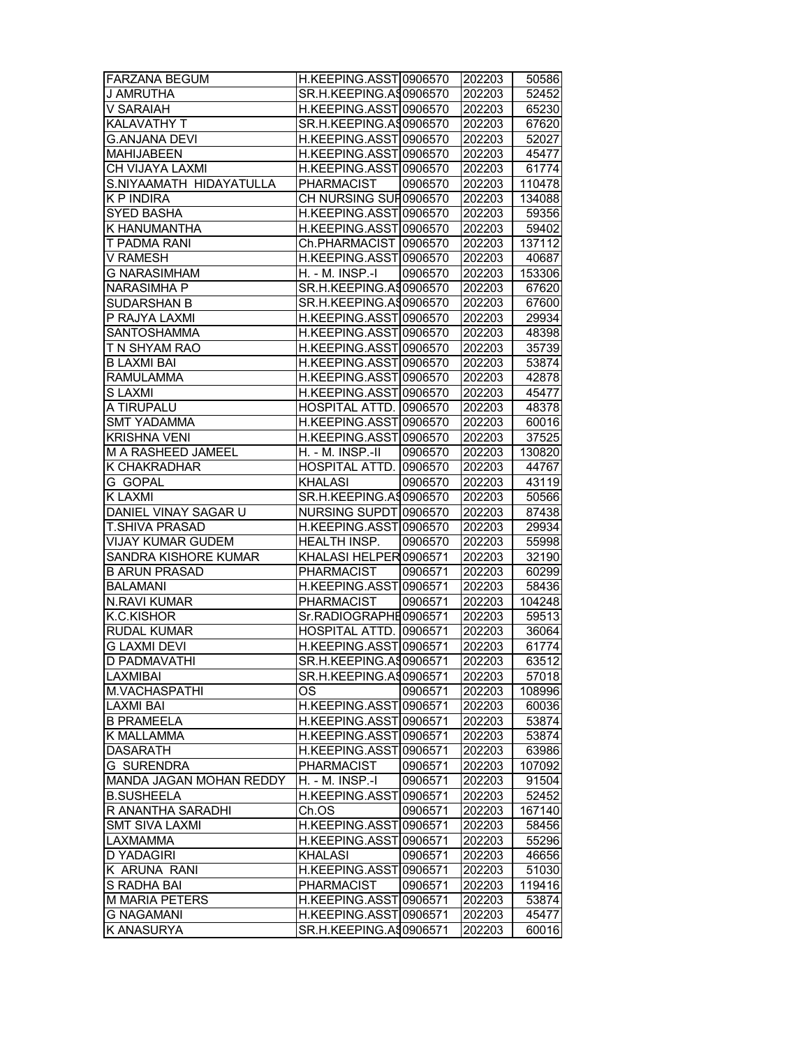| <b>FARZANA BEGUM</b>           | H.KEEPING.ASST0906570   |         | 202203 | 50586  |
|--------------------------------|-------------------------|---------|--------|--------|
| <b>J AMRUTHA</b>               | SR.H.KEEPING.A\$0906570 |         | 202203 | 52452  |
| V SARAIAH                      | H.KEEPING.ASST0906570   |         | 202203 | 65230  |
| <b>KALAVATHY T</b>             | SR.H.KEEPING.AS0906570  |         | 202203 | 67620  |
| <b>G.ANJANA DEVI</b>           | H.KEEPING.ASST0906570   |         | 202203 | 52027  |
| <b>MAHIJABEEN</b>              | H.KEEPING.ASST0906570   |         | 202203 | 45477  |
| CH VIJAYA LAXMI                | H.KEEPING.ASST0906570   |         | 202203 | 61774  |
| S.NIYAAMATH HIDAYATULLA        | PHARMACIST              | 0906570 | 202203 | 110478 |
| K P INDIRA                     | CH NURSING SUF 0906570  |         | 202203 | 134088 |
| <b>SYED BASHA</b>              | H.KEEPING.ASST0906570   |         | 202203 | 59356  |
| <b>K HANUMANTHA</b>            | H.KEEPING.ASST0906570   |         | 202203 | 59402  |
| T PADMA RANI                   | Ch.PHARMACIST 0906570   |         | 202203 | 137112 |
| <b>V RAMESH</b>                | H.KEEPING.ASST0906570   |         | 202203 | 40687  |
| <b>G NARASIMHAM</b>            | H. - M. INSP.-I         | 0906570 | 202203 | 153306 |
| <b>NARASIMHA P</b>             | SR.H.KEEPING.A\$0906570 |         | 202203 | 67620  |
| SUDARSHAN B                    | SR.H.KEEPING.A90906570  |         | 202203 | 67600  |
| P RAJYA LAXMI                  | H.KEEPING.ASST0906570   |         | 202203 | 29934  |
| SANTOSHAMMA                    | H.KEEPING.ASST0906570   |         | 202203 | 48398  |
| T N SHYAM RAO                  | H.KEEPING.ASST 0906570  |         | 202203 | 35739  |
| B LAXMI BAI                    | H.KEEPING.ASST0906570   |         | 202203 | 53874  |
| <b>RAMULAMMA</b>               | H.KEEPING.ASST0906570   |         | 202203 | 42878  |
| <b>SLAXMI</b>                  | H.KEEPING.ASST0906570   |         | 202203 | 45477  |
| A TIRUPALU                     | HOSPITAL ATTD. 0906570  |         |        | 48378  |
|                                |                         |         | 202203 |        |
| <b>SMT YADAMMA</b>             | H.KEEPING.ASST0906570   |         | 202203 | 60016  |
| <b>KRISHNA VENI</b>            | H.KEEPING.ASST0906570   |         | 202203 | 37525  |
| <b>M A RASHEED JAMEEL</b>      | H. - M. INSP.-II        | 0906570 | 202203 | 130820 |
| K CHAKRADHAR                   | HOSPITAL ATTD. 0906570  |         | 202203 | 44767  |
| G GOPAL                        | <b>KHALASI</b>          | 0906570 | 202203 | 43119  |
| <b>KLAXMI</b>                  | SR.H.KEEPING.AS0906570  |         | 202203 | 50566  |
| DANIEL VINAY SAGAR U           | NURSING SUPDT 0906570   |         | 202203 | 87438  |
| T.SHIVA PRASAD                 | H.KEEPING.ASST0906570   |         | 202203 | 29934  |
| VIJAY KUMAR GUDEM              | HEALTH INSP.            | 0906570 | 202203 | 55998  |
| SANDRA KISHORE KUMAR           | KHALASI HELPER 0906571  |         | 202203 | 32190  |
| <b>B ARUN PRASAD</b>           | PHARMACIST              | 0906571 | 202203 | 60299  |
| <b>BALAMANI</b>                | H.KEEPING.ASST 0906571  |         | 202203 | 58436  |
| <b>N.RAVI KUMAR</b>            | <b>PHARMACIST</b>       | 0906571 | 202203 | 104248 |
| K.C.KISHOR                     | Sr.RADIOGRAPHE0906571   |         | 202203 | 59513  |
| <b>RUDAL KUMAR</b>             | HOSPITAL ATTD. 0906571  |         | 202203 | 36064  |
| <b>G LAXMI DEVI</b>            | H.KEEPING.ASST 0906571  |         | 202203 | 61774  |
| D PADMAVATHI                   | SR.H.KEEPING.AS0906571  |         | 202203 | 63512  |
| LAXMIBAI                       | SR.H.KEEPING.AS0906571  |         | 202203 | 57018  |
| M.VACHASPATHI                  | ОS                      | 0906571 | 202203 | 108996 |
| LAXMI BAI                      | H.KEEPING.ASST 0906571  |         | 202203 | 60036  |
| <b>B PRAMEELA</b>              | H.KEEPING.ASST 0906571  |         | 202203 | 53874  |
| K MALLAMMA                     | H.KEEPING.ASST 0906571  |         | 202203 | 53874  |
| <b>DASARATH</b>                | H.KEEPING.ASST0906571   |         | 202203 | 63986  |
| <b>G SURENDRA</b>              | <b>PHARMACIST</b>       | 0906571 | 202203 | 107092 |
| <b>MANDA JAGAN MOHAN REDDY</b> | H. - M. INSP.-I         | 0906571 | 202203 | 91504  |
| <b>B.SUSHEELA</b>              | H.KEEPING.ASST 0906571  |         | 202203 | 52452  |
| R ANANTHA SARADHI              | Ch.OS                   | 0906571 | 202203 | 167140 |
| <b>SMT SIVA LAXMI</b>          | H.KEEPING.ASST0906571   |         | 202203 | 58456  |
| LAXMAMMA                       | H.KEEPING.ASST 0906571  |         | 202203 | 55296  |
| <b>D YADAGIRI</b>              | <b>KHALASI</b>          | 0906571 | 202203 | 46656  |
| K ARUNA RANI                   | H.KEEPING.ASST 0906571  |         | 202203 | 51030  |
| S RADHA BAI                    | <b>PHARMACIST</b>       | 0906571 | 202203 | 119416 |
| <b>M MARIA PETERS</b>          | H.KEEPING.ASST0906571   |         | 202203 | 53874  |
| <b>G NAGAMANI</b>              | H.KEEPING.ASST 0906571  |         | 202203 | 45477  |
| K ANASURYA                     | SR.H.KEEPING.A90906571  |         |        | 60016  |
|                                |                         |         | 202203 |        |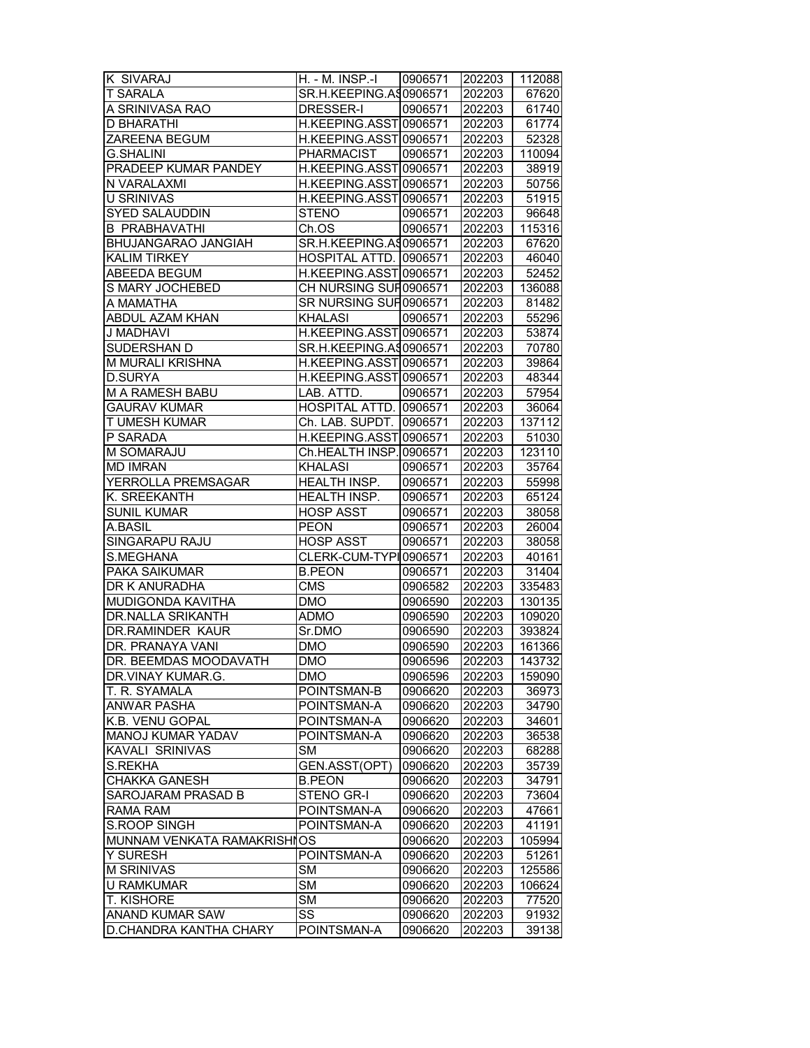| K SIVARAJ                   | H. - M. INSP.-I   0906571 |         | 202203 | 112088 |
|-----------------------------|---------------------------|---------|--------|--------|
| T SARALA                    | SR.H.KEEPING.AS0906571    |         | 202203 | 67620  |
| A SRINIVASA RAO             | DRESSER-I                 | 0906571 | 202203 | 61740  |
| <b>D BHARATHI</b>           | H.KEEPING.ASST0906571     |         | 202203 | 61774  |
| ZAREENA BEGUM               | H.KEEPING.ASST0906571     |         | 202203 | 52328  |
| <b>G.SHALINI</b>            | <b>PHARMACIST</b>         | 0906571 | 202203 | 110094 |
| PRADEEP KUMAR PANDEY        | H.KEEPING.ASST0906571     |         | 202203 | 38919  |
| N VARALAXMI                 | H.KEEPING.ASST 0906571    |         | 202203 | 50756  |
| U SRINIVAS                  | H.KEEPING.ASST 0906571    |         | 202203 | 51915  |
| <b>SYED SALAUDDIN</b>       | <b>STENO</b>              | 0906571 | 202203 | 96648  |
| <b>B PRABHAVATHI</b>        | Ch.OS                     | 0906571 | 202203 | 115316 |
|                             |                           |         | 202203 |        |
| BHUJANGARAO JANGIAH         | SR.H.KEEPING.A\$0906571   |         |        | 67620  |
| <b>KALIM TIRKEY</b>         | HOSPITAL ATTD. 0906571    |         | 202203 | 46040  |
| ABEEDA BEGUM                | H.KEEPING.ASST0906571     |         | 202203 | 52452  |
| S MARY JOCHEBED             | CH NURSING SUF 0906571    |         | 202203 | 136088 |
| A MAMATHA                   | SR NURSING SUF 0906571    |         | 202203 | 81482  |
| ABDUL AZAM KHAN             | <b>KHALASI</b>            | 0906571 | 202203 | 55296  |
| J MADHAVI                   | H.KEEPING.ASST0906571     |         | 202203 | 53874  |
| SUDERSHAN D                 | SR.H.KEEPING.AS0906571    |         | 202203 | 70780  |
| M MURALI KRISHNA            | H.KEEPING.ASST 0906571    |         | 202203 | 39864  |
| <b>D.SURYA</b>              | H.KEEPING.ASST0906571     |         | 202203 | 48344  |
| <b>M A RAMESH BABU</b>      | LAB. ATTD.                | 0906571 | 202203 | 57954  |
| <b>GAURAV KUMAR</b>         | HOSPITAL ATTD. 0906571    |         | 202203 | 36064  |
| T UMESH KUMAR               | Ch. LAB. SUPDT. 0906571   |         | 202203 | 137112 |
| P SARADA                    | H.KEEPING.ASST0906571     |         | 202203 | 51030  |
| M SOMARAJU                  | Ch.HEALTH INSP. 0906571   |         | 202203 | 123110 |
| <b>MD IMRAN</b>             | <b>KHALASI</b>            | 0906571 | 202203 | 35764  |
| YERROLLA PREMSAGAR          | HEALTH INSP.              | 0906571 | 202203 | 55998  |
| K. SREEKANTH                | HEALTH INSP.              | 0906571 | 202203 | 65124  |
| <b>SUNIL KUMAR</b>          | <b>HOSP ASST</b>          | 0906571 | 202203 | 38058  |
| A.BASIL                     | <b>PEON</b>               | 0906571 | 202203 | 26004  |
| SINGARAPU RAJU              | <b>HOSP ASST</b>          | 0906571 | 202203 | 38058  |
|                             |                           |         |        |        |
| S.MEGHANA                   | CLERK-CUM-TYPI0906571     |         | 202203 | 40161  |
| PAKA SAIKUMAR               | <b>B.PEON</b>             | 0906571 | 202203 | 31404  |
| DR K ANURADHA               | $\overline{\text{CMS}}$   | 0906582 | 202203 | 335483 |
| MUDIGONDA KAVITHA           | <b>DMO</b>                | 0906590 | 202203 | 130135 |
| DR.NALLA SRIKANTH           | <b>ADMO</b>               | 0906590 | 202203 | 109020 |
| <b>DR.RAMINDER KAUR</b>     | Sr.DMO                    | 0906590 | 202203 | 393824 |
| DR. PRANAYA VANI            | <b>DMO</b>                | 0906590 | 202203 | 161366 |
| DR. BEEMDAS MOODAVATH       | <b>DMO</b>                | 0906596 | 202203 | 143732 |
| DR.VINAY KUMAR.G.           | <b>DMO</b>                | 0906596 | 202203 | 159090 |
| T. R. SYAMALA               | POINTSMAN-B               | 0906620 | 202203 | 36973  |
| <b>ANWAR PASHA</b>          | POINTSMAN-A               | 0906620 | 202203 | 34790  |
| K.B. VENU GOPAL             | POINTSMAN-A               | 0906620 | 202203 | 34601  |
| MANOJ KUMAR YADAV           | POINTSMAN-A               | 0906620 | 202203 | 36538  |
| <b>KAVALI SRINIVAS</b>      | <b>SM</b>                 | 0906620 | 202203 | 68288  |
| S.REKHA                     | GEN.ASST(OPT)             | 0906620 | 202203 | 35739  |
| <b>CHAKKA GANESH</b>        | <b>B.PEON</b>             | 0906620 | 202203 | 34791  |
| SAROJARAM PRASAD B          | STENO GR-I                | 0906620 | 202203 | 73604  |
| <b>RAMA RAM</b>             | POINTSMAN-A               | 0906620 | 202203 | 47661  |
| <b>S.ROOP SINGH</b>         | POINTSMAN-A               | 0906620 | 202203 | 41191  |
| MUNNAM VENKATA RAMAKRISHIOS |                           | 0906620 | 202203 | 105994 |
| Y SURESH                    | POINTSMAN-A               | 0906620 | 202203 | 51261  |
| <b>M SRINIVAS</b>           | <b>SM</b>                 | 0906620 | 202203 | 125586 |
| <b>U RAMKUMAR</b>           | <b>SM</b>                 | 0906620 | 202203 | 106624 |
| T. KISHORE                  | <b>SM</b>                 | 0906620 | 202203 | 77520  |
|                             | SS                        |         |        |        |
| ANAND KUMAR SAW             |                           | 0906620 | 202203 | 91932  |
| D.CHANDRA KANTHA CHARY      | POINTSMAN-A               | 0906620 | 202203 | 39138  |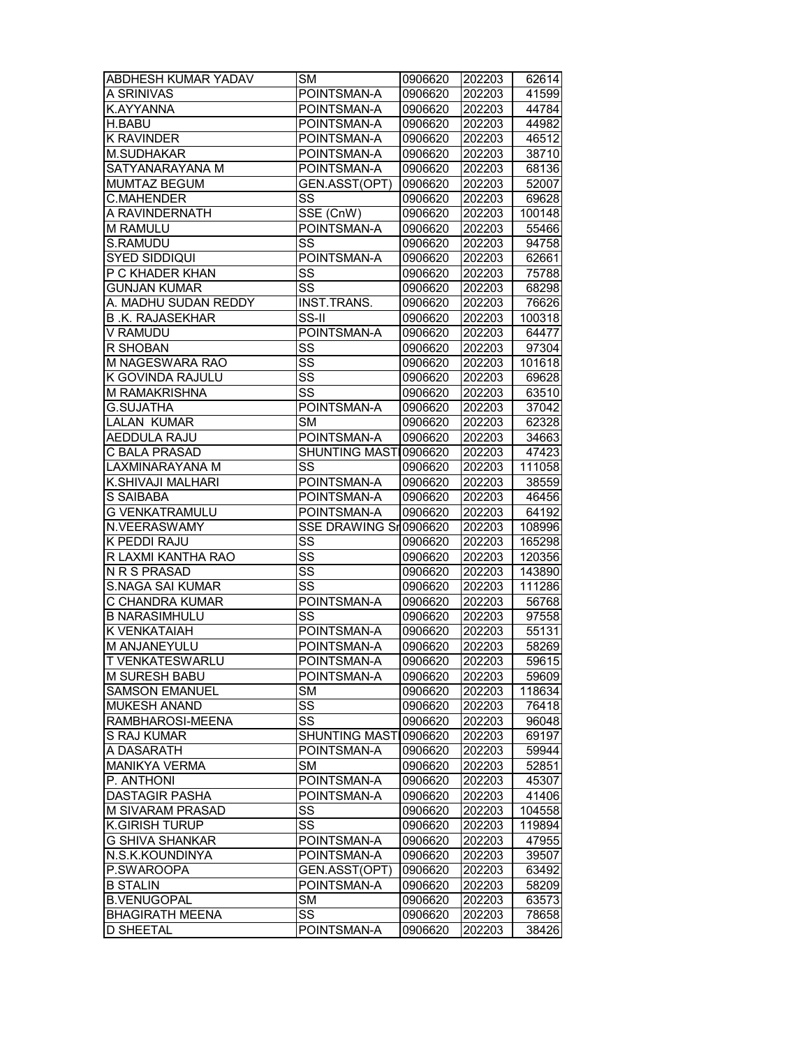| ABDHESH KUMAR YADAV    | <b>SM</b>              | 0906620 | 202203 | 62614  |
|------------------------|------------------------|---------|--------|--------|
| A SRINIVAS             | POINTSMAN-A            | 0906620 | 202203 | 41599  |
| K.AYYANNA              | POINTSMAN-A            | 0906620 | 202203 | 44784  |
| <b>H.BABU</b>          | POINTSMAN-A            | 0906620 | 202203 | 44982  |
| <b>K RAVINDER</b>      | POINTSMAN-A            | 0906620 | 202203 | 46512  |
| <b>M.SUDHAKAR</b>      | POINTSMAN-A            | 0906620 | 202203 | 38710  |
| SATYANARAYANA M        | POINTSMAN-A            | 0906620 | 202203 | 68136  |
| MUMTAZ BEGUM           | GEN.ASST(OPT)          | 0906620 | 202203 | 52007  |
| C.MAHENDER             | SS                     | 0906620 | 202203 | 69628  |
| A RAVINDERNATH         | SSE (CnW)              | 0906620 | 202203 | 100148 |
| M RAMULU               | POINTSMAN-A            | 0906620 | 202203 | 55466  |
| S.RAMUDU               | SS                     | 0906620 | 202203 | 94758  |
| <b>SYED SIDDIQUI</b>   | POINTSMAN-A            | 0906620 | 202203 | 62661  |
| P C KHADER KHAN        | SS                     | 0906620 | 202203 | 75788  |
| <b>GUNJAN KUMAR</b>    | SS                     | 0906620 | 202203 | 68298  |
| A. MADHU SUDAN REDDY   | INST.TRANS.            | 0906620 | 202203 | 76626  |
| <b>B.K. RAJASEKHAR</b> | SS-II                  | 0906620 | 202203 | 100318 |
| V RAMUDU               | POINTSMAN-A            | 0906620 | 202203 | 64477  |
| R SHOBAN               | SS                     | 0906620 | 202203 | 97304  |
| M NAGESWARA RAO        | SS                     | 0906620 | 202203 | 101618 |
| K GOVINDA RAJULU       | $\overline{\text{ss}}$ | 0906620 | 202203 | 69628  |
| M RAMAKRISHNA          | $\overline{\text{ss}}$ | 0906620 | 202203 | 63510  |
| <b>G.SUJATHA</b>       | POINTSMAN-A            | 0906620 | 202203 | 37042  |
| LALAN KUMAR            | <b>SM</b>              | 0906620 | 202203 | 62328  |
| <b>AEDDULA RAJU</b>    | POINTSMAN-A            | 0906620 | 202203 | 34663  |
| <b>C BALA PRASAD</b>   | SHUNTING MASTI0906620  |         | 202203 | 47423  |
| LAXMINARAYANA M        | SS                     | 0906620 | 202203 | 111058 |
| K.SHIVAJI MALHARI      | POINTSMAN-A            | 0906620 | 202203 | 38559  |
| S SAIBABA              | POINTSMAN-A            | 0906620 | 202203 | 46456  |
| <b>G VENKATRAMULU</b>  | POINTSMAN-A            | 0906620 | 202203 | 64192  |
| N.VEERASWAMY           | SSE DRAWING Sr0906620  |         | 202203 | 108996 |
| K PEDDI RAJU           | SS                     | 0906620 | 202203 | 165298 |
| R LAXMI KANTHA RAO     | $\overline{\text{ss}}$ | 0906620 | 202203 | 120356 |
| N R S PRASAD           | SS                     | 0906620 | 202203 | 143890 |
| S.NAGA SAI KUMAR       | SS                     | 0906620 | 202203 | 111286 |
| C CHANDRA KUMAR        | POINTSMAN-A            | 0906620 | 202203 | 56768  |
| <b>B NARASIMHULU</b>   | SS                     | 0906620 | 202203 | 97558  |
| K VENKATAIAH           | POINTSMAN-A            | 0906620 | 202203 | 55131  |
| M ANJANEYULU           | POINTSMAN-A            | 0906620 | 202203 | 58269  |
| <b>T VENKATESWARLU</b> | POINTSMAN-A            | 0906620 | 202203 | 59615  |
| M SURESH BABU          | POINTSMAN-A            | 0906620 | 202203 | 59609  |
| <b>SAMSON EMANUEL</b>  | SМ                     | 0906620 | 202203 | 118634 |
| MUKESH ANAND           | SS                     | 0906620 | 202203 | 76418  |
| RAMBHAROSI-MEENA       | SS                     | 0906620 | 202203 | 96048  |
| S RAJ KUMAR            | <b>SHUNTING MASTI</b>  | 0906620 | 202203 | 69197  |
| A DASARATH             | POINTSMAN-A            | 0906620 | 202203 | 59944  |
| <b>MANIKYA VERMA</b>   | <b>SM</b>              | 0906620 | 202203 | 52851  |
| P. ANTHONI             | POINTSMAN-A            | 0906620 | 202203 | 45307  |
| <b>DASTAGIR PASHA</b>  | POINTSMAN-A            | 0906620 | 202203 | 41406  |
| M SIVARAM PRASAD       | SS                     | 0906620 | 202203 | 104558 |
| <b>K.GIRISH TURUP</b>  | $\overline{\text{ss}}$ | 0906620 | 202203 | 119894 |
| <b>G SHIVA SHANKAR</b> | POINTSMAN-A            | 0906620 | 202203 | 47955  |
| N.S.K.KOUNDINYA        | POINTSMAN-A            | 0906620 | 202203 | 39507  |
| P.SWAROOPA             | GEN.ASST(OPT)          | 0906620 | 202203 | 63492  |
| <b>B STALIN</b>        | POINTSMAN-A            | 0906620 | 202203 | 58209  |
| <b>B.VENUGOPAL</b>     | <b>SM</b>              | 0906620 | 202203 | 63573  |
| <b>BHAGIRATH MEENA</b> | SS                     | 0906620 | 202203 | 78658  |
| <b>D SHEETAL</b>       | POINTSMAN-A            | 0906620 | 202203 | 38426  |
|                        |                        |         |        |        |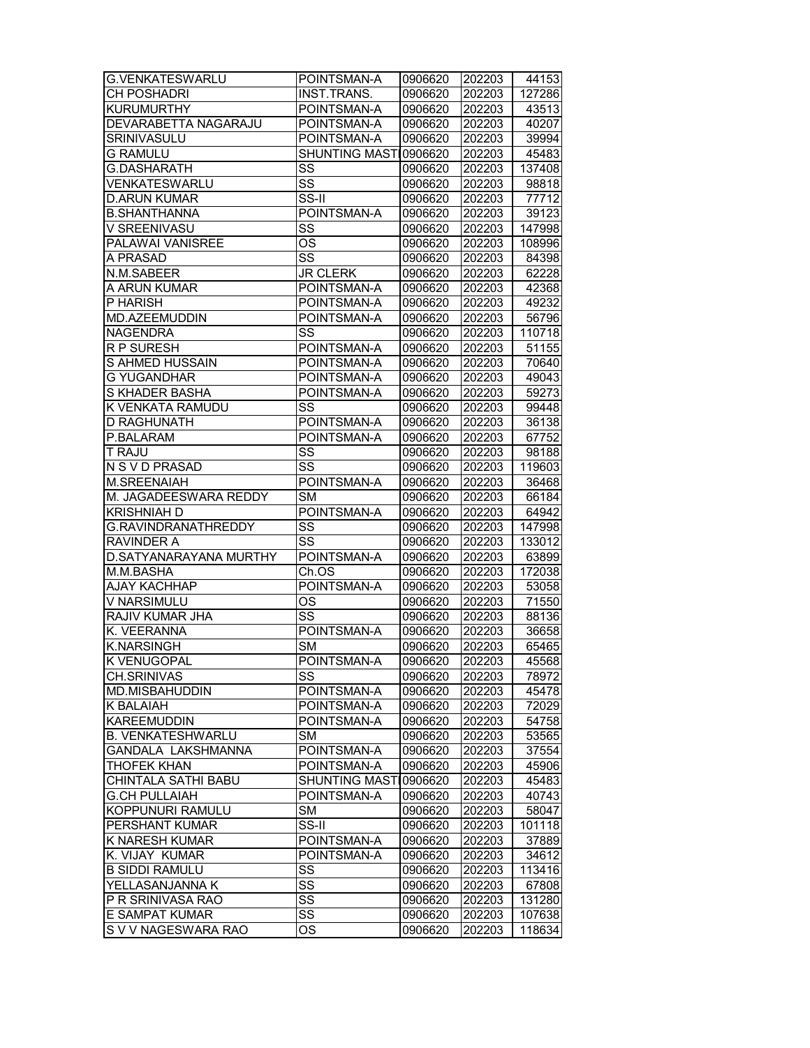| <b>G.VENKATESWARLU</b>   | POINTSMAN-A               | 0906620 | 202203 | 44153  |
|--------------------------|---------------------------|---------|--------|--------|
| <b>CH POSHADRI</b>       | INST.TRANS.               | 0906620 | 202203 | 127286 |
| <b>KURUMURTHY</b>        | POINTSMAN-A               | 0906620 | 202203 | 43513  |
| DEVARABETTA NAGARAJU     | POINTSMAN-A               | 0906620 | 202203 | 40207  |
| SRINIVASULU              | POINTSMAN-A               | 0906620 | 202203 | 39994  |
| <b>G RAMULU</b>          | <b>SHUNTING MASTI</b>     | 0906620 | 202203 | 45483  |
| <b>G.DASHARATH</b>       | SS                        | 0906620 | 202203 | 137408 |
| VENKATESWARLU            | $\overline{\text{ss}}$    | 0906620 | 202203 | 98818  |
| <b>D.ARUN KUMAR</b>      | $\overline{\text{SS-II}}$ | 0906620 | 202203 | 77712  |
| <b>B.SHANTHANNA</b>      | POINTSMAN-A               | 0906620 | 202203 | 39123  |
| V SREENIVASU             | SS                        | 0906620 | 202203 | 147998 |
| <b>PALAWAI VANISREE</b>  | $\overline{\text{OS}}$    | 0906620 | 202203 | 108996 |
| A PRASAD                 | $\overline{\text{ss}}$    | 0906620 | 202203 | 84398  |
| N.M.SABEER               | <b>JR CLERK</b>           | 0906620 | 202203 | 62228  |
| A ARUN KUMAR             | POINTSMAN-A               | 0906620 | 202203 | 42368  |
| P HARISH                 |                           |         |        |        |
|                          | POINTSMAN-A               | 0906620 | 202203 | 49232  |
| MD.AZEEMUDDIN            | POINTSMAN-A               | 0906620 | 202203 | 56796  |
| <b>NAGENDRA</b>          | SS                        | 0906620 | 202203 | 110718 |
| <b>RP SURESH</b>         | POINTSMAN-A               | 0906620 | 202203 | 51155  |
| S AHMED HUSSAIN          | POINTSMAN-A               | 0906620 | 202203 | 70640  |
| G YUGANDHAR              | POINTSMAN-A               | 0906620 | 202203 | 49043  |
| S KHADER BASHA           | POINTSMAN-A               | 0906620 | 202203 | 59273  |
| K VENKATA RAMUDU         | SS                        | 0906620 | 202203 | 99448  |
| D RAGHUNATH              | POINTSMAN-A               | 0906620 | 202203 | 36138  |
| P.BALARAM                | POINTSMAN-A               | 0906620 | 202203 | 67752  |
| T RAJU                   | SS                        | 0906620 | 202203 | 98188  |
| N S V D PRASAD           | SS                        | 0906620 | 202203 | 119603 |
| M.SREENAIAH              | POINTSMAN-A               | 0906620 | 202203 | 36468  |
| M. JAGADEESWARA REDDY    | <b>SM</b>                 | 0906620 | 202203 | 66184  |
| <b>KRISHNIAH D</b>       | POINTSMAN-A               | 0906620 | 202203 | 64942  |
| G.RAVINDRANATHREDDY      | SS                        | 0906620 | 202203 | 147998 |
| RAVINDER A               | SS                        | 0906620 | 202203 | 133012 |
| D. SATYANARAYANA MURTHY  | POINTSMAN-A               | 0906620 | 202203 | 63899  |
| M.M.BASHA                | Ch.OS                     | 0906620 | 202203 | 172038 |
| AJAY KACHHAP             | POINTSMAN-A               | 0906620 | 202203 | 53058  |
| V NARSIMULU              | OS                        | 0906620 | 202203 | 71550  |
| RAJIV KUMAR JHA          | $\overline{\text{ss}}$    | 0906620 | 202203 | 88136  |
| K. VEERANNA              | POINTSMAN-A               | 0906620 | 202203 | 36658  |
| <b>K.NARSINGH</b>        | $\overline{\text{SM}}$    | 0906620 | 202203 | 65465  |
| <b>K VENUGOPAL</b>       | POINTSMAN-A               | 0906620 | 202203 | 45568  |
| <b>CH.SRINIVAS</b>       | SS                        | 0906620 | 202203 | 78972  |
| MD.MISBAHUDDIN           | POINTSMAN-A               | 0906620 | 202203 | 45478  |
| K BALAIAH                | POINTSMAN-A               | 0906620 | 202203 | 72029  |
| <b>KAREEMUDDIN</b>       | POINTSMAN-A               | 0906620 | 202203 | 54758  |
| <b>B. VENKATESHWARLU</b> | <b>SM</b>                 | 0906620 | 202203 | 53565  |
| GANDALA LAKSHMANNA       | POINTSMAN-A               | 0906620 |        | 37554  |
| <b>THOFEK KHAN</b>       | POINTSMAN-A               | 0906620 | 202203 |        |
|                          |                           |         | 202203 | 45906  |
| CHINTALA SATHI BABU      | <b>SHUNTING MASTI</b>     | 0906620 | 202203 | 45483  |
| <b>G.CH PULLAIAH</b>     | POINTSMAN-A               | 0906620 | 202203 | 40743  |
| KOPPUNURI RAMULU         | SМ                        | 0906620 | 202203 | 58047  |
| PERSHANT KUMAR           | SS-II                     | 0906620 | 202203 | 101118 |
| K NARESH KUMAR           | POINTSMAN-A               | 0906620 | 202203 | 37889  |
| K. VIJAY KUMAR           | POINTSMAN-A               | 0906620 | 202203 | 34612  |
| <b>B SIDDI RAMULU</b>    | SS                        | 0906620 | 202203 | 113416 |
| YELLASANJANNA K          | SS                        | 0906620 | 202203 | 67808  |
| P R SRINIVASA RAO        | SS                        | 0906620 | 202203 | 131280 |
| E SAMPAT KUMAR           | SS                        | 0906620 | 202203 | 107638 |
| S V V NAGESWARA RAO      | OS                        | 0906620 | 202203 | 118634 |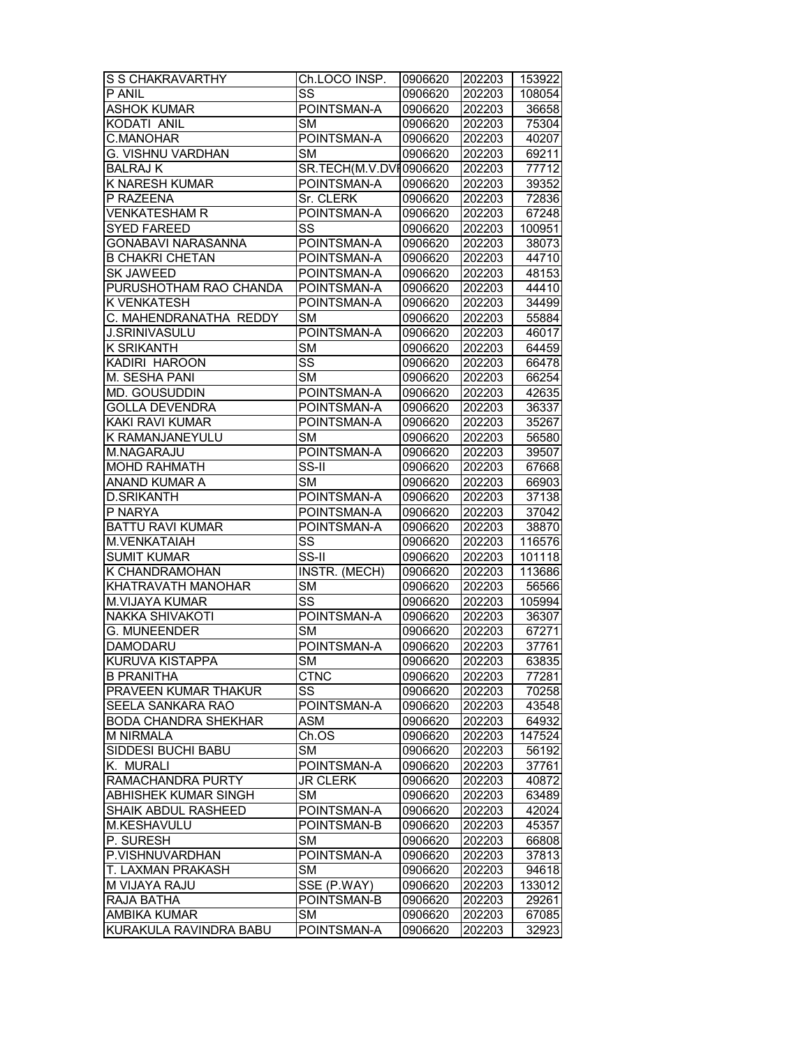| S S CHAKRAVARTHY            | Ch.LOCO INSP.          | 0906620            | 202203 | 153922         |
|-----------------------------|------------------------|--------------------|--------|----------------|
| P ANIL                      | SS                     | 0906620            | 202203 | 108054         |
| <b>ASHOK KUMAR</b>          | POINTSMAN-A            | 0906620            | 202203 | 36658          |
| KODATI ANIL                 | <b>SM</b>              | 0906620            | 202203 | 75304          |
| C.MANOHAR                   | POINTSMAN-A            | 0906620            | 202203 | 40207          |
| G. VISHNU VARDHAN           | <b>SM</b>              | 0906620            | 202203 | 69211          |
| <b>BALRAJ K</b>             | SR.TECH(M.V.DVI0906620 |                    | 202203 | 77712          |
| <b>K NARESH KUMAR</b>       | POINTSMAN-A            | 0906620            | 202203 | 39352          |
| P RAZEENA                   | Sr. CLERK              | 0906620            | 202203 | 72836          |
| <b>VENKATESHAM R</b>        | POINTSMAN-A            | 0906620            | 202203 | 67248          |
| <b>SYED FAREED</b>          | SS                     | 0906620            | 202203 | 100951         |
| <b>GONABAVI NARASANNA</b>   | POINTSMAN-A            | 0906620            | 202203 | 38073          |
| <b>B CHAKRI CHETAN</b>      | POINTSMAN-A            | 0906620            | 202203 | 44710          |
| <b>SK JAWEED</b>            | POINTSMAN-A            | 0906620            | 202203 | 48153          |
| PURUSHOTHAM RAO CHANDA      | POINTSMAN-A            | 0906620            | 202203 | 44410          |
| <b>K VENKATESH</b>          | POINTSMAN-A            | 0906620            | 202203 | 34499          |
|                             | <b>SM</b>              |                    |        |                |
| C. MAHENDRANATHA REDDY      |                        | 0906620            | 202203 | 55884          |
| <b>J.SRINIVASULU</b>        | POINTSMAN-A            | 0906620            | 202203 | 46017          |
| <b>K SRIKANTH</b>           | SM                     | 0906620            | 202203 | 64459          |
| KADIRI HAROON               | SS                     | 0906620            | 202203 | 66478          |
| M. SESHA PANI               | <b>SM</b>              | 0906620            | 202203 | 66254          |
| <b>MD. GOUSUDDIN</b>        | POINTSMAN-A            | 0906620            | 202203 | 42635          |
| <b>GOLLA DEVENDRA</b>       | POINTSMAN-A            | 0906620            | 202203 | 36337          |
| KAKI RAVI KUMAR             | POINTSMAN-A            | 0906620            | 202203 | 35267          |
| K RAMANJANEYULU             | <b>SM</b>              | 0906620            | 202203 | 56580          |
| M.NAGARAJU                  | POINTSMAN-A            | 0906620            | 202203 | 39507          |
| <b>MOHD RAHMATH</b>         | SS-II                  | 0906620            | 202203 | 67668          |
| ANAND KUMAR A               | <b>SM</b>              | 0906620            | 202203 | 66903          |
| <b>D.SRIKANTH</b>           | POINTSMAN-A            | 0906620            | 202203 | 37138          |
| P NARYA                     | POINTSMAN-A            | 0906620            | 202203 | 37042          |
| <b>BATTU RAVI KUMAR</b>     | POINTSMAN-A            | 0906620            | 202203 | 38870          |
| M.VENKATAIAH                | SS                     | 0906620            | 202203 | 116576         |
| <b>SUMIT KUMAR</b>          | $SS-II$                | 0906620            | 202203 | 101118         |
| K CHANDRAMOHAN              | INSTR. (MECH)          | 0906620            | 202203 | 113686         |
| <b>KHATRAVATH MANOHAR</b>   | SM                     | 0906620            | 202203 | 56566          |
| M.VIJAYA KUMAR              | $\overline{\text{ss}}$ | 0906620            | 202203 | 105994         |
| <b>NAKKA SHIVAKOTI</b>      | POINTSMAN-A            | 0906620            | 202203 | 36307          |
| <b>G. MUNEENDER</b>         | <b>SM</b>              | 0906620            | 202203 | 67271          |
| <b>DAMODARU</b>             | POINTSMAN-A            | 0906620            | 202203 | 37761          |
| <b>KURUVA KISTAPPA</b>      | $\overline{\text{SM}}$ | 0906620            | 202203 | 63835          |
| <b>B PRANITHA</b>           | <b>CTNC</b>            | 0906620            | 202203 | 77281          |
| PRAVEEN KUMAR THAKUR        | SS                     | 0906620            | 202203 | 70258          |
| SEELA SANKARA RAO           | POINTSMAN-A            | 0906620            | 202203 | 43548          |
| <b>BODA CHANDRA SHEKHAR</b> | <b>ASM</b>             | 0906620            | 202203 | 64932          |
| <b>M NIRMALA</b>            | Ch.OS                  | 0906620            | 202203 | 147524         |
| SIDDESI BUCHI BABU          | <b>SM</b>              | 0906620            | 202203 | 56192          |
| K. MURALI                   | POINTSMAN-A            | 0906620            | 202203 | 37761          |
| RAMACHANDRA PURTY           | <b>JR CLERK</b>        | 0906620            | 202203 | 40872          |
| ABHISHEK KUMAR SINGH        | <b>SM</b>              |                    | 202203 |                |
| SHAIK ABDUL RASHEED         | POINTSMAN-A            | 0906620<br>0906620 | 202203 | 63489<br>42024 |
| M.KESHAVULU                 |                        |                    |        |                |
|                             | POINTSMAN-B            | 0906620            | 202203 | 45357          |
| P. SURESH                   | SМ                     | 0906620            | 202203 | 66808          |
| P.VISHNUVARDHAN             | POINTSMAN-A            | 0906620            | 202203 | 37813          |
| T. LAXMAN PRAKASH           | SМ                     | 0906620            | 202203 | 94618          |
| M VIJAYA RAJU               | SSE (P.WAY)            | 0906620            | 202203 | 133012         |
| RAJA BATHA                  | POINTSMAN-B            | 0906620            | 202203 | 29261          |
| <b>AMBIKA KUMAR</b>         | SM                     | 0906620            | 202203 | 67085          |
| KURAKULA RAVINDRA BABU      | POINTSMAN-A            | 0906620            | 202203 | 32923          |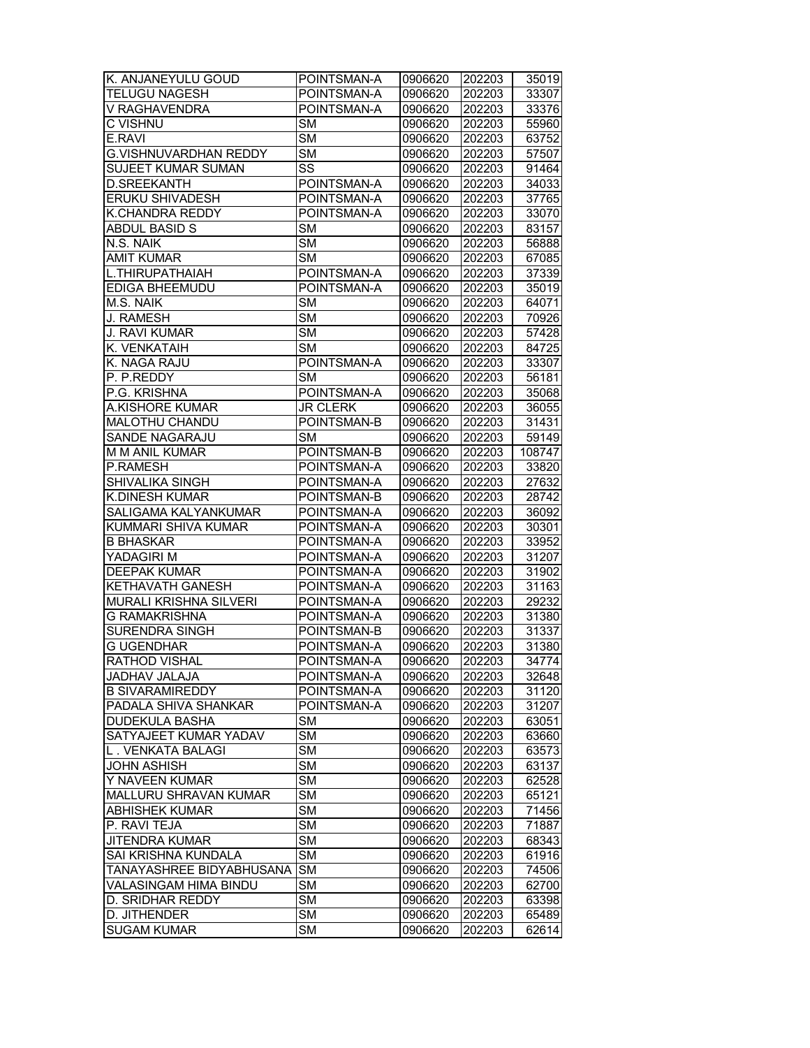| K. ANJANEYULU GOUD            | POINTSMAN-A            | 0906620            | 202203 | 35019          |
|-------------------------------|------------------------|--------------------|--------|----------------|
| <b>TELUGU NAGESH</b>          | POINTSMAN-A            | 0906620            | 202203 | 33307          |
| V RAGHAVENDRA                 | POINTSMAN-A            | 0906620            | 202203 | 33376          |
| C VISHNU                      | <b>SM</b>              | 0906620            | 202203 | 55960          |
| E.RAVI                        | <b>SM</b>              | 0906620            | 202203 | 63752          |
| G.VISHNUVARDHAN REDDY         | <b>SM</b>              | 0906620            | 202203 | 57507          |
| <b>SUJEET KUMAR SUMAN</b>     | SS                     | 0906620            | 202203 | 91464          |
| <b>D.SREEKANTH</b>            | POINTSMAN-A            | 0906620            | 202203 | 34033          |
| <b>ERUKU SHIVADESH</b>        | POINTSMAN-A            | 0906620            | 202203 | 37765          |
| K.CHANDRA REDDY               | POINTSMAN-A            | 0906620            | 202203 | 33070          |
| ABDUL BASID S                 | <b>SM</b>              | 0906620            | 202203 | 83157          |
| N.S. NAIK                     | <b>SM</b>              |                    |        |                |
| <b>AMIT KUMAR</b>             | $\overline{\text{SM}}$ | 0906620<br>0906620 | 202203 | 56888          |
|                               |                        |                    | 202203 | 67085          |
| L.THIRUPATHAIAH               | POINTSMAN-A            | 0906620            | 202203 | 37339          |
| EDIGA BHEEMUDU                | POINTSMAN-A            | 0906620            | 202203 | 35019          |
| M.S. NAIK                     | <b>SM</b>              | 0906620            | 202203 | 64071          |
| J. RAMESH                     | <b>SM</b>              | 0906620            | 202203 | 70926          |
| J. RAVI KUMAR                 | <b>SM</b>              | 0906620            | 202203 | 57428          |
| K. VENKATAIH                  | <b>SM</b>              | 0906620            | 202203 | 84725          |
| K. NAGA RAJU                  | POINTSMAN-A            | 0906620            | 202203 | 33307          |
| P. P.REDDY                    | <b>SM</b>              | 0906620            | 202203 | 56181          |
| P.G. KRISHNA                  | POINTSMAN-A            | 0906620            | 202203 | 35068          |
| A.KISHORE KUMAR               | <b>JR CLERK</b>        | 0906620            | 202203 | 36055          |
| MALOTHU CHANDU                | POINTSMAN-B            | 0906620            | 202203 | 31431          |
| SANDE NAGARAJU                | SМ                     | 0906620            | 202203 | 59149          |
| M M ANIL KUMAR                | POINTSMAN-B            | 0906620            | 202203 | 108747         |
| P.RAMESH                      | POINTSMAN-A            | 0906620            | 202203 | 33820          |
| SHIVALIKA SINGH               | POINTSMAN-A            | 0906620            | 202203 | 27632          |
| K.DINESH KUMAR                | POINTSMAN-B            | 0906620            | 202203 | 28742          |
| SALIGAMA KALYANKUMAR          | POINTSMAN-A            | 0906620            | 202203 | 36092          |
| KUMMARI SHIVA KUMAR           | POINTSMAN-A            | 0906620            | 202203 | 30301          |
| <b>B BHASKAR</b>              | POINTSMAN-A            | 0906620            | 202203 | 33952          |
| YADAGIRI M                    | POINTSMAN-A            | 0906620            | 202203 | 31207          |
| <b>DEEPAK KUMAR</b>           | POINTSMAN-A            | 0906620            | 202203 | 31902          |
| KETHAVATH GANESH              | POINTSMAN-A            | 0906620            | 202203 | 31163          |
| <b>MURALI KRISHNA SILVERI</b> | POINTSMAN-A            | 0906620            | 202203 | 29232          |
| <b>G RAMAKRISHNA</b>          | POINTSMAN-A            |                    | 202203 |                |
| <b>SURENDRA SINGH</b>         | POINTSMAN-B            | 0906620            | 202203 | 31380<br>31337 |
|                               |                        | 0906620            |        |                |
| <b>G UGENDHAR</b>             | POINTSMAN-A            | 0906620            | 202203 | 31380          |
| <b>RATHOD VISHAL</b>          | POINTSMAN-A            | 0906620            | 202203 | 34774          |
| JADHAV JALAJA                 | POINTSMAN-A            | 0906620            | 202203 | 32648          |
| <b>B SIVARAMIREDDY</b>        | POINTSMAN-A            | 0906620            | 202203 | 31120          |
| PADALA SHIVA SHANKAR          | POINTSMAN-A            | 0906620            | 202203 | 31207          |
| <b>DUDEKULA BASHA</b>         | SM                     | 0906620            | 202203 | 63051          |
| SATYAJEET KUMAR YADAV         | <b>SM</b>              | 0906620            | 202203 | 63660          |
| L. VENKATA BALAGI             | SM                     | 0906620            | 202203 | 63573          |
| <b>JOHN ASHISH</b>            | <b>SM</b>              | 0906620            | 202203 | 63137          |
| Y NAVEEN KUMAR                | <b>SM</b>              | 0906620            | 202203 | 62528          |
| MALLURU SHRAVAN KUMAR         | <b>SM</b>              | 0906620            | 202203 | 65121          |
| <b>ABHISHEK KUMAR</b>         | <b>SM</b>              | 0906620            | 202203 | 71456          |
| P. RAVI TEJA                  | <b>SM</b>              | 0906620            | 202203 | 71887          |
| <b>JITENDRA KUMAR</b>         | <b>SM</b>              | 0906620            | 202203 | 68343          |
| SAI KRISHNA KUNDALA           | SM                     | 0906620            | 202203 | 61916          |
| TANAYASHREE BIDYABHUSANA      | <b>SM</b>              | 0906620            | 202203 | 74506          |
| VALASINGAM HIMA BINDU         | <b>SM</b>              | 0906620            | 202203 | 62700          |
| D. SRIDHAR REDDY              | <b>SM</b>              | 0906620            | 202203 | 63398          |
| D. JITHENDER                  | <b>SM</b>              | 0906620            | 202203 | 65489          |
| <b>SUGAM KUMAR</b>            | <b>SM</b>              | 0906620            | 202203 | 62614          |
|                               |                        |                    |        |                |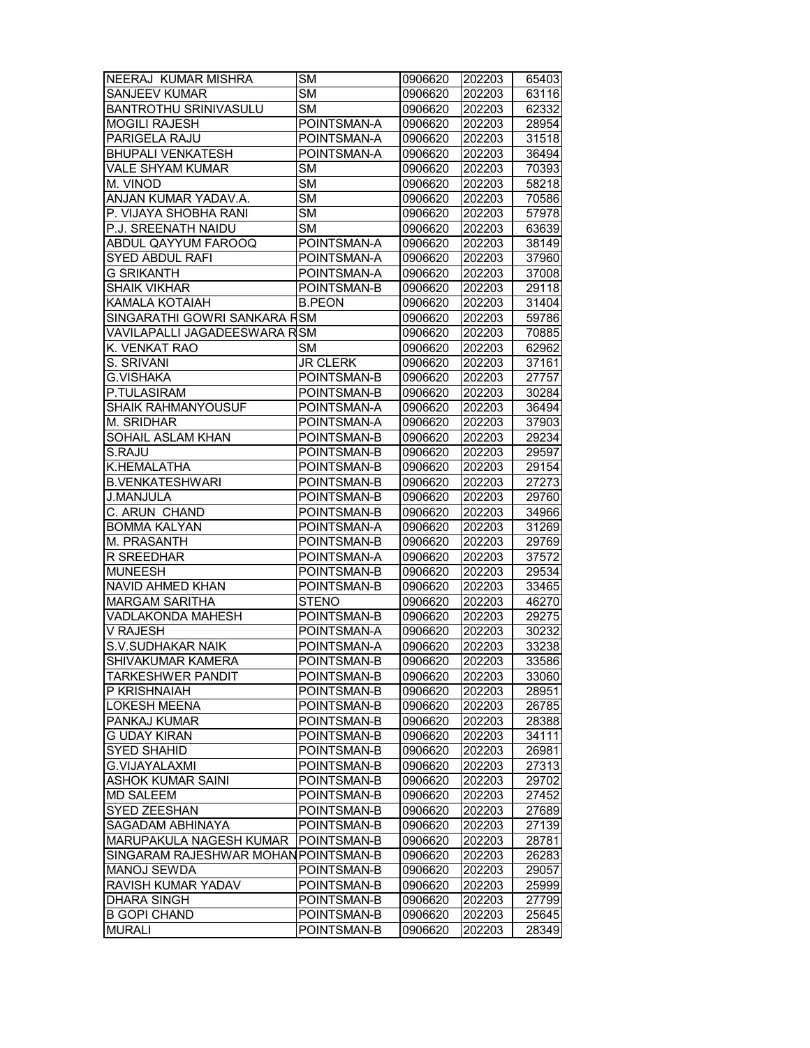| NEERAJ KUMAR MISHRA                        | SM                     | 0906620 | 202203 | 65403 |
|--------------------------------------------|------------------------|---------|--------|-------|
| <b>SANJEEV KUMAR</b>                       | <b>SM</b>              | 0906620 | 202203 | 63116 |
| <b>BANTROTHU SRINIVASULU</b>               | <b>SM</b>              | 0906620 | 202203 | 62332 |
| <b>MOGILI RAJESH</b>                       | POINTSMAN-A            | 0906620 | 202203 | 28954 |
| PARIGELA RAJU                              | POINTSMAN-A            | 0906620 | 202203 | 31518 |
| <b>BHUPALI VENKATESH</b>                   | POINTSMAN-A            | 0906620 | 202203 | 36494 |
| <b>VALE SHYAM KUMAR</b>                    | SM                     | 0906620 | 202203 | 70393 |
| M. VINOD                                   | $\overline{\text{SM}}$ | 0906620 | 202203 | 58218 |
| ANJAN KUMAR YADAV.A.                       | $\overline{\text{SM}}$ | 0906620 | 202203 | 70586 |
| P. VIJAYA SHOBHA RANI                      | <b>SM</b>              | 0906620 | 202203 | 57978 |
| P.J. SREENATH NAIDU                        | $\overline{\text{SM}}$ | 0906620 | 202203 | 63639 |
| <b>ABDUL QAYYUM FAROOQ</b>                 | POINTSMAN-A            | 0906620 | 202203 | 38149 |
| <b>SYED ABDUL RAFI</b>                     | POINTSMAN-A            | 0906620 | 202203 | 37960 |
|                                            |                        |         |        |       |
| <b>G SRIKANTH</b>                          | POINTSMAN-A            | 0906620 | 202203 | 37008 |
| <b>SHAIK VIKHAR</b>                        | POINTSMAN-B            | 0906620 | 202203 | 29118 |
| KAMALA KOTAIAH                             | <b>B.PEON</b>          | 0906620 | 202203 | 31404 |
| SINGARATHI GOWRI SANKARA FSM               |                        | 0906620 | 202203 | 59786 |
| VAVILAPALLI JAGADEESWARA R <sup>I</sup> SM |                        | 0906620 | 202203 | 70885 |
| K. VENKAT RAO                              | <b>SM</b>              | 0906620 | 202203 | 62962 |
| S. SRIVANI                                 | <b>JR CLERK</b>        | 0906620 | 202203 | 37161 |
| <b>G.VISHAKA</b>                           | POINTSMAN-B            | 0906620 | 202203 | 27757 |
| P.TULASIRAM                                | POINTSMAN-B            | 0906620 | 202203 | 30284 |
| <b>SHAIK RAHMANYOUSUF</b>                  | POINTSMAN-A            | 0906620 | 202203 | 36494 |
| M. SRIDHAR                                 | POINTSMAN-A            | 0906620 | 202203 | 37903 |
| SOHAIL ASLAM KHAN                          | POINTSMAN-B            | 0906620 | 202203 | 29234 |
| S.RAJU                                     | POINTSMAN-B            | 0906620 | 202203 | 29597 |
| K.HEMALATHA                                | POINTSMAN-B            | 0906620 | 202203 | 29154 |
| <b>B.VENKATESHWARI</b>                     | POINTSMAN-B            | 0906620 | 202203 | 27273 |
| J.MANJULA                                  | POINTSMAN-B            | 0906620 | 202203 | 29760 |
| C. ARUN CHAND                              | POINTSMAN-B            | 0906620 | 202203 | 34966 |
| <b>BOMMA KALYAN</b>                        | POINTSMAN-A            | 0906620 | 202203 | 31269 |
| M. PRASANTH                                | POINTSMAN-B            | 0906620 | 202203 | 29769 |
| R SREEDHAR                                 | POINTSMAN-A            | 0906620 | 202203 | 37572 |
| <b>MUNEESH</b>                             | POINTSMAN-B            | 0906620 | 202203 | 29534 |
| <b>NAVID AHMED KHAN</b>                    | POINTSMAN-B            | 0906620 | 202203 | 33465 |
| <b>MARGAM SARITHA</b>                      | <b>STENO</b>           | 0906620 | 202203 | 46270 |
| <b>VADLAKONDA MAHESH</b>                   | POINTSMAN-B            | 0906620 | 202203 | 29275 |
| <b>V RAJESH</b>                            | POINTSMAN-A            | 0906620 | 202203 | 30232 |
| <b>S.V.SUDHAKAR NAIK</b>                   | POINTSMAN-A            | 0906620 | 202203 | 33238 |
| SHIVAKUMAR KAMERA                          | POINTSMAN-B            | 0906620 | 202203 | 33586 |
|                                            |                        |         |        |       |
| <b>TARKESHWER PANDIT</b>                   | POINTSMAN-B            | 0906620 | 202203 | 33060 |
| P KRISHNAIAH                               | POINTSMAN-B            | 0906620 | 202203 | 28951 |
| <b>LOKESH MEENA</b>                        | POINTSMAN-B            | 0906620 | 202203 | 26785 |
| PANKAJ KUMAR                               | POINTSMAN-B            | 0906620 | 202203 | 28388 |
| <b>G UDAY KIRAN</b>                        | POINTSMAN-B            | 0906620 | 202203 | 34111 |
| <b>SYED SHAHID</b>                         | POINTSMAN-B            | 0906620 | 202203 | 26981 |
| <b>G.VIJAYALAXMI</b>                       | POINTSMAN-B            | 0906620 | 202203 | 27313 |
| ASHOK KUMAR SAINI                          | POINTSMAN-B            | 0906620 | 202203 | 29702 |
| <b>MD SALEEM</b>                           | POINTSMAN-B            | 0906620 | 202203 | 27452 |
| SYED ZEESHAN                               | POINTSMAN-B            | 0906620 | 202203 | 27689 |
| SAGADAM ABHINAYA                           | POINTSMAN-B            | 0906620 | 202203 | 27139 |
| MARUPAKULA NAGESH KUMAR                    | POINTSMAN-B            | 0906620 | 202203 | 28781 |
| SINGARAM RAJESHWAR MOHAN POINTSMAN-B       |                        | 0906620 | 202203 | 26283 |
| <b>MANOJ SEWDA</b>                         | POINTSMAN-B            | 0906620 | 202203 | 29057 |
| RAVISH KUMAR YADAV                         | POINTSMAN-B            | 0906620 | 202203 | 25999 |
| <b>DHARA SINGH</b>                         | POINTSMAN-B            | 0906620 | 202203 | 27799 |
| <b>B GOPI CHAND</b>                        | POINTSMAN-B            | 0906620 | 202203 | 25645 |
| <b>MURALI</b>                              | POINTSMAN-B            | 0906620 | 202203 | 28349 |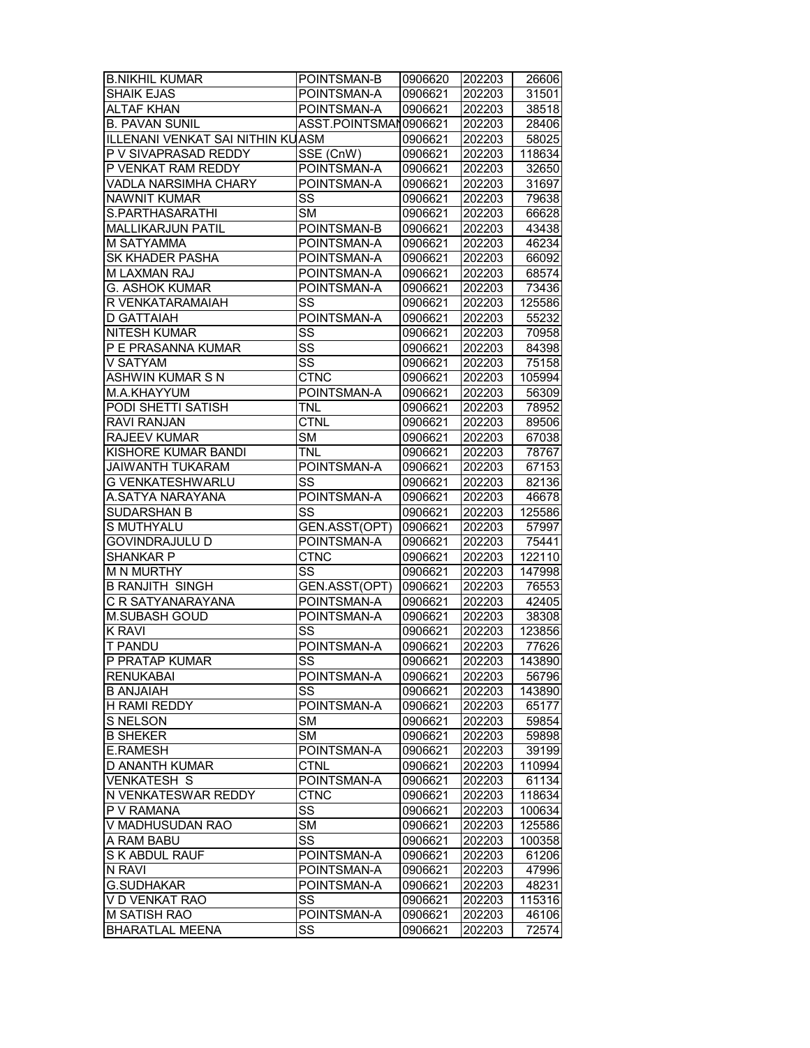| <b>B.NIKHIL KUMAR</b>            | POINTSMAN-B           | 0906620 | 202203 | 26606  |
|----------------------------------|-----------------------|---------|--------|--------|
| <b>SHAIK EJAS</b>                | POINTSMAN-A           | 0906621 | 202203 | 31501  |
| <b>ALTAF KHAN</b>                | POINTSMAN-A           | 0906621 | 202203 | 38518  |
| <b>B. PAVAN SUNIL</b>            | ASST.POINTSMAN0906621 |         | 202203 | 28406  |
| ILLENANI VENKAT SAI NITHIN KUASM |                       | 0906621 | 202203 | 58025  |
| P V SIVAPRASAD REDDY             | SSE (CnW)             | 0906621 | 202203 | 118634 |
| P VENKAT RAM REDDY               | POINTSMAN-A           | 0906621 | 202203 | 32650  |
| VADLA NARSIMHA CHARY             | POINTSMAN-A           | 0906621 | 202203 | 31697  |
| <b>NAWNIT KUMAR</b>              | SS                    | 0906621 | 202203 | 79638  |
| S.PARTHASARATHI                  | <b>SM</b>             | 0906621 | 202203 | 66628  |
| MALLIKARJUN PATIL                | POINTSMAN-B           | 0906621 | 202203 | 43438  |
| M SATYAMMA                       | POINTSMAN-A           | 0906621 | 202203 | 46234  |
| <b>SK KHADER PASHA</b>           | POINTSMAN-A           | 0906621 | 202203 | 66092  |
| M LAXMAN RAJ                     | POINTSMAN-A           | 0906621 | 202203 | 68574  |
| G. ASHOK KUMAR                   | POINTSMAN-A           | 0906621 | 202203 | 73436  |
| R VENKATARAMAIAH                 | SS                    | 0906621 | 202203 | 125586 |
| <b>D GATTAIAH</b>                | POINTSMAN-A           | 0906621 | 202203 | 55232  |
| <b>NITESH KUMAR</b>              | SS                    | 0906621 | 202203 | 70958  |
| P E PRASANNA KUMAR               | SS                    | 0906621 | 202203 | 84398  |
| V SATYAM                         | SS                    | 0906621 | 202203 | 75158  |
|                                  | <b>CTNC</b>           |         |        |        |
| ASHWIN KUMAR S N                 |                       | 0906621 | 202203 | 105994 |
| M.A.KHAYYUM                      | POINTSMAN-A           | 0906621 | 202203 | 56309  |
| <b>PODI SHETTI SATISH</b>        | <b>TNL</b>            | 0906621 | 202203 | 78952  |
| <b>RAVI RANJAN</b>               | <b>CTNL</b>           | 0906621 | 202203 | 89506  |
| <b>RAJEEV KUMAR</b>              | <b>SM</b>             | 0906621 | 202203 | 67038  |
| KISHORE KUMAR BANDI              | <b>TNL</b>            | 0906621 | 202203 | 78767  |
| <b>JAIWANTH TUKARAM</b>          | POINTSMAN-A           | 0906621 | 202203 | 67153  |
| G VENKATESHWARLU                 | SS                    | 0906621 | 202203 | 82136  |
| A.SATYA NARAYANA                 | POINTSMAN-A           | 0906621 | 202203 | 46678  |
| <b>SUDARSHAN B</b>               | SS                    | 0906621 | 202203 | 125586 |
| S MUTHYALU                       | GEN.ASST(OPT)         | 0906621 | 202203 | 57997  |
| GOVINDRAJULU D                   | POINTSMAN-A           | 0906621 | 202203 | 75441  |
| <b>SHANKAR P</b>                 | <b>CTNC</b>           | 0906621 | 202203 | 122110 |
| <b>M N MURTHY</b>                | SS                    | 0906621 | 202203 | 147998 |
| <b>B RANJITH SINGH</b>           | GEN.ASST(OPT)         | 0906621 | 202203 | 76553  |
| C R SATYANARAYANA                | POINTSMAN-A           | 0906621 | 202203 | 42405  |
| M.SUBASH GOUD                    | POINTSMAN-A           | 0906621 | 202203 | 38308  |
| <b>K RAVI</b>                    | SS                    | 0906621 | 202203 | 123856 |
| <b>T PANDU</b>                   | POINTSMAN-A           | 0906621 | 202203 | 77626  |
| P PRATAP KUMAR                   | SS                    | 0906621 | 202203 | 143890 |
| <b>RENUKABAI</b>                 | POINTSMAN-A           | 0906621 | 202203 | 56796  |
| <b>B ANJAIAH</b>                 | SS                    | 0906621 | 202203 | 143890 |
| <b>H RAMI REDDY</b>              | POINTSMAN-A           | 0906621 | 202203 | 65177  |
| S NELSON                         | <b>SM</b>             | 0906621 | 202203 | 59854  |
| <b>B SHEKER</b>                  | <b>SM</b>             | 0906621 | 202203 | 59898  |
| <b>E.RAMESH</b>                  | POINTSMAN-A           | 0906621 | 202203 | 39199  |
| <b>D ANANTH KUMAR</b>            | <b>CTNL</b>           | 0906621 | 202203 | 110994 |
| <b>VENKATESH S</b>               | POINTSMAN-A           | 0906621 | 202203 | 61134  |
| N VENKATESWAR REDDY              | <b>CTNC</b>           |         | 202203 |        |
|                                  |                       | 0906621 |        | 118634 |
| P V RAMANA                       | SS                    | 0906621 | 202203 | 100634 |
| V MADHUSUDAN RAO                 | <b>SM</b>             | 0906621 | 202203 | 125586 |
| A RAM BABU                       | SS                    | 0906621 | 202203 | 100358 |
| S K ABDUL RAUF                   | POINTSMAN-A           | 0906621 | 202203 | 61206  |
| N RAVI                           | POINTSMAN-A           | 0906621 | 202203 | 47996  |
| <b>G.SUDHAKAR</b>                | POINTSMAN-A           | 0906621 | 202203 | 48231  |
| V D VENKAT RAO                   | SS                    | 0906621 | 202203 | 115316 |
| <b>M SATISH RAO</b>              | POINTSMAN-A           | 0906621 | 202203 | 46106  |
| <b>BHARATLAL MEENA</b>           | SS                    | 0906621 | 202203 | 72574  |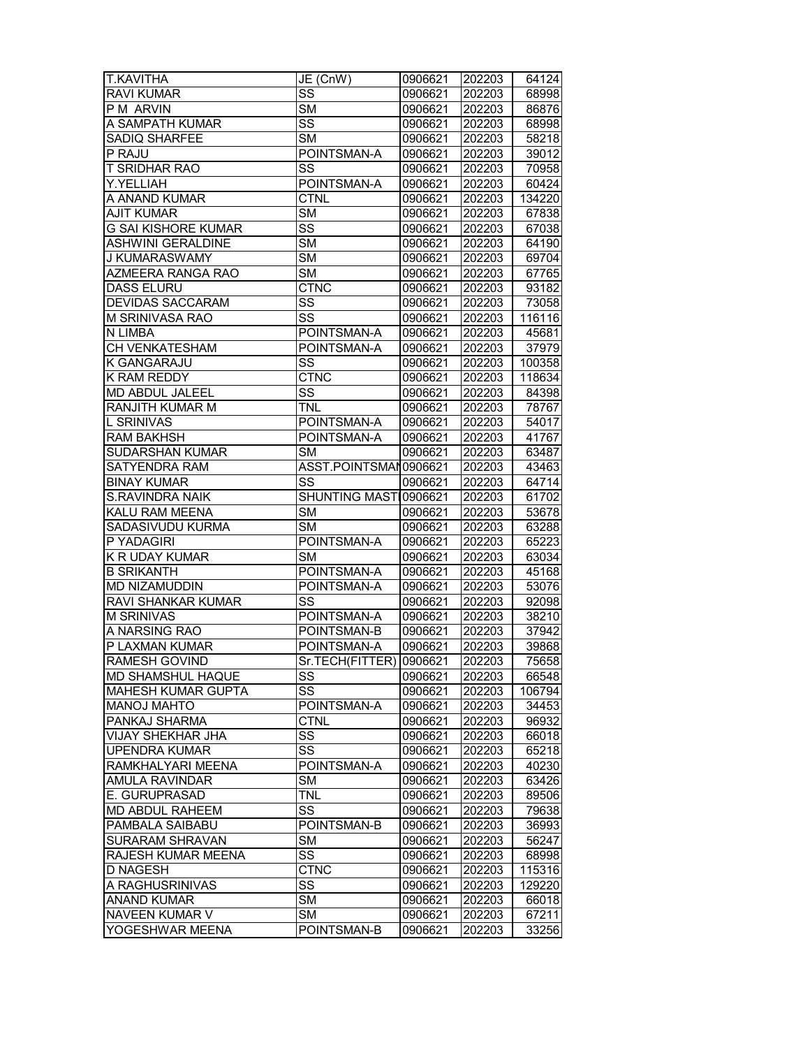| <b>T.KAVITHA</b>           | JE (CnW)                 | 0906621 | 202203 | 64124  |
|----------------------------|--------------------------|---------|--------|--------|
| <b>RAVI KUMAR</b>          | $\overline{\text{ss}}$   | 0906621 | 202203 | 68998  |
| P M ARVIN                  | <b>SM</b>                | 0906621 | 202203 | 86876  |
| A SAMPATH KUMAR            | $\overline{\text{ss}}$   | 0906621 | 202203 | 68998  |
| SADIQ SHARFEE              | <b>SM</b>                | 0906621 | 202203 | 58218  |
| P RAJU                     | POINTSMAN-A              | 0906621 | 202203 | 39012  |
| T SRIDHAR RAO              | SS                       | 0906621 | 202203 | 70958  |
| Y.YELLIAH                  | POINTSMAN-A              | 0906621 | 202203 | 60424  |
| A ANAND KUMAR              | <b>CTNL</b>              | 0906621 | 202203 | 134220 |
| <b>AJIT KUMAR</b>          | <b>SM</b>                | 0906621 | 202203 | 67838  |
| <b>G SAI KISHORE KUMAR</b> | SS                       | 0906621 | 202203 | 67038  |
| <b>ASHWINI GERALDINE</b>   | $\overline{\text{SM}}$   | 0906621 | 202203 | 64190  |
| J KUMARASWAMY              | <b>SM</b>                | 0906621 | 202203 | 69704  |
| AZMEERA RANGA RAO          | <b>SM</b>                | 0906621 | 202203 | 67765  |
| <b>DASS ELURU</b>          | <b>CTNC</b>              | 0906621 | 202203 | 93182  |
| DEVIDAS SACCARAM           | SS                       | 0906621 | 202203 | 73058  |
| M SRINIVASA RAO            | SS                       | 0906621 | 202203 | 116116 |
| N LIMBA                    | POINTSMAN-A              | 0906621 | 202203 | 45681  |
| CH VENKATESHAM             | POINTSMAN-A              | 0906621 | 202203 | 37979  |
| K GANGARAJU                | SS                       | 0906621 | 202203 | 100358 |
| <b>K RAM REDDY</b>         | $\overline{\text{CTNC}}$ | 0906621 | 202203 | 118634 |
| MD ABDUL JALEEL            | $\overline{\text{ss}}$   | 0906621 | 202203 | 84398  |
| RANJITH KUMAR M            | <b>TNL</b>               | 0906621 | 202203 | 78767  |
| L SRINIVAS                 | POINTSMAN-A              | 0906621 | 202203 | 54017  |
| <b>RAM BAKHSH</b>          | POINTSMAN-A              | 0906621 | 202203 | 41767  |
| SUDARSHAN KUMAR            | <b>SM</b>                | 0906621 | 202203 | 63487  |
| SATYENDRA RAM              | ASST.POINTSMAN0906621    |         | 202203 | 43463  |
| <b>BINAY KUMAR</b>         | SS                       | 0906621 | 202203 | 64714  |
| S.RAVINDRA NAIK            | SHUNTING MASTI0906621    |         | 202203 | 61702  |
| KALU RAM MEENA             | <b>SM</b>                | 0906621 | 202203 | 53678  |
| SADASIVUDU KURMA           | <b>SM</b>                | 0906621 | 202203 | 63288  |
| P YADAGIRI                 | POINTSMAN-A              | 0906621 | 202203 | 65223  |
| K R UDAY KUMAR             | <b>SM</b>                | 0906621 | 202203 | 63034  |
| <b>B SRIKANTH</b>          | POINTSMAN-A              | 0906621 | 202203 | 45168  |
| <b>MD NIZAMUDDIN</b>       | POINTSMAN-A              | 0906621 | 202203 | 53076  |
| RAVI SHANKAR KUMAR         | SS                       | 0906621 | 202203 | 92098  |
| <b>M SRINIVAS</b>          | POINTSMAN-A              | 0906621 | 202203 | 38210  |
| A NARSING RAO              | POINTSMAN-B              | 0906621 | 202203 | 37942  |
| P LAXMAN KUMAR             | POINTSMAN-A              | 0906621 | 202203 | 39868  |
| <b>RAMESH GOVIND</b>       | Sr.TECH(FITTER) 10906621 |         | 202203 | 75658  |
| MD SHAMSHUL HAQUE          | SS                       | 0906621 | 202203 | 66548  |
| <b>MAHESH KUMAR GUPTA</b>  | SS                       | 0906621 | 202203 | 106794 |
| MANOJ MAHTO                | POINTSMAN-A              | 0906621 | 202203 | 34453  |
| PANKAJ SHARMA              | <b>CTNL</b>              | 0906621 | 202203 | 96932  |
| VIJAY SHEKHAR JHA          | SS                       | 0906621 | 202203 | 66018  |
| <b>UPENDRA KUMAR</b>       | $\overline{\text{ss}}$   | 0906621 | 202203 | 65218  |
| RAMKHALYARI MEENA          | POINTSMAN-A              | 0906621 | 202203 | 40230  |
| <b>AMULA RAVINDAR</b>      | <b>SM</b>                | 0906621 | 202203 | 63426  |
| E. GURUPRASAD              | <b>TNL</b>               | 0906621 | 202203 | 89506  |
| MD ABDUL RAHEEM            | SS                       | 0906621 | 202203 | 79638  |
| PAMBALA SAIBABU            | POINTSMAN-B              | 0906621 | 202203 | 36993  |
| <b>SURARAM SHRAVAN</b>     | <b>SM</b>                | 0906621 | 202203 | 56247  |
| RAJESH KUMAR MEENA         | $\overline{\text{SS}}$   | 0906621 | 202203 | 68998  |
| <b>D NAGESH</b>            | <b>CTNC</b>              | 0906621 | 202203 | 115316 |
| A RAGHUSRINIVAS            | SS                       | 0906621 | 202203 | 129220 |
| <b>ANAND KUMAR</b>         | <b>SM</b>                | 0906621 | 202203 | 66018  |
| NAVEEN KUMAR V             | SM                       | 0906621 | 202203 | 67211  |
| YOGESHWAR MEENA            | POINTSMAN-B              | 0906621 | 202203 | 33256  |
|                            |                          |         |        |        |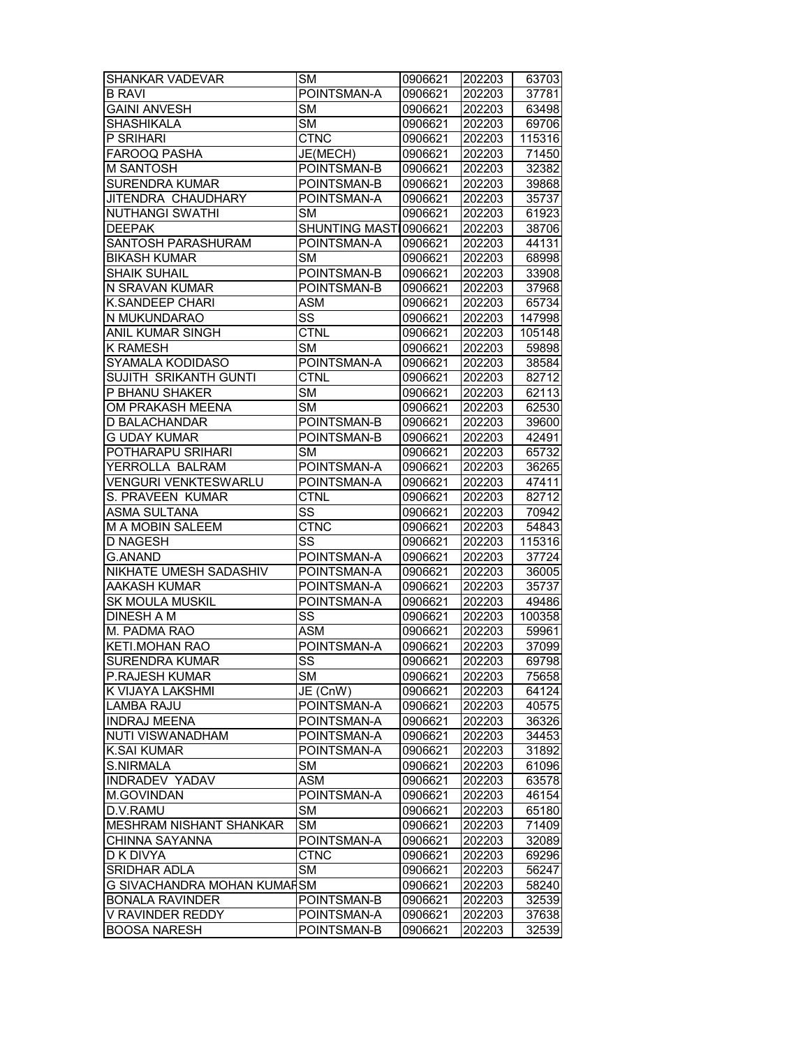| <b>SHANKAR VADEVAR</b>         | <b>SM</b>              | 0906621 | 202203 | 63703  |
|--------------------------------|------------------------|---------|--------|--------|
| <b>B RAVI</b>                  | POINTSMAN-A            | 0906621 | 202203 | 37781  |
| <b>GAINI ANVESH</b>            | <b>SM</b>              | 0906621 | 202203 | 63498  |
| <b>SHASHIKALA</b>              | <b>SM</b>              | 0906621 | 202203 | 69706  |
| P SRIHARI                      | CTNC                   | 0906621 | 202203 | 115316 |
| FAROOQ PASHA                   | JE(MECH)               | 0906621 | 202203 | 71450  |
| <b>M SANTOSH</b>               | POINTSMAN-B            | 0906621 | 202203 | 32382  |
| <b>SURENDRA KUMAR</b>          | POINTSMAN-B            | 0906621 | 202203 | 39868  |
| JITENDRA CHAUDHARY             | POINTSMAN-A            | 0906621 | 202203 | 35737  |
| <b>NUTHANGI SWATHI</b>         | SM                     | 0906621 | 202203 | 61923  |
| <b>DEEPAK</b>                  | SHUNTING MASTI0906621  |         | 202203 | 38706  |
| SANTOSH PARASHURAM             | POINTSMAN-A            | 0906621 | 202203 | 44131  |
| <b>BIKASH KUMAR</b>            | <b>SM</b>              | 0906621 | 202203 | 68998  |
| <b>SHAIK SUHAIL</b>            | POINTSMAN-B            | 0906621 | 202203 | 33908  |
| N SRAVAN KUMAR                 | POINTSMAN-B            | 0906621 | 202203 | 37968  |
| <b>K.SANDEEP CHARI</b>         | <b>ASM</b>             | 0906621 | 202203 | 65734  |
| N MUKUNDARAO                   | SS                     | 0906621 | 202203 | 147998 |
| ANIL KUMAR SINGH               | CTNL                   | 0906621 | 202203 | 105148 |
| K RAMESH                       | <b>SM</b>              | 0906621 | 202203 | 59898  |
| SYAMALA KODIDASO               | POINTSMAN-A            | 0906621 | 202203 | 38584  |
| <b>SUJITH SRIKANTH GUNTI</b>   | <b>CTNL</b>            | 0906621 | 202203 | 82712  |
| P BHANU SHAKER                 | <b>SM</b>              | 0906621 | 202203 | 62113  |
| OM PRAKASH MEENA               | $\overline{\text{SM}}$ | 0906621 | 202203 | 62530  |
| <b>D BALACHANDAR</b>           | POINTSMAN-B            | 0906621 | 202203 | 39600  |
| <b>G UDAY KUMAR</b>            | POINTSMAN-B            | 0906621 | 202203 | 42491  |
| POTHARAPU SRIHARI              | <b>SM</b>              | 0906621 | 202203 | 65732  |
| YERROLLA BALRAM                | POINTSMAN-A            | 0906621 | 202203 | 36265  |
| <b>VENGURI VENKTESWARLU</b>    | POINTSMAN-A            | 0906621 | 202203 | 47411  |
| S. PRAVEEN KUMAR               | <b>CTNL</b>            | 0906621 | 202203 | 82712  |
| <b>ASMA SULTANA</b>            | SS                     | 0906621 | 202203 | 70942  |
| M A MOBIN SALEEM               | <b>CTNC</b>            | 0906621 | 202203 | 54843  |
| <b>D NAGESH</b>                | SS                     | 0906621 | 202203 | 115316 |
| <b>G.ANAND</b>                 | POINTSMAN-A            | 0906621 | 202203 | 37724  |
| NIKHATE UMESH SADASHIV         | POINTSMAN-A            | 0906621 | 202203 | 36005  |
| <b>AAKASH KUMAR</b>            | POINTSMAN-A            | 0906621 | 202203 | 35737  |
| <b>SK MOULA MUSKIL</b>         | POINTSMAN-A            | 0906621 | 202203 | 49486  |
| <b>DINESH A M</b>              | SS                     | 0906621 | 202203 | 100358 |
| M. PADMA RAO                   | <b>ASM</b>             | 0906621 | 202203 | 59961  |
| KETI.MOHAN RAO                 | POINTSMAN-A            | 0906621 | 202203 | 37099  |
| SURENDRA KUMAR                 | SS                     | 0906621 | 202203 | 69798  |
| <b>P.RAJESH KUMAR</b>          | <b>SM</b>              | 0906621 | 202203 | 75658  |
| K VIJAYA LAKSHMI               | JE (CnW)               | 0906621 | 202203 | 64124  |
| <b>LAMBA RAJU</b>              | POINTSMAN-A            | 0906621 | 202203 | 40575  |
| <b>INDRAJ MEENA</b>            | POINTSMAN-A            | 0906621 | 202203 | 36326  |
| NUTI VISWANADHAM               | POINTSMAN-A            | 0906621 | 202203 | 34453  |
| <b>K.SAI KUMAR</b>             | POINTSMAN-A            | 0906621 | 202203 | 31892  |
| S.NIRMALA                      | SM                     | 0906621 | 202203 | 61096  |
| <b>INDRADEV YADAV</b>          | <b>ASM</b>             | 0906621 | 202203 | 63578  |
| <b>M.GOVINDAN</b>              | POINTSMAN-A            | 0906621 | 202203 | 46154  |
| D.V.RAMU                       | SM                     | 0906621 | 202203 | 65180  |
| <b>MESHRAM NISHANT SHANKAR</b> | <b>SM</b>              | 0906621 | 202203 | 71409  |
| CHINNA SAYANNA                 | POINTSMAN-A            | 0906621 | 202203 | 32089  |
| D K DIVYA                      | <b>CTNC</b>            | 0906621 | 202203 | 69296  |
| SRIDHAR ADLA                   | SM                     | 0906621 | 202203 | 56247  |
| G SIVACHANDRA MOHAN KUMAFSM    |                        | 0906621 | 202203 | 58240  |
| <b>BONALA RAVINDER</b>         | POINTSMAN-B            | 0906621 | 202203 | 32539  |
| V RAVINDER REDDY               | POINTSMAN-A            | 0906621 | 202203 | 37638  |
| <b>BOOSA NARESH</b>            | POINTSMAN-B            | 0906621 | 202203 | 32539  |
|                                |                        |         |        |        |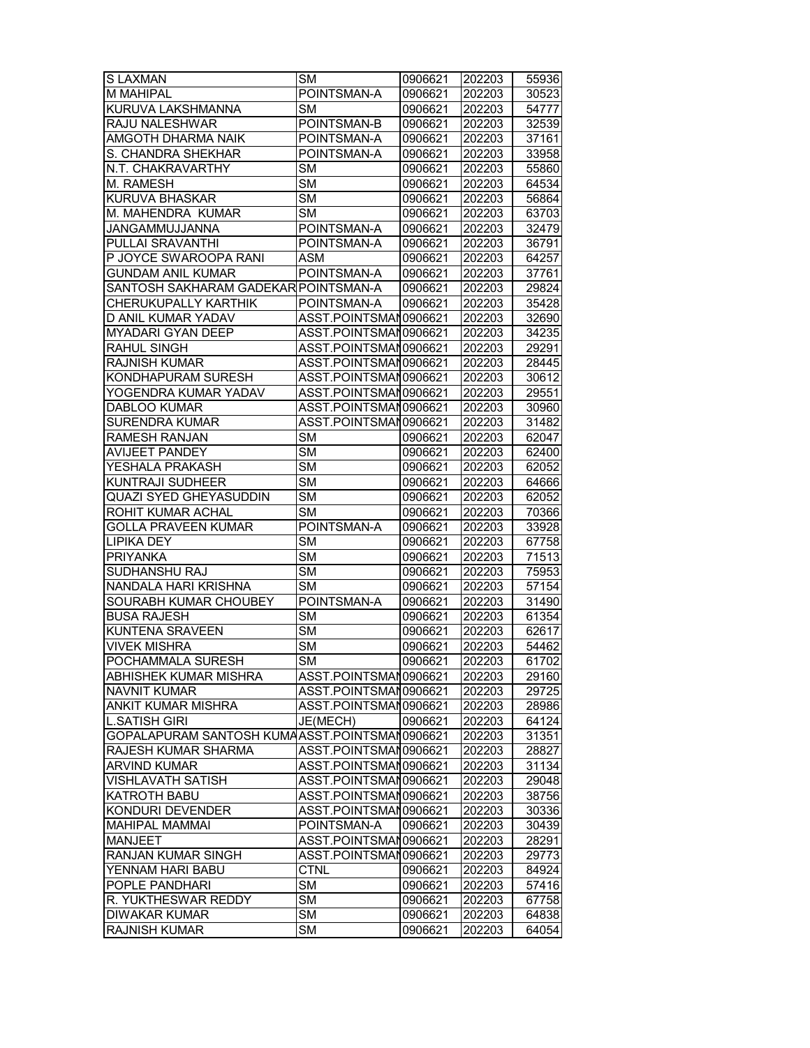| <b>SLAXMAN</b>                                | <b>SM</b>              | 0906621 | 202203 | 55936 |
|-----------------------------------------------|------------------------|---------|--------|-------|
| M MAHIPAL                                     | POINTSMAN-A            | 0906621 | 202203 | 30523 |
| KURUVA LAKSHMANNA                             | <b>SM</b>              | 0906621 | 202203 | 54777 |
| RAJU NALESHWAR                                | POINTSMAN-B            | 0906621 | 202203 | 32539 |
| AMGOTH DHARMA NAIK                            | POINTSMAN-A            | 0906621 | 202203 | 37161 |
| S. CHANDRA SHEKHAR                            | POINTSMAN-A            | 0906621 | 202203 | 33958 |
| N.T. CHAKRAVARTHY                             | <b>SM</b>              | 0906621 | 202203 | 55860 |
| M. RAMESH                                     | <b>SM</b>              | 0906621 | 202203 | 64534 |
| KURUVA BHASKAR                                | <b>SM</b>              | 0906621 | 202203 | 56864 |
| M. MAHENDRA KUMAR                             | <b>SM</b>              | 0906621 | 202203 | 63703 |
| JANGAMMUJJANNA                                | POINTSMAN-A            | 0906621 | 202203 | 32479 |
| <b>PULLAI SRAVANTHI</b>                       | POINTSMAN-A            |         |        |       |
|                                               |                        | 0906621 | 202203 | 36791 |
| P JOYCE SWAROOPA RANI                         | <b>ASM</b>             | 0906621 | 202203 | 64257 |
| <b>GUNDAM ANIL KUMAR</b>                      | POINTSMAN-A            | 0906621 | 202203 | 37761 |
| SANTOSH SAKHARAM GADEKAR POINTSMAN-A          |                        | 0906621 | 202203 | 29824 |
| CHERUKUPALLY KARTHIK                          | POINTSMAN-A            | 0906621 | 202203 | 35428 |
| D ANIL KUMAR YADAV                            | ASST.POINTSMAN0906621  |         | 202203 | 32690 |
| MYADARI GYAN DEEP                             | ASST.POINTSMAN0906621  |         | 202203 | 34235 |
| RAHUL SINGH                                   | ASST.POINTSMAN0906621  |         | 202203 | 29291 |
| <b>RAJNISH KUMAR</b>                          | ASST.POINTSMAN0906621  |         | 202203 | 28445 |
| KONDHAPURAM SURESH                            | ASST.POINTSMAN0906621  |         | 202203 | 30612 |
| YOGENDRA KUMAR YADAV                          | ASST.POINTSMAN0906621  |         | 202203 | 29551 |
| <b>DABLOO KUMAR</b>                           | ASST.POINTSMAN0906621  |         | 202203 | 30960 |
| <b>SURENDRA KUMAR</b>                         | ASST.POINTSMAN0906621  |         | 202203 | 31482 |
| <b>RAMESH RANJAN</b>                          | SM                     | 0906621 | 202203 | 62047 |
| <b>AVIJEET PANDEY</b>                         | $\overline{\text{SM}}$ | 0906621 | 202203 | 62400 |
| YESHALA PRAKASH                               | $\overline{\text{SM}}$ | 0906621 | 202203 | 62052 |
| <b>KUNTRAJI SUDHEER</b>                       | $\overline{\text{SM}}$ | 0906621 | 202203 | 64666 |
| QUAZI SYED GHEYASUDDIN                        | <b>SM</b>              | 0906621 | 202203 | 62052 |
| ROHIT KUMAR ACHAL                             | <b>SM</b>              | 0906621 | 202203 | 70366 |
| <b>GOLLA PRAVEEN KUMAR</b>                    | POINTSMAN-A            | 0906621 | 202203 | 33928 |
| <b>LIPIKA DEY</b>                             | <b>SM</b>              | 0906621 | 202203 | 67758 |
| <b>PRIYANKA</b>                               | <b>SM</b>              | 0906621 | 202203 | 71513 |
| SUDHANSHU RAJ                                 | <b>SM</b>              | 0906621 | 202203 | 75953 |
| NANDALA HARI KRISHNA                          | <b>SM</b>              | 0906621 | 202203 | 57154 |
| SOURABH KUMAR CHOUBEY                         | POINTSMAN-A            | 0906621 | 202203 | 31490 |
| <b>BUSA RAJESH</b>                            | <b>SM</b>              | 0906621 | 202203 | 61354 |
| <b>KUNTENA SRAVEEN</b>                        | <b>SM</b>              | 0906621 | 202203 | 62617 |
| <b>VIVEK MISHRA</b>                           | $\overline{\text{SM}}$ | 0906621 | 202203 | 54462 |
| POCHAMMALA SURESH                             | <b>SM</b>              | 0906621 | 202203 | 61702 |
| ABHISHEK KUMAR MISHRA                         | ASST.POINTSMAN0906621  |         | 202203 | 29160 |
|                                               | ASST.POINTSMAN0906621  |         |        |       |
| NAVNIT KUMAR                                  |                        |         | 202203 | 29725 |
| ANKIT KUMAR MISHRA                            | ASST.POINTSMAN0906621  |         | 202203 | 28986 |
| <b>L.SATISH GIRI</b>                          | JE(MECH)               | 0906621 | 202203 | 64124 |
| GOPALAPURAM SANTOSH KUMAASST.POINTSMAN0906621 |                        |         | 202203 | 31351 |
| RAJESH KUMAR SHARMA                           | ASST.POINTSMAN0906621  |         | 202203 | 28827 |
| <b>ARVIND KUMAR</b>                           | ASST.POINTSMAN0906621  |         | 202203 | 31134 |
| <b>VISHLAVATH SATISH</b>                      | ASST.POINTSMAN0906621  |         | 202203 | 29048 |
| KATROTH BABU                                  | ASST.POINTSMAN0906621  |         | 202203 | 38756 |
| KONDURI DEVENDER                              | ASST.POINTSMAN0906621  |         | 202203 | 30336 |
| <b>MAHIPAL MAMMAI</b>                         | POINTSMAN-A            | 0906621 | 202203 | 30439 |
| <b>MANJEET</b>                                | ASST.POINTSMAN0906621  |         | 202203 | 28291 |
| RANJAN KUMAR SINGH                            | ASST.POINTSMAN0906621  |         | 202203 | 29773 |
| YENNAM HARI BABU                              | <b>CTNL</b>            | 0906621 | 202203 | 84924 |
| POPLE PANDHARI                                | <b>SM</b>              | 0906621 | 202203 | 57416 |
| R. YUKTHESWAR REDDY                           | <b>SM</b>              | 0906621 | 202203 | 67758 |
| <b>DIWAKAR KUMAR</b>                          | SM                     | 0906621 | 202203 | 64838 |
| RAJNISH KUMAR                                 | <b>SM</b>              | 0906621 | 202203 | 64054 |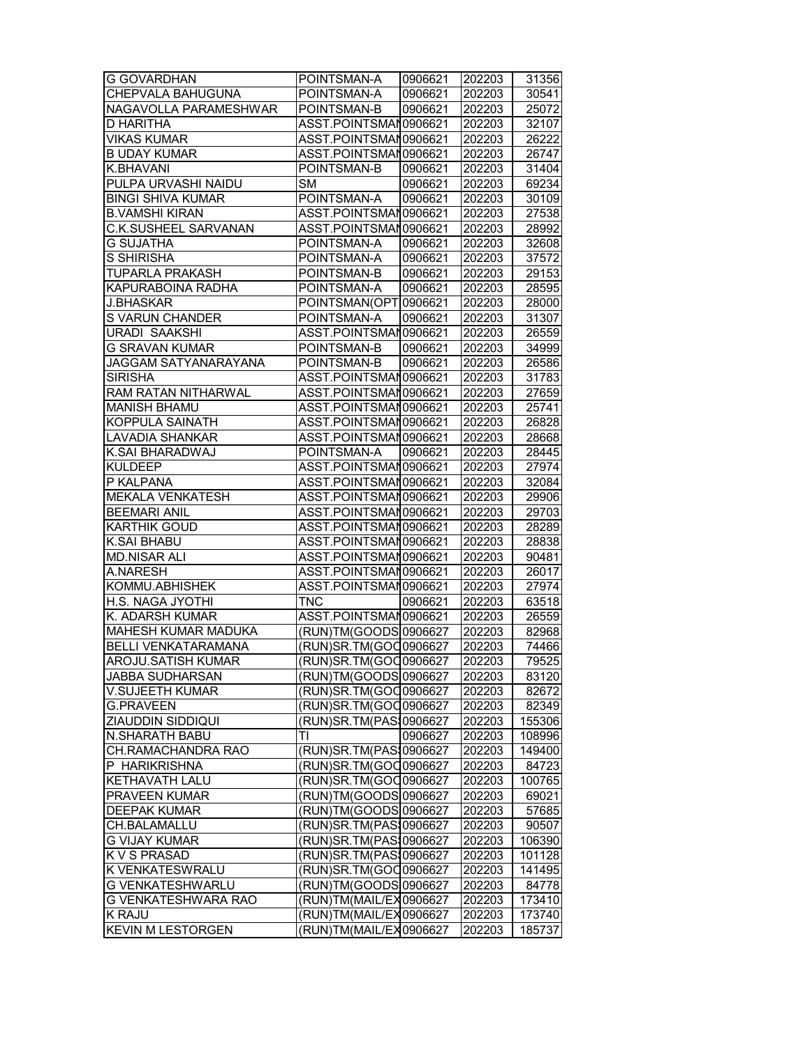| <b>G GOVARDHAN</b>         | POINTSMAN-A                | 0906621 | 202203 | 31356  |
|----------------------------|----------------------------|---------|--------|--------|
| <b>CHEPVALA BAHUGUNA</b>   | POINTSMAN-A                | 0906621 | 202203 | 30541  |
| NAGAVOLLA PARAMESHWAR      | POINTSMAN-B                | 0906621 | 202203 | 25072  |
| D HARITHA                  | ASST.POINTSMAN0906621      |         | 202203 | 32107  |
| <b>VIKAS KUMAR</b>         | ASST.POINTSMAN0906621      |         | 202203 | 26222  |
| <b>B UDAY KUMAR</b>        | ASST.POINTSMAN0906621      |         | 202203 | 26747  |
| <b>K.BHAVANI</b>           | POINTSMAN-B                | 0906621 | 202203 | 31404  |
| PULPA URVASHI NAIDU        | <b>SM</b>                  | 0906621 | 202203 | 69234  |
| <b>BINGI SHIVA KUMAR</b>   | POINTSMAN-A                | 0906621 | 202203 | 30109  |
| <b>B.VAMSHI KIRAN</b>      | ASST.POINTSMAN0906621      |         | 202203 | 27538  |
| C.K.SUSHEEL SARVANAN       | ASST.POINTSMAN0906621      |         | 202203 | 28992  |
| <b>G SUJATHA</b>           | POINTSMAN-A                | 0906621 | 202203 | 32608  |
| <b>S SHIRISHA</b>          | POINTSMAN-A                | 0906621 | 202203 | 37572  |
| TUPARLA PRAKASH            | POINTSMAN-B                | 0906621 | 202203 | 29153  |
| KAPURABOINA RADHA          | POINTSMAN-A                | 0906621 | 202203 | 28595  |
|                            | POINTSMAN(OPT 0906621      |         |        |        |
| <b>J.BHASKAR</b>           |                            |         | 202203 | 28000  |
| S VARUN CHANDER            | POINTSMAN-A                | 0906621 | 202203 | 31307  |
| <b>URADI SAAKSHI</b>       | ASST.POINTSMAN0906621      |         | 202203 | 26559  |
| <b>G SRAVAN KUMAR</b>      | POINTSMAN-B                | 0906621 | 202203 | 34999  |
| JAGGAM SATYANARAYANA       | POINTSMAN-B                | 0906621 | 202203 | 26586  |
| <b>SIRISHA</b>             | ASST.POINTSMAN0906621      |         | 202203 | 31783  |
| RAM RATAN NITHARWAL        | ASST.POINTSMAN0906621      |         | 202203 | 27659  |
| <b>MANISH BHAMU</b>        | ASST.POINTSMAN0906621      |         | 202203 | 25741  |
| <b>KOPPULA SAINATH</b>     | ASST.POINTSMAN0906621      |         | 202203 | 26828  |
| LAVADIA SHANKAR            | ASST.POINTSMAN0906621      |         | 202203 | 28668  |
| K.SAI BHARADWAJ            | POINTSMAN-A                | 0906621 | 202203 | 28445  |
| <b>KULDEEP</b>             | ASST.POINTSMAN0906621      |         | 202203 | 27974  |
| P KALPANA                  | ASST.POINTSMAN0906621      |         | 202203 | 32084  |
| <b>MEKALA VENKATESH</b>    | ASST.POINTSMAN0906621      |         | 202203 | 29906  |
| <b>BEEMARI ANIL</b>        | ASST.POINTSMAN0906621      |         | 202203 | 29703  |
| <b>KARTHIK GOUD</b>        | ASST.POINTSMAN0906621      |         | 202203 | 28289  |
| <b>K.SAI BHABU</b>         | ASST.POINTSMAN0906621      |         | 202203 | 28838  |
| <b>MD.NISAR ALI</b>        | ASST.POINTSMAN0906621      |         | 202203 | 90481  |
| A.NARESH                   | ASST.POINTSMAN0906621      |         | 202203 | 26017  |
| KOMMU.ABHISHEK             | ASST.POINTSMAN0906621      |         | 202203 | 27974  |
| H.S. NAGA JYOTHI           | <b>TNC</b>                 | 0906621 | 202203 | 63518  |
| K. ADARSH KUMAR            | ASST.POINTSMAN0906621      |         | 202203 | 26559  |
| <b>MAHESH KUMAR MADUKA</b> | (RUN)TM(GOODS 0906627      |         | 202203 | 82968  |
| <b>BELLI VENKATARAMANA</b> | (RUN)SR.TM(GOC 0906627     |         | 202203 | 74466  |
| <b>AROJU.SATISH KUMAR</b>  | (RUN)SR.TM(GOQ0906627      |         | 202203 | 79525  |
| <b>JABBA SUDHARSAN</b>     | (RUN)TM(GOODS 0906627      |         | 202203 | 83120  |
| V.SUJEETH KUMAR            | (RUN)SR.TM(GOO0906627      |         | 202203 | 82672  |
| <b>G.PRAVEEN</b>           | (RUN)SR.TM(GOO0906627      |         | 202203 | 82349  |
| ZIAUDDIN SIDDIQUI          | (RUN)SR.TM(PAS 0906627     |         | 202203 | 155306 |
| N.SHARATH BABU             | TI                         | 0906627 | 202203 | 108996 |
| CH.RAMACHANDRA RAO         | (RUN) SR. TM (PAS 10906627 |         | 202203 | 149400 |
| P HARIKRISHNA              | (RUN)SR.TM(GOO0906627      |         | 202203 | 84723  |
| KETHAVATH LALU             | (RUN)SR.TM(GOO0906627      |         | 202203 | 100765 |
| PRAVEEN KUMAR              | (RUN)TM(GOODS 0906627      |         | 202203 | 69021  |
|                            | (RUN)TM(GOODS 0906627      |         |        |        |
| <b>DEEPAK KUMAR</b>        |                            |         | 202203 | 57685  |
| CH.BALAMALLU               | (RUN)SR.TM(PAS10906627     |         | 202203 | 90507  |
| <b>G VIJAY KUMAR</b>       | (RUN)SR.TM(PAS10906627     |         | 202203 | 106390 |
| K V S PRASAD               | (RUN)SR.TM(PAS10906627     |         | 202203 | 101128 |
| K VENKATESWRALU            | (RUN)SR.TM(GOO0906627      |         | 202203 | 141495 |
| G VENKATESHWARLU           | (RUN)TM(GOODS 0906627      |         | 202203 | 84778  |
| G VENKATESHWARA RAO        | (RUN)TM(MAIL/EX0906627     |         | 202203 | 173410 |
| K RAJU                     | (RUN)TM(MAIL/EX0906627     |         | 202203 | 173740 |
| <b>KEVIN M LESTORGEN</b>   | (RUN)TM(MAIL/EX0906627     |         | 202203 | 185737 |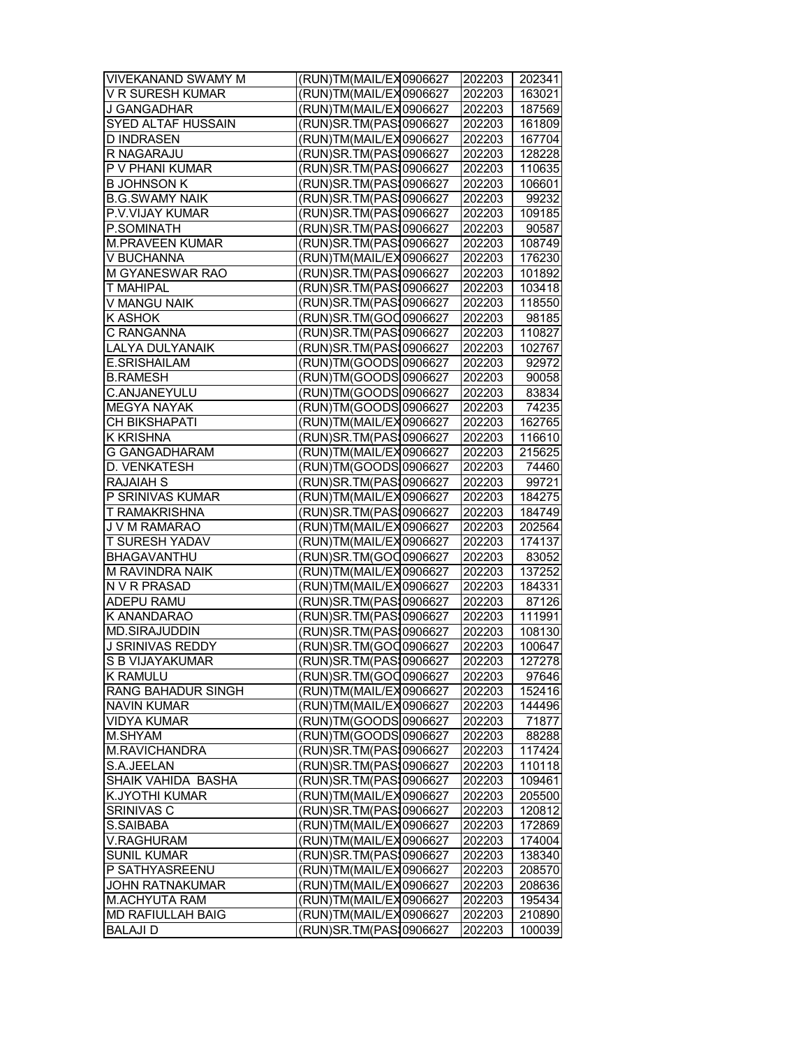| <b>VIVEKANAND SWAMY M</b> | (RUN)TM(MAIL/EX0906627     | 202203 | 202341 |
|---------------------------|----------------------------|--------|--------|
| <b>V R SURESH KUMAR</b>   | (RUN)TM(MAIL/EX0906627     | 202203 | 163021 |
| <b>J GANGADHAR</b>        | (RUN)TM(MAIL/EX0906627     | 202203 | 187569 |
| SYED ALTAF HUSSAIN        | (RUN)SR.TM(PAS10906627     | 202203 | 161809 |
| <b>D INDRASEN</b>         | (RUN)TM(MAIL/EX0906627     | 202203 | 167704 |
| R NAGARAJU                | (RUN)SR.TM(PAS10906627     | 202203 | 128228 |
| P V PHANI KUMAR           | (RUN)SR.TM(PAS10906627     | 202203 | 110635 |
| <b>B JOHNSON K</b>        | RUN) SR. TM (PAS 10906627  | 202203 | 106601 |
| <b>B.G.SWAMY NAIK</b>     | RUN) SR. TM (PAS 10906627  | 202203 | 99232  |
| P.V.VIJAY KUMAR           | RUN) SR. TM (PAS 10906627  | 202203 | 109185 |
| P.SOMINATH                | (RUN) SR. TM (PAS 10906627 | 202203 | 90587  |
| <b>M.PRAVEEN KUMAR</b>    | RUN)SR.TM(PAS10906627      |        | 108749 |
|                           |                            | 202203 |        |
| V BUCHANNA                | (RUN)TM(MAIL/EX0906627     | 202203 | 176230 |
| M GYANESWAR RAO           | RUN) SR. TM (PAS 10906627  | 202203 | 101892 |
| T MAHIPAL                 | (RUN)SR.TM(PAS10906627     | 202203 | 103418 |
| V MANGU NAIK              | RUN) SR. TM (PAS 10906627  | 202203 | 118550 |
| K ASHOK                   | RUN)SR.TM(GOO0906627       | 202203 | 98185  |
| C RANGANNA                | RUN) SR. TM (PAS 10906627  | 202203 | 110827 |
| LALYA DULYANAIK           | (RUN)SR.TM(PAS: 0906627    | 202203 | 102767 |
| E.SRISHAILAM              | RUN)TM(GOODS 0906627       | 202203 | 92972  |
| <b>B.RAMESH</b>           | (RUN)TM(GOODS 0906627      | 202203 | 90058  |
| C.ANJANEYULU              | (RUN)TM(GOODS 0906627      | 202203 | 83834  |
| <b>MEGYA NAYAK</b>        | RUN)TM(GOODS 0906627       | 202203 | 74235  |
| CH BIKSHAPATI             | RUN)TM(MAIL/EX0906627      | 202203 | 162765 |
| <b>K KRISHNA</b>          | (RUN)SR.TM(PAS10906627     | 202203 | 116610 |
| <b>G GANGADHARAM</b>      | (RUN)TM(MAIL/EX0906627     | 202203 | 215625 |
| D. VENKATESH              | (RUN)TM(GOODS 0906627      | 202203 | 74460  |
| <b>RAJAIAH S</b>          | (RUN) SR. TM (PAS 10906627 | 202203 | 99721  |
| P SRINIVAS KUMAR          | (RUN)TM(MAIL/EX0906627     | 202203 | 184275 |
| T RAMAKRISHNA             | (RUN)SR.TM(PAS:0906627     | 202203 | 184749 |
| J V M RAMARAO             | RUN)TM(MAIL/EX0906627      | 202203 | 202564 |
| T SURESH YADAV            | RUN)TM(MAIL/EX0906627      | 202203 | 174137 |
| BHAGAVANTHU               | RUN)SR.TM(GOO0906627       | 202203 | 83052  |
| M RAVINDRA NAIK           | RUN)TM(MAIL/EX0906627      | 202203 | 137252 |
| N V R PRASAD              | RUN)TM(MAIL/EX0906627      | 202203 | 184331 |
| ADEPU RAMU                | (RUN) SR. TM (PAS 10906627 | 202203 | 87126  |
| K ANANDARAO               | RUN)SR.TM(PAS10906627      | 202203 | 111991 |
| MD.SIRAJUDDIN             | (RUN) SR. TM (PAS 10906627 | 202203 | 108130 |
| <b>J SRINIVAS REDDY</b>   | (RUN)SR.TM(GOO0906627      | 202203 | 100647 |
| S B VIJAYAKUMAR           | (RUN)SR.TM(PAS10906627     | 202203 | 127278 |
| K RAMULU                  | RUN)SR.TM(GOO0906627       | 202203 | 97646  |
| RANG BAHADUR SINGH        | RUN)TM(MAIL/EX0906627      | 202203 | 152416 |
| <b>NAVIN KUMAR</b>        | RUN)TM(MAIL/EX0906627      | 202203 | 144496 |
| <b>VIDYA KUMAR</b>        | (RUN)TM(GOODS 0906627      | 202203 | 71877  |
| M.SHYAM                   | RUN)TM(GOODS 0906627       | 202203 | 88288  |
| M.RAVICHANDRA             | (RUN) SR. TM (PAS 10906627 | 202203 | 117424 |
| S.A.JEELAN                | (RUN) SR. TM (PAS 10906627 | 202203 | 110118 |
| SHAIK VAHIDA BASHA        | RUN) SR. TM (PAS 10906627  | 202203 | 109461 |
| K.JYOTHI KUMAR            | (RUN)TM(MAIL/EX0906627     | 202203 | 205500 |
| SRINIVAS C                | (RUN)SR.TM(PAS10906627     | 202203 | 120812 |
| S.SAIBABA                 | (RUN)TM(MAIL/EX0906627     | 202203 | 172869 |
| V.RAGHURAM                | (RUN)TM(MAIL/EX0906627     | 202203 | 174004 |
| <b>SUNIL KUMAR</b>        | (RUN)SR.TM(PAS 10906627    | 202203 | 138340 |
| P SATHYASREENU            | (RUN)TM(MAIL/EX0906627     | 202203 | 208570 |
| <b>JOHN RATNAKUMAR</b>    | (RUN)TM(MAIL/EX0906627     | 202203 | 208636 |
| M.ACHYUTA RAM             | (RUN)TM(MAIL/EX0906627     | 202203 | 195434 |
| MD RAFIULLAH BAIG         | (RUN)TM(MAIL/EX0906627     | 202203 | 210890 |
| <b>BALAJI D</b>           | (RUN)SR.TM(PAS10906627     | 202203 | 100039 |
|                           |                            |        |        |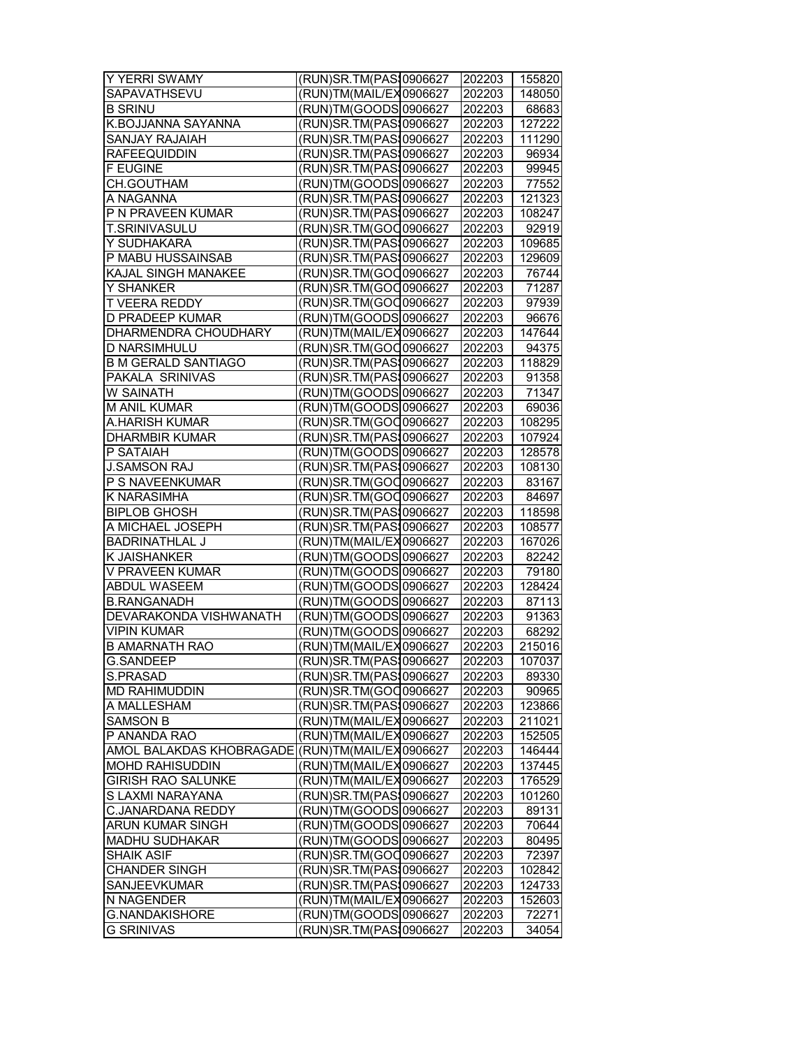| Y YERRI SWAMY               | (RUN)SR.TM(PAS10906627             | 202203 | 155820 |
|-----------------------------|------------------------------------|--------|--------|
| SAPAVATHSEVU                | RUN)TM(MAIL/EX0906627              | 202203 | 148050 |
| <b>B SRINU</b>              | (RUN)TM(GOODS 0906627              | 202203 | 68683  |
| K.BOJJANNA SAYANNA          | RUN) SR. TM (PAS 10906627          | 202203 | 127222 |
| SANJAY RAJAIAH              | (RUN) SR. TM (PAS 10906627         | 202203 | 111290 |
| <b>RAFEEQUIDDIN</b>         | RUN) SR. TM (PAS 10906627          | 202203 | 96934  |
| <b>F EUGINE</b>             | (RUN)SR.TM(PAS 0906627             | 202203 | 99945  |
| CH.GOUTHAM                  | RUN)TM(GOODS 0906627               | 202203 | 77552  |
| A NAGANNA                   | RUN) SR. TM (PAS 10906627          | 202203 | 121323 |
| P N PRAVEEN KUMAR           | (RUN)SR.TM(PAS 0906627             | 202203 | 108247 |
| <b>T.SRINIVASULU</b>        | RUN)SR.TM(GOO0906627               | 202203 | 92919  |
| Y SUDHAKARA                 | RUN) SR. TM (PAS 10906627          | 202203 | 109685 |
| P MABU HUSSAINSAB           | (RUN) SR. TM (PAS 10906627         | 202203 | 129609 |
| <b>KAJAL SINGH MANAKEE</b>  | (RUN)SR.TM(GOO0906627              | 202203 | 76744  |
| Y SHANKER                   | (RUN)SR.TM(GOO0906627              | 202203 | 71287  |
| T VEERA REDDY               | (RUN)SR.TM(GOO0906627              | 202203 | 97939  |
| <b>D PRADEEP KUMAR</b>      | RUN)TM(GOODS 0906627               | 202203 | 96676  |
| <b>DHARMENDRA CHOUDHARY</b> | RUN)TM(MAIL/EX0906627              | 202203 | 147644 |
| D NARSIMHULU                | RUN)SR.TM(GOO0906627               | 202203 | 94375  |
| <b>B M GERALD SANTIAGO</b>  | RUN) SR. TM (PAS 10906627          | 202203 | 118829 |
| <b>PAKALA SRINIVAS</b>      | RUN) SR. TM (PAS 10906627          | 202203 | 91358  |
| W SAINATH                   | (RUN)TM(GOODS 0906627              | 202203 | 71347  |
| <b>M ANIL KUMAR</b>         | RUN)TM(GOODS 0906627               | 202203 | 69036  |
| A.HARISH KUMAR              | RUN) SR. TM (GOO 0906627           | 202203 | 108295 |
| <b>DHARMBIR KUMAR</b>       | RUN) SR. TM (PAS 10906627          | 202203 | 107924 |
| P SATAIAH                   | RUN)TM(GOODS 0906627               | 202203 | 128578 |
| <b>J.SAMSON RAJ</b>         | RUN) SR. TM (PAS 10906627          | 202203 | 108130 |
| P S NAVEENKUMAR             | (RUN)SR.TM(GOO0906627              | 202203 | 83167  |
| K NARASIMHA                 | RUN) SR. TM (GOO 0906627           | 202203 | 84697  |
| <b>BIPLOB GHOSH</b>         | RUN) SR. TM (PAS 10906627          | 202203 | 118598 |
| A MICHAEL JOSEPH            | RUN) SR. TM (PAS 10906627          | 202203 | 108577 |
| <b>BADRINATHLAL J</b>       | RUN)TM(MAIL/EX0906627)             | 202203 | 167026 |
| K JAISHANKER                | RUN)TM(GOODS 0906627               | 202203 | 82242  |
| V PRAVEEN KUMAR             | RUN)TM(GOODS 0906627               | 202203 | 79180  |
| <b>ABDUL WASEEM</b>         | (RUN)TM(GOODS 0906627              | 202203 | 128424 |
| <b>B.RANGANADH</b>          | (RUN)TM(GOODS 0906627              | 202203 | 87113  |
| DEVARAKONDA VISHWANATH      | RUN)TM(GOODS 0906627               | 202203 | 91363  |
| <b>VIPIN KUMAR</b>          | RUN)TM(GOODS 0906627               | 202203 | 68292  |
| <b>B AMARNATH RAO</b>       | (RUN)TM(MAIL/EX0906627             | 202203 | 215016 |
| <b>G.SANDEEP</b>            | (RUN)SR.TM(PAS10906627             | 202203 | 107037 |
| S.PRASAD                    | (RUN)SR.TM(PAS10906627             | 202203 | 89330  |
| MD RAHIMUDDIN               | RUN) SR. TM (GOO 0906627           | 202203 | 90965  |
| A MALLESHAM                 | (RUN) SR. TM (PAS 10906627         | 202203 | 123866 |
| <b>SAMSON B</b>             | RUN)TM(MAIL/EX0906627              | 202203 | 211021 |
| P ANANDA RAO                | (RUN)TM(MAIL/EX0906627             | 202203 | 152505 |
| AMOL BALAKDAS KHOBRAGADE    | (RUN)TM(MAIL/EX0906627             | 202203 | 146444 |
| <b>MOHD RAHISUDDIN</b>      | (RUN)TM(MAIL/EX0906627             | 202203 | 137445 |
| <b>GIRISH RAO SALUNKE</b>   | (RUN)TM(MAIL/EX0906627             | 202203 | 176529 |
| S LAXMI NARAYANA            | (RUN)SR.TM(PAS10906627             | 202203 | 101260 |
| C.JANARDANA REDDY           | RUN)TM(GOODS 0906627               | 202203 | 89131  |
| ARUN KUMAR SINGH            | RUN)TM(GOODS <sup>1</sup> 0906627] | 202203 | 70644  |
| <b>MADHU SUDHAKAR</b>       | RUN)TM(GOODS 0906627               | 202203 | 80495  |
| <b>SHAIK ASIF</b>           | (RUN)SR.TM(GOO0906627              | 202203 | 72397  |
| CHANDER SINGH               | RUN) SR. TM (PAS 10906627          | 202203 | 102842 |
| SANJEEVKUMAR                | (RUN)SR.TM(PAS10906627             | 202203 | 124733 |
| N NAGENDER                  | (RUN)TM(MAIL/EX0906627             | 202203 | 152603 |
| G.NANDAKISHORE              | (RUN)TM(GOODS 0906627              | 202203 | 72271  |
| <b>G SRINIVAS</b>           | (RUN)SR.TM(PAS: 0906627            | 202203 | 34054  |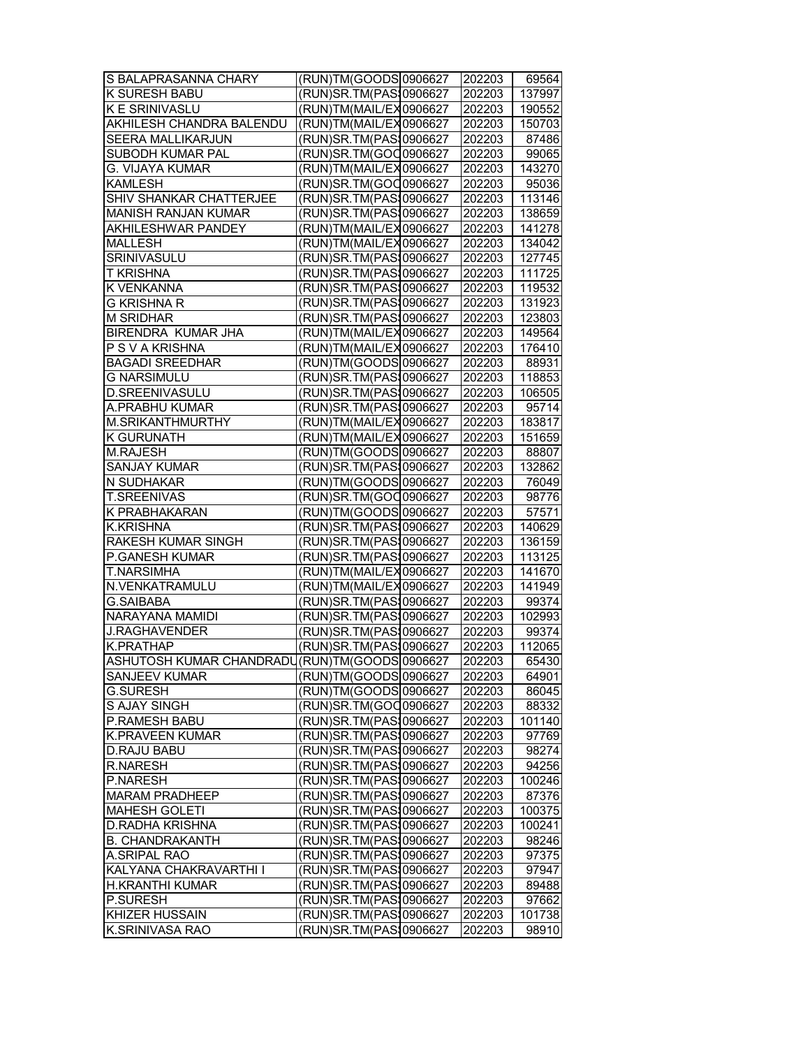| S BALAPRASANNA CHARY                            | (RUN)TM(GOODS 0906627              | 202203 | 69564  |
|-------------------------------------------------|------------------------------------|--------|--------|
| K SURESH BABU                                   | (RUN)SR.TM(PAS 0906627             | 202203 | 137997 |
| <b>K E SRINIVASLU</b>                           | (RUN)TM(MAIL/EX0906627             | 202203 | 190552 |
| AKHILESH CHANDRA BALENDU                        | (RUN)TM(MAIL/EX0906627             | 202203 | 150703 |
| SEERA MALLIKARJUN                               | (RUN)SR.TM(PAS 0906627             | 202203 | 87486  |
| SUBODH KUMAR PAL                                | RUN)SR.TM(GOO0906627               | 202203 | 99065  |
| G. VIJAYA KUMAR                                 | (RUN)TM(MAIL/EX0906627             | 202203 | 143270 |
| <b>KAMLESH</b>                                  | (RUN)SR.TM(GOO0906627              | 202203 | 95036  |
| SHIV SHANKAR CHATTERJEE                         | (RUN)SR.TM(PAS10906627             | 202203 | 113146 |
| <b>MANISH RANJAN KUMAR</b>                      | (RUN)SR.TM(PAS10906627             | 202203 | 138659 |
| AKHILESHWAR PANDEY                              | (RUN)TM(MAIL/EX0906627             | 202203 | 141278 |
| <b>MALLESH</b>                                  | RUN)TM(MAIL/EX0906627              | 202203 | 134042 |
| <b>SRINIVASULU</b>                              | (RUN) SR. TM (PAS 10906627         | 202203 | 127745 |
| <b>T KRISHNA</b>                                | (RUN)SR.TM(PAS10906627             | 202203 | 111725 |
| K VENKANNA                                      | (RUN)SR.TM(PAS10906627             | 202203 | 119532 |
| <b>G KRISHNA R</b>                              | (RUN)SR.TM(PAS\$0906627            | 202203 | 131923 |
| <b>M SRIDHAR</b>                                | (RUN) SR. TM (PAS 10906627         | 202203 | 123803 |
| BIRENDRA KUMAR JHA                              | RUN)TM(MAIL/EX0906627              | 202203 | 149564 |
| P S V A KRISHNA                                 | RUN)TM(MAIL/EX0906627              | 202203 | 176410 |
| <b>BAGADI SREEDHAR</b>                          | (RUN)TM(GOODS 0906627              | 202203 | 88931  |
| <b>G NARSIMULU</b>                              | (RUN) SR. TM (PAS 10906627         | 202203 | 118853 |
| D.SREENIVASULU                                  | (RUN) SR. TM (PAS 10906627         | 202203 | 106505 |
| A.PRABHU KUMAR                                  | (RUN) SR. TM (PAS 10906627         | 202203 | 95714  |
| M.SRIKANTHMURTHY                                | (RUN)TM(MAIL/EX0906627             | 202203 | 183817 |
| <b>K GURUNATH</b>                               | RUN)TM(MAIL/EX0906627              | 202203 | 151659 |
| <b>M.RAJESH</b>                                 | RUN)TM(GOODS 0906627               | 202203 | 88807  |
| <b>SANJAY KUMAR</b>                             | RUN) SR. TM (PAS 10906627          | 202203 | 132862 |
| N SUDHAKAR                                      | (RUN)TM(GOODS 0906627              | 202203 | 76049  |
| <b>T.SREENIVAS</b>                              | (RUN) SR. TM (GOO 0906627          | 202203 | 98776  |
| K PRABHAKARAN                                   | (RUN)TM(GOODS 0906627              | 202203 | 57571  |
| <b>K.KRISHNA</b>                                | RUN) SR. TM (PAS 10906627          | 202203 | 140629 |
| RAKESH KUMAR SINGH                              | (RUN)SR.TM(PAS10906627             | 202203 | 136159 |
| P.GANESH KUMAR                                  | RUN) SR. TM (PAS 10906627          | 202203 | 113125 |
| T.NARSIMHA                                      | RUN)TM(MAIL/EX0906627)             | 202203 | 141670 |
| N.VENKATRAMULU                                  | (RUN)TM(MAIL/EX 0906627            | 202203 | 141949 |
| <b>G.SAIBABA</b>                                | (RUN) SR. TM (PAS 10906627         | 202203 | 99374  |
| NARAYANA MAMIDI                                 | (RUN) SR. TM (PAS 10906627         | 202203 | 102993 |
| <b>J.RAGHAVENDER</b>                            | (RUN) SR. TM (PAS 10906627         | 202203 | 99374  |
| <b>K.PRATHAP</b>                                | (RUN)SR.TM(PAS 0906627             | 202203 | 112065 |
| ASHUTOSH KUMAR CHANDRADU (RUN)TM (GOODS 0906627 |                                    | 202203 | 65430  |
| <b>SANJEEV KUMAR</b>                            | (RUN)TM(GOODS 0906627              | 202203 | 64901  |
| <b>G.SURESH</b>                                 | (RUN)TM(GOODS <sup> </sup> 0906627 | 202203 | 86045  |
| S AJAY SINGH                                    | (RUN)SR.TM(GOO0906627              | 202203 | 88332  |
| P.RAMESH BABU                                   | RUN) SR. TM (PAS 10906627          | 202203 | 101140 |
| K.PRAVEEN KUMAR                                 | (RUN)SR.TM(PAS10906627             | 202203 | 97769  |
| <b>D.RAJU BABU</b>                              | (RUN) SR. TM (PAS 10906627         | 202203 | 98274  |
| <b>R.NARESH</b>                                 | (RUN)SR.TM(PAS10906627             | 202203 | 94256  |
| P.NARESH                                        | (RUN)SR.TM(PAS10906627             | 202203 | 100246 |
| <b>MARAM PRADHEEP</b>                           | (RUN)SR.TM(PAS10906627             | 202203 | 87376  |
| <b>MAHESH GOLETI</b>                            | RUN)SR.TM(PAS10906627              | 202203 | 100375 |
| D.RADHA KRISHNA                                 | (RUN)SR.TM(PAS10906627             | 202203 | 100241 |
| <b>B. CHANDRAKANTH</b>                          | (RUN)SR.TM(PAS10906627             | 202203 | 98246  |
| A.SRIPAL RAO                                    | (RUN)SR.TM(PAS10906627             | 202203 | 97375  |
| KALYANA CHAKRAVARTHI I                          | (RUN)SR.TM(PAS 0906627             | 202203 | 97947  |
| H.KRANTHI KUMAR                                 | (RUN)SR.TM(PAS10906627             | 202203 | 89488  |
| P.SURESH                                        | (RUN)SR.TM(PAS10906627             | 202203 | 97662  |
| KHIZER HUSSAIN                                  | (RUN)SR.TM(PAS10906627             | 202203 | 101738 |
| K.SRINIVASA RAO                                 | (RUN)SR.TM(PAS: 0906627            | 202203 | 98910  |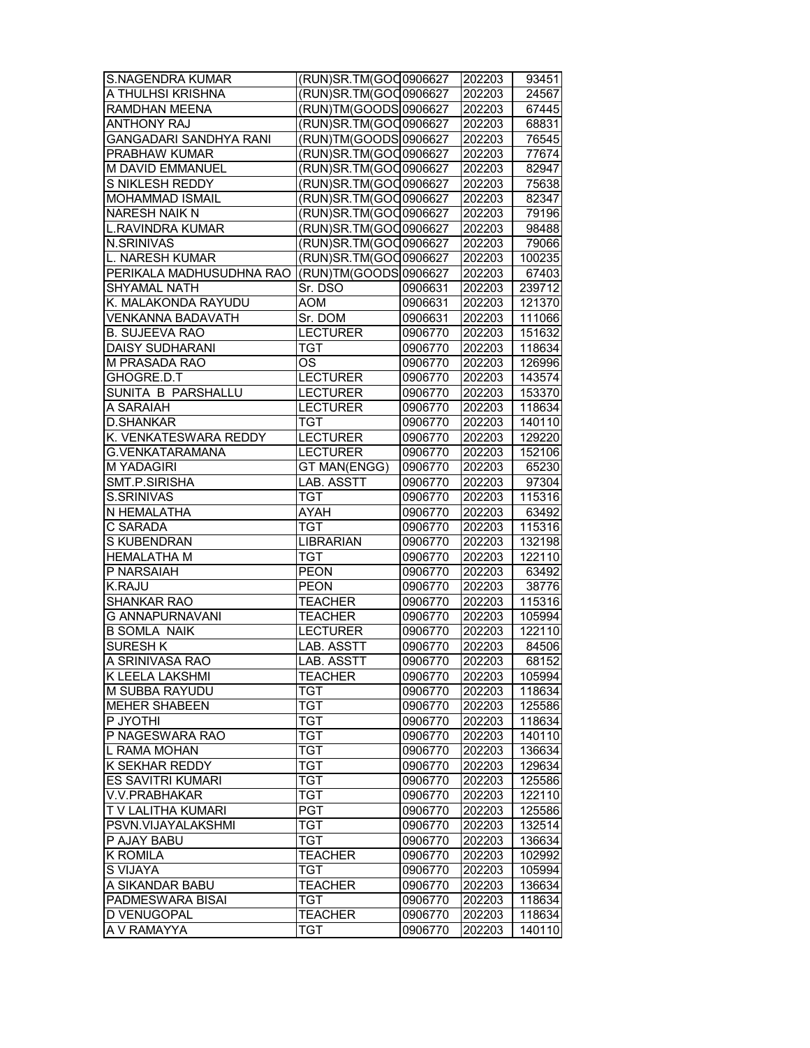| <b>S.NAGENDRA KUMAR</b>       | (RUN)SR.TM(GOO0906627     |         | 202203 | 93451  |
|-------------------------------|---------------------------|---------|--------|--------|
| A THULHSI KRISHNA             | (RUN)SR.TM(GOO0906627     |         | 202203 | 24567  |
| <b>RAMDHAN MEENA</b>          | (RUN)TM(GOODS 0906627     |         | 202203 | 67445  |
| <b>ANTHONY RAJ</b>            | (RUN)SR.TM(GOC0906627     |         | 202203 | 68831  |
| GANGADARI SANDHYA RANI        | RUN)TM(GOODS 0906627      |         | 202203 | 76545  |
| PRABHAW KUMAR                 | (RUN)SR.TM(GOO0906627     |         | 202203 | 77674  |
| M DAVID EMMANUEL              | RUN) SR. TM (GOO 0906627  |         | 202203 | 82947  |
| S NIKLESH REDDY               | (RUN)SR.TM(GOO0906627     |         | 202203 | 75638  |
| MOHAMMAD ISMAIL               | (RUN)SR.TM(GOO0906627     |         | 202203 | 82347  |
| <b>NARESH NAIK N</b>          | (RUN) SR. TM (GOO 0906627 |         | 202203 | 79196  |
| <b>L.RAVINDRA KUMAR</b>       | (RUN)SR.TM(GOO0906627     |         | 202203 | 98488  |
| N.SRINIVAS                    | (RUN)SR.TM(GOO0906627     |         | 202203 | 79066  |
| <b>L. NARESH KUMAR</b>        | (RUN)SR.TM(GOC 0906627    |         | 202203 | 100235 |
| PERIKALA MADHUSUDHNA RAO      | (RUN)TM(GOODS 0906627     |         | 202203 | 67403  |
| SHYAMAL NATH                  | Sr. DSO                   | 0906631 | 202203 | 239712 |
| K. MALAKONDA RAYUDU           | <b>AOM</b>                | 0906631 | 202203 | 121370 |
| <b>VENKANNA BADAVATH</b>      | Sr. DOM                   | 0906631 | 202203 | 111066 |
| <b>B. SUJEEVA RAO</b>         | <b>LECTURER</b>           | 0906770 | 202203 | 151632 |
| <b>DAISY SUDHARANI</b>        | <b>TGT</b>                | 0906770 | 202203 | 118634 |
| M PRASADA RAO                 | OS                        | 0906770 | 202203 | 126996 |
| GHOGRE.D.T                    | <b>LECTURER</b>           | 0906770 | 202203 | 143574 |
| SUNITA B PARSHALLU            | <b>LECTURER</b>           | 0906770 | 202203 | 153370 |
|                               |                           | 0906770 |        |        |
| A SARAIAH<br><b>D.SHANKAR</b> | <b>LECTURER</b>           |         | 202203 | 118634 |
|                               | TGT                       | 0906770 | 202203 | 140110 |
| K. VENKATESWARA REDDY         | <b>LECTURER</b>           | 0906770 | 202203 | 129220 |
| G.VENKATARAMANA               | <b>LECTURER</b>           | 0906770 | 202203 | 152106 |
| <b>M YADAGIRI</b>             | GT MAN(ENGG)              | 0906770 | 202203 | 65230  |
| SMT.P.SIRISHA                 | <b>LAB. ASSTT</b>         | 0906770 | 202203 | 97304  |
| S.SRINIVAS                    | <b>TGT</b>                | 0906770 | 202203 | 115316 |
| N HEMALATHA                   | AYAH                      | 0906770 | 202203 | 63492  |
| C SARADA                      | TGT                       | 0906770 | 202203 | 115316 |
| S KUBENDRAN                   | <b>LIBRARIAN</b>          | 0906770 | 202203 | 132198 |
| <b>HEMALATHA M</b>            | TGT                       | 0906770 | 202203 | 122110 |
| P NARSAIAH                    | <b>PEON</b>               | 0906770 | 202203 | 63492  |
| <b>K.RAJU</b>                 | <b>PEON</b>               | 0906770 | 202203 | 38776  |
| <b>SHANKAR RAO</b>            | <b>TEACHER</b>            | 0906770 | 202203 | 115316 |
| <b>G ANNAPURNAVANI</b>        | <b>TEACHER</b>            | 0906770 | 202203 | 105994 |
| <b>B SOMLA NAIK</b>           | <b>LECTURER</b>           | 0906770 | 202203 | 122110 |
| <b>SURESH K</b>               | LAB. ASSTT                | 0906770 | 202203 | 84506  |
| A SRINIVASA RAO               | LAB. ASSTT                | 0906770 | 202203 | 68152  |
| K LEELA LAKSHMI               | <b>TEACHER</b>            | 0906770 | 202203 | 105994 |
| M SUBBA RAYUDU                | <b>TGT</b>                | 0906770 | 202203 | 118634 |
| <b>MEHER SHABEEN</b>          | TGT                       | 0906770 | 202203 | 125586 |
| P JYOTHI                      | TGT                       | 0906770 | 202203 | 118634 |
| P NAGESWARA RAO               | <b>TGT</b>                | 0906770 | 202203 | 140110 |
| L RAMA MOHAN                  | <b>TGT</b>                | 0906770 | 202203 | 136634 |
| <b>K SEKHAR REDDY</b>         | TGT                       | 0906770 | 202203 | 129634 |
| ES SAVITRI KUMARI             | TGT                       | 0906770 | 202203 | 125586 |
| V.V.PRABHAKAR                 | TGT                       | 0906770 | 202203 | 122110 |
| T V LALITHA KUMARI            | PGT                       | 0906770 | 202203 | 125586 |
| PSVN.VIJAYALAKSHMI            | TGT                       | 0906770 | 202203 | 132514 |
| P AJAY BABU                   | TGT                       | 0906770 | 202203 | 136634 |
| K ROMILA                      | <b>TEACHER</b>            | 0906770 | 202203 | 102992 |
| S VIJAYA                      | TGT                       | 0906770 | 202203 | 105994 |
| A SIKANDAR BABU               | <b>TEACHER</b>            | 0906770 | 202203 | 136634 |
| PADMESWARA BISAI              | TGT                       | 0906770 | 202203 | 118634 |
| D VENUGOPAL                   | TEACHER                   | 0906770 | 202203 | 118634 |
| A V RAMAYYA                   | TGT                       | 0906770 | 202203 | 140110 |
|                               |                           |         |        |        |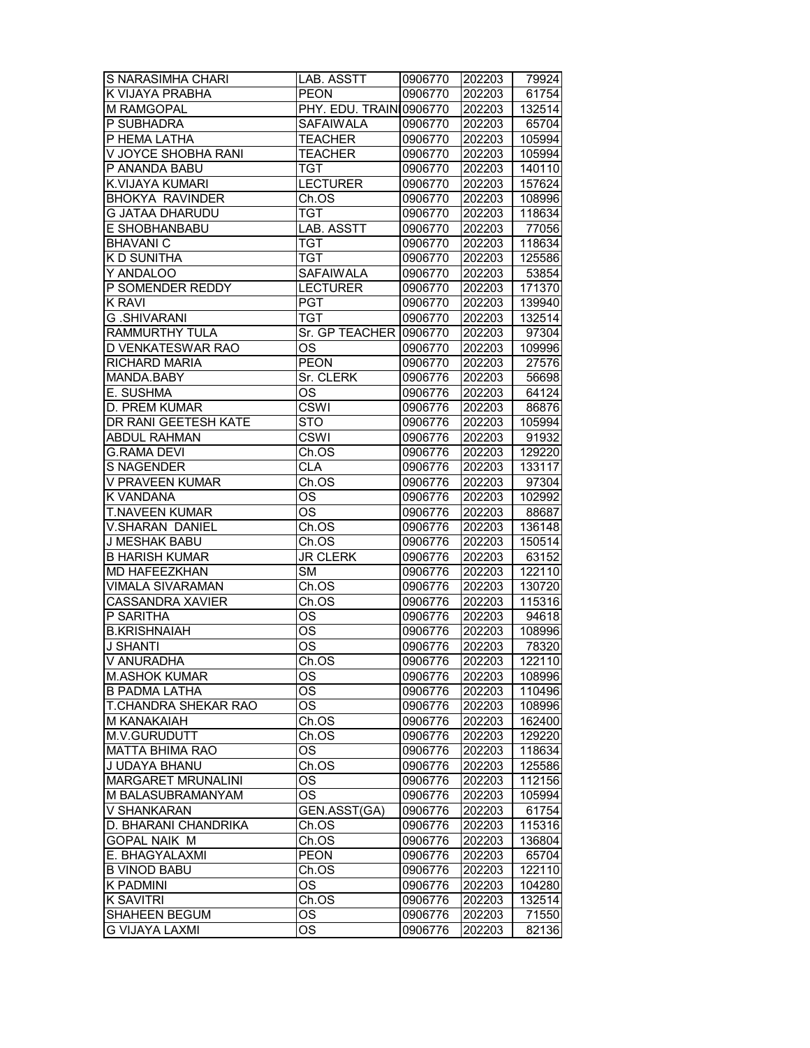| S NARASIMHA CHARI         | LAB. ASSTT              | 0906770 | 202203 | 79924  |
|---------------------------|-------------------------|---------|--------|--------|
| K VIJAYA PRABHA           | <b>PEON</b>             | 0906770 | 202203 | 61754  |
| M RAMGOPAL                | PHY. EDU. TRAIN10906770 |         | 202203 | 132514 |
| P SUBHADRA                | <b>SAFAIWALA</b>        | 0906770 |        |        |
|                           |                         |         | 202203 | 65704  |
| P HEMA LATHA              | <b>TEACHER</b>          | 0906770 | 202203 | 105994 |
| V JOYCE SHOBHA RANI       | <b>TEACHER</b>          | 0906770 | 202203 | 105994 |
| P ANANDA BABU             | <b>TGT</b>              | 0906770 | 202203 | 140110 |
| K.VIJAYA KUMARI           | <b>LECTURER</b>         | 0906770 | 202203 | 157624 |
| <b>BHOKYA RAVINDER</b>    | Ch.OS                   | 0906770 | 202203 | 108996 |
| <b>G JATAA DHARUDU</b>    | TGT                     | 0906770 | 202203 | 118634 |
| E SHOBHANBABU             | LAB. ASSTT              | 0906770 | 202203 | 77056  |
| <b>BHAVANI C</b>          | TGT                     | 0906770 | 202203 | 118634 |
| K D SUNITHA               | TGT                     | 0906770 | 202203 | 125586 |
| Y ANDALOO                 | <b>SAFAIWALA</b>        | 0906770 | 202203 | 53854  |
| P SOMENDER REDDY          | <b>LECTURER</b>         | 0906770 | 202203 | 171370 |
| <b>K RAVI</b>             | <b>PGT</b>              | 0906770 | 202203 | 139940 |
| <b>G.SHIVARANI</b>        | <b>TGT</b>              | 0906770 | 202203 | 132514 |
| RAMMURTHY TULA            | Sr. GP TEACHER 0906770  |         | 202203 | 97304  |
| D VENKATESWAR RAO         | ОS                      | 0906770 | 202203 | 109996 |
| <b>RICHARD MARIA</b>      | <b>PEON</b>             | 0906770 | 202203 | 27576  |
| MANDA.BABY                | Sr. CLERK               | 0906776 | 202203 | 56698  |
| E. SUSHMA                 | $\overline{\text{OS}}$  | 0906776 | 202203 | 64124  |
| D. PREM KUMAR             | <b>CSWI</b>             |         |        |        |
|                           |                         | 0906776 | 202203 | 86876  |
| DR RANI GEETESH KATE      | <b>STO</b>              | 0906776 | 202203 | 105994 |
| <b>ABDUL RAHMAN</b>       | CSWI                    | 0906776 | 202203 | 91932  |
| <b>G.RAMA DEVI</b>        | Ch.OS                   | 0906776 | 202203 | 129220 |
| <b>S NAGENDER</b>         | <b>CLA</b>              | 0906776 | 202203 | 133117 |
| V PRAVEEN KUMAR           | Ch.OS                   | 0906776 | 202203 | 97304  |
| K VANDANA                 | ОS                      | 0906776 | 202203 | 102992 |
| <b>T.NAVEEN KUMAR</b>     | <b>OS</b>               | 0906776 | 202203 | 88687  |
| V.SHARAN DANIEL           | Ch.OS                   | 0906776 | 202203 | 136148 |
| J MESHAK BABU             | Ch.OS                   | 0906776 | 202203 | 150514 |
| <b>B HARISH KUMAR</b>     | <b>JR CLERK</b>         | 0906776 | 202203 | 63152  |
| MD HAFEEZKHAN             | SM                      | 0906776 | 202203 | 122110 |
| <b>VIMALA SIVARAMAN</b>   | Ch.OS                   | 0906776 | 202203 | 130720 |
| <b>CASSANDRA XAVIER</b>   | Ch.OS                   | 0906776 | 202203 | 115316 |
| P SARITHA                 | ОS                      | 0906776 | 202203 | 94618  |
| <b>B.KRISHNAIAH</b>       | $\overline{\text{OS}}$  | 0906776 | 202203 | 108996 |
| <b>J SHANTI</b>           | $\overline{\text{OS}}$  | 0906776 | 202203 | 78320  |
| V ANURADHA                | Ch.OS                   | 0906776 | 202203 | 122110 |
| <b>M.ASHOK KUMAR</b>      | ОS                      | 0906776 | 202203 | 108996 |
| B PADMA LATHA             | OS.                     | 0906776 | 202203 | 110496 |
| T.CHANDRA SHEKAR RAO      | ОS                      | 0906776 | 202203 | 108996 |
|                           |                         | 0906776 |        |        |
| M KANAKAIAH               | Ch.OS                   |         | 202203 | 162400 |
| M.V.GURUDUTT              | Ch.OS                   | 0906776 | 202203 | 129220 |
| <b>MATTA BHIMA RAO</b>    | OS                      | 0906776 | 202203 | 118634 |
| J UDAYA BHANU             | Ch.OS                   | 0906776 | 202203 | 125586 |
| <b>MARGARET MRUNALINI</b> | <b>OS</b>               | 0906776 | 202203 | 112156 |
| M BALASUBRAMANYAM         | OS.                     | 0906776 | 202203 | 105994 |
| <b>V SHANKARAN</b>        | GEN.ASST(GA)            | 0906776 | 202203 | 61754  |
| D. BHARANI CHANDRIKA      | Ch.OS                   | 0906776 | 202203 | 115316 |
| <b>GOPAL NAIK M</b>       | Ch.OS                   | 0906776 | 202203 | 136804 |
| E. BHAGYALAXMI            | <b>PEON</b>             | 0906776 | 202203 | 65704  |
| <b>B VINOD BABU</b>       | Ch.OS                   | 0906776 | 202203 | 122110 |
| <b>K PADMINI</b>          | <b>OS</b>               | 0906776 | 202203 | 104280 |
| <b>K SAVITRI</b>          | Ch.OS                   | 0906776 | 202203 | 132514 |
| SHAHEEN BEGUM             | OS                      | 0906776 | 202203 | 71550  |
| <b>G VIJAYA LAXMI</b>     | OS                      | 0906776 | 202203 | 82136  |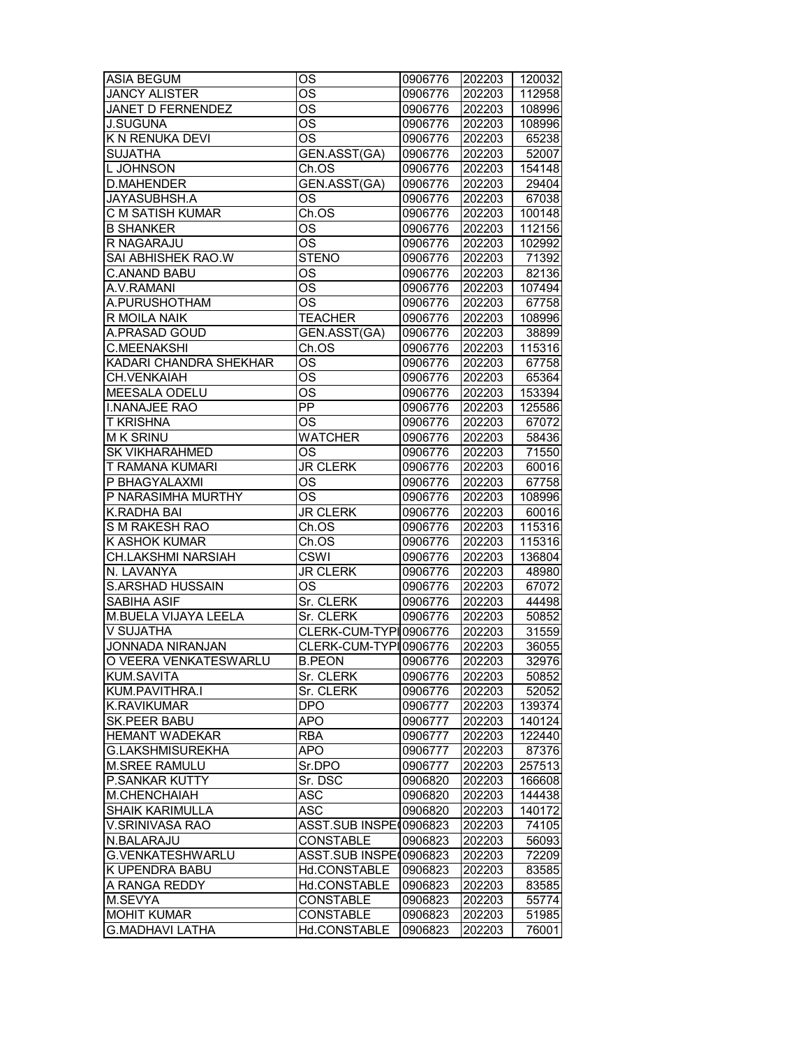| $\overline{\text{OS}}$<br><b>JANCY ALISTER</b><br>202203<br>112958<br>0906776<br>$\overline{\text{OS}}$<br>JANET D FERNENDEZ<br>0906776<br>202203<br>108996<br><b>OS</b><br><b>J.SUGUNA</b><br>202203<br>108996<br>0906776<br>K N RENUKA DEVI<br><b>OS</b><br>65238<br>0906776<br>202203<br><b>SUJATHA</b><br>GEN.ASST(GA)<br>202203<br>52007<br>0906776<br>L JOHNSON<br>Ch.OS<br>202203<br>154148<br>0906776<br><b>D.MAHENDER</b><br>GEN.ASST(GA)<br>0906776<br>202203<br>29404<br>JAYASUBHSH.A<br>OS<br>202203<br>67038<br>0906776<br>Ch.OS<br>C M SATISH KUMAR<br>0906776<br>202203<br>100148<br>$\overline{\text{OS}}$<br>112156<br><b>B SHANKER</b><br>0906776<br>202203<br>R NAGARAJU<br>$\overline{\text{OS}}$<br>0906776<br>202203<br>102992<br><b>SAI ABHISHEK RAO.W</b><br><b>STENO</b><br>71392<br>0906776<br>202203<br>OS<br>82136<br>C.ANAND BABU<br>0906776<br>202203<br>$\overline{\text{OS}}$<br>A.V.RAMANI<br>107494<br>0906776<br>202203<br>A.PURUSHOTHAM<br>OS<br>0906776<br>202203<br>67758<br><b>TEACHER</b><br>R MOILA NAIK<br>108996<br>0906776<br>202203<br>GEN.ASST(GA)<br>A.PRASAD GOUD<br>0906776<br>202203<br>38899<br><b>C.MEENAKSHI</b><br>Ch.OS<br>202203<br>115316<br>0906776<br><b>OS</b><br>KADARI CHANDRA SHEKHAR<br>202203<br>67758<br>0906776 |
|------------------------------------------------------------------------------------------------------------------------------------------------------------------------------------------------------------------------------------------------------------------------------------------------------------------------------------------------------------------------------------------------------------------------------------------------------------------------------------------------------------------------------------------------------------------------------------------------------------------------------------------------------------------------------------------------------------------------------------------------------------------------------------------------------------------------------------------------------------------------------------------------------------------------------------------------------------------------------------------------------------------------------------------------------------------------------------------------------------------------------------------------------------------------------------------------------------------------------------------------------------------------------------|
|                                                                                                                                                                                                                                                                                                                                                                                                                                                                                                                                                                                                                                                                                                                                                                                                                                                                                                                                                                                                                                                                                                                                                                                                                                                                                    |
|                                                                                                                                                                                                                                                                                                                                                                                                                                                                                                                                                                                                                                                                                                                                                                                                                                                                                                                                                                                                                                                                                                                                                                                                                                                                                    |
|                                                                                                                                                                                                                                                                                                                                                                                                                                                                                                                                                                                                                                                                                                                                                                                                                                                                                                                                                                                                                                                                                                                                                                                                                                                                                    |
|                                                                                                                                                                                                                                                                                                                                                                                                                                                                                                                                                                                                                                                                                                                                                                                                                                                                                                                                                                                                                                                                                                                                                                                                                                                                                    |
|                                                                                                                                                                                                                                                                                                                                                                                                                                                                                                                                                                                                                                                                                                                                                                                                                                                                                                                                                                                                                                                                                                                                                                                                                                                                                    |
|                                                                                                                                                                                                                                                                                                                                                                                                                                                                                                                                                                                                                                                                                                                                                                                                                                                                                                                                                                                                                                                                                                                                                                                                                                                                                    |
|                                                                                                                                                                                                                                                                                                                                                                                                                                                                                                                                                                                                                                                                                                                                                                                                                                                                                                                                                                                                                                                                                                                                                                                                                                                                                    |
|                                                                                                                                                                                                                                                                                                                                                                                                                                                                                                                                                                                                                                                                                                                                                                                                                                                                                                                                                                                                                                                                                                                                                                                                                                                                                    |
|                                                                                                                                                                                                                                                                                                                                                                                                                                                                                                                                                                                                                                                                                                                                                                                                                                                                                                                                                                                                                                                                                                                                                                                                                                                                                    |
|                                                                                                                                                                                                                                                                                                                                                                                                                                                                                                                                                                                                                                                                                                                                                                                                                                                                                                                                                                                                                                                                                                                                                                                                                                                                                    |
|                                                                                                                                                                                                                                                                                                                                                                                                                                                                                                                                                                                                                                                                                                                                                                                                                                                                                                                                                                                                                                                                                                                                                                                                                                                                                    |
|                                                                                                                                                                                                                                                                                                                                                                                                                                                                                                                                                                                                                                                                                                                                                                                                                                                                                                                                                                                                                                                                                                                                                                                                                                                                                    |
|                                                                                                                                                                                                                                                                                                                                                                                                                                                                                                                                                                                                                                                                                                                                                                                                                                                                                                                                                                                                                                                                                                                                                                                                                                                                                    |
|                                                                                                                                                                                                                                                                                                                                                                                                                                                                                                                                                                                                                                                                                                                                                                                                                                                                                                                                                                                                                                                                                                                                                                                                                                                                                    |
|                                                                                                                                                                                                                                                                                                                                                                                                                                                                                                                                                                                                                                                                                                                                                                                                                                                                                                                                                                                                                                                                                                                                                                                                                                                                                    |
|                                                                                                                                                                                                                                                                                                                                                                                                                                                                                                                                                                                                                                                                                                                                                                                                                                                                                                                                                                                                                                                                                                                                                                                                                                                                                    |
|                                                                                                                                                                                                                                                                                                                                                                                                                                                                                                                                                                                                                                                                                                                                                                                                                                                                                                                                                                                                                                                                                                                                                                                                                                                                                    |
|                                                                                                                                                                                                                                                                                                                                                                                                                                                                                                                                                                                                                                                                                                                                                                                                                                                                                                                                                                                                                                                                                                                                                                                                                                                                                    |
|                                                                                                                                                                                                                                                                                                                                                                                                                                                                                                                                                                                                                                                                                                                                                                                                                                                                                                                                                                                                                                                                                                                                                                                                                                                                                    |
| <b>CH.VENKAIAH</b><br><b>OS</b><br>202203<br>65364<br>0906776                                                                                                                                                                                                                                                                                                                                                                                                                                                                                                                                                                                                                                                                                                                                                                                                                                                                                                                                                                                                                                                                                                                                                                                                                      |
| $\overline{\text{OS}}$<br>MEESALA ODELU<br>153394<br>0906776<br>202203                                                                                                                                                                                                                                                                                                                                                                                                                                                                                                                                                                                                                                                                                                                                                                                                                                                                                                                                                                                                                                                                                                                                                                                                             |
| $\overline{PP}$<br><b>I.NANAJEE RAO</b><br>202203<br>125586<br>0906776                                                                                                                                                                                                                                                                                                                                                                                                                                                                                                                                                                                                                                                                                                                                                                                                                                                                                                                                                                                                                                                                                                                                                                                                             |
| T KRISHNA<br>ОS<br>67072<br>0906776<br>202203                                                                                                                                                                                                                                                                                                                                                                                                                                                                                                                                                                                                                                                                                                                                                                                                                                                                                                                                                                                                                                                                                                                                                                                                                                      |
| <b>MK SRINU</b><br><b>WATCHER</b><br>0906776<br>202203<br>58436                                                                                                                                                                                                                                                                                                                                                                                                                                                                                                                                                                                                                                                                                                                                                                                                                                                                                                                                                                                                                                                                                                                                                                                                                    |
| <b>SK VIKHARAHMED</b><br>71550<br>ОS<br>0906776<br>202203                                                                                                                                                                                                                                                                                                                                                                                                                                                                                                                                                                                                                                                                                                                                                                                                                                                                                                                                                                                                                                                                                                                                                                                                                          |
| 60016<br>T RAMANA KUMARI<br><b>JR CLERK</b><br>202203<br>0906776                                                                                                                                                                                                                                                                                                                                                                                                                                                                                                                                                                                                                                                                                                                                                                                                                                                                                                                                                                                                                                                                                                                                                                                                                   |
| P BHAGYALAXMI<br>OS<br>0906776<br>202203<br>67758                                                                                                                                                                                                                                                                                                                                                                                                                                                                                                                                                                                                                                                                                                                                                                                                                                                                                                                                                                                                                                                                                                                                                                                                                                  |
| P NARASIMHA MURTHY<br><b>OS</b><br>202203<br>108996<br>0906776                                                                                                                                                                                                                                                                                                                                                                                                                                                                                                                                                                                                                                                                                                                                                                                                                                                                                                                                                                                                                                                                                                                                                                                                                     |
| K.RADHA BAI<br><b>JR CLERK</b><br>202203<br>60016<br>0906776                                                                                                                                                                                                                                                                                                                                                                                                                                                                                                                                                                                                                                                                                                                                                                                                                                                                                                                                                                                                                                                                                                                                                                                                                       |
| 115316<br>S M RAKESH RAO<br>Ch.OS<br>202203<br>0906776                                                                                                                                                                                                                                                                                                                                                                                                                                                                                                                                                                                                                                                                                                                                                                                                                                                                                                                                                                                                                                                                                                                                                                                                                             |
| K ASHOK KUMAR<br>0906776<br>115316<br>Ch.OS<br>202203                                                                                                                                                                                                                                                                                                                                                                                                                                                                                                                                                                                                                                                                                                                                                                                                                                                                                                                                                                                                                                                                                                                                                                                                                              |
| CH.LAKSHMI NARSIAH<br><b>CSWI</b><br>0906776<br>202203<br>136804                                                                                                                                                                                                                                                                                                                                                                                                                                                                                                                                                                                                                                                                                                                                                                                                                                                                                                                                                                                                                                                                                                                                                                                                                   |
| N. LAVANYA<br><b>JR CLERK</b><br>202203<br>0906776<br>48980                                                                                                                                                                                                                                                                                                                                                                                                                                                                                                                                                                                                                                                                                                                                                                                                                                                                                                                                                                                                                                                                                                                                                                                                                        |
| <b>S.ARSHAD HUSSAIN</b><br>OS<br>0906776<br>202203<br>67072                                                                                                                                                                                                                                                                                                                                                                                                                                                                                                                                                                                                                                                                                                                                                                                                                                                                                                                                                                                                                                                                                                                                                                                                                        |
| <b>SABIHA ASIF</b><br>Sr. CLERK<br>0906776<br>202203<br>44498                                                                                                                                                                                                                                                                                                                                                                                                                                                                                                                                                                                                                                                                                                                                                                                                                                                                                                                                                                                                                                                                                                                                                                                                                      |
| <b>M.BUELA VIJAYA LEELA</b><br>Sr. CLERK<br>202203<br>50852<br>0906776                                                                                                                                                                                                                                                                                                                                                                                                                                                                                                                                                                                                                                                                                                                                                                                                                                                                                                                                                                                                                                                                                                                                                                                                             |
| V SUJATHA<br>CLERK-CUM-TYPI0906776<br>202203<br>31559                                                                                                                                                                                                                                                                                                                                                                                                                                                                                                                                                                                                                                                                                                                                                                                                                                                                                                                                                                                                                                                                                                                                                                                                                              |
| JONNADA NIRANJAN<br>CLERK-CUM-TYPI0906776<br>36055<br>202203                                                                                                                                                                                                                                                                                                                                                                                                                                                                                                                                                                                                                                                                                                                                                                                                                                                                                                                                                                                                                                                                                                                                                                                                                       |
| O VEERA VENKATESWARLU<br><b>B.PEON</b><br>202203<br>32976<br>0906776                                                                                                                                                                                                                                                                                                                                                                                                                                                                                                                                                                                                                                                                                                                                                                                                                                                                                                                                                                                                                                                                                                                                                                                                               |
| KUM.SAVITA<br>Sr. CLERK<br>50852<br>0906776<br>202203                                                                                                                                                                                                                                                                                                                                                                                                                                                                                                                                                                                                                                                                                                                                                                                                                                                                                                                                                                                                                                                                                                                                                                                                                              |
| KUM.PAVITHRA.I<br>Sr. CLERK<br>0906776<br>202203<br>52052                                                                                                                                                                                                                                                                                                                                                                                                                                                                                                                                                                                                                                                                                                                                                                                                                                                                                                                                                                                                                                                                                                                                                                                                                          |
| K.RAVIKUMAR<br><b>DPO</b><br>0906777<br>202203<br>139374                                                                                                                                                                                                                                                                                                                                                                                                                                                                                                                                                                                                                                                                                                                                                                                                                                                                                                                                                                                                                                                                                                                                                                                                                           |
| <b>SK.PEER BABU</b><br>APO<br>0906777<br>202203<br>140124                                                                                                                                                                                                                                                                                                                                                                                                                                                                                                                                                                                                                                                                                                                                                                                                                                                                                                                                                                                                                                                                                                                                                                                                                          |
| <b>HEMANT WADEKAR</b><br>122440<br><b>RBA</b><br>0906777<br>202203                                                                                                                                                                                                                                                                                                                                                                                                                                                                                                                                                                                                                                                                                                                                                                                                                                                                                                                                                                                                                                                                                                                                                                                                                 |
| 202203<br>G.LAKSHMISUREKHA<br>APO<br>0906777<br>87376                                                                                                                                                                                                                                                                                                                                                                                                                                                                                                                                                                                                                                                                                                                                                                                                                                                                                                                                                                                                                                                                                                                                                                                                                              |
| <b>M.SREE RAMULU</b><br>Sr.DPO<br>0906777<br>202203<br>257513                                                                                                                                                                                                                                                                                                                                                                                                                                                                                                                                                                                                                                                                                                                                                                                                                                                                                                                                                                                                                                                                                                                                                                                                                      |
| <b>P.SANKAR KUTTY</b><br>Sr. DSC<br>0906820<br>202203<br>166608                                                                                                                                                                                                                                                                                                                                                                                                                                                                                                                                                                                                                                                                                                                                                                                                                                                                                                                                                                                                                                                                                                                                                                                                                    |
| M.CHENCHAIAH<br>ASC<br>0906820<br>202203<br>144438                                                                                                                                                                                                                                                                                                                                                                                                                                                                                                                                                                                                                                                                                                                                                                                                                                                                                                                                                                                                                                                                                                                                                                                                                                 |
| <b>SHAIK KARIMULLA</b><br>ASC<br>0906820<br>202203<br>140172                                                                                                                                                                                                                                                                                                                                                                                                                                                                                                                                                                                                                                                                                                                                                                                                                                                                                                                                                                                                                                                                                                                                                                                                                       |
| V.SRINIVASA RAO<br>ASST.SUB INSPE(0906823<br>202203<br>74105                                                                                                                                                                                                                                                                                                                                                                                                                                                                                                                                                                                                                                                                                                                                                                                                                                                                                                                                                                                                                                                                                                                                                                                                                       |
| 56093<br>N.BALARAJU<br><b>CONSTABLE</b><br>0906823<br>202203                                                                                                                                                                                                                                                                                                                                                                                                                                                                                                                                                                                                                                                                                                                                                                                                                                                                                                                                                                                                                                                                                                                                                                                                                       |
| G.VENKATESHWARLU<br>ASST.SUB INSPE(0906823<br>202203<br>72209                                                                                                                                                                                                                                                                                                                                                                                                                                                                                                                                                                                                                                                                                                                                                                                                                                                                                                                                                                                                                                                                                                                                                                                                                      |
| K UPENDRA BABU<br>Hd.CONSTABLE<br>0906823<br>202203<br>83585                                                                                                                                                                                                                                                                                                                                                                                                                                                                                                                                                                                                                                                                                                                                                                                                                                                                                                                                                                                                                                                                                                                                                                                                                       |
| A RANGA REDDY<br>Hd.CONSTABLE<br>0906823<br>202203<br>83585                                                                                                                                                                                                                                                                                                                                                                                                                                                                                                                                                                                                                                                                                                                                                                                                                                                                                                                                                                                                                                                                                                                                                                                                                        |
| <b>CONSTABLE</b><br>M.SEVYA<br>0906823<br>202203<br>55774                                                                                                                                                                                                                                                                                                                                                                                                                                                                                                                                                                                                                                                                                                                                                                                                                                                                                                                                                                                                                                                                                                                                                                                                                          |
| <b>MOHIT KUMAR</b><br>CONSTABLE<br>0906823<br>202203<br>51985                                                                                                                                                                                                                                                                                                                                                                                                                                                                                                                                                                                                                                                                                                                                                                                                                                                                                                                                                                                                                                                                                                                                                                                                                      |
| <b>G.MADHAVI LATHA</b><br>Hd.CONSTABLE<br>0906823<br>202203<br>76001                                                                                                                                                                                                                                                                                                                                                                                                                                                                                                                                                                                                                                                                                                                                                                                                                                                                                                                                                                                                                                                                                                                                                                                                               |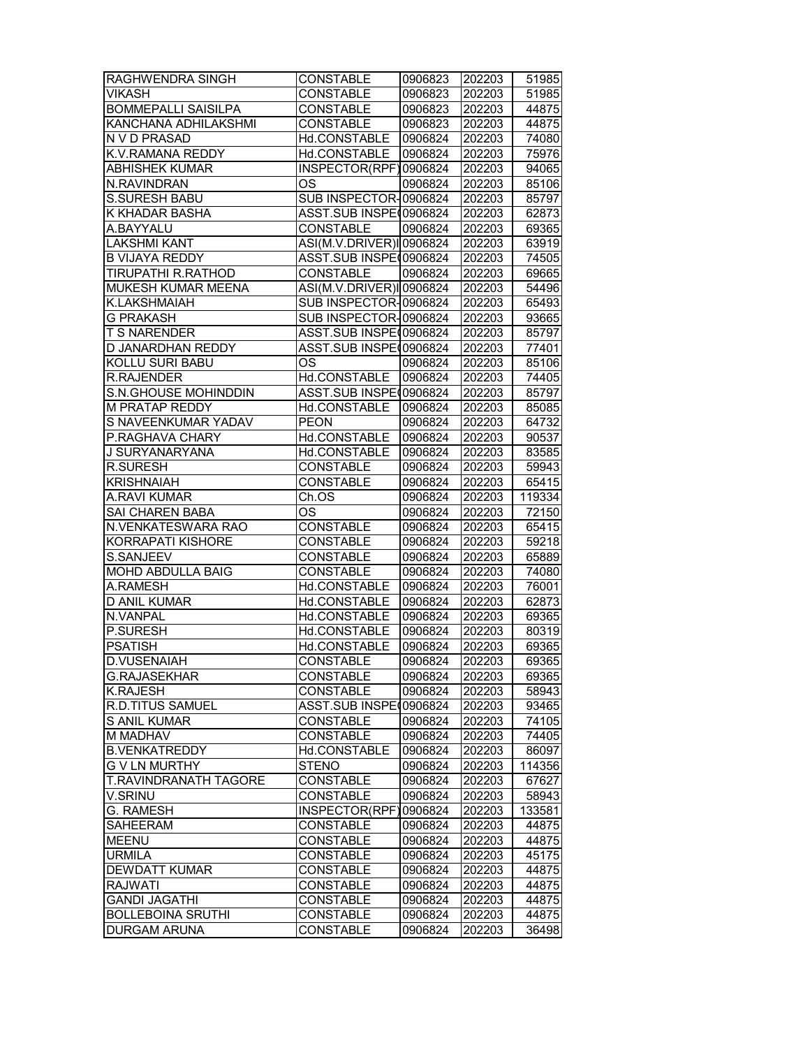| <b>RAGHWENDRA SINGH</b>      | <b>CONSTABLE</b>         | 0906823 | 202203 | 51985  |
|------------------------------|--------------------------|---------|--------|--------|
| <b>VIKASH</b>                | <b>CONSTABLE</b>         | 0906823 | 202203 | 51985  |
| <b>BOMMEPALLI SAISILPA</b>   | <b>CONSTABLE</b>         | 0906823 | 202203 | 44875  |
| KANCHANA ADHILAKSHMI         | <b>CONSTABLE</b>         | 0906823 | 202203 | 44875  |
| N V D PRASAD                 | Hd.CONSTABLE             | 0906824 | 202203 | 74080  |
| K.V.RAMANA REDDY             | Hd.CONSTABLE             |         | 202203 | 75976  |
| <b>ABHISHEK KUMAR</b>        |                          | 0906824 | 202203 |        |
|                              | INSPECTOR(RPF)0906824    |         |        | 94065  |
| N.RAVINDRAN                  | OS                       | 0906824 | 202203 | 85106  |
| <b>S.SURESH BABU</b>         | SUB INSPECTOR-0906824    |         | 202203 | 85797  |
| K KHADAR BASHA               | ASST.SUB INSPE(0906824   |         | 202203 | 62873  |
| A.BAYYALU                    | <b>CONSTABLE</b>         | 0906824 | 202203 | 69365  |
| <b>LAKSHMI KANT</b>          | ASI(M.V.DRIVER)IO906824  |         | 202203 | 63919  |
| <b>B VIJAYA REDDY</b>        | ASST.SUB INSPE(0906824   |         | 202203 | 74505  |
| <b>TIRUPATHI R.RATHOD</b>    | <b>CONSTABLE</b>         | 0906824 | 202203 | 69665  |
| MUKESH KUMAR MEENA           | ASI(M.V.DRIVER)I 0906824 |         | 202203 | 54496  |
| <b>K.LAKSHMAIAH</b>          | SUB INSPECTOR-0906824    |         | 202203 | 65493  |
| <b>G PRAKASH</b>             | SUB INSPECTOR-0906824    |         | 202203 | 93665  |
| T S NARENDER                 | ASST.SUB INSPE(0906824   |         | 202203 | 85797  |
| D JANARDHAN REDDY            | ASST.SUB INSPE(0906824   |         | 202203 | 77401  |
| <b>KOLLU SURI BABU</b>       | ОS                       | 0906824 | 202203 | 85106  |
| <b>R.RAJENDER</b>            | Hd.CONSTABLE             | 0906824 | 202203 | 74405  |
| <b>S.N.GHOUSE MOHINDDIN</b>  | ASST.SUB INSPE(0906824   |         | 202203 | 85797  |
| <b>M PRATAP REDDY</b>        | Hd.CONSTABLE             | 0906824 | 202203 | 85085  |
| S NAVEENKUMAR YADAV          | <b>PEON</b>              | 0906824 | 202203 | 64732  |
| P.RAGHAVA CHARY              | Hd.CONSTABLE             | 0906824 | 202203 | 90537  |
| J SURYANARYANA               | Hd.CONSTABLE             | 0906824 | 202203 | 83585  |
| R.SURESH                     | <b>CONSTABLE</b>         | 0906824 | 202203 | 59943  |
| <b>KRISHNAIAH</b>            | <b>CONSTABLE</b>         | 0906824 | 202203 | 65415  |
| A.RAVI KUMAR                 | Ch.OS                    | 0906824 | 202203 | 119334 |
| SAI CHAREN BABA              | OS                       | 0906824 | 202203 | 72150  |
| N.VENKATESWARA RAO           | <b>CONSTABLE</b>         | 0906824 | 202203 | 65415  |
| KORRAPATI KISHORE            | <b>CONSTABLE</b>         | 0906824 | 202203 | 59218  |
| S.SANJEEV                    | <b>CONSTABLE</b>         | 0906824 | 202203 | 65889  |
| MOHD ABDULLA BAIG            | <b>CONSTABLE</b>         | 0906824 | 202203 | 74080  |
| A.RAMESH                     | Hd.CONSTABLE             | 0906824 | 202203 | 76001  |
| <b>D ANIL KUMAR</b>          | Hd.CONSTABLE             | 0906824 | 202203 | 62873  |
| N.VANPAL                     | Hd.CONSTABLE             | 0906824 | 202203 | 69365  |
| P.SURESH                     | Hd.CONSTABLE             | 0906824 | 202203 | 80319  |
| <b>PSATISH</b>               | Hd.CONSTABLE             | 0906824 | 202203 | 69365  |
| D.VUSENAIAH                  | CONSTABLE                | 0906824 | 202203 | 69365  |
|                              |                          |         |        | 69365  |
| <b>G.RAJASEKHAR</b>          | <b>CONSTABLE</b>         | 0906824 | 202203 |        |
| <b>K.RAJESH</b>              | <b>CONSTABLE</b>         | 0906824 | 202203 | 58943  |
| <b>R.D.TITUS SAMUEL</b>      | ASST.SUB INSPE(0906824   |         | 202203 | 93465  |
| S ANIL KUMAR                 | CONSTABLE                | 0906824 | 202203 | 74105  |
| M MADHAV                     | <b>CONSTABLE</b>         | 0906824 | 202203 | 74405  |
| <b>B.VENKATREDDY</b>         | Hd.CONSTABLE             | 0906824 | 202203 | 86097  |
| <b>G V LN MURTHY</b>         | <b>STENO</b>             | 0906824 | 202203 | 114356 |
| <b>T.RAVINDRANATH TAGORE</b> | <b>CONSTABLE</b>         | 0906824 | 202203 | 67627  |
| V.SRINU                      | <b>CONSTABLE</b>         | 0906824 | 202203 | 58943  |
| G. RAMESH                    | INSPECTOR(RPF)0906824    |         | 202203 | 133581 |
| SAHEERAM                     | <b>CONSTABLE</b>         | 0906824 | 202203 | 44875  |
| <b>MEENU</b>                 | <b>CONSTABLE</b>         | 0906824 | 202203 | 44875  |
| <b>URMILA</b>                | <b>CONSTABLE</b>         | 0906824 | 202203 | 45175  |
| <b>DEWDATT KUMAR</b>         | <b>CONSTABLE</b>         | 0906824 | 202203 | 44875  |
| <b>RAJWATI</b>               | CONSTABLE                | 0906824 | 202203 | 44875  |
| <b>GANDI JAGATHI</b>         | <b>CONSTABLE</b>         | 0906824 | 202203 | 44875  |
| <b>BOLLEBOINA SRUTHI</b>     | <b>CONSTABLE</b>         | 0906824 | 202203 | 44875  |
| <b>DURGAM ARUNA</b>          | <b>CONSTABLE</b>         | 0906824 | 202203 | 36498  |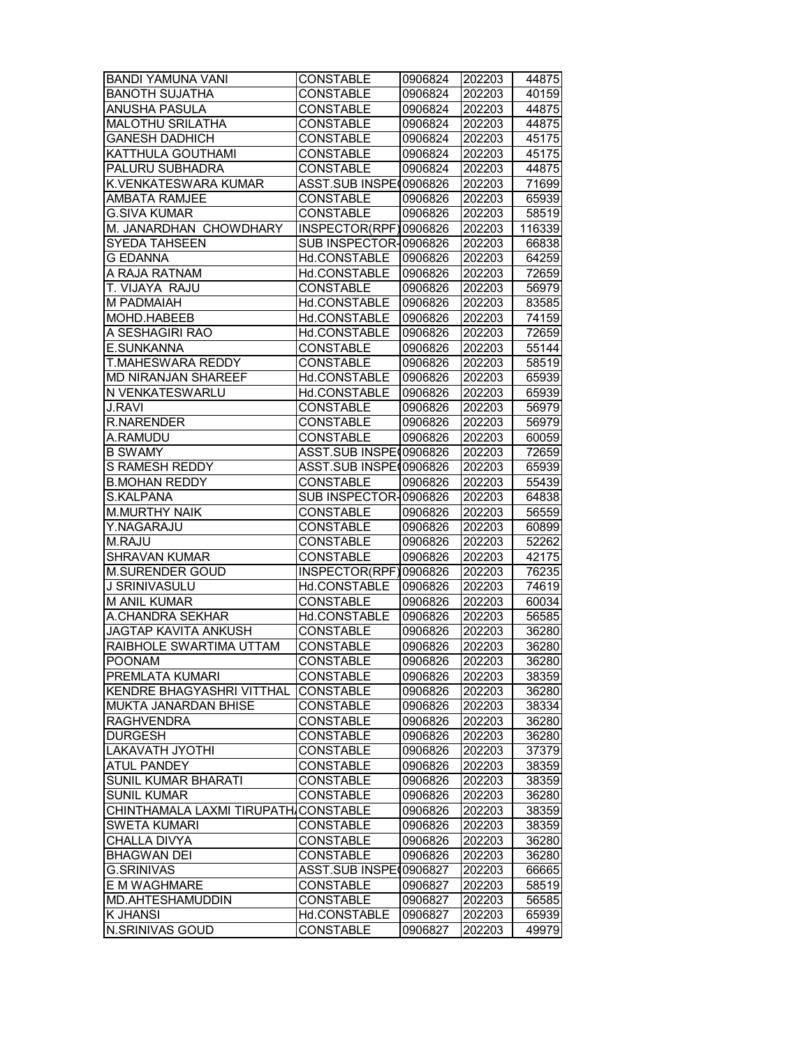| <b>BANDI YAMUNA VANI</b>    | CONSTABLE               | 0906824 | 202203 | 44875  |
|-----------------------------|-------------------------|---------|--------|--------|
| <b>BANOTH SUJATHA</b>       | <b>CONSTABLE</b>        | 0906824 | 202203 | 40159  |
| ANUSHA PASULA               | <b>CONSTABLE</b>        | 0906824 | 202203 | 44875  |
| <b>MALOTHU SRILATHA</b>     | <b>CONSTABLE</b>        | 0906824 | 202203 | 44875  |
| <b>GANESH DADHICH</b>       | <b>CONSTABLE</b>        | 0906824 | 202203 | 45175  |
| KATTHULA GOUTHAMI           | <b>CONSTABLE</b>        | 0906824 | 202203 | 45175  |
| PALURU SUBHADRA             | <b>CONSTABLE</b>        | 0906824 | 202203 | 44875  |
| K.VENKATESWARA KUMAR        | ASST.SUB INSPE(0906826  |         | 202203 | 71699  |
| <b>AMBATA RAMJEE</b>        | <b>CONSTABLE</b>        | 0906826 | 202203 | 65939  |
| <b>G.SIVA KUMAR</b>         | <b>CONSTABLE</b>        | 0906826 | 202203 | 58519  |
| M. JANARDHAN CHOWDHARY      | INSPECTOR(RPF)0906826   |         | 202203 | 116339 |
| <b>SYEDA TAHSEEN</b>        | SUB INSPECTOR-0906826   |         | 202203 | 66838  |
| <b>G EDANNA</b>             | Hd.CONSTABLE            | 0906826 | 202203 | 64259  |
| A RAJA RATNAM               | Hd.CONSTABLE            | 0906826 | 202203 | 72659  |
| T. VIJAYA RAJU              | <b>CONSTABLE</b>        | 0906826 | 202203 | 56979  |
| M PADMAIAH                  | Hd.CONSTABLE            | 0906826 | 202203 | 83585  |
| MOHD.HABEEB                 | Hd.CONSTABLE            | 0906826 | 202203 | 74159  |
| A SESHAGIRI RAO             | Hd.CONSTABLE            | 0906826 | 202203 | 72659  |
| E.SUNKANNA                  | <b>CONSTABLE</b>        | 0906826 | 202203 | 55144  |
| T.MAHESWARA REDDY           | <b>CONSTABLE</b>        | 0906826 | 202203 | 58519  |
| <b>MD NIRANJAN SHAREEF</b>  | Hd.CONSTABLE            | 0906826 | 202203 | 65939  |
| N VENKATESWARLU             | Hd.CONSTABLE            | 0906826 | 202203 |        |
|                             |                         |         |        | 65939  |
| <b>J.RAVI</b>               | <b>CONSTABLE</b>        | 0906826 | 202203 | 56979  |
| <b>R.NARENDER</b>           | <b>CONSTABLE</b>        | 0906826 | 202203 | 56979  |
| A.RAMUDU                    | CONSTABLE               | 0906826 | 202203 | 60059  |
| <b>B SWAMY</b>              | ASST.SUB INSPE (0906826 |         | 202203 | 72659  |
| S RAMESH REDDY              | ASST.SUB INSPE(0906826  |         | 202203 | 65939  |
| <b>B.MOHAN REDDY</b>        | <b>CONSTABLE</b>        | 0906826 | 202203 | 55439  |
| S.KALPANA                   | SUB INSPECTOR-0906826   |         | 202203 | 64838  |
| <b>M.MURTHY NAIK</b>        | <b>CONSTABLE</b>        | 0906826 | 202203 | 56559  |
| Y.NAGARAJU                  | <b>CONSTABLE</b>        | 0906826 | 202203 | 60899  |
| M.RAJU                      | <b>CONSTABLE</b>        | 0906826 | 202203 | 52262  |
| <b>SHRAVAN KUMAR</b>        | <b>CONSTABLE</b>        | 0906826 | 202203 | 42175  |
| <b>M.SURENDER GOUD</b>      | INSPECTOR(RPF)0906826   |         | 202203 | 76235  |
| J SRINIVASULU               | Hd.CONSTABLE            | 0906826 | 202203 | 74619  |
| <b>M ANIL KUMAR</b>         | <b>CONSTABLE</b>        | 0906826 | 202203 | 60034  |
| A.CHANDRA SEKHAR            | Hd.CONSTABLE            | 0906826 | 202203 | 56585  |
| <b>JAGTAP KAVITA ANKUSH</b> | <b>CONSTABLE</b>        | 0906826 | 202203 | 36280  |
| RAIBHOLE SWARTIMA UTTAM     | <b>CONSTABLE</b>        | 0906826 | 202203 | 36280  |
| <b>POONAM</b>               | <b>CONSTABLE</b>        | 0906826 | 202203 | 36280  |
| PREMLATA KUMARI             | <b>CONSTABLE</b>        | 0906826 | 202203 | 38359  |
| KENDRE BHAGYASHRI VITTHAL   | <b>CONSTABLE</b>        | 0906826 | 202203 | 36280  |
| MUKTA JANARDAN BHISE        | CONSTABLE               | 0906826 | 202203 | 38334  |
| <b>RAGHVENDRA</b>           | <b>CONSTABLE</b>        | 0906826 | 202203 | 36280  |
| <b>DURGESH</b>              | <b>CONSTABLE</b>        | 0906826 | 202203 | 36280  |
| <b>LAKAVATH JYOTHI</b>      | <b>CONSTABLE</b>        | 0906826 | 202203 | 37379  |
| <b>ATUL PANDEY</b>          | <b>CONSTABLE</b>        | 0906826 | 202203 | 38359  |
| <b>SUNIL KUMAR BHARATI</b>  | <b>CONSTABLE</b>        | 0906826 | 202203 | 38359  |
| SUNIL KUMAR                 | <b>CONSTABLE</b>        | 0906826 | 202203 | 36280  |
| CHINTHAMALA LAXMI TIRUPATH, | <b>CONSTABLE</b>        | 0906826 | 202203 | 38359  |
| SWETA KUMARI                | CONSTABLE               | 0906826 | 202203 | 38359  |
| CHALLA DIVYA                | <b>CONSTABLE</b>        | 0906826 | 202203 | 36280  |
| <b>BHAGWAN DEI</b>          | <b>CONSTABLE</b>        | 0906826 | 202203 | 36280  |
| <b>G.SRINIVAS</b>           | ASST.SUB INSPE(0906827  |         | 202203 | 66665  |
| E M WAGHMARE                | <b>CONSTABLE</b>        | 0906827 | 202203 | 58519  |
| MD.AHTESHAMUDDIN            | <b>CONSTABLE</b>        | 0906827 | 202203 | 56585  |
| K JHANSI                    | Hd.CONSTABLE            | 0906827 | 202203 | 65939  |
| N.SRINIVAS GOUD             | <b>CONSTABLE</b>        | 0906827 | 202203 | 49979  |
|                             |                         |         |        |        |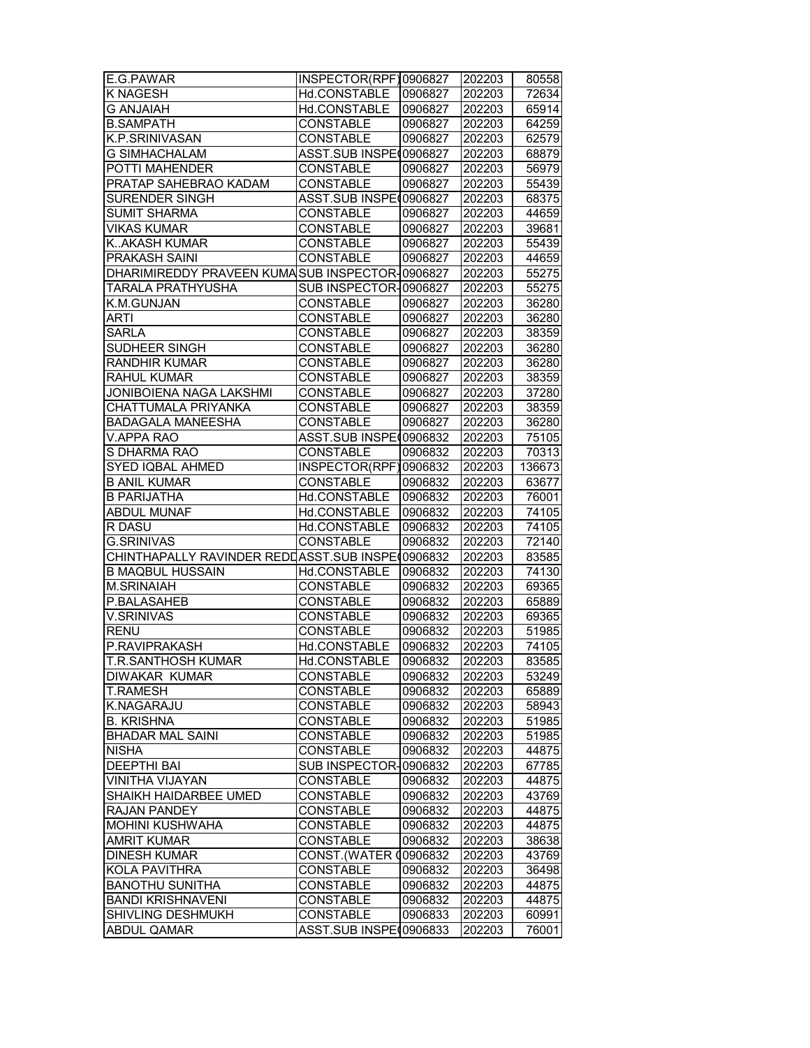| E.G.PAWAR                                        | INSPECTOR(RPF)0906827   |         | 202203 | 80558  |
|--------------------------------------------------|-------------------------|---------|--------|--------|
| K NAGESH                                         | Hd.CONSTABLE            | 0906827 | 202203 | 72634  |
| <b>G ANJAIAH</b>                                 | Hd.CONSTABLE            | 0906827 | 202203 | 65914  |
| <b>B.SAMPATH</b>                                 | <b>CONSTABLE</b>        | 0906827 | 202203 | 64259  |
| K.P.SRINIVASAN                                   | <b>CONSTABLE</b>        | 0906827 | 202203 | 62579  |
| <b>G SIMHACHALAM</b>                             | ASST.SUB INSPE (0906827 |         | 202203 | 68879  |
| POTTI MAHENDER                                   | <b>CONSTABLE</b>        | 0906827 | 202203 | 56979  |
| PRATAP SAHEBRAO KADAM                            | <b>CONSTABLE</b>        | 0906827 | 202203 | 55439  |
| SURENDER SINGH                                   | ASST.SUB INSPE(0906827  |         | 202203 | 68375  |
| <b>SUMIT SHARMA</b>                              | <b>CONSTABLE</b>        | 0906827 | 202203 | 44659  |
| <b>VIKAS KUMAR</b>                               | <b>CONSTABLE</b>        | 0906827 | 202203 | 39681  |
| <b>K.AKASH KUMAR</b>                             | <b>CONSTABLE</b>        | 0906827 | 202203 | 55439  |
| <b>PRAKASH SAINI</b>                             | <b>CONSTABLE</b>        | 0906827 | 202203 | 44659  |
| DHARIMIREDDY PRAVEEN KUMASUB INSPECTOR-0906827   |                         |         | 202203 | 55275  |
| TARALA PRATHYUSHA                                | SUB INSPECTOR-0906827   |         | 202203 | 55275  |
| K.M.GUNJAN                                       | <b>CONSTABLE</b>        | 0906827 | 202203 | 36280  |
| ARTI                                             | <b>CONSTABLE</b>        | 0906827 | 202203 | 36280  |
| <b>SARLA</b>                                     | <b>CONSTABLE</b>        | 0906827 | 202203 | 38359  |
| SUDHEER SINGH                                    | <b>CONSTABLE</b>        | 0906827 | 202203 | 36280  |
| <b>RANDHIR KUMAR</b>                             | <b>CONSTABLE</b>        | 0906827 | 202203 | 36280  |
| <b>RAHUL KUMAR</b>                               | <b>CONSTABLE</b>        | 0906827 | 202203 | 38359  |
| <b>JONIBOIENA NAGA LAKSHMI</b>                   | <b>CONSTABLE</b>        | 0906827 | 202203 | 37280  |
| CHATTUMALA PRIYANKA                              | <b>CONSTABLE</b>        | 0906827 | 202203 | 38359  |
| <b>BADAGALA MANEESHA</b>                         | <b>CONSTABLE</b>        | 0906827 | 202203 | 36280  |
| <b>V.APPA RAO</b>                                | ASST.SUB INSPE(0906832  |         | 202203 | 75105  |
| S DHARMA RAO                                     | <b>CONSTABLE</b>        | 0906832 | 202203 | 70313  |
| SYED IQBAL AHMED                                 | INSPECTOR(RPF)0906832   |         | 202203 | 136673 |
| <b>B ANIL KUMAR</b>                              | <b>CONSTABLE</b>        | 0906832 | 202203 | 63677  |
| <b>B PARIJATHA</b>                               | Hd.CONSTABLE            | 0906832 | 202203 | 76001  |
| <b>ABDUL MUNAF</b>                               | Hd.CONSTABLE            | 0906832 | 202203 | 74105  |
| R DASU                                           | Hd.CONSTABLE            | 0906832 | 202203 | 74105  |
| <b>G.SRINIVAS</b>                                | <b>CONSTABLE</b>        | 0906832 | 202203 | 72140  |
| CHINTHAPALLY RAVINDER REDDASST.SUB INSPE(0906832 |                         |         | 202203 | 83585  |
| <b>B MAQBUL HUSSAIN</b>                          | Hd.CONSTABLE            | 0906832 | 202203 | 74130  |
| <b>M.SRINAIAH</b>                                | <b>CONSTABLE</b>        | 0906832 | 202203 | 69365  |
| P.BALASAHEB                                      | <b>CONSTABLE</b>        | 0906832 | 202203 | 65889  |
| <b>V.SRINIVAS</b>                                | <b>CONSTABLE</b>        | 0906832 | 202203 | 69365  |
| <b>RENU</b>                                      | <b>CONSTABLE</b>        | 0906832 | 202203 | 51985  |
| P.RAVIPRAKASH                                    | Hd.CONSTABLE            | 0906832 | 202203 | 74105  |
| <b>T.R.SANTHOSH KUMAR</b>                        | Hd.CONSTABLE            | 0906832 | 202203 | 83585  |
| DIWAKAR KUMAR                                    | <b>CONSTABLE</b>        | 0906832 | 202203 | 53249  |
| T.RAMESH                                         | <b>CONSTABLE</b>        | 0906832 | 202203 | 65889  |
| K.NAGARAJU                                       | <b>CONSTABLE</b>        | 0906832 | 202203 | 58943  |
| <b>B. KRISHNA</b>                                | <b>CONSTABLE</b>        | 0906832 | 202203 | 51985  |
| <b>BHADAR MAL SAINI</b>                          | <b>CONSTABLE</b>        | 0906832 | 202203 | 51985  |
| <b>NISHA</b>                                     | <b>CONSTABLE</b>        | 0906832 | 202203 | 44875  |
|                                                  |                         |         |        |        |
| <b>DEEPTHI BAI</b>                               | SUB INSPECTOR-0906832   |         | 202203 | 67785  |
| VINITHA VIJAYAN                                  | <b>CONSTABLE</b>        | 0906832 | 202203 | 44875  |
| SHAIKH HAIDARBEE UMED                            | <b>CONSTABLE</b>        | 0906832 | 202203 | 43769  |
| <b>RAJAN PANDEY</b><br>MOHINI KUSHWAHA           | CONSTABLE               | 0906832 | 202203 | 44875  |
|                                                  | <b>CONSTABLE</b>        | 0906832 | 202203 | 44875  |
| AMRIT KUMAR<br><b>DINESH KUMAR</b>               | <b>CONSTABLE</b>        | 0906832 | 202203 | 38638  |
|                                                  | CONST. (WATER 00906832  |         | 202203 | 43769  |
| KOLA PAVITHRA                                    | <b>CONSTABLE</b>        | 0906832 | 202203 | 36498  |
| <b>BANOTHU SUNITHA</b>                           | <b>CONSTABLE</b>        | 0906832 | 202203 | 44875  |
| <b>BANDI KRISHNAVENI</b>                         | <b>CONSTABLE</b>        | 0906832 | 202203 | 44875  |
| SHIVLING DESHMUKH                                | <b>CONSTABLE</b>        | 0906833 | 202203 | 60991  |
| <b>ABDUL QAMAR</b>                               | ASST.SUB INSPE(0906833  |         | 202203 | 76001  |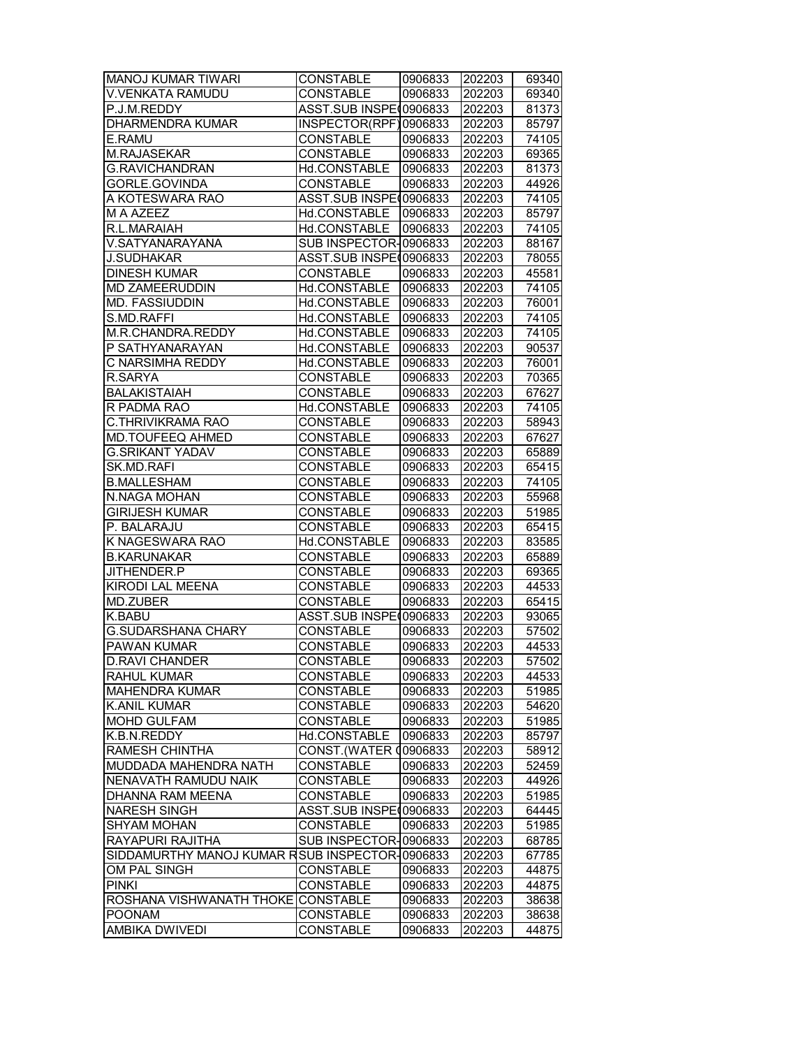| <b>MANOJ KUMAR TIWARI</b>                      | <b>CONSTABLE</b>                             | 0906833 | 202203 | 69340 |
|------------------------------------------------|----------------------------------------------|---------|--------|-------|
| <b>V.VENKATA RAMUDU</b>                        | <b>CONSTABLE</b>                             | 0906833 | 202203 | 69340 |
| P.J.M.REDDY                                    | ASST.SUB INSPE(0906833                       |         | 202203 | 81373 |
| <b>DHARMENDRA KUMAR</b>                        | INSPECTOR(RPF)0906833                        |         | 202203 | 85797 |
| E.RAMU                                         | <b>CONSTABLE</b>                             | 0906833 | 202203 | 74105 |
| M.RAJASEKAR                                    | <b>CONSTABLE</b>                             | 0906833 | 202203 | 69365 |
| <b>G.RAVICHANDRAN</b>                          | Hd.CONSTABLE                                 | 0906833 | 202203 | 81373 |
| GORLE.GOVINDA                                  | <b>CONSTABLE</b>                             | 0906833 | 202203 | 44926 |
| A KOTESWARA RAO                                | ASST.SUB INSPE(0906833                       |         | 202203 | 74105 |
| M A AZEEZ                                      | Hd.CONSTABLE                                 | 0906833 | 202203 | 85797 |
| R.L.MARAIAH                                    | Hd.CONSTABLE                                 | 0906833 | 202203 | 74105 |
| V.SATYANARAYANA                                | SUB INSPECTOR-0906833                        |         | 202203 | 88167 |
| <b>J.SUDHAKAR</b>                              | ASST.SUB INSPE(0906833                       |         | 202203 | 78055 |
| <b>DINESH KUMAR</b>                            | <b>CONSTABLE</b>                             | 0906833 | 202203 | 45581 |
| <b>MD ZAMEERUDDIN</b>                          | Hd.CONSTABLE                                 | 0906833 | 202203 | 74105 |
| <b>MD. FASSIUDDIN</b>                          | Hd.CONSTABLE                                 | 0906833 | 202203 | 76001 |
| S.MD.RAFFI                                     | Hd.CONSTABLE                                 | 0906833 | 202203 | 74105 |
| M.R.CHANDRA.REDDY                              | Hd.CONSTABLE                                 | 0906833 | 202203 | 74105 |
| P SATHYANARAYAN                                | Hd.CONSTABLE                                 | 0906833 | 202203 | 90537 |
| C NARSIMHA REDDY                               | Hd.CONSTABLE                                 | 0906833 | 202203 | 76001 |
| R.SARYA                                        | <b>CONSTABLE</b>                             | 0906833 | 202203 | 70365 |
| <b>BALAKISTAIAH</b>                            | <b>CONSTABLE</b>                             | 0906833 | 202203 | 67627 |
| R PADMA RAO                                    | Hd.CONSTABLE                                 | 0906833 | 202203 | 74105 |
| C.THRIVIKRAMA RAO                              | <b>CONSTABLE</b>                             | 0906833 | 202203 | 58943 |
| MD.TOUFEEQ AHMED                               | <b>CONSTABLE</b>                             | 0906833 | 202203 | 67627 |
| <b>G.SRIKANT YADAV</b>                         | <b>CONSTABLE</b>                             | 0906833 | 202203 | 65889 |
| SK.MD.RAFI                                     | <b>CONSTABLE</b>                             | 0906833 | 202203 | 65415 |
| <b>B.MALLESHAM</b>                             | <b>CONSTABLE</b>                             | 0906833 | 202203 | 74105 |
| N.NAGA MOHAN                                   | <b>CONSTABLE</b>                             | 0906833 | 202203 | 55968 |
| <b>GIRIJESH KUMAR</b>                          | <b>CONSTABLE</b>                             | 0906833 | 202203 | 51985 |
| P. BALARAJU                                    | <b>CONSTABLE</b>                             | 0906833 | 202203 | 65415 |
| K NAGESWARA RAO                                | Hd.CONSTABLE                                 | 0906833 | 202203 | 83585 |
| <b>B.KARUNAKAR</b>                             | <b>CONSTABLE</b>                             | 0906833 | 202203 | 65889 |
| JITHENDER.P                                    | CONSTABLE                                    | 0906833 | 202203 | 69365 |
| KIRODI LAL MEENA                               | <b>CONSTABLE</b>                             | 0906833 | 202203 | 44533 |
| MD.ZUBER                                       | <b>CONSTABLE</b>                             | 0906833 | 202203 | 65415 |
| K.BABU                                         | ASST.SUB INSPE (0906833                      |         | 202203 | 93065 |
| <b>G.SUDARSHANA CHARY</b>                      | <b>CONSTABLE</b>                             | 0906833 | 202203 | 57502 |
| <b>PAWAN KUMAR</b>                             | <b>CONSTABLE</b>                             | 0906833 | 202203 | 44533 |
| ID.RAVI CHANDER                                | <b>CONSTABLE</b>                             | 0906833 | 202203 | 57502 |
| RAHUL KUMAR                                    | <b>CONSTABLE</b>                             | 0906833 | 202203 | 44533 |
| <b>MAHENDRA KUMAR</b>                          | CONSTABLE                                    | 0906833 | 202203 | 51985 |
| K.ANIL KUMAR                                   | CONSTABLE                                    | 0906833 | 202203 | 54620 |
| MOHD GULFAM                                    | CONSTABLE                                    |         |        |       |
| K.B.N.REDDY                                    |                                              | 0906833 | 202203 | 51985 |
| <b>RAMESH CHINTHA</b>                          | Hd.CONSTABLE<br><b>CONST. (WATER 0906833</b> | 0906833 | 202203 | 85797 |
| MUDDADA MAHENDRA NATH                          |                                              |         | 202203 | 58912 |
|                                                | <b>CONSTABLE</b>                             | 0906833 | 202203 | 52459 |
| NENAVATH RAMUDU NAIK                           | <b>CONSTABLE</b>                             | 0906833 | 202203 | 44926 |
| DHANNA RAM MEENA                               | <b>CONSTABLE</b><br>ASST.SUB INSPE(0906833   | 0906833 | 202203 | 51985 |
| <b>NARESH SINGH</b>                            |                                              |         | 202203 | 64445 |
| SHYAM MOHAN                                    | <b>CONSTABLE</b>                             | 0906833 | 202203 | 51985 |
| RAYAPURI RAJITHA                               | SUB INSPECTOR-0906833                        |         | 202203 | 68785 |
| SIDDAMURTHY MANOJ KUMAR RSUB INSPECTOR 0906833 |                                              |         | 202203 | 67785 |
| OM PAL SINGH                                   | <b>CONSTABLE</b>                             | 0906833 | 202203 | 44875 |
| <b>PINKI</b>                                   | <b>CONSTABLE</b>                             | 0906833 | 202203 | 44875 |
| ROSHANA VISHWANATH THOKE CONSTABLE             |                                              | 0906833 | 202203 | 38638 |
| <b>POONAM</b>                                  | <b>CONSTABLE</b>                             | 0906833 | 202203 | 38638 |
| AMBIKA DWIVEDI                                 | <b>CONSTABLE</b>                             | 0906833 | 202203 | 44875 |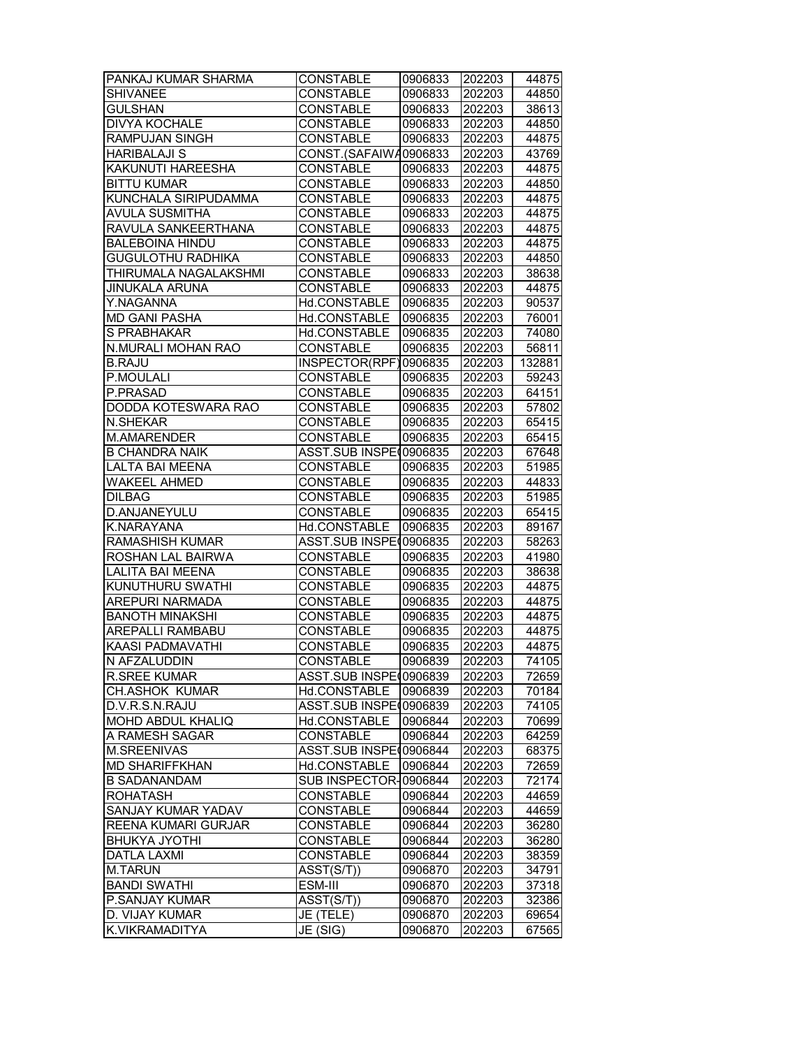| PANKAJ KUMAR SHARMA      | <b>CONSTABLE</b>        | 0906833 | 202203 | 44875  |
|--------------------------|-------------------------|---------|--------|--------|
| <b>SHIVANEE</b>          | <b>CONSTABLE</b>        | 0906833 | 202203 | 44850  |
| <b>GULSHAN</b>           | <b>CONSTABLE</b>        | 0906833 | 202203 | 38613  |
| <b>DIVYA KOCHALE</b>     | <b>CONSTABLE</b>        | 0906833 | 202203 | 44850  |
| RAMPUJAN SINGH           | <b>CONSTABLE</b>        | 0906833 | 202203 | 44875  |
| <b>HARIBALAJI S</b>      | CONST.(SAFAIWA0906833   |         | 202203 | 43769  |
| KAKUNUTI HAREESHA        | <b>CONSTABLE</b>        | 0906833 | 202203 | 44875  |
| <b>BITTU KUMAR</b>       | <b>CONSTABLE</b>        | 0906833 | 202203 | 44850  |
| KUNCHALA SIRIPUDAMMA     | <b>CONSTABLE</b>        | 0906833 | 202203 | 44875  |
| <b>AVULA SUSMITHA</b>    | <b>CONSTABLE</b>        | 0906833 | 202203 | 44875  |
| RAVULA SANKEERTHANA      | <b>CONSTABLE</b>        | 0906833 | 202203 | 44875  |
| <b>BALEBOINA HINDU</b>   | <b>CONSTABLE</b>        | 0906833 | 202203 | 44875  |
| <b>GUGULOTHU RADHIKA</b> | <b>CONSTABLE</b>        | 0906833 | 202203 | 44850  |
| THIRUMALA NAGALAKSHMI    | <b>CONSTABLE</b>        | 0906833 | 202203 | 38638  |
| <b>JINUKALA ARUNA</b>    | <b>CONSTABLE</b>        | 0906833 | 202203 | 44875  |
| Y.NAGANNA                | Hd.CONSTABLE            | 0906835 | 202203 | 90537  |
| <b>MD GANI PASHA</b>     | Hd.CONSTABLE            | 0906835 | 202203 | 76001  |
|                          |                         |         |        |        |
| S PRABHAKAR              | Hd.CONSTABLE            | 0906835 | 202203 | 74080  |
| N.MURALI MOHAN RAO       | <b>CONSTABLE</b>        | 0906835 | 202203 | 56811  |
| <b>B.RAJU</b>            | INSPECTOR(RPF)0906835   |         | 202203 | 132881 |
| P.MOULALI                | <b>CONSTABLE</b>        | 0906835 | 202203 | 59243  |
| P.PRASAD                 | <b>CONSTABLE</b>        | 0906835 | 202203 | 64151  |
| DODDA KOTESWARA RAO      | <b>CONSTABLE</b>        | 0906835 | 202203 | 57802  |
| N.SHEKAR                 | <b>CONSTABLE</b>        | 0906835 | 202203 | 65415  |
| M.AMARENDER              | <b>CONSTABLE</b>        | 0906835 | 202203 | 65415  |
| <b>B CHANDRA NAIK</b>    | ASST.SUB INSPE(0906835  |         | 202203 | 67648  |
| LALTA BAI MEENA          | <b>CONSTABLE</b>        | 0906835 | 202203 | 51985  |
| <b>WAKEEL AHMED</b>      | <b>CONSTABLE</b>        | 0906835 | 202203 | 44833  |
| <b>DILBAG</b>            | <b>CONSTABLE</b>        | 0906835 | 202203 | 51985  |
| D.ANJANEYULU             | <b>CONSTABLE</b>        | 0906835 | 202203 | 65415  |
| K.NARAYANA               | Hd.CONSTABLE            | 0906835 | 202203 | 89167  |
| <b>RAMASHISH KUMAR</b>   | <b>ASST.SUB INSPEC</b>  | 0906835 | 202203 | 58263  |
| ROSHAN LAL BAIRWA        | <b>CONSTABLE</b>        | 0906835 | 202203 | 41980  |
| LALITA BAI MEENA         | <b>CONSTABLE</b>        | 0906835 | 202203 | 38638  |
| KUNUTHURU SWATHI         | <b>CONSTABLE</b>        | 0906835 | 202203 | 44875  |
| AREPURI NARMADA          | <b>CONSTABLE</b>        | 0906835 | 202203 | 44875  |
| <b>BANOTH MINAKSHI</b>   | <b>CONSTABLE</b>        | 0906835 | 202203 | 44875  |
| <b>AREPALLI RAMBABU</b>  | <b>CONSTABLE</b>        | 0906835 | 202203 | 44875  |
| <b>KAASI PADMAVATHI</b>  | <b>CONSTABLE</b>        | 0906835 | 202203 | 44875  |
| N AFZALUDDIN             | <b>CONSTABLE</b>        | 0906839 | 202203 | 74105  |
| <b>R.SREE KUMAR</b>      | ASST.SUB INSPE(0906839  |         | 202203 | 72659  |
| <b>CH.ASHOK KUMAR</b>    | Hd.CONSTABLE            | 0906839 | 202203 | 70184  |
| D.V.R.S.N.RAJU           | ASST.SUB INSPE(0906839  |         | 202203 | 74105  |
| MOHD ABDUL KHALIQ        | Hd.CONSTABLE            | 0906844 | 202203 | 70699  |
| A RAMESH SAGAR           | <b>CONSTABLE</b>        | 0906844 | 202203 | 64259  |
| <b>M.SREENIVAS</b>       | ASST.SUB INSPE (0906844 |         | 202203 | 68375  |
| <b>MD SHARIFFKHAN</b>    | Hd.CONSTABLE            | 0906844 | 202203 | 72659  |
| <b>B SADANANDAM</b>      | SUB INSPECTOR-0906844   |         | 202203 | 72174  |
| <b>ROHATASH</b>          | <b>CONSTABLE</b>        | 0906844 | 202203 | 44659  |
| SANJAY KUMAR YADAV       | CONSTABLE               | 0906844 | 202203 | 44659  |
| REENA KUMARI GURJAR      | CONSTABLE               | 0906844 |        |        |
| <b>BHUKYA JYOTHI</b>     |                         |         | 202203 | 36280  |
|                          | CONSTABLE               | 0906844 | 202203 | 36280  |
| <b>DATLA LAXMI</b>       | <b>CONSTABLE</b>        | 0906844 | 202203 | 38359  |
| <b>M.TARUN</b>           | ASST(S/T))              | 0906870 | 202203 | 34791  |
| <b>BANDI SWATHI</b>      | ESM-III                 | 0906870 | 202203 | 37318  |
| P.SANJAY KUMAR           | ASST(S/T))              | 0906870 | 202203 | 32386  |
| D. VIJAY KUMAR           | JE (TELE)               | 0906870 | 202203 | 69654  |
| K.VIKRAMADITYA           | JE (SIG)                | 0906870 | 202203 | 67565  |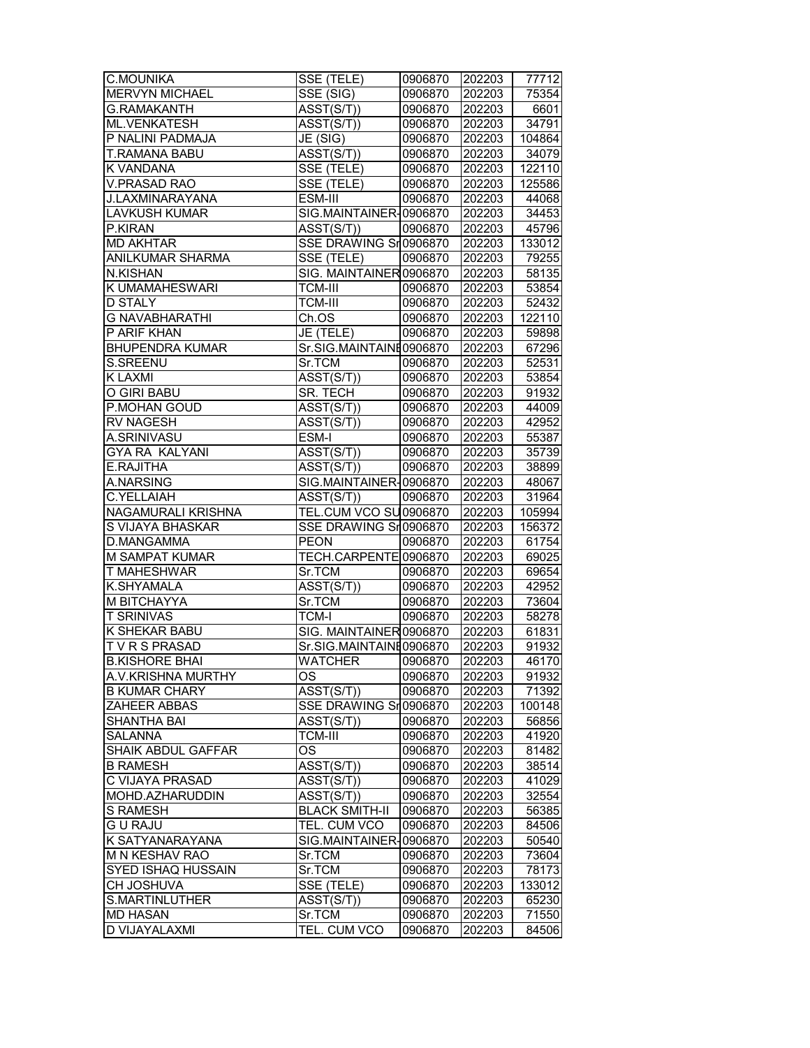| C.MOUNIKA              | SSE (TELE)                            | 0906870 | 202203 | 77712  |
|------------------------|---------------------------------------|---------|--------|--------|
| MERVYN MICHAEL         | SSE (SIG)                             | 0906870 | 202203 | 75354  |
| <b>G.RAMAKANTH</b>     | ASST(S/T))                            | 0906870 | 202203 | 6601   |
| <b>ML.VENKATESH</b>    | ASST(S/T))                            | 0906870 | 202203 | 34791  |
| P NALINI PADMAJA       | JE (SIG)                              | 0906870 | 202203 | 104864 |
| T.RAMANA BABU          | ASST(S/T))                            | 0906870 | 202203 | 34079  |
| K VANDANA              | SSE (TELE)                            | 0906870 | 202203 | 122110 |
| <b>V.PRASAD RAO</b>    | SSE (TELE)                            | 0906870 | 202203 | 125586 |
| <b>J.LAXMINARAYANA</b> | ESM-III                               | 0906870 | 202203 | 44068  |
| <b>LAVKUSH KUMAR</b>   | SIG.MAINTAINER-0906870                |         | 202203 | 34453  |
| P.KIRAN                | ASST(S/T))                            | 0906870 | 202203 | 45796  |
| <b>MD AKHTAR</b>       | SSE DRAWING Sr0906870                 |         | 202203 | 133012 |
| ANILKUMAR SHARMA       | SSE (TELE)                            | 0906870 | 202203 | 79255  |
| N.KISHAN               | SIG. MAINTAINER 0906870               |         | 202203 | 58135  |
| K UMAMAHESWARI         | <b>TCM-III</b>                        | 0906870 | 202203 | 53854  |
| <b>D STALY</b>         | <b>TCM-III</b>                        | 0906870 | 202203 | 52432  |
| <b>G NAVABHARATHI</b>  | Ch.OS                                 | 0906870 | 202203 | 122110 |
| P ARIF KHAN            | JE (TELE)                             | 0906870 | 202203 | 59898  |
| <b>BHUPENDRA KUMAR</b> | Sr.SIG.MAINTAINE0906870               |         | 202203 | 67296  |
| S.SREENU               | Sr.TCM                                | 0906870 | 202203 | 52531  |
| K LAXMI                | ASST(S/T))                            | 0906870 | 202203 | 53854  |
| O GIRI BABU            | SR. TECH                              | 0906870 | 202203 | 91932  |
| P.MOHAN GOUD           | $\overline{\text{ASST}}(\text{S/T})$  | 0906870 | 202203 | 44009  |
| <b>RV NAGESH</b>       | ASST(S/T))                            | 0906870 | 202203 | 42952  |
| A.SRINIVASU            | ESM-I                                 | 0906870 | 202203 | 55387  |
| GYA RA KALYANI         | ASST(S/T))                            | 0906870 | 202203 | 35739  |
| E.RAJITHA              | $\overline{\text{ASST}}(\text{S/T}))$ | 0906870 | 202203 | 38899  |
| A.NARSING              | SIG.MAINTAINER-0906870                |         | 202203 | 48067  |
| C.YELLAIAH             | ASST(S/T))                            | 0906870 | 202203 | 31964  |
| NAGAMURALI KRISHNA     | TEL.CUM VCO SU0906870                 |         | 202203 | 105994 |
| S VIJAYA BHASKAR       | SSE DRAWING Sr0906870                 |         | 202203 | 156372 |
| D.MANGAMMA             | <b>PEON</b>                           | 0906870 | 202203 | 61754  |
| M SAMPAT KUMAR         | TECH.CARPENTE 0906870                 |         | 202203 | 69025  |
| T MAHESHWAR            | Sr.TCM                                | 0906870 | 202203 | 69654  |
| K.SHYAMALA             | ASST(S/T))                            | 0906870 | 202203 | 42952  |
| M BITCHAYYA            | Sr.TCM                                | 0906870 | 202203 | 73604  |
| <b>T SRINIVAS</b>      | <b>TCM-I</b>                          | 0906870 | 202203 | 58278  |
| <b>K SHEKAR BABU</b>   | SIG. MAINTAINER 0906870               |         | 202203 | 61831  |
| <b>TVRSPRASAD</b>      | Sr.SIG.MAINTAINE0906870               |         | 202203 | 91932  |
| <b>B.KISHORE BHAI</b>  | <b>WATCHER</b>                        | 0906870 | 202203 | 46170  |
| A.V.KRISHNA MURTHY     | ОS                                    | 0906870 | 202203 | 91932  |
| <b>B KUMAR CHARY</b>   | ASST(S/T))                            | 0906870 | 202203 | 71392  |
| ZAHEER ABBAS           | SSE DRAWING Sr0906870                 |         | 202203 | 100148 |
| SHANTHA BAI            | ASST(S/T))                            | 0906870 | 202203 | 56856  |
| <b>SALANNA</b>         | TCM-III                               | 0906870 | 202203 | 41920  |
| SHAIK ABDUL GAFFAR     | <b>OS</b>                             | 0906870 | 202203 | 81482  |
| <b>B RAMESH</b>        | ASST(S/T))                            | 0906870 | 202203 | 38514  |
| C VIJAYA PRASAD        | $\overline{\text{ASST}}(\text{S/T})$  | 0906870 | 202203 | 41029  |
| MOHD.AZHARUDDIN        | ASST(S/T))                            | 0906870 | 202203 | 32554  |
| <b>S RAMESH</b>        | <b>BLACK SMITH-II</b>                 | 0906870 | 202203 | 56385  |
| <b>GU RAJU</b>         | TEL. CUM VCO                          | 0906870 | 202203 | 84506  |
| K SATYANARAYANA        | SIG.MAINTAINER-0906870                |         | 202203 | 50540  |
| M N KESHAV RAO         | Sr.TCM                                | 0906870 | 202203 | 73604  |
| SYED ISHAQ HUSSAIN     | Sr.TCM                                | 0906870 | 202203 | 78173  |
| CH JOSHUVA             | SSE (TELE)                            | 0906870 | 202203 | 133012 |
| S.MARTINLUTHER         | ASST(S/T))                            | 0906870 | 202203 | 65230  |
| <b>MD HASAN</b>        | Sr.TCM                                | 0906870 | 202203 | 71550  |
| D VIJAYALAXMI          | TEL. CUM VCO                          | 0906870 | 202203 | 84506  |
|                        |                                       |         |        |        |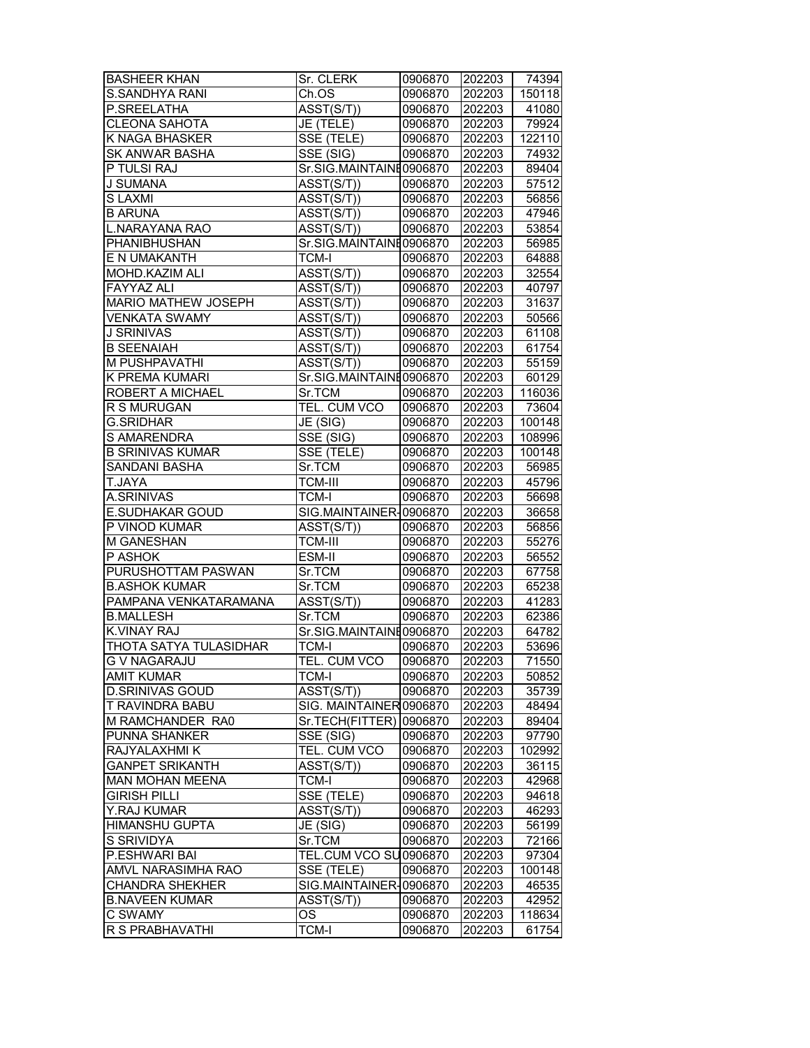| <b>BASHEER KHAN</b>           | Sr. CLERK                            | 0906870 | 202203 | 74394  |
|-------------------------------|--------------------------------------|---------|--------|--------|
| S.SANDHYA RANI                | Ch.OS                                | 0906870 | 202203 | 150118 |
| P.SREELATHA                   | ASST(S/T))                           | 0906870 | 202203 | 41080  |
| <b>CLEONA SAHOTA</b>          | JE (TELE)                            | 0906870 | 202203 | 79924  |
| K NAGA BHASKER                | SSE (TELE)                           | 0906870 | 202203 | 122110 |
| <b>SK ANWAR BASHA</b>         | SSE (SIG)                            | 0906870 | 202203 | 74932  |
| P TULSI RAJ                   | Sr.SIG.MAINTAINE0906870              |         | 202203 | 89404  |
| <b>J SUMANA</b>               | ASST(S/T))                           | 0906870 | 202203 | 57512  |
| S LAXMI                       | ASST(S/T))                           | 0906870 | 202203 | 56856  |
| <b>B ARUNA</b>                | ASST(S/T))                           | 0906870 | 202203 | 47946  |
| <b>L.NARAYANA RAO</b>         | ASST(S/T))                           | 0906870 | 202203 | 53854  |
| <b>PHANIBHUSHAN</b>           | Sr.SIG.MAINTAINE0906870              |         | 202203 | 56985  |
| E N UMAKANTH                  | <b>TCM-I</b>                         | 0906870 | 202203 | 64888  |
| MOHD.KAZIM ALI                | ASST(S/T))                           | 0906870 | 202203 | 32554  |
| <b>FAYYAZ ALI</b>             | ASST(S/T))                           | 0906870 | 202203 | 40797  |
| MARIO MATHEW JOSEPH           | ASST(S/T))                           | 0906870 | 202203 | 31637  |
| <b>VENKATA SWAMY</b>          | ASST(S/T))                           | 0906870 | 202203 | 50566  |
| <b>J SRINIVAS</b>             | ASST(S/T))                           | 0906870 | 202203 | 61108  |
| <b>B SEENAIAH</b>             | ASST(S/T))                           | 0906870 | 202203 | 61754  |
| M PUSHPAVATHI                 | ASST(S/T))                           | 0906870 | 202203 | 55159  |
| K PREMA KUMARI                | Sr.SIG.MAINTAINE0906870              |         | 202203 | 60129  |
| ROBERT A MICHAEL              | Sr.TCM                               | 0906870 | 202203 | 116036 |
| R S MURUGAN                   | TEL. CUM VCO                         | 0906870 | 202203 | 73604  |
| <b>G.SRIDHAR</b>              | JE(SIG)                              | 0906870 | 202203 | 100148 |
| S AMARENDRA                   | $\overline{\text{SSE}}$ (SIG)        | 0906870 | 202203 | 108996 |
| <b>B SRINIVAS KUMAR</b>       | SSE (TELE)                           | 0906870 | 202203 | 100148 |
| SANDANI BASHA                 | Sr.TCM                               | 0906870 | 202203 | 56985  |
| T.JAYA                        | <b>TCM-III</b>                       | 0906870 | 202203 | 45796  |
| A.SRINIVAS                    | <b>TCM-I</b>                         | 0906870 | 202203 | 56698  |
| E.SUDHAKAR GOUD               | SIG.MAINTAINER-0906870               |         | 202203 | 36658  |
| P VINOD KUMAR                 | ASST(S/T))                           | 0906870 | 202203 | 56856  |
| M GANESHAN                    | <b>TCM-III</b>                       | 0906870 | 202203 | 55276  |
| P ASHOK                       | ESM-II                               | 0906870 | 202203 | 56552  |
| PURUSHOTTAM PASWAN            | Sr.TCM                               | 0906870 | 202203 | 67758  |
| <b>B.ASHOK KUMAR</b>          | Sr.TCM                               | 0906870 | 202203 | 65238  |
| PAMPANA VENKATARAMANA         | $\overline{\text{ASST}(\text{S/T})}$ | 0906870 | 202203 | 41283  |
| <b>B.MALLESH</b>              | Sr.TCM                               | 0906870 | 202203 | 62386  |
| <b>K.VINAY RAJ</b>            | Sr.SIG.MAINTAINE0906870              |         | 202203 | 64782  |
| <b>THOTA SATYA TULASIDHAR</b> | <b>TCM-I</b>                         | 0906870 | 202203 | 53696  |
| <b>G V NAGARAJU</b>           | TEL. CUM VCO                         | 0906870 | 202203 | 71550  |
| <b>AMIT KUMAR</b>             | <b>TCM-I</b>                         | 0906870 | 202203 | 50852  |
| <b>D.SRINIVAS GOUD</b>        | ASST(S/T))                           | 0906870 | 202203 | 35739  |
| T RAVINDRA BABU               | SIG. MAINTAINER 0906870              |         | 202203 | 48494  |
| M RAMCHANDER RA0              | Sr.TECH(FITTER) 0906870              |         | 202203 | 89404  |
| PUNNA SHANKER                 | SSE (SIG)                            | 0906870 | 202203 | 97790  |
| RAJYALAXHMI K                 | TEL. CUM VCO                         | 0906870 | 202203 | 102992 |
| <b>GANPET SRIKANTH</b>        | $\overline{\text{ASST}}(\text{S/T})$ | 0906870 | 202203 | 36115  |
| <b>MAN MOHAN MEENA</b>        | <b>TCM-I</b>                         | 0906870 | 202203 | 42968  |
| GIRISH PILLI                  | SSE (TELE)                           | 0906870 | 202203 | 94618  |
| Y.RAJ KUMAR                   | ASST(S/T))                           | 0906870 | 202203 | 46293  |
| <b>HIMANSHU GUPTA</b>         | JE (SIG)                             | 0906870 | 202203 | 56199  |
| S SRIVIDYA                    | Sr.TCM                               | 0906870 | 202203 | 72166  |
| P.ESHWARI BAI                 | <b>TEL.CUM VCO SU0906870</b>         |         | 202203 | 97304  |
| AMVL NARASIMHA RAO            | SSE (TELE)                           | 0906870 | 202203 | 100148 |
| <b>CHANDRA SHEKHER</b>        | SIG.MAINTAINER-0906870               |         | 202203 | 46535  |
| <b>B.NAVEEN KUMAR</b>         | ASST(S/T))                           | 0906870 | 202203 | 42952  |
| C SWAMY                       | ОS                                   | 0906870 | 202203 | 118634 |
| R S PRABHAVATHI               | <b>TCM-I</b>                         | 0906870 | 202203 | 61754  |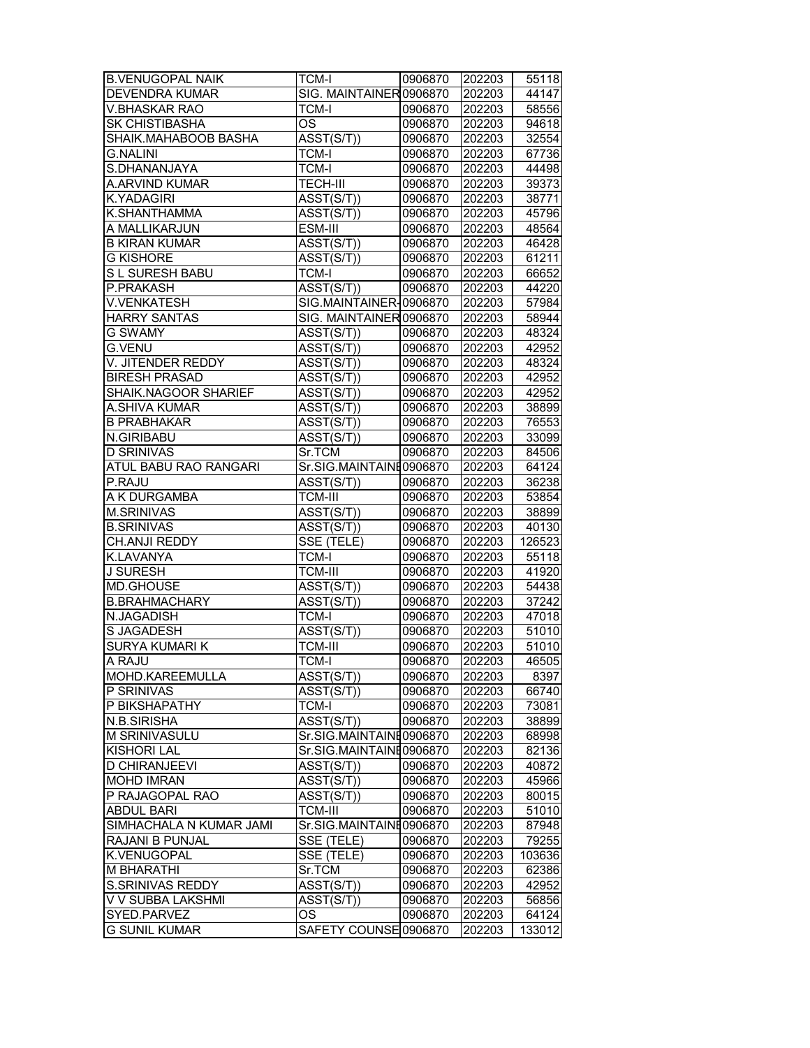| <b>B.VENUGOPAL NAIK</b> | <b>TCM-I</b>                         | 0906870            | 202203           | 55118  |
|-------------------------|--------------------------------------|--------------------|------------------|--------|
| <b>DEVENDRA KUMAR</b>   | SIG. MAINTAINER 0906870              |                    | 202203           | 44147  |
| <b>V.BHASKAR RAO</b>    | <b>TCM-I</b>                         | 0906870            | 202203           | 58556  |
| SK CHISTIBASHA          | <b>OS</b>                            | 0906870            | 202203           | 94618  |
| SHAIK.MAHABOOB BASHA    | ASST(S/T))                           | 0906870            | 202203           | 32554  |
| <b>G.NALINI</b>         | <b>TCM-I</b>                         | 0906870            | 202203           | 67736  |
| S.DHANANJAYA            | <b>TCM-I</b>                         | 0906870            | 202203           | 44498  |
| A.ARVIND KUMAR          | <b>TECH-III</b>                      | 0906870            | 202203           | 39373  |
| K.YADAGIRI              | ASST(S/T))                           | 0906870            | 202203           | 38771  |
| K.SHANTHAMMA            | ASST(S/T))                           | 0906870            | 202203           | 45796  |
| A MALLIKARJUN           | ESM-III                              | 0906870            | 202203           | 48564  |
| <b>B KIRAN KUMAR</b>    | ASST(S/T))                           | 0906870            | 202203           | 46428  |
| <b>G KISHORE</b>        | ASST(S/T))                           | 0906870            | 202203           | 61211  |
| S L SURESH BABU         | <b>TCM-I</b>                         | 0906870            | 202203           | 66652  |
| P.PRAKASH               | $\overline{\text{ASST}}(\text{S/T})$ | 0906870            | 202203           | 44220  |
| <b>V.VENKATESH</b>      | SIG.MAINTAINER-0906870               |                    | 202203           | 57984  |
| <b>HARRY SANTAS</b>     | SIG. MAINTAINER 0906870              |                    | 202203           | 58944  |
| <b>G SWAMY</b>          | ASST(S/T))                           | 0906870            | 202203           | 48324  |
| <b>G.VENU</b>           | ASST(S/T))                           | 0906870            | 202203           | 42952  |
| V. JITENDER REDDY       | ASST(S/T))                           | 0906870            | 202203           | 48324  |
| <b>BIRESH PRASAD</b>    | ASST(S/T))                           | 0906870            | 202203           | 42952  |
| SHAIK.NAGOOR SHARIEF    | ASST(S/T))                           | 0906870            | 202203           | 42952  |
| A.SHIVA KUMAR           | ASST(S/T))                           | 0906870            | 202203           | 38899  |
| <b>B PRABHAKAR</b>      | ASST(S/T))                           | 0906870            | 202203           | 76553  |
| N.GIRIBABU              | ASST(S/T))                           | 0906870            | 202203           | 33099  |
| <b>D SRINIVAS</b>       | Sr.TCM                               | 0906870            | 202203           | 84506  |
| ATUL BABU RAO RANGARI   | Sr.SIG.MAINTAINE0906870              |                    | 202203           | 64124  |
| P.RAJU                  | ASST(S/T))                           | 0906870            | 202203           | 36238  |
| A K DURGAMBA            | <b>TCM-III</b>                       | 0906870            | 202203           | 53854  |
| <b>M.SRINIVAS</b>       | ASST(S/T))                           | 0906870            | 202203           | 38899  |
| <b>B.SRINIVAS</b>       | ASST(S/T))                           | 0906870            | 202203           | 40130  |
| CH.ANJI REDDY           | SSE (TELE)                           | 0906870            | 202203           | 126523 |
| K.LAVANYA               | <b>TCM-I</b>                         |                    | 202203           | 55118  |
| <b>J SURESH</b>         | TCM-III                              | 0906870            |                  | 41920  |
| MD.GHOUSE               | ASST(S/T))                           | 0906870<br>0906870 | 202203<br>202203 | 54438  |
| <b>B.BRAHMACHARY</b>    | ASST(S/T))                           | 0906870            | 202203           | 37242  |
| N.JAGADISH              | <b>TCM-I</b>                         | 0906870            | 202203           | 47018  |
| S JAGADESH              | ASST(S/T))                           | 0906870            | 202203           | 51010  |
| <b>SURYA KUMARI K</b>   | <b>TCM-III</b>                       | 0906870            | 202203           | 51010  |
|                         | <b>TCM-I</b>                         |                    |                  | 46505  |
| A RAJU                  |                                      | 0906870            | 202203           |        |
| MOHD.KAREEMULLA         | ASST(S/T))                           | 0906870            | 202203           | 8397   |
| P SRINIVAS              | ASST(S/T))                           | 0906870            | 202203           | 66740  |
| P BIKSHAPATHY           | <b>TCM-I</b>                         | 0906870            | 202203           | 73081  |
| N.B.SIRISHA             | ASST(S/T))                           | 0906870            | 202203           | 38899  |
| M SRINIVASULU           | Sr.SIG.MAINTAINE0906870              |                    | 202203           | 68998  |
| <b>KISHORI LAL</b>      | Sr.SIG.MAINTAINE0906870              |                    | 202203           | 82136  |
| <b>D CHIRANJEEVI</b>    | ASST(S/T))                           | 0906870            | 202203           | 40872  |
| <b>MOHD IMRAN</b>       | $\overline{\text{ASST}(\text{S/T})}$ | 0906870            | 202203           | 45966  |
| P RAJAGOPAL RAO         | ASST(S/T))                           | 0906870            | 202203           | 80015  |
| <b>ABDUL BARI</b>       | <b>TCM-III</b>                       | 0906870            | 202203           | 51010  |
| SIMHACHALA N KUMAR JAMI | Sr.SIG.MAINTAINE0906870              |                    | 202203           | 87948  |
| RAJANI B PUNJAL         | SSE (TELE)                           | 0906870            | 202203           | 79255  |
| K.VENUGOPAL             | SSE (TELE)                           | 0906870            | 202203           | 103636 |
| M BHARATHI              | Sr.TCM                               | 0906870            | 202203           | 62386  |
| S.SRINIVAS REDDY        | ASST(S/T))                           | 0906870            | 202203           | 42952  |
| V V SUBBA LAKSHMI       | ASST(S/T))                           | 0906870            | 202203           | 56856  |
| SYED.PARVEZ             | OS                                   | 0906870            | 202203           | 64124  |
| <b>G SUNIL KUMAR</b>    | SAFETY COUNSE 0906870                |                    | 202203           | 133012 |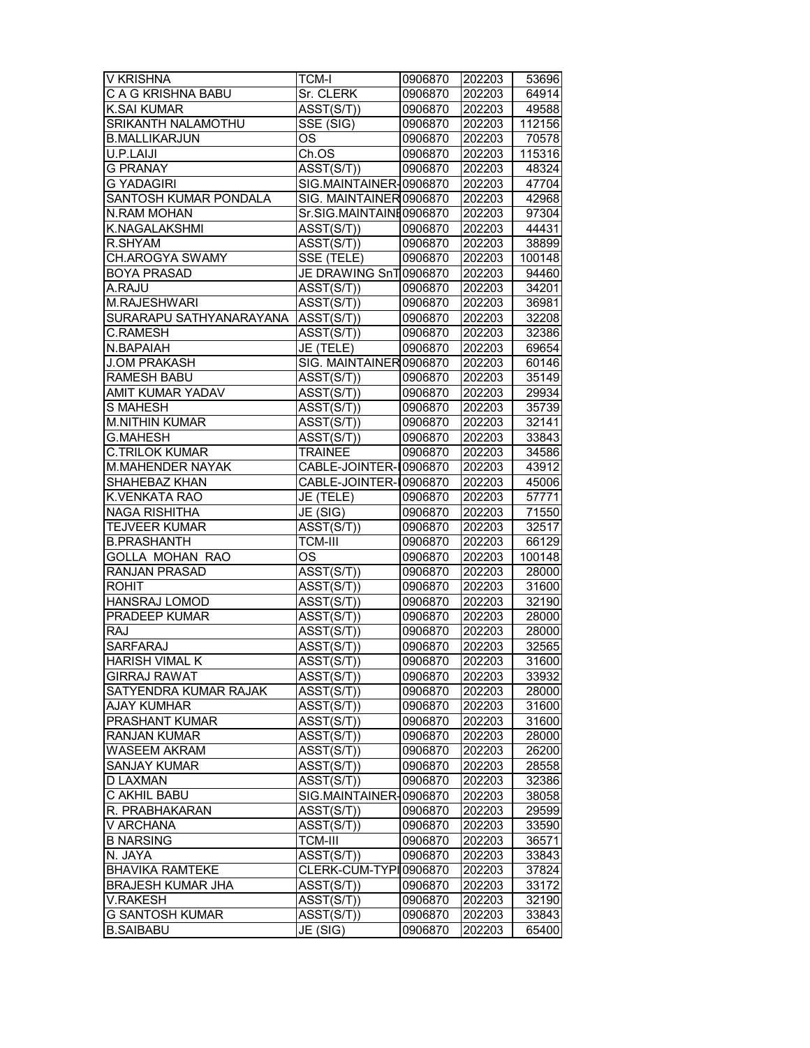| V KRISHNA                | TCM-I                                | 0906870 | 202203 | 53696  |
|--------------------------|--------------------------------------|---------|--------|--------|
| C A G KRISHNA BABU       | Sr. CLERK                            | 0906870 | 202203 | 64914  |
| <b>K.SAI KUMAR</b>       | ASST(S/T))                           | 0906870 | 202203 | 49588  |
| SRIKANTH NALAMOTHU       | SSE (SIG)                            | 0906870 | 202203 | 112156 |
| <b>B.MALLIKARJUN</b>     | OS                                   | 0906870 | 202203 | 70578  |
| U.P.LAIJI                | Ch.OS                                | 0906870 | 202203 | 115316 |
| <b>G PRANAY</b>          | ASST(S/T))                           | 0906870 | 202203 | 48324  |
| <b>G YADAGIRI</b>        | SIG.MAINTAINER-0906870               |         | 202203 | 47704  |
| SANTOSH KUMAR PONDALA    | SIG. MAINTAINER 0906870              |         | 202203 | 42968  |
| N.RAM MOHAN              | Sr.SIG.MAINTAINE0906870              |         | 202203 | 97304  |
| K.NAGALAKSHMI            | ASST(S/T))                           | 0906870 | 202203 | 44431  |
| R.SHYAM                  | ASST(S/T))                           | 0906870 | 202203 | 38899  |
| <b>CH.AROGYA SWAMY</b>   | SSE (TELE)                           | 0906870 | 202203 | 100148 |
| <b>BOYA PRASAD</b>       | JE DRAWING SnT 0906870               |         | 202203 | 94460  |
| A.RAJU                   | ASST(S/T))                           | 0906870 | 202203 | 34201  |
| M.RAJESHWARI             | ASST(S/T))                           | 0906870 | 202203 | 36981  |
| SURARAPU SATHYANARAYANA  | ASST(S/T))                           | 0906870 | 202203 | 32208  |
| C.RAMESH                 | ASST(S/T))                           | 0906870 | 202203 | 32386  |
| N.BAPAIAH                | JE (TELE)                            | 0906870 | 202203 | 69654  |
| <b>J.OM PRAKASH</b>      | SIG. MAINTAINER 0906870              |         | 202203 | 60146  |
| <b>RAMESH BABU</b>       | ASST(S/T))                           | 0906870 | 202203 | 35149  |
| AMIT KUMAR YADAV         | ASST(S/T))                           | 0906870 | 202203 | 29934  |
| <b>S MAHESH</b>          | $\overline{\text{ASST}}(\text{S/T})$ | 0906870 | 202203 | 35739  |
| <b>M.NITHIN KUMAR</b>    | ASST(S/T))                           | 0906870 | 202203 | 32141  |
| <b>G.MAHESH</b>          | ASST(S/T))                           | 0906870 | 202203 | 33843  |
| C.TRILOK KUMAR           | <b>TRAINEE</b>                       | 0906870 | 202203 | 34586  |
| M.MAHENDER NAYAK         | CABLE-JOINTER-10906870               |         | 202203 | 43912  |
| SHAHEBAZ KHAN            | CABLE-JOINTER-10906870               |         | 202203 | 45006  |
| K.VENKATA RAO            | JE (TELE)                            | 0906870 | 202203 | 57771  |
| <b>NAGA RISHITHA</b>     | JE (SIG)                             | 0906870 | 202203 | 71550  |
| <b>TEJVEER KUMAR</b>     | ASST(S/T))                           | 0906870 | 202203 | 32517  |
| <b>B.PRASHANTH</b>       | <b>TCM-III</b>                       | 0906870 | 202203 | 66129  |
| GOLLA MOHAN RAO          | OS                                   | 0906870 | 202203 | 100148 |
| RANJAN PRASAD            | ASST(S/T))                           | 0906870 | 202203 | 28000  |
| <b>ROHIT</b>             | ASST(S/T))                           | 0906870 | 202203 | 31600  |
| <b>HANSRAJ LOMOD</b>     | ASST(S/T))                           | 0906870 | 202203 | 32190  |
| <b>PRADEEP KUMAR</b>     | ASST(S/T))                           | 0906870 | 202203 | 28000  |
| <b>RAJ</b>               | ASST(S/T))                           | 0906870 | 202203 | 28000  |
| <b>SARFARAJ</b>          | ASST(S/T))                           | 0906870 | 202203 | 32565  |
| <b>HARISH VIMAL K</b>    | $\overline{\text{ASST}(\text{S/T})}$ | 0906870 | 202203 | 31600  |
| <b>GIRRAJ RAWAT</b>      | ASST(S/T))                           | 0906870 | 202203 | 33932  |
| SATYENDRA KUMAR RAJAK    | $\overline{A}SST(S/T))$              | 0906870 | 202203 | 28000  |
| AJAY KUMHAR              | ASST(S/T))                           | 0906870 | 202203 | 31600  |
| PRASHANT KUMAR           | ASST(S/T))                           | 0906870 | 202203 | 31600  |
| <b>RANJAN KUMAR</b>      | ASST(S/T))                           | 0906870 | 202203 | 28000  |
| <b>WASEEM AKRAM</b>      | ASST(S/T))                           | 0906870 | 202203 | 26200  |
| <b>SANJAY KUMAR</b>      | ASST(S/T))                           | 0906870 | 202203 | 28558  |
| <b>D LAXMAN</b>          | $\overline{A}SST(S/T)$               | 0906870 | 202203 | 32386  |
| C AKHIL BABU             | SIG.MAINTAINER-0906870               |         | 202203 | 38058  |
| R. PRABHAKARAN           | ASST(S/T))                           | 0906870 | 202203 | 29599  |
| V ARCHANA                | ASST(S/T))                           | 0906870 | 202203 | 33590  |
| <b>B NARSING</b>         | <b>TCM-III</b>                       | 0906870 | 202203 | 36571  |
| N. JAYA                  | ASST(S/T))                           | 0906870 | 202203 | 33843  |
| <b>BHAVIKA RAMTEKE</b>   | CLERK-CUM-TYPI 0906870               |         | 202203 | 37824  |
| <b>BRAJESH KUMAR JHA</b> | ASST(S/T))                           | 0906870 | 202203 | 33172  |
| V.RAKESH                 | ASST(S/T))                           | 0906870 | 202203 | 32190  |
| <b>G SANTOSH KUMAR</b>   | ASST(S/T))                           | 0906870 | 202203 | 33843  |
| <b>B.SAIBABU</b>         | JE (SIG)                             | 0906870 | 202203 | 65400  |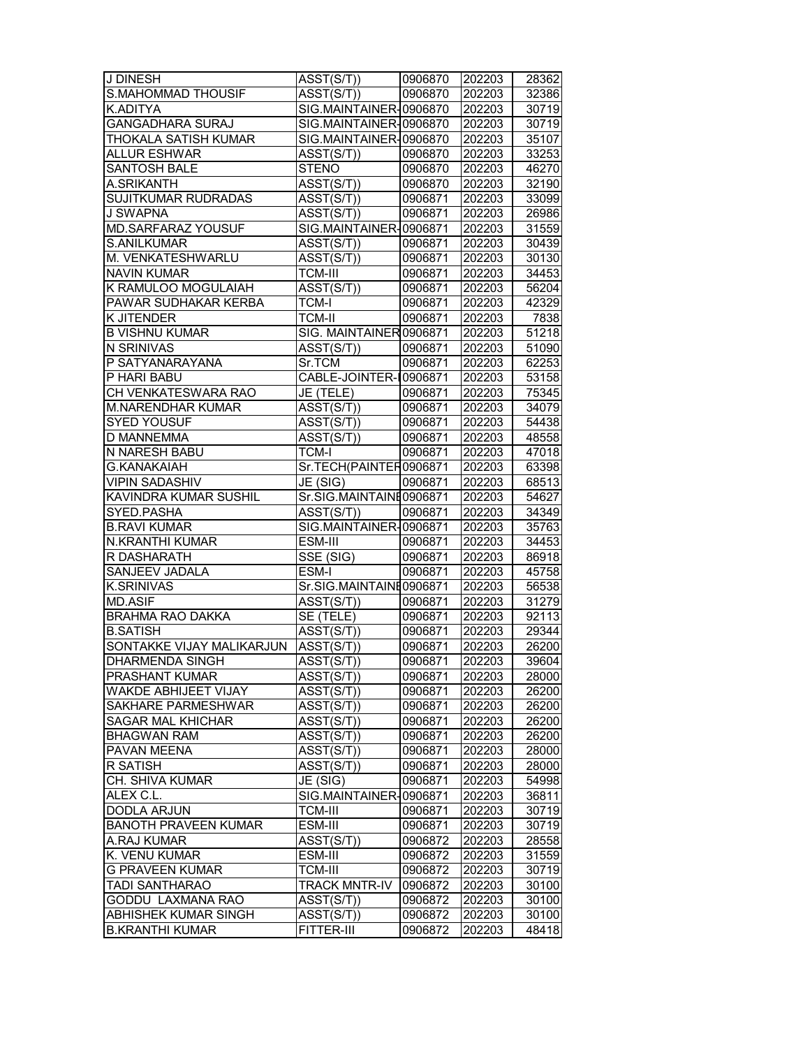| J DINESH                    | ASST(S/T))                           | 0906870 | 202203           | 28362 |
|-----------------------------|--------------------------------------|---------|------------------|-------|
| <b>S.MAHOMMAD THOUSIF</b>   | ASST(S/T))                           | 0906870 | 202203           | 32386 |
| K.ADITYA                    | SIG.MAINTAINER-0906870               |         | 202203           | 30719 |
| <b>GANGADHARA SURAJ</b>     | SIG.MAINTAINER-0906870               |         | 202203           | 30719 |
| THOKALA SATISH KUMAR        | SIG.MAINTAINER-0906870               |         | 202203           | 35107 |
| <b>ALLUR ESHWAR</b>         | ASST(S/T))                           | 0906870 | 202203           | 33253 |
| <b>SANTOSH BALE</b>         | <b>STENO</b>                         | 0906870 | 202203           | 46270 |
| A.SRIKANTH                  | ASST(S/T))                           | 0906870 | 202203           | 32190 |
| <b>SUJITKUMAR RUDRADAS</b>  | ASST(S/T))                           | 0906871 | 202203           | 33099 |
| <b>J SWAPNA</b>             | ASST(S/T))                           | 0906871 | 202203           | 26986 |
| MD.SARFARAZ YOUSUF          | SIG.MAINTAINER-0906871               |         | 202203           | 31559 |
| S.ANILKUMAR                 | ASST(S/T))                           | 0906871 | 202203           | 30439 |
| M. VENKATESHWARLU           | ASST(S/T))                           | 0906871 | 202203           | 30130 |
| <b>NAVIN KUMAR</b>          | <b>TCM-III</b>                       |         |                  | 34453 |
|                             |                                      | 0906871 | 202203           |       |
| K RAMULOO MOGULAIAH         | ASST(S/T))                           | 0906871 | 202203           | 56204 |
| PAWAR SUDHAKAR KERBA        | <b>TCM-I</b>                         | 0906871 | 202203           | 42329 |
| K JITENDER                  | <b>TCM-II</b>                        | 0906871 | 202203           | 7838  |
| <b>B VISHNU KUMAR</b>       | SIG. MAINTAINER 0906871              |         | 202203           | 51218 |
| N SRINIVAS                  | ASST(S/T))                           | 0906871 | 202203           | 51090 |
| P SATYANARAYANA             | Sr.TCM                               | 0906871 | 202203           | 62253 |
| P HARI BABU                 | CABLE-JOINTER-10906871               |         | 202203           | 53158 |
| CH VENKATESWARA RAO         | JE (TELE)                            | 0906871 | 202203           | 75345 |
| <b>M.NARENDHAR KUMAR</b>    | ASST(S/T))                           | 0906871 | 202203           | 34079 |
| <b>SYED YOUSUF</b>          | $\overline{\text{ASST}}(\text{S/T})$ | 0906871 | 202203           | 54438 |
| D MANNEMMA                  | ASST(S/T))                           | 0906871 | 202203           | 48558 |
| N NARESH BABU               | TCM-I                                | 0906871 | 202203           | 47018 |
| <b>G.KANAKAIAH</b>          | Sr.TECH(PAINTER0906871               |         | 202203           | 63398 |
| <b>VIPIN SADASHIV</b>       | JE (SIG)                             | 0906871 | 202203           | 68513 |
| KAVINDRA KUMAR SUSHIL       | Sr.SIG.MAINTAINE0906871              |         | 202203           | 54627 |
| SYED.PASHA                  | ASST(S/T))                           | 0906871 | 202203           | 34349 |
| <b>B.RAVI KUMAR</b>         | SIG.MAINTAINER-0906871               |         | 202203           | 35763 |
| N.KRANTHI KUMAR             | ESM-III                              | 0906871 | 202203           | 34453 |
| R DASHARATH                 | $\overline{\text{SSE}}$ (SIG)        | 0906871 | 202203           | 86918 |
| SANJEEV JADALA              | ESM-I                                | 0906871 | 202203           | 45758 |
| <b>K.SRINIVAS</b>           | Sr.SIG.MAINTAINE0906871              |         | 202203           | 56538 |
| <b>MD.ASIF</b>              | ASST(S/T))                           | 0906871 | 202203           | 31279 |
| <b>BRAHMA RAO DAKKA</b>     | SE (TELE)                            | 0906871 | 202203           | 92113 |
| <b>B.SATISH</b>             | ASST(S/T))                           | 0906871 | 202203           | 29344 |
| SONTAKKE VIJAY MALIKARJUN   | ASST(S/T))                           | 0906871 | 202203           | 26200 |
| <b>DHARMENDA SINGH</b>      | ASST(S/T))                           | 0906871 | 202203           | 39604 |
| PRASHANT KUMAR              | ASST(S/T))                           | 0906871 | 202203           | 28000 |
| WAKDE ABHIJEET VIJAY        | $\overline{A}SST(S/T))$              | 0906871 | 202203           | 26200 |
| SAKHARE PARMESHWAR          | ASST(S/T))                           | 0906871 | 202203           | 26200 |
| <b>SAGAR MAL KHICHAR</b>    | ASST(S/T))                           | 0906871 | 202203           | 26200 |
| <b>BHAGWAN RAM</b>          | ASST(S/T))                           | 0906871 | 202203           | 26200 |
| PAVAN MEENA                 | ASST(S/T))                           | 0906871 | 202203           | 28000 |
| R SATISH                    | ASST(S/T))                           | 0906871 | 202203           | 28000 |
| <b>CH. SHIVA KUMAR</b>      | JE (SIG)                             | 0906871 | 202203           | 54998 |
| ALEX C.L.                   | SIG.MAINTAINER-0906871               |         | 202203           | 36811 |
| DODLA ARJUN                 | <b>TCM-III</b>                       | 0906871 | 202203           | 30719 |
| <b>BANOTH PRAVEEN KUMAR</b> | ESM-III                              | 0906871 | 202203           | 30719 |
| A.RAJ KUMAR                 | ASST(S/T))                           | 0906872 | 202203           | 28558 |
| K. VENU KUMAR               | ESM-III                              | 0906872 | 202203           | 31559 |
| <b>G PRAVEEN KUMAR</b>      | TCM-III                              | 0906872 | 202203           | 30719 |
| TADI SANTHARAO              | <b>TRACK MNTR-IV</b>                 | 0906872 |                  |       |
| GODDU LAXMANA RAO           | ASST(S/T))                           |         | 202203<br>202203 | 30100 |
| ABHISHEK KUMAR SINGH        |                                      | 0906872 |                  | 30100 |
| <b>B.KRANTHI KUMAR</b>      | ASST(S/T))<br>FITTER-III             | 0906872 | 202203           | 30100 |
|                             |                                      | 0906872 | 202203           | 48418 |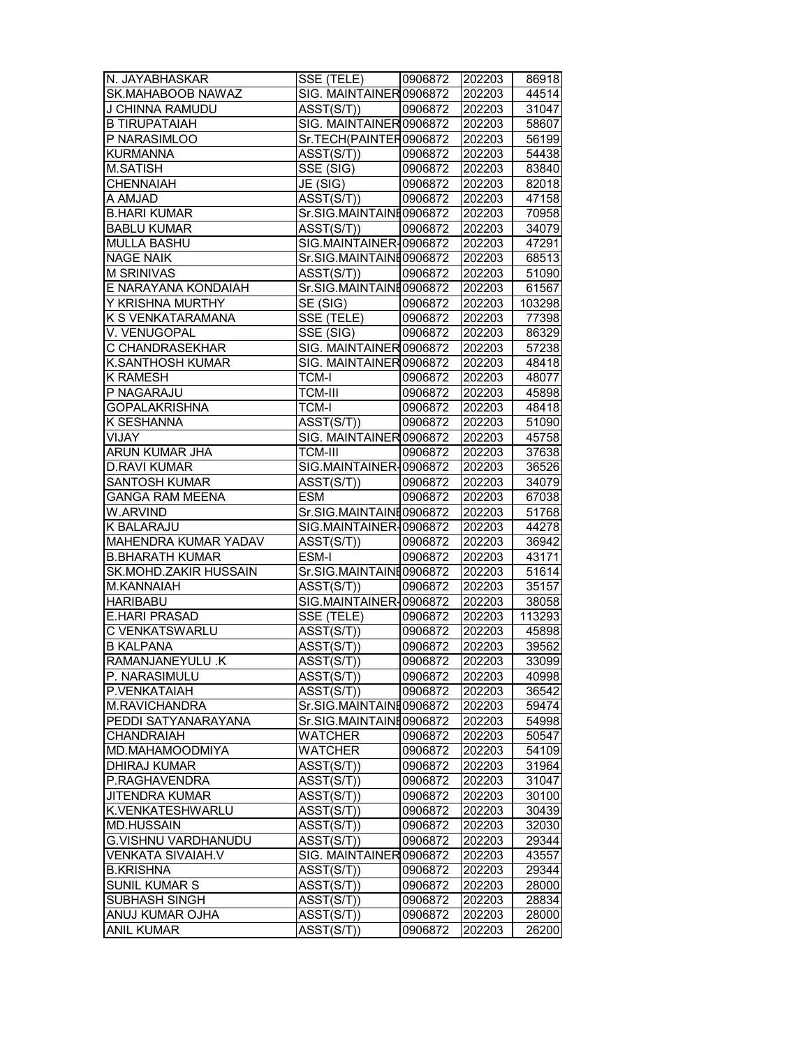| N. JAYABHASKAR                        | SSE (TELE)                            | 0906872            | 202203           | 86918          |
|---------------------------------------|---------------------------------------|--------------------|------------------|----------------|
| SK.MAHABOOB NAWAZ                     | SIG. MAINTAINER 0906872               |                    | 202203           | 44514          |
| J CHINNA RAMUDU                       | ASST(S/T))                            | 0906872            | 202203           | 31047          |
| <b>B TIRUPATAIAH</b>                  | SIG. MAINTAINER 0906872               |                    | 202203           | 58607          |
| P NARASIMLOO                          | Sr.TECH(PAINTER0906872                |                    | 202203           | 56199          |
| <b>KURMANNA</b>                       | $\overline{\text{ASST}}(\text{S/T})$  | 0906872            | 202203           | 54438          |
| <b>M.SATISH</b>                       | SSE (SIG)                             | 0906872            | 202203           | 83840          |
| CHENNAIAH                             | JE (SIG)                              | 0906872            | 202203           | 82018          |
| A AMJAD                               | ASST(S/T))                            | 0906872            | 202203           | 47158          |
| <b>B.HARI KUMAR</b>                   | Sr.SIG.MAINTAINE0906872               |                    | 202203           | 70958          |
| <b>BABLU KUMAR</b>                    | ASST(S/T))                            | 0906872            | 202203           | 34079          |
| <b>MULLA BASHU</b>                    | SIG.MAINTAINER-0906872                |                    | 202203           | 47291          |
| <b>NAGE NAIK</b>                      | Sr.SIG.MAINTAINE0906872               |                    | 202203           | 68513          |
| <b>M SRINIVAS</b>                     | ASST(S/T))                            | 0906872            | 202203           | 51090          |
| E NARAYANA KONDAIAH                   | Sr.SIG.MAINTAINE0906872               |                    | 202203           | 61567          |
| Y KRISHNA MURTHY                      | SE (SIG)                              | 0906872            | 202203           | 103298         |
| K S VENKATARAMANA                     | SSE (TELE)                            | 0906872            | 202203           | 77398          |
| V. VENUGOPAL                          | SSE (SIG)                             | 0906872            | 202203           | 86329          |
| C CHANDRASEKHAR                       | SIG. MAINTAINER 0906872               |                    | 202203           | 57238          |
| <b>K.SANTHOSH KUMAR</b>               | SIG. MAINTAINER 0906872               |                    | 202203           | 48418          |
| <b>K RAMESH</b>                       | <b>TCM-I</b>                          | 0906872            | 202203           | 48077          |
| P NAGARAJU                            | <b>TCM-III</b>                        | 0906872            | 202203           | 45898          |
| <b>GOPALAKRISHNA</b>                  | <b>TCM-I</b>                          | 0906872            | 202203           | 48418          |
| K SESHANNA                            | ASST(S/T))                            | 0906872            | 202203           | 51090          |
| VIJAY                                 | SIG. MAINTAINER 0906872               |                    | 202203           | 45758          |
| ARUN KUMAR JHA                        | <b>TCM-III</b>                        | 0906872            | 202203           | 37638          |
| <b>D.RAVI KUMAR</b>                   | SIG.MAINTAINER-0906872                |                    | 202203           | 36526          |
| <b>SANTOSH KUMAR</b>                  | ASST(S/T))                            | 0906872            | 202203           | 34079          |
| <b>GANGA RAM MEENA</b>                | <b>ESM</b>                            | 0906872            | 202203           | 67038          |
| W.ARVIND                              | Sr.SIG.MAINTAINE0906872               |                    | 202203           | 51768          |
| K BALARAJU                            | SIG.MAINTAINER-0906872                |                    | 202203           | 44278          |
|                                       |                                       |                    |                  |                |
|                                       |                                       |                    |                  |                |
| MAHENDRA KUMAR YADAV                  | ASST(S/T))                            | 0906872            | 202203           |                |
| <b>B.BHARATH KUMAR</b>                | ESM-I                                 | 0906872            | 202203           | 43171          |
| SK.MOHD.ZAKIR HUSSAIN                 | Sr.SIG.MAINTAINE0906872               |                    | 202203           | 36942<br>51614 |
| M.KANNAIAH                            | ASST(S/T))                            | 0906872            | 202203           | 35157          |
| <b>HARIBABU</b>                       | SIG.MAINTAINER-0906872                |                    | 202203           | 38058          |
| <b>E.HARI PRASAD</b>                  | SSE (TELE)                            | 0906872            | 202203           | 113293         |
| C VENKATSWARLU                        | ASST(S/T))                            | 0906872            | 202203           | 45898          |
| <b>B KALPANA</b><br>RAMANJANEYULU .K  | ASST(S/T))<br>ASST(S/T))              | 0906872<br>0906872 | 202203<br>202203 | 39562<br>33099 |
|                                       |                                       |                    |                  |                |
| P. NARASIMULU                         | ASST(S/T))                            | 0906872            | 202203           | 40998          |
| P.VENKATAIAH                          | ASST(S/T))                            | 0906872            | 202203           | 36542          |
| M.RAVICHANDRA                         | Sr.SIG.MAINTAINE0906872               |                    | 202203           | 59474          |
| PEDDI SATYANARAYANA                   | Sr.SIG.MAINTAINE0906872               |                    | 202203           | 54998          |
| CHANDRAIAH                            | <b>WATCHER</b>                        | 0906872            | 202203           | 50547          |
| MD.MAHAMOODMIYA                       | <b>WATCHER</b>                        | 0906872            | 202203           | 54109          |
| <b>DHIRAJ KUMAR</b>                   | ASST(S/T))                            | 0906872            | 202203           | 31964          |
| P.RAGHAVENDRA                         | $\overline{\text{ASST}}(\text{S/T})$  | 0906872            | 202203           | 31047          |
| JITENDRA KUMAR                        | ASST(S/T))                            | 0906872            | 202203           | 30100          |
| K.VENKATESHWARLU<br><b>MD.HUSSAIN</b> | ASST(S/T))                            | 0906872            | 202203           | 30439          |
| G.VISHNU VARDHANUDU                   | ASST(S/T))                            | 0906872            | 202203           | 32030          |
| VENKATA SIVAIAH.V                     | ASST(S/T))                            | 0906872            | 202203           | 29344          |
|                                       | SIG. MAINTAINER 0906872               |                    | 202203           | 43557          |
| <b>B.KRISHNA</b>                      | ASST(S/T))                            | 0906872            | 202203           | 29344          |
| SUNIL KUMAR S                         | ASST(S/T))                            | 0906872            | 202203           | 28000          |
| SUBHASH SINGH<br>ANUJ KUMAR OJHA      | $\overline{A}SST(S/T))$<br>ASST(S/T)) | 0906872<br>0906872 | 202203<br>202203 | 28834<br>28000 |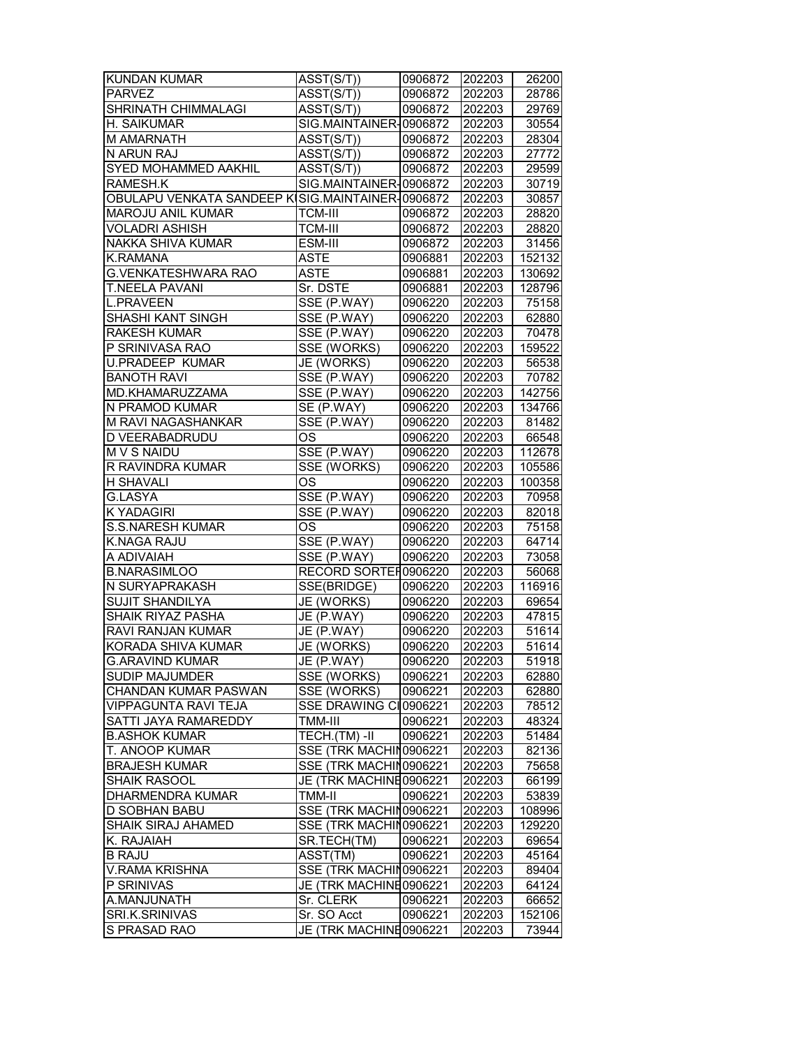| KUNDAN KUMAR                                     | ASST(S/T))                           | 0906872 | 202203 | 26200  |
|--------------------------------------------------|--------------------------------------|---------|--------|--------|
| <b>PARVEZ</b>                                    | ASST(S/T))                           | 0906872 | 202203 | 28786  |
| SHRINATH CHIMMALAGI                              | $\overline{\text{ASST}}(\text{S/T})$ | 0906872 | 202203 | 29769  |
| H. SAIKUMAR                                      | SIG.MAINTAINER-0906872               |         | 202203 | 30554  |
| <b>M AMARNATH</b>                                | ASST(S/T))                           | 0906872 | 202203 | 28304  |
| N ARUN RAJ                                       | ASST(S/T))                           | 0906872 | 202203 | 27772  |
| SYED MOHAMMED AAKHIL                             | ASST(S/T))                           | 0906872 | 202203 | 29599  |
| RAMESH.K                                         | SIG.MAINTAINER-0906872               |         | 202203 | 30719  |
| OBULAPU VENKATA SANDEEP KISIG.MAINTAINER-0906872 |                                      |         | 202203 | 30857  |
| <b>MAROJU ANIL KUMAR</b>                         | TCM-III                              | 0906872 | 202203 | 28820  |
| <b>VOLADRI ASHISH</b>                            | <b>TCM-III</b>                       | 0906872 | 202203 | 28820  |
| <b>NAKKA SHIVA KUMAR</b>                         | ESM-III                              | 0906872 | 202203 | 31456  |
| K.RAMANA                                         | <b>ASTE</b>                          | 0906881 | 202203 | 152132 |
| <b>G.VENKATESHWARA RAO</b>                       | <b>ASTE</b>                          | 0906881 | 202203 | 130692 |
| <b>T.NEELA PAVANI</b>                            | Sr. DSTE                             |         |        |        |
|                                                  |                                      | 0906881 | 202203 | 128796 |
| <b>L.PRAVEEN</b>                                 | SSE (P.WAY)                          | 0906220 | 202203 | 75158  |
| SHASHI KANT SINGH                                | SSE (P.WAY)                          | 0906220 | 202203 | 62880  |
| <b>RAKESH KUMAR</b>                              | SSE (P.WAY)                          | 0906220 | 202203 | 70478  |
| P SRINIVASA RAO                                  | SSE (WORKS)                          | 0906220 | 202203 | 159522 |
| <b>U.PRADEEP KUMAR</b>                           | JE (WORKS)                           | 0906220 | 202203 | 56538  |
| <b>BANOTH RAVI</b>                               | SSE (P.WAY)                          | 0906220 | 202203 | 70782  |
| MD.KHAMARUZZAMA                                  | SSE (P.WAY)                          | 0906220 | 202203 | 142756 |
| N PRAMOD KUMAR                                   | SE (P.WAY)                           | 0906220 | 202203 | 134766 |
| M RAVI NAGASHANKAR                               | SSE (P.WAY)                          | 0906220 | 202203 | 81482  |
| D VEERABADRUDU                                   | OS                                   | 0906220 | 202203 | 66548  |
| <b>MVS NAIDU</b>                                 | SSE (P.WAY)                          | 0906220 | 202203 | 112678 |
| R RAVINDRA KUMAR                                 | SSE (WORKS)                          | 0906220 | 202203 | 105586 |
| H SHAVALI                                        | OS                                   | 0906220 | 202203 | 100358 |
| <b>G.LASYA</b>                                   | SSE (P.WAY)                          | 0906220 | 202203 | 70958  |
| K YADAGIRI                                       | SSE (P.WAY)                          | 0906220 | 202203 | 82018  |
| <b>S.S.NARESH KUMAR</b>                          | OS                                   | 0906220 | 202203 | 75158  |
| K.NAGA RAJU                                      | SSE (P.WAY)                          | 0906220 | 202203 | 64714  |
| A ADIVAIAH                                       | SSE (P.WAY)                          | 0906220 | 202203 | 73058  |
| <b>B.NARASIMLOO</b>                              | RECORD SORTER0906220                 |         | 202203 | 56068  |
| N SURYAPRAKASH                                   | SSE(BRIDGE)                          | 0906220 | 202203 | 116916 |
| <b>SUJIT SHANDILYA</b>                           | JE (WORKS)                           | 0906220 | 202203 | 69654  |
| SHAIK RIYAZ PASHA                                | JE (P.WAY)                           | 0906220 | 202203 | 47815  |
| RAVI RANJAN KUMAR                                | JE (P.WAY)                           | 0906220 | 202203 | 51614  |
| <b>KORADA SHIVA KUMAR</b>                        | JE (WORKS)                           | 0906220 | 202203 | 51614  |
| <b>G.ARAVIND KUMAR</b>                           | JE (P.WAY)                           | 0906220 | 202203 | 51918  |
| SUDIP MAJUMDER                                   | SSE (WORKS)                          | 0906221 | 202203 | 62880  |
| CHANDAN KUMAR PASWAN                             | SSE (WORKS)                          | 0906221 | 202203 | 62880  |
| <b>VIPPAGUNTA RAVI TEJA</b>                      | SSE DRAWING CI0906221                |         | 202203 | 78512  |
| SATTI JAYA RAMAREDDY                             | TMM-III                              | 0906221 | 202203 | 48324  |
| <b>B.ASHOK KUMAR</b>                             | TECH.(TM) -II   0906221              |         | 202203 | 51484  |
| T. ANOOP KUMAR                                   | SSE (TRK MACHIN0906221               |         | 202203 | 82136  |
| <b>BRAJESH KUMAR</b>                             | SSE (TRK MACHIN0906221               |         | 202203 | 75658  |
| SHAIK RASOOL                                     | JE (TRK MACHINE0906221               |         | 202203 | 66199  |
| DHARMENDRA KUMAR                                 | TMM-II                               | 0906221 | 202203 | 53839  |
| D SOBHAN BABU                                    | SSE (TRK MACHIN0906221               |         | 202203 | 108996 |
| <b>SHAIK SIRAJ AHAMED</b>                        | SSE (TRK MACHIN0906221               |         | 202203 | 129220 |
| K. RAJAIAH                                       | SR.TECH(TM)                          | 0906221 | 202203 | 69654  |
| <b>B RAJU</b>                                    | ASST(TM)                             | 0906221 | 202203 | 45164  |
|                                                  | SSE (TRK MACHIN0906221               |         |        |        |
| <b>V.RAMA KRISHNA</b>                            |                                      |         | 202203 | 89404  |
| P SRINIVAS                                       | JE (TRK MACHINE0906221               |         | 202203 | 64124  |
| A.MANJUNATH                                      | Sr. CLERK                            | 0906221 | 202203 | 66652  |
| SRI.K.SRINIVAS                                   | Sr. SO Acct                          | 0906221 | 202203 | 152106 |
| S PRASAD RAO                                     | JE (TRK MACHINE0906221               |         | 202203 | 73944  |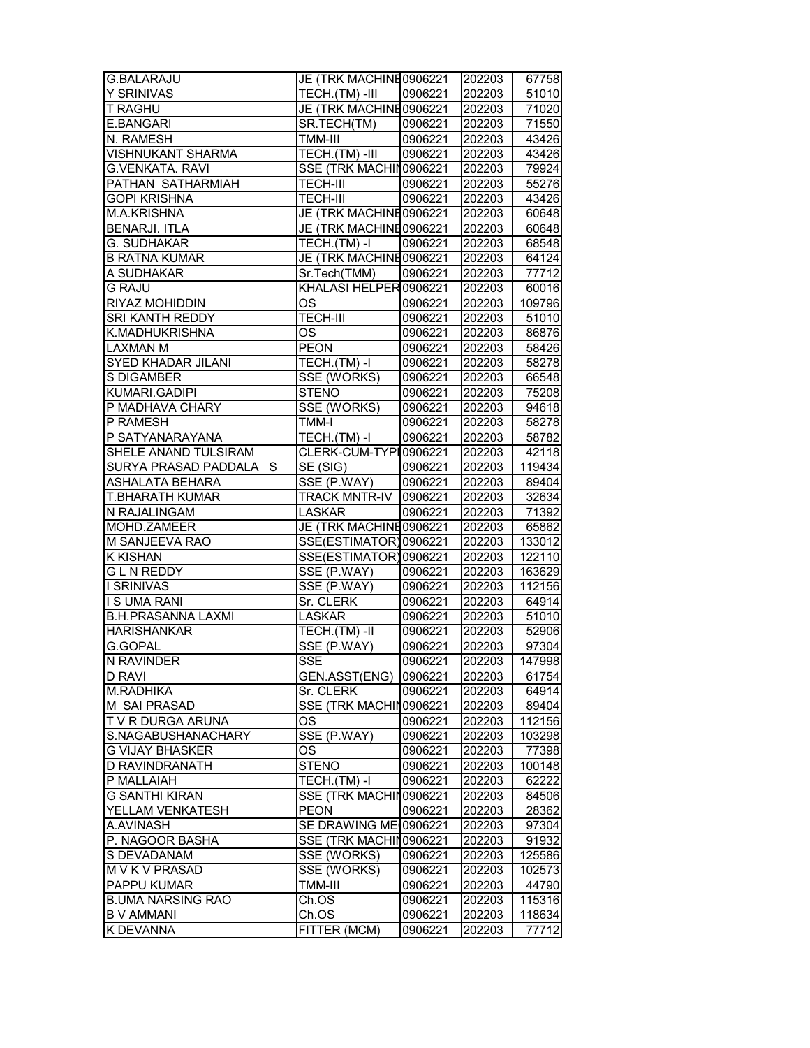| <b>G.BALARAJU</b>         | JE (TRK MACHINE0906221       |         | 202203 | 67758  |
|---------------------------|------------------------------|---------|--------|--------|
| Y SRINIVAS                | TECH.(TM) -III               | 0906221 | 202203 | 51010  |
| T RAGHU                   | JE (TRK MACHINE0906221       |         | 202203 | 71020  |
| E.BANGARI                 | SR.TECH(TM)                  | 0906221 | 202203 | 71550  |
| N. RAMESH                 | TMM-III                      | 0906221 | 202203 | 43426  |
| <b>VISHNUKANT SHARMA</b>  | TECH.(TM)-III                | 0906221 | 202203 | 43426  |
| <b>G.VENKATA. RAVI</b>    | SSE (TRK MACHIN0906221       |         | 202203 | 79924  |
| PATHAN SATHARMIAH         | <b>TECH-III</b>              | 0906221 | 202203 | 55276  |
| <b>GOPI KRISHNA</b>       | <b>TECH-III</b>              | 0906221 | 202203 | 43426  |
| <b>M.A.KRISHNA</b>        | JE (TRK MACHINE0906221       |         | 202203 | 60648  |
| <b>BENARJI. ITLA</b>      | JE (TRK MACHINE0906221       |         | 202203 | 60648  |
| G. SUDHAKAR               | TECH.(TM) -I                 | 0906221 | 202203 | 68548  |
| <b>B RATNA KUMAR</b>      | JE (TRK MACHINE0906221       |         | 202203 | 64124  |
| A SUDHAKAR                | Sr.Tech(TMM)                 | 0906221 | 202203 | 77712  |
| <b>G RAJU</b>             | KHALASI HELPER 0906221       |         | 202203 | 60016  |
| RIYAZ MOHIDDIN            | OS                           | 0906221 | 202203 | 109796 |
| SRI KANTH REDDY           | <b>TECH-III</b>              | 0906221 | 202203 | 51010  |
| K.MADHUKRISHNA            | <b>OS</b>                    | 0906221 | 202203 | 86876  |
| <b>LAXMAN M</b>           | <b>PEON</b>                  | 0906221 | 202203 | 58426  |
| SYED KHADAR JILANI        | TECH.(TM) -I                 | 0906221 | 202203 | 58278  |
| S DIGAMBER                | SSE (WORKS)                  | 0906221 | 202203 | 66548  |
| KUMARI.GADIPI             | <b>STENO</b>                 | 0906221 | 202203 | 75208  |
| P MADHAVA CHARY           | SSE (WORKS)                  | 0906221 | 202203 | 94618  |
| P RAMESH                  | TMM-I                        | 0906221 | 202203 | 58278  |
| P SATYANARAYANA           | TECH.(TM) -I                 | 0906221 | 202203 | 58782  |
| SHELE ANAND TULSIRAM      | CLERK-CUM-TYPI0906221        |         | 202203 | 42118  |
| SURYA PRASAD PADDALA S    | SE (SIG)                     | 0906221 | 202203 | 119434 |
| ASHALATA BEHARA           | SSE (P.WAY)                  | 0906221 | 202203 | 89404  |
| <b>T.BHARATH KUMAR</b>    | <b>TRACK MNTR-IV 0906221</b> |         | 202203 | 32634  |
| N RAJALINGAM              | <b>LASKAR</b>                | 0906221 | 202203 | 71392  |
| MOHD.ZAMEER               | JE (TRK MACHINE0906221       |         | 202203 | 65862  |
| M SANJEEVA RAO            | SSE(ESTIMATOR) 0906221       |         | 202203 | 133012 |
| <b>K KISHAN</b>           | SSE(ESTIMATOR) 0906221       |         | 202203 | 122110 |
| <b>GLNREDDY</b>           | SSE (P.WAY)                  | 0906221 | 202203 | 163629 |
| <b>I SRINIVAS</b>         | SSE (P.WAY)                  | 0906221 | 202203 | 112156 |
| <b>I S UMA RANI</b>       | Sr. CLERK                    | 0906221 | 202203 | 64914  |
| <b>B.H.PRASANNA LAXMI</b> | <b>LASKAR</b>                | 0906221 | 202203 | 51010  |
| <b>HARISHANKAR</b>        | TECH.(TM)-II                 | 0906221 | 202203 | 52906  |
| G.GOPAL                   | SSE (P.WAY)                  | 0906221 | 202203 | 97304  |
| N RAVINDER                | <b>SSE</b>                   | 0906221 | 202203 | 147998 |
| D RAVI                    | GEN.ASST(ENG)                | 0906221 | 202203 | 61754  |
| M.RADHIKA                 | Sr. CLERK                    | 0906221 | 202203 | 64914  |
| M SAI PRASAD              | SSE (TRK MACHIN0906221       |         | 202203 | 89404  |
| T V R DURGA ARUNA         | ОS                           | 0906221 | 202203 | 112156 |
| S.NAGABUSHANACHARY        | SSE (P.WAY)                  | 0906221 | 202203 | 103298 |
| <b>G VIJAY BHASKER</b>    | <b>OS</b>                    | 0906221 | 202203 | 77398  |
| D RAVINDRANATH            | <b>STENO</b>                 | 0906221 | 202203 | 100148 |
| P MALLAIAH                | TECH.(TM)-I                  | 0906221 | 202203 | 62222  |
| <b>G SANTHI KIRAN</b>     | SSE (TRK MACHIN0906221       |         | 202203 | 84506  |
| YELLAM VENKATESH          | <b>PEON</b>                  | 0906221 | 202203 | 28362  |
| A.AVINASH                 | SE DRAWING ME 0906221        |         | 202203 | 97304  |
| P. NAGOOR BASHA           | SSE (TRK MACHIN0906221       |         | 202203 | 91932  |
| S DEVADANAM               | SSE (WORKS)                  | 0906221 | 202203 | 125586 |
| M V K V PRASAD            | SSE (WORKS)                  | 0906221 | 202203 | 102573 |
| PAPPU KUMAR               | TMM-III                      | 0906221 | 202203 | 44790  |
| <b>B.UMA NARSING RAO</b>  | Ch.OS                        | 0906221 | 202203 | 115316 |
| <b>B V AMMANI</b>         | Ch.OS                        | 0906221 | 202203 | 118634 |
| <b>KDEVANNA</b>           |                              |         |        |        |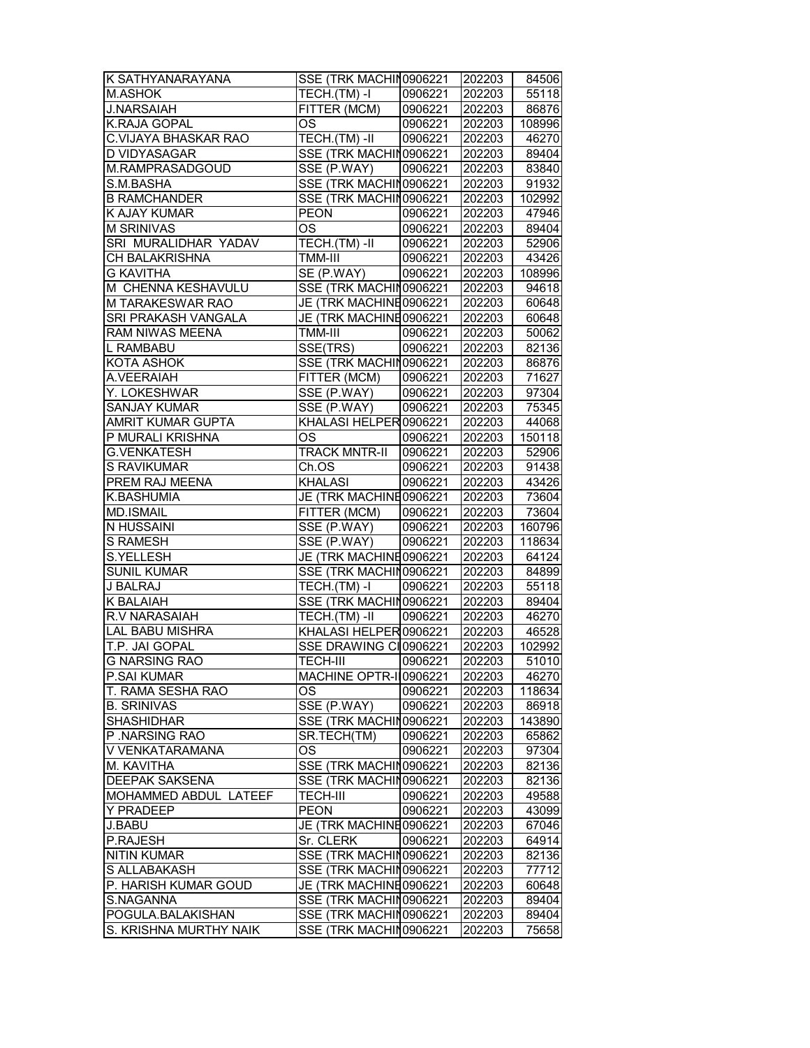| K SATHYANARAYANA                    | SSE (TRK MACHIN0906221 202203         |         |        | 84506  |
|-------------------------------------|---------------------------------------|---------|--------|--------|
| <b>M.ASHOK</b>                      | TECH.(TM) -I                          | 0906221 | 202203 | 55118  |
| <b>J.NARSAIAH</b>                   | FITTER (MCM)                          | 0906221 | 202203 | 86876  |
| K.RAJA GOPAL                        | OS                                    | 0906221 | 202203 | 108996 |
| C.VIJAYA BHASKAR RAO                | TECH.(TM)-II                          | 0906221 | 202203 | 46270  |
| D VIDYASAGAR                        | SSE (TRK MACHIN0906221                |         | 202203 | 89404  |
| M.RAMPRASADGOUD                     | SSE (P.WAY)   0906221                 |         | 202203 | 83840  |
| S.M.BASHA                           | SSE (TRK MACHIN0906221                |         | 202203 | 91932  |
|                                     |                                       |         |        |        |
| <b>B RAMCHANDER</b><br>K AJAY KUMAR | SSE (TRK MACHIN0906221<br><b>PEON</b> | 0906221 | 202203 | 102992 |
|                                     |                                       |         | 202203 | 47946  |
| <b>M SRINIVAS</b>                   | <b>OS</b>                             | 0906221 | 202203 | 89404  |
| SRI MURALIDHAR YADAV                | TECH.(TM) -II                         | 0906221 | 202203 | 52906  |
| CH BALAKRISHNA                      | TMM-III                               | 0906221 | 202203 | 43426  |
| <b>G KAVITHA</b>                    | SE (P.WAY)                            | 0906221 | 202203 | 108996 |
| M CHENNA KESHAVULU                  | SSE (TRK MACHIN0906221                |         | 202203 | 94618  |
| M TARAKESWAR RAO                    | JE (TRK MACHINE0906221                |         | 202203 | 60648  |
| SRI PRAKASH VANGALA                 | JE (TRK MACHINE0906221                |         | 202203 | 60648  |
| RAM NIWAS MEENA                     | TMM-III                               | 0906221 | 202203 | 50062  |
| L RAMBABU                           | SSE(TRS)                              | 0906221 | 202203 | 82136  |
| KOTA ASHOK                          | SSE (TRK MACHIN0906221                |         | 202203 | 86876  |
| A.VEERAIAH                          | FITTER (MCM)                          | 0906221 | 202203 | 71627  |
| Y. LOKESHWAR                        | SSE (P.WAY)                           | 0906221 | 202203 | 97304  |
| <b>SANJAY KUMAR</b>                 | SSE (P.WAY)                           | 0906221 | 202203 | 75345  |
| <b>AMRIT KUMAR GUPTA</b>            | KHALASI HELPER 0906221                |         | 202203 | 44068  |
| P MURALI KRISHNA                    | OS                                    | 0906221 | 202203 | 150118 |
| <b>G.VENKATESH</b>                  | <b>TRACK MNTR-II</b>                  | 0906221 | 202203 | 52906  |
| S RAVIKUMAR                         | Ch.OS                                 | 0906221 | 202203 | 91438  |
| PREM RAJ MEENA                      | <b>KHALASI</b>                        | 0906221 | 202203 | 43426  |
|                                     |                                       |         |        |        |
| K.BASHUMIA                          | JE (TRK MACHINE0906221                |         | 202203 | 73604  |
| MD.ISMAIL                           | FITTER (MCM)                          | 0906221 | 202203 | 73604  |
| N HUSSAINI                          | SSE (P.WAY)                           | 0906221 | 202203 | 160796 |
| <b>S RAMESH</b>                     | SSE (P.WAY)                           | 0906221 | 202203 | 118634 |
| <b>S.YELLESH</b>                    | JE (TRK MACHINE0906221                |         | 202203 | 64124  |
| <b>SUNIL KUMAR</b>                  | SSE (TRK MACHIN0906221                |         | 202203 | 84899  |
| J BALRAJ                            | TECH.(TM) -I                          | 0906221 | 202203 | 55118  |
| <b>K BALAIAH</b>                    | SSE (TRK MACHIN0906221                |         | 202203 | 89404  |
| R.V NARASAIAH                       | TECH.(TM) -II                         | 0906221 | 202203 | 46270  |
| <b>LAL BABU MISHRA</b>              | KHALASI HELPER 0906221                |         | 202203 | 46528  |
| T.P. JAI GOPAL                      | SSE DRAWING CI0906221                 |         | 202203 | 102992 |
| <b>G NARSING RAO</b>                | TECH-III                              | 0906221 | 202203 | 51010  |
| P.SAI KUMAR                         | MACHINE OPTR-II0906221                |         | 202203 | 46270  |
| T. RAMA SESHA RAO                   | OS                                    | 0906221 | 202203 | 118634 |
| <b>B. SRINIVAS</b>                  | SSE (P.WAY)                           | 0906221 | 202203 | 86918  |
| <b>SHASHIDHAR</b>                   | SSE (TRK MACHIN0906221                |         | 202203 | 143890 |
| P.NARSING RAO                       | SR.TECH(TM)                           | 0906221 | 202203 | 65862  |
| V VENKATARAMANA                     | OS                                    | 0906221 | 202203 | 97304  |
| M. KAVITHA                          | SSE (TRK MACHIN0906221                |         | 202203 |        |
|                                     |                                       |         |        | 82136  |
| <b>DEEPAK SAKSENA</b>               | SSE (TRK MACHIN0906221                |         | 202203 | 82136  |
| MOHAMMED ABDUL LATEEF               | <b>TECH-III</b>                       | 0906221 | 202203 | 49588  |
| Y PRADEEP                           | <b>PEON</b>                           | 0906221 | 202203 | 43099  |
| J.BABU                              | JE (TRK MACHINE0906221                |         | 202203 | 67046  |
| P.RAJESH                            | Sr. CLERK                             | 0906221 | 202203 | 64914  |
| <b>NITIN KUMAR</b>                  | SSE (TRK MACHIN0906221                |         | 202203 | 82136  |
| S ALLABAKASH                        | SSE (TRK MACHIN0906221                |         | 202203 | 77712  |
| P. HARISH KUMAR GOUD                | JE (TRK MACHINE0906221                |         | 202203 | 60648  |
| S.NAGANNA                           | SSE (TRK MACHIN0906221                |         | 202203 | 89404  |
| POGULA.BALAKISHAN                   | SSE (TRK MACHIN0906221                |         | 202203 | 89404  |
| S. KRISHNA MURTHY NAIK              | SSE (TRK MACHIN0906221                |         | 202203 | 75658  |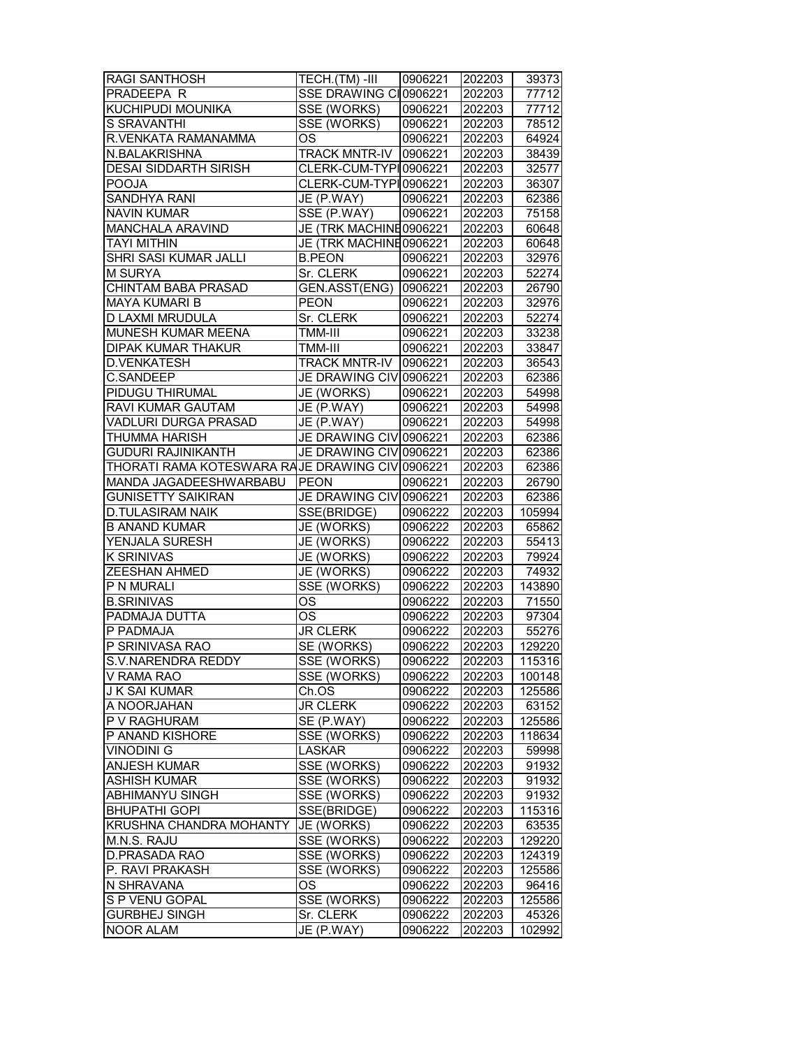| <b>RAGI SANTHOSH</b>                            | TECH.(TM)-III                    | 0906221 | 202203 | 39373  |
|-------------------------------------------------|----------------------------------|---------|--------|--------|
| PRADEEPA R                                      | SSE DRAWING CI0906221            |         | 202203 | 77712  |
| KUCHIPUDI MOUNIKA                               | <b>SSE (WORKS)</b>               | 0906221 | 202203 | 77712  |
| S SRAVANTHI                                     | SSE (WORKS)                      | 0906221 | 202203 | 78512  |
| R.VENKATA RAMANAMMA                             | <b>OS</b>                        | 0906221 | 202203 | 64924  |
| N.BALAKRISHNA                                   | <b>TRACK MNTR-IV</b>             | 0906221 | 202203 | 38439  |
| <b>DESAI SIDDARTH SIRISH</b>                    | CLERK-CUM-TYPI0906221            |         | 202203 | 32577  |
| <b>POOJA</b>                                    | CLERK-CUM-TYPI0906221            |         | 202203 | 36307  |
| SANDHYA RANI                                    | $\overline{\mathsf{JE}}$ (P.WAY) | 0906221 | 202203 | 62386  |
| <b>NAVIN KUMAR</b>                              | SSE (P.WAY)                      | 0906221 | 202203 | 75158  |
| MANCHALA ARAVIND                                | JE (TRK MACHINE0906221           |         | 202203 | 60648  |
| <b>TAYI MITHIN</b>                              | JE (TRK MACHINE0906221           |         | 202203 | 60648  |
| <b>SHRI SASI KUMAR JALLI</b>                    | <b>B.PEON</b>                    | 0906221 | 202203 | 32976  |
| <b>M SURYA</b>                                  | Sr. CLERK                        | 0906221 | 202203 | 52274  |
| CHINTAM BABA PRASAD                             | GEN.ASST(ENG)                    | 0906221 | 202203 | 26790  |
| MAYA KUMARI B                                   | <b>PEON</b>                      | 0906221 | 202203 | 32976  |
| D LAXMI MRUDULA                                 | Sr. CLERK                        | 0906221 | 202203 | 52274  |
| MUNESH KUMAR MEENA                              | TMM-III                          | 0906221 | 202203 | 33238  |
| <b>DIPAK KUMAR THAKUR</b>                       | TMM-III                          | 0906221 | 202203 | 33847  |
| <b>D.VENKATESH</b>                              | <b>TRACK MNTR-IV</b>             | 0906221 | 202203 | 36543  |
| C.SANDEEP                                       | JE DRAWING CIVI0906221           |         | 202203 | 62386  |
| PIDUGU THIRUMAL                                 | JE (WORKS)                       | 0906221 | 202203 | 54998  |
| <b>RAVI KUMAR GAUTAM</b>                        | JE (P.WAY)                       | 0906221 | 202203 | 54998  |
| VADLURI DURGA PRASAD                            | JE (P.WAY)                       | 0906221 | 202203 | 54998  |
| THUMMA HARISH                                   | JE DRAWING CIV 0906221           |         | 202203 | 62386  |
| <b>GUDURI RAJINIKANTH</b>                       | JE DRAWING CIV 0906221           |         | 202203 | 62386  |
| THORATI RAMA KOTESWARA RAJE DRAWING CIV 0906221 |                                  |         | 202203 | 62386  |
| MANDA JAGADEESHWARBABU                          | <b>PEON</b>                      | 0906221 | 202203 | 26790  |
| <b>GUNISETTY SAIKIRAN</b>                       | JE DRAWING CIVI0906221           |         | 202203 | 62386  |
| <b>D.TULASIRAM NAIK</b>                         | SSE(BRIDGE)                      | 0906222 | 202203 | 105994 |
| <b>B ANAND KUMAR</b>                            | JE (WORKS)                       | 0906222 | 202203 | 65862  |
| YENJALA SURESH                                  | JE (WORKS)                       | 0906222 | 202203 | 55413  |
| <b>K SRINIVAS</b>                               | JE (WORKS)                       | 0906222 | 202203 | 79924  |
| ZEESHAN AHMED                                   | JE (WORKS)                       | 0906222 | 202203 | 74932  |
| P N MURALI                                      | SSE (WORKS)                      | 0906222 | 202203 | 143890 |
| <b>B.SRINIVAS</b>                               | <b>OS</b>                        | 0906222 | 202203 | 71550  |
| PADMAJA DUTTA                                   | $\overline{\text{OS}}$           | 0906222 | 202203 | 97304  |
| P PADMAJA                                       | <b>JR CLERK</b>                  | 0906222 | 202203 | 55276  |
| P SRINIVASA RAO                                 | <b>SE (WORKS)</b>                | 0906222 | 202203 | 129220 |
| S.V.NARENDRA REDDY                              | SSE (WORKS)                      | 0906222 | 202203 | 115316 |
| V RAMA RAO                                      | SSE (WORKS)                      | 0906222 | 202203 | 100148 |
| <b>J K SAI KUMAR</b>                            | Ch.OS                            | 0906222 | 202203 | 125586 |
| A NOORJAHAN                                     | <b>JR CLERK</b>                  | 0906222 | 202203 | 63152  |
| P V RAGHURAM                                    | SE (P.WAY)                       | 0906222 | 202203 | 125586 |
| P ANAND KISHORE                                 | SSE (WORKS)                      | 0906222 | 202203 | 118634 |
| <b>VINODINI G</b>                               | <b>LASKAR</b>                    | 0906222 | 202203 | 59998  |
| <b>ANJESH KUMAR</b>                             | SSE (WORKS)                      | 0906222 | 202203 | 91932  |
| <b>ASHISH KUMAR</b>                             | SSE (WORKS)                      | 0906222 | 202203 | 91932  |
| ABHIMANYU SINGH                                 | SSE (WORKS)                      | 0906222 | 202203 | 91932  |
| <b>BHUPATHI GOPI</b>                            | SSE(BRIDGE)                      | 0906222 | 202203 | 115316 |
| <b>KRUSHNA CHANDRA MOHANTY</b>                  | JE (WORKS)                       | 0906222 | 202203 | 63535  |
| M.N.S. RAJU                                     | SSE (WORKS)                      | 0906222 | 202203 | 129220 |
| D.PRASADA RAO                                   | SSE (WORKS)                      | 0906222 | 202203 | 124319 |
| P. RAVI PRAKASH                                 | SSE (WORKS)                      | 0906222 | 202203 | 125586 |
| N SHRAVANA                                      | OS                               | 0906222 | 202203 | 96416  |
| S P VENU GOPAL                                  | SSE (WORKS)                      | 0906222 | 202203 | 125586 |
| <b>GURBHEJ SINGH</b>                            | Sr. CLERK                        | 0906222 | 202203 | 45326  |
| <b>NOOR ALAM</b>                                | JE (P.WAY)                       | 0906222 | 202203 | 102992 |
|                                                 |                                  |         |        |        |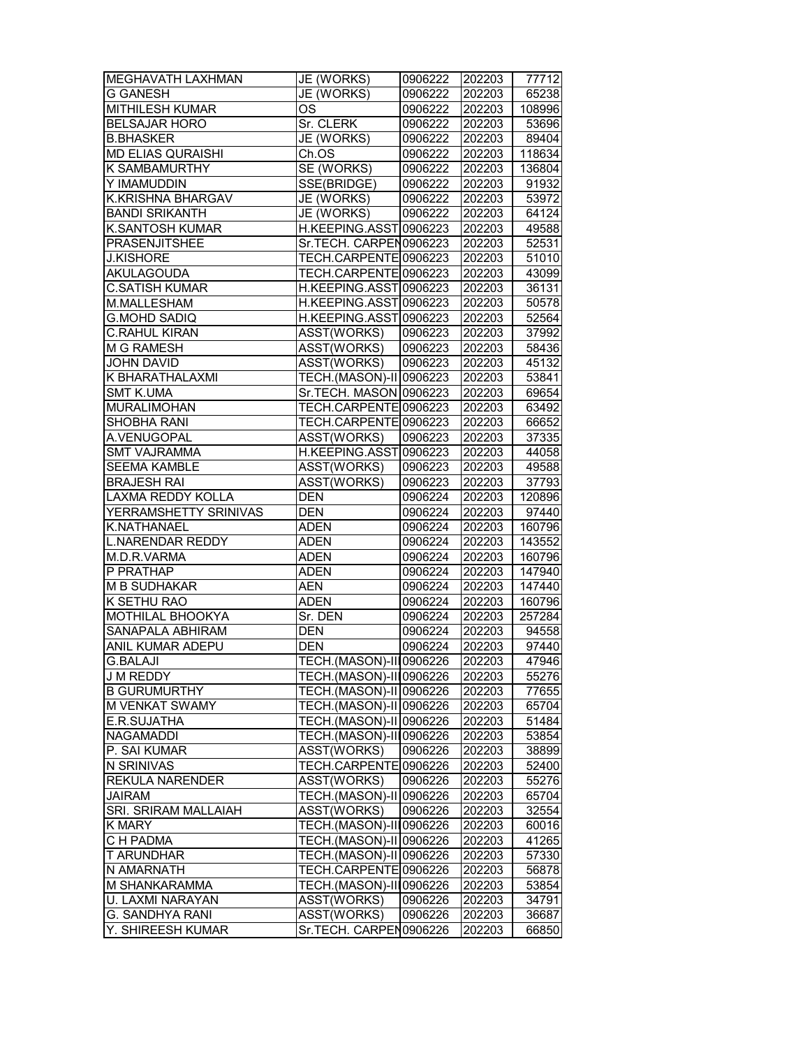| <b>MEGHAVATH LAXHMAN</b> | JE (WORKS)              | 0906222 | 202203 | 77712  |
|--------------------------|-------------------------|---------|--------|--------|
| <b>G GANESH</b>          | JE (WORKS)              | 0906222 | 202203 | 65238  |
| <b>MITHILESH KUMAR</b>   | OS                      | 0906222 | 202203 | 108996 |
| <b>BELSAJAR HORO</b>     | Sr. CLERK               | 0906222 | 202203 | 53696  |
| <b>B.BHASKER</b>         | JE (WORKS)              | 0906222 | 202203 | 89404  |
| <b>MD ELIAS QURAISHI</b> | Ch.OS                   | 0906222 | 202203 | 118634 |
| K SAMBAMURTHY            | SE (WORKS)              | 0906222 | 202203 | 136804 |
| Y IMAMUDDIN              | SSE(BRIDGE)             | 0906222 | 202203 | 91932  |
| K.KRISHNA BHARGAV        | JE (WORKS)              | 0906222 | 202203 | 53972  |
| <b>BANDI SRIKANTH</b>    | JE (WORKS)              | 0906222 | 202203 | 64124  |
| <b>K.SANTOSH KUMAR</b>   | H.KEEPING.ASST0906223   |         | 202203 | 49588  |
| <b>PRASENJITSHEE</b>     | Sr.TECH. CARPEN0906223  |         | 202203 | 52531  |
| <b>J.KISHORE</b>         | TECH.CARPENTE0906223    |         | 202203 | 51010  |
| AKULAGOUDA               | TECH.CARPENTE0906223    |         | 202203 | 43099  |
| <b>C.SATISH KUMAR</b>    | H.KEEPING.ASST0906223   |         | 202203 | 36131  |
| M.MALLESHAM              | H.KEEPING.ASST 0906223  |         | 202203 | 50578  |
| <b>G.MOHD SADIQ</b>      | H.KEEPING.ASST0906223   |         | 202203 | 52564  |
| <b>C.RAHUL KIRAN</b>     | ASST(WORKS)             | 0906223 | 202203 | 37992  |
| <b>M G RAMESH</b>        | ASST(WORKS)             | 0906223 | 202203 | 58436  |
| <b>JOHN DAVID</b>        | ASST(WORKS)             | 0906223 | 202203 | 45132  |
| K BHARATHALAXMI          | TECH.(MASON)-II 0906223 |         | 202203 | 53841  |
| <b>SMT K.UMA</b>         | Sr.TECH. MASON 0906223  |         | 202203 | 69654  |
| <b>MURALIMOHAN</b>       | TECH.CARPENTE 0906223   |         | 202203 | 63492  |
| SHOBHA RANI              | TECH.CARPENTE 0906223   |         | 202203 | 66652  |
| A.VENUGOPAL              | ASST(WORKS)             | 0906223 | 202203 | 37335  |
| <b>SMT VAJRAMMA</b>      | H.KEEPING.ASST 0906223  |         | 202203 | 44058  |
| <b>SEEMA KAMBLE</b>      | ASST(WORKS)             | 0906223 | 202203 | 49588  |
| <b>BRAJESH RAI</b>       | ASST(WORKS)             | 0906223 | 202203 | 37793  |
| <b>LAXMA REDDY KOLLA</b> | <b>DEN</b>              | 0906224 | 202203 | 120896 |
| YERRAMSHETTY SRINIVAS    | <b>DEN</b>              | 0906224 | 202203 | 97440  |
| K.NATHANAEL              | <b>ADEN</b>             | 0906224 | 202203 | 160796 |
| <b>L.NARENDAR REDDY</b>  | <b>ADEN</b>             | 0906224 | 202203 | 143552 |
| M.D.R.VARMA              | <b>ADEN</b>             | 0906224 | 202203 | 160796 |
| P PRATHAP                | ADEN                    | 0906224 | 202203 | 147940 |
| <b>M B SUDHAKAR</b>      | <b>AEN</b>              | 0906224 | 202203 | 147440 |
| K SETHU RAO              | <b>ADEN</b>             | 0906224 | 202203 | 160796 |
| MOTHILAL BHOOKYA         | Sr. DEN                 | 0906224 | 202203 | 257284 |
| SANAPALA ABHIRAM         | <b>DEN</b>              | 0906224 | 202203 | 94558  |
| <b>ANIL KUMAR ADEPU</b>  | <b>DEN</b>              | 0906224 | 202203 | 97440  |
| <b>G.BALAJI</b>          | TECH.(MASON)-III0906226 |         | 202203 | 47946  |
| J M REDDY                | TECH.(MASON)-III0906226 |         | 202203 | 55276  |
| <b>B GURUMURTHY</b>      | TECH.(MASON)-II 0906226 |         | 202203 | 77655  |
| M VENKAT SWAMY           | TECH.(MASON)-II 0906226 |         | 202203 | 65704  |
| E.R.SUJATHA              | TECH.(MASON)-II 0906226 |         | 202203 | 51484  |
| <b>NAGAMADDI</b>         | TECH.(MASON)-III0906226 |         | 202203 | 53854  |
| P. SAI KUMAR             | <b>ASST(WORKS)</b>      | 0906226 | 202203 | 38899  |
| N SRINIVAS               | TECH.CARPENTE 0906226   |         | 202203 | 52400  |
| <b>REKULA NARENDER</b>   | ASST(WORKS)             | 0906226 | 202203 | 55276  |
| <b>JAIRAM</b>            | TECH.(MASON)-II 0906226 |         | 202203 | 65704  |
| SRI. SRIRAM MALLAIAH     | ASST(WORKS)             | 0906226 | 202203 | 32554  |
| <b>K MARY</b>            | TECH.(MASON)-III0906226 |         | 202203 | 60016  |
| C H PADMA                | TECH.(MASON)-II 0906226 |         | 202203 | 41265  |
| <b>T ARUNDHAR</b>        | TECH.(MASON)-II 0906226 |         | 202203 | 57330  |
| N AMARNATH               | TECH.CARPENTE0906226    |         | 202203 | 56878  |
| M SHANKARAMMA            | TECH.(MASON)-III0906226 |         | 202203 | 53854  |
| U. LAXMI NARAYAN         | ASST(WORKS)             | 0906226 | 202203 | 34791  |
| G. SANDHYA RANI          | ASST(WORKS)             | 0906226 | 202203 | 36687  |
| Y. SHIREESH KUMAR        | Sr.TECH. CARPEN0906226  |         | 202203 | 66850  |
|                          |                         |         |        |        |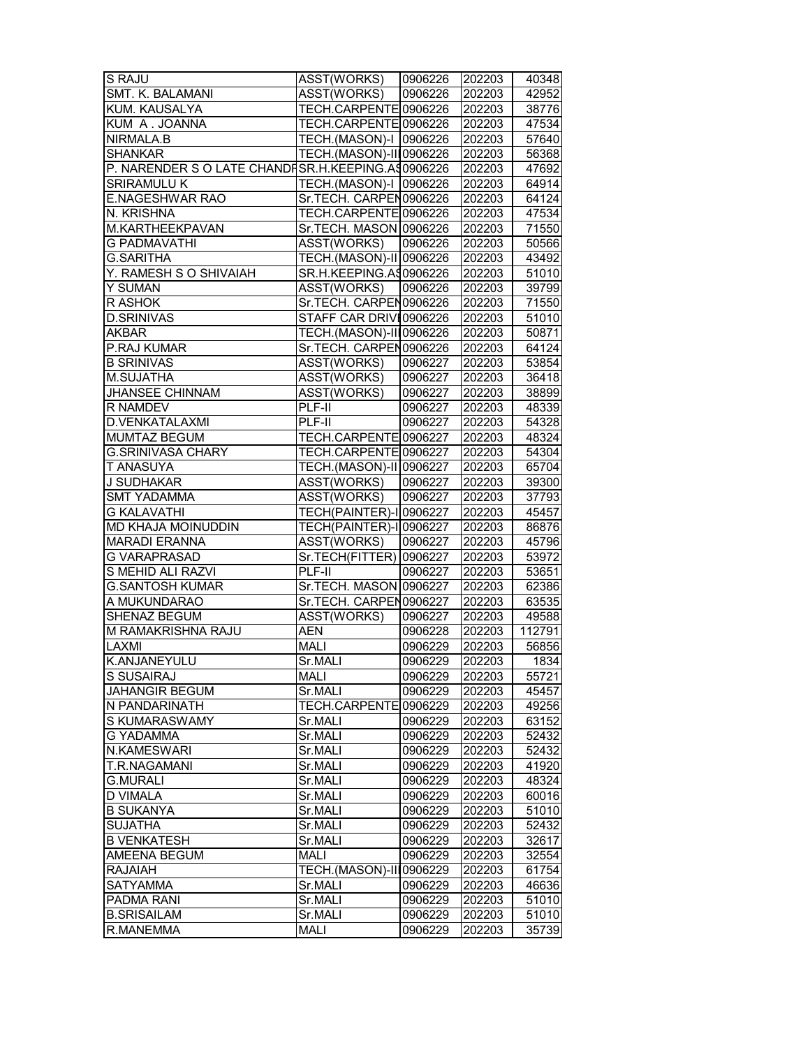| SMT. K. BALAMANI<br>ASST(WORKS)<br>202203<br>0906226<br>42952<br>KUM. KAUSALYA<br>TECH.CARPENTE0906226<br>202203<br>38776<br>KUM A. JOANNA<br>TECH.CARPENTE0906226<br>202203<br>47534<br>NIRMALA.B<br>TECH.(MASON)-I 0906226<br>202203<br>57640<br><b>SHANKAR</b><br>TECH.(MASON)-III0906226<br>56368<br>202203<br>P. NARENDER S O LATE CHANDISR.H.KEEPING.AS0906226<br>47692<br>202203<br>SRIRAMULU K<br>TECH.(MASON)-I 0906226<br>64914<br>202203<br>E.NAGESHWAR RAO<br>Sr.TECH. CARPEN0906226<br>64124<br>202203<br>N. KRISHNA<br>TECH.CARPENTE 0906226<br>202203<br>47534<br>M.KARTHEEKPAVAN<br>Sr.TECH. MASON 0906226<br>202203<br>71550<br><b>ASST(WORKS)</b><br>50566<br><b>G PADMAVATHI</b><br>0906226<br>202203<br>TECH. (MASON)-II 0906226<br><b>G.SARITHA</b><br>43492<br>202203<br>Y. RAMESH S O SHIVAIAH<br>SR.H.KEEPING.A\$0906226<br>202203<br>51010<br>Y SUMAN<br>ASST(WORKS)<br>0906226<br>202203<br>39799<br>Sr.TECH. CARPEN0906226<br>R ASHOK<br>202203<br>71550<br>STAFF CAR DRIVI0906226<br><b>D.SRINIVAS</b><br>202203<br>51010<br>AKBAR<br>TECH.(MASON)-III0906226<br>50871<br>202203<br>P.RAJ KUMAR<br>Sr.TECH. CARPEN0906226<br>202203<br>64124<br><b>B SRINIVAS</b><br>ASST(WORKS)<br>0906227<br>202203<br>53854<br><b>ASST(WORKS)</b><br>M.SUJATHA<br>0906227<br>202203<br>36418<br><b>JHANSEE CHINNAM</b><br>ASST(WORKS)<br>38899<br>0906227<br>202203<br>R NAMDEV<br>PLF-II<br>0906227<br>202203<br>48339<br>D.VENKATALAXMI<br>54328<br>PLF-II<br>0906227<br>202203<br>MUMTAZ BEGUM<br>TECH.CARPENTE 0906227<br>48324<br>202203<br><b>G.SRINIVASA CHARY</b><br>TECH.CARPENTE0906227<br>202203<br>54304<br>T ANASUYA<br>TECH.(MASON)-II 0906227<br>202203<br>65704<br>J SUDHAKAR<br>ASST(WORKS)<br>0906227<br>202203<br>39300<br>ASST(WORKS)<br><b>SMT YADAMMA</b><br>0906227<br>202203<br>37793<br><b>G KALAVATHI</b><br><b>TECH(PAINTER)-I 0906227</b><br>202203<br>45457<br>MD KHAJA MOINUDDIN<br>TECH(PAINTER)-I 0906227<br>202203<br>86876<br><b>MARADI ERANNA</b><br>ASST(WORKS)<br>0906227<br>202203<br>45796<br><b>G VARAPRASAD</b><br>Sr.TECH(FITTER)   0906227<br>53972<br>202203<br>S MEHID ALI RAZVI<br>PLF-II<br>0906227<br>53651<br>202203<br>Sr.TECH. MASON 0906227<br><b>G.SANTOSH KUMAR</b><br>202203<br>62386<br>A MUKUNDARAO<br>Sr.TECH. CARPEN0906227<br>202203<br>63535<br><b>SHENAZ BEGUM</b><br>ASST(WORKS)<br>0906227<br>202203<br>49588<br>M RAMAKRISHNA RAJU<br><b>AEN</b><br>0906228<br>112791<br>202203<br><b>LAXMI</b><br><b>MALI</b><br>0906229<br>202203<br>56856<br>1834<br>lk.anjaneyulu<br>Sr.MALI<br>0906229<br>202203<br>S SUSAIRAJ<br>MALI<br>0906229<br>202203<br>55721<br><b>JAHANGIR BEGUM</b><br>Sr.MALI<br>0906229<br>202203<br>45457<br>N PANDARINATH<br>TECH.CARPENTE 0906229<br>202203<br>49256<br>S KUMARASWAMY<br>Sr.MALI<br>63152<br>0906229<br>202203<br><b>G YADAMMA</b><br>Sr.MALI<br>0906229<br>202203<br>52432<br>N.KAMESWARI<br>Sr.MALI<br>0906229<br>202203<br>52432<br>T.R.NAGAMANI<br>41920<br>Sr.MALI<br>0906229<br>202203<br><b>G.MURALI</b><br>Sr.MALI<br>202203<br>48324<br>0906229<br>D VIMALA<br>202203<br>Sr.MALI<br>0906229<br>60016<br><b>B SUKANYA</b><br>51010<br>Sr.MALI<br>0906229<br>202203<br><b>SUJATHA</b><br>Sr.MALI<br>0906229<br>202203<br>52432<br><b>B VENKATESH</b><br>Sr.MALI<br>202203<br>0906229<br>32617<br>AMEENA BEGUM<br><b>MALI</b><br>0906229<br>202203<br>32554<br><b>RAJAIAH</b><br>TECH.(MASON)-III0906229<br>202203<br>61754<br><b>SATYAMMA</b><br>Sr.MALI<br>0906229<br>202203<br>46636<br>PADMA RANI<br>Sr.MALI<br>0906229<br>202203<br>51010<br><b>B.SRISAILAM</b><br>Sr.MALI<br>202203<br>0906229<br>51010<br>R.MANEMMA<br>35739<br>MALI<br>0906229<br>202203 | S RAJU | ASST(WORKS) | 0906226 | 202203 | 40348 |
|--------------------------------------------------------------------------------------------------------------------------------------------------------------------------------------------------------------------------------------------------------------------------------------------------------------------------------------------------------------------------------------------------------------------------------------------------------------------------------------------------------------------------------------------------------------------------------------------------------------------------------------------------------------------------------------------------------------------------------------------------------------------------------------------------------------------------------------------------------------------------------------------------------------------------------------------------------------------------------------------------------------------------------------------------------------------------------------------------------------------------------------------------------------------------------------------------------------------------------------------------------------------------------------------------------------------------------------------------------------------------------------------------------------------------------------------------------------------------------------------------------------------------------------------------------------------------------------------------------------------------------------------------------------------------------------------------------------------------------------------------------------------------------------------------------------------------------------------------------------------------------------------------------------------------------------------------------------------------------------------------------------------------------------------------------------------------------------------------------------------------------------------------------------------------------------------------------------------------------------------------------------------------------------------------------------------------------------------------------------------------------------------------------------------------------------------------------------------------------------------------------------------------------------------------------------------------------------------------------------------------------------------------------------------------------------------------------------------------------------------------------------------------------------------------------------------------------------------------------------------------------------------------------------------------------------------------------------------------------------------------------------------------------------------------------------------------------------------------------------------------------------------------------------------------------------------------------------------------------------------------------------------------------------------------------------------------------------------------------------------------------------------------------------------------------------------------------------------------------------------------------------------------------------------------------------------------------------------------------------------------------------------------------------------------------------------|--------|-------------|---------|--------|-------|
|                                                                                                                                                                                                                                                                                                                                                                                                                                                                                                                                                                                                                                                                                                                                                                                                                                                                                                                                                                                                                                                                                                                                                                                                                                                                                                                                                                                                                                                                                                                                                                                                                                                                                                                                                                                                                                                                                                                                                                                                                                                                                                                                                                                                                                                                                                                                                                                                                                                                                                                                                                                                                                                                                                                                                                                                                                                                                                                                                                                                                                                                                                                                                                                                                                                                                                                                                                                                                                                                                                                                                                                                                                                                                            |        |             |         |        |       |
|                                                                                                                                                                                                                                                                                                                                                                                                                                                                                                                                                                                                                                                                                                                                                                                                                                                                                                                                                                                                                                                                                                                                                                                                                                                                                                                                                                                                                                                                                                                                                                                                                                                                                                                                                                                                                                                                                                                                                                                                                                                                                                                                                                                                                                                                                                                                                                                                                                                                                                                                                                                                                                                                                                                                                                                                                                                                                                                                                                                                                                                                                                                                                                                                                                                                                                                                                                                                                                                                                                                                                                                                                                                                                            |        |             |         |        |       |
|                                                                                                                                                                                                                                                                                                                                                                                                                                                                                                                                                                                                                                                                                                                                                                                                                                                                                                                                                                                                                                                                                                                                                                                                                                                                                                                                                                                                                                                                                                                                                                                                                                                                                                                                                                                                                                                                                                                                                                                                                                                                                                                                                                                                                                                                                                                                                                                                                                                                                                                                                                                                                                                                                                                                                                                                                                                                                                                                                                                                                                                                                                                                                                                                                                                                                                                                                                                                                                                                                                                                                                                                                                                                                            |        |             |         |        |       |
|                                                                                                                                                                                                                                                                                                                                                                                                                                                                                                                                                                                                                                                                                                                                                                                                                                                                                                                                                                                                                                                                                                                                                                                                                                                                                                                                                                                                                                                                                                                                                                                                                                                                                                                                                                                                                                                                                                                                                                                                                                                                                                                                                                                                                                                                                                                                                                                                                                                                                                                                                                                                                                                                                                                                                                                                                                                                                                                                                                                                                                                                                                                                                                                                                                                                                                                                                                                                                                                                                                                                                                                                                                                                                            |        |             |         |        |       |
|                                                                                                                                                                                                                                                                                                                                                                                                                                                                                                                                                                                                                                                                                                                                                                                                                                                                                                                                                                                                                                                                                                                                                                                                                                                                                                                                                                                                                                                                                                                                                                                                                                                                                                                                                                                                                                                                                                                                                                                                                                                                                                                                                                                                                                                                                                                                                                                                                                                                                                                                                                                                                                                                                                                                                                                                                                                                                                                                                                                                                                                                                                                                                                                                                                                                                                                                                                                                                                                                                                                                                                                                                                                                                            |        |             |         |        |       |
|                                                                                                                                                                                                                                                                                                                                                                                                                                                                                                                                                                                                                                                                                                                                                                                                                                                                                                                                                                                                                                                                                                                                                                                                                                                                                                                                                                                                                                                                                                                                                                                                                                                                                                                                                                                                                                                                                                                                                                                                                                                                                                                                                                                                                                                                                                                                                                                                                                                                                                                                                                                                                                                                                                                                                                                                                                                                                                                                                                                                                                                                                                                                                                                                                                                                                                                                                                                                                                                                                                                                                                                                                                                                                            |        |             |         |        |       |
|                                                                                                                                                                                                                                                                                                                                                                                                                                                                                                                                                                                                                                                                                                                                                                                                                                                                                                                                                                                                                                                                                                                                                                                                                                                                                                                                                                                                                                                                                                                                                                                                                                                                                                                                                                                                                                                                                                                                                                                                                                                                                                                                                                                                                                                                                                                                                                                                                                                                                                                                                                                                                                                                                                                                                                                                                                                                                                                                                                                                                                                                                                                                                                                                                                                                                                                                                                                                                                                                                                                                                                                                                                                                                            |        |             |         |        |       |
|                                                                                                                                                                                                                                                                                                                                                                                                                                                                                                                                                                                                                                                                                                                                                                                                                                                                                                                                                                                                                                                                                                                                                                                                                                                                                                                                                                                                                                                                                                                                                                                                                                                                                                                                                                                                                                                                                                                                                                                                                                                                                                                                                                                                                                                                                                                                                                                                                                                                                                                                                                                                                                                                                                                                                                                                                                                                                                                                                                                                                                                                                                                                                                                                                                                                                                                                                                                                                                                                                                                                                                                                                                                                                            |        |             |         |        |       |
|                                                                                                                                                                                                                                                                                                                                                                                                                                                                                                                                                                                                                                                                                                                                                                                                                                                                                                                                                                                                                                                                                                                                                                                                                                                                                                                                                                                                                                                                                                                                                                                                                                                                                                                                                                                                                                                                                                                                                                                                                                                                                                                                                                                                                                                                                                                                                                                                                                                                                                                                                                                                                                                                                                                                                                                                                                                                                                                                                                                                                                                                                                                                                                                                                                                                                                                                                                                                                                                                                                                                                                                                                                                                                            |        |             |         |        |       |
|                                                                                                                                                                                                                                                                                                                                                                                                                                                                                                                                                                                                                                                                                                                                                                                                                                                                                                                                                                                                                                                                                                                                                                                                                                                                                                                                                                                                                                                                                                                                                                                                                                                                                                                                                                                                                                                                                                                                                                                                                                                                                                                                                                                                                                                                                                                                                                                                                                                                                                                                                                                                                                                                                                                                                                                                                                                                                                                                                                                                                                                                                                                                                                                                                                                                                                                                                                                                                                                                                                                                                                                                                                                                                            |        |             |         |        |       |
|                                                                                                                                                                                                                                                                                                                                                                                                                                                                                                                                                                                                                                                                                                                                                                                                                                                                                                                                                                                                                                                                                                                                                                                                                                                                                                                                                                                                                                                                                                                                                                                                                                                                                                                                                                                                                                                                                                                                                                                                                                                                                                                                                                                                                                                                                                                                                                                                                                                                                                                                                                                                                                                                                                                                                                                                                                                                                                                                                                                                                                                                                                                                                                                                                                                                                                                                                                                                                                                                                                                                                                                                                                                                                            |        |             |         |        |       |
|                                                                                                                                                                                                                                                                                                                                                                                                                                                                                                                                                                                                                                                                                                                                                                                                                                                                                                                                                                                                                                                                                                                                                                                                                                                                                                                                                                                                                                                                                                                                                                                                                                                                                                                                                                                                                                                                                                                                                                                                                                                                                                                                                                                                                                                                                                                                                                                                                                                                                                                                                                                                                                                                                                                                                                                                                                                                                                                                                                                                                                                                                                                                                                                                                                                                                                                                                                                                                                                                                                                                                                                                                                                                                            |        |             |         |        |       |
|                                                                                                                                                                                                                                                                                                                                                                                                                                                                                                                                                                                                                                                                                                                                                                                                                                                                                                                                                                                                                                                                                                                                                                                                                                                                                                                                                                                                                                                                                                                                                                                                                                                                                                                                                                                                                                                                                                                                                                                                                                                                                                                                                                                                                                                                                                                                                                                                                                                                                                                                                                                                                                                                                                                                                                                                                                                                                                                                                                                                                                                                                                                                                                                                                                                                                                                                                                                                                                                                                                                                                                                                                                                                                            |        |             |         |        |       |
|                                                                                                                                                                                                                                                                                                                                                                                                                                                                                                                                                                                                                                                                                                                                                                                                                                                                                                                                                                                                                                                                                                                                                                                                                                                                                                                                                                                                                                                                                                                                                                                                                                                                                                                                                                                                                                                                                                                                                                                                                                                                                                                                                                                                                                                                                                                                                                                                                                                                                                                                                                                                                                                                                                                                                                                                                                                                                                                                                                                                                                                                                                                                                                                                                                                                                                                                                                                                                                                                                                                                                                                                                                                                                            |        |             |         |        |       |
|                                                                                                                                                                                                                                                                                                                                                                                                                                                                                                                                                                                                                                                                                                                                                                                                                                                                                                                                                                                                                                                                                                                                                                                                                                                                                                                                                                                                                                                                                                                                                                                                                                                                                                                                                                                                                                                                                                                                                                                                                                                                                                                                                                                                                                                                                                                                                                                                                                                                                                                                                                                                                                                                                                                                                                                                                                                                                                                                                                                                                                                                                                                                                                                                                                                                                                                                                                                                                                                                                                                                                                                                                                                                                            |        |             |         |        |       |
|                                                                                                                                                                                                                                                                                                                                                                                                                                                                                                                                                                                                                                                                                                                                                                                                                                                                                                                                                                                                                                                                                                                                                                                                                                                                                                                                                                                                                                                                                                                                                                                                                                                                                                                                                                                                                                                                                                                                                                                                                                                                                                                                                                                                                                                                                                                                                                                                                                                                                                                                                                                                                                                                                                                                                                                                                                                                                                                                                                                                                                                                                                                                                                                                                                                                                                                                                                                                                                                                                                                                                                                                                                                                                            |        |             |         |        |       |
|                                                                                                                                                                                                                                                                                                                                                                                                                                                                                                                                                                                                                                                                                                                                                                                                                                                                                                                                                                                                                                                                                                                                                                                                                                                                                                                                                                                                                                                                                                                                                                                                                                                                                                                                                                                                                                                                                                                                                                                                                                                                                                                                                                                                                                                                                                                                                                                                                                                                                                                                                                                                                                                                                                                                                                                                                                                                                                                                                                                                                                                                                                                                                                                                                                                                                                                                                                                                                                                                                                                                                                                                                                                                                            |        |             |         |        |       |
|                                                                                                                                                                                                                                                                                                                                                                                                                                                                                                                                                                                                                                                                                                                                                                                                                                                                                                                                                                                                                                                                                                                                                                                                                                                                                                                                                                                                                                                                                                                                                                                                                                                                                                                                                                                                                                                                                                                                                                                                                                                                                                                                                                                                                                                                                                                                                                                                                                                                                                                                                                                                                                                                                                                                                                                                                                                                                                                                                                                                                                                                                                                                                                                                                                                                                                                                                                                                                                                                                                                                                                                                                                                                                            |        |             |         |        |       |
|                                                                                                                                                                                                                                                                                                                                                                                                                                                                                                                                                                                                                                                                                                                                                                                                                                                                                                                                                                                                                                                                                                                                                                                                                                                                                                                                                                                                                                                                                                                                                                                                                                                                                                                                                                                                                                                                                                                                                                                                                                                                                                                                                                                                                                                                                                                                                                                                                                                                                                                                                                                                                                                                                                                                                                                                                                                                                                                                                                                                                                                                                                                                                                                                                                                                                                                                                                                                                                                                                                                                                                                                                                                                                            |        |             |         |        |       |
|                                                                                                                                                                                                                                                                                                                                                                                                                                                                                                                                                                                                                                                                                                                                                                                                                                                                                                                                                                                                                                                                                                                                                                                                                                                                                                                                                                                                                                                                                                                                                                                                                                                                                                                                                                                                                                                                                                                                                                                                                                                                                                                                                                                                                                                                                                                                                                                                                                                                                                                                                                                                                                                                                                                                                                                                                                                                                                                                                                                                                                                                                                                                                                                                                                                                                                                                                                                                                                                                                                                                                                                                                                                                                            |        |             |         |        |       |
|                                                                                                                                                                                                                                                                                                                                                                                                                                                                                                                                                                                                                                                                                                                                                                                                                                                                                                                                                                                                                                                                                                                                                                                                                                                                                                                                                                                                                                                                                                                                                                                                                                                                                                                                                                                                                                                                                                                                                                                                                                                                                                                                                                                                                                                                                                                                                                                                                                                                                                                                                                                                                                                                                                                                                                                                                                                                                                                                                                                                                                                                                                                                                                                                                                                                                                                                                                                                                                                                                                                                                                                                                                                                                            |        |             |         |        |       |
|                                                                                                                                                                                                                                                                                                                                                                                                                                                                                                                                                                                                                                                                                                                                                                                                                                                                                                                                                                                                                                                                                                                                                                                                                                                                                                                                                                                                                                                                                                                                                                                                                                                                                                                                                                                                                                                                                                                                                                                                                                                                                                                                                                                                                                                                                                                                                                                                                                                                                                                                                                                                                                                                                                                                                                                                                                                                                                                                                                                                                                                                                                                                                                                                                                                                                                                                                                                                                                                                                                                                                                                                                                                                                            |        |             |         |        |       |
|                                                                                                                                                                                                                                                                                                                                                                                                                                                                                                                                                                                                                                                                                                                                                                                                                                                                                                                                                                                                                                                                                                                                                                                                                                                                                                                                                                                                                                                                                                                                                                                                                                                                                                                                                                                                                                                                                                                                                                                                                                                                                                                                                                                                                                                                                                                                                                                                                                                                                                                                                                                                                                                                                                                                                                                                                                                                                                                                                                                                                                                                                                                                                                                                                                                                                                                                                                                                                                                                                                                                                                                                                                                                                            |        |             |         |        |       |
|                                                                                                                                                                                                                                                                                                                                                                                                                                                                                                                                                                                                                                                                                                                                                                                                                                                                                                                                                                                                                                                                                                                                                                                                                                                                                                                                                                                                                                                                                                                                                                                                                                                                                                                                                                                                                                                                                                                                                                                                                                                                                                                                                                                                                                                                                                                                                                                                                                                                                                                                                                                                                                                                                                                                                                                                                                                                                                                                                                                                                                                                                                                                                                                                                                                                                                                                                                                                                                                                                                                                                                                                                                                                                            |        |             |         |        |       |
|                                                                                                                                                                                                                                                                                                                                                                                                                                                                                                                                                                                                                                                                                                                                                                                                                                                                                                                                                                                                                                                                                                                                                                                                                                                                                                                                                                                                                                                                                                                                                                                                                                                                                                                                                                                                                                                                                                                                                                                                                                                                                                                                                                                                                                                                                                                                                                                                                                                                                                                                                                                                                                                                                                                                                                                                                                                                                                                                                                                                                                                                                                                                                                                                                                                                                                                                                                                                                                                                                                                                                                                                                                                                                            |        |             |         |        |       |
|                                                                                                                                                                                                                                                                                                                                                                                                                                                                                                                                                                                                                                                                                                                                                                                                                                                                                                                                                                                                                                                                                                                                                                                                                                                                                                                                                                                                                                                                                                                                                                                                                                                                                                                                                                                                                                                                                                                                                                                                                                                                                                                                                                                                                                                                                                                                                                                                                                                                                                                                                                                                                                                                                                                                                                                                                                                                                                                                                                                                                                                                                                                                                                                                                                                                                                                                                                                                                                                                                                                                                                                                                                                                                            |        |             |         |        |       |
|                                                                                                                                                                                                                                                                                                                                                                                                                                                                                                                                                                                                                                                                                                                                                                                                                                                                                                                                                                                                                                                                                                                                                                                                                                                                                                                                                                                                                                                                                                                                                                                                                                                                                                                                                                                                                                                                                                                                                                                                                                                                                                                                                                                                                                                                                                                                                                                                                                                                                                                                                                                                                                                                                                                                                                                                                                                                                                                                                                                                                                                                                                                                                                                                                                                                                                                                                                                                                                                                                                                                                                                                                                                                                            |        |             |         |        |       |
|                                                                                                                                                                                                                                                                                                                                                                                                                                                                                                                                                                                                                                                                                                                                                                                                                                                                                                                                                                                                                                                                                                                                                                                                                                                                                                                                                                                                                                                                                                                                                                                                                                                                                                                                                                                                                                                                                                                                                                                                                                                                                                                                                                                                                                                                                                                                                                                                                                                                                                                                                                                                                                                                                                                                                                                                                                                                                                                                                                                                                                                                                                                                                                                                                                                                                                                                                                                                                                                                                                                                                                                                                                                                                            |        |             |         |        |       |
|                                                                                                                                                                                                                                                                                                                                                                                                                                                                                                                                                                                                                                                                                                                                                                                                                                                                                                                                                                                                                                                                                                                                                                                                                                                                                                                                                                                                                                                                                                                                                                                                                                                                                                                                                                                                                                                                                                                                                                                                                                                                                                                                                                                                                                                                                                                                                                                                                                                                                                                                                                                                                                                                                                                                                                                                                                                                                                                                                                                                                                                                                                                                                                                                                                                                                                                                                                                                                                                                                                                                                                                                                                                                                            |        |             |         |        |       |
|                                                                                                                                                                                                                                                                                                                                                                                                                                                                                                                                                                                                                                                                                                                                                                                                                                                                                                                                                                                                                                                                                                                                                                                                                                                                                                                                                                                                                                                                                                                                                                                                                                                                                                                                                                                                                                                                                                                                                                                                                                                                                                                                                                                                                                                                                                                                                                                                                                                                                                                                                                                                                                                                                                                                                                                                                                                                                                                                                                                                                                                                                                                                                                                                                                                                                                                                                                                                                                                                                                                                                                                                                                                                                            |        |             |         |        |       |
|                                                                                                                                                                                                                                                                                                                                                                                                                                                                                                                                                                                                                                                                                                                                                                                                                                                                                                                                                                                                                                                                                                                                                                                                                                                                                                                                                                                                                                                                                                                                                                                                                                                                                                                                                                                                                                                                                                                                                                                                                                                                                                                                                                                                                                                                                                                                                                                                                                                                                                                                                                                                                                                                                                                                                                                                                                                                                                                                                                                                                                                                                                                                                                                                                                                                                                                                                                                                                                                                                                                                                                                                                                                                                            |        |             |         |        |       |
|                                                                                                                                                                                                                                                                                                                                                                                                                                                                                                                                                                                                                                                                                                                                                                                                                                                                                                                                                                                                                                                                                                                                                                                                                                                                                                                                                                                                                                                                                                                                                                                                                                                                                                                                                                                                                                                                                                                                                                                                                                                                                                                                                                                                                                                                                                                                                                                                                                                                                                                                                                                                                                                                                                                                                                                                                                                                                                                                                                                                                                                                                                                                                                                                                                                                                                                                                                                                                                                                                                                                                                                                                                                                                            |        |             |         |        |       |
|                                                                                                                                                                                                                                                                                                                                                                                                                                                                                                                                                                                                                                                                                                                                                                                                                                                                                                                                                                                                                                                                                                                                                                                                                                                                                                                                                                                                                                                                                                                                                                                                                                                                                                                                                                                                                                                                                                                                                                                                                                                                                                                                                                                                                                                                                                                                                                                                                                                                                                                                                                                                                                                                                                                                                                                                                                                                                                                                                                                                                                                                                                                                                                                                                                                                                                                                                                                                                                                                                                                                                                                                                                                                                            |        |             |         |        |       |
|                                                                                                                                                                                                                                                                                                                                                                                                                                                                                                                                                                                                                                                                                                                                                                                                                                                                                                                                                                                                                                                                                                                                                                                                                                                                                                                                                                                                                                                                                                                                                                                                                                                                                                                                                                                                                                                                                                                                                                                                                                                                                                                                                                                                                                                                                                                                                                                                                                                                                                                                                                                                                                                                                                                                                                                                                                                                                                                                                                                                                                                                                                                                                                                                                                                                                                                                                                                                                                                                                                                                                                                                                                                                                            |        |             |         |        |       |
|                                                                                                                                                                                                                                                                                                                                                                                                                                                                                                                                                                                                                                                                                                                                                                                                                                                                                                                                                                                                                                                                                                                                                                                                                                                                                                                                                                                                                                                                                                                                                                                                                                                                                                                                                                                                                                                                                                                                                                                                                                                                                                                                                                                                                                                                                                                                                                                                                                                                                                                                                                                                                                                                                                                                                                                                                                                                                                                                                                                                                                                                                                                                                                                                                                                                                                                                                                                                                                                                                                                                                                                                                                                                                            |        |             |         |        |       |
|                                                                                                                                                                                                                                                                                                                                                                                                                                                                                                                                                                                                                                                                                                                                                                                                                                                                                                                                                                                                                                                                                                                                                                                                                                                                                                                                                                                                                                                                                                                                                                                                                                                                                                                                                                                                                                                                                                                                                                                                                                                                                                                                                                                                                                                                                                                                                                                                                                                                                                                                                                                                                                                                                                                                                                                                                                                                                                                                                                                                                                                                                                                                                                                                                                                                                                                                                                                                                                                                                                                                                                                                                                                                                            |        |             |         |        |       |
|                                                                                                                                                                                                                                                                                                                                                                                                                                                                                                                                                                                                                                                                                                                                                                                                                                                                                                                                                                                                                                                                                                                                                                                                                                                                                                                                                                                                                                                                                                                                                                                                                                                                                                                                                                                                                                                                                                                                                                                                                                                                                                                                                                                                                                                                                                                                                                                                                                                                                                                                                                                                                                                                                                                                                                                                                                                                                                                                                                                                                                                                                                                                                                                                                                                                                                                                                                                                                                                                                                                                                                                                                                                                                            |        |             |         |        |       |
|                                                                                                                                                                                                                                                                                                                                                                                                                                                                                                                                                                                                                                                                                                                                                                                                                                                                                                                                                                                                                                                                                                                                                                                                                                                                                                                                                                                                                                                                                                                                                                                                                                                                                                                                                                                                                                                                                                                                                                                                                                                                                                                                                                                                                                                                                                                                                                                                                                                                                                                                                                                                                                                                                                                                                                                                                                                                                                                                                                                                                                                                                                                                                                                                                                                                                                                                                                                                                                                                                                                                                                                                                                                                                            |        |             |         |        |       |
|                                                                                                                                                                                                                                                                                                                                                                                                                                                                                                                                                                                                                                                                                                                                                                                                                                                                                                                                                                                                                                                                                                                                                                                                                                                                                                                                                                                                                                                                                                                                                                                                                                                                                                                                                                                                                                                                                                                                                                                                                                                                                                                                                                                                                                                                                                                                                                                                                                                                                                                                                                                                                                                                                                                                                                                                                                                                                                                                                                                                                                                                                                                                                                                                                                                                                                                                                                                                                                                                                                                                                                                                                                                                                            |        |             |         |        |       |
|                                                                                                                                                                                                                                                                                                                                                                                                                                                                                                                                                                                                                                                                                                                                                                                                                                                                                                                                                                                                                                                                                                                                                                                                                                                                                                                                                                                                                                                                                                                                                                                                                                                                                                                                                                                                                                                                                                                                                                                                                                                                                                                                                                                                                                                                                                                                                                                                                                                                                                                                                                                                                                                                                                                                                                                                                                                                                                                                                                                                                                                                                                                                                                                                                                                                                                                                                                                                                                                                                                                                                                                                                                                                                            |        |             |         |        |       |
|                                                                                                                                                                                                                                                                                                                                                                                                                                                                                                                                                                                                                                                                                                                                                                                                                                                                                                                                                                                                                                                                                                                                                                                                                                                                                                                                                                                                                                                                                                                                                                                                                                                                                                                                                                                                                                                                                                                                                                                                                                                                                                                                                                                                                                                                                                                                                                                                                                                                                                                                                                                                                                                                                                                                                                                                                                                                                                                                                                                                                                                                                                                                                                                                                                                                                                                                                                                                                                                                                                                                                                                                                                                                                            |        |             |         |        |       |
|                                                                                                                                                                                                                                                                                                                                                                                                                                                                                                                                                                                                                                                                                                                                                                                                                                                                                                                                                                                                                                                                                                                                                                                                                                                                                                                                                                                                                                                                                                                                                                                                                                                                                                                                                                                                                                                                                                                                                                                                                                                                                                                                                                                                                                                                                                                                                                                                                                                                                                                                                                                                                                                                                                                                                                                                                                                                                                                                                                                                                                                                                                                                                                                                                                                                                                                                                                                                                                                                                                                                                                                                                                                                                            |        |             |         |        |       |
|                                                                                                                                                                                                                                                                                                                                                                                                                                                                                                                                                                                                                                                                                                                                                                                                                                                                                                                                                                                                                                                                                                                                                                                                                                                                                                                                                                                                                                                                                                                                                                                                                                                                                                                                                                                                                                                                                                                                                                                                                                                                                                                                                                                                                                                                                                                                                                                                                                                                                                                                                                                                                                                                                                                                                                                                                                                                                                                                                                                                                                                                                                                                                                                                                                                                                                                                                                                                                                                                                                                                                                                                                                                                                            |        |             |         |        |       |
|                                                                                                                                                                                                                                                                                                                                                                                                                                                                                                                                                                                                                                                                                                                                                                                                                                                                                                                                                                                                                                                                                                                                                                                                                                                                                                                                                                                                                                                                                                                                                                                                                                                                                                                                                                                                                                                                                                                                                                                                                                                                                                                                                                                                                                                                                                                                                                                                                                                                                                                                                                                                                                                                                                                                                                                                                                                                                                                                                                                                                                                                                                                                                                                                                                                                                                                                                                                                                                                                                                                                                                                                                                                                                            |        |             |         |        |       |
|                                                                                                                                                                                                                                                                                                                                                                                                                                                                                                                                                                                                                                                                                                                                                                                                                                                                                                                                                                                                                                                                                                                                                                                                                                                                                                                                                                                                                                                                                                                                                                                                                                                                                                                                                                                                                                                                                                                                                                                                                                                                                                                                                                                                                                                                                                                                                                                                                                                                                                                                                                                                                                                                                                                                                                                                                                                                                                                                                                                                                                                                                                                                                                                                                                                                                                                                                                                                                                                                                                                                                                                                                                                                                            |        |             |         |        |       |
|                                                                                                                                                                                                                                                                                                                                                                                                                                                                                                                                                                                                                                                                                                                                                                                                                                                                                                                                                                                                                                                                                                                                                                                                                                                                                                                                                                                                                                                                                                                                                                                                                                                                                                                                                                                                                                                                                                                                                                                                                                                                                                                                                                                                                                                                                                                                                                                                                                                                                                                                                                                                                                                                                                                                                                                                                                                                                                                                                                                                                                                                                                                                                                                                                                                                                                                                                                                                                                                                                                                                                                                                                                                                                            |        |             |         |        |       |
|                                                                                                                                                                                                                                                                                                                                                                                                                                                                                                                                                                                                                                                                                                                                                                                                                                                                                                                                                                                                                                                                                                                                                                                                                                                                                                                                                                                                                                                                                                                                                                                                                                                                                                                                                                                                                                                                                                                                                                                                                                                                                                                                                                                                                                                                                                                                                                                                                                                                                                                                                                                                                                                                                                                                                                                                                                                                                                                                                                                                                                                                                                                                                                                                                                                                                                                                                                                                                                                                                                                                                                                                                                                                                            |        |             |         |        |       |
|                                                                                                                                                                                                                                                                                                                                                                                                                                                                                                                                                                                                                                                                                                                                                                                                                                                                                                                                                                                                                                                                                                                                                                                                                                                                                                                                                                                                                                                                                                                                                                                                                                                                                                                                                                                                                                                                                                                                                                                                                                                                                                                                                                                                                                                                                                                                                                                                                                                                                                                                                                                                                                                                                                                                                                                                                                                                                                                                                                                                                                                                                                                                                                                                                                                                                                                                                                                                                                                                                                                                                                                                                                                                                            |        |             |         |        |       |
|                                                                                                                                                                                                                                                                                                                                                                                                                                                                                                                                                                                                                                                                                                                                                                                                                                                                                                                                                                                                                                                                                                                                                                                                                                                                                                                                                                                                                                                                                                                                                                                                                                                                                                                                                                                                                                                                                                                                                                                                                                                                                                                                                                                                                                                                                                                                                                                                                                                                                                                                                                                                                                                                                                                                                                                                                                                                                                                                                                                                                                                                                                                                                                                                                                                                                                                                                                                                                                                                                                                                                                                                                                                                                            |        |             |         |        |       |
|                                                                                                                                                                                                                                                                                                                                                                                                                                                                                                                                                                                                                                                                                                                                                                                                                                                                                                                                                                                                                                                                                                                                                                                                                                                                                                                                                                                                                                                                                                                                                                                                                                                                                                                                                                                                                                                                                                                                                                                                                                                                                                                                                                                                                                                                                                                                                                                                                                                                                                                                                                                                                                                                                                                                                                                                                                                                                                                                                                                                                                                                                                                                                                                                                                                                                                                                                                                                                                                                                                                                                                                                                                                                                            |        |             |         |        |       |
|                                                                                                                                                                                                                                                                                                                                                                                                                                                                                                                                                                                                                                                                                                                                                                                                                                                                                                                                                                                                                                                                                                                                                                                                                                                                                                                                                                                                                                                                                                                                                                                                                                                                                                                                                                                                                                                                                                                                                                                                                                                                                                                                                                                                                                                                                                                                                                                                                                                                                                                                                                                                                                                                                                                                                                                                                                                                                                                                                                                                                                                                                                                                                                                                                                                                                                                                                                                                                                                                                                                                                                                                                                                                                            |        |             |         |        |       |
|                                                                                                                                                                                                                                                                                                                                                                                                                                                                                                                                                                                                                                                                                                                                                                                                                                                                                                                                                                                                                                                                                                                                                                                                                                                                                                                                                                                                                                                                                                                                                                                                                                                                                                                                                                                                                                                                                                                                                                                                                                                                                                                                                                                                                                                                                                                                                                                                                                                                                                                                                                                                                                                                                                                                                                                                                                                                                                                                                                                                                                                                                                                                                                                                                                                                                                                                                                                                                                                                                                                                                                                                                                                                                            |        |             |         |        |       |
|                                                                                                                                                                                                                                                                                                                                                                                                                                                                                                                                                                                                                                                                                                                                                                                                                                                                                                                                                                                                                                                                                                                                                                                                                                                                                                                                                                                                                                                                                                                                                                                                                                                                                                                                                                                                                                                                                                                                                                                                                                                                                                                                                                                                                                                                                                                                                                                                                                                                                                                                                                                                                                                                                                                                                                                                                                                                                                                                                                                                                                                                                                                                                                                                                                                                                                                                                                                                                                                                                                                                                                                                                                                                                            |        |             |         |        |       |
|                                                                                                                                                                                                                                                                                                                                                                                                                                                                                                                                                                                                                                                                                                                                                                                                                                                                                                                                                                                                                                                                                                                                                                                                                                                                                                                                                                                                                                                                                                                                                                                                                                                                                                                                                                                                                                                                                                                                                                                                                                                                                                                                                                                                                                                                                                                                                                                                                                                                                                                                                                                                                                                                                                                                                                                                                                                                                                                                                                                                                                                                                                                                                                                                                                                                                                                                                                                                                                                                                                                                                                                                                                                                                            |        |             |         |        |       |
|                                                                                                                                                                                                                                                                                                                                                                                                                                                                                                                                                                                                                                                                                                                                                                                                                                                                                                                                                                                                                                                                                                                                                                                                                                                                                                                                                                                                                                                                                                                                                                                                                                                                                                                                                                                                                                                                                                                                                                                                                                                                                                                                                                                                                                                                                                                                                                                                                                                                                                                                                                                                                                                                                                                                                                                                                                                                                                                                                                                                                                                                                                                                                                                                                                                                                                                                                                                                                                                                                                                                                                                                                                                                                            |        |             |         |        |       |
|                                                                                                                                                                                                                                                                                                                                                                                                                                                                                                                                                                                                                                                                                                                                                                                                                                                                                                                                                                                                                                                                                                                                                                                                                                                                                                                                                                                                                                                                                                                                                                                                                                                                                                                                                                                                                                                                                                                                                                                                                                                                                                                                                                                                                                                                                                                                                                                                                                                                                                                                                                                                                                                                                                                                                                                                                                                                                                                                                                                                                                                                                                                                                                                                                                                                                                                                                                                                                                                                                                                                                                                                                                                                                            |        |             |         |        |       |
|                                                                                                                                                                                                                                                                                                                                                                                                                                                                                                                                                                                                                                                                                                                                                                                                                                                                                                                                                                                                                                                                                                                                                                                                                                                                                                                                                                                                                                                                                                                                                                                                                                                                                                                                                                                                                                                                                                                                                                                                                                                                                                                                                                                                                                                                                                                                                                                                                                                                                                                                                                                                                                                                                                                                                                                                                                                                                                                                                                                                                                                                                                                                                                                                                                                                                                                                                                                                                                                                                                                                                                                                                                                                                            |        |             |         |        |       |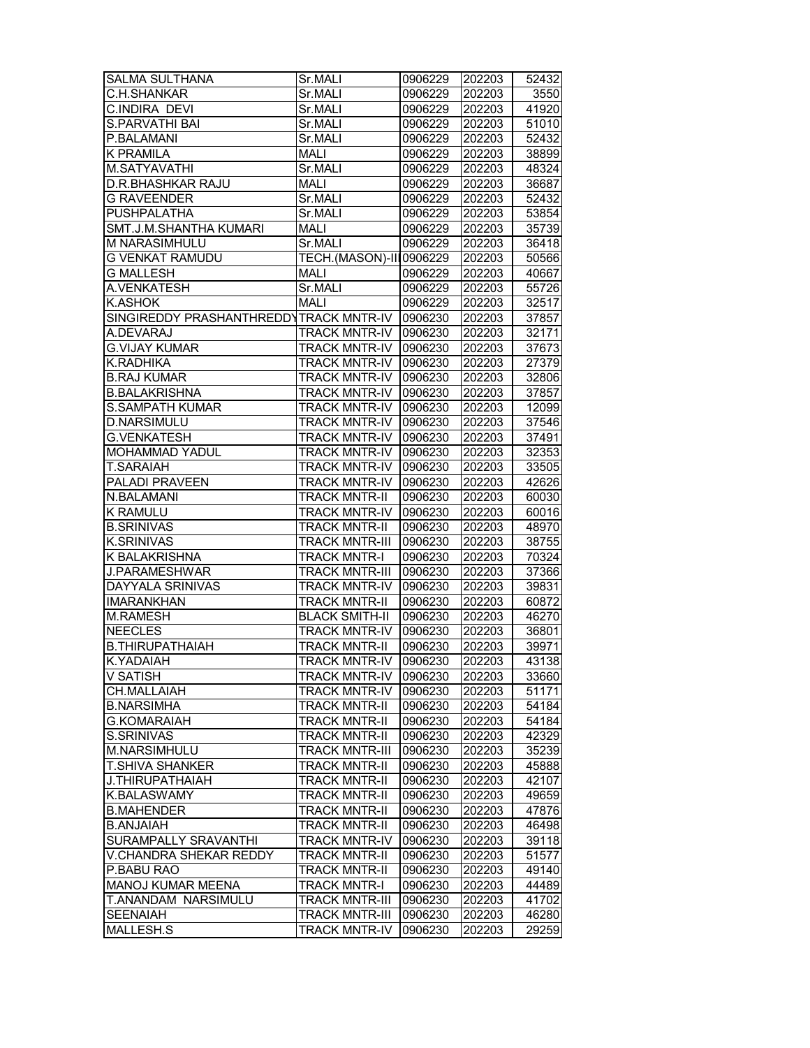| <b>SALMA SULTHANA</b>                  | Sr.MALI                 | 0906229 | 202203 | 52432 |
|----------------------------------------|-------------------------|---------|--------|-------|
| C.H.SHANKAR                            | Sr.MALI                 | 0906229 | 202203 | 3550  |
| <b>C.INDIRA DEVI</b>                   | Sr.MALI                 | 0906229 | 202203 | 41920 |
| <b>S.PARVATHI BAI</b>                  | Sr.MALI                 | 0906229 | 202203 | 51010 |
| P.BALAMANI                             | Sr.MALI                 | 0906229 | 202203 | 52432 |
| <b>K PRAMILA</b>                       | <b>MALI</b>             | 0906229 | 202203 | 38899 |
| M.SATYAVATHI                           | Sr.MALI                 | 0906229 | 202203 | 48324 |
| D.R.BHASHKAR RAJU                      | MALI                    | 0906229 | 202203 | 36687 |
| <b>G RAVEENDER</b>                     | Sr.MALI                 | 0906229 | 202203 | 52432 |
| <b>PUSHPALATHA</b>                     | Sr.MALI                 | 0906229 | 202203 | 53854 |
| SMT.J.M.SHANTHA KUMARI                 | <b>MALI</b>             | 0906229 | 202203 | 35739 |
| M NARASIMHULU                          | Sr.MALI                 | 0906229 | 202203 | 36418 |
| <b>G VENKAT RAMUDU</b>                 | TECH.(MASON)-III0906229 |         | 202203 | 50566 |
| <b>G MALLESH</b>                       | <b>MALI</b>             | 0906229 | 202203 | 40667 |
| A.VENKATESH                            | Sr.MALI                 | 0906229 | 202203 | 55726 |
| <b>K.ASHOK</b>                         | <b>MALI</b>             | 0906229 |        | 32517 |
| SINGIREDDY PRASHANTHREDDYTRACK MNTR-IV |                         |         | 202203 |       |
| A.DEVARAJ                              |                         | 0906230 | 202203 | 37857 |
|                                        | TRACK MNTR-IV 0906230   |         | 202203 | 32171 |
| <b>G.VIJAY KUMAR</b>                   | TRACK MNTR-IV 0906230   |         | 202203 | 37673 |
| K.RADHIKA                              | <b>TRACK MNTR-IV</b>    | 0906230 | 202203 | 27379 |
| <b>B.RAJ KUMAR</b>                     | <b>TRACK MNTR-IV</b>    | 0906230 | 202203 | 32806 |
| <b>B.BALAKRISHNA</b>                   | <b>TRACK MNTR-IV</b>    | 0906230 | 202203 | 37857 |
| <b>S.SAMPATH KUMAR</b>                 | <b>TRACK MNTR-IV</b>    | 0906230 | 202203 | 12099 |
| <b>D.NARSIMULU</b>                     | <b>TRACK MNTR-IV</b>    | 0906230 | 202203 | 37546 |
| <b>G.VENKATESH</b>                     | <b>TRACK MNTR-IV</b>    | 0906230 | 202203 | 37491 |
| MOHAMMAD YADUL                         | <b>TRACK MNTR-IV</b>    | 0906230 | 202203 | 32353 |
| T.SARAIAH                              | <b>TRACK MNTR-IV</b>    | 0906230 | 202203 | 33505 |
| <b>PALADI PRAVEEN</b>                  | <b>TRACK MNTR-IV</b>    | 0906230 | 202203 | 42626 |
| N.BALAMANI                             | <b>TRACK MNTR-II</b>    | 0906230 | 202203 | 60030 |
| <b>K RAMULU</b>                        | <b>TRACK MNTR-IV</b>    | 0906230 | 202203 | 60016 |
| <b>B.SRINIVAS</b>                      | <b>TRACK MNTR-II</b>    | 0906230 | 202203 | 48970 |
| <b>K.SRINIVAS</b>                      | <b>TRACK MNTR-III</b>   | 0906230 | 202203 | 38755 |
| K BALAKRISHNA                          | <b>TRACK MNTR-I</b>     | 0906230 | 202203 | 70324 |
| J.PARAMESHWAR                          | <b>TRACK MNTR-III</b>   | 0906230 | 202203 | 37366 |
| DAYYALA SRINIVAS                       | <b>TRACK MNTR-IV</b>    | 0906230 | 202203 | 39831 |
| <b>IMARANKHAN</b>                      | <b>TRACK MNTR-II</b>    | 0906230 | 202203 | 60872 |
| <b>M.RAMESH</b>                        | <b>BLACK SMITH-II</b>   | 0906230 | 202203 | 46270 |
| <b>NEECLES</b>                         | <b>TRACK MNTR-IV</b>    | 0906230 | 202203 | 36801 |
| <b>B.THIRUPATHAIAH</b>                 | <b>TRACK MNTR-II</b>    | 0906230 | 202203 | 39971 |
| K.YADAIAH                              | TRACK MNTR-IV 0906230   |         | 202203 | 43138 |
| V SATISH                               | <b>TRACK MNTR-IV</b>    | 0906230 | 202203 | 33660 |
| CH.MALLAIAH                            | <b>TRACK MNTR-IV</b>    | 0906230 | 202203 | 51171 |
| <b>B.NARSIMHA</b>                      | TRACK MNTR-II           | 0906230 | 202203 | 54184 |
| <b>G.KOMARAIAH</b>                     | <b>TRACK MNTR-II</b>    | 0906230 | 202203 | 54184 |
| <b>S.SRINIVAS</b>                      | <b>TRACK MNTR-II</b>    | 0906230 | 202203 | 42329 |
| M.NARSIMHULU                           | <b>TRACK MNTR-III</b>   | 0906230 | 202203 | 35239 |
| <b>T.SHIVA SHANKER</b>                 | <b>TRACK MNTR-II</b>    | 0906230 | 202203 | 45888 |
| J.THIRUPATHAIAH                        | <b>TRACK MNTR-II</b>    | 0906230 | 202203 | 42107 |
| K.BALASWAMY                            |                         |         |        |       |
|                                        | <b>TRACK MNTR-II</b>    | 0906230 | 202203 | 49659 |
| <b>B.MAHENDER</b>                      | <b>TRACK MNTR-II</b>    | 0906230 | 202203 | 47876 |
| <b>B.ANJAIAH</b>                       | <b>TRACK MNTR-II</b>    | 0906230 | 202203 | 46498 |
| SURAMPALLY SRAVANTHI                   | <b>TRACK MNTR-IV</b>    | 0906230 | 202203 | 39118 |
| V.CHANDRA SHEKAR REDDY                 | <b>TRACK MNTR-II</b>    | 0906230 | 202203 | 51577 |
| P.BABU RAO                             | <b>TRACK MNTR-II</b>    | 0906230 | 202203 | 49140 |
| MANOJ KUMAR MEENA                      | <b>TRACK MNTR-I</b>     | 0906230 | 202203 | 44489 |
| T.ANANDAM NARSIMULU                    | <b>TRACK MNTR-III</b>   | 0906230 | 202203 | 41702 |
| <b>SEENAIAH</b>                        | <b>TRACK MNTR-III</b>   | 0906230 | 202203 | 46280 |
| MALLESH.S                              | <b>TRACK MNTR-IV</b>    | 0906230 | 202203 | 29259 |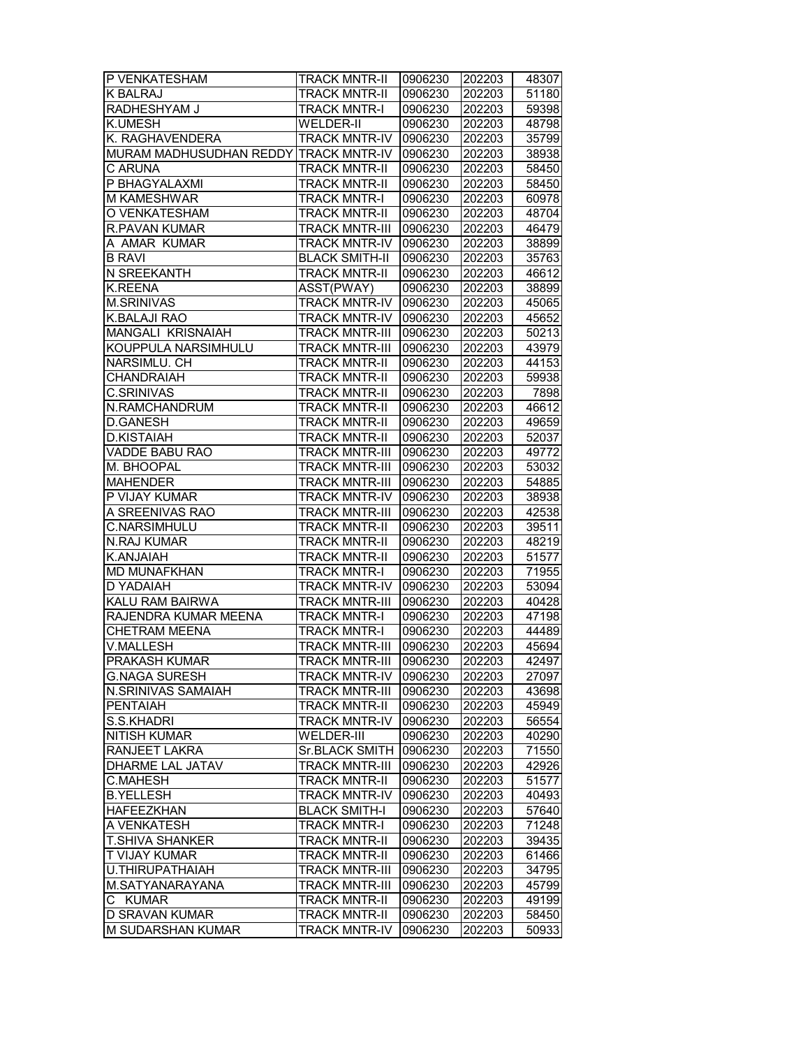| P VENKATESHAM                         | <b>TRACK MNTR-II</b>  | 0906230 | 202203 | 48307 |
|---------------------------------------|-----------------------|---------|--------|-------|
| K BALRAJ                              | <b>TRACK MNTR-II</b>  | 0906230 | 202203 | 51180 |
| RADHESHYAM J                          | <b>TRACK MNTR-I</b>   | 0906230 | 202203 | 59398 |
| <b>K.UMESH</b>                        | <b>WELDER-II</b>      | 0906230 | 202203 | 48798 |
| K. RAGHAVENDERA                       | <b>TRACK MNTR-IV</b>  | 0906230 | 202203 | 35799 |
| MURAM MADHUSUDHAN REDDY TRACK MNTR-IV |                       | 0906230 | 202203 | 38938 |
| C ARUNA                               | <b>TRACK MNTR-II</b>  | 0906230 | 202203 | 58450 |
| P BHAGYALAXMI                         | <b>TRACK MNTR-II</b>  | 0906230 | 202203 | 58450 |
| M KAMESHWAR                           | <b>TRACK MNTR-I</b>   | 0906230 | 202203 | 60978 |
| O VENKATESHAM                         | <b>TRACK MNTR-II</b>  | 0906230 | 202203 | 48704 |
| R.PAVAN KUMAR                         | <b>TRACK MNTR-III</b> | 0906230 | 202203 | 46479 |
| A AMAR KUMAR                          | <b>TRACK MNTR-IV</b>  | 0906230 | 202203 | 38899 |
| <b>B RAVI</b>                         | <b>BLACK SMITH-II</b> | 0906230 | 202203 | 35763 |
| N SREEKANTH                           | <b>TRACK MNTR-II</b>  | 0906230 | 202203 | 46612 |
| <b>K.REENA</b>                        | ASST(PWAY)            | 0906230 | 202203 | 38899 |
| <b>M.SRINIVAS</b>                     | <b>TRACK MNTR-IV</b>  | 0906230 | 202203 | 45065 |
| K.BALAJI RAO                          | <b>TRACK MNTR-IV</b>  | 0906230 | 202203 | 45652 |
| MANGALI KRISNAIAH                     | <b>TRACK MNTR-III</b> | 0906230 |        |       |
|                                       |                       |         | 202203 | 50213 |
| KOUPPULA NARSIMHULU                   | <b>TRACK MNTR-III</b> | 0906230 | 202203 | 43979 |
| NARSIMLU. CH                          | <b>TRACK MNTR-II</b>  | 0906230 | 202203 | 44153 |
| <b>CHANDRAIAH</b>                     | <b>TRACK MNTR-II</b>  | 0906230 | 202203 | 59938 |
| <b>C.SRINIVAS</b>                     | <b>TRACK MNTR-II</b>  | 0906230 | 202203 | 7898  |
| N.RAMCHANDRUM                         | <b>TRACK MNTR-II</b>  | 0906230 | 202203 | 46612 |
| <b>D.GANESH</b>                       | <b>TRACK MNTR-II</b>  | 0906230 | 202203 | 49659 |
| <b>D.KISTAIAH</b>                     | <b>TRACK MNTR-II</b>  | 0906230 | 202203 | 52037 |
| <b>VADDE BABU RAO</b>                 | <b>TRACK MNTR-III</b> | 0906230 | 202203 | 49772 |
| M. BHOOPAL                            | <b>TRACK MNTR-III</b> | 0906230 | 202203 | 53032 |
| <b>MAHENDER</b>                       | <b>TRACK MNTR-III</b> | 0906230 | 202203 | 54885 |
| P VIJAY KUMAR                         | <b>TRACK MNTR-IV</b>  | 0906230 | 202203 | 38938 |
| A SREENIVAS RAO                       | <b>TRACK MNTR-III</b> | 0906230 | 202203 | 42538 |
| C.NARSIMHULU                          | <b>TRACK MNTR-II</b>  | 0906230 | 202203 | 39511 |
| N.RAJ KUMAR                           | <b>TRACK MNTR-II</b>  | 0906230 | 202203 | 48219 |
| K.ANJAIAH                             | <b>TRACK MNTR-II</b>  | 0906230 | 202203 | 51577 |
| <b>MD MUNAFKHAN</b>                   | TRACK MNTR-I          | 0906230 | 202203 | 71955 |
| D YADAIAH                             | <b>TRACK MNTR-IV</b>  | 0906230 | 202203 | 53094 |
| KALU RAM BAIRWA                       | TRACK MNTR-III        | 0906230 | 202203 | 40428 |
| RAJENDRA KUMAR MEENA                  | <b>TRACK MNTR-I</b>   | 0906230 | 202203 | 47198 |
| CHETRAM MEENA                         | <b>TRACK MNTR-I</b>   | 0906230 | 202203 | 44489 |
| V.MALLESH                             | <b>TRACK MNTR-III</b> | 0906230 | 202203 | 45694 |
| <b>PRAKASH KUMAR</b>                  | <b>TRACK MNTR-III</b> | 0906230 | 202203 | 42497 |
| <b>G.NAGA SURESH</b>                  | <b>TRACK MNTR-IV</b>  | 0906230 | 202203 | 27097 |
| N.SRINIVAS SAMAIAH                    | <b>TRACK MNTR-III</b> | 0906230 | 202203 | 43698 |
| PENTAIAH                              | <b>TRACK MNTR-II</b>  | 0906230 | 202203 | 45949 |
| S.S.KHADRI                            | <b>TRACK MNTR-IV</b>  | 0906230 | 202203 | 56554 |
| <b>NITISH KUMAR</b>                   | WELDER-III            | 0906230 | 202203 | 40290 |
| RANJEET LAKRA                         | <b>Sr.BLACK SMITH</b> | 0906230 | 202203 | 71550 |
| DHARME LAL JATAV                      | <b>TRACK MNTR-III</b> | 0906230 | 202203 | 42926 |
| <b>C.MAHESH</b>                       | <b>TRACK MNTR-II</b>  | 0906230 | 202203 | 51577 |
| <b>B.YELLESH</b>                      | <b>TRACK MNTR-IV</b>  | 0906230 | 202203 | 40493 |
| HAFEEZKHAN                            | <b>BLACK SMITH-I</b>  | 0906230 | 202203 | 57640 |
| A VENKATESH                           | <b>TRACK MNTR-I</b>   | 0906230 |        |       |
| <b>T.SHIVA SHANKER</b>                | <b>TRACK MNTR-II</b>  |         | 202203 | 71248 |
|                                       |                       | 0906230 | 202203 | 39435 |
| T VIJAY KUMAR                         | <b>TRACK MNTR-II</b>  | 0906230 | 202203 | 61466 |
| U.THIRUPATHAIAH                       | <b>TRACK MNTR-III</b> | 0906230 | 202203 | 34795 |
| M.SATYANARAYANA                       | <b>TRACK MNTR-III</b> | 0906230 | 202203 | 45799 |
| C KUMAR                               | <b>TRACK MNTR-II</b>  | 0906230 | 202203 | 49199 |
| D SRAVAN KUMAR                        | <b>TRACK MNTR-II</b>  | 0906230 | 202203 | 58450 |
| M SUDARSHAN KUMAR                     | <b>TRACK MNTR-IV</b>  | 0906230 | 202203 | 50933 |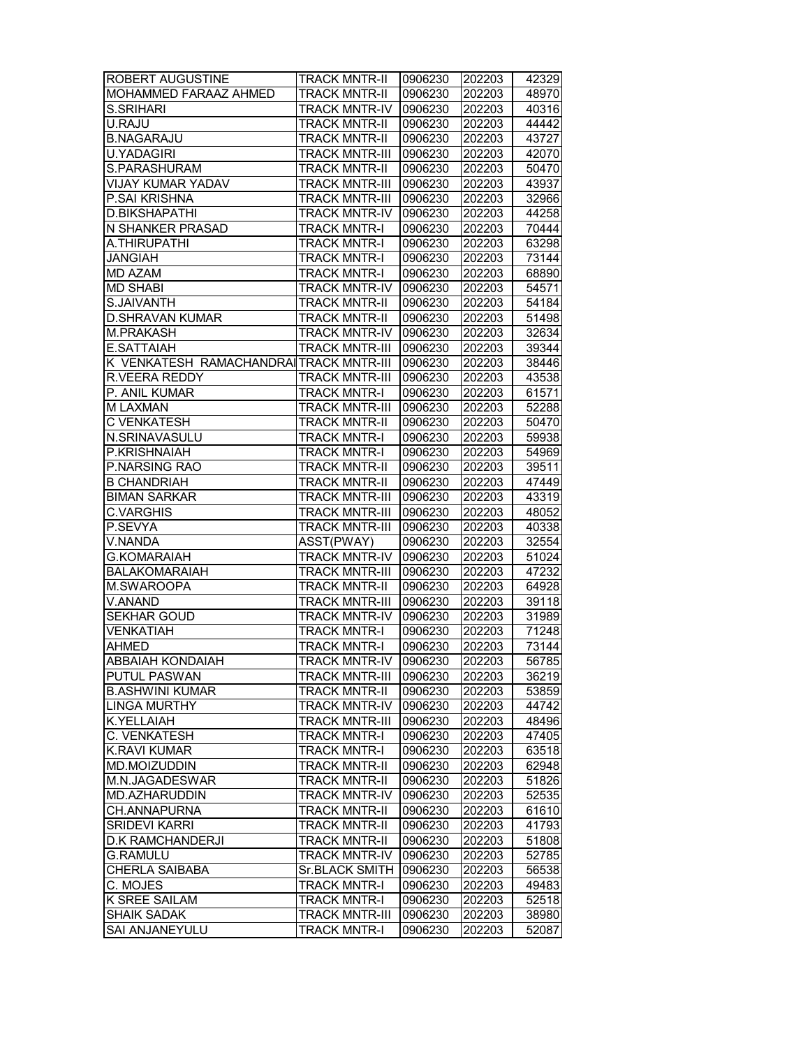| ROBERT AUGUSTINE                       | <b>TRACK MNTR-II</b>          | 0906230            | 202203 | 42329 |
|----------------------------------------|-------------------------------|--------------------|--------|-------|
| MOHAMMED FARAAZ AHMED                  | <b>TRACK MNTR-II</b>          | 0906230            | 202203 | 48970 |
| <b>S.SRIHARI</b>                       | <b>TRACK MNTR-IV</b>          | 0906230            | 202203 | 40316 |
| U.RAJU                                 | <b>TRACK MNTR-II</b>          | 0906230            | 202203 | 44442 |
| <b>B.NAGARAJU</b>                      | <b>TRACK MNTR-II</b>          | 0906230            | 202203 | 43727 |
| <b>U.YADAGIRI</b>                      | <b>TRACK MNTR-III</b>         | 0906230            | 202203 | 42070 |
| S.PARASHURAM                           | <b>TRACK MNTR-II</b>          | 0906230            | 202203 | 50470 |
| VIJAY KUMAR YADAV                      | <b>TRACK MNTR-III</b>         | 0906230            | 202203 | 43937 |
| P.SAI KRISHNA                          | <b>TRACK MNTR-III</b>         | 0906230            | 202203 | 32966 |
| <b>D.BIKSHAPATHI</b>                   | <b>TRACK MNTR-IV</b>          | 0906230            | 202203 | 44258 |
| N SHANKER PRASAD                       | <b>TRACK MNTR-I</b>           | 0906230            | 202203 | 70444 |
| A.THIRUPATHI                           | <b>TRACK MNTR-I</b>           | 0906230            | 202203 | 63298 |
| <b>JANGIAH</b>                         | <b>TRACK MNTR-I</b>           | 0906230            | 202203 | 73144 |
| <b>MD AZAM</b>                         | <b>TRACK MNTR-I</b>           | 0906230            | 202203 | 68890 |
| <b>MD SHABI</b>                        | <b>TRACK MNTR-IV</b>          | 0906230            | 202203 | 54571 |
| S.JAIVANTH                             | <b>TRACK MNTR-II</b>          | 0906230            | 202203 | 54184 |
| <b>D.SHRAVAN KUMAR</b>                 | <b>TRACK MNTR-II</b>          | 0906230            | 202203 | 51498 |
| M.PRAKASH                              | <b>TRACK MNTR-IV</b>          | 0906230            |        | 32634 |
| E.SATTAIAH                             | <b>TRACK MNTR-III</b>         | 0906230            | 202203 | 39344 |
| K VENKATESH RAMACHANDRAITRACK MNTR-III |                               |                    | 202203 |       |
|                                        | <b>TRACK MNTR-III</b>         | 0906230<br>0906230 | 202203 | 38446 |
| R.VEERA REDDY                          |                               |                    | 202203 | 43538 |
| P. ANIL KUMAR                          | <b>TRACK MNTR-I</b>           | 0906230            | 202203 | 61571 |
| M LAXMAN                               | <b>TRACK MNTR-III</b>         | 0906230            | 202203 | 52288 |
| <b>C VENKATESH</b>                     | <b>TRACK MNTR-II</b>          | 0906230            | 202203 | 50470 |
| N.SRINAVASULU                          | <b>TRACK MNTR-I</b>           | 0906230            | 202203 | 59938 |
| P.KRISHNAIAH                           | <b>TRACK MNTR-I</b>           | 0906230            | 202203 | 54969 |
| P.NARSING RAO                          | <b>TRACK MNTR-II</b>          | 0906230            | 202203 | 39511 |
| <b>B CHANDRIAH</b>                     | <b>TRACK MNTR-II</b>          | 0906230            | 202203 | 47449 |
| <b>BIMAN SARKAR</b>                    | <b>TRACK MNTR-III</b>         | 0906230            | 202203 | 43319 |
| <b>C.VARGHIS</b>                       | <b>TRACK MNTR-III</b>         | 0906230            | 202203 | 48052 |
| P.SEVYA                                | <b>TRACK MNTR-III</b>         | 0906230            | 202203 | 40338 |
| V.NANDA                                | ASST(PWAY)                    | 0906230            | 202203 | 32554 |
| <b>G.KOMARAIAH</b>                     | <b>TRACK MNTR-IV</b>          | 0906230            | 202203 | 51024 |
| <b>BALAKOMARAIAH</b>                   | TRACK MNTR-III                | 0906230            | 202203 | 47232 |
| M.SWAROOPA                             | <b>TRACK MNTR-II</b>          | 0906230            | 202203 | 64928 |
| V.ANAND                                | <b>TRACK MNTR-III</b>         | 0906230            | 202203 | 39118 |
| <b>SEKHAR GOUD</b>                     | <b>TRACK MNTR-IV</b>          | 0906230            | 202203 | 31989 |
| <b>VENKATIAH</b>                       | <b>TRACK MNTR-I</b>           | 0906230            | 202203 | 71248 |
| <b>AHMED</b>                           | <b>TRACK MNTR-I</b>           | 0906230            | 202203 | 73144 |
| <b>ABBAIAH KONDAIAH</b>                | <b>TRACK MNTR-IV 10906230</b> |                    | 202203 | 56785 |
| PUTUL PASWAN                           | TRACK MNTR-III                | 0906230            | 202203 | 36219 |
| <b>B.ASHWINI KUMAR</b>                 | TRACK MNTR-II                 | 0906230            | 202203 | 53859 |
| LINGA MURTHY                           | <b>TRACK MNTR-IV</b>          | 0906230            | 202203 | 44742 |
| K.YELLAIAH                             | TRACK MNTR-III                | 0906230            | 202203 | 48496 |
| C. VENKATESH                           | <b>TRACK MNTR-I</b>           | 0906230            | 202203 | 47405 |
| <b>K.RAVI KUMAR</b>                    | <b>TRACK MNTR-I</b>           | 0906230            | 202203 | 63518 |
| <b>MD.MOIZUDDIN</b>                    | <b>TRACK MNTR-II</b>          | 0906230            | 202203 | 62948 |
| M.N.JAGADESWAR                         | <b>TRACK MNTR-II</b>          | 0906230            | 202203 | 51826 |
| MD.AZHARUDDIN                          | <b>TRACK MNTR-IV</b>          | 0906230            | 202203 | 52535 |
| CH.ANNAPURNA                           | <b>TRACK MNTR-II</b>          | 0906230            | 202203 | 61610 |
| <b>SRIDEVI KARRI</b>                   | <b>TRACK MNTR-II</b>          | 0906230            | 202203 | 41793 |
| <b>D.K RAMCHANDERJI</b>                | <b>TRACK MNTR-II</b>          | 0906230            | 202203 |       |
|                                        |                               |                    |        | 51808 |
| <b>G.RAMULU</b>                        | <b>TRACK MNTR-IV</b>          | 0906230            | 202203 | 52785 |
| CHERLA SAIBABA                         | Sr.BLACK SMITH                | 0906230            | 202203 | 56538 |
| C. MOJES                               | <b>TRACK MNTR-I</b>           | 0906230            | 202203 | 49483 |
| K SREE SAILAM                          | <b>TRACK MNTR-I</b>           | 0906230            | 202203 | 52518 |
| <b>SHAIK SADAK</b>                     | TRACK MNTR-III                | 0906230            | 202203 | 38980 |
| SAI ANJANEYULU                         | <b>TRACK MNTR-I</b>           | 0906230            | 202203 | 52087 |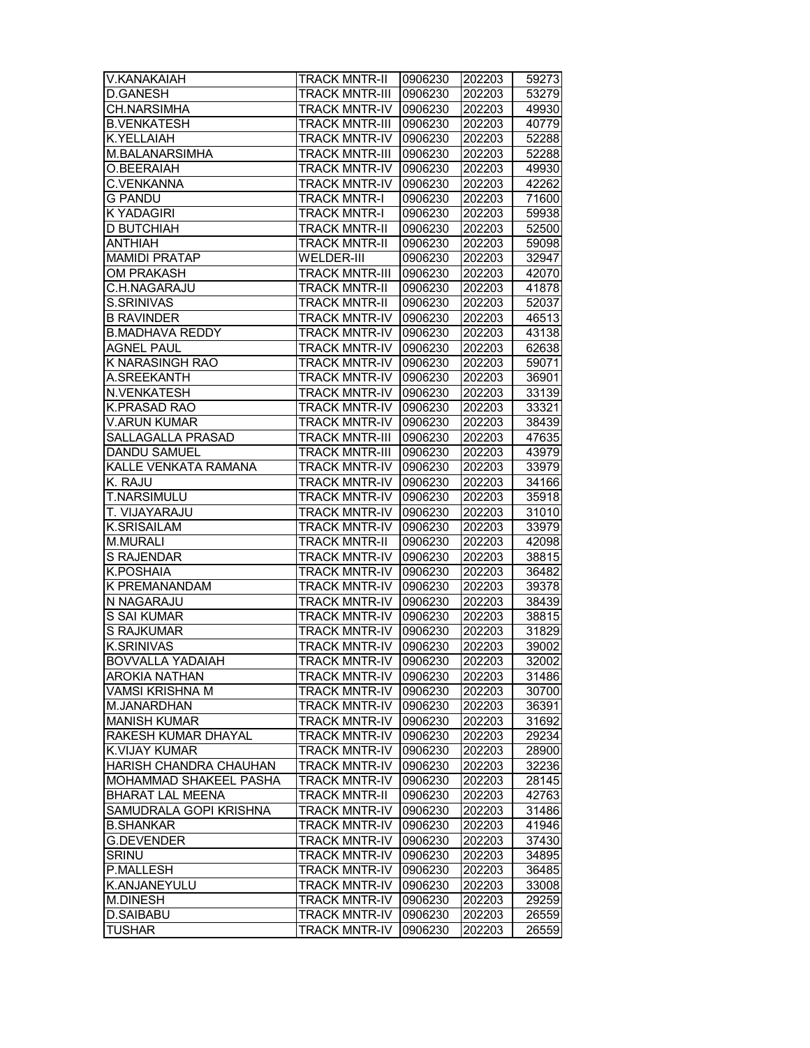| <b>V.KANAKAIAH</b>            | <b>TRACK MNTR-II</b>  | 0906230 | 202203 | 59273 |
|-------------------------------|-----------------------|---------|--------|-------|
| <b>D.GANESH</b>               | <b>TRACK MNTR-III</b> | 0906230 | 202203 | 53279 |
| CH.NARSIMHA                   | <b>TRACK MNTR-IV</b>  | 0906230 | 202203 | 49930 |
| <b>B.VENKATESH</b>            | <b>TRACK MNTR-III</b> | 0906230 | 202203 | 40779 |
| K.YELLAIAH                    | <b>TRACK MNTR-IV</b>  | 0906230 | 202203 | 52288 |
| M.BALANARSIMHA                | <b>TRACK MNTR-III</b> | 0906230 | 202203 | 52288 |
| O.BEERAIAH                    | <b>TRACK MNTR-IV</b>  | 0906230 | 202203 | 49930 |
| C.VENKANNA                    | <b>TRACK MNTR-IV</b>  | 0906230 | 202203 | 42262 |
| <b>G PANDU</b>                | <b>TRACK MNTR-I</b>   | 0906230 | 202203 | 71600 |
| <b>K YADAGIRI</b>             | <b>TRACK MNTR-I</b>   | 0906230 | 202203 | 59938 |
| <b>D BUTCHIAH</b>             | <b>TRACK MNTR-II</b>  | 0906230 | 202203 | 52500 |
| <b>ANTHIAH</b>                | <b>TRACK MNTR-II</b>  | 0906230 | 202203 | 59098 |
| <b>MAMIDI PRATAP</b>          | <b>WELDER-III</b>     | 0906230 | 202203 | 32947 |
| <b>OM PRAKASH</b>             | <b>TRACK MNTR-III</b> | 0906230 | 202203 | 42070 |
| C.H.NAGARAJU                  | <b>TRACK MNTR-II</b>  | 0906230 | 202203 | 41878 |
| S.SRINIVAS                    | <b>TRACK MNTR-II</b>  | 0906230 | 202203 | 52037 |
| <b>B RAVINDER</b>             | <b>TRACK MNTR-IV</b>  | 0906230 | 202203 | 46513 |
| <b>B.MADHAVA REDDY</b>        | <b>TRACK MNTR-IV</b>  | 0906230 | 202203 | 43138 |
| <b>AGNEL PAUL</b>             | <b>TRACK MNTR-IV</b>  | 0906230 | 202203 | 62638 |
| K NARASINGH RAO               | TRACK MNTR-IV         | 0906230 | 202203 | 59071 |
| A.SREEKANTH                   | <b>TRACK MNTR-IV</b>  | 0906230 | 202203 | 36901 |
| N.VENKATESH                   | <b>TRACK MNTR-IV</b>  | 0906230 | 202203 | 33139 |
| K.PRASAD RAO                  | <b>TRACK MNTR-IV</b>  | 0906230 | 202203 | 33321 |
| <b>V.ARUN KUMAR</b>           | <b>TRACK MNTR-IV</b>  | 0906230 | 202203 | 38439 |
| SALLAGALLA PRASAD             | <b>TRACK MNTR-III</b> | 0906230 | 202203 | 47635 |
| DANDU SAMUEL                  | <b>TRACK MNTR-III</b> | 0906230 | 202203 | 43979 |
| KALLE VENKATA RAMANA          | <b>TRACK MNTR-IV</b>  | 0906230 | 202203 | 33979 |
| K. RAJU                       | <b>TRACK MNTR-IV</b>  | 0906230 | 202203 | 34166 |
| T.NARSIMULU                   | <b>TRACK MNTR-IV</b>  | 0906230 | 202203 | 35918 |
| T. VIJAYARAJU                 | <b>TRACK MNTR-IV</b>  | 0906230 | 202203 | 31010 |
| <b>K.SRISAILAM</b>            | <b>TRACK MNTR-IV</b>  | 0906230 | 202203 | 33979 |
| <b>M.MURALI</b>               | <b>TRACK MNTR-II</b>  | 0906230 | 202203 | 42098 |
| <b>S RAJENDAR</b>             | <b>TRACK MNTR-IV</b>  | 0906230 | 202203 | 38815 |
| <b>K.POSHAIA</b>              | <b>TRACK MNTR-IV</b>  | 0906230 | 202203 | 36482 |
| K PREMANANDAM                 | <b>TRACK MNTR-IV</b>  | 0906230 | 202203 | 39378 |
| N NAGARAJU                    | <b>TRACK MNTR-IV</b>  | 0906230 | 202203 | 38439 |
| S SAI KUMAR                   | <b>TRACK MNTR-IV</b>  | 0906230 | 202203 | 38815 |
| <b>S RAJKUMAR</b>             | <b>TRACK MNTR-IV</b>  | 0906230 | 202203 | 31829 |
| <b>K.SRINIVAS</b>             | <b>TRACK MNTR-IV</b>  | 0906230 | 202203 | 39002 |
| <b>BOVVALLA YADAIAH</b>       | <b>TRACK MNTR-IV</b>  | 0906230 | 202203 | 32002 |
| AROKIA NATHAN                 | <b>TRACK MNTR-IV</b>  | 0906230 | 202203 | 31486 |
| VAMSI KRISHNA M               | <b>TRACK MNTR-IV</b>  | 0906230 | 202203 | 30700 |
| M.JANARDHAN                   | <b>TRACK MNTR-IV</b>  | 0906230 | 202203 | 36391 |
| <b>MANISH KUMAR</b>           | <b>TRACK MNTR-IV</b>  | 0906230 | 202203 | 31692 |
| RAKESH KUMAR DHAYAL           | <b>TRACK MNTR-IV</b>  | 0906230 | 202203 | 29234 |
| K.VIJAY KUMAR                 | <b>TRACK MNTR-IV</b>  | 0906230 | 202203 | 28900 |
| HARISH CHANDRA CHAUHAN        | <b>TRACK MNTR-IV</b>  | 0906230 | 202203 | 32236 |
| <b>MOHAMMAD SHAKEEL PASHA</b> | <b>TRACK MNTR-IV</b>  | 0906230 | 202203 | 28145 |
| <b>BHARAT LAL MEENA</b>       | <b>TRACK MNTR-II</b>  | 0906230 | 202203 | 42763 |
| SAMUDRALA GOPI KRISHNA        | <b>TRACK MNTR-IV</b>  | 0906230 | 202203 | 31486 |
| <b>B.SHANKAR</b>              | <b>TRACK MNTR-IV</b>  | 0906230 | 202203 | 41946 |
| <b>G.DEVENDER</b>             | <b>TRACK MNTR-IV</b>  | 0906230 | 202203 | 37430 |
| SRINU                         | <b>TRACK MNTR-IV</b>  | 0906230 | 202203 | 34895 |
| <b>P.MALLESH</b>              | <b>TRACK MNTR-IV</b>  | 0906230 | 202203 | 36485 |
| K.ANJANEYULU                  | <b>TRACK MNTR-IV</b>  | 0906230 | 202203 | 33008 |
| M.DINESH                      | <b>TRACK MNTR-IV</b>  | 0906230 | 202203 | 29259 |
| <b>D.SAIBABU</b>              | <b>TRACK MNTR-IV</b>  | 0906230 | 202203 | 26559 |
| <b>TUSHAR</b>                 | <b>TRACK MNTR-IV</b>  | 0906230 | 202203 | 26559 |
|                               |                       |         |        |       |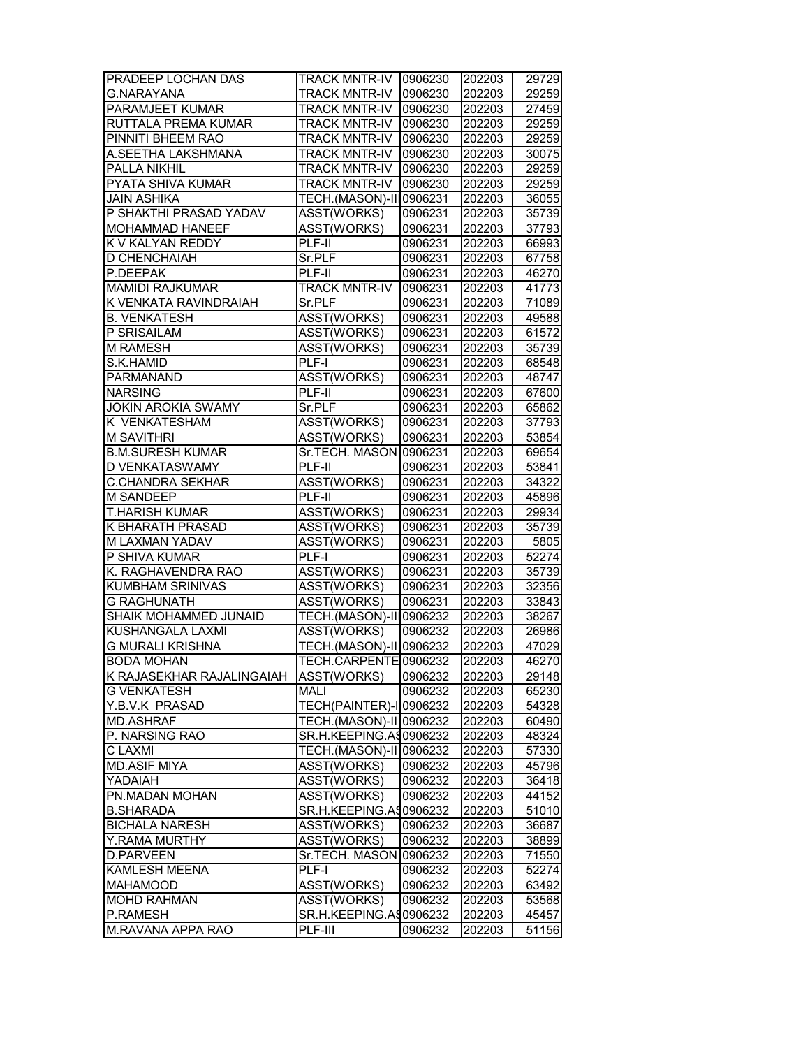| PRADEEP LOCHAN DAS        | <b>TRACK MNTR-IV   0906230</b> |         | 202203 | 29729 |
|---------------------------|--------------------------------|---------|--------|-------|
| <b>G.NARAYANA</b>         | <b>TRACK MNTR-IV</b>           | 0906230 | 202203 | 29259 |
| PARAMJEET KUMAR           | <b>TRACK MNTR-IV</b>           | 0906230 | 202203 | 27459 |
| RUTTALA PREMA KUMAR       | <b>TRACK MNTR-IV</b>           | 0906230 | 202203 | 29259 |
| PINNITI BHEEM RAO         | <b>TRACK MNTR-IV</b>           | 0906230 | 202203 | 29259 |
| A.SEETHA LAKSHMANA        | <b>TRACK MNTR-IV</b>           | 0906230 | 202203 | 30075 |
| PALLA NIKHIL              | TRACK MNTR-IV                  | 0906230 | 202203 | 29259 |
| PYATA SHIVA KUMAR         | <b>TRACK MNTR-IV</b>           | 0906230 | 202203 | 29259 |
| <b>JAIN ASHIKA</b>        | TECH.(MASON)-III0906231        |         | 202203 | 36055 |
| P SHAKTHI PRASAD YADAV    | ASST(WORKS)                    | 0906231 | 202203 | 35739 |
| <b>MOHAMMAD HANEEF</b>    | <b>ASST(WORKS)</b>             | 0906231 | 202203 | 37793 |
| K V KALYAN REDDY          | PLF-II                         | 0906231 | 202203 | 66993 |
| D CHENCHAIAH              | Sr.PLF                         | 0906231 | 202203 | 67758 |
| P.DEEPAK                  | PLF-II                         | 0906231 | 202203 | 46270 |
| <b>MAMIDI RAJKUMAR</b>    | <b>TRACK MNTR-IV</b>           | 0906231 | 202203 | 41773 |
| K VENKATA RAVINDRAIAH     | Sr.PLF                         | 0906231 | 202203 | 71089 |
| <b>B. VENKATESH</b>       | ASST(WORKS)                    | 0906231 | 202203 | 49588 |
| P SRISAILAM               | ASST(WORKS)                    | 0906231 | 202203 | 61572 |
| <b>M RAMESH</b>           | ASST(WORKS)                    | 0906231 | 202203 | 35739 |
| S.K.HAMID                 | PLF-I                          | 0906231 | 202203 | 68548 |
| PARMANAND                 | ASST(WORKS)                    | 0906231 | 202203 | 48747 |
| <b>NARSING</b>            | PLF-II                         | 0906231 | 202203 | 67600 |
| <b>JOKIN AROKIA SWAMY</b> | Sr.PLF                         | 0906231 | 202203 | 65862 |
| K VENKATESHAM             | ASST(WORKS)                    | 0906231 | 202203 | 37793 |
| <b>M SAVITHRI</b>         | ASST(WORKS)                    | 0906231 | 202203 | 53854 |
| <b>B.M.SURESH KUMAR</b>   | Sr.TECH. MASON 0906231         |         | 202203 | 69654 |
| D VENKATASWAMY            | PLF-II                         | 0906231 | 202203 | 53841 |
| <b>C.CHANDRA SEKHAR</b>   | ASST(WORKS)                    | 0906231 | 202203 | 34322 |
| M SANDEEP                 | PLF-II                         | 0906231 | 202203 | 45896 |
| <b>T.HARISH KUMAR</b>     | ASST(WORKS)                    | 0906231 | 202203 | 29934 |
| K BHARATH PRASAD          | ASST(WORKS)                    | 0906231 | 202203 | 35739 |
| M LAXMAN YADAV            | ASST(WORKS)                    | 0906231 | 202203 | 5805  |
| P SHIVA KUMAR             | PLF-I                          | 0906231 | 202203 | 52274 |
| K. RAGHAVENDRA RAO        | ASST(WORKS)                    | 0906231 | 202203 | 35739 |
| KUMBHAM SRINIVAS          | ASST(WORKS)                    | 0906231 | 202203 | 32356 |
| <b>G RAGHUNATH</b>        | ASST(WORKS)                    | 0906231 | 202203 | 33843 |
| SHAIK MOHAMMED JUNAID     | TECH.(MASON)-III0906232        |         | 202203 | 38267 |
| KUSHANGALA LAXMI          | ASST(WORKS)                    | 0906232 | 202203 | 26986 |
| <b>G MURALI KRISHNA</b>   | TECH.(MASON)-II 0906232        |         | 202203 | 47029 |
| <b>BODA MOHAN</b>         | TECH.CARPENTE 0906232          |         | 202203 | 46270 |
| K RAJASEKHAR RAJALINGAIAH | ASST(WORKS)                    | 0906232 | 202203 | 29148 |
| <b>G VENKATESH</b>        | MALI                           | 0906232 | 202203 | 65230 |
| Y.B.V.K PRASAD            | TECH(PAINTER)-I 0906232        |         | 202203 | 54328 |
| <b>MD.ASHRAF</b>          | TECH.(MASON)-II 0906232        |         | 202203 | 60490 |
| P. NARSING RAO            | SR.H.KEEPING.A90906232         |         | 202203 | 48324 |
| <b>CLAXMI</b>             | TECH.(MASON)-II 0906232        |         | 202203 | 57330 |
| <b>MD.ASIF MIYA</b>       | <b>ASST(WORKS)</b>             | 0906232 | 202203 | 45796 |
| YADAIAH                   | ASST(WORKS)                    | 0906232 | 202203 | 36418 |
| PN.MADAN MOHAN            | ASST(WORKS)                    | 0906232 | 202203 | 44152 |
| <b>B.SHARADA</b>          | SR.H.KEEPING.A\$0906232        |         | 202203 | 51010 |
| <b>BICHALA NARESH</b>     | ASST(WORKS)                    | 0906232 | 202203 | 36687 |
| Y.RAMA MURTHY             | ASST(WORKS)                    | 0906232 | 202203 | 38899 |
| <b>D.PARVEEN</b>          | Sr.TECH. MASON 0906232         |         | 202203 | 71550 |
| KAMLESH MEENA             | PLF-I                          | 0906232 | 202203 | 52274 |
| <b>MAHAMOOD</b>           | ASST(WORKS)                    | 0906232 | 202203 | 63492 |
| <b>MOHD RAHMAN</b>        | ASST(WORKS)                    | 0906232 | 202203 | 53568 |
| P.RAMESH                  | SR.H.KEEPING.A90906232         |         | 202203 | 45457 |
| M.RAVANA APPA RAO         | PLF-III                        | 0906232 | 202203 | 51156 |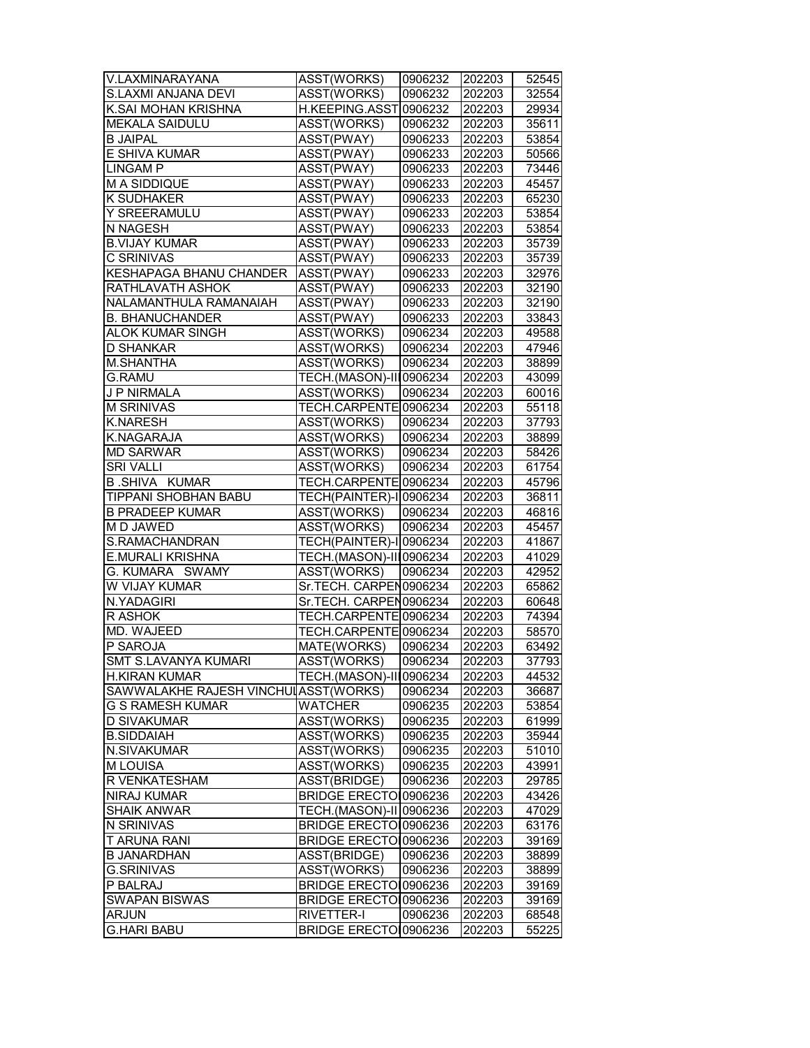| V.LAXMINARAYANA                       | ASST(WORKS)             | 0906232 | 202203 | 52545 |
|---------------------------------------|-------------------------|---------|--------|-------|
| S.LAXMI ANJANA DEVI                   | ASST(WORKS)             | 0906232 | 202203 | 32554 |
| K.SAI MOHAN KRISHNA                   | H.KEEPING.ASST0906232   |         | 202203 | 29934 |
| <b>MEKALA SAIDULU</b>                 | ASST(WORKS)             | 0906232 | 202203 | 35611 |
| <b>B JAIPAL</b>                       | ASST(PWAY)              | 0906233 | 202203 | 53854 |
| E SHIVA KUMAR                         | ASST(PWAY)              | 0906233 | 202203 | 50566 |
| <b>LINGAM P</b>                       | ASST(PWAY)              | 0906233 | 202203 | 73446 |
| M A SIDDIQUE                          | ASST(PWAY)              | 0906233 | 202203 | 45457 |
| K SUDHAKER                            | ASST(PWAY)              | 0906233 | 202203 | 65230 |
| Y SREERAMULU                          | ASST(PWAY)              | 0906233 | 202203 | 53854 |
| N NAGESH                              | ASST(PWAY)              | 0906233 | 202203 | 53854 |
| <b>B.VIJAY KUMAR</b>                  | ASST(PWAY)              | 0906233 | 202203 | 35739 |
| C SRINIVAS                            | ASST(PWAY)              | 0906233 | 202203 | 35739 |
| KESHAPAGA BHANU CHANDER               | ASST(PWAY)              | 0906233 | 202203 | 32976 |
| RATHLAVATH ASHOK                      | ASST(PWAY)              | 0906233 | 202203 | 32190 |
| NALAMANTHULA RAMANAIAH                | ASST(PWAY)              | 0906233 | 202203 | 32190 |
| <b>B. BHANUCHANDER</b>                | ASST(PWAY)              | 0906233 | 202203 | 33843 |
| ALOK KUMAR SINGH                      | ASST(WORKS)             | 0906234 | 202203 | 49588 |
| D SHANKAR                             | ASST(WORKS)             | 0906234 | 202203 | 47946 |
| <b>M.SHANTHA</b>                      | ASST(WORKS)             | 0906234 | 202203 | 38899 |
| <b>G.RAMU</b>                         | TECH.(MASON)-III0906234 |         | 202203 | 43099 |
| <b>JP NIRMALA</b>                     | ASST(WORKS)             | 0906234 | 202203 | 60016 |
| <b>M SRINIVAS</b>                     | TECH.CARPENTE0906234    |         | 202203 | 55118 |
| <b>K.NARESH</b>                       | ASST(WORKS)             | 0906234 | 202203 | 37793 |
| <b>K.NAGARAJA</b>                     | ASST(WORKS)             | 0906234 | 202203 | 38899 |
| <b>MD SARWAR</b>                      | ASST(WORKS)             | 0906234 | 202203 | 58426 |
| <b>SRI VALLI</b>                      | ASST(WORKS)             | 0906234 | 202203 | 61754 |
| <b>B.SHIVA KUMAR</b>                  | TECH.CARPENTE 0906234   |         |        |       |
|                                       |                         |         | 202203 | 45796 |
| TIPPANI SHOBHAN BABU                  | TECH(PAINTER)-I 0906234 |         | 202203 | 36811 |
| <b>B PRADEEP KUMAR</b>                | ASST(WORKS)             | 0906234 | 202203 | 46816 |
| M D JAWED                             | ASST(WORKS)             | 0906234 | 202203 | 45457 |
| S.RAMACHANDRAN                        | TECH(PAINTER)-II0906234 |         | 202203 | 41867 |
| E.MURALI KRISHNA                      | TECH.(MASON)-III0906234 |         | 202203 | 41029 |
| G. KUMARA SWAMY                       | ASST(WORKS)             | 0906234 | 202203 | 42952 |
| W VIJAY KUMAR                         | Sr.TECH. CARPEN0906234  |         | 202203 | 65862 |
| N.YADAGIRI                            | Sr.TECH. CARPEN0906234  |         | 202203 | 60648 |
| R ASHOK                               | TECH.CARPENTE 0906234   |         | 202203 | 74394 |
| MD. WAJEED                            | TECH.CARPENTE0906234    |         | 202203 | 58570 |
| P SAROJA                              | MATE(WORKS)             | 0906234 | 202203 | 63492 |
| <b>SMT S.LAVANYA KUMARI</b>           | ASST(WORKS)             | 0906234 | 202203 | 37793 |
| <b>H.KIRAN KUMAR</b>                  | TECH.(MASON)-III0906234 |         | 202203 | 44532 |
| SAWWALAKHE RAJESH VINCHUI ASST(WORKS) |                         | 0906234 | 202203 | 36687 |
| <b>G S RAMESH KUMAR</b>               | <b>WATCHER</b>          | 0906235 | 202203 | 53854 |
| <b>D SIVAKUMAR</b>                    | ASST(WORKS)             | 0906235 | 202203 | 61999 |
| <b>B.SIDDAIAH</b>                     | ASST(WORKS)             | 0906235 | 202203 | 35944 |
| <b>N.SIVAKUMAR</b>                    | <b>ASST(WORKS)</b>      | 0906235 | 202203 | 51010 |
| M LOUISA                              | ASST(WORKS)             | 0906235 | 202203 | 43991 |
| R VENKATESHAM                         | ASST(BRIDGE)            | 0906236 | 202203 | 29785 |
| <b>NIRAJ KUMAR</b>                    | BRIDGE ERECTOI0906236   |         | 202203 | 43426 |
| <b>SHAIK ANWAR</b>                    | TECH.(MASON)-II 0906236 |         | 202203 | 47029 |
| N SRINIVAS                            | BRIDGE ERECTO 0906236   |         | 202203 | 63176 |
| T ARUNA RANI                          | BRIDGE ERECTOI0906236   |         | 202203 | 39169 |
| <b>B JANARDHAN</b>                    | ASST(BRIDGE)            | 0906236 | 202203 | 38899 |
| <b>G.SRINIVAS</b>                     | ASST(WORKS)             | 0906236 | 202203 | 38899 |
| P BALRAJ                              | BRIDGE ERECTO 0906236   |         | 202203 | 39169 |
| <b>SWAPAN BISWAS</b>                  | BRIDGE ERECTOI0906236   |         | 202203 | 39169 |
| <b>ARJUN</b>                          | RIVETTER-I              | 0906236 | 202203 | 68548 |
| <b>G.HARI BABU</b>                    | BRIDGE ERECTO 0906236   |         | 202203 | 55225 |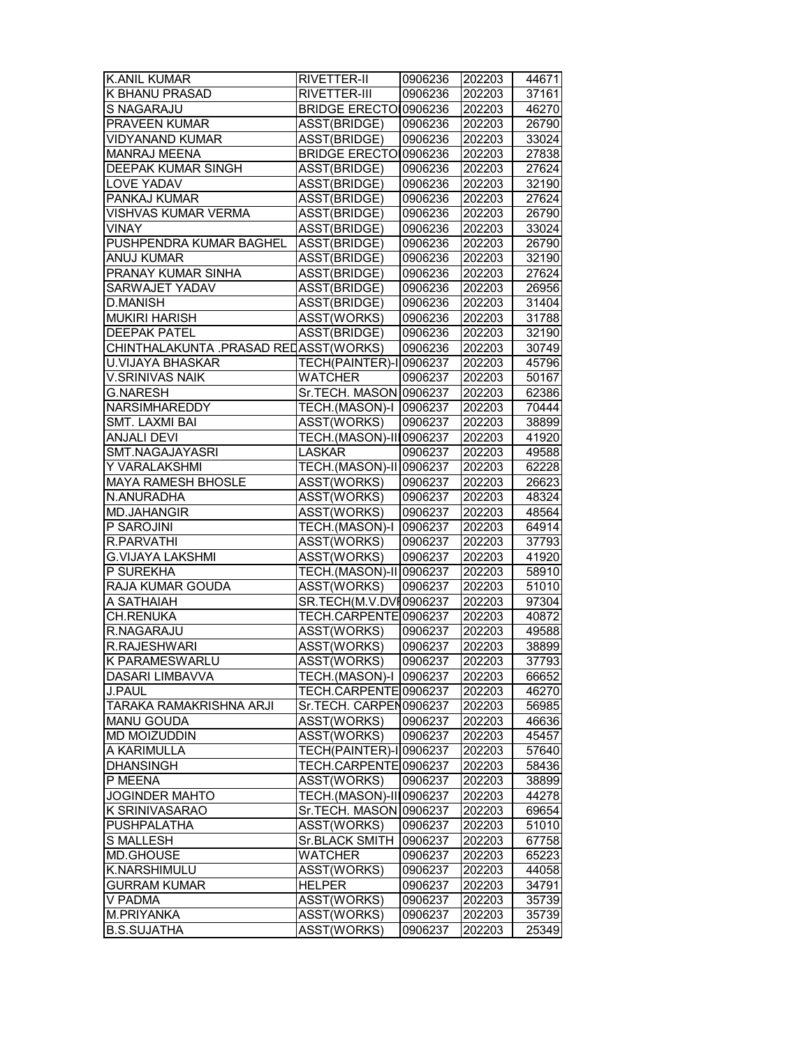| <b>K.ANIL KUMAR</b>                   | RIVETTER-II             | 0906236 | 202203 | 44671 |
|---------------------------------------|-------------------------|---------|--------|-------|
| K BHANU PRASAD                        | RIVETTER-III            | 0906236 | 202203 | 37161 |
| S NAGARAJU                            | BRIDGE ERECTO 0906236   |         | 202203 | 46270 |
| PRAVEEN KUMAR                         | ASST(BRIDGE)            | 0906236 | 202203 | 26790 |
| <b>VIDYANAND KUMAR</b>                | ASST(BRIDGE)            | 0906236 | 202203 | 33024 |
| <b>MANRAJ MEENA</b>                   | BRIDGE ERECTO 0906236   |         | 202203 | 27838 |
| <b>DEEPAK KUMAR SINGH</b>             | ASST(BRIDGE)            | 0906236 | 202203 | 27624 |
| <b>LOVE YADAV</b>                     | ASST(BRIDGE)            | 0906236 | 202203 | 32190 |
| PANKAJ KUMAR                          | ASST(BRIDGE)            | 0906236 | 202203 | 27624 |
| VISHVAS KUMAR VERMA                   | ASST(BRIDGE)            | 0906236 | 202203 | 26790 |
| VINAY                                 | ASST(BRIDGE)            | 0906236 | 202203 | 33024 |
| PUSHPENDRA KUMAR BAGHEL               | ASST(BRIDGE)            | 0906236 | 202203 | 26790 |
| ANUJ KUMAR                            | ASST(BRIDGE)            | 0906236 | 202203 | 32190 |
| PRANAY KUMAR SINHA                    | ASST(BRIDGE)            | 0906236 | 202203 | 27624 |
| <b>SARWAJET YADAV</b>                 | ASST(BRIDGE)            | 0906236 | 202203 | 26956 |
| <b>D.MANISH</b>                       | ASST(BRIDGE)            | 0906236 | 202203 | 31404 |
| <b>MUKIRI HARISH</b>                  | ASST(WORKS)             | 0906236 | 202203 | 31788 |
| <b>DEEPAK PATEL</b>                   | ASST(BRIDGE)            | 0906236 | 202203 | 32190 |
| CHINTHALAKUNTA .PRASAD RELASST(WORKS) |                         | 0906236 | 202203 | 30749 |
| <b>U.VIJAYA BHASKAR</b>               | TECH(PAINTER)-I 0906237 |         | 202203 | 45796 |
| <b>V.SRINIVAS NAIK</b>                | <b>WATCHER</b>          | 0906237 | 202203 | 50167 |
| <b>G.NARESH</b>                       | Sr.TECH. MASON 0906237  |         | 202203 | 62386 |
| NARSIMHAREDDY                         | TECH.(MASON)-I 0906237  |         | 202203 | 70444 |
| SMT. LAXMI BAI                        | ASST(WORKS)             | 0906237 | 202203 | 38899 |
| <b>ANJALI DEVI</b>                    | TECH.(MASON)-III0906237 |         | 202203 | 41920 |
| SMT.NAGAJAYASRI                       | <b>LASKAR</b>           | 0906237 | 202203 | 49588 |
| Y VARALAKSHMI                         | TECH.(MASON)-II 0906237 |         | 202203 | 62228 |
| <b>MAYA RAMESH BHOSLE</b>             | ASST(WORKS)             | 0906237 | 202203 | 26623 |
| N.ANURADHA                            | ASST(WORKS)             | 0906237 | 202203 | 48324 |
| <b>MD.JAHANGIR</b>                    | ASST(WORKS)             | 0906237 | 202203 | 48564 |
| P SAROJINI                            | TECH.(MASON)-I          | 0906237 | 202203 | 64914 |
| R.PARVATHI                            | ASST(WORKS)             | 0906237 | 202203 | 37793 |
| G.VIJAYA LAKSHMI                      | ASST(WORKS)             | 0906237 | 202203 | 41920 |
| P SUREKHA                             | TECH.(MASON)-II 0906237 |         | 202203 | 58910 |
| RAJA KUMAR GOUDA                      | ASST(WORKS)             | 0906237 | 202203 | 51010 |
| A SATHAIAH                            | SR.TECH(M.V.DVI0906237  |         | 202203 | 97304 |
| <b>CH.RENUKA</b>                      | TECH.CARPENTE 0906237   |         | 202203 | 40872 |
| R.NAGARAJU                            | <b>ASST(WORKS)</b>      | 0906237 | 202203 | 49588 |
| R.RAJESHWARI                          | <b>ASST(WORKS)</b>      | 0906237 | 202203 | 38899 |
| K PARAMESWARLU                        | <b>ASST(WORKS)</b>      | 0906237 | 202203 | 37793 |
|                                       |                         |         |        |       |
| DASARI LIMBAVVA                       | TECH.(MASON)-I 0906237  |         | 202203 | 66652 |
| J.PAUL                                | TECH.CARPENTE 0906237   |         | 202203 | 46270 |
| TARAKA RAMAKRISHNA ARJI               | Sr.TECH. CARPEN0906237  |         | 202203 | 56985 |
| <b>MANU GOUDA</b>                     | ASST(WORKS)             | 0906237 | 202203 | 46636 |
| MD MOIZUDDIN                          | ASST(WORKS)             | 0906237 | 202203 | 45457 |
| A KARIMULLA                           | TECH(PAINTER)-I 0906237 |         | 202203 | 57640 |
| <b>DHANSINGH</b>                      | TECH.CARPENTE 0906237   |         | 202203 | 58436 |
| P MEENA                               | ASST(WORKS)             | 0906237 | 202203 | 38899 |
| <b>JOGINDER MAHTO</b>                 | TECH.(MASON)-III0906237 |         | 202203 | 44278 |
| K SRINIVASARAO                        | Sr.TECH. MASON 0906237  |         | 202203 | 69654 |
| <b>PUSHPALATHA</b>                    | ASST(WORKS)             | 0906237 | 202203 | 51010 |
| <b>S MALLESH</b>                      | Sr.BLACK SMITH          | 0906237 | 202203 | 67758 |
| MD.GHOUSE                             | <b>WATCHER</b>          | 0906237 | 202203 | 65223 |
| K.NARSHIMULU                          | ASST(WORKS)             | 0906237 | 202203 | 44058 |
| <b>GURRAM KUMAR</b>                   | <b>HELPER</b>           | 0906237 | 202203 | 34791 |
| V PADMA                               | ASST(WORKS)             | 0906237 | 202203 | 35739 |
| M.PRIYANKA                            | ASST(WORKS)             | 0906237 | 202203 | 35739 |
| <b>B.S.SUJATHA</b>                    | ASST(WORKS)             | 0906237 | 202203 | 25349 |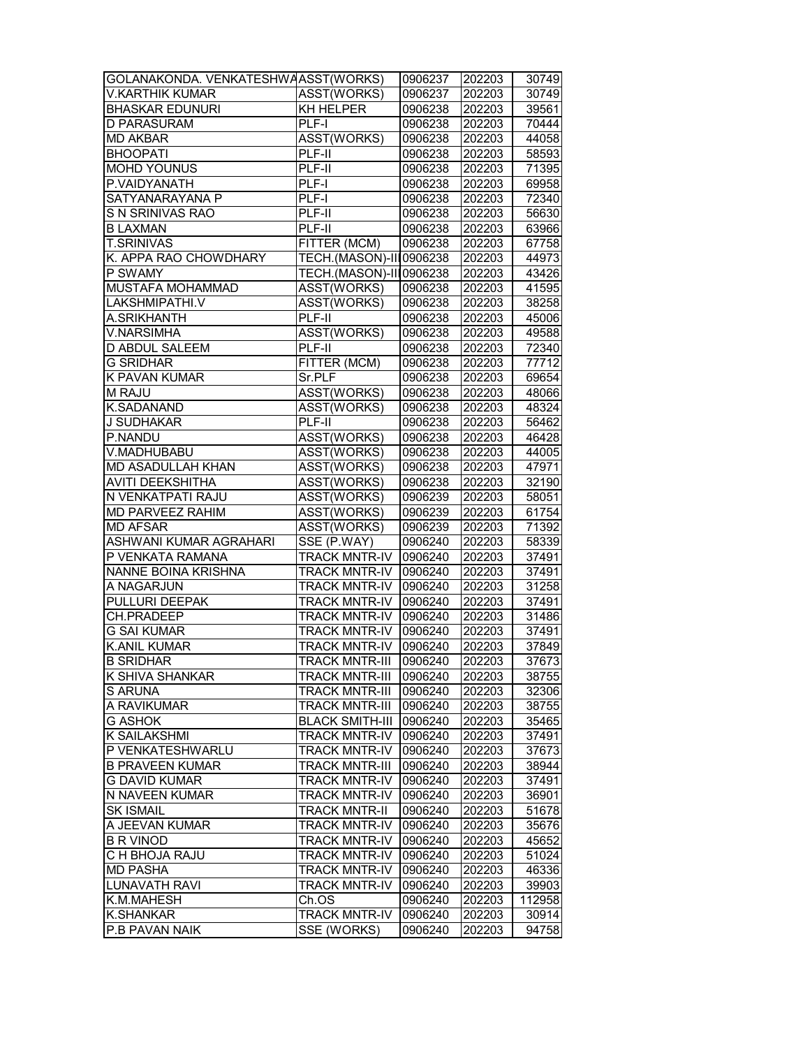| GOLANAKONDA. VENKATESHWAASST(WORKS) |                              | 0906237 | 202203 | 30749  |
|-------------------------------------|------------------------------|---------|--------|--------|
| V.KARTHIK KUMAR                     | ASST(WORKS)                  | 0906237 | 202203 | 30749  |
| <b>BHASKAR EDUNURI</b>              | KH HELPER                    | 0906238 | 202203 | 39561  |
| D PARASURAM                         | PLF-I                        | 0906238 | 202203 | 70444  |
| <b>MD AKBAR</b>                     | ASST(WORKS)                  | 0906238 | 202203 | 44058  |
| <b>BHOOPATI</b>                     | PLF-II                       | 0906238 | 202203 | 58593  |
| <b>MOHD YOUNUS</b>                  | PLF-II                       | 0906238 | 202203 | 71395  |
| P.VAIDYANATH                        | $PLF-I$                      | 0906238 | 202203 | 69958  |
| SATYANARAYANA P                     | PLF-I                        | 0906238 | 202203 | 72340  |
| S N SRINIVAS RAO                    | $PLF-II$                     | 0906238 | 202203 | 56630  |
| <b>B LAXMAN</b>                     | PLF-II                       | 0906238 | 202203 | 63966  |
| <b>T.SRINIVAS</b>                   | FITTER (MCM)                 | 0906238 | 202203 | 67758  |
| K. APPA RAO CHOWDHARY               | TECH.(MASON)-III0906238      |         | 202203 | 44973  |
| P SWAMY                             | TECH.(MASON)-III0906238      |         | 202203 | 43426  |
| MUSTAFA MOHAMMAD                    | ASST(WORKS)                  | 0906238 | 202203 | 41595  |
| LAKSHMIPATHI.V                      | ASST(WORKS)                  | 0906238 | 202203 | 38258  |
| A.SRIKHANTH                         | PLF-II                       | 0906238 | 202203 | 45006  |
| <b>V.NARSIMHA</b>                   | ASST(WORKS)                  | 0906238 | 202203 | 49588  |
| D ABDUL SALEEM                      | PLF-II                       | 0906238 | 202203 | 72340  |
| <b>G SRIDHAR</b>                    | FITTER (MCM)                 | 0906238 | 202203 | 77712  |
| K PAVAN KUMAR                       | Sr.PLF                       | 0906238 | 202203 | 69654  |
| M RAJU                              | ASST(WORKS)                  | 0906238 | 202203 | 48066  |
| <b>K.SADANAND</b>                   | ASST(WORKS)                  | 0906238 | 202203 | 48324  |
| <b>J SUDHAKAR</b>                   | PLF-II                       | 0906238 | 202203 | 56462  |
| P.NANDU                             | ASST(WORKS)                  | 0906238 | 202203 | 46428  |
| V.MADHUBABU                         | ASST(WORKS)                  | 0906238 | 202203 | 44005  |
| MD ASADULLAH KHAN                   | ASST(WORKS)                  | 0906238 | 202203 | 47971  |
| AVITI DEEKSHITHA                    | ASST(WORKS)                  | 0906238 | 202203 | 32190  |
| N VENKATPATI RAJU                   | ASST(WORKS)                  | 0906239 | 202203 | 58051  |
| MD PARVEEZ RAHIM                    | ASST(WORKS)                  | 0906239 | 202203 | 61754  |
| <b>MD AFSAR</b>                     | ASST(WORKS)                  | 0906239 | 202203 | 71392  |
| ASHWANI KUMAR AGRAHARI              | SSE (P.WAY)                  | 0906240 | 202203 | 58339  |
| P VENKATA RAMANA                    | <b>TRACK MNTR-IV</b>         | 0906240 | 202203 | 37491  |
| NANNE BOINA KRISHNA                 | <b>TRACK MNTR-IV</b>         | 0906240 | 202203 | 37491  |
| A NAGARJUN                          | <b>TRACK MNTR-IV 0906240</b> |         | 202203 | 31258  |
| PULLURI DEEPAK                      | <b>TRACK MNTR-IV</b>         | 0906240 | 202203 | 37491  |
| <b>CH.PRADEEP</b>                   | <b>TRACK MNTR-IV</b>         | 0906240 | 202203 | 31486  |
| <b>G SAI KUMAR</b>                  | <b>TRACK MNTR-IV</b>         | 0906240 | 202203 | 37491  |
| <b>K.ANIL KUMAR</b>                 | <b>TRACK MNTR-IV</b>         | 0906240 | 202203 | 37849  |
| <b>B SRIDHAR</b>                    | TRACK MNTR-III 0906240       |         | 202203 | 37673  |
| K SHIVA SHANKAR                     | <b>TRACK MNTR-III</b>        | 0906240 | 202203 | 38755  |
| S ARUNA                             | <b>TRACK MNTR-III</b>        | 0906240 | 202203 | 32306  |
| A RAVIKUMAR                         | <b>TRACK MNTR-III</b>        | 0906240 | 202203 | 38755  |
| <b>G ASHOK</b>                      | <b>BLACK SMITH-III</b>       | 0906240 | 202203 | 35465  |
| K SAILAKSHMI                        | <b>TRACK MNTR-IV</b>         | 0906240 | 202203 | 37491  |
| P VENKATESHWARLU                    | <b>TRACK MNTR-IV</b>         | 0906240 | 202203 | 37673  |
| <b>B PRAVEEN KUMAR</b>              | <b>TRACK MNTR-III</b>        | 0906240 | 202203 | 38944  |
| <b>G DAVID KUMAR</b>                | <b>TRACK MNTR-IV</b>         | 0906240 | 202203 | 37491  |
| N NAVEEN KUMAR                      | TRACK MNTR-IV                | 0906240 | 202203 | 36901  |
| <b>SK ISMAIL</b>                    | <b>TRACK MNTR-II</b>         | 0906240 | 202203 | 51678  |
| A JEEVAN KUMAR                      | <b>TRACK MNTR-IV</b>         | 0906240 | 202203 | 35676  |
| <b>B R VINOD</b>                    | <b>TRACK MNTR-IV</b>         | 0906240 | 202203 | 45652  |
| C H BHOJA RAJU                      | <b>TRACK MNTR-IV</b>         | 0906240 | 202203 | 51024  |
| <b>MD PASHA</b>                     | <b>TRACK MNTR-IV</b>         | 0906240 | 202203 | 46336  |
| <b>LUNAVATH RAVI</b>                | <b>TRACK MNTR-IV</b>         | 0906240 | 202203 | 39903  |
| K.M.MAHESH                          | Ch.OS                        | 0906240 | 202203 | 112958 |
| <b>K.SHANKAR</b>                    | <b>TRACK MNTR-IV</b>         | 0906240 | 202203 | 30914  |
| P.B PAVAN NAIK                      | SSE (WORKS)                  | 0906240 | 202203 | 94758  |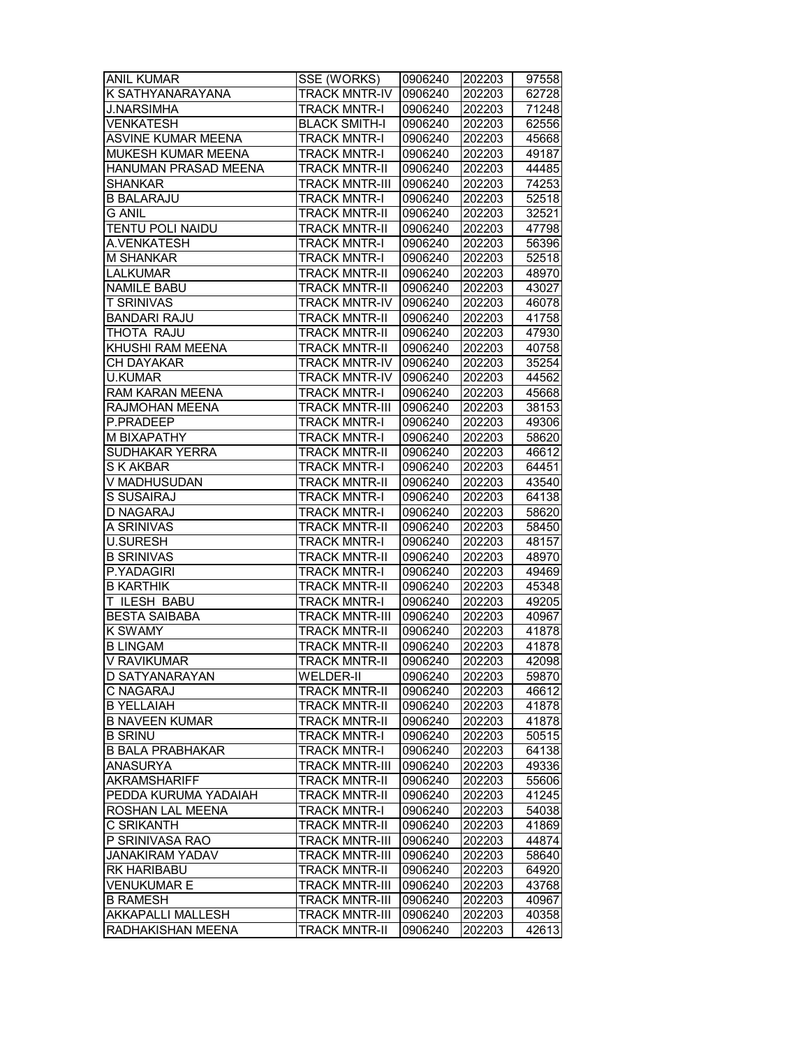| <b>ANIL KUMAR</b>        | SSE (WORKS)           | 0906240 | 202203 | 97558 |
|--------------------------|-----------------------|---------|--------|-------|
| K SATHYANARAYANA         | <b>TRACK MNTR-IV</b>  | 0906240 | 202203 | 62728 |
| <b>J.NARSIMHA</b>        | <b>TRACK MNTR-I</b>   | 0906240 | 202203 | 71248 |
| <b>VENKATESH</b>         | <b>BLACK SMITH-I</b>  | 0906240 | 202203 | 62556 |
| ASVINE KUMAR MEENA       | <b>TRACK MNTR-I</b>   | 0906240 | 202203 | 45668 |
| MUKESH KUMAR MEENA       | <b>TRACK MNTR-I</b>   | 0906240 | 202203 | 49187 |
| HANUMAN PRASAD MEENA     | <b>TRACK MNTR-II</b>  | 0906240 | 202203 | 44485 |
| <b>SHANKAR</b>           | <b>TRACK MNTR-III</b> | 0906240 | 202203 | 74253 |
| <b>B BALARAJU</b>        | <b>TRACK MNTR-I</b>   | 0906240 | 202203 | 52518 |
| G ANIL                   | <b>TRACK MNTR-II</b>  | 0906240 | 202203 | 32521 |
| <b>TENTU POLI NAIDU</b>  | <b>TRACK MNTR-II</b>  | 0906240 | 202203 | 47798 |
| A.VENKATESH              | <b>TRACK MNTR-I</b>   | 0906240 | 202203 | 56396 |
| <b>M SHANKAR</b>         | <b>TRACK MNTR-I</b>   | 0906240 | 202203 | 52518 |
| <b>LALKUMAR</b>          | <b>TRACK MNTR-II</b>  | 0906240 | 202203 | 48970 |
| <b>NAMILE BABU</b>       | <b>TRACK MNTR-II</b>  | 0906240 | 202203 | 43027 |
| <b>T SRINIVAS</b>        | <b>TRACK MNTR-IV</b>  | 0906240 | 202203 | 46078 |
| <b>BANDARI RAJU</b>      | <b>TRACK MNTR-II</b>  | 0906240 | 202203 | 41758 |
| THOTA RAJU               | <b>TRACK MNTR-II</b>  | 0906240 | 202203 | 47930 |
| KHUSHI RAM MEENA         | <b>TRACK MNTR-II</b>  | 0906240 | 202203 | 40758 |
| <b>CH DAYAKAR</b>        | <b>TRACK MNTR-IV</b>  | 0906240 | 202203 | 35254 |
| <b>U.KUMAR</b>           | <b>TRACK MNTR-IV</b>  | 0906240 | 202203 | 44562 |
| <b>RAM KARAN MEENA</b>   | <b>TRACK MNTR-I</b>   | 0906240 | 202203 | 45668 |
| RAJMOHAN MEENA           | <b>TRACK MNTR-III</b> | 0906240 | 202203 | 38153 |
| P.PRADEEP                | <b>TRACK MNTR-I</b>   | 0906240 | 202203 | 49306 |
| M BIXAPATHY              | <b>TRACK MNTR-I</b>   | 0906240 | 202203 | 58620 |
| SUDHAKAR YERRA           | <b>TRACK MNTR-II</b>  | 0906240 | 202203 | 46612 |
| S K AKBAR                | <b>TRACK MNTR-I</b>   | 0906240 | 202203 | 64451 |
| V MADHUSUDAN             | <b>TRACK MNTR-II</b>  | 0906240 | 202203 | 43540 |
| S SUSAIRAJ               | <b>TRACK MNTR-I</b>   | 0906240 | 202203 | 64138 |
| <b>D NAGARAJ</b>         | <b>TRACK MNTR-I</b>   | 0906240 | 202203 | 58620 |
| A SRINIVAS               | <b>TRACK MNTR-II</b>  | 0906240 | 202203 | 58450 |
| <b>U.SURESH</b>          | <b>TRACK MNTR-I</b>   | 0906240 | 202203 | 48157 |
| <b>B SRINIVAS</b>        | <b>TRACK MNTR-II</b>  | 0906240 | 202203 | 48970 |
| P.YADAGIRI               | <b>TRACK MNTR-I</b>   | 0906240 | 202203 | 49469 |
| <b>B KARTHIK</b>         | <b>TRACK MNTR-II</b>  | 0906240 | 202203 | 45348 |
| T ILESH BABU             | <b>TRACK MNTR-I</b>   | 0906240 | 202203 | 49205 |
| <b>BESTA SAIBABA</b>     | <b>TRACK MNTR-III</b> | 0906240 | 202203 | 40967 |
| <b>K SWAMY</b>           | <b>TRACK MNTR-II</b>  | 0906240 | 202203 | 41878 |
| <b>B LINGAM</b>          | <b>TRACK MNTR-II</b>  | 0906240 | 202203 | 41878 |
| <b>V RAVIKUMAR</b>       | <b>TRACK MNTR-II</b>  | 0906240 | 202203 | 42098 |
| D SATYANARAYAN           | WELDER-II             | 0906240 | 202203 | 59870 |
| C NAGARAJ                | <b>TRACK MNTR-II</b>  | 0906240 | 202203 | 46612 |
| <b>B YELLAIAH</b>        | <b>TRACK MNTR-II</b>  | 0906240 | 202203 | 41878 |
| <b>B NAVEEN KUMAR</b>    | <b>TRACK MNTR-II</b>  | 0906240 | 202203 | 41878 |
| <b>B SRINU</b>           | <b>TRACK MNTR-I</b>   | 0906240 | 202203 | 50515 |
| <b>B BALA PRABHAKAR</b>  | <b>TRACK MNTR-I</b>   | 0906240 | 202203 | 64138 |
| <b>ANASURYA</b>          | <b>TRACK MNTR-III</b> | 0906240 | 202203 | 49336 |
| <b>AKRAMSHARIFF</b>      | <b>TRACK MNTR-II</b>  | 0906240 | 202203 | 55606 |
| PEDDA KURUMA YADAIAH     | <b>TRACK MNTR-II</b>  | 0906240 | 202203 | 41245 |
| ROSHAN LAL MEENA         | <b>TRACK MNTR-I</b>   | 0906240 | 202203 | 54038 |
| C SRIKANTH               | <b>TRACK MNTR-II</b>  | 0906240 | 202203 | 41869 |
| P SRINIVASA RAO          | <b>TRACK MNTR-III</b> | 0906240 | 202203 | 44874 |
| <b>JANAKIRAM YADAV</b>   | <b>TRACK MNTR-III</b> | 0906240 | 202203 | 58640 |
| <b>RK HARIBABU</b>       | <b>TRACK MNTR-II</b>  | 0906240 | 202203 | 64920 |
| VENUKUMAR E              | <b>TRACK MNTR-III</b> | 0906240 | 202203 | 43768 |
| <b>B RAMESH</b>          | <b>TRACK MNTR-III</b> | 0906240 | 202203 | 40967 |
| <b>AKKAPALLI MALLESH</b> | <b>TRACK MNTR-III</b> | 0906240 | 202203 | 40358 |
| RADHAKISHAN MEENA        | <b>TRACK MNTR-II</b>  | 0906240 | 202203 | 42613 |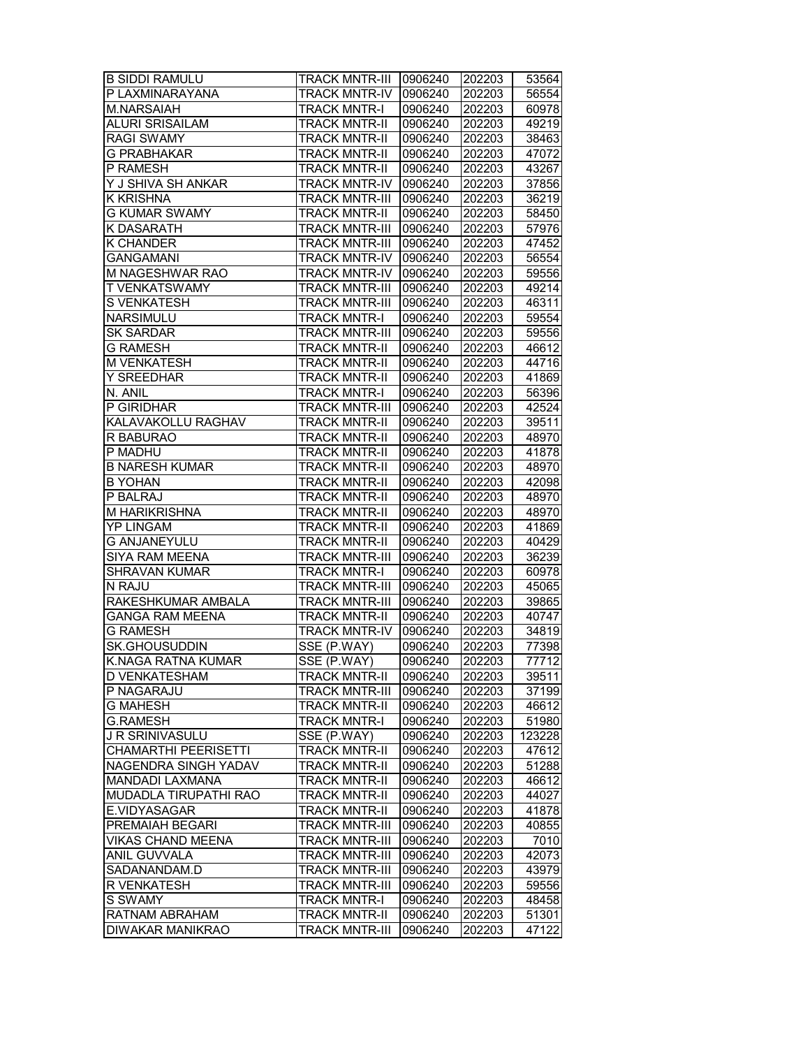| <b>B SIDDI RAMULU</b>       | TRACK MNTR-III   0906240 |                    | 202203           | 53564  |
|-----------------------------|--------------------------|--------------------|------------------|--------|
| P LAXMINARAYANA             | <b>TRACK MNTR-IV</b>     | 0906240            | 202203           | 56554  |
| M.NARSAIAH                  | <b>TRACK MNTR-I</b>      | 0906240            | 202203           | 60978  |
| <b>ALURI SRISAILAM</b>      | <b>TRACK MNTR-II</b>     | 0906240            | 202203           | 49219  |
| <b>RAGI SWAMY</b>           | <b>TRACK MNTR-II</b>     | 0906240            | 202203           | 38463  |
| <b>G PRABHAKAR</b>          | <b>TRACK MNTR-II</b>     | 0906240            | 202203           | 47072  |
| P RAMESH                    | <b>TRACK MNTR-II</b>     | 0906240            | 202203           | 43267  |
| Y J SHIVA SH ANKAR          | <b>TRACK MNTR-IV</b>     | 0906240            | 202203           | 37856  |
| <b>K KRISHNA</b>            | <b>TRACK MNTR-III</b>    | 0906240            | 202203           | 36219  |
| <b>G KUMAR SWAMY</b>        | <b>TRACK MNTR-II</b>     | 0906240            | 202203           | 58450  |
| K DASARATH                  | <b>TRACK MNTR-III</b>    | 0906240            | 202203           | 57976  |
| <b>K CHANDER</b>            | <b>TRACK MNTR-III</b>    | 0906240            | 202203           | 47452  |
| <b>GANGAMANI</b>            | <b>TRACK MNTR-IV</b>     | 0906240            | 202203           | 56554  |
| M NAGESHWAR RAO             | <b>TRACK MNTR-IV</b>     | 0906240            | 202203           | 59556  |
| T VENKATSWAMY               | <b>TRACK MNTR-III</b>    | 0906240            | 202203           | 49214  |
| <b>S VENKATESH</b>          | <b>TRACK MNTR-III</b>    | 0906240            | 202203           | 46311  |
| NARSIMULU                   | <b>TRACK MNTR-I</b>      | 0906240            | 202203           | 59554  |
| <b>SK SARDAR</b>            | <b>TRACK MNTR-III</b>    | 0906240            | 202203           | 59556  |
| <b>G RAMESH</b>             | <b>TRACK MNTR-II</b>     | 0906240            | 202203           | 46612  |
| <b>M VENKATESH</b>          | <b>TRACK MNTR-II</b>     | 0906240            | 202203           | 44716  |
| <b>Y SREEDHAR</b>           | <b>TRACK MNTR-II</b>     | 0906240            | 202203           | 41869  |
| N. ANIL                     | <b>TRACK MNTR-I</b>      | 0906240            | 202203           | 56396  |
| P GIRIDHAR                  | <b>TRACK MNTR-III</b>    | 0906240            | 202203           | 42524  |
| KALAVAKOLLU RAGHAV          | <b>TRACK MNTR-II</b>     | 0906240            | 202203           | 39511  |
| R BABURAO                   | <b>TRACK MNTR-II</b>     | 0906240            | 202203           | 48970  |
| P MADHU                     | <b>TRACK MNTR-II</b>     | 0906240            | 202203           | 41878  |
| <b>B NARESH KUMAR</b>       | <b>TRACK MNTR-II</b>     | 0906240            | 202203           | 48970  |
| <b>B YOHAN</b>              | <b>TRACK MNTR-II</b>     | 0906240            | 202203           | 42098  |
| P BALRAJ                    | <b>TRACK MNTR-II</b>     | 0906240            | 202203           | 48970  |
| M HARIKRISHNA               | <b>TRACK MNTR-II</b>     | 0906240            | 202203           | 48970  |
| <b>YP LINGAM</b>            | <b>TRACK MNTR-II</b>     | 0906240            | 202203           | 41869  |
| <b>G ANJANEYULU</b>         | <b>TRACK MNTR-II</b>     | 0906240            | 202203           | 40429  |
| <b>SIYA RAM MEENA</b>       | <b>TRACK MNTR-III</b>    | 0906240            | 202203           | 36239  |
| <b>SHRAVAN KUMAR</b>        | <b>TRACK MNTR-I</b>      | 0906240            | 202203           | 60978  |
| N RAJU                      | <b>TRACK MNTR-III</b>    | 0906240            | 202203           | 45065  |
| RAKESHKUMAR AMBALA          | <b>TRACK MNTR-III</b>    | 0906240            | 202203           | 39865  |
| <b>GANGA RAM MEENA</b>      | <b>TRACK MNTR-II</b>     | 0906240            | 202203           | 40747  |
| <b>G RAMESH</b>             | <b>TRACK MNTR-IV</b>     | 0906240            | 202203           | 34819  |
| <b>SK.GHOUSUDDIN</b>        | SSE (P.WAY)              | 0906240            | 202203           | 77398  |
| K.NAGA RATNA KUMAR          | SSE (P.WAY)              | 0906240            | 202203           | 77712  |
| D VENKATESHAM               | <b>TRACK MNTR-II</b>     | 0906240            | 202203           | 39511  |
| P NAGARAJU                  | <b>TRACK MNTR-III</b>    | 0906240            | 202203           | 37199  |
| <b>G MAHESH</b>             | <b>TRACK MNTR-II</b>     | 0906240            | 202203           | 46612  |
| <b>G.RAMESH</b>             | <b>TRACK MNTR-I</b>      | 0906240            | 202203           | 51980  |
| J R SRINIVASULU             | SSE (P.WAY)              | 0906240            | 202203           | 123228 |
| CHAMARTHI PEERISETTI        | <b>TRACK MNTR-II</b>     | 0906240            | 202203           | 47612  |
| <b>NAGENDRA SINGH YADAV</b> | <b>TRACK MNTR-II</b>     | 0906240            | 202203           | 51288  |
| MANDADI LAXMANA             | <b>TRACK MNTR-II</b>     | 0906240            | 202203           | 46612  |
| MUDADLA TIRUPATHI RAO       | <b>TRACK MNTR-II</b>     | 0906240            | 202203           | 44027  |
| E.VIDYASAGAR                | <b>TRACK MNTR-II</b>     | 0906240            | 202203           | 41878  |
| PREMAIAH BEGARI             | <b>TRACK MNTR-III</b>    | 0906240            | 202203           | 40855  |
| VIKAS CHAND MEENA           | <b>TRACK MNTR-III</b>    | 0906240            | 202203           | 7010   |
| ANIL GUVVALA                | <b>TRACK MNTR-III</b>    | 0906240            | 202203           | 42073  |
| SADANANDAM.D                | <b>TRACK MNTR-III</b>    | 0906240            |                  | 43979  |
| R VENKATESH                 | <b>TRACK MNTR-III</b>    | 0906240            | 202203<br>202203 | 59556  |
| S SWAMY                     | <b>TRACK MNTR-I</b>      | 0906240            | 202203           | 48458  |
|                             | <b>TRACK MNTR-II</b>     |                    |                  | 51301  |
| RATNAM ABRAHAM              |                          | 0906240<br>0906240 | 202203           | 47122  |
| <b>DIWAKAR MANIKRAO</b>     | <b>TRACK MNTR-III</b>    |                    | 202203           |        |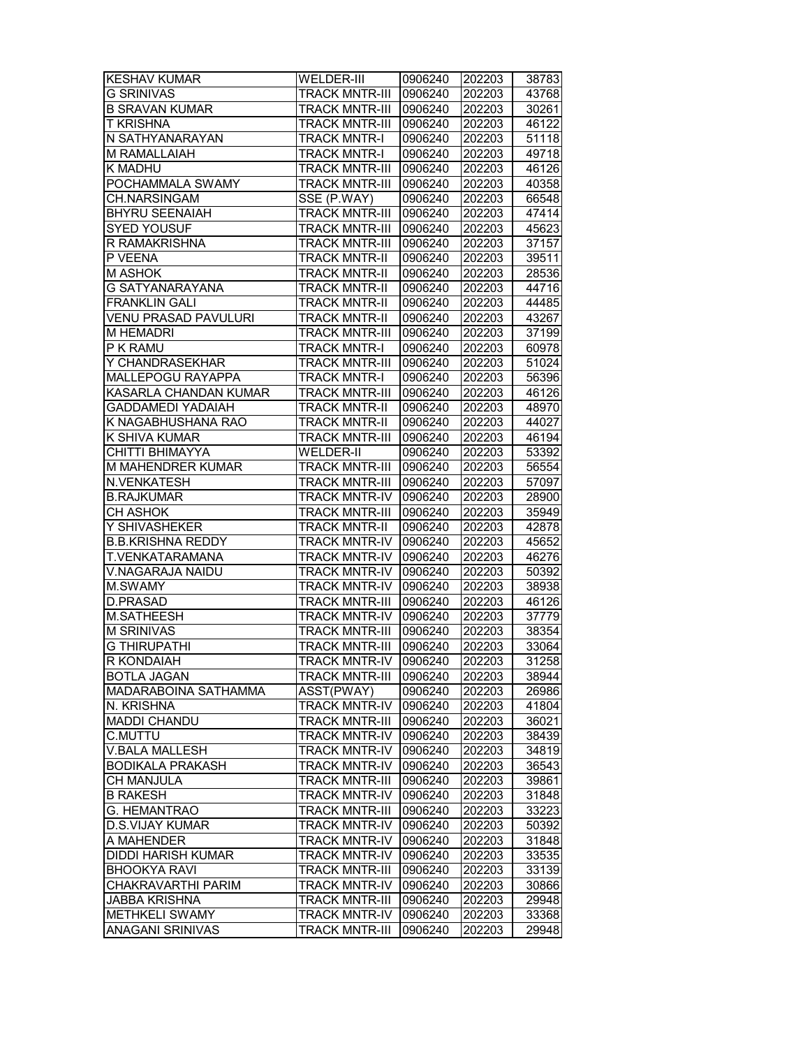| <b>KESHAV KUMAR</b>                              | WELDER-III            | 0906240 | 202203 | 38783 |
|--------------------------------------------------|-----------------------|---------|--------|-------|
| <b>G SRINIVAS</b>                                | <b>TRACK MNTR-III</b> | 0906240 | 202203 | 43768 |
| <b>B SRAVAN KUMAR</b>                            | <b>TRACK MNTR-III</b> | 0906240 | 202203 | 30261 |
| T KRISHNA                                        | <b>TRACK MNTR-III</b> | 0906240 | 202203 | 46122 |
| N SATHYANARAYAN                                  | <b>TRACK MNTR-I</b>   | 0906240 | 202203 | 51118 |
| M RAMALLAIAH                                     | <b>TRACK MNTR-I</b>   | 0906240 | 202203 | 49718 |
| K MADHU                                          | <b>TRACK MNTR-III</b> | 0906240 | 202203 | 46126 |
| POCHAMMALA SWAMY                                 | <b>TRACK MNTR-III</b> | 0906240 | 202203 | 40358 |
| CH.NARSINGAM                                     | SSE (P.WAY)           | 0906240 | 202203 | 66548 |
| <b>BHYRU SEENAIAH</b>                            | <b>TRACK MNTR-III</b> | 0906240 | 202203 | 47414 |
| <b>SYED YOUSUF</b>                               | <b>TRACK MNTR-III</b> | 0906240 | 202203 | 45623 |
| R RAMAKRISHNA                                    | <b>TRACK MNTR-III</b> | 0906240 | 202203 | 37157 |
| P VEENA                                          | <b>TRACK MNTR-II</b>  | 0906240 | 202203 | 39511 |
| <b>M ASHOK</b>                                   | <b>TRACK MNTR-II</b>  | 0906240 | 202203 | 28536 |
| G SATYANARAYANA                                  | <b>TRACK MNTR-II</b>  | 0906240 | 202203 | 44716 |
| <b>FRANKLIN GALI</b>                             | <b>TRACK MNTR-II</b>  | 0906240 | 202203 | 44485 |
| VENU PRASAD PAVULURI                             | <b>TRACK MNTR-II</b>  | 0906240 | 202203 | 43267 |
| <b>M HEMADRI</b>                                 | TRACK MNTR-III        | 0906240 | 202203 | 37199 |
| P K RAMU                                         | <b>TRACK MNTR-I</b>   | 0906240 | 202203 | 60978 |
| Y CHANDRASEKHAR                                  | <b>TRACK MNTR-III</b> | 0906240 | 202203 | 51024 |
| <b>MALLEPOGU RAYAPPA</b>                         | <b>TRACK MNTR-I</b>   | 0906240 | 202203 | 56396 |
| <b>KASARLA CHANDAN KUMAR</b>                     | <b>TRACK MNTR-III</b> | 0906240 | 202203 | 46126 |
| <b>GADDAMEDI YADAIAH</b>                         | <b>TRACK MNTR-II</b>  | 0906240 | 202203 | 48970 |
| K NAGABHUSHANA RAO                               | <b>TRACK MNTR-II</b>  | 0906240 | 202203 | 44027 |
| K SHIVA KUMAR                                    | <b>TRACK MNTR-III</b> | 0906240 | 202203 | 46194 |
| CHITTI BHIMAYYA                                  | <b>WELDER-II</b>      | 0906240 | 202203 | 53392 |
| M MAHENDRER KUMAR                                | <b>TRACK MNTR-III</b> | 0906240 | 202203 | 56554 |
| N.VENKATESH                                      | <b>TRACK MNTR-III</b> | 0906240 | 202203 | 57097 |
| <b>B.RAJKUMAR</b>                                | <b>TRACK MNTR-IV</b>  | 0906240 | 202203 | 28900 |
| CH ASHOK                                         | <b>TRACK MNTR-III</b> | 0906240 | 202203 | 35949 |
| Y SHIVASHEKER                                    | <b>TRACK MNTR-II</b>  | 0906240 | 202203 | 42878 |
| <b>B.B.KRISHNA REDDY</b>                         | <b>TRACK MNTR-IV</b>  | 0906240 | 202203 | 45652 |
| <b>T.VENKATARAMANA</b>                           | <b>TRACK MNTR-IV</b>  | 0906240 | 202203 | 46276 |
| V.NAGARAJA NAIDU                                 | <b>TRACK MNTR-IV</b>  | 0906240 | 202203 | 50392 |
| M.SWAMY                                          | TRACK MNTR-IV         | 0906240 | 202203 | 38938 |
| D.PRASAD                                         | <b>TRACK MNTR-III</b> | 0906240 | 202203 | 46126 |
| <b>M.SATHEESH</b>                                | TRACK MNTR-IV         | 0906240 | 202203 | 37779 |
| <b>M SRINIVAS</b>                                | <b>TRACK MNTR-III</b> | 0906240 | 202203 | 38354 |
| <b>G THIRUPATHI</b>                              | <b>TRACK MNTR-III</b> | 0906240 | 202203 | 33064 |
| R KONDAIAH                                       | TRACK MNTR-IV 0906240 |         | 202203 | 31258 |
|                                                  |                       |         | 202203 | 38944 |
| <b>BOTLA JAGAN</b>                               | <b>TRACK MNTR-III</b> | 0906240 |        |       |
| MADARABOINA SATHAMMA                             | ASST(PWAY)            | 0906240 | 202203 | 26986 |
| N. KRISHNA                                       | TRACK MNTR-IV         | 0906240 | 202203 | 41804 |
| <b>MADDI CHANDU</b><br>C.MUTTU                   | <b>TRACK MNTR-III</b> | 0906240 | 202203 | 36021 |
|                                                  | <b>TRACK MNTR-IV</b>  | 0906240 | 202203 | 38439 |
| <b>V.BALA MALLESH</b><br><b>BODIKALA PRAKASH</b> | <b>TRACK MNTR-IV</b>  | 0906240 | 202203 | 34819 |
|                                                  | <b>TRACK MNTR-IV</b>  | 0906240 | 202203 | 36543 |
| CH MANJULA                                       | <b>TRACK MNTR-III</b> | 0906240 | 202203 | 39861 |
| <b>B RAKESH</b>                                  | <b>TRACK MNTR-IV</b>  | 0906240 | 202203 | 31848 |
| G. HEMANTRAO                                     | <b>TRACK MNTR-III</b> | 0906240 | 202203 | 33223 |
| <b>D.S.VIJAY KUMAR</b>                           | <b>TRACK MNTR-IV</b>  | 0906240 | 202203 | 50392 |
| A MAHENDER                                       | <b>TRACK MNTR-IV</b>  | 0906240 | 202203 | 31848 |
| <b>DIDDI HARISH KUMAR</b>                        | <b>TRACK MNTR-IV</b>  | 0906240 | 202203 | 33535 |
| <b>BHOOKYA RAVI</b>                              | <b>TRACK MNTR-III</b> | 0906240 | 202203 | 33139 |
| CHAKRAVARTHI PARIM                               | <b>TRACK MNTR-IV</b>  | 0906240 | 202203 | 30866 |
| <b>JABBA KRISHNA</b>                             | <b>TRACK MNTR-III</b> | 0906240 | 202203 | 29948 |
| METHKELI SWAMY                                   | <b>TRACK MNTR-IV</b>  | 0906240 | 202203 | 33368 |
| <b>ANAGANI SRINIVAS</b>                          | <b>TRACK MNTR-III</b> | 0906240 | 202203 | 29948 |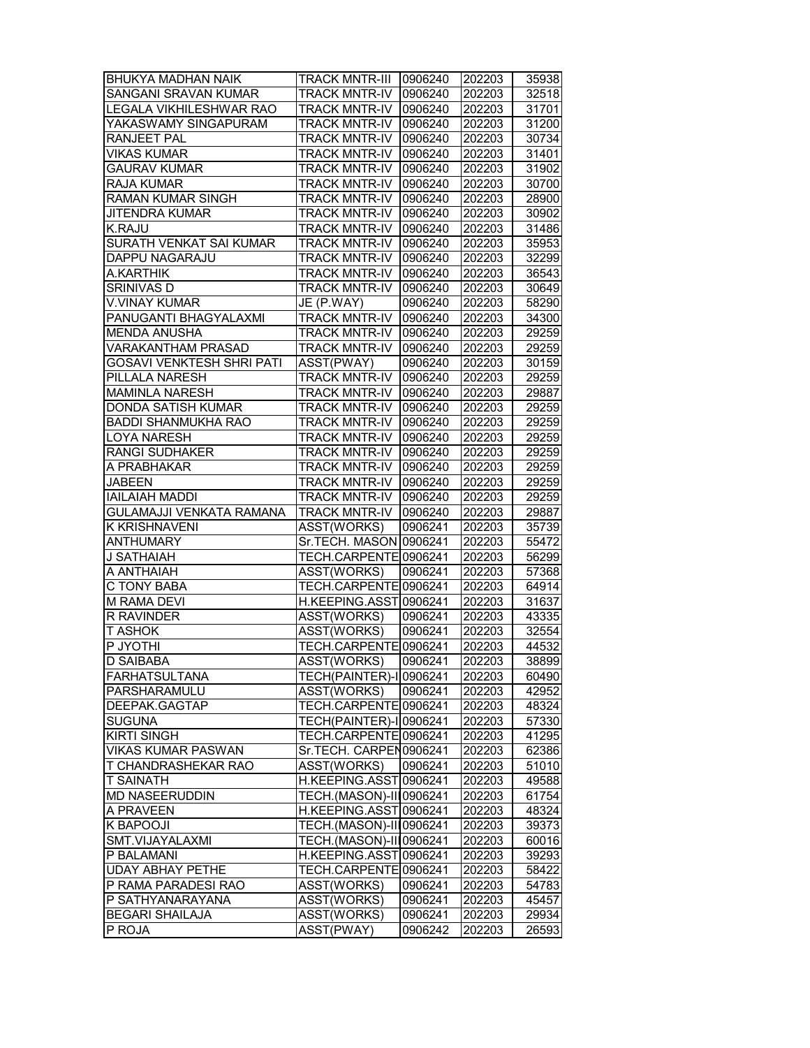| <b>BHUKYA MADHAN NAIK</b>        | <b>TRACK MNTR-III</b>          | 0906240 | 202203 | 35938 |
|----------------------------------|--------------------------------|---------|--------|-------|
| <b>SANGANI SRAVAN KUMAR</b>      | <b>TRACK MNTR-IV</b>           | 0906240 | 202203 | 32518 |
| <b>LEGALA VIKHILESHWAR RAO</b>   | <b>TRACK MNTR-IV</b>           | 0906240 | 202203 | 31701 |
| YAKASWAMY SINGAPURAM             | <b>TRACK MNTR-IV</b>           | 0906240 | 202203 | 31200 |
| RANJEET PAL                      | <b>TRACK MNTR-IV</b>           | 0906240 | 202203 | 30734 |
| <b>VIKAS KUMAR</b>               | <b>TRACK MNTR-IV</b>           | 0906240 | 202203 | 31401 |
| <b>GAURAV KUMAR</b>              | <b>TRACK MNTR-IV</b>           | 0906240 | 202203 | 31902 |
| <b>RAJA KUMAR</b>                | <b>TRACK MNTR-IV</b>           | 0906240 | 202203 | 30700 |
| <b>RAMAN KUMAR SINGH</b>         | <b>TRACK MNTR-IV</b>           | 0906240 | 202203 | 28900 |
| JITENDRA KUMAR                   | <b>TRACK MNTR-IV</b>           | 0906240 | 202203 | 30902 |
| K.RAJU                           | <b>TRACK MNTR-IV</b>           | 0906240 | 202203 | 31486 |
| SURATH VENKAT SAI KUMAR          | <b>TRACK MNTR-IV</b>           | 0906240 | 202203 | 35953 |
| <b>DAPPU NAGARAJU</b>            | <b>TRACK MNTR-IV</b>           | 0906240 | 202203 | 32299 |
| A.KARTHIK                        | <b>TRACK MNTR-IV</b>           | 0906240 | 202203 | 36543 |
| <b>SRINIVAS D</b>                | <b>TRACK MNTR-IV</b>           | 0906240 | 202203 | 30649 |
| V.VINAY KUMAR                    | JE (P.WAY)                     | 0906240 | 202203 | 58290 |
| PANUGANTI BHAGYALAXMI            | <b>TRACK MNTR-IV</b>           | 0906240 | 202203 | 34300 |
| MENDA ANUSHA                     | <b>TRACK MNTR-IV</b>           | 0906240 | 202203 | 29259 |
| VARAKANTHAM PRASAD               | <b>TRACK MNTR-IV</b>           | 0906240 | 202203 | 29259 |
| <b>GOSAVI VENKTESH SHRI PATI</b> | ASST(PWAY)                     | 0906240 | 202203 | 30159 |
| PILLALA NARESH                   | <b>TRACK MNTR-IV</b>           | 0906240 | 202203 | 29259 |
| <b>MAMINLA NARESH</b>            | <b>TRACK MNTR-IV</b>           | 0906240 | 202203 | 29887 |
| DONDA SATISH KUMAR               | <b>TRACK MNTR-IV</b>           | 0906240 | 202203 | 29259 |
| <b>BADDI SHANMUKHA RAO</b>       | <b>TRACK MNTR-IV</b>           | 0906240 | 202203 | 29259 |
| <b>LOYA NARESH</b>               | <b>TRACK MNTR-IV</b>           | 0906240 | 202203 | 29259 |
| <b>RANGI SUDHAKER</b>            | TRACK MNTR-IV                  | 0906240 | 202203 | 29259 |
| A PRABHAKAR                      | <b>TRACK MNTR-IV</b>           | 0906240 | 202203 | 29259 |
| <b>JABEEN</b>                    | <b>TRACK MNTR-IV</b>           | 0906240 | 202203 | 29259 |
| <b>IAILAIAH MADDI</b>            | <b>TRACK MNTR-IV</b>           | 0906240 | 202203 | 29259 |
| GULAMAJJI VENKATA RAMANA         | <b>TRACK MNTR-IV</b>           | 0906240 | 202203 | 29887 |
| K KRISHNAVENI                    | ASST(WORKS)                    | 0906241 | 202203 | 35739 |
| <b>ANTHUMARY</b>                 | Sr.TECH. MASON 0906241         |         | 202203 | 55472 |
| J SATHAIAH                       | <b>TECH.CARPENTE</b>           | 0906241 | 202203 | 56299 |
| A ANTHAIAH                       | ASST(WORKS)                    | 0906241 | 202203 | 57368 |
|                                  | TECH.CARPENTE 0906241          |         | 202203 | 64914 |
| C TONY BABA                      |                                |         |        |       |
| <b>M RAMA DEVI</b>               | H.KEEPING.ASST 0906241         |         | 202203 | 31637 |
| R RAVINDER                       | ASST(WORKS)                    | 0906241 | 202203 | 43335 |
| <b>T ASHOK</b>                   | <b>ASST(WORKS)</b>             | 0906241 | 202203 | 32554 |
| P JYOTHI                         | TECH.CARPENTE 0906241          |         | 202203 | 44532 |
| D SAIBABA                        | ASST(WORKS)                    | 0906241 | 202203 | 38899 |
| <b>FARHATSULTANA</b>             | <b>TECH(PAINTER)-10906241</b>  |         | 202203 | 60490 |
| PARSHARAMULU                     | ASST(WORKS)                    | 0906241 | 202203 | 42952 |
| DEEPAK.GAGTAP                    | TECH.CARPENTE 0906241          |         | 202203 | 48324 |
| <b>SUGUNA</b>                    | <b>TECH(PAINTER)-I 0906241</b> |         | 202203 | 57330 |
| <b>KIRTI SINGH</b>               | TECH.CARPENTE 0906241          |         | 202203 | 41295 |
| <b>VIKAS KUMAR PASWAN</b>        | Sr.TECH. CARPEN0906241         |         | 202203 | 62386 |
| T CHANDRASHEKAR RAO              | ASST(WORKS)                    | 0906241 | 202203 | 51010 |
| <b>T SAINATH</b>                 | H.KEEPING.ASST0906241          |         | 202203 | 49588 |
| <b>MD NASEERUDDIN</b>            | TECH.(MASON)-III0906241        |         | 202203 | 61754 |
| A PRAVEEN                        | H.KEEPING.ASST 0906241         |         | 202203 | 48324 |
| K BAPOOJI                        | TECH.(MASON)-III0906241        |         | 202203 | 39373 |
| SMT.VIJAYALAXMI                  | TECH.(MASON)-III0906241        |         | 202203 | 60016 |
| P BALAMANI                       | H.KEEPING.ASST 0906241         |         | 202203 | 39293 |
| <b>UDAY ABHAY PETHE</b>          | TECH.CARPENTE 0906241          |         | 202203 | 58422 |
| P RAMA PARADESI RAO              | ASST(WORKS)                    | 0906241 | 202203 | 54783 |
| P SATHYANARAYANA                 | ASST(WORKS)                    | 0906241 | 202203 | 45457 |
| <b>BEGARI SHAILAJA</b><br>P ROJA | ASST(WORKS)<br>ASST(PWAY)      | 0906241 | 202203 | 29934 |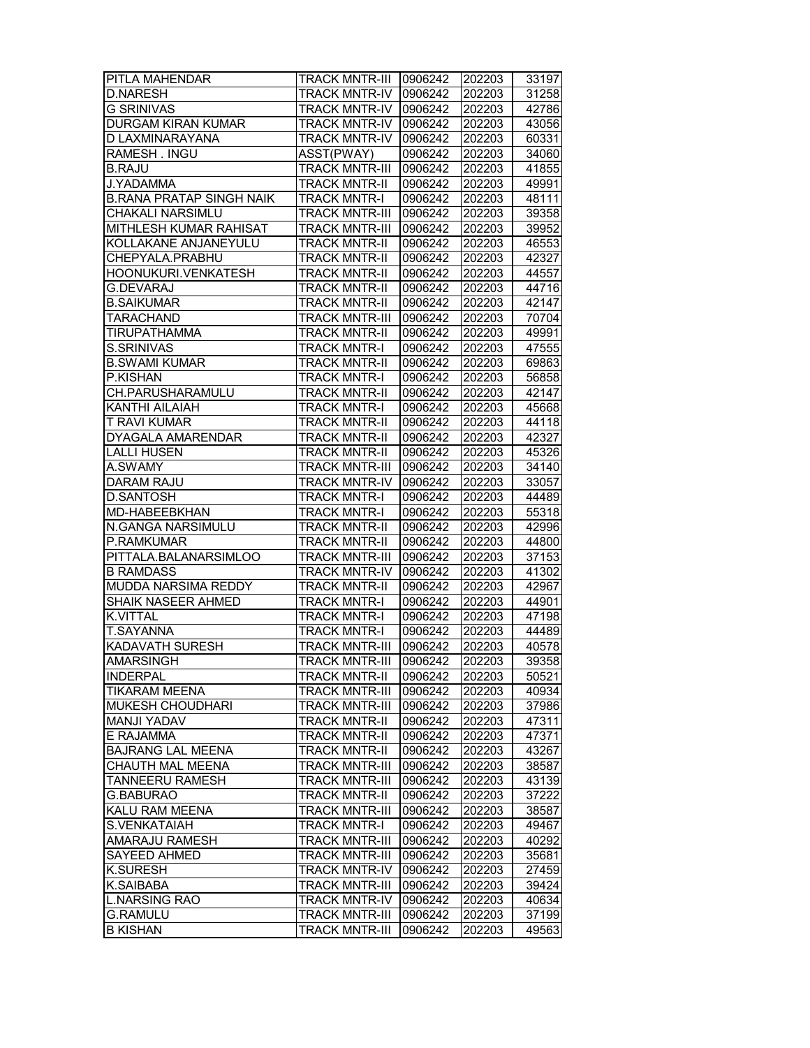| <b>PITLA MAHENDAR</b>           | <b>TRACK MNTR-III</b> | 0906242            | 202203           | 33197          |
|---------------------------------|-----------------------|--------------------|------------------|----------------|
| <b>D.NARESH</b>                 | <b>TRACK MNTR-IV</b>  | 0906242            | 202203           | 31258          |
| <b>G SRINIVAS</b>               | <b>TRACK MNTR-IV</b>  | 0906242            | 202203           | 42786          |
| DURGAM KIRAN KUMAR              | TRACK MNTR-IV         | 0906242            | 202203           | 43056          |
| D LAXMINARAYANA                 | <b>TRACK MNTR-IV</b>  | 0906242            | 202203           | 60331          |
| RAMESH. INGU                    | ASST(PWAY)            | 0906242            | 202203           | 34060          |
| <b>B.RAJU</b>                   | <b>TRACK MNTR-III</b> | 0906242            | 202203           | 41855          |
| J.YADAMMA                       | <b>TRACK MNTR-II</b>  | 0906242            | 202203           | 49991          |
| <b>B.RANA PRATAP SINGH NAIK</b> | <b>TRACK MNTR-I</b>   | 0906242            | 202203           | 48111          |
| CHAKALI NARSIMLU                | TRACK MNTR-III        | 0906242            | 202203           | 39358          |
| MITHLESH KUMAR RAHISAT          | <b>TRACK MNTR-III</b> | 0906242            | 202203           | 39952          |
| KOLLAKANE ANJANEYULU            | TRACK MNTR-II         | 0906242            | 202203           | 46553          |
| CHEPYALA.PRABHU                 | <b>TRACK MNTR-II</b>  | 0906242            | 202203           | 42327          |
| HOONUKURI.VENKATESH             | <b>TRACK MNTR-II</b>  | 0906242            | 202203           | 44557          |
| <b>G.DEVARAJ</b>                | <b>TRACK MNTR-II</b>  | 0906242            | 202203           | 44716          |
| <b>B.SAIKUMAR</b>               | <b>TRACK MNTR-II</b>  | 0906242            | 202203           | 42147          |
| TARACHAND                       | <b>TRACK MNTR-III</b> | 0906242            | 202203           | 70704          |
| TIRUPATHAMMA                    | TRACK MNTR-II         | 0906242            | 202203           | 49991          |
| S.SRINIVAS                      | TRACK MNTR-I          | 0906242            | 202203           | 47555          |
| <b>B.SWAMI KUMAR</b>            | <b>TRACK MNTR-II</b>  | 0906242            | 202203           | 69863          |
| P.KISHAN                        | <b>TRACK MNTR-I</b>   |                    |                  |                |
| CH.PARUSHARAMULU                | <b>TRACK MNTR-II</b>  | 0906242<br>0906242 | 202203<br>202203 | 56858<br>42147 |
| <b>KANTHI AILAIAH</b>           |                       |                    |                  |                |
|                                 | <b>TRACK MNTR-I</b>   | 0906242            | 202203           | 45668          |
| <b>T RAVI KUMAR</b>             | <b>TRACK MNTR-II</b>  | 0906242            | 202203           | 44118          |
| <b>DYAGALA AMARENDAR</b>        | <b>TRACK MNTR-II</b>  | 0906242            | 202203           | 42327          |
| <b>LALLI HUSEN</b>              | <b>TRACK MNTR-II</b>  | 0906242            | 202203           | 45326          |
| A.SWAMY                         | <b>TRACK MNTR-III</b> | 0906242            | 202203           | 34140          |
| <b>DARAM RAJU</b>               | <b>TRACK MNTR-IV</b>  | 0906242            | 202203           | 33057          |
| <b>D.SANTOSH</b>                | TRACK MNTR-I          | 0906242            | 202203           | 44489          |
| MD-HABEEBKHAN                   | <b>TRACK MNTR-I</b>   | 0906242            | 202203           | 55318          |
| N.GANGA NARSIMULU               | <b>TRACK MNTR-II</b>  | 0906242            | 202203           | 42996          |
| P.RAMKUMAR                      | <b>TRACK MNTR-II</b>  | 0906242            | 202203           | 44800          |
| PITTALA.BALANARSIMLOO           | <b>TRACK MNTR-III</b> | 0906242            | 202203           | 37153          |
| <b>B RAMDASS</b>                | <b>TRACK MNTR-IV</b>  | 0906242            | 202203           | 41302          |
| MUDDA NARSIMA REDDY             | TRACK MNTR-II         | 0906242            | 202203           | 42967          |
| <b>SHAIK NASEER AHMED</b>       | <b>TRACK MNTR-I</b>   | 0906242            | 202203           | 44901          |
| <b>K.VITTAL</b>                 | <b>TRACK MNTR-I</b>   | 0906242            | 202203           | 47198          |
| T.SAYANNA                       | <b>TRACK MNTR-I</b>   | 0906242            | 202203           | 44489          |
| KADAVATH SURESH                 | <b>TRACK MNTR-III</b> | 0906242            | 202203           | 40578          |
| AMARSINGH                       | <b>TRACK MNTR-III</b> | 0906242            | 202203           | 39358          |
| <b>INDERPAL</b>                 | <b>TRACK MNTR-II</b>  | 0906242            | 202203           | 50521          |
| <b>TIKARAM MEENA</b>            | <b>TRACK MNTR-III</b> | 0906242            | 202203           | 40934          |
| MUKESH CHOUDHARI                | TRACK MNTR-III        | 0906242            | 202203           | 37986          |
| MANJI YADAV                     | <b>TRACK MNTR-II</b>  | 0906242            | 202203           | 47311          |
| E RAJAMMA                       | <b>TRACK MNTR-II</b>  | 0906242            | 202203           | 47371          |
| <b>BAJRANG LAL MEENA</b>        | <b>TRACK MNTR-II</b>  | 0906242            | 202203           | 43267          |
| CHAUTH MAL MEENA                | <b>TRACK MNTR-III</b> | 0906242            | 202203           | 38587          |
| TANNEERU RAMESH                 | <b>TRACK MNTR-III</b> | 0906242            | 202203           | 43139          |
| G.BABURAO                       | <b>TRACK MNTR-II</b>  | 0906242            | 202203           | 37222          |
| KALU RAM MEENA                  | <b>TRACK MNTR-III</b> | 0906242            | 202203           | 38587          |
| S.VENKATAIAH                    | <b>TRACK MNTR-I</b>   | 0906242            | 202203           | 49467          |
| AMARAJU RAMESH                  | <b>TRACK MNTR-III</b> | 0906242            |                  | 40292          |
|                                 |                       |                    | 202203           |                |
| SAYEED AHMED                    | <b>TRACK MNTR-III</b> | 0906242            | 202203           | 35681          |
| <b>K.SURESH</b>                 | TRACK MNTR-IV         | 0906242            | 202203           | 27459          |
| K.SAIBABA                       | <b>TRACK MNTR-III</b> | 0906242            | 202203           | 39424          |
| <b>L.NARSING RAO</b>            | <b>TRACK MNTR-IV</b>  | 0906242            | 202203           | 40634          |
| <b>G.RAMULU</b>                 | <b>TRACK MNTR-III</b> | 0906242            | 202203           | 37199          |
| <b>B KISHAN</b>                 | <b>TRACK MNTR-III</b> | 0906242            | 202203           | 49563          |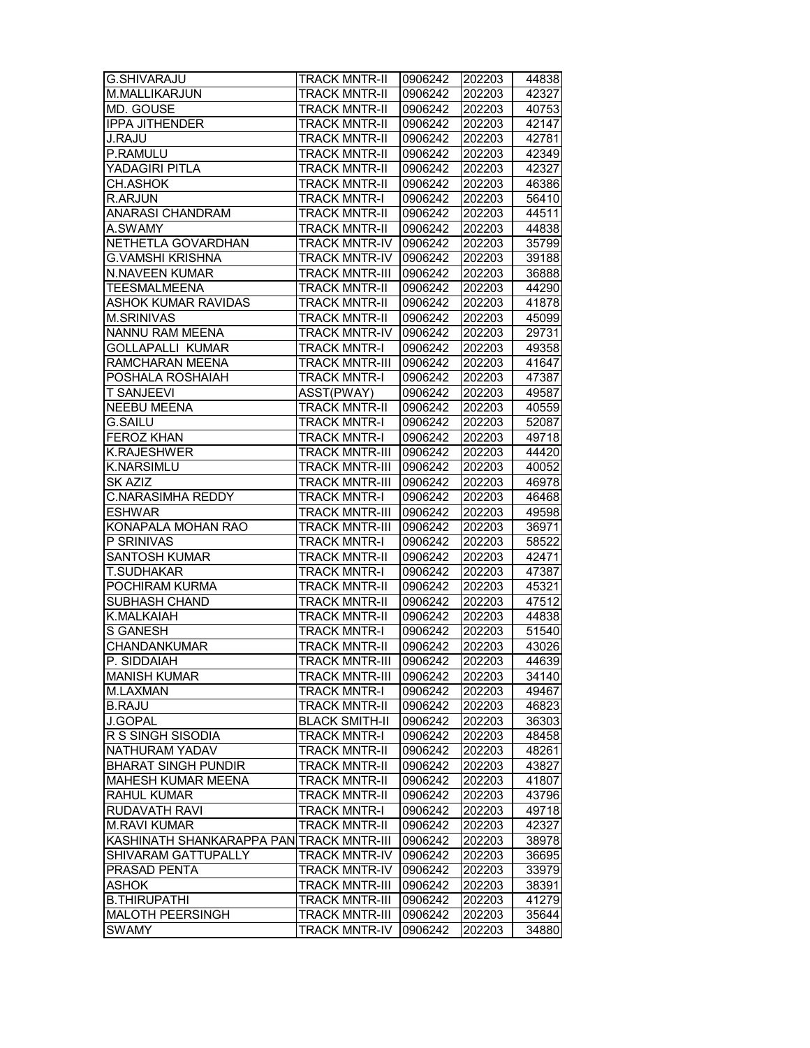| G.SHIVARAJU                              | <b>TRACK MNTR-II</b>  | 0906242 | 202203 | 44838 |
|------------------------------------------|-----------------------|---------|--------|-------|
| M.MALLIKARJUN                            | <b>TRACK MNTR-II</b>  | 0906242 | 202203 | 42327 |
| MD. GOUSE                                | <b>TRACK MNTR-II</b>  | 0906242 | 202203 | 40753 |
| <b>IPPA JITHENDER</b>                    | <b>TRACK MNTR-II</b>  | 0906242 | 202203 | 42147 |
| <b>J.RAJU</b>                            | <b>TRACK MNTR-II</b>  | 0906242 | 202203 | 42781 |
| P.RAMULU                                 | <b>TRACK MNTR-II</b>  | 0906242 | 202203 | 42349 |
| YADAGIRI PITLA                           | <b>TRACK MNTR-II</b>  | 0906242 | 202203 | 42327 |
| CH.ASHOK                                 | <b>TRACK MNTR-II</b>  | 0906242 | 202203 | 46386 |
| <b>R.ARJUN</b>                           | <b>TRACK MNTR-I</b>   | 0906242 | 202203 | 56410 |
| ANARASI CHANDRAM                         | <b>TRACK MNTR-II</b>  | 0906242 | 202203 | 44511 |
| A.SWAMY                                  | <b>TRACK MNTR-II</b>  | 0906242 | 202203 | 44838 |
| NETHETLA GOVARDHAN                       | <b>TRACK MNTR-IV</b>  | 0906242 | 202203 | 35799 |
| <b>G.VAMSHI KRISHNA</b>                  | <b>TRACK MNTR-IV</b>  | 0906242 | 202203 | 39188 |
| N.NAVEEN KUMAR                           | <b>TRACK MNTR-III</b> | 0906242 | 202203 | 36888 |
| TEESMALMEENA                             | <b>TRACK MNTR-II</b>  | 0906242 | 202203 | 44290 |
| ASHOK KUMAR RAVIDAS                      | <b>TRACK MNTR-II</b>  | 0906242 | 202203 | 41878 |
| <b>M.SRINIVAS</b>                        | <b>TRACK MNTR-II</b>  | 0906242 | 202203 | 45099 |
| <b>NANNU RAM MEENA</b>                   | <b>TRACK MNTR-IV</b>  | 0906242 | 202203 | 29731 |
| <b>GOLLAPALLI KUMAR</b>                  | <b>TRACK MNTR-I</b>   | 0906242 | 202203 | 49358 |
| RAMCHARAN MEENA                          | <b>TRACK MNTR-III</b> | 0906242 | 202203 | 41647 |
| POSHALA ROSHAIAH                         | <b>TRACK MNTR-I</b>   | 0906242 | 202203 | 47387 |
| <b>T SANJEEVI</b>                        | ASST(PWAY)            | 0906242 | 202203 | 49587 |
| <b>NEEBU MEENA</b>                       | <b>TRACK MNTR-II</b>  | 0906242 | 202203 | 40559 |
| <b>G.SAILU</b>                           | <b>TRACK MNTR-I</b>   | 0906242 | 202203 | 52087 |
| <b>FEROZ KHAN</b>                        | <b>TRACK MNTR-I</b>   | 0906242 | 202203 | 49718 |
| K.RAJESHWER                              | <b>TRACK MNTR-III</b> | 0906242 | 202203 | 44420 |
| <b>K.NARSIMLU</b>                        | <b>TRACK MNTR-III</b> | 0906242 | 202203 | 40052 |
| SK AZIZ                                  | <b>TRACK MNTR-III</b> | 0906242 | 202203 | 46978 |
| <b>C.NARASIMHA REDDY</b>                 | <b>TRACK MNTR-I</b>   | 0906242 | 202203 | 46468 |
| <b>ESHWAR</b>                            | <b>TRACK MNTR-III</b> | 0906242 | 202203 | 49598 |
| KONAPALA MOHAN RAO                       | <b>TRACK MNTR-III</b> | 0906242 | 202203 | 36971 |
| P SRINIVAS                               | <b>TRACK MNTR-I</b>   | 0906242 | 202203 | 58522 |
| <b>SANTOSH KUMAR</b>                     | <b>TRACK MNTR-II</b>  | 0906242 | 202203 | 42471 |
| T.SUDHAKAR                               | <b>TRACK MNTR-I</b>   | 0906242 | 202203 | 47387 |
| POCHIRAM KURMA                           | <b>TRACK MNTR-II</b>  | 0906242 | 202203 | 45321 |
| SUBHASH CHAND                            | <b>TRACK MNTR-II</b>  | 0906242 | 202203 | 47512 |
| K.MALKAIAH                               | <b>TRACK MNTR-II</b>  | 0906242 | 202203 | 44838 |
| <b>S GANESH</b>                          | <b>TRACK MNTR-I</b>   | 0906242 | 202203 | 51540 |
| CHANDANKUMAR                             | <b>TRACK MNTR-II</b>  | 0906242 | 202203 | 43026 |
| P. SIDDAIAH                              | <b>TRACK MNTR-III</b> | 0906242 | 202203 | 44639 |
| <b>MANISH KUMAR</b>                      | <b>TRACK MNTR-III</b> | 0906242 | 202203 | 34140 |
| M.LAXMAN                                 | <b>TRACK MNTR-I</b>   | 0906242 | 202203 | 49467 |
| <b>B.RAJU</b>                            | <b>TRACK MNTR-II</b>  | 0906242 | 202203 | 46823 |
| J.GOPAL                                  | <b>BLACK SMITH-II</b> | 0906242 | 202203 | 36303 |
| R S SINGH SISODIA                        | <b>TRACK MNTR-I</b>   | 0906242 | 202203 | 48458 |
| NATHURAM YADAV                           | <b>TRACK MNTR-II</b>  | 0906242 | 202203 | 48261 |
| <b>BHARAT SINGH PUNDIR</b>               | <b>TRACK MNTR-II</b>  | 0906242 | 202203 | 43827 |
| MAHESH KUMAR MEENA                       | <b>TRACK MNTR-II</b>  | 0906242 | 202203 | 41807 |
| <b>RAHUL KUMAR</b>                       | <b>TRACK MNTR-II</b>  | 0906242 | 202203 | 43796 |
| <b>RUDAVATH RAVI</b>                     | <b>TRACK MNTR-I</b>   | 0906242 | 202203 | 49718 |
| <b>M.RAVI KUMAR</b>                      | <b>TRACK MNTR-II</b>  | 0906242 | 202203 | 42327 |
| KASHINATH SHANKARAPPA PAN TRACK MNTR-III |                       | 0906242 | 202203 | 38978 |
| SHIVARAM GATTUPALLY                      | <b>TRACK MNTR-IV</b>  | 0906242 | 202203 | 36695 |
| PRASAD PENTA                             | <b>TRACK MNTR-IV</b>  | 0906242 | 202203 | 33979 |
| <b>ASHOK</b>                             | <b>TRACK MNTR-III</b> | 0906242 | 202203 | 38391 |
| <b>B.THIRUPATHI</b>                      | <b>TRACK MNTR-III</b> | 0906242 | 202203 | 41279 |
| <b>MALOTH PEERSINGH</b>                  | <b>TRACK MNTR-III</b> | 0906242 | 202203 | 35644 |
| <b>SWAMY</b>                             | <b>TRACK MNTR-IV</b>  | 0906242 | 202203 | 34880 |
|                                          |                       |         |        |       |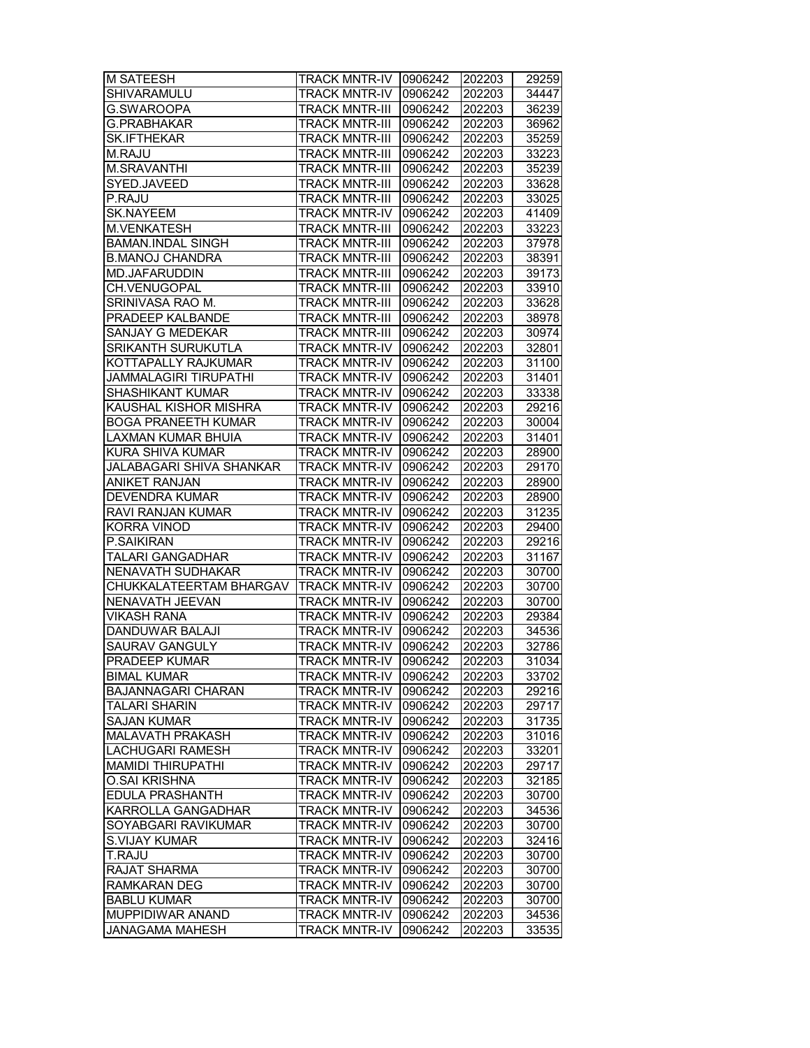| <b>M SATEESH</b>             | <b>TRACK MNTR-IV</b>  | 0906242 | 202203 | 29259          |
|------------------------------|-----------------------|---------|--------|----------------|
| <b>SHIVARAMULU</b>           | <b>TRACK MNTR-IV</b>  | 0906242 | 202203 | 34447          |
| G.SWAROOPA                   | <b>TRACK MNTR-III</b> | 0906242 | 202203 | 36239          |
| G.PRABHAKAR                  | <b>TRACK MNTR-III</b> | 0906242 | 202203 | 36962          |
| <b>SK.IFTHEKAR</b>           | <b>TRACK MNTR-III</b> | 0906242 | 202203 | 35259          |
| M.RAJU                       | <b>TRACK MNTR-III</b> | 0906242 | 202203 | 33223          |
| <b>M.SRAVANTHI</b>           | <b>TRACK MNTR-III</b> | 0906242 | 202203 | 35239          |
| SYED.JAVEED                  | <b>TRACK MNTR-III</b> | 0906242 | 202203 | 33628          |
| P.RAJU                       | <b>TRACK MNTR-III</b> | 0906242 | 202203 | 33025          |
| <b>SK.NAYEEM</b>             | <b>TRACK MNTR-IV</b>  | 0906242 | 202203 | 41409          |
| M.VENKATESH                  | <b>TRACK MNTR-III</b> | 0906242 | 202203 | 33223          |
| <b>BAMAN.INDAL SINGH</b>     | <b>TRACK MNTR-III</b> | 0906242 | 202203 | 37978          |
| <b>B.MANOJ CHANDRA</b>       | <b>TRACK MNTR-III</b> | 0906242 | 202203 | 38391          |
| MD.JAFARUDDIN                | <b>TRACK MNTR-III</b> | 0906242 | 202203 | 39173          |
| CH.VENUGOPAL                 | <b>TRACK MNTR-III</b> | 0906242 | 202203 | 33910          |
| SRINIVASA RAO M.             | <b>TRACK MNTR-III</b> | 0906242 | 202203 | 33628          |
| PRADEEP KALBANDE             | <b>TRACK MNTR-III</b> | 0906242 | 202203 | 38978          |
| SANJAY G MEDEKAR             | <b>TRACK MNTR-III</b> | 0906242 | 202203 | 30974          |
| SRIKANTH SURUKUTLA           | <b>TRACK MNTR-IV</b>  | 0906242 | 202203 | 32801          |
| KOTTAPALLY RAJKUMAR          | <b>TRACK MNTR-IV</b>  |         |        |                |
| <b>JAMMALAGIRI TIRUPATHI</b> |                       | 0906242 | 202203 | 31100<br>31401 |
|                              | <b>TRACK MNTR-IV</b>  | 0906242 | 202203 |                |
| <b>SHASHIKANT KUMAR</b>      | <b>TRACK MNTR-IV</b>  | 0906242 | 202203 | 33338          |
| KAUSHAL KISHOR MISHRA        | <b>TRACK MNTR-IV</b>  | 0906242 | 202203 | 29216          |
| <b>BOGA PRANEETH KUMAR</b>   | <b>TRACK MNTR-IV</b>  | 0906242 | 202203 | 30004          |
| LAXMAN KUMAR BHUIA           | <b>TRACK MNTR-IV</b>  | 0906242 | 202203 | 31401          |
| KURA SHIVA KUMAR             | <b>TRACK MNTR-IV</b>  | 0906242 | 202203 | 28900          |
| JALABAGARI SHIVA SHANKAR     | <b>TRACK MNTR-IV</b>  | 0906242 | 202203 | 29170          |
| <b>ANIKET RANJAN</b>         | <b>TRACK MNTR-IV</b>  | 0906242 | 202203 | 28900          |
| <b>DEVENDRA KUMAR</b>        | <b>TRACK MNTR-IV</b>  | 0906242 | 202203 | 28900          |
| RAVI RANJAN KUMAR            | <b>TRACK MNTR-IV</b>  | 0906242 | 202203 | 31235          |
| KORRA VINOD                  | <b>TRACK MNTR-IV</b>  | 0906242 | 202203 | 29400          |
| P.SAIKIRAN                   | TRACK MNTR-IV         | 0906242 | 202203 | 29216          |
| TALARI GANGADHAR             | <b>TRACK MNTR-IV</b>  | 0906242 | 202203 | 31167          |
| NENAVATH SUDHAKAR            | <b>TRACK MNTR-IV</b>  | 0906242 | 202203 | 30700          |
| CHUKKALATEERTAM BHARGAV      | <b>TRACK MNTR-IV</b>  | 0906242 | 202203 | 30700          |
| NENAVATH JEEVAN              | <b>TRACK MNTR-IV</b>  | 0906242 | 202203 | 30700          |
| <b>VIKASH RANA</b>           | <b>TRACK MNTR-IV</b>  | 0906242 | 202203 | 29384          |
| <b>DANDUWAR BALAJI</b>       | <b>TRACK MNTR-IV</b>  | 0906242 | 202203 | 34536          |
| <b>SAURAV GANGULY</b>        | <b>TRACK MNTR-IV</b>  | 0906242 | 202203 | 32786          |
| <b>PRADEEP KUMAR</b>         | <b>TRACK MNTR-IV</b>  | 0906242 | 202203 | 31034          |
| <b>BIMAL KUMAR</b>           | <b>TRACK MNTR-IV</b>  | 0906242 | 202203 | 33702          |
| <b>BAJANNAGARI CHARAN</b>    | TRACK MNTR-IV         | 0906242 | 202203 | 29216          |
| TALARI SHARIN                | TRACK MNTR-IV         | 0906242 | 202203 | 29717          |
| <b>SAJAN KUMAR</b>           | <b>TRACK MNTR-IV</b>  | 0906242 | 202203 | 31735          |
| <b>MALAVATH PRAKASH</b>      | <b>TRACK MNTR-IV</b>  | 0906242 | 202203 | 31016          |
| <b>LACHUGARI RAMESH</b>      | <b>TRACK MNTR-IV</b>  | 0906242 | 202203 | 33201          |
| <b>MAMIDI THIRUPATHI</b>     | <b>TRACK MNTR-IV</b>  | 0906242 | 202203 | 29717          |
| <b>O.SAI KRISHNA</b>         | <b>TRACK MNTR-IV</b>  | 0906242 | 202203 | 32185          |
| <b>EDULA PRASHANTH</b>       | <b>TRACK MNTR-IV</b>  | 0906242 | 202203 | 30700          |
| KARROLLA GANGADHAR           | <b>TRACK MNTR-IV</b>  | 0906242 | 202203 | 34536          |
| SOYABGARI RAVIKUMAR          | TRACK MNTR-IV         | 0906242 | 202203 | 30700          |
| <b>S.VIJAY KUMAR</b>         | TRACK MNTR-IV         | 0906242 | 202203 | 32416          |
| T.RAJU                       | <b>TRACK MNTR-IV</b>  | 0906242 | 202203 | 30700          |
| RAJAT SHARMA                 | <b>TRACK MNTR-IV</b>  | 0906242 | 202203 | 30700          |
|                              |                       |         |        |                |
| RAMKARAN DEG                 | <b>TRACK MNTR-IV</b>  | 0906242 | 202203 | 30700          |
| <b>BABLU KUMAR</b>           | <b>TRACK MNTR-IV</b>  | 0906242 | 202203 | 30700          |
| MUPPIDIWAR ANAND             | TRACK MNTR-IV         | 0906242 | 202203 | 34536          |
| JANAGAMA MAHESH              | <b>TRACK MNTR-IV</b>  | 0906242 | 202203 | 33535          |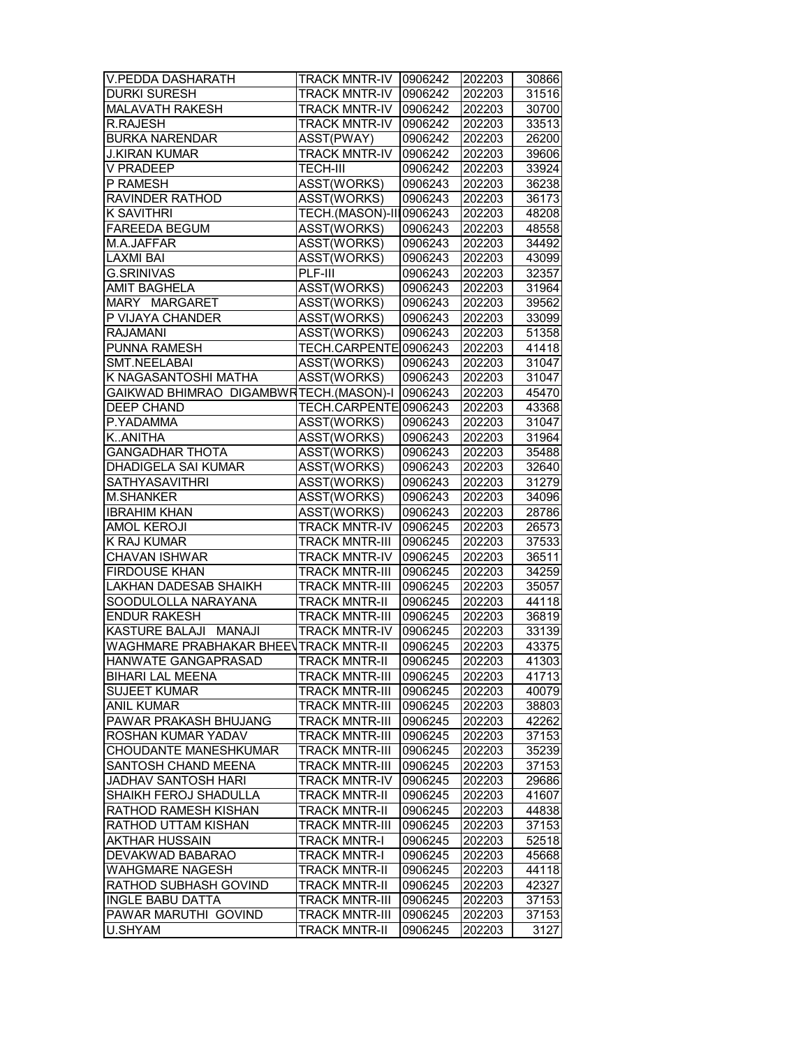| <b>V.PEDDA DASHARATH</b>               | <b>TRACK MNTR-IV</b>    | 0906242 | 202203 | 30866 |
|----------------------------------------|-------------------------|---------|--------|-------|
| <b>DURKI SURESH</b>                    | <b>TRACK MNTR-IV</b>    | 0906242 | 202203 | 31516 |
| MALAVATH RAKESH                        | <b>TRACK MNTR-IV</b>    | 0906242 | 202203 | 30700 |
| R.RAJESH                               | <b>TRACK MNTR-IV</b>    | 0906242 | 202203 | 33513 |
| <b>BURKA NARENDAR</b>                  | ASST(PWAY)              | 0906242 | 202203 | 26200 |
| <b>J.KIRAN KUMAR</b>                   | <b>TRACK MNTR-IV</b>    | 0906242 | 202203 | 39606 |
| V PRADEEP                              | <b>TECH-III</b>         | 0906242 | 202203 | 33924 |
| P RAMESH                               | <b>ASST(WORKS)</b>      | 0906243 | 202203 | 36238 |
| RAVINDER RATHOD                        | ASST(WORKS)             | 0906243 | 202203 | 36173 |
| <b>K SAVITHRI</b>                      | TECH.(MASON)-III0906243 |         | 202203 | 48208 |
| <b>FAREEDA BEGUM</b>                   | <b>ASST(WORKS)</b>      | 0906243 | 202203 | 48558 |
| M.A.JAFFAR                             | <b>ASST(WORKS)</b>      | 0906243 | 202203 | 34492 |
| <b>LAXMI BAI</b>                       | ASST(WORKS)             | 0906243 | 202203 | 43099 |
| <b>G.SRINIVAS</b>                      | $PLF-III$               |         |        |       |
|                                        |                         | 0906243 | 202203 | 32357 |
| <b>AMIT BAGHELA</b>                    | ASST(WORKS)             | 0906243 | 202203 | 31964 |
| MARY MARGARET                          | ASST(WORKS)             | 0906243 | 202203 | 39562 |
| P VIJAYA CHANDER                       | ASST(WORKS)             | 0906243 | 202203 | 33099 |
| <b>RAJAMANI</b>                        | ASST(WORKS)             | 0906243 | 202203 | 51358 |
| PUNNA RAMESH                           | TECH.CARPENTE0906243    |         | 202203 | 41418 |
| SMT.NEELABAI                           | ASST(WORKS)             | 0906243 | 202203 | 31047 |
| K NAGASANTOSHI MATHA                   | ASST(WORKS)             | 0906243 | 202203 | 31047 |
| GAIKWAD BHIMRAO DIGAMBWRTECH.(MASON)-I |                         | 0906243 | 202203 | 45470 |
| <b>DEEP CHAND</b>                      | TECH.CARPENTE0906243    |         | 202203 | 43368 |
| P.YADAMMA                              | ASST(WORKS)             | 0906243 | 202203 | 31047 |
| KANITHA                                | ASST(WORKS)             | 0906243 | 202203 | 31964 |
| GANGADHAR THOTA                        | ASST(WORKS)             | 0906243 | 202203 | 35488 |
| <b>DHADIGELA SAI KUMAR</b>             | ASST(WORKS)             | 0906243 | 202203 | 32640 |
| <b>SATHYASAVITHRI</b>                  | ASST(WORKS)             | 0906243 | 202203 | 31279 |
| <b>M.SHANKER</b>                       | <b>ASST(WORKS)</b>      | 0906243 | 202203 | 34096 |
| <b>IBRAHIM KHAN</b>                    | ASST(WORKS)             | 0906243 | 202203 | 28786 |
| <b>AMOL KEROJI</b>                     | <b>TRACK MNTR-IV</b>    | 0906245 | 202203 | 26573 |
|                                        |                         |         |        |       |
| K RAJ KUMAR                            | <b>TRACK MNTR-III</b>   | 0906245 | 202203 | 37533 |
| CHAVAN ISHWAR                          | <b>TRACK MNTR-IV</b>    | 0906245 | 202203 | 36511 |
| <b>FIRDOUSE KHAN</b>                   | <b>TRACK MNTR-III</b>   | 0906245 | 202203 | 34259 |
| LAKHAN DADESAB SHAIKH                  | <b>TRACK MNTR-III</b>   | 0906245 | 202203 | 35057 |
| SOODULOLLA NARAYANA                    | <b>TRACK MNTR-II</b>    | 0906245 | 202203 | 44118 |
| <b>ENDUR RAKESH</b>                    | <b>TRACK MNTR-III</b>   | 0906245 | 202203 | 36819 |
| <b>KASTURE BALAJI</b><br><b>MANAJI</b> | <b>TRACK MNTR-IV</b>    | 0906245 | 202203 | 33139 |
| WAGHMARE PRABHAKAR BHEEVTRACK MNTR-II  |                         | 0906245 | 202203 | 43375 |
| HANWATE GANGAPRASAD                    | <b>TRACK MNTR-II</b>    | 0906245 | 202203 | 41303 |
| <b>BIHARI LAL MEENA</b>                | <b>TRACK MNTR-III</b>   | 0906245 | 202203 | 41713 |
| <b>SUJEET KUMAR</b>                    | <b>TRACK MNTR-III</b>   | 0906245 | 202203 | 40079 |
| <b>ANIL KUMAR</b>                      | <b>TRACK MNTR-III</b>   | 0906245 | 202203 | 38803 |
| PAWAR PRAKASH BHUJANG                  | TRACK MNTR-III          | 0906245 | 202203 | 42262 |
| ROSHAN KUMAR YADAV                     | <b>TRACK MNTR-III</b>   | 0906245 | 202203 | 37153 |
| CHOUDANTE MANESHKUMAR                  | <b>TRACK MNTR-III</b>   | 0906245 | 202203 | 35239 |
| SANTOSH CHAND MEENA                    | <b>TRACK MNTR-III</b>   | 0906245 | 202203 | 37153 |
| JADHAV SANTOSH HARI                    | <b>TRACK MNTR-IV</b>    | 0906245 | 202203 | 29686 |
| SHAIKH FEROJ SHADULLA                  | <b>TRACK MNTR-II</b>    | 0906245 | 202203 | 41607 |
| RATHOD RAMESH KISHAN                   | <b>TRACK MNTR-II</b>    | 0906245 | 202203 | 44838 |
| RATHOD UTTAM KISHAN                    | <b>TRACK MNTR-III</b>   | 0906245 | 202203 | 37153 |
| AKTHAR HUSSAIN                         | TRACK MNTR-I            | 0906245 | 202203 | 52518 |
| DEVAKWAD BABARAO                       | <b>TRACK MNTR-I</b>     | 0906245 | 202203 | 45668 |
| WAHGMARE NAGESH                        | <b>TRACK MNTR-II</b>    |         |        |       |
|                                        |                         | 0906245 | 202203 | 44118 |
| RATHOD SUBHASH GOVIND                  | <b>TRACK MNTR-II</b>    | 0906245 | 202203 | 42327 |
| <b>INGLE BABU DATTA</b>                | <b>TRACK MNTR-III</b>   | 0906245 | 202203 | 37153 |
| PAWAR MARUTHI GOVIND                   | <b>TRACK MNTR-III</b>   | 0906245 | 202203 | 37153 |
| U.SHYAM                                | <b>TRACK MNTR-II</b>    | 0906245 | 202203 | 3127  |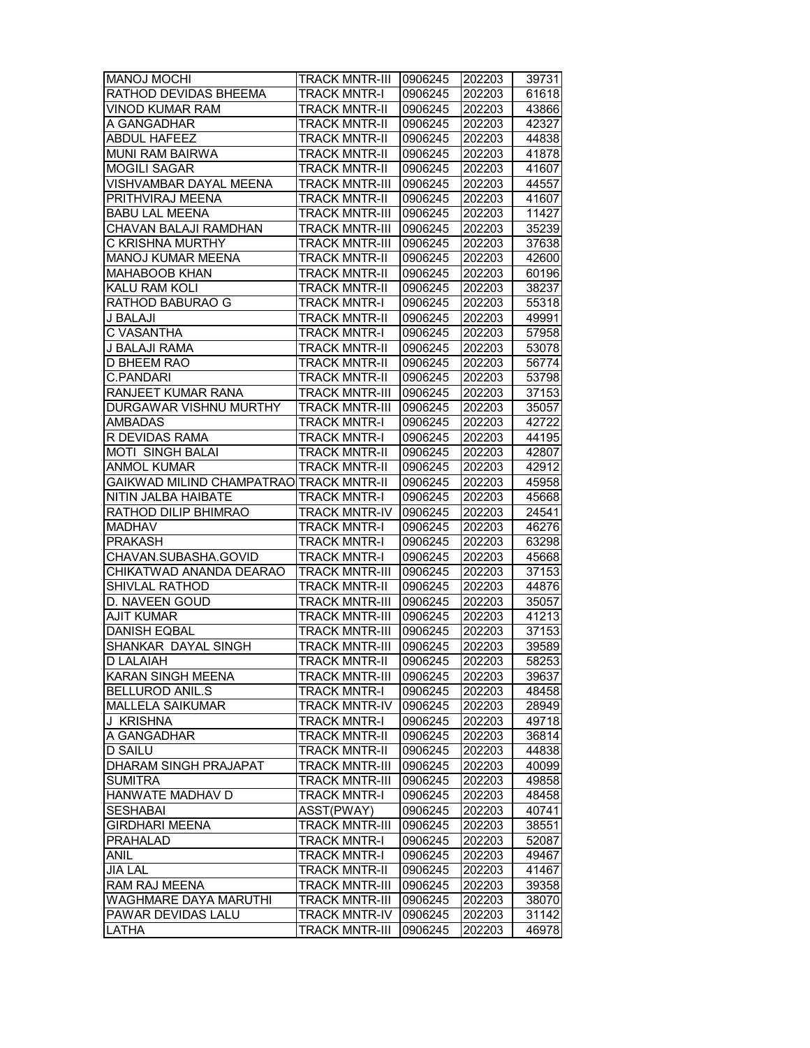| <b>MANOJ MOCHI</b>                      |                              | 0906245 |        |       |
|-----------------------------------------|------------------------------|---------|--------|-------|
|                                         | <b>TRACK MNTR-III</b>        |         | 202203 | 39731 |
| RATHOD DEVIDAS BHEEMA                   | <b>TRACK MNTR-I</b>          | 0906245 | 202203 | 61618 |
| <b>VINOD KUMAR RAM</b>                  | <b>TRACK MNTR-II</b>         | 0906245 | 202203 | 43866 |
| A GANGADHAR                             | <b>TRACK MNTR-II</b>         | 0906245 | 202203 | 42327 |
| <b>ABDUL HAFEEZ</b>                     | <b>TRACK MNTR-II</b>         | 0906245 | 202203 | 44838 |
| MUNI RAM BAIRWA                         | <b>TRACK MNTR-II</b>         | 0906245 | 202203 | 41878 |
| <b>MOGILI SAGAR</b>                     | <b>TRACK MNTR-II</b>         | 0906245 | 202203 | 41607 |
| VISHVAMBAR DAYAL MEENA                  | <b>TRACK MNTR-III</b>        | 0906245 | 202203 | 44557 |
| PRITHVIRAJ MEENA                        | <b>TRACK MNTR-II</b>         | 0906245 | 202203 | 41607 |
| <b>BABU LAL MEENA</b>                   | <b>TRACK MNTR-III</b>        | 0906245 | 202203 | 11427 |
| CHAVAN BALAJI RAMDHAN                   | <b>TRACK MNTR-III</b>        | 0906245 | 202203 | 35239 |
| <b>C KRISHNA MURTHY</b>                 | <b>TRACK MNTR-III</b>        | 0906245 | 202203 | 37638 |
| MANOJ KUMAR MEENA                       | <b>TRACK MNTR-II</b>         | 0906245 | 202203 | 42600 |
| <b>MAHABOOB KHAN</b>                    | <b>TRACK MNTR-II</b>         | 0906245 | 202203 | 60196 |
| KALU RAM KOLI                           | <b>TRACK MNTR-II</b>         | 0906245 | 202203 | 38237 |
| RATHOD BABURAO G                        | <b>TRACK MNTR-I</b>          | 0906245 | 202203 | 55318 |
| J BALAJI                                | <b>TRACK MNTR-II</b>         | 0906245 | 202203 | 49991 |
| C VASANTHA                              | <b>TRACK MNTR-I</b>          | 0906245 | 202203 | 57958 |
| J BALAJI RAMA                           | <b>TRACK MNTR-II</b>         | 0906245 | 202203 | 53078 |
| <b>D BHEEM RAO</b>                      | <b>TRACK MNTR-II</b>         | 0906245 | 202203 | 56774 |
| <b>C.PANDARI</b>                        | <b>TRACK MNTR-II</b>         | 0906245 | 202203 | 53798 |
| RANJEET KUMAR RANA                      | <b>TRACK MNTR-III</b>        | 0906245 | 202203 | 37153 |
|                                         | <b>TRACK MNTR-III</b>        |         |        |       |
| DURGAWAR VISHNU MURTHY                  |                              | 0906245 | 202203 | 35057 |
| <b>AMBADAS</b>                          | <b>TRACK MNTR-I</b>          | 0906245 | 202203 | 42722 |
| R DEVIDAS RAMA                          | <b>TRACK MNTR-I</b>          | 0906245 | 202203 | 44195 |
| <b>MOTI SINGH BALAI</b>                 | <b>TRACK MNTR-II</b>         | 0906245 | 202203 | 42807 |
| ANMOL KUMAR                             | <b>TRACK MNTR-II</b>         | 0906245 | 202203 | 42912 |
| GAIKWAD MILIND CHAMPATRAO TRACK MNTR-II |                              | 0906245 | 202203 | 45958 |
| NITIN JALBA HAIBATE                     | <b>TRACK MNTR-I</b>          | 0906245 | 202203 | 45668 |
| RATHOD DILIP BHIMRAO                    | <b>TRACK MNTR-IV</b>         | 0906245 | 202203 | 24541 |
| <b>MADHAV</b>                           | <b>TRACK MNTR-I</b>          | 0906245 | 202203 | 46276 |
| <b>PRAKASH</b>                          | <b>TRACK MNTR-I</b>          | 0906245 | 202203 | 63298 |
| CHAVAN.SUBASHA.GOVID                    | <b>TRACK MNTR-I</b>          | 0906245 | 202203 | 45668 |
| CHIKATWAD ANANDA DEARAO                 | <b>TRACK MNTR-III</b>        | 0906245 | 202203 | 37153 |
| <b>SHIVLAL RATHOD</b>                   | <b>TRACK MNTR-II</b>         | 0906245 | 202203 | 44876 |
| D. NAVEEN GOUD                          | <b>TRACK MNTR-III</b>        | 0906245 | 202203 | 35057 |
| <b>AJIT KUMAR</b>                       | <b>TRACK MNTR-III</b>        | 0906245 | 202203 | 41213 |
| <b>DANISH EQBAL</b>                     | <b>TRACK MNTR-III</b>        | 0906245 | 202203 | 37153 |
| SHANKAR DAYAL SINGH                     | <b>TRACK MNTR-III</b>        | 0906245 | 202203 | 39589 |
| <b>D LALAIAH</b>                        | <b>TRACK MNTR-II</b>         | 0906245 | 202203 | 58253 |
| KARAN SINGH MEENA                       | TRACK MNTR-III               | 0906245 | 202203 | 39637 |
| <b>BELLUROD ANIL.S</b>                  | TRACK MNTR-I                 | 0906245 | 202203 | 48458 |
| MALLELA SAIKUMAR                        | TRACK MNTR-IV                | 0906245 | 202203 | 28949 |
| J KRISHNA                               | TRACK MNTR-I                 | 0906245 | 202203 | 49718 |
| A GANGADHAR                             | <b>TRACK MNTR-II</b>         | 0906245 | 202203 | 36814 |
| <b>D SAILU</b>                          | <b>TRACK MNTR-II</b>         | 0906245 | 202203 | 44838 |
| <b>DHARAM SINGH PRAJAPAT</b>            | <b>TRACK MNTR-III</b>        | 0906245 | 202203 | 40099 |
| <b>SUMITRA</b>                          | <b>TRACK MNTR-III</b>        | 0906245 | 202203 | 49858 |
| HANWATE MADHAV D                        | <b>TRACK MNTR-I</b>          | 0906245 | 202203 | 48458 |
| <b>SESHABAI</b>                         | ASST(PWAY)                   | 0906245 | 202203 | 40741 |
| <b>GIRDHARI MEENA</b>                   | <b>TRACK MNTR-III</b>        | 0906245 |        | 38551 |
|                                         |                              |         | 202203 |       |
| <b>PRAHALAD</b>                         | TRACK MNTR-I                 | 0906245 | 202203 | 52087 |
| ANIL                                    | <b>TRACK MNTR-I</b>          | 0906245 | 202203 | 49467 |
| <b>JIA LAL</b>                          | <b>TRACK MNTR-II</b>         | 0906245 | 202203 | 41467 |
| RAM RAJ MEENA                           | <b>TRACK MNTR-III</b>        | 0906245 | 202203 | 39358 |
| <b>WAGHMARE DAYA MARUTHI</b>            | <b>TRACK MNTR-III</b>        | 0906245 | 202203 | 38070 |
| PAWAR DEVIDAS LALU                      | <b>TRACK MNTR-IV 0906245</b> |         | 202203 | 31142 |
| LATHA                                   | <b>TRACK MNTR-III</b>        | 0906245 | 202203 | 46978 |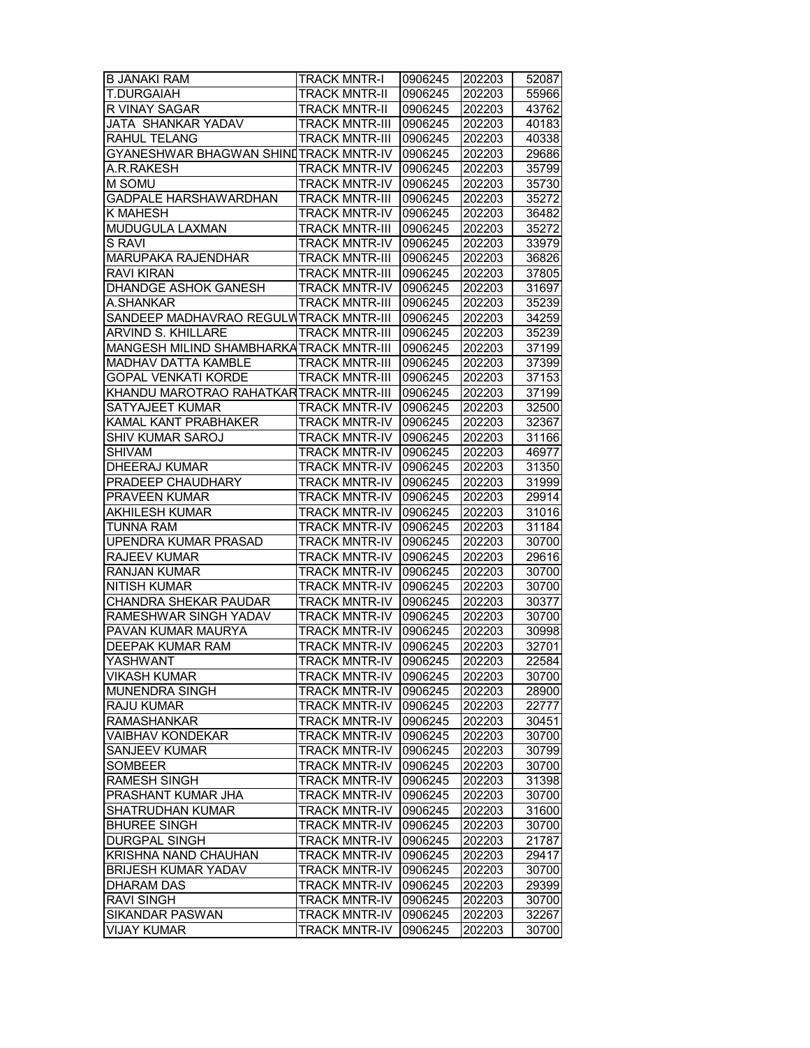| <b>B JANAKI RAM</b>                      | <b>TRACK MNTR-I</b>                   | 0906245 | 202203 | 52087          |
|------------------------------------------|---------------------------------------|---------|--------|----------------|
| <b>T.DURGAIAH</b>                        | <b>TRACK MNTR-II</b>                  | 0906245 | 202203 | 55966          |
| R VINAY SAGAR                            | <b>TRACK MNTR-II</b>                  | 0906245 | 202203 | 43762          |
| JATA SHANKAR YADAV                       | <b>TRACK MNTR-III</b>                 | 0906245 | 202203 | 40183          |
| RAHUL TELANG                             | <b>TRACK MNTR-III</b>                 | 0906245 | 202203 | 40338          |
| GYANESHWAR BHAGWAN SHINI TRACK MNTR-IV   |                                       | 0906245 | 202203 | 29686          |
| A.R.RAKESH                               | <b>TRACK MNTR-IV</b>                  | 0906245 | 202203 | 35799          |
| M SOMU                                   | <b>TRACK MNTR-IV</b>                  | 0906245 | 202203 | 35730          |
| <b>GADPALE HARSHAWARDHAN</b>             | <b>TRACK MNTR-III</b>                 | 0906245 | 202203 | 35272          |
|                                          | <b>TRACK MNTR-IV</b>                  |         |        |                |
| K MAHESH                                 |                                       | 0906245 | 202203 | 36482          |
| MUDUGULA LAXMAN                          | <b>TRACK MNTR-III</b>                 | 0906245 | 202203 | 35272          |
| <b>S RAVI</b>                            | <b>TRACK MNTR-IV</b>                  | 0906245 | 202203 | 33979          |
| MARUPAKA RAJENDHAR                       | <b>TRACK MNTR-III</b>                 | 0906245 | 202203 | 36826          |
| <b>RAVI KIRAN</b>                        | <b>TRACK MNTR-III</b>                 | 0906245 | 202203 | 37805          |
| DHANDGE ASHOK GANESH                     | <b>TRACK MNTR-IV</b>                  | 0906245 | 202203 | 31697          |
| A.SHANKAR                                | <b>TRACK MNTR-III</b>                 | 0906245 | 202203 | 35239          |
| SANDEEP MADHAVRAO REGULW TRACK MNTR-III  |                                       | 0906245 | 202203 | 34259          |
| ARVIND S. KHILLARE                       | <b>TRACK MNTR-III</b>                 | 0906245 | 202203 | 35239          |
| MANGESH MILIND SHAMBHARKA TRACK MNTR-III |                                       | 0906245 | 202203 | 37199          |
| MADHAV DATTA KAMBLE                      | <b>TRACK MNTR-III</b>                 | 0906245 | 202203 | 37399          |
| <b>GOPAL VENKATI KORDE</b>               | <b>TRACK MNTR-III</b>                 | 0906245 | 202203 | 37153          |
| KHANDU MAROTRAO RAHATKAR TRACK MNTR-III  |                                       | 0906245 | 202203 | 37199          |
| <b>SATYAJEET KUMAR</b>                   | <b>TRACK MNTR-IV</b>                  | 0906245 | 202203 | 32500          |
| KAMAL KANT PRABHAKER                     | <b>TRACK MNTR-IV</b>                  | 0906245 | 202203 | 32367          |
| <b>SHIV KUMAR SAROJ</b>                  | <b>TRACK MNTR-IV</b>                  | 0906245 | 202203 | 31166          |
| SHIVAM                                   | <b>TRACK MNTR-IV</b>                  | 0906245 | 202203 | 46977          |
| <b>DHEERAJ KUMAR</b>                     | <b>TRACK MNTR-IV</b>                  | 0906245 | 202203 | 31350          |
| PRADEEP CHAUDHARY                        | <b>TRACK MNTR-IV</b>                  | 0906245 | 202203 | 31999          |
| PRAVEEN KUMAR                            | <b>TRACK MNTR-IV</b>                  | 0906245 | 202203 | 29914          |
| <b>AKHILESH KUMAR</b>                    | <b>TRACK MNTR-IV</b>                  | 0906245 | 202203 | 31016          |
| TUNNA RAM                                | <b>TRACK MNTR-IV</b>                  | 0906245 | 202203 | 31184          |
| <b>UPENDRA KUMAR PRASAD</b>              | <b>TRACK MNTR-IV</b>                  | 0906245 | 202203 | 30700          |
| <b>RAJEEV KUMAR</b>                      | <b>TRACK MNTR-IV</b>                  | 0906245 | 202203 | 29616          |
| <b>RANJAN KUMAR</b>                      | <b>TRACK MNTR-IV</b>                  | 0906245 | 202203 | 30700          |
| <b>NITISH KUMAR</b>                      | <b>TRACK MNTR-IV</b>                  | 0906245 | 202203 | 30700          |
| <b>CHANDRA SHEKAR PAUDAR</b>             | <b>TRACK MNTR-IV</b>                  | 0906245 | 202203 | 30377          |
| RAMESHWAR SINGH YADAV                    | <b>TRACK MNTR-IV</b>                  | 0906245 | 202203 | 30700          |
| PAVAN KUMAR MAURYA                       | <b>TRACK MNTR-IV</b>                  | 0906245 | 202203 | 30998          |
| <b>DEEPAK KUMAR RAM</b>                  | <b>TRACK MNTR-IV</b>                  | 0906245 | 202203 | 32701          |
| YASHWANT                                 | <b>TRACK MNTR-IV</b>                  | 0906245 | 202203 | 22584          |
| <b>VIKASH KUMAR</b>                      | TRACK MNTR-IV                         | 0906245 | 202203 | 30700          |
| MUNENDRA SINGH                           | <b>TRACK MNTR-IV</b>                  | 0906245 | 202203 | 28900          |
| RAJU KUMAR                               | <b>TRACK MNTR-IV</b>                  | 0906245 | 202203 | 22777          |
| <b>RAMASHANKAR</b>                       | <b>TRACK MNTR-IV</b>                  | 0906245 | 202203 | 30451          |
| <b>VAIBHAV KONDEKAR</b>                  | <b>TRACK MNTR-IV</b>                  | 0906245 | 202203 | 30700          |
| <b>SANJEEV KUMAR</b>                     | <b>TRACK MNTR-IV</b>                  | 0906245 | 202203 | 30799          |
| <b>SOMBEER</b>                           | <b>TRACK MNTR-IV</b>                  | 0906245 | 202203 | 30700          |
| <b>RAMESH SINGH</b>                      | <b>TRACK MNTR-IV</b>                  | 0906245 | 202203 | 31398          |
| PRASHANT KUMAR JHA                       | <b>TRACK MNTR-IV</b>                  | 0906245 | 202203 | 30700          |
|                                          |                                       |         |        |                |
| SHATRUDHAN KUMAR<br><b>BHUREE SINGH</b>  | TRACK MNTR-IV<br><b>TRACK MNTR-IV</b> | 0906245 | 202203 | 31600<br>30700 |
|                                          |                                       | 0906245 | 202203 |                |
| DURGPAL SINGH                            | <b>TRACK MNTR-IV</b>                  | 0906245 | 202203 | 21787          |
| KRISHNA NAND CHAUHAN                     | <b>TRACK MNTR-IV</b>                  | 0906245 | 202203 | 29417          |
| <b>BRIJESH KUMAR YADAV</b>               | <b>TRACK MNTR-IV</b>                  | 0906245 | 202203 | 30700          |
| <b>DHARAM DAS</b>                        | <b>TRACK MNTR-IV</b>                  | 0906245 | 202203 | 29399          |
| <b>RAVI SINGH</b>                        | <b>TRACK MNTR-IV</b>                  | 0906245 | 202203 | 30700          |
| SIKANDAR PASWAN                          | <b>TRACK MNTR-IV</b>                  | 0906245 | 202203 | 32267          |
| <b>VIJAY KUMAR</b>                       | <b>TRACK MNTR-IV</b>                  | 0906245 | 202203 | 30700          |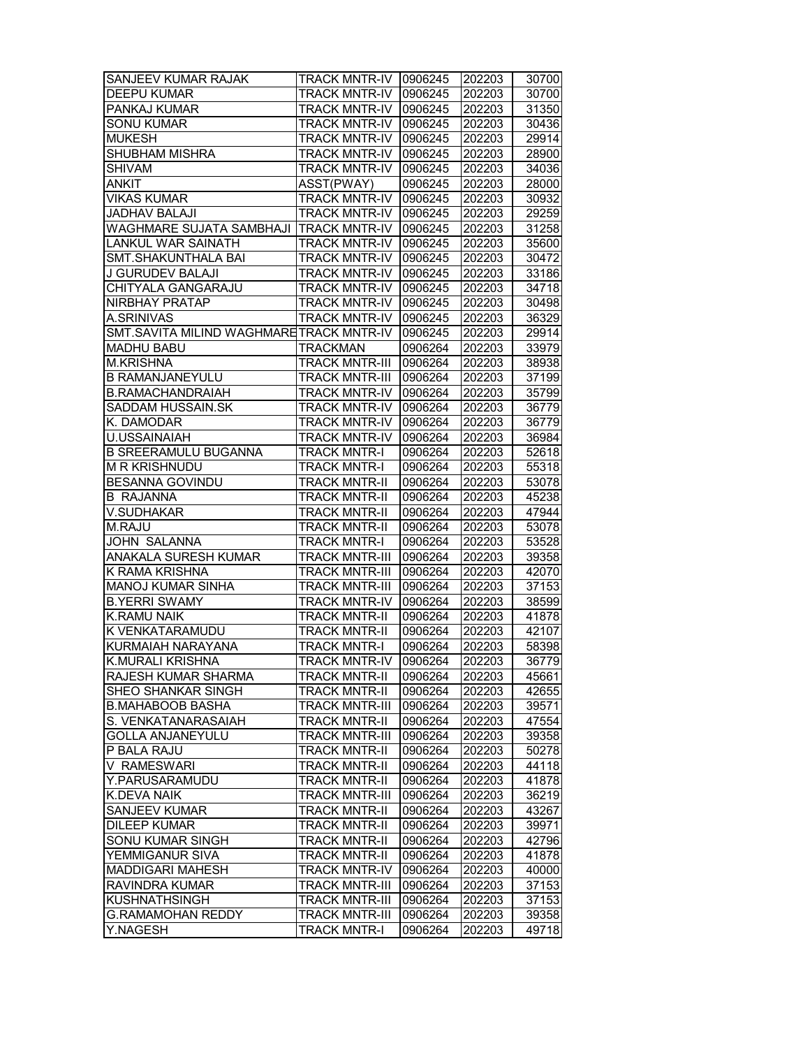| SANJEEV KUMAR RAJAK                     | <b>TRACK MNTR-IV   0906245</b> |         | 202203 | 30700 |
|-----------------------------------------|--------------------------------|---------|--------|-------|
| <b>DEEPU KUMAR</b>                      | <b>TRACK MNTR-IV</b>           | 0906245 | 202203 | 30700 |
| PANKAJ KUMAR                            | <b>TRACK MNTR-IV</b>           | 0906245 | 202203 | 31350 |
| <b>SONU KUMAR</b>                       | <b>TRACK MNTR-IV</b>           | 0906245 | 202203 | 30436 |
| <b>MUKESH</b>                           | <b>TRACK MNTR-IV</b>           | 0906245 | 202203 | 29914 |
| <b>SHUBHAM MISHRA</b>                   | <b>TRACK MNTR-IV</b>           | 0906245 | 202203 | 28900 |
| <b>SHIVAM</b>                           | <b>TRACK MNTR-IV</b>           | 0906245 | 202203 | 34036 |
| ankit                                   | ASST(PWAY)                     | 0906245 | 202203 | 28000 |
| <b>VIKAS KUMAR</b>                      | <b>TRACK MNTR-IV</b>           | 0906245 | 202203 | 30932 |
| JADHAV BALAJI                           | <b>TRACK MNTR-IV</b>           | 0906245 | 202203 | 29259 |
| WAGHMARE SUJATA SAMBHAJI                | <b>TRACK MNTR-IV</b>           | 0906245 | 202203 | 31258 |
| LANKUL WAR SAINATH                      | <b>TRACK MNTR-IV</b>           | 0906245 | 202203 | 35600 |
| SMT.SHAKUNTHALA BAI                     | <b>TRACK MNTR-IV</b>           | 0906245 | 202203 | 30472 |
| J GURUDEV BALAJI                        | <b>TRACK MNTR-IV</b>           | 0906245 | 202203 | 33186 |
| CHITYALA GANGARAJU                      | <b>TRACK MNTR-IV</b>           | 0906245 | 202203 | 34718 |
| NIRBHAY PRATAP                          | <b>TRACK MNTR-IV</b>           | 0906245 | 202203 | 30498 |
| A.SRINIVAS                              | <b>TRACK MNTR-IV</b>           | 0906245 | 202203 | 36329 |
| SMT.SAVITA MILIND WAGHMARETRACK MNTR-IV |                                | 0906245 |        | 29914 |
| <b>MADHU BABU</b>                       | <b>TRACKMAN</b>                |         | 202203 |       |
|                                         |                                | 0906264 | 202203 | 33979 |
| <b>M.KRISHNA</b>                        | <b>TRACK MNTR-III</b>          | 0906264 | 202203 | 38938 |
| <b>B RAMANJANEYULU</b>                  | <b>TRACK MNTR-III</b>          | 0906264 | 202203 | 37199 |
| <b>B.RAMACHANDRAIAH</b>                 | <b>TRACK MNTR-IV</b>           | 0906264 | 202203 | 35799 |
| SADDAM HUSSAIN.SK                       | <b>TRACK MNTR-IV</b>           | 0906264 | 202203 | 36779 |
| K. DAMODAR                              | <b>TRACK MNTR-IV</b>           | 0906264 | 202203 | 36779 |
| <b>U.USSAINAIAH</b>                     | <b>TRACK MNTR-IV</b>           | 0906264 | 202203 | 36984 |
| <b>B SREERAMULU BUGANNA</b>             | <b>TRACK MNTR-I</b>            | 0906264 | 202203 | 52618 |
| <b>M R KRISHNUDU</b>                    | <b>TRACK MNTR-I</b>            | 0906264 | 202203 | 55318 |
| BESANNA GOVINDU                         | <b>TRACK MNTR-II</b>           | 0906264 | 202203 | 53078 |
| <b>B RAJANNA</b>                        | <b>TRACK MNTR-II</b>           | 0906264 | 202203 | 45238 |
| V.SUDHAKAR                              | <b>TRACK MNTR-II</b>           | 0906264 | 202203 | 47944 |
| M.RAJU                                  | <b>TRACK MNTR-II</b>           | 0906264 | 202203 | 53078 |
| JOHN SALANNA                            | <b>TRACK MNTR-I</b>            | 0906264 | 202203 | 53528 |
| ANAKALA SURESH KUMAR                    | <b>TRACK MNTR-III</b>          | 0906264 | 202203 | 39358 |
| K RAMA KRISHNA                          | TRACK MNTR-III                 | 0906264 | 202203 | 42070 |
| <b>MANOJ KUMAR SINHA</b>                | <b>TRACK MNTR-III</b>          | 0906264 | 202203 | 37153 |
| <b>B.YERRI SWAMY</b>                    | <b>TRACK MNTR-IV</b>           | 0906264 | 202203 | 38599 |
| <b>K.RAMU NAIK</b>                      | <b>TRACK MNTR-II</b>           | 0906264 | 202203 | 41878 |
| K VENKATARAMUDU                         | <b>TRACK MNTR-II</b>           | 0906264 | 202203 | 42107 |
| KURMAIAH NARAYANA                       | <b>TRACK MNTR-I</b>            | 0906264 | 202203 | 58398 |
| <b>K.MURALI KRISHNA</b>                 | TRACK MNTR-IV 10906264         |         | 202203 | 36779 |
| RAJESH KUMAR SHARMA                     | <b>TRACK MNTR-II</b>           | 0906264 | 202203 | 45661 |
| SHEO SHANKAR SINGH                      | <b>TRACK MNTR-II</b>           | 0906264 | 202203 | 42655 |
| <b>B.MAHABOOB BASHA</b>                 | TRACK MNTR-III                 | 0906264 | 202203 | 39571 |
| S. VENKATANARASAIAH                     | TRACK MNTR-II                  | 0906264 | 202203 | 47554 |
| <b>GOLLA ANJANEYULU</b>                 | <b>TRACK MNTR-III</b>          | 0906264 | 202203 | 39358 |
| P BALA RAJU                             | <b>TRACK MNTR-II</b>           | 0906264 | 202203 | 50278 |
| V RAMESWARI                             | <b>TRACK MNTR-II</b>           | 0906264 | 202203 | 44118 |
| Y.PARUSARAMUDU                          | <b>TRACK MNTR-II</b>           | 0906264 | 202203 | 41878 |
| K.DEVA NAIK                             | <b>TRACK MNTR-III</b>          | 0906264 | 202203 | 36219 |
| SANJEEV KUMAR                           | <b>TRACK MNTR-II</b>           | 0906264 | 202203 | 43267 |
| <b>DILEEP KUMAR</b>                     | <b>TRACK MNTR-II</b>           | 0906264 | 202203 | 39971 |
| SONU KUMAR SINGH                        | <b>TRACK MNTR-II</b>           | 0906264 | 202203 | 42796 |
|                                         |                                |         |        |       |
| YEMMIGANUR SIVA                         | <b>TRACK MNTR-II</b>           | 0906264 | 202203 | 41878 |
| <b>MADDIGARI MAHESH</b>                 | <b>TRACK MNTR-IV</b>           | 0906264 | 202203 | 40000 |
| RAVINDRA KUMAR                          | <b>TRACK MNTR-III</b>          | 0906264 | 202203 | 37153 |
| KUSHNATHSINGH                           | <b>TRACK MNTR-III</b>          | 0906264 | 202203 | 37153 |
| <b>G.RAMAMOHAN REDDY</b>                | <b>TRACK MNTR-III</b>          | 0906264 | 202203 | 39358 |
| Y.NAGESH                                | <b>TRACK MNTR-I</b>            | 0906264 | 202203 | 49718 |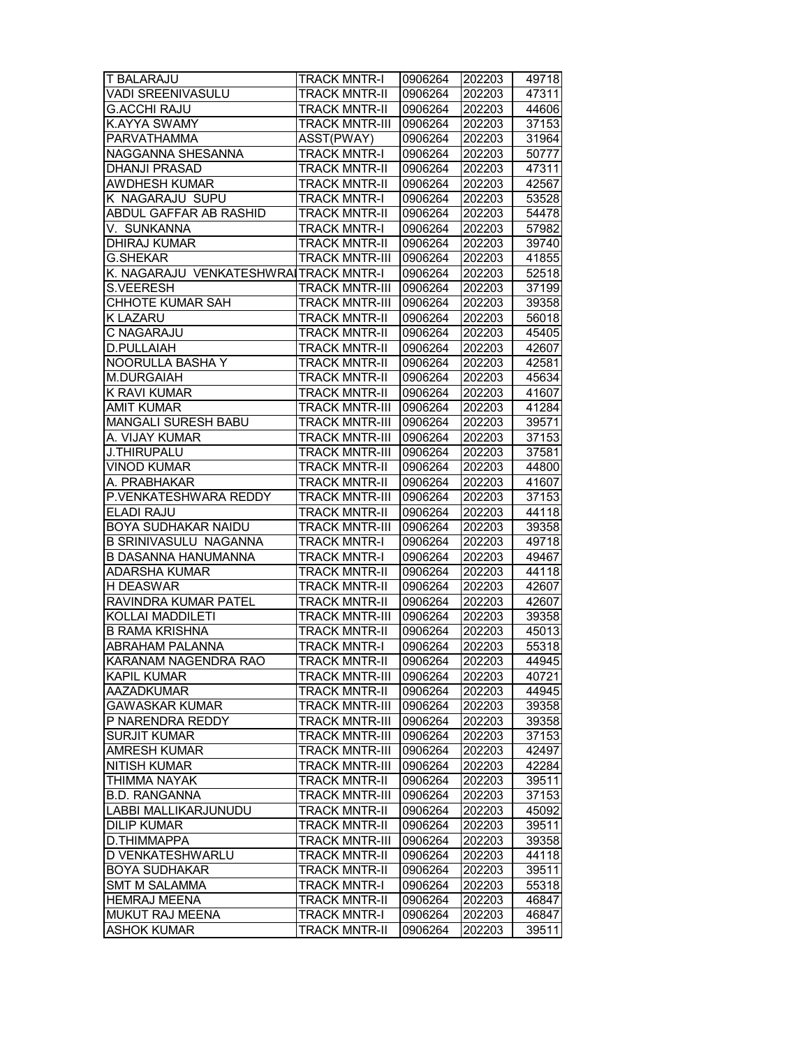| T BALARAJU                            | <b>TRACK MNTR-I</b>   | 0906264 | 202203 | 49718 |
|---------------------------------------|-----------------------|---------|--------|-------|
| VADI SREENIVASULU                     | <b>TRACK MNTR-II</b>  | 0906264 | 202203 | 47311 |
| <b>G.ACCHI RAJU</b>                   | <b>TRACK MNTR-II</b>  | 0906264 | 202203 | 44606 |
| K.AYYA SWAMY                          | <b>TRACK MNTR-III</b> | 0906264 | 202203 | 37153 |
| <b>PARVATHAMMA</b>                    | ASST(PWAY)            | 0906264 | 202203 | 31964 |
| NAGGANNA SHESANNA                     | <b>TRACK MNTR-I</b>   | 0906264 | 202203 | 50777 |
| <b>DHANJI PRASAD</b>                  | <b>TRACK MNTR-II</b>  | 0906264 | 202203 | 47311 |
| <b>AWDHESH KUMAR</b>                  | <b>TRACK MNTR-II</b>  | 0906264 | 202203 | 42567 |
| K NAGARAJU SUPU                       | <b>TRACK MNTR-I</b>   | 0906264 | 202203 | 53528 |
| ABDUL GAFFAR AB RASHID                | <b>TRACK MNTR-II</b>  | 0906264 | 202203 | 54478 |
| V. SUNKANNA                           | <b>TRACK MNTR-I</b>   | 0906264 | 202203 | 57982 |
| <b>DHIRAJ KUMAR</b>                   | <b>TRACK MNTR-II</b>  | 0906264 | 202203 | 39740 |
| <b>G.SHEKAR</b>                       | <b>TRACK MNTR-III</b> | 0906264 | 202203 | 41855 |
| K. NAGARAJU VENKATESHWRAITRACK MNTR-I |                       | 0906264 | 202203 | 52518 |
| <b>S.VEERESH</b>                      | <b>TRACK MNTR-III</b> | 0906264 | 202203 | 37199 |
| CHHOTE KUMAR SAH                      | <b>TRACK MNTR-III</b> | 0906264 | 202203 | 39358 |
| K LAZARU                              | <b>TRACK MNTR-II</b>  | 0906264 | 202203 | 56018 |
| C NAGARAJU                            | <b>TRACK MNTR-II</b>  | 0906264 | 202203 | 45405 |
| D.PULLAIAH                            | <b>TRACK MNTR-II</b>  | 0906264 | 202203 | 42607 |
| NOORULLA BASHA Y                      | <b>TRACK MNTR-II</b>  | 0906264 | 202203 | 42581 |
| M.DURGAIAH                            | <b>TRACK MNTR-II</b>  | 0906264 | 202203 | 45634 |
| K RAVI KUMAR                          | <b>TRACK MNTR-II</b>  | 0906264 | 202203 | 41607 |
| <b>AMIT KUMAR</b>                     | <b>TRACK MNTR-III</b> | 0906264 | 202203 | 41284 |
| <b>MANGALI SURESH BABU</b>            | <b>TRACK MNTR-III</b> | 0906264 | 202203 | 39571 |
| A. VIJAY KUMAR                        | <b>TRACK MNTR-III</b> | 0906264 | 202203 | 37153 |
| <b>J.THIRUPALU</b>                    | TRACK MNTR-III        | 0906264 | 202203 | 37581 |
| <b>VINOD KUMAR</b>                    | <b>TRACK MNTR-II</b>  | 0906264 | 202203 | 44800 |
| A. PRABHAKAR                          | <b>TRACK MNTR-II</b>  | 0906264 | 202203 | 41607 |
| P.VENKATESHWARA REDDY                 | <b>TRACK MNTR-III</b> | 0906264 | 202203 | 37153 |
| ELADI RAJU                            | <b>TRACK MNTR-II</b>  | 0906264 | 202203 | 44118 |
| BOYA SUDHAKAR NAIDU                   | <b>TRACK MNTR-III</b> | 0906264 | 202203 | 39358 |
| B SRINIVASULU NAGANNA                 | <b>TRACK MNTR-I</b>   | 0906264 | 202203 | 49718 |
| B DASANNA HANUMANNA                   | <b>TRACK MNTR-I</b>   | 0906264 | 202203 | 49467 |
| ADARSHA KUMAR                         | <b>TRACK MNTR-II</b>  | 0906264 | 202203 | 44118 |
| <b>H DEASWAR</b>                      | <b>TRACK MNTR-II</b>  | 0906264 | 202203 | 42607 |
| RAVINDRA KUMAR PATEL                  | <b>TRACK MNTR-II</b>  | 0906264 | 202203 | 42607 |
| KOLLAI MADDILETI                      | <b>TRACK MNTR-III</b> | 0906264 | 202203 | 39358 |
| <b>B RAMA KRISHNA</b>                 | <b>TRACK MNTR-II</b>  | 0906264 | 202203 | 45013 |
| <b>ABRAHAM PALANNA</b>                | <b>TRACK MNTR-I</b>   | 0906264 | 202203 | 55318 |
| KARANAM NAGENDRA RAO                  | <b>TRACK MNTR-II</b>  | 0906264 | 202203 | 44945 |
| KAPIL KUMAR                           | <b>TRACK MNTR-III</b> | 0906264 | 202203 | 40721 |
| AAZADKUMAR                            | <b>TRACK MNTR-II</b>  | 0906264 | 202203 | 44945 |
| GAWASKAR KUMAR                        | <b>TRACK MNTR-III</b> | 0906264 | 202203 | 39358 |
| P NARENDRA REDDY                      | <b>TRACK MNTR-III</b> | 0906264 | 202203 | 39358 |
| <b>SURJIT KUMAR</b>                   | <b>TRACK MNTR-III</b> | 0906264 | 202203 | 37153 |
| <b>AMRESH KUMAR</b>                   | <b>TRACK MNTR-III</b> | 0906264 | 202203 | 42497 |
| <b>NITISH KUMAR</b>                   | <b>TRACK MNTR-III</b> | 0906264 | 202203 | 42284 |
| THIMMA NAYAK                          | <b>TRACK MNTR-II</b>  | 0906264 | 202203 | 39511 |
| <b>B.D. RANGANNA</b>                  | <b>TRACK MNTR-III</b> | 0906264 | 202203 | 37153 |
| LABBI MALLIKARJUNUDU                  | <b>TRACK MNTR-II</b>  | 0906264 | 202203 | 45092 |
| <b>DILIP KUMAR</b>                    | <b>TRACK MNTR-II</b>  | 0906264 | 202203 | 39511 |
| D.THIMMAPPA                           | <b>TRACK MNTR-III</b> | 0906264 | 202203 | 39358 |
| D VENKATESHWARLU                      | <b>TRACK MNTR-II</b>  | 0906264 | 202203 | 44118 |
| <b>BOYA SUDHAKAR</b>                  | <b>TRACK MNTR-II</b>  | 0906264 | 202203 | 39511 |
| <b>SMT M SALAMMA</b>                  | <b>TRACK MNTR-I</b>   | 0906264 | 202203 | 55318 |
| <b>HEMRAJ MEENA</b>                   | <b>TRACK MNTR-II</b>  | 0906264 | 202203 | 46847 |
| MUKUT RAJ MEENA                       | <b>TRACK MNTR-I</b>   | 0906264 | 202203 | 46847 |
| <b>ASHOK KUMAR</b>                    | <b>TRACK MNTR-II</b>  | 0906264 | 202203 | 39511 |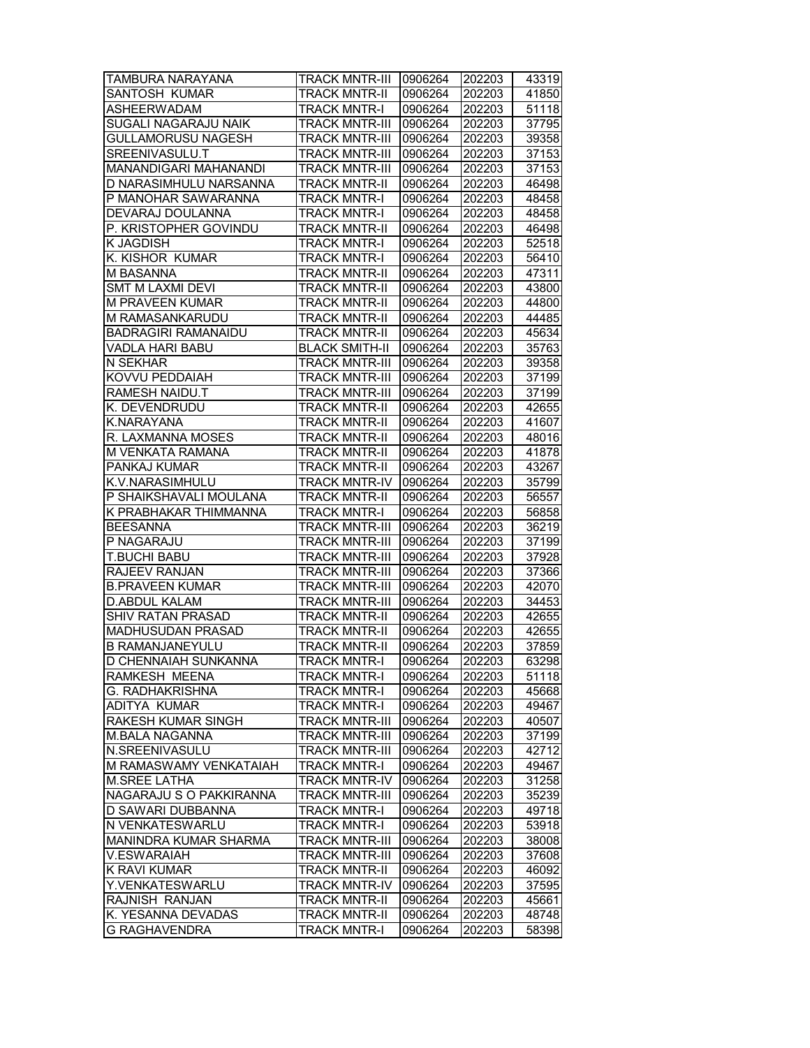| TAMBURA NARAYANA           | <b>TRACK MNTR-III</b> | 0906264 | 202203 | 43319 |
|----------------------------|-----------------------|---------|--------|-------|
| <b>SANTOSH KUMAR</b>       | <b>TRACK MNTR-II</b>  | 0906264 | 202203 | 41850 |
| <b>ASHEERWADAM</b>         | <b>TRACK MNTR-I</b>   | 0906264 | 202203 | 51118 |
| SUGALI NAGARAJU NAIK       | <b>TRACK MNTR-III</b> | 0906264 | 202203 | 37795 |
| <b>GULLAMORUSU NAGESH</b>  | <b>TRACK MNTR-III</b> | 0906264 | 202203 | 39358 |
| SREENIVASULU.T             | <b>TRACK MNTR-III</b> | 0906264 | 202203 | 37153 |
| MANANDIGARI MAHANANDI      | <b>TRACK MNTR-III</b> | 0906264 | 202203 | 37153 |
| D NARASIMHULU NARSANNA     | <b>TRACK MNTR-II</b>  | 0906264 | 202203 | 46498 |
| P MANOHAR SAWARANNA        | TRACK MNTR-I          | 0906264 | 202203 | 48458 |
| DEVARAJ DOULANNA           | <b>TRACK MNTR-I</b>   | 0906264 | 202203 | 48458 |
| P. KRISTOPHER GOVINDU      | TRACK MNTR-II         | 0906264 | 202203 | 46498 |
| K JAGDISH                  | <b>TRACK MNTR-I</b>   | 0906264 | 202203 | 52518 |
| K. KISHOR KUMAR            | <b>TRACK MNTR-I</b>   | 0906264 | 202203 | 56410 |
| M BASANNA                  | <b>TRACK MNTR-II</b>  | 0906264 | 202203 | 47311 |
| <b>SMT M LAXMI DEVI</b>    | <b>TRACK MNTR-II</b>  | 0906264 | 202203 | 43800 |
| M PRAVEEN KUMAR            | <b>TRACK MNTR-II</b>  | 0906264 | 202203 | 44800 |
| M RAMASANKARUDU            | TRACK MNTR-II         | 0906264 | 202203 | 44485 |
| <b>BADRAGIRI RAMANAIDU</b> | <b>TRACK MNTR-II</b>  | 0906264 | 202203 | 45634 |
| VADLA HARI BABU            | <b>BLACK SMITH-II</b> | 0906264 | 202203 | 35763 |
| N SEKHAR                   | <b>TRACK MNTR-III</b> | 0906264 | 202203 | 39358 |
| KOVVU PEDDAIAH             | <b>TRACK MNTR-III</b> | 0906264 | 202203 | 37199 |
| <b>RAMESH NAIDU.T</b>      | <b>TRACK MNTR-III</b> | 0906264 | 202203 | 37199 |
| K. DEVENDRUDU              | <b>TRACK MNTR-II</b>  | 0906264 | 202203 | 42655 |
| K.NARAYANA                 | <b>TRACK MNTR-II</b>  | 0906264 | 202203 | 41607 |
| R. LAXMANNA MOSES          | <b>TRACK MNTR-II</b>  | 0906264 | 202203 | 48016 |
| M VENKATA RAMANA           | <b>TRACK MNTR-II</b>  | 0906264 | 202203 | 41878 |
| PANKAJ KUMAR               | <b>TRACK MNTR-II</b>  | 0906264 | 202203 | 43267 |
| K.V.NARASIMHULU            | <b>TRACK MNTR-IV</b>  | 0906264 | 202203 | 35799 |
| P SHAIKSHAVALI MOULANA     | <b>TRACK MNTR-II</b>  | 0906264 | 202203 | 56557 |
| K PRABHAKAR THIMMANNA      | <b>TRACK MNTR-I</b>   | 0906264 | 202203 | 56858 |
| <b>BEESANNA</b>            | <b>TRACK MNTR-III</b> | 0906264 | 202203 | 36219 |
| P NAGARAJU                 | <b>TRACK MNTR-III</b> | 0906264 | 202203 | 37199 |
| T.BUCHI BABU               | <b>TRACK MNTR-III</b> | 0906264 | 202203 | 37928 |
| RAJEEV RANJAN              | TRACK MNTR-III        | 0906264 | 202203 | 37366 |
| <b>B.PRAVEEN KUMAR</b>     | <b>TRACK MNTR-III</b> | 0906264 | 202203 | 42070 |
| <b>D.ABDUL KALAM</b>       | TRACK MNTR-III        | 0906264 | 202203 | 34453 |
| <b>SHIV RATAN PRASAD</b>   | <b>TRACK MNTR-II</b>  | 0906264 | 202203 | 42655 |
| MADHUSUDAN PRASAD          | <b>TRACK MNTR-II</b>  | 0906264 | 202203 | 42655 |
| <b>B RAMANJANEYULU</b>     | <b>TRACK MNTR-II</b>  | 0906264 | 202203 | 37859 |
| D CHENNAIAH SUNKANNA       | <b>TRACK MNTR-I</b>   | 0906264 | 202203 | 63298 |
| RAMKESH MEENA              | <b>TRACK MNTR-I</b>   | 0906264 | 202203 | 51118 |
| G. RADHAKRISHNA            | <b>TRACK MNTR-I</b>   | 0906264 | 202203 | 45668 |
| ADITYA KUMAR               | TRACK MNTR-I          | 0906264 | 202203 | 49467 |
| RAKESH KUMAR SINGH         | TRACK MNTR-III        | 0906264 | 202203 | 40507 |
| <b>M.BALA NAGANNA</b>      | <b>TRACK MNTR-III</b> | 0906264 | 202203 | 37199 |
| N.SREENIVASULU             | <b>TRACK MNTR-III</b> | 0906264 | 202203 | 42712 |
| M RAMASWAMY VENKATAIAH     | <b>TRACK MNTR-I</b>   | 0906264 | 202203 | 49467 |
| <b>M.SREE LATHA</b>        | <b>TRACK MNTR-IV</b>  | 0906264 | 202203 | 31258 |
| NAGARAJU S O PAKKIRANNA    | <b>TRACK MNTR-III</b> | 0906264 | 202203 | 35239 |
| D SAWARI DUBBANNA          | <b>TRACK MNTR-I</b>   | 0906264 | 202203 | 49718 |
| N VENKATESWARLU            | <b>TRACK MNTR-I</b>   | 0906264 | 202203 | 53918 |
| MANINDRA KUMAR SHARMA      | <b>TRACK MNTR-III</b> | 0906264 | 202203 | 38008 |
| V.ESWARAIAH                | <b>TRACK MNTR-III</b> | 0906264 | 202203 | 37608 |
| K RAVI KUMAR               | <b>TRACK MNTR-II</b>  | 0906264 | 202203 | 46092 |
| Y.VENKATESWARLU            | <b>TRACK MNTR-IV</b>  | 0906264 | 202203 | 37595 |
| RAJNISH RANJAN             | <b>TRACK MNTR-II</b>  | 0906264 | 202203 | 45661 |
| K. YESANNA DEVADAS         | <b>TRACK MNTR-II</b>  | 0906264 | 202203 | 48748 |
| <b>G RAGHAVENDRA</b>       | <b>TRACK MNTR-I</b>   | 0906264 | 202203 | 58398 |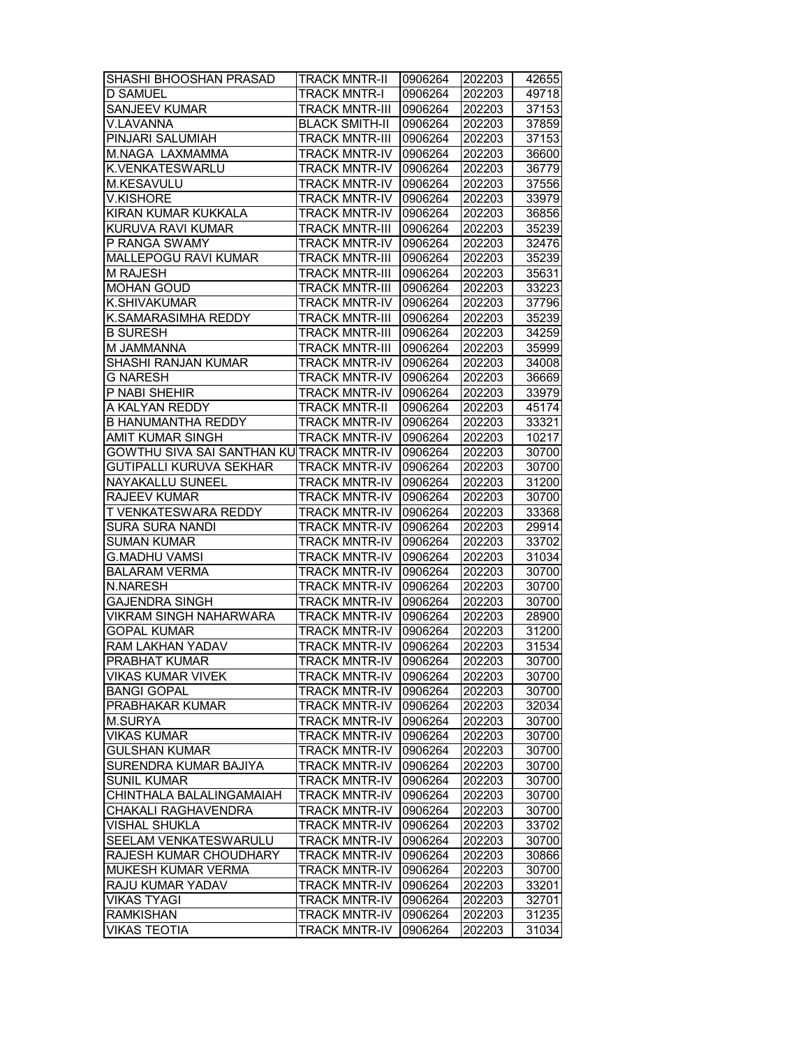| SHASHI BHOOSHAN PRASAD                   | <b>TRACK MNTR-II</b>  | 0906264 | 202203 | 42655          |
|------------------------------------------|-----------------------|---------|--------|----------------|
| <b>D SAMUEL</b>                          | <b>TRACK MNTR-I</b>   | 0906264 | 202203 | 49718          |
| <b>SANJEEV KUMAR</b>                     | <b>TRACK MNTR-III</b> | 0906264 | 202203 | 37153          |
| V.LAVANNA                                | <b>BLACK SMITH-II</b> | 0906264 | 202203 | 37859          |
| PINJARI SALUMIAH                         | <b>TRACK MNTR-III</b> | 0906264 | 202203 | 37153          |
| M.NAGA LAXMAMMA                          | <b>TRACK MNTR-IV</b>  | 0906264 | 202203 | 36600          |
| K.VENKATESWARLU                          | <b>TRACK MNTR-IV</b>  | 0906264 | 202203 | 36779          |
| M.KESAVULU                               | <b>TRACK MNTR-IV</b>  | 0906264 | 202203 | 37556          |
| <b>V.KISHORE</b>                         | <b>TRACK MNTR-IV</b>  | 0906264 | 202203 | 33979          |
| KIRAN KUMAR KUKKALA                      | <b>TRACK MNTR-IV</b>  | 0906264 | 202203 | 36856          |
| KURUVA RAVI KUMAR                        | <b>TRACK MNTR-III</b> | 0906264 | 202203 | 35239          |
| P RANGA SWAMY                            | <b>TRACK MNTR-IV</b>  | 0906264 | 202203 | 32476          |
| <b>MALLEPOGU RAVI KUMAR</b>              | <b>TRACK MNTR-III</b> | 0906264 | 202203 | 35239          |
| <b>M RAJESH</b>                          | <b>TRACK MNTR-III</b> | 0906264 | 202203 | 35631          |
| <b>MOHAN GOUD</b>                        | <b>TRACK MNTR-III</b> | 0906264 | 202203 | 33223          |
|                                          |                       |         |        |                |
| K.SHIVAKUMAR                             | <b>TRACK MNTR-IV</b>  | 0906264 | 202203 | 37796          |
| K.SAMARASIMHA REDDY                      | <b>TRACK MNTR-III</b> | 0906264 | 202203 | 35239          |
| <b>B SURESH</b>                          | <b>TRACK MNTR-III</b> | 0906264 | 202203 | 34259          |
| M JAMMANNA                               | <b>TRACK MNTR-III</b> | 0906264 | 202203 | 35999          |
| SHASHI RANJAN KUMAR                      | <b>TRACK MNTR-IV</b>  | 0906264 | 202203 | 34008          |
| <b>G NARESH</b>                          | <b>TRACK MNTR-IV</b>  | 0906264 | 202203 | 36669          |
| P NABI SHEHIR                            | <b>TRACK MNTR-IV</b>  | 0906264 | 202203 | 33979          |
| A KALYAN REDDY                           | <b>TRACK MNTR-II</b>  | 0906264 | 202203 | 45174          |
| <b>B HANUMANTHA REDDY</b>                | <b>TRACK MNTR-IV</b>  | 0906264 | 202203 | 33321          |
| AMIT KUMAR SINGH                         | <b>TRACK MNTR-IV</b>  | 0906264 | 202203 | 10217          |
| GOWTHU SIVA SAI SANTHAN KU TRACK MNTR-IV |                       | 0906264 | 202203 | 30700          |
| GUTIPALLI KURUVA SEKHAR                  | <b>TRACK MNTR-IV</b>  | 0906264 | 202203 | 30700          |
| NAYAKALLU SUNEEL                         | <b>TRACK MNTR-IV</b>  | 0906264 | 202203 | 31200          |
| <b>RAJEEV KUMAR</b>                      | <b>TRACK MNTR-IV</b>  | 0906264 | 202203 | 30700          |
| T VENKATESWARA REDDY                     | <b>TRACK MNTR-IV</b>  | 0906264 | 202203 | 33368          |
| <b>SURA SURA NANDI</b>                   | <b>TRACK MNTR-IV</b>  | 0906264 | 202203 | 29914          |
| <b>SUMAN KUMAR</b>                       | <b>TRACK MNTR-IV</b>  | 0906264 | 202203 | 33702          |
| <b>G.MADHU VAMSI</b>                     | <b>TRACK MNTR-IV</b>  | 0906264 | 202203 | 31034          |
| <b>BALARAM VERMA</b>                     | <b>TRACK MNTR-IV</b>  | 0906264 | 202203 | 30700          |
| N.NARESH                                 | <b>TRACK MNTR-IV</b>  | 0906264 | 202203 | 30700          |
| <b>GAJENDRA SINGH</b>                    | <b>TRACK MNTR-IV</b>  | 0906264 | 202203 | 30700          |
| <b>VIKRAM SINGH NAHARWARA</b>            | <b>TRACK MNTR-IV</b>  | 0906264 | 202203 | 28900          |
| <b>GOPAL KUMAR</b>                       | <b>TRACK MNTR-IV</b>  | 0906264 | 202203 | 31200          |
| <b>RAM LAKHAN YADAV</b>                  | <b>TRACK MNTR-IV</b>  | 0906264 | 202203 | 31534          |
| <b>PRABHAT KUMAR</b>                     | <b>TRACK MNTR-IV</b>  | 0906264 | 202203 | 30700          |
| <b>VIKAS KUMAR VIVEK</b>                 | TRACK MNTR-IV         | 0906264 | 202203 | 30700          |
| <b>BANGI GOPAL</b>                       | <b>TRACK MNTR-IV</b>  | 0906264 | 202203 | 30700          |
| PRABHAKAR KUMAR                          | <b>TRACK MNTR-IV</b>  | 0906264 | 202203 | 32034          |
| M.SURYA                                  | <b>TRACK MNTR-IV</b>  | 0906264 | 202203 | 30700          |
| <b>VIKAS KUMAR</b>                       | TRACK MNTR-IV         | 0906264 | 202203 | 30700          |
| <b>GULSHAN KUMAR</b>                     | <b>TRACK MNTR-IV</b>  |         |        |                |
| SURENDRA KUMAR BAJIYA                    | <b>TRACK MNTR-IV</b>  | 0906264 | 202203 | 30700          |
| <b>SUNIL KUMAR</b>                       |                       | 0906264 | 202203 | 30700<br>30700 |
|                                          | <b>TRACK MNTR-IV</b>  | 0906264 | 202203 |                |
| CHINTHALA BALALINGAMAIAH                 | <b>TRACK MNTR-IV</b>  | 0906264 | 202203 | 30700          |
| CHAKALI RAGHAVENDRA                      | <b>TRACK MNTR-IV</b>  | 0906264 | 202203 | 30700          |
| VISHAL SHUKLA                            | <b>TRACK MNTR-IV</b>  | 0906264 | 202203 | 33702          |
| SEELAM VENKATESWARULU                    | <b>TRACK MNTR-IV</b>  | 0906264 | 202203 | 30700          |
| RAJESH KUMAR CHOUDHARY                   | <b>TRACK MNTR-IV</b>  | 0906264 | 202203 | 30866          |
| MUKESH KUMAR VERMA                       | <b>TRACK MNTR-IV</b>  | 0906264 | 202203 | 30700          |
| RAJU KUMAR YADAV                         | <b>TRACK MNTR-IV</b>  | 0906264 | 202203 | 33201          |
| <b>VIKAS TYAGI</b>                       | <b>TRACK MNTR-IV</b>  | 0906264 | 202203 | 32701          |
| <b>RAMKISHAN</b>                         | <b>TRACK MNTR-IV</b>  | 0906264 | 202203 | 31235          |
| <b>VIKAS TEOTIA</b>                      | <b>TRACK MNTR-IV</b>  | 0906264 | 202203 | 31034          |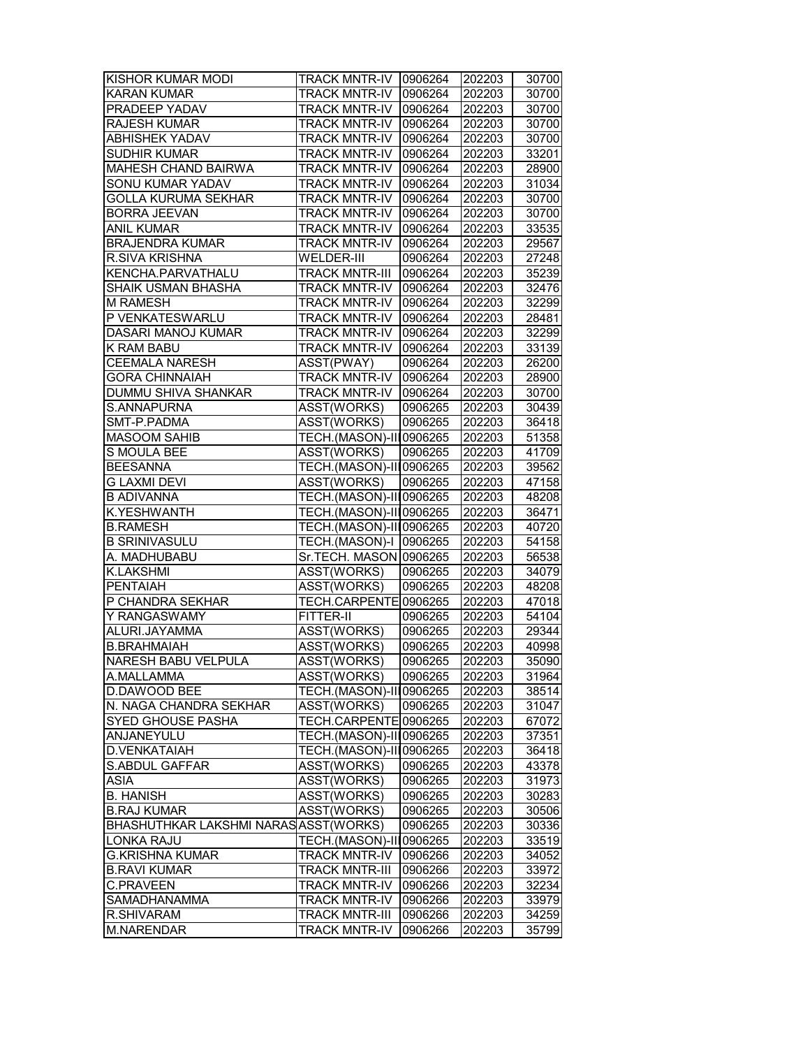| KISHOR KUMAR MODI                     | <b>TRACK MNTR-IV 0906264</b> |         | 202203 | 30700 |
|---------------------------------------|------------------------------|---------|--------|-------|
| <b>KARAN KUMAR</b>                    | <b>TRACK MNTR-IV</b>         | 0906264 | 202203 | 30700 |
| <b>PRADEEP YADAV</b>                  | <b>TRACK MNTR-IV</b>         | 0906264 | 202203 | 30700 |
| <b>RAJESH KUMAR</b>                   | <b>TRACK MNTR-IV</b>         | 0906264 | 202203 | 30700 |
| <b>ABHISHEK YADAV</b>                 | <b>TRACK MNTR-IV</b>         | 0906264 | 202203 | 30700 |
| <b>SUDHIR KUMAR</b>                   | <b>TRACK MNTR-IV</b>         | 0906264 | 202203 | 33201 |
| MAHESH CHAND BAIRWA                   | <b>TRACK MNTR-IV</b>         | 0906264 | 202203 | 28900 |
| SONU KUMAR YADAV                      | <b>TRACK MNTR-IV</b>         | 0906264 | 202203 | 31034 |
| <b>GOLLA KURUMA SEKHAR</b>            | <b>TRACK MNTR-IV</b>         | 0906264 | 202203 | 30700 |
| <b>BORRA JEEVAN</b>                   | <b>TRACK MNTR-IV</b>         | 0906264 | 202203 | 30700 |
| <b>ANIL KUMAR</b>                     | <b>TRACK MNTR-IV</b>         | 0906264 | 202203 | 33535 |
| <b>BRAJENDRA KUMAR</b>                | <b>TRACK MNTR-IV</b>         | 0906264 | 202203 | 29567 |
| <b>R.SIVA KRISHNA</b>                 | WELDER-III                   | 0906264 | 202203 | 27248 |
| KENCHA.PARVATHALU                     | <b>TRACK MNTR-III</b>        | 0906264 | 202203 | 35239 |
| SHAIK USMAN BHASHA                    | <b>TRACK MNTR-IV</b>         | 0906264 | 202203 | 32476 |
| <b>M RAMESH</b>                       | <b>TRACK MNTR-IV</b>         | 0906264 | 202203 | 32299 |
|                                       |                              |         |        |       |
| P VENKATESWARLU                       | <b>TRACK MNTR-IV</b>         | 0906264 | 202203 | 28481 |
| DASARI MANOJ KUMAR                    | <b>TRACK MNTR-IV</b>         | 0906264 | 202203 | 32299 |
| K RAM BABU                            | <b>TRACK MNTR-IV</b>         | 0906264 | 202203 | 33139 |
| <b>CEEMALA NARESH</b>                 | ASST(PWAY)                   | 0906264 | 202203 | 26200 |
| <b>GORA CHINNAIAH</b>                 | <b>TRACK MNTR-IV</b>         | 0906264 | 202203 | 28900 |
| <b>DUMMU SHIVA SHANKAR</b>            | <b>TRACK MNTR-IV</b>         | 0906264 | 202203 | 30700 |
| S.ANNAPURNA                           | ASST(WORKS)                  | 0906265 | 202203 | 30439 |
| SMT-P.PADMA                           | ASST(WORKS)                  | 0906265 | 202203 | 36418 |
| <b>MASOOM SAHIB</b>                   | TECH.(MASON)-III0906265      |         | 202203 | 51358 |
| S MOULA BEE                           | ASST(WORKS)                  | 0906265 | 202203 | 41709 |
| <b>BEESANNA</b>                       | TECH.(MASON)-III0906265      |         | 202203 | 39562 |
| G LAXMI DEVI                          | ASST(WORKS)                  | 0906265 | 202203 | 47158 |
| <b>B ADIVANNA</b>                     | TECH.(MASON)-III0906265      |         | 202203 | 48208 |
| K.YESHWANTH                           | TECH.(MASON)-III0906265      |         | 202203 | 36471 |
| <b>B.RAMESH</b>                       | TECH.(MASON)-III0906265      |         | 202203 | 40720 |
| <b>B SRINIVASULU</b>                  | TECH.(MASON)-I 0906265       |         | 202203 | 54158 |
| A. MADHUBABU                          | Sr.TECH. MASON 0906265       |         | 202203 | 56538 |
| <b>K.LAKSHMI</b>                      | ASST(WORKS)                  | 0906265 | 202203 | 34079 |
| <b>PENTAIAH</b>                       | ASST(WORKS)                  | 0906265 | 202203 | 48208 |
| P CHANDRA SEKHAR                      | TECH.CARPENTE 0906265        |         | 202203 | 47018 |
| Y RANGASWAMY                          | <b>FITTER-II</b>             | 0906265 | 202203 | 54104 |
| ALURI.JAYAMMA                         | ASST(WORKS)                  | 0906265 | 202203 | 29344 |
| <b>B.BRAHMAIAH</b>                    | <b>ASST(WORKS)</b>           | 0906265 | 202203 | 40998 |
| <b>NARESH BABU VELPULA</b>            | ASST(WORKS)                  | 0906265 | 202203 | 35090 |
| A.MALLAMMA                            | ASST(WORKS)                  | 0906265 | 202203 | 31964 |
| D.DAWOOD BEE                          | TECH.(MASON)-III0906265      |         | 202203 | 38514 |
| N. NAGA CHANDRA SEKHAR                | ASST(WORKS)                  | 0906265 | 202203 | 31047 |
| SYED GHOUSE PASHA                     | TECH.CARPENTE 0906265        |         | 202203 | 67072 |
| ANJANEYULU                            | TECH.(MASON)-III0906265      |         | 202203 | 37351 |
| D.VENKATAIAH                          | TECH.(MASON)-III0906265      |         | 202203 | 36418 |
| S.ABDUL GAFFAR                        | ASST(WORKS)                  | 0906265 | 202203 | 43378 |
| <b>ASIA</b>                           |                              |         |        |       |
|                                       | ASST(WORKS)                  | 0906265 | 202203 | 31973 |
| <b>B. HANISH</b>                      | ASST(WORKS)                  | 0906265 | 202203 | 30283 |
| <b>B.RAJ KUMAR</b>                    | ASST(WORKS)                  | 0906265 | 202203 | 30506 |
| BHASHUTHKAR LAKSHMI NARAS ASST(WORKS) |                              | 0906265 | 202203 | 30336 |
| LONKA RAJU                            | TECH.(MASON)-III0906265      |         | 202203 | 33519 |
| <b>G.KRISHNA KUMAR</b>                | <b>TRACK MNTR-IV</b>         | 0906266 | 202203 | 34052 |
| <b>B.RAVI KUMAR</b>                   | <b>TRACK MNTR-III</b>        | 0906266 | 202203 | 33972 |
| <b>C.PRAVEEN</b>                      | <b>TRACK MNTR-IV</b>         | 0906266 | 202203 | 32234 |
| SAMADHANAMMA                          | <b>TRACK MNTR-IV</b>         | 0906266 | 202203 | 33979 |
| R.SHIVARAM                            | <b>TRACK MNTR-III</b>        | 0906266 | 202203 | 34259 |
| M.NARENDAR                            | <b>TRACK MNTR-IV</b>         | 0906266 | 202203 | 35799 |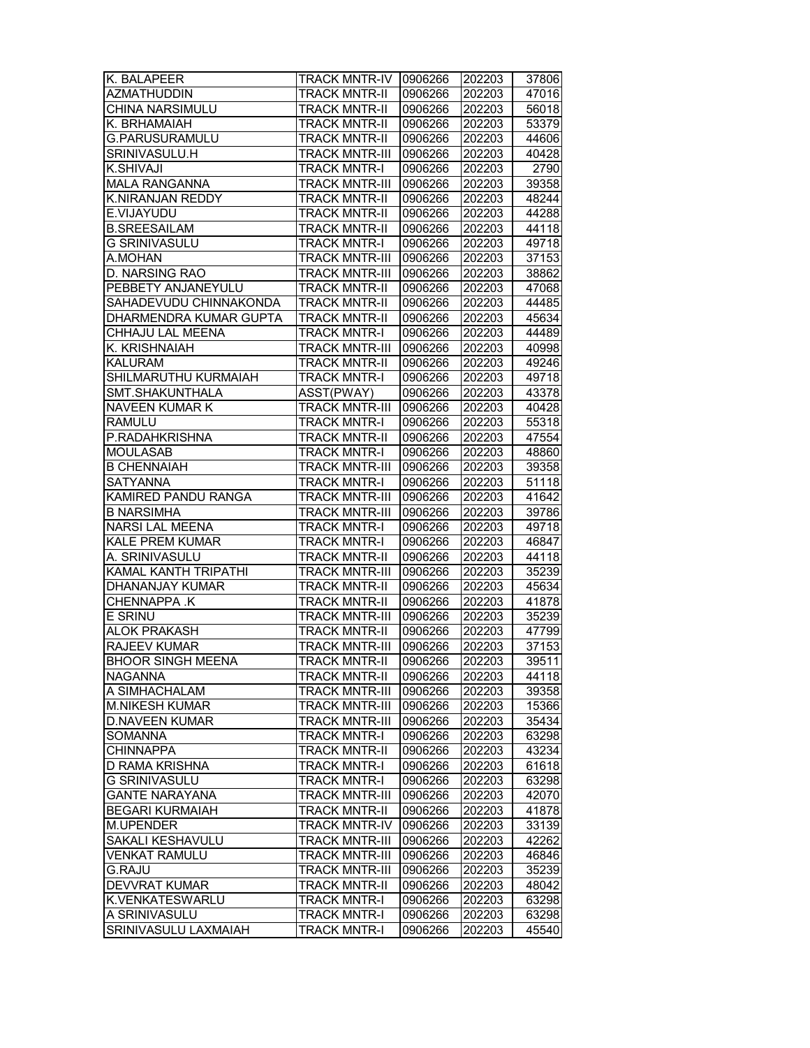| K. BALAPEER                            | <b>TRACK MNTR-IV</b>  | 0906266 | 202203 | 37806          |
|----------------------------------------|-----------------------|---------|--------|----------------|
| <b>AZMATHUDDIN</b>                     | <b>TRACK MNTR-II</b>  | 0906266 | 202203 | 47016          |
| CHINA NARSIMULU                        | <b>TRACK MNTR-II</b>  | 0906266 | 202203 | 56018          |
| K. BRHAMAIAH                           | <b>TRACK MNTR-II</b>  | 0906266 | 202203 | 53379          |
| G.PARUSURAMULU                         | <b>TRACK MNTR-II</b>  | 0906266 | 202203 | 44606          |
| SRINIVASULU.H                          | <b>TRACK MNTR-III</b> | 0906266 | 202203 | 40428          |
| K.SHIVAJI                              | <b>TRACK MNTR-I</b>   | 0906266 | 202203 | 2790           |
| <b>MALA RANGANNA</b>                   | <b>TRACK MNTR-III</b> | 0906266 | 202203 | 39358          |
| <b>K.NIRANJAN REDDY</b>                | <b>TRACK MNTR-II</b>  | 0906266 | 202203 | 48244          |
| E.VIJAYUDU                             | <b>TRACK MNTR-II</b>  | 0906266 | 202203 | 44288          |
| <b>B.SREESAILAM</b>                    | <b>TRACK MNTR-II</b>  | 0906266 | 202203 | 44118          |
| <b>G SRINIVASULU</b>                   | <b>TRACK MNTR-I</b>   | 0906266 | 202203 | 49718          |
| A.MOHAN                                | <b>TRACK MNTR-III</b> | 0906266 | 202203 | 37153          |
| <b>D. NARSING RAO</b>                  | <b>TRACK MNTR-III</b> | 0906266 | 202203 | 38862          |
| PEBBETY ANJANEYULU                     | <b>TRACK MNTR-II</b>  | 0906266 | 202203 | 47068          |
| SAHADEVUDU CHINNAKONDA                 | <b>TRACK MNTR-II</b>  | 0906266 | 202203 | 44485          |
| DHARMENDRA KUMAR GUPTA                 | <b>TRACK MNTR-II</b>  | 0906266 | 202203 | 45634          |
| CHHAJU LAL MEENA                       |                       | 0906266 |        |                |
| K. KRISHNAIAH                          | <b>TRACK MNTR-I</b>   |         | 202203 | 44489<br>40998 |
|                                        | <b>TRACK MNTR-III</b> | 0906266 | 202203 |                |
| <b>KALURAM</b><br>SHILMARUTHU KURMAIAH | <b>TRACK MNTR-II</b>  | 0906266 | 202203 | 49246          |
|                                        | <b>TRACK MNTR-I</b>   | 0906266 | 202203 | 49718          |
| SMT.SHAKUNTHALA                        | ASST(PWAY)            | 0906266 | 202203 | 43378          |
| <b>NAVEEN KUMAR K</b>                  | <b>TRACK MNTR-III</b> | 0906266 | 202203 | 40428          |
| <b>RAMULU</b>                          | <b>TRACK MNTR-I</b>   | 0906266 | 202203 | 55318          |
| P.RADAHKRISHNA                         | <b>TRACK MNTR-II</b>  | 0906266 | 202203 | 47554          |
| MOULASAB                               | <b>TRACK MNTR-I</b>   | 0906266 | 202203 | 48860          |
| <b>B CHENNAIAH</b>                     | <b>TRACK MNTR-III</b> | 0906266 | 202203 | 39358          |
| <b>SATYANNA</b>                        | <b>TRACK MNTR-I</b>   | 0906266 | 202203 | 51118          |
| KAMIRED PANDU RANGA                    | <b>TRACK MNTR-III</b> | 0906266 | 202203 | 41642          |
| <b>B NARSIMHA</b>                      | <b>TRACK MNTR-III</b> | 0906266 | 202203 | 39786          |
| <b>NARSI LAL MEENA</b>                 | <b>TRACK MNTR-I</b>   | 0906266 | 202203 | 49718          |
| <b>KALE PREM KUMAR</b>                 | <b>TRACK MNTR-I</b>   | 0906266 | 202203 | 46847          |
| A. SRINIVASULU                         | <b>TRACK MNTR-II</b>  | 0906266 | 202203 | 44118          |
| KAMAL KANTH TRIPATHI                   | <b>TRACK MNTR-III</b> | 0906266 | 202203 | 35239          |
| DHANANJAY KUMAR                        | <b>TRACK MNTR-II</b>  | 0906266 | 202203 | 45634          |
| CHENNAPPA .K                           | <b>TRACK MNTR-II</b>  | 0906266 | 202203 | 41878          |
| E SRINU                                | <b>TRACK MNTR-III</b> | 0906266 | 202203 | 35239          |
| <b>ALOK PRAKASH</b>                    | <b>TRACK MNTR-II</b>  | 0906266 | 202203 | 47799          |
| <b>RAJEEV KUMAR</b>                    | <b>TRACK MNTR-III</b> | 0906266 | 202203 | 37153          |
| <b>BHOOR SINGH MEENA</b>               | <b>TRACK MNTR-II</b>  | 0906266 | 202203 | 39511          |
| <b>NAGANNA</b>                         | <b>TRACK MNTR-II</b>  | 0906266 | 202203 | 44118          |
| A SIMHACHALAM                          | <b>TRACK MNTR-III</b> | 0906266 | 202203 | 39358          |
| <b>M.NIKESH KUMAR</b>                  | <b>TRACK MNTR-III</b> | 0906266 | 202203 | 15366          |
| <b>D.NAVEEN KUMAR</b>                  | <b>TRACK MNTR-III</b> | 0906266 | 202203 | 35434          |
| <b>SOMANNA</b>                         | <b>TRACK MNTR-I</b>   | 0906266 | 202203 | 63298          |
| <b>CHINNAPPA</b>                       | <b>TRACK MNTR-II</b>  | 0906266 | 202203 | 43234          |
| D RAMA KRISHNA                         | <b>TRACK MNTR-I</b>   | 0906266 | 202203 | 61618          |
| G SRINIVASULU                          | <b>TRACK MNTR-I</b>   | 0906266 | 202203 | 63298          |
| <b>GANTE NARAYANA</b>                  | <b>TRACK MNTR-III</b> | 0906266 | 202203 | 42070          |
| <b>BEGARI KURMAIAH</b>                 | <b>TRACK MNTR-II</b>  | 0906266 | 202203 | 41878          |
| M.UPENDER                              | <b>TRACK MNTR-IV</b>  | 0906266 |        |                |
| SAKALI KESHAVULU                       | <b>TRACK MNTR-III</b> |         | 202203 | 33139<br>42262 |
| <b>VENKAT RAMULU</b>                   |                       | 0906266 | 202203 |                |
|                                        | <b>TRACK MNTR-III</b> | 0906266 | 202203 | 46846          |
| G.RAJU                                 | <b>TRACK MNTR-III</b> | 0906266 | 202203 | 35239          |
| <b>DEVVRAT KUMAR</b>                   | <b>TRACK MNTR-II</b>  | 0906266 | 202203 | 48042          |
| K.VENKATESWARLU                        | <b>TRACK MNTR-I</b>   | 0906266 | 202203 | 63298          |
| A SRINIVASULU                          | <b>TRACK MNTR-I</b>   | 0906266 | 202203 | 63298          |
| SRINIVASULU LAXMAIAH                   | <b>TRACK MNTR-I</b>   | 0906266 | 202203 | 45540          |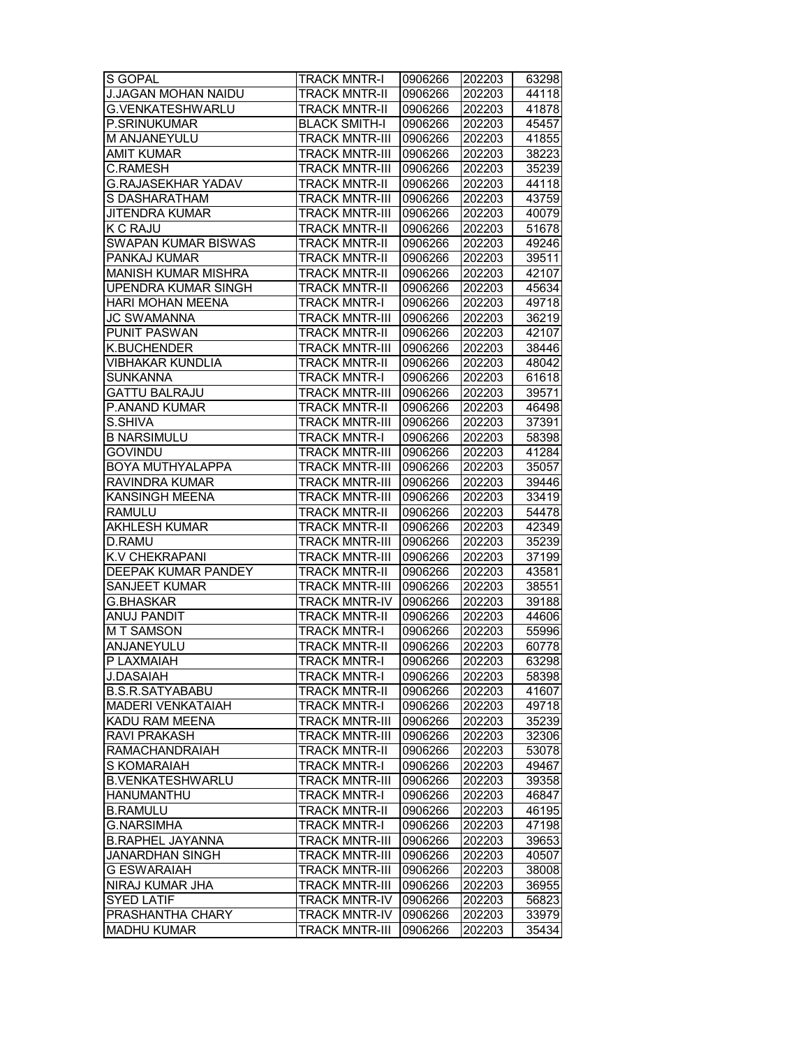| S GOPAL                                               | <b>TRACK MNTR-I</b>   | 0906266 | 202203 | 63298 |
|-------------------------------------------------------|-----------------------|---------|--------|-------|
| <b>J.JAGAN MOHAN NAIDU</b><br><b>G.VENKATESHWARLU</b> | <b>TRACK MNTR-II</b>  | 0906266 | 202203 | 44118 |
|                                                       | <b>TRACK MNTR-II</b>  | 0906266 | 202203 | 41878 |
| <b>P.SRINUKUMAR</b>                                   | <b>BLACK SMITH-I</b>  | 0906266 | 202203 | 45457 |
| M ANJANEYULU                                          | <b>TRACK MNTR-III</b> | 0906266 | 202203 | 41855 |
| <b>AMIT KUMAR</b>                                     | <b>TRACK MNTR-III</b> | 0906266 | 202203 | 38223 |
| C.RAMESH                                              | <b>TRACK MNTR-III</b> | 0906266 | 202203 | 35239 |
| <b>G.RAJASEKHAR YADAV</b>                             | <b>TRACK MNTR-II</b>  | 0906266 | 202203 | 44118 |
| S DASHARATHAM                                         | <b>TRACK MNTR-III</b> | 0906266 | 202203 | 43759 |
| JITENDRA KUMAR                                        | TRACK MNTR-III        | 0906266 | 202203 | 40079 |
| K C RAJU                                              | <b>TRACK MNTR-II</b>  | 0906266 | 202203 | 51678 |
| <b>SWAPAN KUMAR BISWAS</b>                            | TRACK MNTR-II         | 0906266 | 202203 | 49246 |
| PANKAJ KUMAR                                          | <b>TRACK MNTR-II</b>  | 0906266 | 202203 | 39511 |
| <b>MANISH KUMAR MISHRA</b>                            | <b>TRACK MNTR-II</b>  | 0906266 | 202203 | 42107 |
| <b>UPENDRA KUMAR SINGH</b>                            | <b>TRACK MNTR-II</b>  | 0906266 | 202203 | 45634 |
| HARI MOHAN MEENA                                      | <b>TRACK MNTR-I</b>   | 0906266 | 202203 | 49718 |
| <b>JC SWAMANNA</b>                                    | <b>TRACK MNTR-III</b> | 0906266 | 202203 | 36219 |
| PUNIT PASWAN                                          | TRACK MNTR-II         | 0906266 | 202203 | 42107 |
| K.BUCHENDER                                           | <b>TRACK MNTR-III</b> | 0906266 | 202203 | 38446 |
| VIBHAKAR KUNDLIA                                      | <b>TRACK MNTR-II</b>  | 0906266 | 202203 | 48042 |
| <b>SUNKANNA</b>                                       | <b>TRACK MNTR-I</b>   | 0906266 | 202203 | 61618 |
| <b>GATTU BALRAJU</b>                                  | <b>TRACK MNTR-III</b> | 0906266 | 202203 | 39571 |
| P.ANAND KUMAR                                         | <b>TRACK MNTR-II</b>  | 0906266 | 202203 | 46498 |
| S.SHIVA                                               | <b>TRACK MNTR-III</b> | 0906266 | 202203 | 37391 |
| <b>B NARSIMULU</b>                                    | <b>TRACK MNTR-I</b>   | 0906266 | 202203 | 58398 |
| <b>GOVINDU</b>                                        | <b>TRACK MNTR-III</b> | 0906266 | 202203 | 41284 |
| BOYA MUTHYALAPPA                                      | <b>TRACK MNTR-III</b> | 0906266 | 202203 | 35057 |
| RAVINDRA KUMAR                                        | <b>TRACK MNTR-III</b> | 0906266 | 202203 | 39446 |
| KANSINGH MEENA                                        | <b>TRACK MNTR-III</b> | 0906266 | 202203 | 33419 |
| <b>RAMULU</b>                                         | <b>TRACK MNTR-II</b>  | 0906266 | 202203 | 54478 |
| <b>AKHLESH KUMAR</b>                                  | <b>TRACK MNTR-II</b>  | 0906266 | 202203 | 42349 |
| D.RAMU                                                | <b>TRACK MNTR-III</b> | 0906266 | 202203 | 35239 |
| K.V CHEKRAPANI                                        | <b>TRACK MNTR-III</b> | 0906266 | 202203 | 37199 |
| DEEPAK KUMAR PANDEY                                   | <b>TRACK MNTR-II</b>  | 0906266 | 202203 |       |
|                                                       | <b>TRACK MNTR-III</b> |         |        | 43581 |
| SANJEET KUMAR                                         |                       | 0906266 | 202203 | 38551 |
| G.BHASKAR                                             | <b>TRACK MNTR-IV</b>  | 0906266 | 202203 | 39188 |
| <b>ANUJ PANDIT</b>                                    | <b>TRACK MNTR-II</b>  | 0906266 | 202203 | 44606 |
| <b>MT SAMSON</b>                                      | <b>TRACK MNTR-I</b>   | 0906266 | 202203 | 55996 |
| ANJANEYULU                                            | <b>TRACK MNTR-II</b>  | 0906266 | 202203 | 60778 |
| P LAXMAIAH                                            | <b>TRACK MNTR-I</b>   | 0906266 | 202203 | 63298 |
| <b>J.DASAIAH</b>                                      | <b>TRACK MNTR-I</b>   | 0906266 | 202203 | 58398 |
| <b>B.S.R.SATYABABU</b>                                | <b>TRACK MNTR-II</b>  | 0906266 | 202203 | 41607 |
| MADERI VENKATAIAH                                     | <b>TRACK MNTR-I</b>   | 0906266 | 202203 | 49718 |
| KADU RAM MEENA                                        | TRACK MNTR-III        | 0906266 | 202203 | 35239 |
| RAVI PRAKASH                                          | <b>TRACK MNTR-III</b> | 0906266 | 202203 | 32306 |
| <b>RAMACHANDRAIAH</b>                                 | <b>TRACK MNTR-II</b>  | 0906266 | 202203 | 53078 |
| <b>S KOMARAIAH</b>                                    | <b>TRACK MNTR-I</b>   | 0906266 | 202203 | 49467 |
| <b>B.VENKATESHWARLU</b>                               | <b>TRACK MNTR-III</b> | 0906266 | 202203 | 39358 |
| <b>HANUMANTHU</b>                                     | <b>TRACK MNTR-I</b>   | 0906266 | 202203 | 46847 |
| <b>B.RAMULU</b>                                       | <b>TRACK MNTR-II</b>  | 0906266 | 202203 | 46195 |
| <b>G.NARSIMHA</b>                                     | <b>TRACK MNTR-I</b>   | 0906266 | 202203 | 47198 |
| <b>B.RAPHEL JAYANNA</b>                               | <b>TRACK MNTR-III</b> | 0906266 | 202203 | 39653 |
| <b>JANARDHAN SINGH</b>                                | <b>TRACK MNTR-III</b> | 0906266 | 202203 | 40507 |
| <b>G ESWARAIAH</b>                                    | <b>TRACK MNTR-III</b> | 0906266 | 202203 | 38008 |
| NIRAJ KUMAR JHA                                       | <b>TRACK MNTR-III</b> | 0906266 | 202203 | 36955 |
| <b>SYED LATIF</b>                                     | <b>TRACK MNTR-IV</b>  | 0906266 | 202203 | 56823 |
| PRASHANTHA CHARY                                      | <b>TRACK MNTR-IV</b>  | 0906266 | 202203 | 33979 |
| <b>MADHU KUMAR</b>                                    | <b>TRACK MNTR-III</b> | 0906266 | 202203 | 35434 |
|                                                       |                       |         |        |       |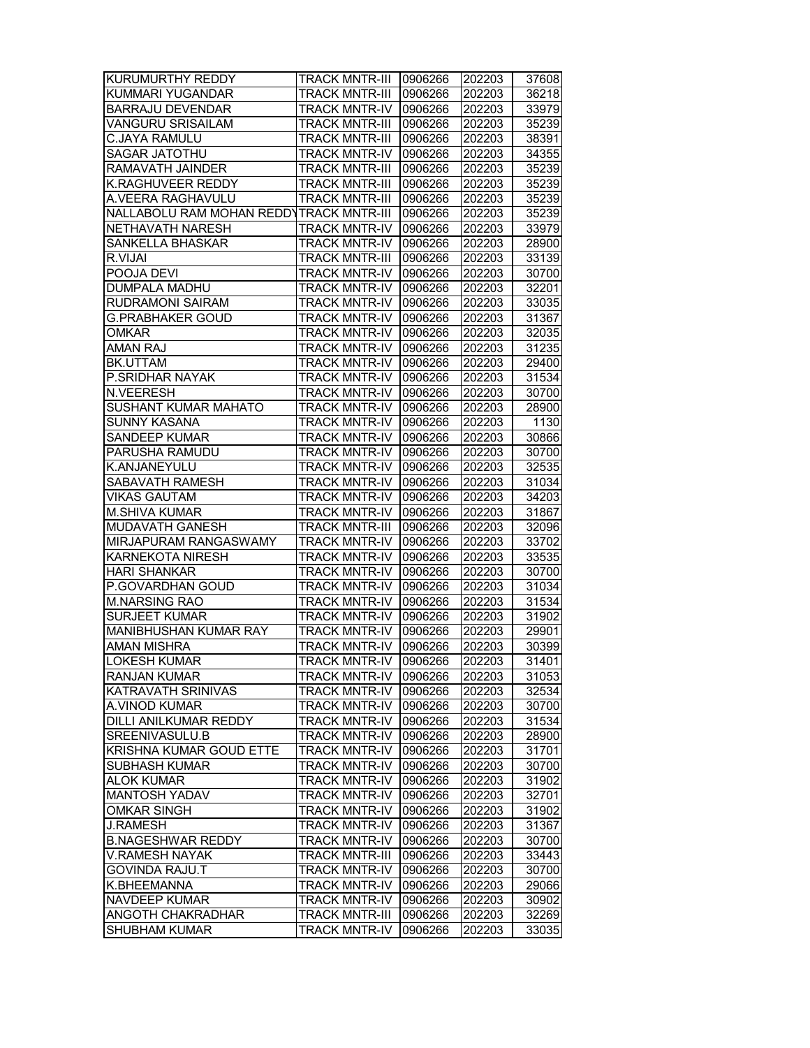| KURUMURTHY REDDY                        | <b>TRACK MNTR-III</b> | 0906266 | 202203 | 37608 |
|-----------------------------------------|-----------------------|---------|--------|-------|
| KUMMARI YUGANDAR                        | <b>TRACK MNTR-III</b> | 0906266 | 202203 | 36218 |
| <b>BARRAJU DEVENDAR</b>                 | <b>TRACK MNTR-IV</b>  | 0906266 | 202203 | 33979 |
| VANGURU SRISAILAM                       | <b>TRACK MNTR-III</b> | 0906266 | 202203 | 35239 |
| C.JAYA RAMULU                           | <b>TRACK MNTR-III</b> | 0906266 | 202203 | 38391 |
| SAGAR JATOTHU                           | <b>TRACK MNTR-IV</b>  | 0906266 | 202203 | 34355 |
| RAMAVATH JAINDER                        | <b>TRACK MNTR-III</b> | 0906266 | 202203 | 35239 |
| <b>K.RAGHUVEER REDDY</b>                | <b>TRACK MNTR-III</b> | 0906266 | 202203 | 35239 |
| A.VEERA RAGHAVULU                       | <b>TRACK MNTR-III</b> | 0906266 | 202203 | 35239 |
| NALLABOLU RAM MOHAN REDDYTRACK MNTR-III |                       | 0906266 | 202203 | 35239 |
| NETHAVATH NARESH                        | <b>TRACK MNTR-IV</b>  | 0906266 | 202203 | 33979 |
| SANKELLA BHASKAR                        | <b>TRACK MNTR-IV</b>  | 0906266 | 202203 | 28900 |
| R.VIJAI                                 | <b>TRACK MNTR-III</b> | 0906266 | 202203 | 33139 |
| POOJA DEVI                              | <b>TRACK MNTR-IV</b>  | 0906266 | 202203 | 30700 |
| DUMPALA MADHU                           | <b>TRACK MNTR-IV</b>  | 0906266 | 202203 | 32201 |
| RUDRAMONI SAIRAM                        | <b>TRACK MNTR-IV</b>  | 0906266 | 202203 | 33035 |
| G.PRABHAKER GOUD                        | <b>TRACK MNTR-IV</b>  | 0906266 | 202203 | 31367 |
| <b>OMKAR</b>                            | <b>TRACK MNTR-IV</b>  | 0906266 | 202203 | 32035 |
| AMAN RAJ                                | <b>TRACK MNTR-IV</b>  | 0906266 | 202203 | 31235 |
| BK.UTTAM                                | <b>TRACK MNTR-IV</b>  | 0906266 | 202203 | 29400 |
| P.SRIDHAR NAYAK                         | <b>TRACK MNTR-IV</b>  | 0906266 | 202203 | 31534 |
| N.VEERESH                               | <b>TRACK MNTR-IV</b>  | 0906266 | 202203 | 30700 |
| SUSHANT KUMAR MAHATO                    | <b>TRACK MNTR-IV</b>  | 0906266 | 202203 | 28900 |
| <b>SUNNY KASANA</b>                     | <b>TRACK MNTR-IV</b>  | 0906266 | 202203 | 1130  |
| SANDEEP KUMAR                           | <b>TRACK MNTR-IV</b>  | 0906266 | 202203 | 30866 |
| PARUSHA RAMUDU                          | <b>TRACK MNTR-IV</b>  | 0906266 | 202203 | 30700 |
| K.ANJANEYULU                            | <b>TRACK MNTR-IV</b>  | 0906266 | 202203 | 32535 |
| SABAVATH RAMESH                         | <b>TRACK MNTR-IV</b>  | 0906266 | 202203 | 31034 |
| <b>VIKAS GAUTAM</b>                     | <b>TRACK MNTR-IV</b>  | 0906266 | 202203 | 34203 |
| <b>M.SHIVA KUMAR</b>                    | <b>TRACK MNTR-IV</b>  | 0906266 | 202203 | 31867 |
| MUDAVATH GANESH                         | <b>TRACK MNTR-III</b> | 0906266 | 202203 | 32096 |
| MIRJAPURAM RANGASWAMY                   | <b>TRACK MNTR-IV</b>  | 0906266 | 202203 | 33702 |
| <b>KARNEKOTA NIRESH</b>                 | <b>TRACK MNTR-IV</b>  | 0906266 | 202203 | 33535 |
| <b>HARI SHANKAR</b>                     | <b>TRACK MNTR-IV</b>  | 0906266 | 202203 | 30700 |
| P.GOVARDHAN GOUD                        | <b>TRACK MNTR-IV</b>  | 0906266 | 202203 | 31034 |
| <b>M.NARSING RAO</b>                    | <b>TRACK MNTR-IV</b>  | 0906266 | 202203 | 31534 |
| <b>SURJEET KUMAR</b>                    | <b>TRACK MNTR-IV</b>  | 0906266 | 202203 | 31902 |
| MANIBHUSHAN KUMAR RAY                   | <b>TRACK MNTR-IV</b>  | 0906266 | 202203 | 29901 |
| <b>AMAN MISHRA</b>                      | <b>TRACK MNTR-IV</b>  | 0906266 | 202203 | 30399 |
| <b>LOKESH KUMAR</b>                     | <b>TRACK MNTR-IV</b>  | 0906266 | 202203 | 31401 |
| <b>RANJAN KUMAR</b>                     | <b>TRACK MNTR-IV</b>  | 0906266 | 202203 | 31053 |
| KATRAVATH SRINIVAS                      | <b>TRACK MNTR-IV</b>  | 0906266 | 202203 | 32534 |
| A.VINOD KUMAR                           | <b>TRACK MNTR-IV</b>  | 0906266 | 202203 | 30700 |
| DILLI ANILKUMAR REDDY                   | TRACK MNTR-IV         | 0906266 | 202203 | 31534 |
| SREENIVASULU.B                          | <b>TRACK MNTR-IV</b>  | 0906266 | 202203 | 28900 |
| <b>KRISHNA KUMAR GOUD ETTE</b>          | <b>TRACK MNTR-IV</b>  | 0906266 | 202203 | 31701 |
| <b>SUBHASH KUMAR</b>                    | <b>TRACK MNTR-IV</b>  | 0906266 | 202203 | 30700 |
| <b>ALOK KUMAR</b>                       | <b>TRACK MNTR-IV</b>  | 0906266 | 202203 | 31902 |
| MANTOSH YADAV                           | <b>TRACK MNTR-IV</b>  | 0906266 | 202203 | 32701 |
| <b>OMKAR SINGH</b>                      | <b>TRACK MNTR-IV</b>  | 0906266 | 202203 | 31902 |
| <b>J.RAMESH</b>                         | <b>TRACK MNTR-IV</b>  | 0906266 | 202203 | 31367 |
| <b>B.NAGESHWAR REDDY</b>                | TRACK MNTR-IV         | 0906266 | 202203 | 30700 |
| V.RAMESH NAYAK                          | <b>TRACK MNTR-III</b> | 0906266 | 202203 | 33443 |
| GOVINDA RAJU.T                          | <b>TRACK MNTR-IV</b>  | 0906266 | 202203 | 30700 |
| K.BHEEMANNA                             | <b>TRACK MNTR-IV</b>  | 0906266 | 202203 | 29066 |
| NAVDEEP KUMAR                           | <b>TRACK MNTR-IV</b>  | 0906266 | 202203 | 30902 |
| ANGOTH CHAKRADHAR                       | <b>TRACK MNTR-III</b> | 0906266 | 202203 | 32269 |
| <b>SHUBHAM KUMAR</b>                    | <b>TRACK MNTR-IV</b>  | 0906266 | 202203 | 33035 |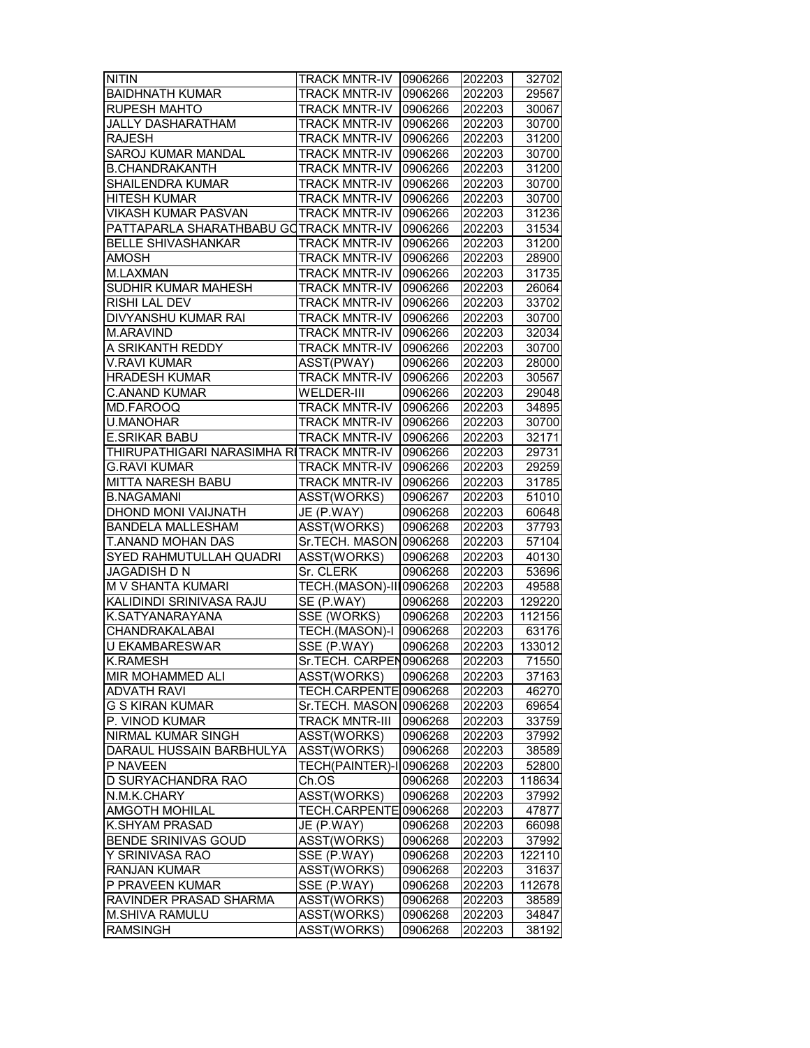| <b>NITIN</b>                             | TRACK MNTR-IV 0906266         |         | 202203 | 32702  |
|------------------------------------------|-------------------------------|---------|--------|--------|
|                                          |                               |         |        |        |
| <b>BAIDHNATH KUMAR</b>                   | <b>TRACK MNTR-IV</b>          | 0906266 | 202203 | 29567  |
| <b>RUPESH MAHTO</b>                      | <b>TRACK MNTR-IV</b>          | 0906266 | 202203 | 30067  |
| <b>JALLY DASHARATHAM</b>                 | <b>TRACK MNTR-IV</b>          | 0906266 | 202203 | 30700  |
| <b>RAJESH</b>                            | <b>TRACK MNTR-IV</b>          | 0906266 | 202203 | 31200  |
| SAROJ KUMAR MANDAL                       | <b>TRACK MNTR-IV</b>          | 0906266 | 202203 | 30700  |
| <b>B.CHANDRAKANTH</b>                    | <b>TRACK MNTR-IV</b>          | 0906266 | 202203 | 31200  |
| SHAILENDRA KUMAR                         | <b>TRACK MNTR-IV</b>          | 0906266 | 202203 | 30700  |
| <b>HITESH KUMAR</b>                      | <b>TRACK MNTR-IV</b>          | 0906266 | 202203 | 30700  |
| VIKASH KUMAR PASVAN                      | <b>TRACK MNTR-IV</b>          | 0906266 | 202203 | 31236  |
| PATTAPARLA SHARATHBABU GOTRACK MNTR-IV   |                               | 0906266 | 202203 | 31534  |
| <b>BELLE SHIVASHANKAR</b>                | <b>TRACK MNTR-IV</b>          | 0906266 | 202203 | 31200  |
| AMOSH                                    | <b>TRACK MNTR-IV</b>          | 0906266 | 202203 | 28900  |
| M.LAXMAN                                 | <b>TRACK MNTR-IV</b>          | 0906266 | 202203 | 31735  |
| SUDHIR KUMAR MAHESH                      | <b>TRACK MNTR-IV</b>          | 0906266 | 202203 | 26064  |
| RISHI LAL DEV                            | <b>TRACK MNTR-IV</b>          | 0906266 | 202203 | 33702  |
| DIVYANSHU KUMAR RAI                      | <b>TRACK MNTR-IV</b>          | 0906266 | 202203 | 30700  |
| M.ARAVIND                                | <b>TRACK MNTR-IV</b>          | 0906266 | 202203 | 32034  |
| A SRIKANTH REDDY                         | <b>TRACK MNTR-IV</b>          |         | 202203 | 30700  |
|                                          |                               | 0906266 |        |        |
| <b>V.RAVI KUMAR</b>                      | ASST(PWAY)                    | 0906266 | 202203 | 28000  |
| <b>HRADESH KUMAR</b>                     | <b>TRACK MNTR-IV</b>          | 0906266 | 202203 | 30567  |
| <b>C.ANAND KUMAR</b>                     | WELDER-III                    | 0906266 | 202203 | 29048  |
| MD.FAROOQ                                | <b>TRACK MNTR-IV</b>          | 0906266 | 202203 | 34895  |
| <b>U.MANOHAR</b>                         | <b>TRACK MNTR-IV</b>          | 0906266 | 202203 | 30700  |
| <b>E.SRIKAR BABU</b>                     | <b>TRACK MNTR-IV</b>          | 0906266 | 202203 | 32171  |
| THIRUPATHIGARI NARASIMHA RITRACK MNTR-IV |                               | 0906266 | 202203 | 29731  |
| <b>G.RAVI KUMAR</b>                      | <b>TRACK MNTR-IV</b>          | 0906266 | 202203 | 29259  |
| <b>MITTA NARESH BABU</b>                 | <b>TRACK MNTR-IV</b>          | 0906266 | 202203 | 31785  |
| <b>B.NAGAMANI</b>                        | ASST(WORKS)                   | 0906267 | 202203 | 51010  |
| DHOND MONI VAIJNATH                      | JE (P.WAY)                    | 0906268 | 202203 | 60648  |
| <b>BANDELA MALLESHAM</b>                 | ASST(WORKS)                   | 0906268 | 202203 | 37793  |
| T.ANAND MOHAN DAS                        | Sr.TECH. MASON 0906268        |         | 202203 | 57104  |
| SYED RAHMUTULLAH QUADRI                  | ASST(WORKS)                   | 0906268 | 202203 | 40130  |
| JAGADISH D N                             | Sr. CLERK                     | 0906268 | 202203 | 53696  |
| M V SHANTA KUMARI                        | TECH.(MASON)-III0906268       |         | 202203 | 49588  |
| KALIDINDI SRINIVASA RAJU                 | SE (P.WAY)                    | 0906268 | 202203 | 129220 |
| K.SATYANARAYANA                          | SSE (WORKS)                   | 0906268 | 202203 | 112156 |
| CHANDRAKALABAI                           | TECH.(MASON)-I 0906268        |         | 202203 | 63176  |
| <b>U EKAMBARESWAR</b>                    | SSE (P.WAY)                   | 0906268 | 202203 | 133012 |
| <b>K.RAMESH</b>                          |                               |         | 202203 |        |
|                                          | Sr.TECH. CARPEN0906268        |         |        | 71550  |
| MIR MOHAMMED ALI                         | ASST(WORKS)                   | 0906268 | 202203 | 37163  |
| <b>ADVATH RAVI</b>                       | TECH.CARPENTE 0906268         |         | 202203 | 46270  |
| G S KIRAN KUMAR                          | Sr.TECH. MASON 0906268        |         | 202203 | 69654  |
| P. VINOD KUMAR                           | <b>TRACK MNTR-III</b>         | 0906268 | 202203 | 33759  |
| NIRMAL KUMAR SINGH                       | ASST(WORKS)                   | 0906268 | 202203 | 37992  |
| DARAUL HUSSAIN BARBHULYA                 | ASST(WORKS)                   | 0906268 | 202203 | 38589  |
| P NAVEEN                                 | <b>TECH(PAINTER)-10906268</b> |         | 202203 | 52800  |
| D SURYACHANDRA RAO                       | Ch.OS                         | 0906268 | 202203 | 118634 |
| N.M.K.CHARY                              | ASST(WORKS)                   | 0906268 | 202203 | 37992  |
| <b>AMGOTH MOHILAL</b>                    | TECH.CARPENTE0906268          |         | 202203 | 47877  |
| <b>K.SHYAM PRASAD</b>                    | JE (P.WAY)                    | 0906268 | 202203 | 66098  |
| BENDE SRINIVAS GOUD                      | ASST(WORKS)                   | 0906268 | 202203 | 37992  |
| Y SRINIVASA RAO                          | SSE $(P.WAY)$                 | 0906268 | 202203 | 122110 |
| <b>RANJAN KUMAR</b>                      | ASST(WORKS)                   | 0906268 | 202203 | 31637  |
| P PRAVEEN KUMAR                          | SSE (P.WAY)                   | 0906268 | 202203 | 112678 |
| RAVINDER PRASAD SHARMA                   | ASST(WORKS)                   | 0906268 | 202203 | 38589  |
| M.SHIVA RAMULU                           | ASST(WORKS)                   | 0906268 | 202203 | 34847  |
| <b>RAMSINGH</b>                          | ASST(WORKS)                   | 0906268 | 202203 | 38192  |
|                                          |                               |         |        |        |